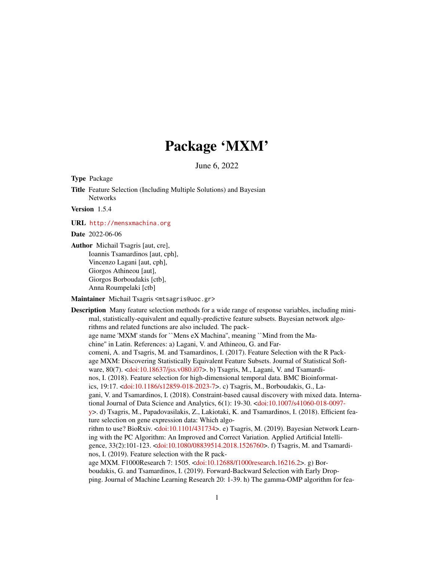# Package 'MXM'

June 6, 2022

Type Package

Title Feature Selection (Including Multiple Solutions) and Bayesian Networks

Version 1.5.4

URL <http://mensxmachina.org>

Date 2022-06-06

Author Michail Tsagris [aut, cre], Ioannis Tsamardinos [aut, cph], Vincenzo Lagani [aut, cph], Giorgos Athineou [aut], Giorgos Borboudakis [ctb], Anna Roumpelaki [ctb]

Maintainer Michail Tsagris <mtsagris@uoc.gr>

Description Many feature selection methods for a wide range of response variables, including minimal, statistically-equivalent and equally-predictive feature subsets. Bayesian network algorithms and related functions are also included. The package name 'MXM' stands for ``Mens eX Machina'', meaning ``Mind from the Machine'' in Latin. References: a) Lagani, V. and Athineou, G. and Farcomeni, A. and Tsagris, M. and Tsamardinos, I. (2017). Feature Selection with the R Package MXM: Discovering Statistically Equivalent Feature Subsets. Journal of Statistical Software, 80(7). [<doi:10.18637/jss.v080.i07>](https://doi.org/10.18637/jss.v080.i07). b) Tsagris, M., Lagani, V. and Tsamardinos, I. (2018). Feature selection for high-dimensional temporal data. BMC Bioinformatics, 19:17. [<doi:10.1186/s12859-018-2023-7>](https://doi.org/10.1186/s12859-018-2023-7). c) Tsagris, M., Borboudakis, G., Lagani, V. and Tsamardinos, I. (2018). Constraint-based causal discovery with mixed data. International Journal of Data Science and Analytics, 6(1): 19-30. [<doi:10.1007/s41060-018-0097](https://doi.org/10.1007/s41060-018-0097-y) [y>](https://doi.org/10.1007/s41060-018-0097-y). d) Tsagris, M., Papadovasilakis, Z., Lakiotaki, K. and Tsamardinos, I. (2018). Efficient feature selection on gene expression data: Which algorithm to use? BioRxiv. [<doi:10.1101/431734>](https://doi.org/10.1101/431734). e) Tsagris, M. (2019). Bayesian Network Learning with the PC Algorithm: An Improved and Correct Variation. Applied Artificial Intelligence, 33(2):101-123. [<doi:10.1080/08839514.2018.1526760>](https://doi.org/10.1080/08839514.2018.1526760). f) Tsagris, M. and Tsamardinos, I. (2019). Feature selection with the R package MXM. F1000Research 7: 1505. [<doi:10.12688/f1000research.16216.2>](https://doi.org/10.12688/f1000research.16216.2). g) Borboudakis, G. and Tsamardinos, I. (2019). Forward-Backward Selection with Early Dropping. Journal of Machine Learning Research 20: 1-39. h) The gamma-OMP algorithm for fea-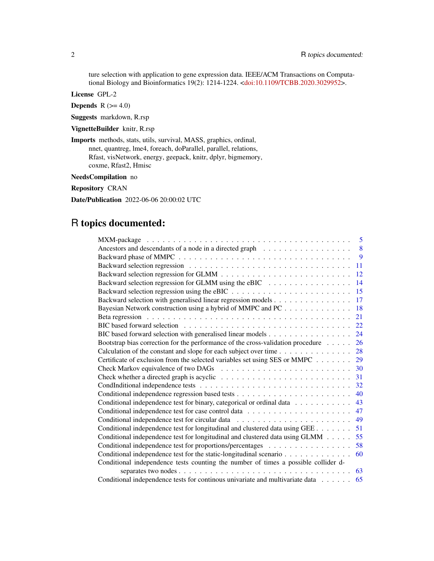ture selection with application to gene expression data. IEEE/ACM Transactions on Computational Biology and Bioinformatics 19(2): 1214-1224. [<doi:10.1109/TCBB.2020.3029952>](https://doi.org/10.1109/TCBB.2020.3029952).

License GPL-2

Depends  $R$  ( $>= 4.0$ )

Suggests markdown, R.rsp

VignetteBuilder knitr, R.rsp

Imports methods, stats, utils, survival, MASS, graphics, ordinal, nnet, quantreg, lme4, foreach, doParallel, parallel, relations, Rfast, visNetwork, energy, geepack, knitr, dplyr, bigmemory, coxme, Rfast2, Hmisc

NeedsCompilation no

Repository CRAN

Date/Publication 2022-06-06 20:00:02 UTC

# R topics documented:

|                                                                                    | 5  |
|------------------------------------------------------------------------------------|----|
|                                                                                    | 8  |
|                                                                                    | 9  |
|                                                                                    | 11 |
|                                                                                    | 12 |
| Backward selection regression for GLMM using the eBIC                              | 14 |
|                                                                                    | 15 |
| Backward selection with generalised linear regression models                       | 17 |
| Bayesian Network construction using a hybrid of MMPC and PC                        | 18 |
|                                                                                    | 21 |
|                                                                                    | 22 |
|                                                                                    | 24 |
| Bootstrap bias correction for the performance of the cross-validation procedure    | 26 |
| Calculation of the constant and slope for each subject over time                   | 28 |
| Certificate of exclusion from the selected variables set using SES or MMPC         | 29 |
|                                                                                    | 30 |
|                                                                                    | 31 |
|                                                                                    | 32 |
|                                                                                    | 40 |
| Conditional independence test for binary, categorical or ordinal data              | 43 |
|                                                                                    | 47 |
|                                                                                    | 49 |
| Conditional independence test for longitudinal and clustered data using GEE        | 51 |
| Conditional independence test for longitudinal and clustered data using GLMM       | 55 |
| Conditional independence test for proportions/percentages                          | 58 |
| Conditional independence test for the static-longitudinal scenario                 | 60 |
| Conditional independence tests counting the number of times a possible collider d- |    |
|                                                                                    | 63 |
| Conditional independence tests for continous univariate and multivariate data      | 65 |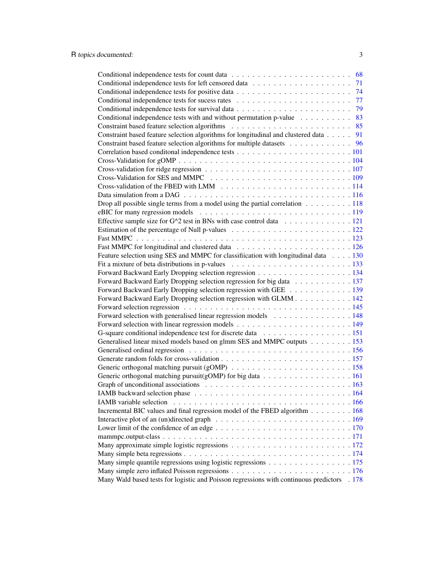|                                                                                                         | 68 |
|---------------------------------------------------------------------------------------------------------|----|
|                                                                                                         | 71 |
|                                                                                                         | 74 |
|                                                                                                         | 77 |
|                                                                                                         | 79 |
| Conditional independence tests with and without permutation p-value                                     | 83 |
|                                                                                                         |    |
| Constraint based feature selection algorithms for longitudinal and clustered data                       | 91 |
| Constraint based feature selection algorithms for multiple datasets 96                                  |    |
|                                                                                                         |    |
|                                                                                                         |    |
|                                                                                                         |    |
|                                                                                                         |    |
|                                                                                                         |    |
|                                                                                                         |    |
| Drop all possible single terms from a model using the partial correlation $\dots \dots \dots \dots 118$ |    |
|                                                                                                         |    |
| Effective sample size for G^2 test in BNs with case control data 121                                    |    |
|                                                                                                         |    |
|                                                                                                         |    |
|                                                                                                         |    |
| Feature selection using SES and MMPC for classification with longitudinal data 130                      |    |
|                                                                                                         |    |
| Forward Backward Early Dropping selection regression 134                                                |    |
| Forward Backward Early Dropping selection regression for big data 137                                   |    |
| Forward Backward Early Dropping selection regression with GEE 139                                       |    |
| Forward Backward Early Dropping selection regression with GLMM 142                                      |    |
|                                                                                                         |    |
| Forward selection with generalised linear regression models 148                                         |    |
|                                                                                                         |    |
|                                                                                                         |    |
| Generalised linear mixed models based on glmm SES and MMPC outputs 153                                  |    |
|                                                                                                         |    |
|                                                                                                         |    |
|                                                                                                         |    |
|                                                                                                         |    |
|                                                                                                         |    |
|                                                                                                         |    |
|                                                                                                         |    |
| IAMB variable selection                                                                                 |    |
| Incremental BIC values and final regression model of the FBED algorithm 168                             |    |
|                                                                                                         |    |
|                                                                                                         |    |
|                                                                                                         |    |
|                                                                                                         |    |
|                                                                                                         |    |
| Many simple quantile regressions using logistic regressions 175                                         |    |
|                                                                                                         |    |
| Many Wald based tests for logistic and Poisson regressions with continuous predictors . 178             |    |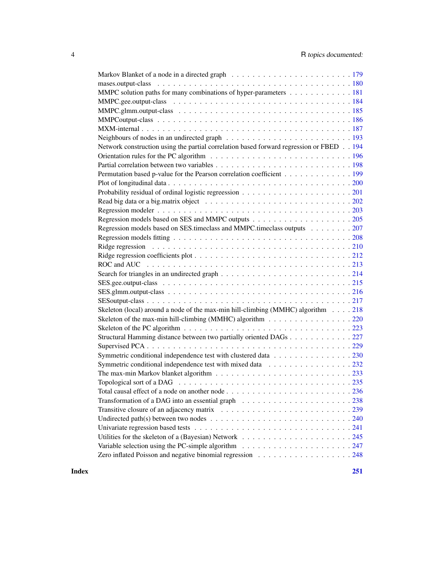| MMPC solution paths for many combinations of hyper-parameters 181                                                       |
|-------------------------------------------------------------------------------------------------------------------------|
|                                                                                                                         |
|                                                                                                                         |
|                                                                                                                         |
|                                                                                                                         |
| Neighbours of nodes in an undirected graph $\ldots \ldots \ldots \ldots \ldots \ldots \ldots \ldots \ldots 193$         |
| Network construction using the partial correlation based forward regression or FBED 194                                 |
|                                                                                                                         |
|                                                                                                                         |
| Permutation based p-value for the Pearson correlation coefficient 199                                                   |
|                                                                                                                         |
|                                                                                                                         |
|                                                                                                                         |
|                                                                                                                         |
|                                                                                                                         |
| Regression models based on SES timeclass and MMPC timeclass outputs 207                                                 |
|                                                                                                                         |
|                                                                                                                         |
|                                                                                                                         |
|                                                                                                                         |
|                                                                                                                         |
|                                                                                                                         |
|                                                                                                                         |
|                                                                                                                         |
| Skeleton (local) around a node of the max-min hill-climbing (MMHC) algorithm $\dots$ 218                                |
| Skeleton of the max-min hill-climbing (MMHC) algorithm 220                                                              |
| Skeleton of the PC algorithm $\ldots \ldots \ldots \ldots \ldots \ldots \ldots \ldots \ldots \ldots \ldots \ldots 223$  |
| Structural Hamming distance between two partially oriented DAGs 227                                                     |
|                                                                                                                         |
| Symmetric conditional independence test with clustered data 230                                                         |
| Symmetric conditional independence test with mixed data 232                                                             |
|                                                                                                                         |
|                                                                                                                         |
|                                                                                                                         |
| Transformation of a DAG into an essential graph $\ldots \ldots \ldots \ldots \ldots \ldots \ldots \ldots$ 238           |
|                                                                                                                         |
| Undirected path(s) between two nodes $\ldots \ldots \ldots \ldots \ldots \ldots \ldots \ldots \ldots \ldots \ldots 240$ |
|                                                                                                                         |
|                                                                                                                         |
| Variable selection using the PC-simple algorithm $\ldots \ldots \ldots \ldots \ldots \ldots \ldots \ldots 247$          |
|                                                                                                                         |

**Index** [251](#page-250-0)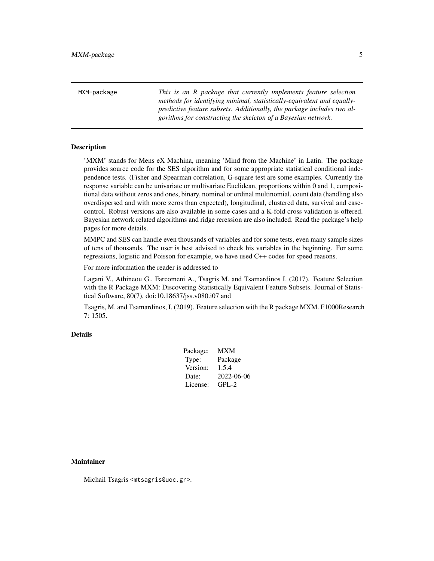<span id="page-4-0"></span>MXM-package *This is an R package that currently implements feature selection methods for identifying minimal, statistically-equivalent and equallypredictive feature subsets. Additionally, the package includes two algorithms for constructing the skeleton of a Bayesian network.*

#### Description

'MXM' stands for Mens eX Machina, meaning 'Mind from the Machine' in Latin. The package provides source code for the SES algorithm and for some appropriate statistical conditional independence tests. (Fisher and Spearman correlation, G-square test are some examples. Currently the response variable can be univariate or multivariate Euclidean, proportions within 0 and 1, compositional data without zeros and ones, binary, nominal or ordinal multinomial, count data (handling also overdispersed and with more zeros than expected), longitudinal, clustered data, survival and casecontrol. Robust versions are also available in some cases and a K-fold cross validation is offered. Bayesian network related algorithms and ridge reression are also included. Read the package's help pages for more details.

MMPC and SES can handle even thousands of variables and for some tests, even many sample sizes of tens of thousands. The user is best advised to check his variables in the beginning. For some regressions, logistic and Poisson for example, we have used C++ codes for speed reasons.

For more information the reader is addressed to

Lagani V., Athineou G., Farcomeni A., Tsagris M. and Tsamardinos I. (2017). Feature Selection with the R Package MXM: Discovering Statistically Equivalent Feature Subsets. Journal of Statistical Software, 80(7), doi:10.18637/jss.v080.i07 and

Tsagris, M. and Tsamardinos, I. (2019). Feature selection with the R package MXM. F1000Research 7: 1505.

#### Details

| Package: | MXM        |
|----------|------------|
| Type:    | Package    |
| Version: | 1.5.4      |
| Date:    | 2022-06-06 |
| License: | $GPL-2$    |

#### Maintainer

Michail Tsagris <mtsagris@uoc.gr>.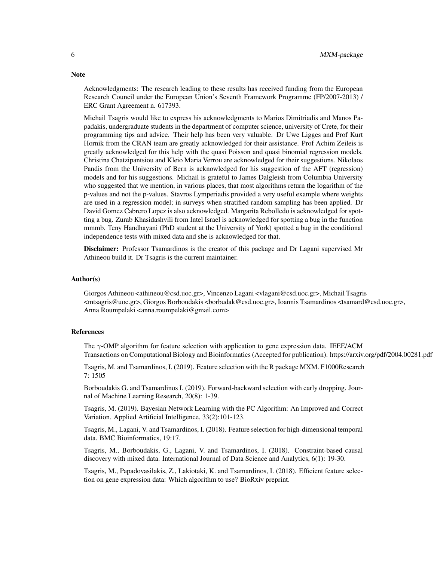Acknowledgments: The research leading to these results has received funding from the European Research Council under the European Union's Seventh Framework Programme (FP/2007-2013) / ERC Grant Agreement n. 617393.

Michail Tsagris would like to express his acknowledgments to Marios Dimitriadis and Manos Papadakis, undergraduate students in the department of computer science, university of Crete, for their programming tips and advice. Their help has been very valuable. Dr Uwe Ligges and Prof Kurt Hornik from the CRAN team are greatly acknowledged for their assistance. Prof Achim Zeileis is greatly acknowledged for this help with the quasi Poisson and quasi binomial regression models. Christina Chatzipantsiou and Kleio Maria Verrou are acknowledged for their suggestions. Nikolaos Pandis from the University of Bern is acknowledged for his suggestion of the AFT (regression) models and for his suggestions. Michail is grateful to James Dalgleish from Columbia University who suggested that we mention, in various places, that most algorithms return the logarithm of the p-values and not the p-values. Stavros Lymperiadis provided a very useful example where weights are used in a regression model; in surveys when stratified random sampling has been applied. Dr David Gomez Cabrero Lopez is also acknowledged. Margarita Rebolledo is acknowledged for spotting a bug. Zurab Khasidashvili from Intel Israel is acknowledged for spotting a bug in the function mmmb. Teny Handhayani (PhD student at the University of York) spotted a bug in the conditional independence tests with mixed data and she is acknowledged for that.

Disclaimer: Professor Tsamardinos is the creator of this package and Dr Lagani supervised Mr Athineou build it. Dr Tsagris is the current maintainer.

### Author(s)

Giorgos Athineou <athineou@csd.uoc.gr>, Vincenzo Lagani <vlagani@csd.uoc.gr>, Michail Tsagris <mtsagris@uoc.gr>, Giorgos Borboudakis <borbudak@csd.uoc.gr>, Ioannis Tsamardinos <tsamard@csd.uoc.gr>, Anna Roumpelaki <anna.roumpelaki@gmail.com>

#### References

The  $\gamma$ -OMP algorithm for feature selection with application to gene expression data. IEEE/ACM Transactions on Computational Biology and Bioinformatics (Accepted for publication). https://arxiv.org/pdf/2004.00281.pdf

Tsagris, M. and Tsamardinos, I. (2019). Feature selection with the R package MXM. F1000Research 7: 1505

Borboudakis G. and Tsamardinos I. (2019). Forward-backward selection with early dropping. Journal of Machine Learning Research, 20(8): 1-39.

Tsagris, M. (2019). Bayesian Network Learning with the PC Algorithm: An Improved and Correct Variation. Applied Artificial Intelligence, 33(2):101-123.

Tsagris, M., Lagani, V. and Tsamardinos, I. (2018). Feature selection for high-dimensional temporal data. BMC Bioinformatics, 19:17.

Tsagris, M., Borboudakis, G., Lagani, V. and Tsamardinos, I. (2018). Constraint-based causal discovery with mixed data. International Journal of Data Science and Analytics, 6(1): 19-30.

Tsagris, M., Papadovasilakis, Z., Lakiotaki, K. and Tsamardinos, I. (2018). Efficient feature selection on gene expression data: Which algorithm to use? BioRxiv preprint.

# **Note**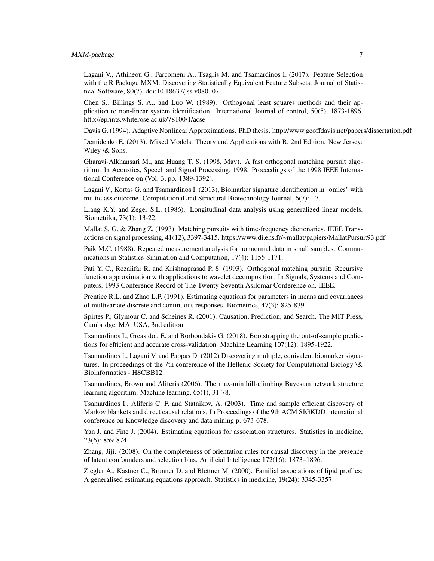# MXM-package 7

Lagani V., Athineou G., Farcomeni A., Tsagris M. and Tsamardinos I. (2017). Feature Selection with the R Package MXM: Discovering Statistically Equivalent Feature Subsets. Journal of Statistical Software, 80(7), doi:10.18637/jss.v080.i07.

Chen S., Billings S. A., and Luo W. (1989). Orthogonal least squares methods and their application to non-linear system identification. International Journal of control, 50(5), 1873-1896. http://eprints.whiterose.ac.uk/78100/1/acse

Davis G. (1994). Adaptive Nonlinear Approximations. PhD thesis. http://www.geoffdavis.net/papers/dissertation.pdf

Demidenko E. (2013). Mixed Models: Theory and Applications with R, 2nd Edition. New Jersey: Wiley \& Sons.

Gharavi-Alkhansari M., anz Huang T. S. (1998, May). A fast orthogonal matching pursuit algorithm. In Acoustics, Speech and Signal Processing, 1998. Proceedings of the 1998 IEEE International Conference on (Vol. 3, pp. 1389-1392).

Lagani V., Kortas G. and Tsamardinos I. (2013), Biomarker signature identification in "omics" with multiclass outcome. Computational and Structural Biotechnology Journal, 6(7):1-7.

Liang K.Y. and Zeger S.L. (1986). Longitudinal data analysis using generalized linear models. Biometrika, 73(1): 13-22.

Mallat S. G. & Zhang Z. (1993). Matching pursuits with time-frequency dictionaries. IEEE Transactions on signal processing, 41(12), 3397-3415. https://www.di.ens.fr/~mallat/papiers/MallatPursuit93.pdf

Paik M.C. (1988). Repeated measurement analysis for nonnormal data in small samples. Communications in Statistics-Simulation and Computation, 17(4): 1155-1171.

Pati Y. C., Rezaiifar R. and Krishnaprasad P. S. (1993). Orthogonal matching pursuit: Recursive function approximation with applications to wavelet decomposition. In Signals, Systems and Computers. 1993 Conference Record of The Twenty-Seventh Asilomar Conference on. IEEE.

Prentice R.L. and Zhao L.P. (1991). Estimating equations for parameters in means and covariances of multivariate discrete and continuous responses. Biometrics, 47(3): 825-839.

Spirtes P., Glymour C. and Scheines R. (2001). Causation, Prediction, and Search. The MIT Press, Cambridge, MA, USA, 3nd edition.

Tsamardinos I., Greasidou E. and Borboudakis G. (2018). Bootstrapping the out-of-sample predictions for efficient and accurate cross-validation. Machine Learning 107(12): 1895-1922.

Tsamardinos I., Lagani V. and Pappas D. (2012) Discovering multiple, equivalent biomarker signatures. In proceedings of the 7th conference of the Hellenic Society for Computational Biology \& Bioinformatics - HSCBB12.

Tsamardinos, Brown and Aliferis (2006). The max-min hill-climbing Bayesian network structure learning algorithm. Machine learning, 65(1), 31-78.

Tsamardinos I., Aliferis C. F. and Statnikov, A. (2003). Time and sample efficient discovery of Markov blankets and direct causal relations. In Proceedings of the 9th ACM SIGKDD international conference on Knowledge discovery and data mining p. 673-678.

Yan J. and Fine J. (2004). Estimating equations for association structures. Statistics in medicine, 23(6): 859-874

Zhang, Jiji. (2008). On the completeness of orientation rules for causal discovery in the presence of latent confounders and selection bias. Artificial Intelligence 172(16): 1873–1896.

Ziegler A., Kastner C., Brunner D. and Blettner M. (2000). Familial associations of lipid profiles: A generalised estimating equations approach. Statistics in medicine, 19(24): 3345-3357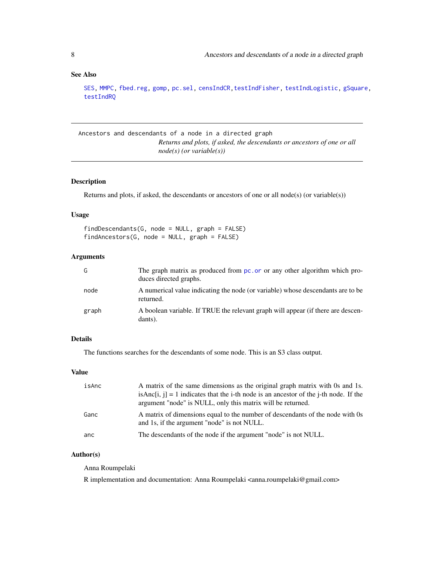# <span id="page-7-0"></span>See Also

[SES,](#page-84-1) [MMPC,](#page-84-1) [fbed.reg,](#page-133-1) [gomp,](#page-157-1) [pc.sel,](#page-246-1) [censIndCR](#page-78-1)[,testIndFisher,](#page-100-1) [testIndLogistic,](#page-42-1) [gSquare,](#page-150-1) [testIndRQ](#page-64-1)

Ancestors and descendants of a node in a directed graph *Returns and plots, if asked, the descendants or ancestors of one or all node(s) (or variable(s))*

#### Description

Returns and plots, if asked, the descendants or ancestors of one or all node(s) (or variable(s))

# Usage

| $findDescendants(G, node = NULL, graph = FALSE)$ |  |  |
|--------------------------------------------------|--|--|
| $findAnceators(G, node = NULL, graph = FALSE)$   |  |  |

# Arguments

| G     | The graph matrix as produced from pc, or or any other algorithm which pro-<br>duces directed graphs. |
|-------|------------------------------------------------------------------------------------------------------|
| node  | A numerical value indicating the node (or variable) whose descendants are to be<br>returned.         |
| graph | A boolean variable. If TRUE the relevant graph will appear (if there are descen-<br>dants).          |

# Details

The functions searches for the descendants of some node. This is an S3 class output.

#### Value

| isAnc | A matrix of the same dimensions as the original graph matrix with 0s and 1s.<br>isAnc $[i, j] = 1$ indicates that the i-th node is an ancestor of the j-th node. If the<br>argument "node" is NULL, only this matrix will be returned. |
|-------|----------------------------------------------------------------------------------------------------------------------------------------------------------------------------------------------------------------------------------------|
| Ganc  | A matrix of dimensions equal to the number of descendants of the node with 0s<br>and 1s, if the argument "node" is not NULL.                                                                                                           |
| anc   | The descendants of the node if the argument "node" is not NULL.                                                                                                                                                                        |

# Author(s)

Anna Roumpelaki

R implementation and documentation: Anna Roumpelaki <anna.roumpelaki@gmail.com>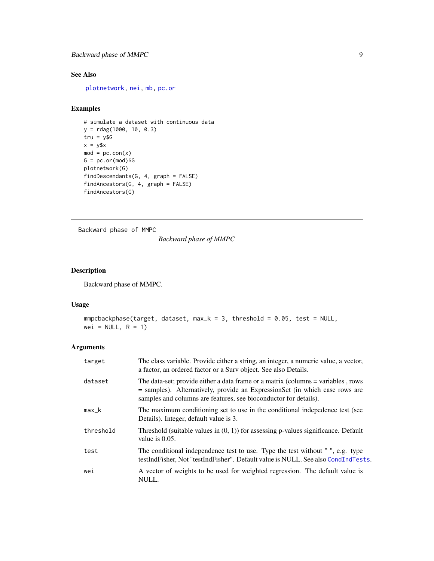# <span id="page-8-0"></span>Backward phase of MMPC 9

# See Also

[plotnetwork,](#page-168-1) [nei,](#page-192-1) [mb,](#page-178-1) [pc.or](#page-195-1)

# Examples

```
# simulate a dataset with continuous data
y = rdag(1000, 10, 0.3)
tru = y$G
x = y$x
mod = pc.com(x)G = pc.or(mod)$G
plotnetwork(G)
findDescendants(G, 4, graph = FALSE)
findAncestors(G, 4, graph = FALSE)
findAncestors(G)
```
Backward phase of MMPC

*Backward phase of MMPC*

# Description

Backward phase of MMPC.

# Usage

```
mmpcbackphase(target, dataset, max_k = 3, threshold = 0.05, test = NULL,
wei = NULL, R = 1)
```
# Arguments

| target    | The class variable. Provide either a string, an integer, a numeric value, a vector,<br>a factor, an ordered factor or a Surv object. See also Details.                                                                                 |
|-----------|----------------------------------------------------------------------------------------------------------------------------------------------------------------------------------------------------------------------------------------|
| dataset   | The data-set; provide either a data frame or a matrix (columns = variables, rows<br>$=$ samples). Alternatively, provide an Expression Set (in which case rows are<br>samples and columns are features, see bioconductor for details). |
| max_k     | The maximum conditioning set to use in the conditional indepedence test (see<br>Details). Integer, default value is 3.                                                                                                                 |
| threshold | Threshold (suitable values in $(0, 1)$ ) for assessing p-values significance. Default<br>value is $0.05$ .                                                                                                                             |
| test      | The conditional independence test to use. Type the test without ", e.g. type<br>testIndFisher, Not "testIndFisher". Default value is NULL. See also CondIndTests.                                                                      |
| wei       | A vector of weights to be used for weighted regression. The default value is<br>NULL.                                                                                                                                                  |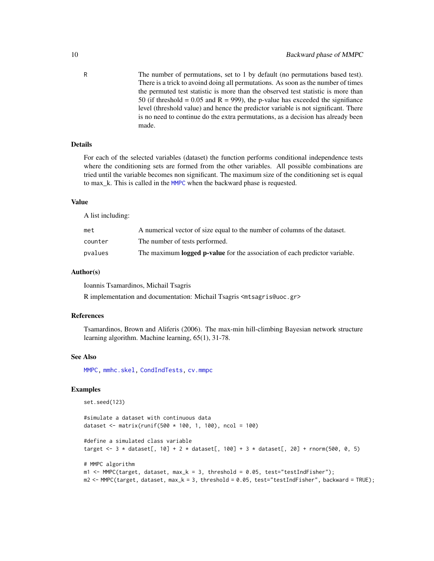R The number of permutations, set to 1 by default (no permutations based test). There is a trick to avoind doing all permutations. As soon as the number of times the permuted test statistic is more than the observed test statistic is more than 50 (if threshold =  $0.05$  and R = 999), the p-value has exceeded the signifiance level (threshold value) and hence the predictor variable is not significant. There is no need to continue do the extra permutations, as a decision has already been made.

# Details

For each of the selected variables (dataset) the function performs conditional independence tests where the conditioning sets are formed from the other variables. All possible combinations are tried until the variable becomes non significant. The maximum size of the conditioning set is equal to max\_k. This is called in the [MMPC](#page-84-1) when the backward phase is requested.

# Value

A list including:

| met     | A numerical vector of size equal to the number of columns of the dataset.         |
|---------|-----------------------------------------------------------------------------------|
| counter | The number of tests performed.                                                    |
| pvalues | The maximum <b>logged p-value</b> for the association of each predictor variable. |

#### Author(s)

Ioannis Tsamardinos, Michail Tsagris

R implementation and documentation: Michail Tsagris <mtsagris@uoc.gr>

#### References

Tsamardinos, Brown and Aliferis (2006). The max-min hill-climbing Bayesian network structure learning algorithm. Machine learning, 65(1), 31-78.

#### See Also

[MMPC,](#page-84-1) [mmhc.skel,](#page-219-1) [CondIndTests,](#page-31-1) [cv.mmpc](#page-108-1)

#### Examples

```
set.seed(123)
```

```
#simulate a dataset with continuous data
dataset <- matrix(runif(500 * 100, 1, 100), ncol = 100)
```

```
#define a simulated class variable
target <- 3 * dataset[, 10] + 2 * dataset[, 100] + 3 * dataset[, 20] + rnorm(500, 0, 5)
```

```
# MMPC algorithm
m1 < - MMPC(target, dataset, max_k = 3, threshold = 0.05, test="testIndFisher");
m2 <- MMPC(target, dataset, max_k = 3, threshold = 0.05, test="testIndFisher", backward = TRUE);
```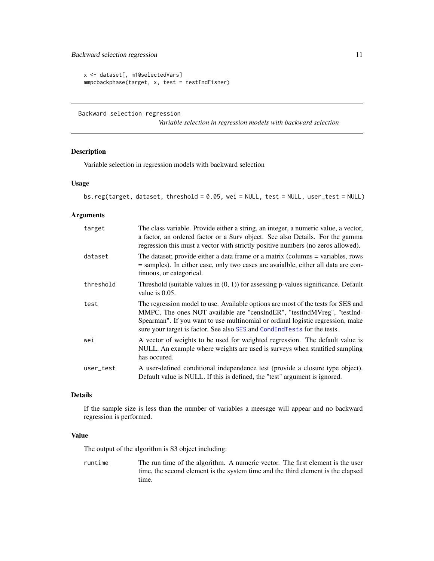```
x <- dataset[, m1@selectedVars]
mmpcbackphase(target, x, test = testIndFisher)
```
Backward selection regression

*Variable selection in regression models with backward selection*

# Description

Variable selection in regression models with backward selection

# Usage

```
bs.reg(target, dataset, threshold = 0.05, wei = NULL, test = NULL, user_test = NULL)
```
# Arguments

| target    | The class variable. Provide either a string, an integer, a numeric value, a vector,<br>a factor, an ordered factor or a Surv object. See also Details. For the gamma<br>regression this must a vector with strictly positive numbers (no zeros allowed).                                                                  |
|-----------|---------------------------------------------------------------------------------------------------------------------------------------------------------------------------------------------------------------------------------------------------------------------------------------------------------------------------|
| dataset   | The dataset; provide either a data frame or a matrix (columns = variables, rows<br>= samples). In either case, only two cases are avaialble, either all data are con-<br>tinuous, or categorical.                                                                                                                         |
| threshold | Threshold (suitable values in $(0, 1)$ ) for assessing p-values significance. Default<br>value is $0.05$ .                                                                                                                                                                                                                |
| test      | The regression model to use. Available options are most of the tests for SES and<br>MMPC. The ones NOT available are "censIndER", "testIndMVreg", "testInd-<br>Spearman". If you want to use multinomial or ordinal logistic regression, make<br>sure your target is factor. See also SES and CondIndTests for the tests. |
| wei       | A vector of weights to be used for weighted regression. The default value is<br>NULL. An example where weights are used is surveys when stratified sampling<br>has occured.                                                                                                                                               |
| user_test | A user-defined conditional independence test (provide a closure type object).<br>Default value is NULL. If this is defined, the "test" argument is ignored.                                                                                                                                                               |

#### Details

If the sample size is less than the number of variables a meesage will appear and no backward regression is performed.

#### Value

The output of the algorithm is S3 object including:

runtime The run time of the algorithm. A numeric vector. The first element is the user time, the second element is the system time and the third element is the elapsed time.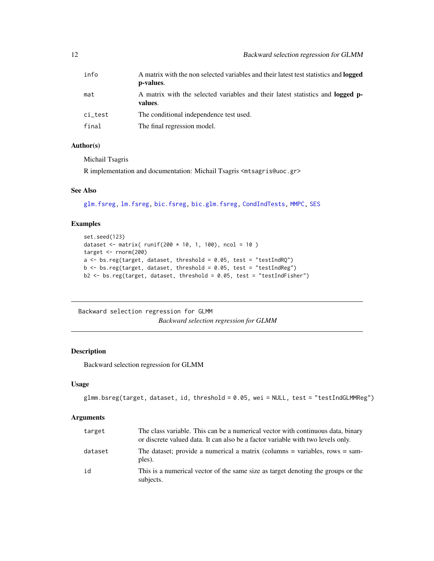<span id="page-11-0"></span>

| info    | A matrix with the non selected variables and their latest test statistics and <b>logged</b><br>p-values. |
|---------|----------------------------------------------------------------------------------------------------------|
| mat     | A matrix with the selected variables and their latest statistics and <b>logged</b> p-<br>values.         |
| ci_test | The conditional independence test used.                                                                  |
| final   | The final regression model.                                                                              |

#### Author(s)

Michail Tsagris

R implementation and documentation: Michail Tsagris <mtsagris@uoc.gr>

# See Also

[glm.fsreg,](#page-147-1) [lm.fsreg,](#page-148-1) [bic.fsreg,](#page-21-1) [bic.glm.fsreg,](#page-23-1) [CondIndTests,](#page-31-1) [MMPC,](#page-84-1) [SES](#page-84-1)

# Examples

```
set.seed(123)
dataset <- matrix( runif(200 * 10, 1, 100), ncol = 10)
target <- rnorm(200)
a \leq bs.reg(target, dataset, threshold = 0.05, test = "testIndRQ")
b \leq b s. reg(target, dataset, threshold = 0.05, test = "testIndReg")
b2 <- bs.reg(target, dataset, threshold = 0.05, test = "testIndFisher")
```
Backward selection regression for GLMM

*Backward selection regression for GLMM*

# <span id="page-11-1"></span>Description

Backward selection regression for GLMM

#### Usage

```
glmm.bsreg(target, dataset, id, threshold = 0.05, wei = NULL, test = "testIndGLMMReg")
```
# Arguments

| target  | The class variable. This can be a numerical vector with continuous data, binary<br>or discrete valued data. It can also be a factor variable with two levels only. |
|---------|--------------------------------------------------------------------------------------------------------------------------------------------------------------------|
| dataset | The dataset; provide a numerical a matrix (columns $=$ variables, rows $=$ sam-<br>ples).                                                                          |
| id      | This is a numerical vector of the same size as target denoting the groups or the<br>subjects.                                                                      |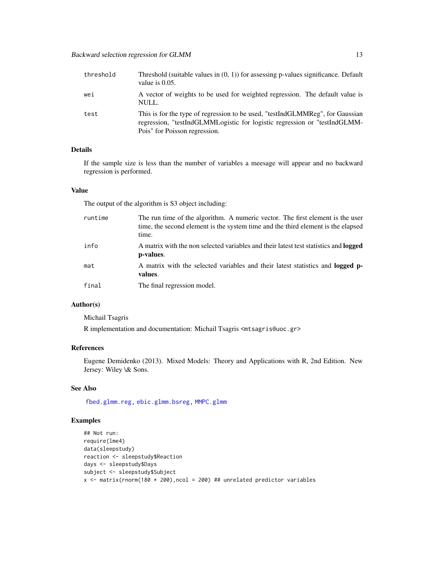| threshold | Threshold (suitable values in $(0, 1)$ ) for assessing p-values significance. Default<br>value is $0.05$ .                                                                                  |
|-----------|---------------------------------------------------------------------------------------------------------------------------------------------------------------------------------------------|
| wei       | A vector of weights to be used for weighted regression. The default value is<br>NULL.                                                                                                       |
| test      | This is for the type of regression to be used, "testIndGLMMReg", for Gaussian<br>regression, "testIndGLMMLogistic for logistic regression or "testIndGLMM-<br>Pois" for Poisson regression. |

# Details

If the sample size is less than the number of variables a meesage will appear and no backward regression is performed.

# Value

The output of the algorithm is S3 object including:

| runtime | The run time of the algorithm. A numeric vector. The first element is the user<br>time, the second element is the system time and the third element is the elapsed<br>time. |
|---------|-----------------------------------------------------------------------------------------------------------------------------------------------------------------------------|
| info    | A matrix with the non selected variables and their latest test statistics and <b>logged</b><br>p-values.                                                                    |
| mat     | A matrix with the selected variables and their latest statistics and <b>logged</b> p-<br>values.                                                                            |
| final   | The final regression model.                                                                                                                                                 |

# Author(s)

Michail Tsagris

R implementation and documentation: Michail Tsagris <mtsagris@uoc.gr>

# References

Eugene Demidenko (2013). Mixed Models: Theory and Applications with R, 2nd Edition. New Jersey: Wiley \& Sons.

# See Also

[fbed.glmm.reg,](#page-141-1) [ebic.glmm.bsreg,](#page-13-1) [MMPC.glmm](#page-90-1)

# Examples

```
## Not run:
require(lme4)
data(sleepstudy)
reaction <- sleepstudy$Reaction
days <- sleepstudy$Days
subject <- sleepstudy$Subject
x <- matrix(rnorm(180 * 200), ncol = 200) ## unrelated predictor variables
```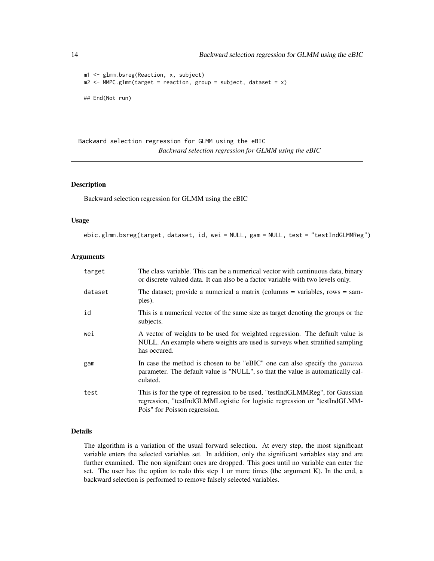```
m1 <- glmm.bsreg(Reaction, x, subject)
m2 \leq MMPC.glmm(target = reaction, group = subject, dataset = x)
## End(Not run)
```
Backward selection regression for GLMM using the eBIC *Backward selection regression for GLMM using the eBIC*

# <span id="page-13-1"></span>Description

Backward selection regression for GLMM using the eBIC

#### Usage

ebic.glmm.bsreg(target, dataset, id, wei = NULL, gam = NULL, test = "testIndGLMMReg")

# Arguments

| target  | The class variable. This can be a numerical vector with continuous data, binary<br>or discrete valued data. It can also be a factor variable with two levels only.                          |
|---------|---------------------------------------------------------------------------------------------------------------------------------------------------------------------------------------------|
| dataset | The dataset; provide a numerical a matrix (columns $=$ variables, rows $=$ sam-<br>ples).                                                                                                   |
| id      | This is a numerical vector of the same size as target denoting the groups or the<br>subjects.                                                                                               |
| wei     | A vector of weights to be used for weighted regression. The default value is<br>NULL. An example where weights are used is surveys when stratified sampling<br>has occured.                 |
| gam     | In case the method is chosen to be "eBIC" one can also specify the <i>gamma</i><br>parameter. The default value is "NULL", so that the value is automatically cal-<br>culated.              |
| test    | This is for the type of regression to be used, "testIndGLMMReg", for Gaussian<br>regression, "testIndGLMMLogistic for logistic regression or "testIndGLMM-<br>Pois" for Poisson regression. |

#### Details

The algorithm is a variation of the usual forward selection. At every step, the most significant variable enters the selected variables set. In addition, only the significant variables stay and are further examined. The non signifcant ones are dropped. This goes until no variable can enter the set. The user has the option to redo this step 1 or more times (the argument K). In the end, a backward selection is performed to remove falsely selected variables.

<span id="page-13-0"></span>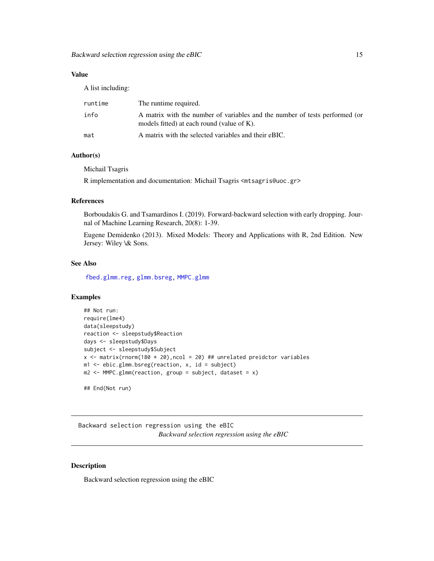# <span id="page-14-0"></span>Value

A list including:

| runtime | The runtime required.                                                                                                     |
|---------|---------------------------------------------------------------------------------------------------------------------------|
| info    | A matrix with the number of variables and the number of tests performed (or<br>models fitted) at each round (value of K). |
| mat     | A matrix with the selected variables and their eBIC.                                                                      |

# Author(s)

Michail Tsagris

R implementation and documentation: Michail Tsagris <mtsagris@uoc.gr>

# References

Borboudakis G. and Tsamardinos I. (2019). Forward-backward selection with early dropping. Journal of Machine Learning Research, 20(8): 1-39.

Eugene Demidenko (2013). Mixed Models: Theory and Applications with R, 2nd Edition. New Jersey: Wiley \& Sons.

#### See Also

[fbed.glmm.reg,](#page-141-1) [glmm.bsreg,](#page-11-1) [MMPC.glmm](#page-90-1)

# Examples

```
## Not run:
require(lme4)
data(sleepstudy)
reaction <- sleepstudy$Reaction
days <- sleepstudy$Days
subject <- sleepstudy$Subject
x \le matrix(rnorm(180 * 20), ncol = 20) ## unrelated preidctor variables
m1 <- ebic.glmm.bsreg(reaction, x, id = subject)
m2 \leq MMPC \cdot glmm(reaction, group = subject, dataset = x)## End(Not run)
```
Backward selection regression using the eBIC

*Backward selection regression using the eBIC*

#### Description

Backward selection regression using the eBIC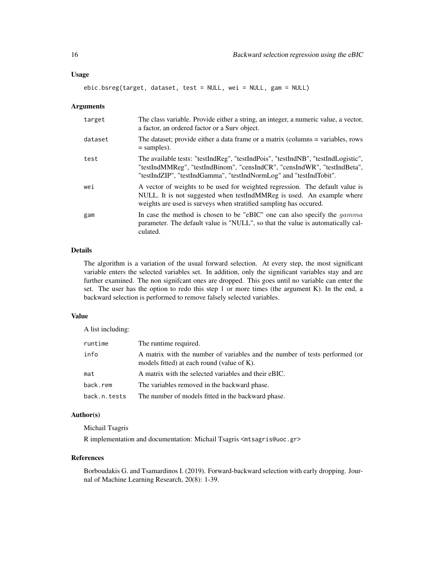#### Usage

ebic.bsreg(target, dataset, test = NULL, wei = NULL, gam = NULL)

#### Arguments

| target  | The class variable. Provide either a string, an integer, a numeric value, a vector,<br>a factor, an ordered factor or a Surv object.                                                                                                |
|---------|-------------------------------------------------------------------------------------------------------------------------------------------------------------------------------------------------------------------------------------|
| dataset | The dataset; provide either a data frame or a matrix (columns = variables, rows<br>$=$ samples).                                                                                                                                    |
| test    | The available tests: "testIndReg", "testIndPois", "testIndNB", "testIndLogistic",<br>"testIndMMReg", "testIndBinom", "censIndCR", "censIndWR", "testIndBeta",<br>"testIndZIP", "testIndGamma", "testIndNormLog" and "testIndTobit". |
| wei     | A vector of weights to be used for weighted regression. The default value is<br>NULL. It is not suggested when testIndMMReg is used. An example where<br>weights are used is surveys when stratified sampling has occured.          |
| gam     | In case the method is chosen to be "eBIC" one can also specify the $gamma$<br>parameter. The default value is "NULL", so that the value is automatically cal-<br>culated.                                                           |

#### Details

The algorithm is a variation of the usual forward selection. At every step, the most significant variable enters the selected variables set. In addition, only the significant variables stay and are further examined. The non signifcant ones are dropped. This goes until no variable can enter the set. The user has the option to redo this step 1 or more times (the argument K). In the end, a backward selection is performed to remove falsely selected variables.

#### Value

A list including:

| runtime      | The runtime required.                                                                                                     |
|--------------|---------------------------------------------------------------------------------------------------------------------------|
| info         | A matrix with the number of variables and the number of tests performed (or<br>models fitted) at each round (value of K). |
| mat          | A matrix with the selected variables and their eBIC.                                                                      |
| back.rem     | The variables removed in the backward phase.                                                                              |
| back.n.tests | The number of models fitted in the backward phase.                                                                        |

#### Author(s)

Michail Tsagris

R implementation and documentation: Michail Tsagris <mtsagris@uoc.gr>

#### References

Borboudakis G. and Tsamardinos I. (2019). Forward-backward selection with early dropping. Journal of Machine Learning Research, 20(8): 1-39.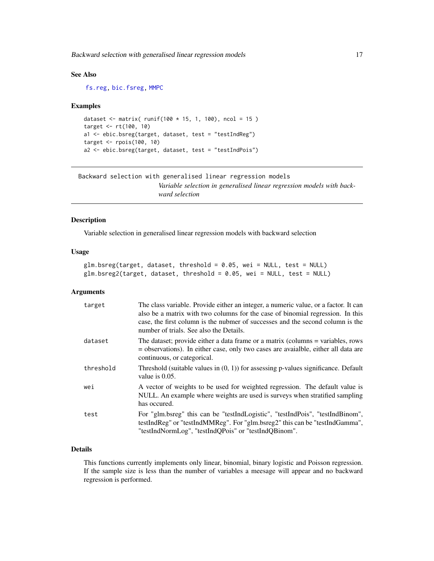<span id="page-16-0"></span>Backward selection with generalised linear regression models 17

# See Also

[fs.reg,](#page-144-1) [bic.fsreg,](#page-21-1) [MMPC](#page-84-1)

#### Examples

```
dataset <- matrix( runif(100 * 15, 1, 100), ncol = 15)
target <- rt(100, 10)
a1 <- ebic.bsreg(target, dataset, test = "testIndReg")
target <- rpois(100, 10)
a2 <- ebic.bsreg(target, dataset, test = "testIndPois")
```

```
Backward selection with generalised linear regression models
                         Variable selection in generalised linear regression models with back-
                         ward selection
```
#### Description

Variable selection in generalised linear regression models with backward selection

#### Usage

```
glm.bsreg(target, dataset, threshold = 0.05, wei = NULL, test = NULL)
glm.bsreg2(target, dataset, threshold = 0.05, wei = NULL, test = NULL)
```
# Arguments

| target    | The class variable. Provide either an integer, a numeric value, or a factor. It can<br>also be a matrix with two columns for the case of binomial regression. In this<br>case, the first column is the nubmer of successes and the second column is the<br>number of trials. See also the Details. |
|-----------|----------------------------------------------------------------------------------------------------------------------------------------------------------------------------------------------------------------------------------------------------------------------------------------------------|
| dataset   | The dataset; provide either a data frame or a matrix (columns = variables, rows<br>= observations). In either case, only two cases are avaialble, either all data are<br>continuous, or categorical.                                                                                               |
| threshold | Threshold (suitable values in $(0, 1)$ ) for assessing p-values significance. Default<br>value is $0.05$ .                                                                                                                                                                                         |
| wei       | A vector of weights to be used for weighted regression. The default value is<br>NULL. An example where weights are used is surveys when stratified sampling<br>has occured.                                                                                                                        |
| test      | For "glm.bsreg" this can be "testIndLogistic", "testIndPois", "testIndBinom",<br>testIndReg" or "testIndMMReg". For "glm.bsreg2" this can be "testIndGamma",<br>"testIndNormLog", "testIndQPois" or "testIndQBinom".                                                                               |

# Details

This functions currently implements only linear, binomial, binary logistic and Poisson regression. If the sample size is less than the number of variables a meesage will appear and no backward regression is performed.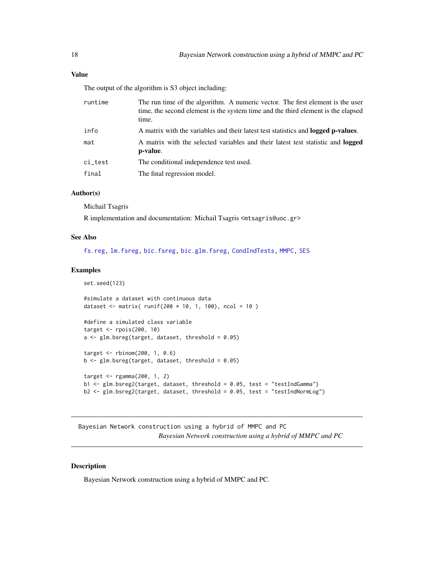# <span id="page-17-0"></span>Value

The output of the algorithm is S3 object including:

| runtime | The run time of the algorithm. A numeric vector. The first element is the user<br>time, the second element is the system time and the third element is the elapsed<br>time. |
|---------|-----------------------------------------------------------------------------------------------------------------------------------------------------------------------------|
| info    | A matrix with the variables and their latest test statistics and <b>logged p-values</b> .                                                                                   |
| mat     | A matrix with the selected variables and their latest test statistic and <b>logged</b><br>p-value.                                                                          |
| ci_test | The conditional independence test used.                                                                                                                                     |
| final   | The final regression model.                                                                                                                                                 |

# Author(s)

Michail Tsagris

R implementation and documentation: Michail Tsagris <mtsagris@uoc.gr>

# See Also

[fs.reg,](#page-144-1) [lm.fsreg,](#page-148-1) [bic.fsreg,](#page-21-1) [bic.glm.fsreg,](#page-23-1) [CondIndTests,](#page-31-1) [MMPC,](#page-84-1) [SES](#page-84-1)

#### Examples

```
set.seed(123)
```

```
#simulate a dataset with continuous data
dataset <- matrix( runif(200 * 10, 1, 100), ncol = 10 )
```

```
#define a simulated class variable
target <- rpois(200, 10)
a \leftarrow glm.bsreg(target, dataset, threshold = 0.05)
```

```
target <- rbinom(200, 1, 0.6)
b \le glm.bsreg(target, dataset, threshold = 0.05)
```

```
target <- rgamma(200, 1, 2)
b1 <- glm.bsreg2(target, dataset, threshold = 0.05, test = "testIndGamma")
b2 <- glm.bsreg2(target, dataset, threshold = 0.05, test = "testIndNormLog")
```
Bayesian Network construction using a hybrid of MMPC and PC *Bayesian Network construction using a hybrid of MMPC and PC*

#### Description

Bayesian Network construction using a hybrid of MMPC and PC.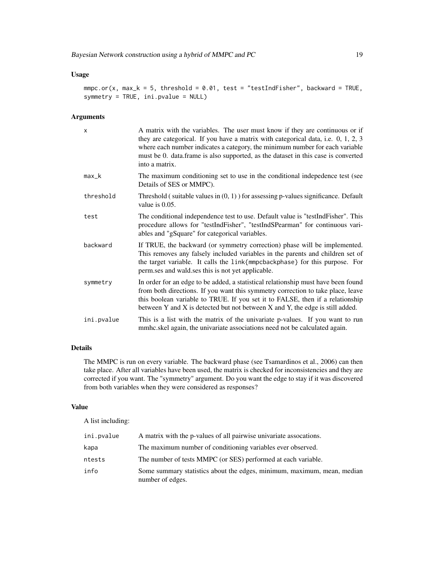```
mmpc.or(x, max_k = 5, threshold = 0.01, test = "testIndFisher", backward = TRUE,
symmetry = TRUE, ini.pvalue = NULL)
```
# Arguments

| $\times$   | A matrix with the variables. The user must know if they are continuous or if<br>they are categorical. If you have a matrix with categorical data, i.e. $0, 1, 2, 3$<br>where each number indicates a category, the minimum number for each variable<br>must be 0. data.frame is also supported, as the dataset in this case is converted<br>into a matrix. |
|------------|------------------------------------------------------------------------------------------------------------------------------------------------------------------------------------------------------------------------------------------------------------------------------------------------------------------------------------------------------------|
| $max_k$    | The maximum conditioning set to use in the conditional indepedence test (see<br>Details of SES or MMPC).                                                                                                                                                                                                                                                   |
| threshold  | Threshold (suitable values in $(0, 1)$ ) for assessing p-values significance. Default<br>value is $0.05$ .                                                                                                                                                                                                                                                 |
| test       | The conditional independence test to use. Default value is "testIndFisher". This<br>procedure allows for "testIndFisher", "testIndSPearman" for continuous vari-<br>ables and "gSquare" for categorical variables.                                                                                                                                         |
| backward   | If TRUE, the backward (or symmetry correction) phase will be implemented.<br>This removes any falsely included variables in the parents and children set of<br>the target variable. It calls the link{mmpcbackphase} for this purpose. For<br>perm ses and wald ses this is not yet applicable.                                                            |
| symmetry   | In order for an edge to be added, a statistical relationship must have been found<br>from both directions. If you want this symmetry correction to take place, leave<br>this boolean variable to TRUE. If you set it to FALSE, then if a relationship<br>between Y and X is detected but not between X and Y, the edge is still added.                     |
| ini.pvalue | This is a list with the matrix of the univariate p-values. If you want to run<br>mmhc.skel again, the univariate associations need not be calculated again.                                                                                                                                                                                                |

# Details

The MMPC is run on every variable. The backward phase (see Tsamardinos et al., 2006) can then take place. After all variables have been used, the matrix is checked for inconsistencies and they are corrected if you want. The "symmetry" argument. Do you want the edge to stay if it was discovered from both variables when they were considered as responses?

# Value

A list including:

| ini.pvalue | A matrix with the p-values of all pairwise univariate assocations.                          |
|------------|---------------------------------------------------------------------------------------------|
| kapa       | The maximum number of conditioning variables ever observed.                                 |
| ntests     | The number of tests MMPC (or SES) performed at each variable.                               |
| info       | Some summary statistics about the edges, minimum, maximum, mean, median<br>number of edges. |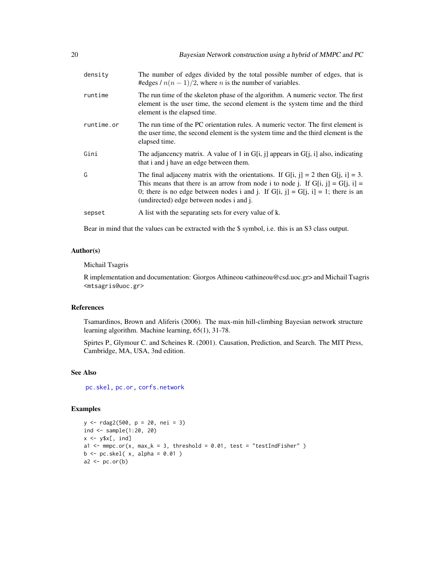| density    | The number of edges divided by the total possible number of edges, that is<br>#edges / $n(n-1)/2$ , where <i>n</i> is the number of variables.                                                                                                                                                          |
|------------|---------------------------------------------------------------------------------------------------------------------------------------------------------------------------------------------------------------------------------------------------------------------------------------------------------|
| runtime    | The run time of the skeleton phase of the algorithm. A numeric vector. The first<br>element is the user time, the second element is the system time and the third<br>element is the elapsed time.                                                                                                       |
| runtime.or | The run time of the PC orientation rules. A numeric vector. The first element is<br>the user time, the second element is the system time and the third element is the<br>elapsed time.                                                                                                                  |
| Gini       | The adjancency matrix. A value of 1 in $G[i, j]$ appears in $G[i, i]$ also, indicating<br>that i and j have an edge between them.                                                                                                                                                                       |
| G          | The final adjaceny matrix with the orientations. If G[i, j] = 2 then G[j, i] = 3.<br>This means that there is an arrow from node i to node j. If $G[i, j] = G[j, i]$<br>0; there is no edge between nodes i and j. If $G[i, j] = G[j, i] = 1$ ; there is an<br>(undirected) edge between nodes i and j. |
| sepset     | A list with the separating sets for every value of k.                                                                                                                                                                                                                                                   |

Bear in mind that the values can be extracted with the \$ symbol, i.e. this is an S3 class output.

#### Author(s)

#### Michail Tsagris

R implementation and documentation: Giorgos Athineou <athineou@csd.uoc.gr> and Michail Tsagris <mtsagris@uoc.gr>

# References

Tsamardinos, Brown and Aliferis (2006). The max-min hill-climbing Bayesian network structure learning algorithm. Machine learning, 65(1), 31-78.

Spirtes P., Glymour C. and Scheines R. (2001). Causation, Prediction, and Search. The MIT Press, Cambridge, MA, USA, 3nd edition.

# See Also

[pc.skel,](#page-222-1) [pc.or,](#page-195-1) [corfs.network](#page-193-1)

# Examples

```
y <- rdag2(500, p = 20, nei = 3)
ind <- sample(1:20, 20)
x \leftarrow y \x[, ind]
a1 <- mmpc.or(x, max_k = 3, threshold = 0.01, test = "testIndFisher" )
b \leftarrow pc.\,skel(\ x, alpha = 0.01)a2 \leftarrow pc.or(b)
```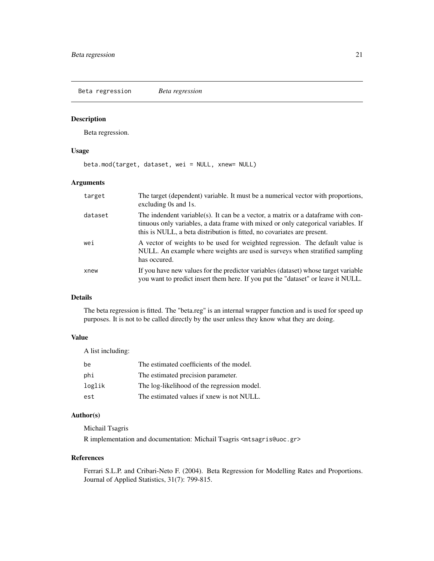<span id="page-20-0"></span>Beta regression *Beta regression*

#### Description

Beta regression.

#### Usage

beta.mod(target, dataset, wei = NULL, xnew= NULL)

# Arguments

| target  | The target (dependent) variable. It must be a numerical vector with proportions,<br>excluding 0s and 1s.                                                                                                                                          |
|---------|---------------------------------------------------------------------------------------------------------------------------------------------------------------------------------------------------------------------------------------------------|
| dataset | The indendent variable(s). It can be a vector, a matrix or a data frame with con-<br>tinuous only variables, a data frame with mixed or only categorical variables. If<br>this is NULL, a beta distribution is fitted, no covariates are present. |
| wei     | A vector of weights to be used for weighted regression. The default value is<br>NULL. An example where weights are used is surveys when stratified sampling<br>has occured.                                                                       |
| xnew    | If you have new values for the predictor variables (dataset) whose target variable<br>you want to predict insert them here. If you put the "dataset" or leave it NULL.                                                                            |

# Details

The beta regression is fitted. The "beta.reg" is an internal wrapper function and is used for speed up purposes. It is not to be called directly by the user unless they know what they are doing.

# Value

A list including:

| be     | The estimated coefficients of the model.    |
|--------|---------------------------------------------|
| phi    | The estimated precision parameter.          |
| loglik | The log-likelihood of the regression model. |
| est    | The estimated values if xnew is not NULL.   |

# Author(s)

Michail Tsagris

R implementation and documentation: Michail Tsagris <mtsagris@uoc.gr>

#### References

Ferrari S.L.P. and Cribari-Neto F. (2004). Beta Regression for Modelling Rates and Proportions. Journal of Applied Statistics, 31(7): 799-815.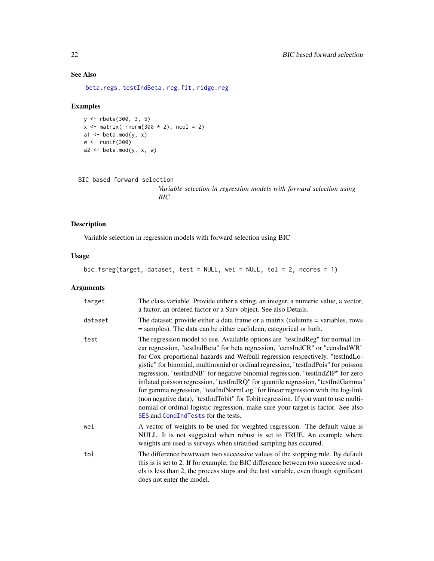# See Also

[beta.regs,](#page-173-1) [testIndBeta,](#page-57-1) [reg.fit,](#page-207-1) [ridge.reg](#page-209-1)

# Examples

```
y <- rbeta(300, 3, 5)
x \le - matrix( rnorm(300 \star 2), ncol = 2)
a1 \leq beta.mod(y, x)
w <- runif(300)
a2 \leq - \text{beta.mod}(y, x, w)
```

```
BIC based forward selection
```
*Variable selection in regression models with forward selection using BIC*

# <span id="page-21-1"></span>Description

Variable selection in regression models with forward selection using BIC

#### Usage

bic.fsreg(target, dataset, test = NULL, wei = NULL, tol = 2, ncores = 1)

# Arguments

| target  | The class variable. Provide either a string, an integer, a numeric value, a vector,<br>a factor, an ordered factor or a Surv object. See also Details.                                                                                                                                                                                                                                                                                                                                                                                                                                                                                                                                                                                                                                                             |  |  |
|---------|--------------------------------------------------------------------------------------------------------------------------------------------------------------------------------------------------------------------------------------------------------------------------------------------------------------------------------------------------------------------------------------------------------------------------------------------------------------------------------------------------------------------------------------------------------------------------------------------------------------------------------------------------------------------------------------------------------------------------------------------------------------------------------------------------------------------|--|--|
| dataset | The dataset; provide either a data frame or a matrix (columns = variables, rows<br>= samples). The data can be either euclidean, categorical or both.                                                                                                                                                                                                                                                                                                                                                                                                                                                                                                                                                                                                                                                              |  |  |
| test    | The regression model to use. Available options are "testIndReg" for normal lin-<br>ear regression, "testIndBeta" for beta regression, "censIndCR" or "censIndWR"<br>for Cox proportional hazards and Weibull regression respectively, "testIndLo-<br>gistic" for binomial, multinomial or ordinal regression, "testIndPois" for poisson<br>regression, "testIndNB" for negative binomial regression, "testIndZIP" for zero<br>inflated poisson regression, "testIndRQ" for quantile regression, "testIndGamma"<br>for gamma regression, "testIndNormLog" for linear regression with the log-link<br>(non negative data), "testIndTobit" for Tobit regression. If you want to use multi-<br>nomial or ordinal logistic regression, make sure your target is factor. See also<br>SES and CondIndTests for the tests. |  |  |
| wei     | A vector of weights to be used for weighted regression. The default value is<br>NULL. It is not suggested when robust is set to TRUE. An example where<br>weights are used is surveys when stratified sampling has occured.                                                                                                                                                                                                                                                                                                                                                                                                                                                                                                                                                                                        |  |  |
| tol     | The difference bewtween two successive values of the stopping rule. By default<br>this is is set to 2. If for example, the BIC difference between two succesive mod-<br>els is less than 2, the process stops and the last variable, even though significant<br>does not enter the model.                                                                                                                                                                                                                                                                                                                                                                                                                                                                                                                          |  |  |

<span id="page-21-0"></span>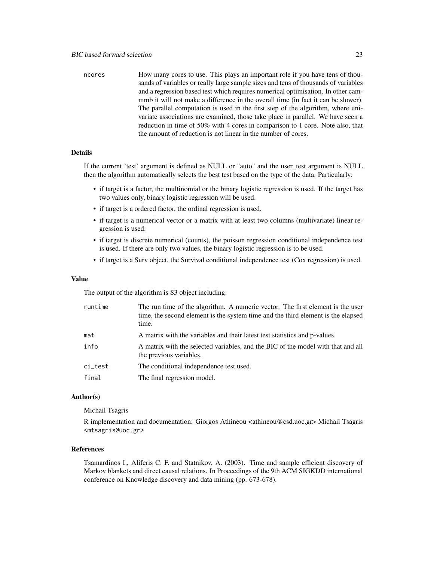ncores How many cores to use. This plays an important role if you have tens of thousands of variables or really large sample sizes and tens of thousands of variables and a regression based test which requires numerical optimisation. In other cammmb it will not make a difference in the overall time (in fact it can be slower). The parallel computation is used in the first step of the algorithm, where univariate associations are examined, those take place in parallel. We have seen a reduction in time of 50% with 4 cores in comparison to 1 core. Note also, that the amount of reduction is not linear in the number of cores.

# Details

If the current 'test' argument is defined as NULL or "auto" and the user\_test argument is NULL then the algorithm automatically selects the best test based on the type of the data. Particularly:

- if target is a factor, the multinomial or the binary logistic regression is used. If the target has two values only, binary logistic regression will be used.
- if target is a ordered factor, the ordinal regression is used.
- if target is a numerical vector or a matrix with at least two columns (multivariate) linear regression is used.
- if target is discrete numerical (counts), the poisson regression conditional independence test is used. If there are only two values, the binary logistic regression is to be used.
- if target is a Surv object, the Survival conditional independence test (Cox regression) is used.

#### Value

The output of the algorithm is S3 object including:

| runtime | The run time of the algorithm. A numeric vector. The first element is the user<br>time, the second element is the system time and the third element is the elapsed<br>time. |
|---------|-----------------------------------------------------------------------------------------------------------------------------------------------------------------------------|
| mat     | A matrix with the variables and their latest test statistics and p-values.                                                                                                  |
| info    | A matrix with the selected variables, and the BIC of the model with that and all<br>the previous variables.                                                                 |
| ci_test | The conditional independence test used.                                                                                                                                     |
| final   | The final regression model.                                                                                                                                                 |

#### Author(s)

Michail Tsagris

R implementation and documentation: Giorgos Athineou <athineou@csd.uoc.gr> Michail Tsagris <mtsagris@uoc.gr>

#### References

Tsamardinos I., Aliferis C. F. and Statnikov, A. (2003). Time and sample efficient discovery of Markov blankets and direct causal relations. In Proceedings of the 9th ACM SIGKDD international conference on Knowledge discovery and data mining (pp. 673-678).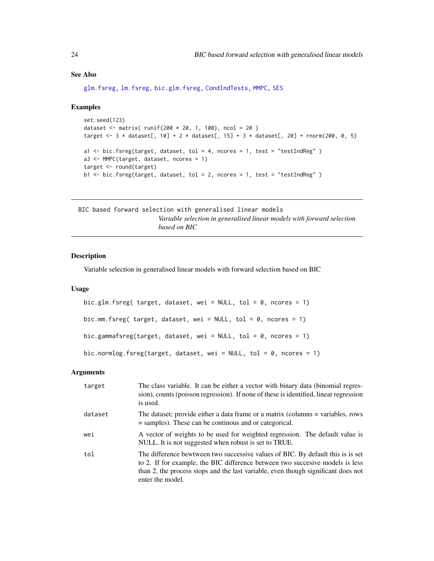# <span id="page-23-0"></span>See Also

[glm.fsreg,](#page-147-1) [lm.fsreg,](#page-148-1) [bic.glm.fsreg,](#page-23-1) [CondIndTests,](#page-31-1) [MMPC,](#page-84-1) [SES](#page-84-1)

#### Examples

```
set.seed(123)
dataset <- matrix( runif(200 * 20, 1, 100), ncol = 20 )
target <- 3 * dataset[, 10] + 2 * dataset[, 15] + 3 * dataset[, 20] + rnorm(200, 0, 5)
a1 <- bic.fsreg(target, dataset, tol = 4, ncores = 1, test = "testIndReg" )
a3 <- MMPC(target, dataset, ncores = 1)
target <- round(target)
b1 <- bic.fsreg(target, dataset, tol = 2, ncores = 1, test = "testIndReg" )
```

```
BIC based forward selection with generalised linear models
                         Variable selection in generalised linear models with forward selection
                         based on BIC
```
# <span id="page-23-1"></span>Description

Variable selection in generalised linear models with forward selection based on BIC

# Usage

```
bic.glm.fsreg( target, dataset, wei = NULL, tol = 0, ncores = 1)
bic.mm.fsreg( target, dataset, wei = NULL, tol = 0, ncores = 1)
bic.gammafsreg(target, dataset, wei = NULL, tol = 0, ncores = 1)
bic.normlog.fsreg(target, dataset, wei = NULL, tol = 0, ncores = 1)
```
#### **Arguments**

| target  | The class variable. It can be either a vector with binary data (binomial regres-<br>sion), counts (poisson regression). If none of these is identified, linear regression<br>is used.                                                                                     |
|---------|---------------------------------------------------------------------------------------------------------------------------------------------------------------------------------------------------------------------------------------------------------------------------|
| dataset | The dataset; provide either a data frame or a matrix (columns = variables, rows<br>= samples). These can be continous and or categorical.                                                                                                                                 |
| wei     | A vector of weights to be used for weighted regression. The default value is<br>NULL. It is not suggested when robust is set to TRUE.                                                                                                                                     |
| tol     | The difference bewtween two successive values of BIC. By default this is is set<br>to 2. If for example, the BIC difference between two succesive models is less<br>than 2, the process stops and the last variable, even though significant does not<br>enter the model. |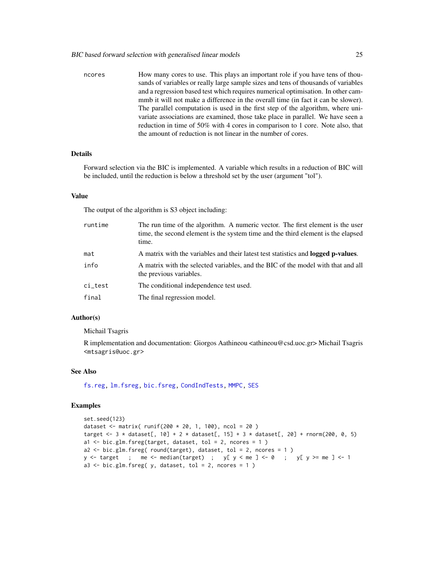ncores How many cores to use. This plays an important role if you have tens of thousands of variables or really large sample sizes and tens of thousands of variables and a regression based test which requires numerical optimisation. In other cammmb it will not make a difference in the overall time (in fact it can be slower). The parallel computation is used in the first step of the algorithm, where univariate associations are examined, those take place in parallel. We have seen a reduction in time of 50% with 4 cores in comparison to 1 core. Note also, that the amount of reduction is not linear in the number of cores.

# **Details**

Forward selection via the BIC is implemented. A variable which results in a reduction of BIC will be included, until the reduction is below a threshold set by the user (argument "tol").

#### Value

The output of the algorithm is S3 object including:

| runtime | The run time of the algorithm. A numeric vector. The first element is the user<br>time, the second element is the system time and the third element is the elapsed<br>time. |
|---------|-----------------------------------------------------------------------------------------------------------------------------------------------------------------------------|
| mat     | A matrix with the variables and their latest test statistics and <b>logged p-values</b> .                                                                                   |
| info    | A matrix with the selected variables, and the BIC of the model with that and all<br>the previous variables.                                                                 |
| ci_test | The conditional independence test used.                                                                                                                                     |
| final   | The final regression model.                                                                                                                                                 |

#### Author(s)

Michail Tsagris

R implementation and documentation: Giorgos Aathineou <athineou@csd.uoc.gr> Michail Tsagris <mtsagris@uoc.gr>

#### See Also

[fs.reg,](#page-144-1) [lm.fsreg,](#page-148-1) [bic.fsreg,](#page-21-1) [CondIndTests,](#page-31-1) [MMPC,](#page-84-1) [SES](#page-84-1)

#### Examples

```
set.seed(123)
dataset <- matrix( runif(200 * 20, 1, 100), ncol = 20 )
target <- 3 \times dataset[, 10] + 2 \times dataset[, 15] + 3 \times dataset[, 20] + rnorm(200, 0, 5)
a1 \le bic.glm.fsreg(target, dataset, tol = 2, ncores = 1)
a2 \le -\text{bic.glm.fsreg}(\text{round(target)}, \text{dataset}, \text{tol} = 2, \text{ncores} = 1)y \leq - target ; me \leq - median(target) ; y[y \leq me] \leq -0 ; y[y \geq - me] \leq -1a3 \leq bic.glm.fsreg( y, dataset, tol = 2, roores = 1 )
```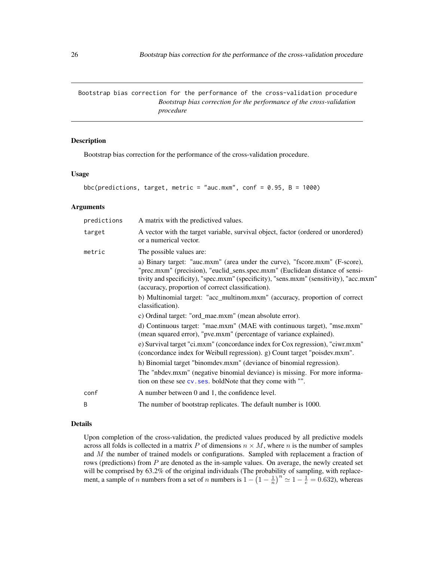<span id="page-25-0"></span>Bootstrap bias correction for the performance of the cross-validation procedure *Bootstrap bias correction for the performance of the cross-validation procedure*

# Description

Bootstrap bias correction for the performance of the cross-validation procedure.

### Usage

```
bbc(predictions, target, metric = "auc.mxm", conf = 0.95, B = 1000)
```
#### Arguments

| predictions  | A matrix with the predictived values.                                                                                                                                                                                                                                                                      |
|--------------|------------------------------------------------------------------------------------------------------------------------------------------------------------------------------------------------------------------------------------------------------------------------------------------------------------|
| target       | A vector with the target variable, survival object, factor (ordered or unordered)<br>or a numerical vector.                                                                                                                                                                                                |
| metric       | The possible values are:                                                                                                                                                                                                                                                                                   |
|              | a) Binary target: "auc.mxm" (area under the curve), "fscore.mxm" (F-score),<br>"prec.mxm" (precision), "euclid_sens.spec.mxm" (Euclidean distance of sensi-<br>tivity and specificity), "spec.mxm" (specificity), "sens.mxm" (sensitivity), "acc.mxm"<br>(accuracy, proportion of correct classification). |
|              | b) Multinomial target: "acc_multinom.mxm" (accuracy, proportion of correct<br>classification).                                                                                                                                                                                                             |
|              | c) Ordinal target: "ord_mae.mxm" (mean absolute error).                                                                                                                                                                                                                                                    |
|              | d) Continuous target: "mae.mxm" (MAE with continuous target), "mse.mxm"<br>(mean squared error), "pve.mxm" (percentage of variance explained).                                                                                                                                                             |
|              | e) Survival target "ci.mxm" (concordance index for Cox regression), "ciwr.mxm"<br>(concordance index for Weibull regression). g) Count target "poisdev.mxm".                                                                                                                                               |
|              | h) Binomial target "binomdev.mxm" (deviance of binomial regression).                                                                                                                                                                                                                                       |
|              | The "nbdev.mxm" (negative binomial deviance) is missing. For more informa-<br>tion on these see cv. ses. boldNote that they come with "".                                                                                                                                                                  |
| conf         | A number between 0 and 1, the confidence level.                                                                                                                                                                                                                                                            |
| <sub>B</sub> | The number of bootstrap replicates. The default number is 1000.                                                                                                                                                                                                                                            |
|              |                                                                                                                                                                                                                                                                                                            |

# Details

Upon completion of the cross-validation, the predicted values produced by all predictive models across all folds is collected in a matrix P of dimensions  $n \times M$ , where n is the number of samples and  $M$  the number of trained models or configurations. Sampled with replacement a fraction of rows (predictions) from P are denoted as the in-sample values. On average, the newly created set will be comprised by 63.2% of the original individuals (The probability of sampling, with replacement, a sample of *n* numbers from a set of *n* numbers is  $1 - \left(1 - \frac{1}{n}\right)^n \approx 1 - \frac{1}{e} = 0.632$ ), whereas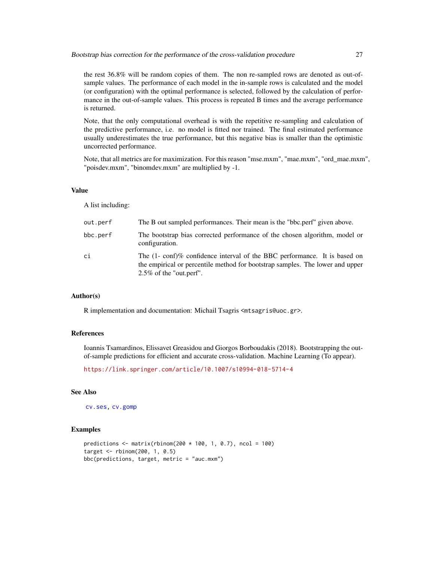the rest 36.8% will be random copies of them. The non re-sampled rows are denoted as out-ofsample values. The performance of each model in the in-sample rows is calculated and the model (or configuration) with the optimal performance is selected, followed by the calculation of performance in the out-of-sample values. This process is repeated B times and the average performance is returned.

Note, that the only computational overhead is with the repetitive re-sampling and calculation of the predictive performance, i.e. no model is fitted nor trained. The final estimated performance usually underestimates the true performance, but this negative bias is smaller than the optimistic uncorrected performance.

Note, that all metrics are for maximization. For this reason "mse.mxm", "mae.mxm", "ord\_mae.mxm", "poisdev.mxm", "binomdev.mxm" are multiplied by -1.

#### Value

A list including:

| out.perf | The B out sampled performances. Their mean is the "bbc.perf" given above.                                                                                                                         |
|----------|---------------------------------------------------------------------------------------------------------------------------------------------------------------------------------------------------|
| bbc.perf | The bootstrap bias corrected performance of the chosen algorithm, model or<br>configuration.                                                                                                      |
| сi       | The $(1-\text{conf})\%$ confidence interval of the BBC performance. It is based on<br>the empirical or percentile method for bootstrap samples. The lower and upper<br>$2.5\%$ of the "out.perf". |

# Author(s)

R implementation and documentation: Michail Tsagris <mtsagris@uoc.gr>.

# References

Ioannis Tsamardinos, Elissavet Greasidou and Giorgos Borboudakis (2018). Bootstrapping the outof-sample predictions for efficient and accurate cross-validation. Machine Learning (To appear).

<https://link.springer.com/article/10.1007/s10994-018-5714-4>

# See Also

[cv.ses,](#page-108-1) [cv.gomp](#page-103-1)

#### Examples

```
predictions \leq matrix(rbinom(200 \star 100, 1, 0.7), ncol = 100)
target \le- rbinom(200, 1, 0.5)
bbc(predictions, target, metric = "auc.mxm")
```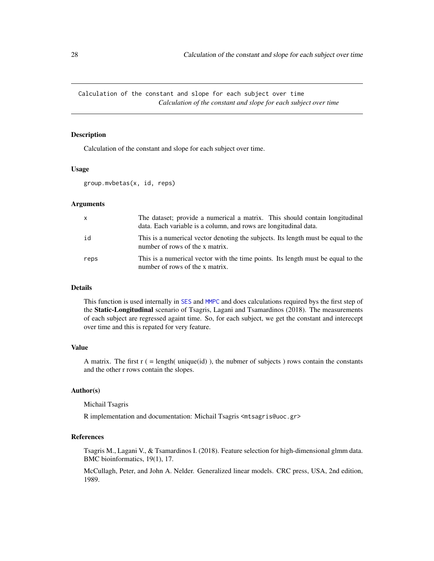<span id="page-27-0"></span>Calculation of the constant and slope for each subject over time *Calculation of the constant and slope for each subject over time*

#### Description

Calculation of the constant and slope for each subject over time.

#### Usage

```
group.mvbetas(x, id, reps)
```
#### Arguments

| X    | The dataset; provide a numerical a matrix. This should contain longitudinal<br>data. Each variable is a column, and rows are longitudinal data. |
|------|-------------------------------------------------------------------------------------------------------------------------------------------------|
| id   | This is a numerical vector denoting the subjects. Its length must be equal to the<br>number of rows of the x matrix.                            |
| reps | This is a numerical vector with the time points. Its length must be equal to the<br>number of rows of the x matrix.                             |

#### Details

This function is used internally in [SES](#page-84-1) and [MMPC](#page-84-1) and does calculations required bys the first step of the Static-Longitudinal scenario of Tsagris, Lagani and Tsamardinos (2018). The measurements of each subject are regressed againt time. So, for each subject, we get the constant and interecept over time and this is repated for very feature.

# Value

A matrix. The first  $r = \text{length}($  unique(id)), the nubmer of subjects ) rows contain the constants and the other r rows contain the slopes.

#### Author(s)

Michail Tsagris

R implementation and documentation: Michail Tsagris <mtsagris@uoc.gr>

### References

Tsagris M., Lagani V., & Tsamardinos I. (2018). Feature selection for high-dimensional glmm data. BMC bioinformatics, 19(1), 17.

McCullagh, Peter, and John A. Nelder. Generalized linear models. CRC press, USA, 2nd edition, 1989.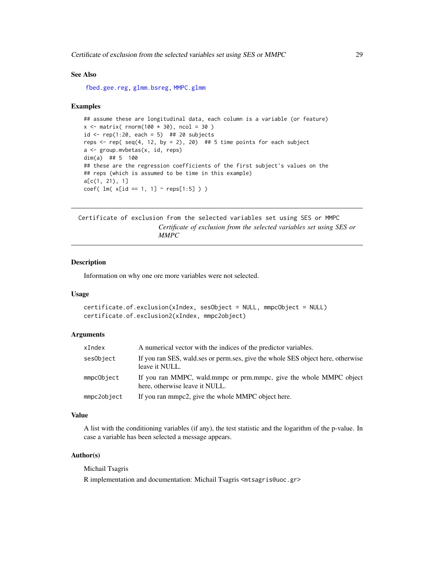<span id="page-28-0"></span>Certificate of exclusion from the selected variables set using SES or MMPC 29

#### See Also

[fbed.gee.reg,](#page-138-1) [glmm.bsreg,](#page-11-1) [MMPC.glmm](#page-90-1)

#### Examples

```
## assume these are longitudinal data, each column is a variable (or feature)
x \le matrix( rnorm(100 \star 30), ncol = 30)
id \le rep(1:20, each = 5) ## 20 subjects
reps \le- rep( seq(4, 12, by = 2), 20) ## 5 time points for each subject
a <- group.mvbetas(x, id, reps)
dim(a) ## 5 100
## these are the regression coefficients of the first subject's values on the
## reps (which is assumed to be time in this example)
a[c(1, 21), 1]
coef( lm(x[i] == 1, 1] \sim resps[1:5] )
```
Certificate of exclusion from the selected variables set using SES or MMPC *Certificate of exclusion from the selected variables set using SES or MMPC*

# Description

Information on why one ore more variables were not selected.

#### Usage

```
certificate.of.exclusion(xIndex, sesObject = NULL, mmpcObject = NULL)
certificate.of.exclusion2(xIndex, mmpc2object)
```
#### Arguments

| xIndex      | A numerical vector with the indices of the predictor variables.                                      |  |  |
|-------------|------------------------------------------------------------------------------------------------------|--|--|
| sesObject   | If you ran SES, wald, ses or perm, ses, give the whole SES object here, otherwise<br>leave it NULL.  |  |  |
| mmpcObject  | If you ran MMPC, wald mmpc or prm.mmpc, give the whole MMPC object<br>here, otherwise leave it NULL. |  |  |
| mmpc2object | If you ran mmpc2, give the whole MMPC object here.                                                   |  |  |

#### Value

A list with the conditioning variables (if any), the test statistic and the logarithm of the p-value. In case a variable has been selected a message appears.

# Author(s)

Michail Tsagris

R implementation and documentation: Michail Tsagris <mtsagris@uoc.gr>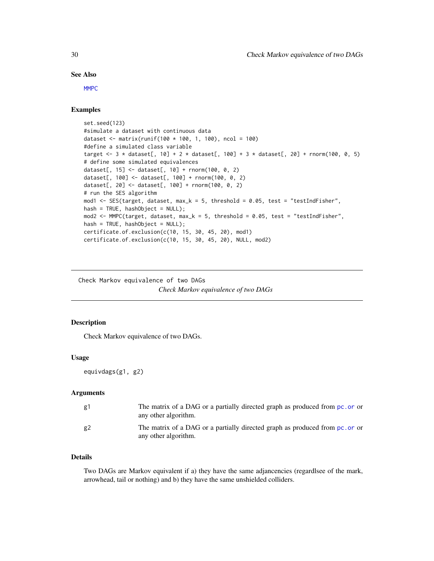#### <span id="page-29-0"></span>See Also

[MMPC](#page-84-1)

# Examples

```
set.seed(123)
#simulate a dataset with continuous data
dataset <- matrix(runif(100 * 100, 1, 100), ncol = 100)
#define a simulated class variable
target <- 3 * dataset[, 10] + 2 * dataset[, 100] + 3 * dataset[, 20] + rnorm(100, 0, 5)
# define some simulated equivalences
dataset[, 15] <- dataset[, 10] + rnorm(100, 0, 2)
dataset[, 100] <- dataset[, 100] + rnorm(100, 0, 2)
dataset[, 20] <- dataset[, 100] + rnorm(100, 0, 2)
# run the SES algorithm
mod1 <- SES(target, dataset, max_k = 5, threshold = 0.05, test = "testIndFisher",
hash = TRUE, hashObject = NULL);
mod2 <- MMPC(target, dataset, max_k = 5, threshold = 0.05, test = "testIndFisher",
hash = TRUE, hashObject = NULL);certificate.of.exclusion(c(10, 15, 30, 45, 20), mod1)
certificate.of.exclusion(c(10, 15, 30, 45, 20), NULL, mod2)
```
Check Markov equivalence of two DAGs *Check Markov equivalence of two DAGs*

# Description

Check Markov equivalence of two DAGs.

#### Usage

equivdags(g1, g2)

# Arguments

| g1 | The matrix of a DAG or a partially directed graph as produced from pc. or or<br>any other algorithm. |
|----|------------------------------------------------------------------------------------------------------|
| g2 | The matrix of a DAG or a partially directed graph as produced from pc. or or<br>any other algorithm. |

# Details

Two DAGs are Markov equivalent if a) they have the same adjancencies (regardlsee of the mark, arrowhead, tail or nothing) and b) they have the same unshielded colliders.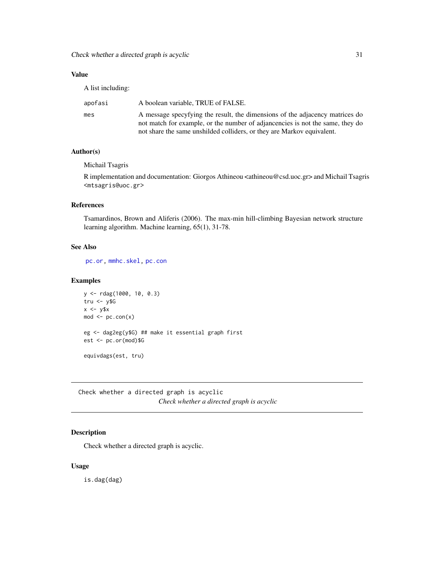<span id="page-30-0"></span>Check whether a directed graph is acyclic 31

# Value

A list including:

| apofasi | A boolean variable, TRUE of FALSE.                                                                                                                            |
|---------|---------------------------------------------------------------------------------------------------------------------------------------------------------------|
| mes     | A message specyfying the result, the dimensions of the adjacency matrices do<br>not match for example, or the number of adjancencies is not the same, they do |
|         | not share the same unshilded colliders, or they are Markov equivalent.                                                                                        |

# Author(s)

Michail Tsagris

R implementation and documentation: Giorgos Athineou <athineou@csd.uoc.gr> and Michail Tsagris <mtsagris@uoc.gr>

# References

Tsamardinos, Brown and Aliferis (2006). The max-min hill-climbing Bayesian network structure learning algorithm. Machine learning, 65(1), 31-78.

#### See Also

[pc.or,](#page-195-1) [mmhc.skel,](#page-219-1) [pc.con](#page-222-1)

# Examples

```
y <- rdag(1000, 10, 0.3)
tru <- \sqrt{5}G
x < -y$x
mod \leftarrow pc.com(x)eg <- dag2eg(y$G) ## make it essential graph first
est <- pc.or(mod)$G
equivdags(est, tru)
```
Check whether a directed graph is acyclic *Check whether a directed graph is acyclic*

# Description

Check whether a directed graph is acyclic.

# Usage

is.dag(dag)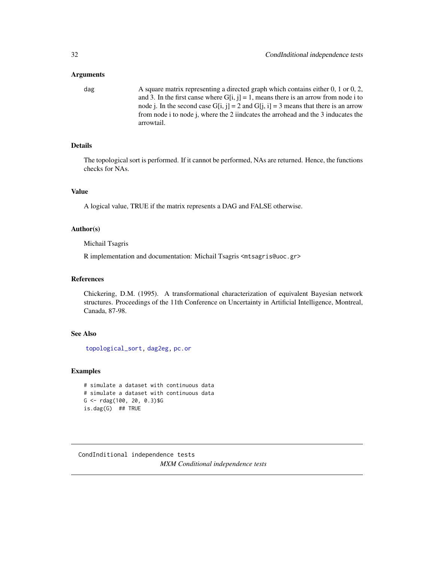#### <span id="page-31-0"></span>Arguments

dag A square matrix representing a directed graph which contains either 0, 1 or 0, 2, and 3. In the first canse where  $G[i, j] = 1$ , means there is an arrow from node i to node j. In the second case  $G[i, j] = 2$  and  $G[j, i] = 3$  means that there is an arrow from node i to node j, where the 2 iindcates the arrohead and the 3 inducates the arrowtail.

# Details

The topological sort is performed. If it cannot be performed, NAs are returned. Hence, the functions checks for NAs.

# Value

A logical value, TRUE if the matrix represents a DAG and FALSE otherwise.

#### Author(s)

Michail Tsagris

R implementation and documentation: Michail Tsagris <mtsagris@uoc.gr>

#### References

Chickering, D.M. (1995). A transformational characterization of equivalent Bayesian network structures. Proceedings of the 11th Conference on Uncertainty in Artificial Intelligence, Montreal, Canada, 87-98.

# See Also

[topological\\_sort,](#page-234-1) [dag2eg,](#page-237-1) [pc.or](#page-195-1)

# Examples

```
# simulate a dataset with continuous data
# simulate a dataset with continuous data
G <- rdag(100, 20, 0.3)$G
is.dag(G) ## TRUE
```
<span id="page-31-1"></span>CondInditional independence tests *MXM Conditional independence tests*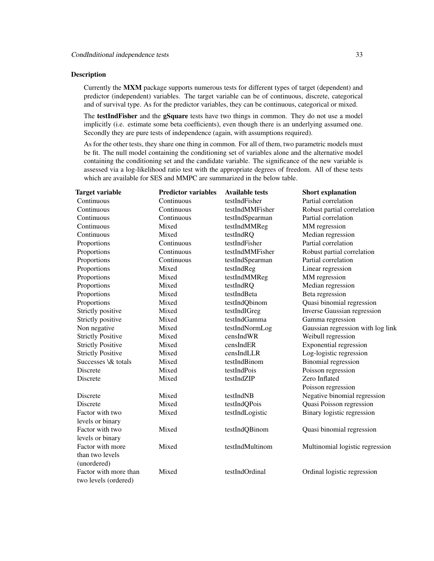#### Description

Currently the MXM package supports numerous tests for different types of target (dependent) and predictor (independent) variables. The target variable can be of continuous, discrete, categorical and of survival type. As for the predictor variables, they can be continuous, categorical or mixed.

The **testIndFisher** and the **gSquare** tests have two things in common. They do not use a model implicitly (i.e. estimate some beta coefficients), even though there is an underlying assumed one. Secondly they are pure tests of independence (again, with assumptions required).

As for the other tests, they share one thing in common. For all of them, two parametric models must be fit. The null model containing the conditioning set of variables alone and the alternative model containing the conditioning set and the candidate variable. The significance of the new variable is assessed via a log-likelihood ratio test with the appropriate degrees of freedom. All of these tests which are available for SES and MMPC are summarized in the below table.

| Target variable          | <b>Predictor variables</b> | <b>Available tests</b> | <b>Short explanation</b>          |
|--------------------------|----------------------------|------------------------|-----------------------------------|
| Continuous               | Continuous                 | testIndFisher          | Partial correlation               |
| Continuous               | Continuous                 | testIndMMFisher        | Robust partial correlation        |
| Continuous               | Continuous                 | testIndSpearman        | Partial correlation               |
| Continuous               | Mixed                      | testIndMMReg           | MM regression                     |
| Continuous               | Mixed                      | testIndRQ              | Median regression                 |
| Proportions              | Continuous                 | testIndFisher          | Partial correlation               |
| Proportions              | Continuous                 | testIndMMFisher        | Robust partial correlation        |
| Proportions              | Continuous                 | testIndSpearman        | Partial correlation               |
| Proportions              | Mixed                      | testIndReg             | Linear regression                 |
| Proportions              | Mixed                      | testIndMMReg           | MM regression                     |
| Proportions              | Mixed                      | testIndRQ              | Median regression                 |
| Proportions              | Mixed                      | testIndBeta            | Beta regression                   |
| Proportions              | Mixed                      | testIndQbinom          | Quasi binomial regression         |
| Strictly positive        | Mixed                      | testIndIGreg           | Inverse Gaussian regression       |
| Strictly positive        | Mixed                      | testIndGamma           | Gamma regression                  |
| Non negative             | Mixed                      | testIndNormLog         | Gaussian regression with log link |
| <b>Strictly Positive</b> | Mixed                      | censIndWR              | Weibull regression                |
| <b>Strictly Positive</b> | Mixed                      | censIndER              | <b>Exponential regression</b>     |
| <b>Strictly Positive</b> | Mixed                      | censIndLLR             | Log-logistic regression           |
| Successes \& totals      | Mixed                      | testIndBinom           | <b>Binomial</b> regression        |
| Discrete                 | Mixed                      | testIndPois            | Poisson regression                |
| Discrete                 | Mixed                      | testIndZIP             | Zero Inflated                     |
|                          |                            |                        | Poisson regression                |
| Discrete                 | Mixed                      | testIndNB              | Negative binomial regression      |
| <b>Discrete</b>          | Mixed                      | testIndQPois           | Quasi Poisson regression          |
| Factor with two          | Mixed                      | testIndLogistic        | Binary logistic regression        |
| levels or binary         |                            |                        |                                   |
| Factor with two          | Mixed                      | testIndQBinom          | Quasi binomial regression         |
| levels or binary         |                            |                        |                                   |
| Factor with more         | Mixed                      | testIndMultinom        | Multinomial logistic regression   |
| than two levels          |                            |                        |                                   |
| (unordered)              |                            |                        |                                   |
| Factor with more than    | Mixed                      | testIndOrdinal         | Ordinal logistic regression       |
| two levels (ordered)     |                            |                        |                                   |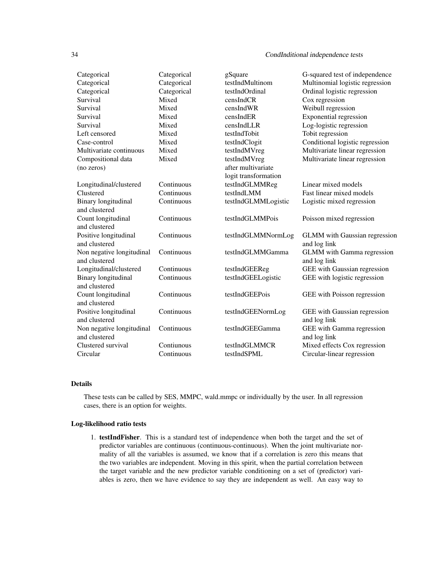| Categorical                | Categorical | gSquare              | G-squared test of independence       |
|----------------------------|-------------|----------------------|--------------------------------------|
| Categorical                | Categorical | testIndMultinom      | Multinomial logistic regression      |
| Categorical                | Categorical | testIndOrdinal       | Ordinal logistic regression          |
| Survival                   | Mixed       | censIndCR            | Cox regression                       |
| Survival                   | Mixed       | censIndWR            | Weibull regression                   |
| Survival                   | Mixed       | censIndER            | <b>Exponential regression</b>        |
| Survival                   | Mixed       | censIndLLR           | Log-logistic regression              |
| Left censored              | Mixed       | testIndTobit         | Tobit regression                     |
| Case-control               | Mixed       | testIndClogit        | Conditional logistic regression      |
| Multivariate continuous    | Mixed       | testIndMVreg         | Multivariate linear regression       |
| Compositional data         | Mixed       | testIndMVreg         | Multivariate linear regression       |
| (no zeros)                 |             | after multivariate   |                                      |
|                            |             | logit transformation |                                      |
| Longitudinal/clustered     | Continuous  | testIndGLMMReg       | Linear mixed models                  |
| Clustered                  | Continuous  | testIndLMM           | Fast linear mixed models             |
| Binary longitudinal        | Continuous  | testIndGLMMLogistic  | Logistic mixed regression            |
| and clustered              |             |                      |                                      |
| Count longitudinal         | Continuous  | testIndGLMMPois      | Poisson mixed regression             |
| and clustered              |             |                      |                                      |
| Positive longitudinal      | Continuous  | testIndGLMMNormLog   | <b>GLMM</b> with Gaussian regression |
| and clustered              |             |                      | and log link                         |
| Non negative longitudinal  | Continuous  | testIndGLMMGamma     | <b>GLMM</b> with Gamma regression    |
| and clustered              |             |                      | and log link                         |
| Longitudinal/clustered     | Continuous  | testIndGEEReg        | GEE with Gaussian regression         |
| <b>Binary</b> longitudinal | Continuous  | testIndGEELogistic   | GEE with logistic regression         |
| and clustered              |             |                      |                                      |
| Count longitudinal         | Continuous  | testIndGEEPois       | GEE with Poisson regression          |
| and clustered              |             |                      |                                      |
| Positive longitudinal      | Continuous  | testIndGEENormLog    | GEE with Gaussian regression         |
| and clustered              |             |                      | and log link                         |
| Non negative longitudinal  | Continuous  | testIndGEEGamma      | GEE with Gamma regression            |
| and clustered              |             |                      | and log link                         |
| Clustered survival         | Contiunous  | testIndGLMMCR        | Mixed effects Cox regression         |
| Circular                   | Continuous  | testIndSPML          | Circular-linear regression           |

#### Details

These tests can be called by SES, MMPC, wald.mmpc or individually by the user. In all regression cases, there is an option for weights.

#### Log-likelihood ratio tests

1. testIndFisher. This is a standard test of independence when both the target and the set of predictor variables are continuous (continuous-continuous). When the joint multivariate normality of all the variables is assumed, we know that if a correlation is zero this means that the two variables are independent. Moving in this spirit, when the partial correlation between the target variable and the new predictor variable conditioning on a set of (predictor) variables is zero, then we have evidence to say they are independent as well. An easy way to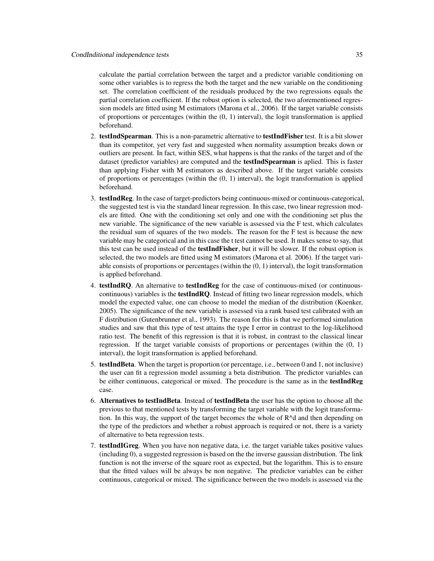calculate the partial correlation between the target and a predictor variable conditioning on some other variables is to regress the both the target and the new variable on the conditioning set. The correlation coefficient of the residuals produced by the two regressions equals the partial correlation coefficient. If the robust option is selected, the two aforementioned regression models are fitted using M estimators (Marona et al., 2006). If the target variable consists of proportions or percentages (within the (0, 1) interval), the logit transformation is applied beforehand.

- 2. testIndSpearman. This is a non-parametric alternative to testIndFisher test. It is a bit slower than its competitor, yet very fast and suggested when normality assumption breaks down or outliers are present. In fact, within SES, what happens is that the ranks of the target and of the dataset (predictor variables) are computed and the **testIndSpearman** is aplied. This is faster than applying Fisher with M estimators as described above. If the target variable consists of proportions or percentages (within the  $(0, 1)$  interval), the logit transformation is applied beforehand.
- 3. testIndReg. In the case of target-predictors being continuous-mixed or continuous-categorical, the suggested test is via the standard linear regression. In this case, two linear regression models are fitted. One with the conditioning set only and one with the conditioning set plus the new variable. The significance of the new variable is assessed via the F test, which calculates the residual sum of squares of the two models. The reason for the F test is because the new variable may be categorical and in this case the t test cannot be used. It makes sense to say, that this test can be used instead of the **testIndFisher**, but it will be slower. If the robust option is selected, the two models are fitted using M estimators (Marona et al. 2006). If the target variable consists of proportions or percentages (within the (0, 1) interval), the logit transformation is applied beforehand.
- 4. testIndRQ. An alternative to testIndReg for the case of continuous-mixed (or continuouscontinuous) variables is the testIndRQ. Instead of fitting two linear regression models, which model the expected value, one can choose to model the median of the distribution (Koenker, 2005). The significance of the new variable is assessed via a rank based test calibrated with an F distribution (Gutenbrunner et al., 1993). The reason for this is that we performed simulation studies and saw that this type of test attains the type I error in contrast to the log-likelihood ratio test. The benefit of this regression is that it is robust, in contrast to the classical linear regression. If the target variable consists of proportions or percentages (within the (0, 1) interval), the logit transformation is applied beforehand.
- 5. testIndBeta. When the target is proportion (or percentage, i.e., between 0 and 1, not inclusive) the user can fit a regression model assuming a beta distribution. The predictor variables can be either continuous, categorical or mixed. The procedure is the same as in the **testIndReg** case.
- 6. Alternatives to testIndBeta. Instead of testIndBeta the user has the option to choose all the previous to that mentioned tests by transforming the target variable with the logit transformation. In this way, the support of the target becomes the whole of R^d and then depending on the type of the predictors and whether a robust approach is required or not, there is a variety of alternative to beta regression tests.
- 7. testIndIGreg. When you have non negative data, i.e. the target variable takes positive values (including 0), a suggested regression is based on the the inverse gaussian distribution. The link function is not the inverse of the square root as expected, but the logarithm. This is to ensure that the fitted values will be always be non negative. The predictor variables can be either continuous, categorical or mixed. The significance between the two models is assessed via the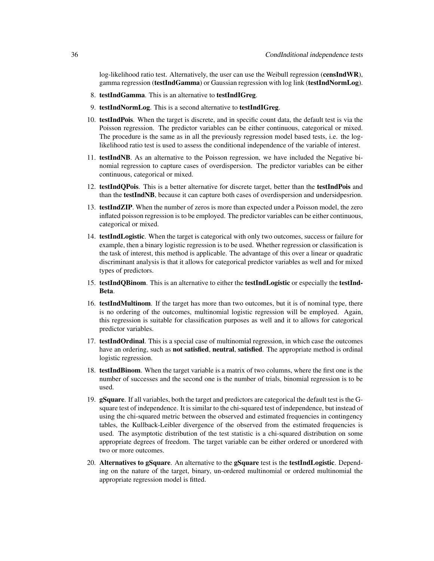log-likelihood ratio test. Alternatively, the user can use the Weibull regression (censIndWR), gamma regression (testIndGamma) or Gaussian regression with log link (testIndNormLog).

- 8. testIndGamma. This is an alternative to testIndIGreg.
- 9. testIndNormLog. This is a second alternative to testIndIGreg.
- 10. testIndPois. When the target is discrete, and in specific count data, the default test is via the Poisson regression. The predictor variables can be either continuous, categorical or mixed. The procedure is the same as in all the previously regression model based tests, i.e. the loglikelihood ratio test is used to assess the conditional independence of the variable of interest.
- 11. testIndNB. As an alternative to the Poisson regression, we have included the Negative binomial regression to capture cases of overdispersion. The predictor variables can be either continuous, categorical or mixed.
- 12. testIndQPois. This is a better alternative for discrete target, better than the testIndPois and than the testIndNB, because it can capture both cases of overdispersion and undersidpesrion.
- 13. testIndZIP. When the number of zeros is more than expected under a Poisson model, the zero inflated poisson regression is to be employed. The predictor variables can be either continuous, categorical or mixed.
- 14. testIndLogistic. When the target is categorical with only two outcomes, success or failure for example, then a binary logistic regression is to be used. Whether regression or classification is the task of interest, this method is applicable. The advantage of this over a linear or quadratic discriminant analysis is that it allows for categorical predictor variables as well and for mixed types of predictors.
- 15. testIndQBinom. This is an alternative to either the testIndLogistic or especially the testInd-Beta.
- 16. testIndMultinom. If the target has more than two outcomes, but it is of nominal type, there is no ordering of the outcomes, multinomial logistic regression will be employed. Again, this regression is suitable for classification purposes as well and it to allows for categorical predictor variables.
- 17. testIndOrdinal. This is a special case of multinomial regression, in which case the outcomes have an ordering, such as **not satisfied, neutral, satisfied**. The appropriate method is ordinal logistic regression.
- 18. testIndBinom. When the target variable is a matrix of two columns, where the first one is the number of successes and the second one is the number of trials, binomial regression is to be used.
- 19. gSquare. If all variables, both the target and predictors are categorical the default test is the Gsquare test of independence. It is similar to the chi-squared test of independence, but instead of using the chi-squared metric between the observed and estimated frequencies in contingency tables, the Kullback-Leibler divergence of the observed from the estimated frequencies is used. The asymptotic distribution of the test statistic is a chi-squared distribution on some appropriate degrees of freedom. The target variable can be either ordered or unordered with two or more outcomes.
- 20. Alternatives to gSquare. An alternative to the gSquare test is the testIndLogistic. Depending on the nature of the target, binary, un-ordered multinomial or ordered multinomial the appropriate regression model is fitted.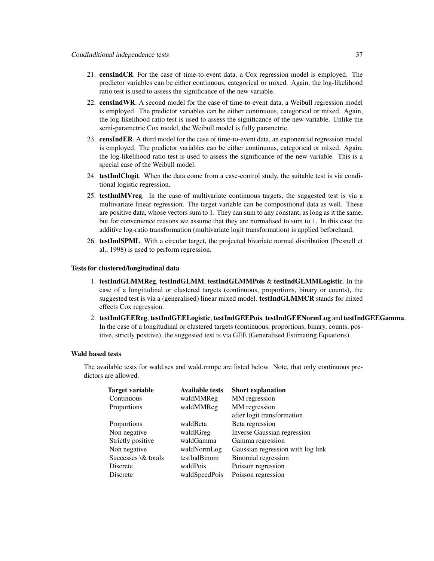- 21. censIndCR. For the case of time-to-event data, a Cox regression model is employed. The predictor variables can be either continuous, categorical or mixed. Again, the log-likelihood ratio test is used to assess the significance of the new variable.
- 22. censIndWR. A second model for the case of time-to-event data, a Weibull regression model is employed. The predictor variables can be either continuous, categorical or mixed. Again, the log-likelihood ratio test is used to assess the significance of the new variable. Unlike the semi-parametric Cox model, the Weibull model is fully parametric.
- 23. censIndER. A third model for the case of time-to-event data, an exponential regression model is employed. The predictor variables can be either continuous, categorical or mixed. Again, the log-likelihood ratio test is used to assess the significance of the new variable. This is a special case of the Weibull model.
- 24. testIndClogit. When the data come from a case-control study, the suitable test is via conditional logistic regression.
- 25. testIndMVreg. In the case of multivariate continuous targets, the suggested test is via a multivariate linear regression. The target variable can be compositional data as well. These are positive data, whose vectors sum to 1. They can sum to any constant, as long as it the same, but for convenience reasons we assume that they are normalised to sum to 1. In this case the additive log-ratio transformation (multivariate logit transformation) is applied beforehand.
- 26. testIndSPML. With a circular target, the projected bivariate normal distribution (Presnell et al., 1998) is used to perform regression.

### Tests for clustered/longitudinal data

- 1. testIndGLMMReg, testIndGLMM, testIndGLMMPois & testIndGLMMLogistic. In the case of a longitudinal or clustered targets (continuous, proportions, binary or counts), the suggested test is via a (generalised) linear mixed model. testIndGLMMCR stands for mixed effects Cox regression.
- 2. testIndGEEReg, testIndGEELogistic, testIndGEEPois, testIndGEENormLog and testIndGEEGamma. In the case of a longitudinal or clustered targets (continuous, proportions, binary, counts, positive, strictly positive), the suggested test is via GEE (Generalised Estimating Equations).

#### Wald based tests

The available tests for wald.ses and wald.mmpc are listed below. Note, that only continuous predictors are allowed.

| <b>Target variable</b> | <b>Available tests</b> | <b>Short explanation</b>           |
|------------------------|------------------------|------------------------------------|
| Continuous             | waldMMReg              | MM regression                      |
| Proportions            | waldMMReg              | MM regression                      |
|                        |                        | after logit transformation         |
| Proportions            | waldBeta               | Beta regression                    |
| Non negative           | waldIGreg              | <b>Inverse Gaussian regression</b> |
| Strictly positive      | waldGamma              | Gamma regression                   |
| Non negative           | waldNormLog            | Gaussian regression with log link  |
| Successes \& totals    | testIndBinom           | Binomial regression                |
| Discrete               | waldPois               | Poisson regression                 |
| Discrete               | waldSpeedPois          | Poisson regression                 |
|                        |                        |                                    |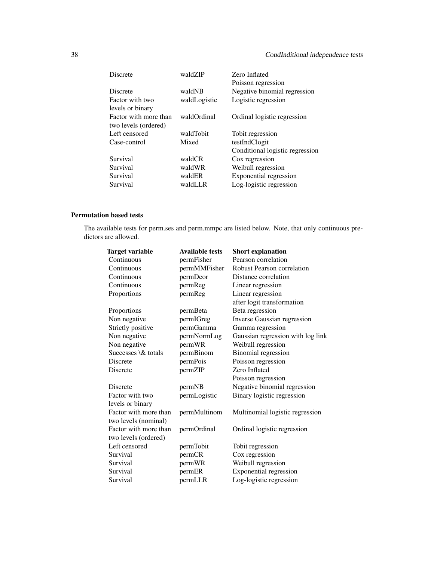# 38 CondInditional independence tests

| <b>Discrete</b>       | waldZIP      | Zero Inflated<br>Poisson regression |
|-----------------------|--------------|-------------------------------------|
| <b>Discrete</b>       | waldNB       | Negative binomial regression        |
| Factor with two       | waldLogistic | Logistic regression                 |
| levels or binary      |              |                                     |
| Factor with more than | waldOrdinal  | Ordinal logistic regression         |
| two levels (ordered)  |              |                                     |
| Left censored         | waldTobit    | Tobit regression                    |
| Case-control          | Mixed        | testIndClogit                       |
|                       |              | Conditional logistic regression     |
| Survival              | waldCR       | Cox regression                      |
| Survival              | waldWR       | Weibull regression                  |
| Survival              | waldER       | Exponential regression              |
| Survival              | waldLLR      | Log-logistic regression             |

# Permutation based tests

The available tests for perm.ses and perm.mmpc are listed below. Note, that only continuous predictors are allowed.

| Target variable       | <b>Available tests</b> | <b>Short explanation</b>          |
|-----------------------|------------------------|-----------------------------------|
| Continuous            | permFisher             | Pearson correlation               |
| Continuous            | permMMFisher           | <b>Robust Pearson correlation</b> |
| Continuous            | permDcor               | Distance correlation              |
| Continuous            | permReg                | Linear regression                 |
| Proportions           | permReg                | Linear regression                 |
|                       |                        | after logit transformation        |
| Proportions           | permBeta               | Beta regression                   |
| Non negative          | permIGreg              | Inverse Gaussian regression       |
| Strictly positive     | permGamma              | Gamma regression                  |
| Non negative          | permNormLog            | Gaussian regression with log link |
| Non negative          | permWR                 | Weibull regression                |
| Successes \& totals   | permBinom              | <b>Binomial</b> regression        |
| Discrete              | permPois               | Poisson regression                |
| Discrete              | permZIP                | Zero Inflated                     |
|                       |                        | Poisson regression                |
| Discrete              | permNB                 | Negative binomial regression      |
| Factor with two       | permLogistic           | Binary logistic regression        |
| levels or binary      |                        |                                   |
| Factor with more than | permMultinom           | Multinomial logistic regression   |
| two levels (nominal)  |                        |                                   |
| Factor with more than | permOrdinal            | Ordinal logistic regression       |
| two levels (ordered)  |                        |                                   |
| Left censored         | permTobit              | Tobit regression                  |
| Survival              | permCR                 | Cox regression                    |
| Survival              | permWR                 | Weibull regression                |
| Survival              | permER                 | <b>Exponential regression</b>     |
| Survival              | permLLR                | Log-logistic regression           |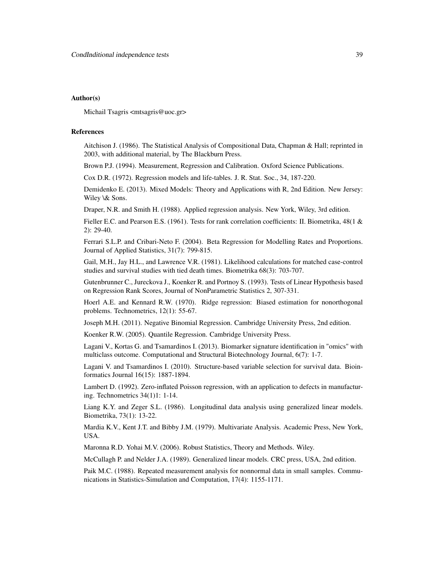### Author(s)

Michail Tsagris <mtsagris@uoc.gr>

### References

Aitchison J. (1986). The Statistical Analysis of Compositional Data, Chapman & Hall; reprinted in 2003, with additional material, by The Blackburn Press.

Brown P.J. (1994). Measurement, Regression and Calibration. Oxford Science Publications.

Cox D.R. (1972). Regression models and life-tables. J. R. Stat. Soc., 34, 187-220.

Demidenko E. (2013). Mixed Models: Theory and Applications with R, 2nd Edition. New Jersey: Wiley \& Sons.

Draper, N.R. and Smith H. (1988). Applied regression analysis. New York, Wiley, 3rd edition.

Fieller E.C. and Pearson E.S. (1961). Tests for rank correlation coefficients: II. Biometrika, 48(1 & 2): 29-40.

Ferrari S.L.P. and Cribari-Neto F. (2004). Beta Regression for Modelling Rates and Proportions. Journal of Applied Statistics, 31(7): 799-815.

Gail, M.H., Jay H.L., and Lawrence V.R. (1981). Likelihood calculations for matched case-control studies and survival studies with tied death times. Biometrika 68(3): 703-707.

Gutenbrunner C., Jureckova J., Koenker R. and Portnoy S. (1993). Tests of Linear Hypothesis based on Regression Rank Scores, Journal of NonParametric Statistics 2, 307-331.

Hoerl A.E. and Kennard R.W. (1970). Ridge regression: Biased estimation for nonorthogonal problems. Technometrics, 12(1): 55-67.

Joseph M.H. (2011). Negative Binomial Regression. Cambridge University Press, 2nd edition.

Koenker R.W. (2005). Quantile Regression. Cambridge University Press.

Lagani V., Kortas G. and Tsamardinos I. (2013). Biomarker signature identification in "omics" with multiclass outcome. Computational and Structural Biotechnology Journal, 6(7): 1-7.

Lagani V. and Tsamardinos I. (2010). Structure-based variable selection for survival data. Bioinformatics Journal 16(15): 1887-1894.

Lambert D. (1992). Zero-inflated Poisson regression, with an application to defects in manufacturing. Technometrics 34(1)1: 1-14.

Liang K.Y. and Zeger S.L. (1986). Longitudinal data analysis using generalized linear models. Biometrika, 73(1): 13-22.

Mardia K.V., Kent J.T. and Bibby J.M. (1979). Multivariate Analysis. Academic Press, New York, USA.

Maronna R.D. Yohai M.V. (2006). Robust Statistics, Theory and Methods. Wiley.

McCullagh P. and Nelder J.A. (1989). Generalized linear models. CRC press, USA, 2nd edition.

Paik M.C. (1988). Repeated measurement analysis for nonnormal data in small samples. Communications in Statistics-Simulation and Computation, 17(4): 1155-1171.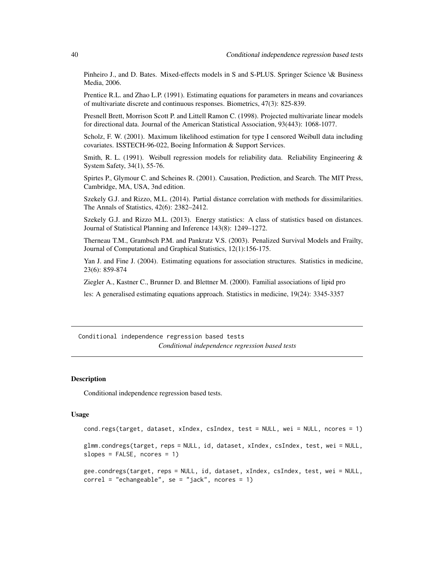Pinheiro J., and D. Bates. Mixed-effects models in S and S-PLUS. Springer Science \& Business Media, 2006.

Prentice R.L. and Zhao L.P. (1991). Estimating equations for parameters in means and covariances of multivariate discrete and continuous responses. Biometrics, 47(3): 825-839.

Presnell Brett, Morrison Scott P. and Littell Ramon C. (1998). Projected multivariate linear models for directional data. Journal of the American Statistical Association, 93(443): 1068-1077.

Scholz, F. W. (2001). Maximum likelihood estimation for type I censored Weibull data including covariates. ISSTECH-96-022, Boeing Information & Support Services.

Smith, R. L. (1991). Weibull regression models for reliability data. Reliability Engineering & System Safety, 34(1), 55-76.

Spirtes P., Glymour C. and Scheines R. (2001). Causation, Prediction, and Search. The MIT Press, Cambridge, MA, USA, 3nd edition.

Szekely G.J. and Rizzo, M.L. (2014). Partial distance correlation with methods for dissimilarities. The Annals of Statistics, 42(6): 2382–2412.

Szekely G.J. and Rizzo M.L. (2013). Energy statistics: A class of statistics based on distances. Journal of Statistical Planning and Inference 143(8): 1249–1272.

Therneau T.M., Grambsch P.M. and Pankratz V.S. (2003). Penalized Survival Models and Frailty, Journal of Computational and Graphical Statistics, 12(1):156-175.

Yan J. and Fine J. (2004). Estimating equations for association structures. Statistics in medicine, 23(6): 859-874

Ziegler A., Kastner C., Brunner D. and Blettner M. (2000). Familial associations of lipid pro

les: A generalised estimating equations approach. Statistics in medicine, 19(24): 3345-3357

Conditional independence regression based tests *Conditional independence regression based tests*

### Description

Conditional independence regression based tests.

#### Usage

```
cond.regs(target, dataset, xIndex, csIndex, test = NULL, wei = NULL, ncores = 1)
glmm.condregs(target, reps = NULL, id, dataset, xIndex, csIndex, test, wei = NULL,
slopes = FALSE, ncores = 1)
```

```
gee.condregs(target, reps = NULL, id, dataset, xIndex, csIndex, test, wei = NULL,
correl = "echangeable", se = "jack", nec = 1)
```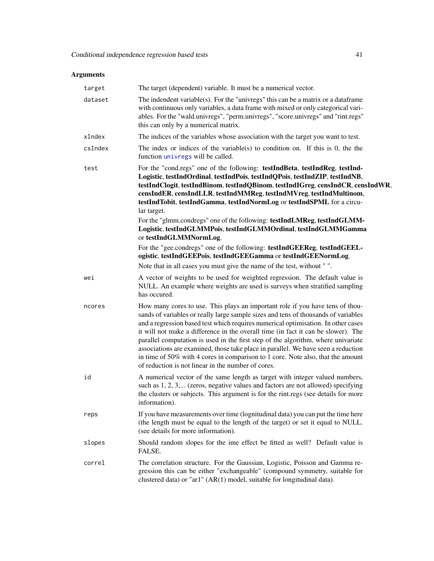# Arguments

| target  | The target (dependent) variable. It must be a numerical vector.                                                                                                                                                                                                                                                                                                                                                                                                                                                                                                                                                                                                  |
|---------|------------------------------------------------------------------------------------------------------------------------------------------------------------------------------------------------------------------------------------------------------------------------------------------------------------------------------------------------------------------------------------------------------------------------------------------------------------------------------------------------------------------------------------------------------------------------------------------------------------------------------------------------------------------|
| dataset | The indendent variable(s). For the "univregs" this can be a matrix or a dataframe<br>with continuous only variables, a data frame with mixed or only categorical vari-<br>ables. For the "wald.univregs", "perm.univregs", "score.univregs" and "rint.regs"<br>this can only by a numerical matrix.                                                                                                                                                                                                                                                                                                                                                              |
| xIndex  | The indices of the variables whose association with the target you want to test.                                                                                                                                                                                                                                                                                                                                                                                                                                                                                                                                                                                 |
| csIndex | The index or indices of the variable(s) to condition on. If this is $0$ , the the<br>function <i>univregs</i> will be called.                                                                                                                                                                                                                                                                                                                                                                                                                                                                                                                                    |
| test    | For the "cond.regs" one of the following: testIndBeta, testIndReg, testInd-<br>Logistic, testIndOrdinal, testIndPois, testIndQPois, testIndZIP, testIndNB,<br>testIndClogit, testIndBinom, testIndQBinom, testIndIGreg, censIndCR, censIndWR,<br>censIndER, censIndLLR, testIndMMReg, testIndMVreg, testIndMultinom,<br>testIndTobit, testIndGamma, testIndNormLog or testIndSPML for a circu-<br>lar target.<br>For the "glmm.condregs" one of the following: testIndLMReg, testIndGLMM-<br>Logistic, testIndGLMMPois, testIndGLMMOrdinal, testIndGLMMGamma<br>or testIndGLMMNormLog.                                                                           |
|         | For the "gee.condregs" one of the following: testIndGEEReg, testIndGEEL-<br>ogistic, testIndGEEPois, testIndGEEGamma or testIndGEENormLog.                                                                                                                                                                                                                                                                                                                                                                                                                                                                                                                       |
|         | Note that in all cases you must give the name of the test, without "".                                                                                                                                                                                                                                                                                                                                                                                                                                                                                                                                                                                           |
| wei     | A vector of weights to be used for weighted regression. The default value is<br>NULL. An example where weights are used is surveys when stratified sampling<br>has occured.                                                                                                                                                                                                                                                                                                                                                                                                                                                                                      |
| ncores  | How many cores to use. This plays an important role if you have tens of thou-<br>sands of variables or really large sample sizes and tens of thousands of variables<br>and a regression based test which requires numerical optimisation. In other cases<br>it will not make a difference in the overall time (in fact it can be slower). The<br>parallel computation is used in the first step of the algorithm, where univariate<br>associations are examined, those take place in parallel. We have seen a reduction<br>in time of 50% with 4 cores in comparison to 1 core. Note also, that the amount<br>of reduction is not linear in the number of cores. |
| id      | A numerical vector of the same length as target with integer valued numbers,<br>such as 1, 2, 3, (zeros, negative values and factors are not allowed) specifying<br>the clusters or subjects. This argument is for the rint.regs (see details for more<br>information).                                                                                                                                                                                                                                                                                                                                                                                          |
| reps    | If you have measurements over time (lognitudinal data) you can put the time here<br>(the length must be equal to the length of the target) or set it equal to NULL.<br>(see details for more information).                                                                                                                                                                                                                                                                                                                                                                                                                                                       |
| slopes  | Should random slopes for the ime effect be fitted as well? Default value is<br>FALSE.                                                                                                                                                                                                                                                                                                                                                                                                                                                                                                                                                                            |
| correl  | The correlation structure. For the Gaussian, Logistic, Poisson and Gamma re-<br>gression this can be either "exchangeable" (compound symmetry, suitable for<br>clustered data) or "ar1" (AR(1) model, suitable for longitudinal data).                                                                                                                                                                                                                                                                                                                                                                                                                           |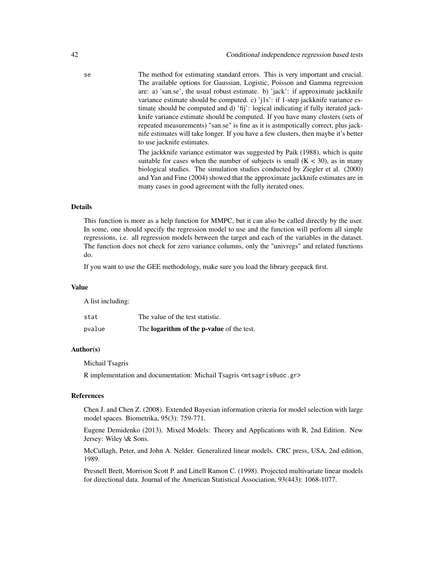se The method for estimating standard errors. This is very important and crucial. The available options for Gaussian, Logistic, Poisson and Gamma regression are: a) 'san.se', the usual robust estimate. b) 'jack': if approximate jackknife variance estimate should be computed. c) 'j1s': if 1-step jackknife variance estimate should be computed and d) 'fij': logical indicating if fully iterated jackknife variance estimate should be computed. If you have many clusters (sets of repeated measurements) "san.se" is fine as it is astmpotically correct, plus jacknife estimates will take longer. If you have a few clusters, then maybe it's better to use jacknife estimates.

> The jackknife variance estimator was suggested by Paik (1988), which is quite suitable for cases when the number of subjects is small  $(K < 30)$ , as in many biological studies. The simulation studies conducted by Ziegler et al. (2000) and Yan and Fine (2004) showed that the approximate jackknife estimates are in many cases in good agreement with the fully iterated ones.

### Details

This function is more as a help function for MMPC, but it can also be called directly by the user. In some, one should specify the regression model to use and the function will perform all simple regressions, i.e. all regression models between the target and each of the variables in the dataset. The function does not check for zero variance columns, only the "univregs" and related functions do.

If you want to use the GEE methodology, make sure you load the library geepack first.

#### Value

A list including:

| stat   | The value of the test statistic.                 |
|--------|--------------------------------------------------|
| pvalue | The <b>logarithm of the p-value</b> of the test. |

### Author(s)

Michail Tsagris

R implementation and documentation: Michail Tsagris <mtsagris@uoc.gr>

### References

Chen J. and Chen Z. (2008). Extended Bayesian information criteria for model selection with large model spaces. Biometrika, 95(3): 759-771.

Eugene Demidenko (2013). Mixed Models: Theory and Applications with R, 2nd Edition. New Jersey: Wiley \& Sons.

McCullagh, Peter, and John A. Nelder. Generalized linear models. CRC press, USA, 2nd edition, 1989.

Presnell Brett, Morrison Scott P. and Littell Ramon C. (1998). Projected multivariate linear models for directional data. Journal of the American Statistical Association, 93(443): 1068-1077.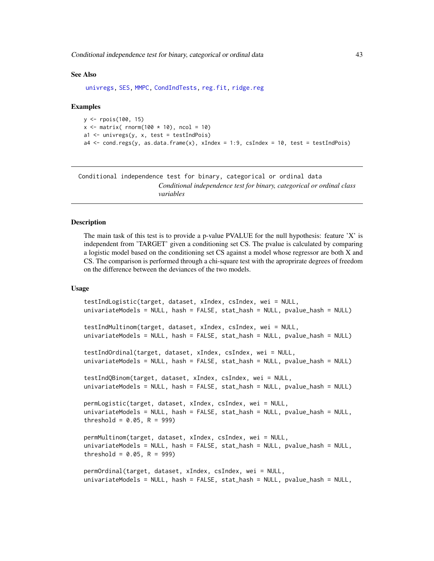Conditional independence test for binary, categorical or ordinal data 43

#### See Also

[univregs,](#page-240-0) [SES,](#page-84-0) [MMPC,](#page-84-0) [CondIndTests,](#page-31-0) [reg.fit,](#page-207-0) [ridge.reg](#page-209-0)

#### Examples

```
y <- rpois(100, 15)
x \le matrix( rnorm(100 \star 10), ncol = 10)
a1 \leftarrow univregs(y, x, test = testIndPois)
a4 <- cond.regs(y, as.data.frame(x), xIndex = 1:9, csIndex = 10, test = testIndPois)
```
Conditional independence test for binary, categorical or ordinal data *Conditional independence test for binary, categorical or ordinal class variables*

## <span id="page-42-0"></span>Description

The main task of this test is to provide a p-value PVALUE for the null hypothesis: feature  $X'$  is independent from 'TARGET' given a conditioning set CS. The pvalue is calculated by comparing a logistic model based on the conditioning set CS against a model whose regressor are both X and CS. The comparison is performed through a chi-square test with the aproprirate degrees of freedom on the difference between the deviances of the two models.

### Usage

```
testIndLogistic(target, dataset, xIndex, csIndex, wei = NULL,
univariateModels = NULL, hash = FALSE, stat_hash = NULL, pvalue_hash = NULL)
testIndMultinom(target, dataset, xIndex, csIndex, wei = NULL,
univariateModels = NULL, hash = FALSE, stat_hash = NULL, pvalue_hash = NULL)
testIndOrdinal(target, dataset, xIndex, csIndex, wei = NULL,
univariateModels = NULL, hash = FALSE, stat_hash = NULL, pvalue_hash = NULL)
testIndQBinom(target, dataset, xIndex, csIndex, wei = NULL,
univariateModels = NULL, hash = FALSE, stat_hash = NULL, pvalue_hash = NULL)
permLogistic(target, dataset, xIndex, csIndex, wei = NULL,
univariateModels = NULL, hash = FALSE, stat_hash = NULL, pvalue_hash = NULL,
threshold = 0.05, R = 999)
permMultinom(target, dataset, xIndex, csIndex, wei = NULL,
univariateModels = NULL, hash = FALSE, stat_hash = NULL, pvalue_hash = NULL,
threshold = 0.05, R = 999)
permOrdinal(target, dataset, xIndex, csIndex, wei = NULL,
univariateModels = NULL, hash = FALSE, stat_hash = NULL, pvalue_hash = NULL,
```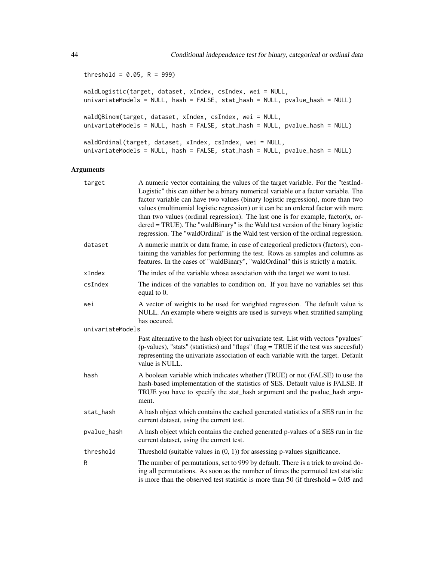threshold =  $0.05$ , R = 999)

waldLogistic(target, dataset, xIndex, csIndex, wei = NULL, univariateModels = NULL, hash = FALSE, stat\_hash = NULL, pvalue\_hash = NULL) waldQBinom(target, dataset, xIndex, csIndex, wei = NULL, univariateModels = NULL, hash = FALSE, stat\_hash = NULL, pvalue\_hash = NULL) waldOrdinal(target, dataset, xIndex, csIndex, wei = NULL, univariateModels = NULL, hash = FALSE, stat\_hash = NULL, pvalue\_hash = NULL)

### Arguments

| target           | A numeric vector containing the values of the target variable. For the "testInd-<br>Logistic" this can either be a binary numerical variable or a factor variable. The<br>factor variable can have two values (binary logistic regression), more than two<br>values (multinomial logistic regression) or it can be an ordered factor with more<br>than two values (ordinal regression). The last one is for example, $factor(x, or$<br>$dered = TRUE$ ). The "waldBinary" is the Wald test version of the binary logistic<br>regression. The "waldOrdinal" is the Wald test version of the ordinal regression. |
|------------------|----------------------------------------------------------------------------------------------------------------------------------------------------------------------------------------------------------------------------------------------------------------------------------------------------------------------------------------------------------------------------------------------------------------------------------------------------------------------------------------------------------------------------------------------------------------------------------------------------------------|
| dataset          | A numeric matrix or data frame, in case of categorical predictors (factors), con-<br>taining the variables for performing the test. Rows as samples and columns as<br>features. In the cases of "waldBinary", "waldOrdinal" this is strictly a matrix.                                                                                                                                                                                                                                                                                                                                                         |
| xIndex           | The index of the variable whose association with the target we want to test.                                                                                                                                                                                                                                                                                                                                                                                                                                                                                                                                   |
| csIndex          | The indices of the variables to condition on. If you have no variables set this<br>equal to 0.                                                                                                                                                                                                                                                                                                                                                                                                                                                                                                                 |
| wei              | A vector of weights to be used for weighted regression. The default value is<br>NULL. An example where weights are used is surveys when stratified sampling<br>has occured.                                                                                                                                                                                                                                                                                                                                                                                                                                    |
| univariateModels |                                                                                                                                                                                                                                                                                                                                                                                                                                                                                                                                                                                                                |
|                  | Fast alternative to the hash object for univariate test. List with vectors "pvalues"<br>(p-values), "stats" (statistics) and "flags" (flag = TRUE if the test was succesful)<br>representing the univariate association of each variable with the target. Default<br>value is NULL.                                                                                                                                                                                                                                                                                                                            |
| hash             | A boolean variable which indicates whether (TRUE) or not (FALSE) to use the<br>hash-based implementation of the statistics of SES. Default value is FALSE. If<br>TRUE you have to specify the stat_hash argument and the pvalue_hash argu-<br>ment.                                                                                                                                                                                                                                                                                                                                                            |
| stat_hash        | A hash object which contains the cached generated statistics of a SES run in the<br>current dataset, using the current test.                                                                                                                                                                                                                                                                                                                                                                                                                                                                                   |
| pvalue_hash      | A hash object which contains the cached generated p-values of a SES run in the<br>current dataset, using the current test.                                                                                                                                                                                                                                                                                                                                                                                                                                                                                     |
| threshold        | Threshold (suitable values in $(0, 1)$ ) for assessing p-values significance.                                                                                                                                                                                                                                                                                                                                                                                                                                                                                                                                  |
| R                | The number of permutations, set to 999 by default. There is a trick to avoind do-<br>ing all permutations. As soon as the number of times the permuted test statistic<br>is more than the observed test statistic is more than 50 (if threshold $= 0.05$ and                                                                                                                                                                                                                                                                                                                                                   |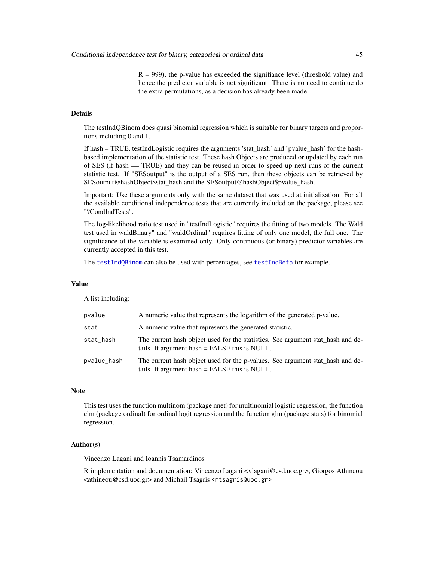$R = 999$ ), the p-value has exceeded the signifiance level (threshold value) and hence the predictor variable is not significant. There is no need to continue do the extra permutations, as a decision has already been made.

# Details

The testIndQBinom does quasi binomial regression which is suitable for binary targets and proportions including 0 and 1.

If hash = TRUE, testIndLogistic requires the arguments 'stat\_hash' and 'pvalue\_hash' for the hashbased implementation of the statistic test. These hash Objects are produced or updated by each run of SES (if hash == TRUE) and they can be reused in order to speed up next runs of the current statistic test. If "SESoutput" is the output of a SES run, then these objects can be retrieved by SESoutput@hashObject\$stat\_hash and the SESoutput@hashObject\$pvalue\_hash.

Important: Use these arguments only with the same dataset that was used at initialization. For all the available conditional independence tests that are currently included on the package, please see "?CondIndTests".

The log-likelihood ratio test used in "testIndLogistic" requires the fitting of two models. The Wald test used in waldBinary" and "waldOrdinal" requires fitting of only one model, the full one. The significance of the variable is examined only. Only continuous (or binary) predictor variables are currently accepted in this test.

The [testIndQBinom](#page-42-0) can also be used with percentages, see [testIndBeta](#page-57-0) for example.

#### Value

A list including:

| pvalue      | A numeric value that represents the logarithm of the generated p-value.                                                          |
|-------------|----------------------------------------------------------------------------------------------------------------------------------|
| stat        | A numeric value that represents the generated statistic.                                                                         |
| stat_hash   | The current hash object used for the statistics. See argument stat_hash and de-<br>tails. If argument hash = FALSE this is NULL. |
| pvalue_hash | The current hash object used for the p-values. See argument stat_hash and de-<br>tails. If argument hash = FALSE this is NULL.   |

#### Note

This test uses the function multinom (package nnet) for multinomial logistic regression, the function clm (package ordinal) for ordinal logit regression and the function glm (package stats) for binomial regression.

### Author(s)

Vincenzo Lagani and Ioannis Tsamardinos

R implementation and documentation: Vincenzo Lagani <vlagani@csd.uoc.gr>, Giorgos Athineou <athineou@csd.uoc.gr> and Michail Tsagris <mtsagris@uoc.gr>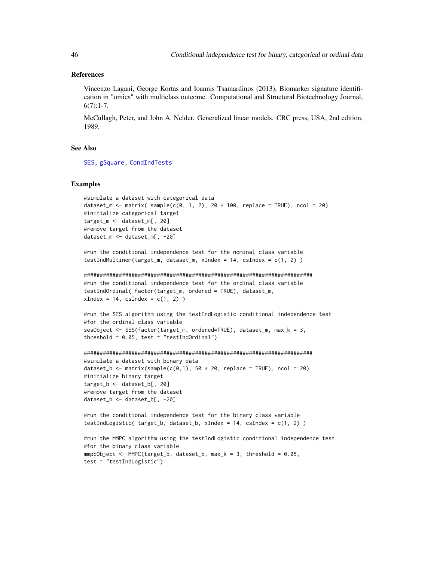### References

Vincenzo Lagani, George Kortas and Ioannis Tsamardinos (2013), Biomarker signature identification in "omics" with multiclass outcome. Computational and Structural Biotechnology Journal,  $6(7):1-7.$ 

McCullagh, Peter, and John A. Nelder. Generalized linear models. CRC press, USA, 2nd edition, 1989.

## See Also

[SES,](#page-84-0) [gSquare,](#page-150-0) [CondIndTests](#page-31-0)

#### Examples

```
#simulate a dataset with categorical data
dataset_m <- matrix( sample(c(0, 1, 2), 20 * 100, replace = TRUE), ncol = 20)
#initialize categorical target
target_m <- dataset_m[, 20]
#remove target from the dataset
dataset_m <- dataset_m[, -20]
```
#run the conditional independence test for the nominal class variable testIndMultinom(target\_m, dataset\_m, xIndex = 14, csIndex = c(1, 2) )

```
########################################################################
#run the conditional independence test for the ordinal class variable
testIndOrdinal( factor(target_m, ordered = TRUE), dataset_m,
xIndex = 14, csIndex = c(1, 2)
```

```
#run the SES algorithm using the testIndLogistic conditional independence test
#for the ordinal class variable
sesObject <- SES(factor(target_m, ordered=TRUE), dataset_m, max_k = 3,
threshold = 0.05, test = "testIndOrdinal")
```

```
########################################################################
#simulate a dataset with binary data
dataset_b <- matrix(sample(c(0,1), 50 * 20, replace = TRUE), ncol = 20)
#initialize binary target
target_b <- dataset_b[, 20]
#remove target from the dataset
dataset_b <- dataset_b[, -20]
```

```
#run the conditional independence test for the binary class variable
testIndLogistic( target_b, dataset_b, xIndex = 14, csIndex = c(1, 2) )
```

```
#run the MMPC algorithm using the testIndLogistic conditional independence test
#for the binary class variable
mmpcObject \leq MMPC(target_b, dataset_b, max_k = 3, threshold = 0.05,
test = "testIndLogistic")
```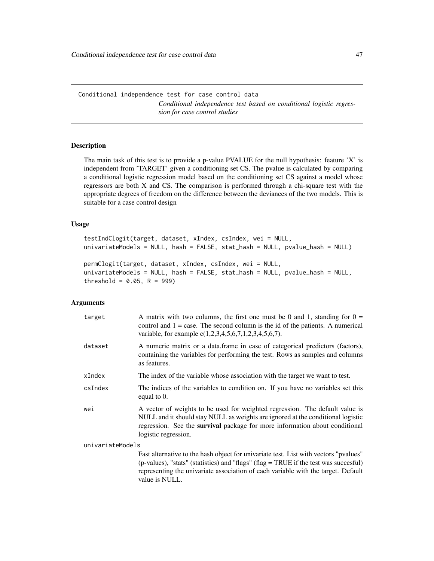Conditional independence test for case control data *Conditional independence test based on conditional logistic regression for case control studies*

### Description

The main task of this test is to provide a p-value PVALUE for the null hypothesis: feature 'X' is independent from 'TARGET' given a conditioning set CS. The pvalue is calculated by comparing a conditional logistic regression model based on the conditioning set CS against a model whose regressors are both X and CS. The comparison is performed through a chi-square test with the appropriate degrees of freedom on the difference between the deviances of the two models. This is suitable for a case control design

### Usage

```
testIndClogit(target, dataset, xIndex, csIndex, wei = NULL,
univariateModels = NULL, hash = FALSE, stat_hash = NULL, pvalue_hash = NULL)
permClogit(target, dataset, xIndex, csIndex, wei = NULL,
```

```
univariateModels = NULL, hash = FALSE, stat_hash = NULL, pvalue_hash = NULL,
threshold = 0.05, R = 999)
```
#### Arguments

| target           | A matrix with two columns, the first one must be 0 and 1, standing for $0 =$<br>control and $1 = \text{case}$ . The second column is the id of the patients. A numerical<br>variable, for example $c(1,2,3,4,5,6,7,1,2,3,4,5,6,7)$ .                                   |
|------------------|------------------------------------------------------------------------------------------------------------------------------------------------------------------------------------------------------------------------------------------------------------------------|
| dataset          | A numeric matrix or a data frame in case of categorical predictors (factors),<br>containing the variables for performing the test. Rows as samples and columns<br>as features.                                                                                         |
| xIndex           | The index of the variable whose association with the target we want to test.                                                                                                                                                                                           |
| csIndex          | The indices of the variables to condition on. If you have no variables set this<br>equal to $0$ .                                                                                                                                                                      |
| wei              | A vector of weights to be used for weighted regression. The default value is<br>NULL and it should stay NULL as weights are ignored at the conditional logistic<br>regression. See the survival package for more information about conditional<br>logistic regression. |
| univariateModels |                                                                                                                                                                                                                                                                        |
|                  | Fast alternative to the hash object for univariate test. List with vectors "pvalues"<br>(p-values), "stats" (statistics) and "flags" (flag = TRUE if the test was succesful)                                                                                           |

representing the univariate association of each variable with the target. Default value is NULL.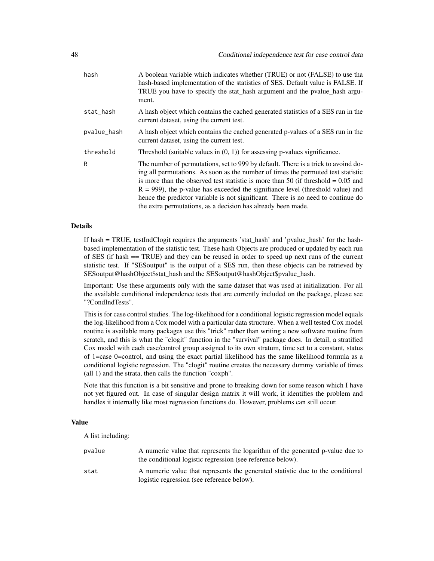| hash        | A boolean variable which indicates whether (TRUE) or not (FALSE) to use tha<br>hash-based implementation of the statistics of SES. Default value is FALSE. If<br>TRUE you have to specify the stat_hash argument and the pvalue_hash argu-<br>ment.                                                                                                                                                                                                                                                   |
|-------------|-------------------------------------------------------------------------------------------------------------------------------------------------------------------------------------------------------------------------------------------------------------------------------------------------------------------------------------------------------------------------------------------------------------------------------------------------------------------------------------------------------|
| stat_hash   | A hash object which contains the cached generated statistics of a SES run in the<br>current dataset, using the current test.                                                                                                                                                                                                                                                                                                                                                                          |
| pvalue_hash | A hash object which contains the cached generated p-values of a SES run in the<br>current dataset, using the current test.                                                                                                                                                                                                                                                                                                                                                                            |
| threshold   | Threshold (suitable values in $(0, 1)$ ) for assessing p-values significance.                                                                                                                                                                                                                                                                                                                                                                                                                         |
| R           | The number of permutations, set to 999 by default. There is a trick to avoind do-<br>ing all permutations. As soon as the number of times the permuted test statistic<br>is more than the observed test statistic is more than 50 (if threshold $= 0.05$ and<br>$R = 999$ ), the p-value has exceeded the signifiance level (threshold value) and<br>hence the predictor variable is not significant. There is no need to continue do<br>the extra permutations, as a decision has already been made. |

### Details

If hash = TRUE, testIndClogit requires the arguments 'stat\_hash' and 'pvalue\_hash' for the hashbased implementation of the statistic test. These hash Objects are produced or updated by each run of SES (if hash == TRUE) and they can be reused in order to speed up next runs of the current statistic test. If "SESoutput" is the output of a SES run, then these objects can be retrieved by SESoutput@hashObject\$stat\_hash and the SESoutput@hashObject\$pvalue\_hash.

Important: Use these arguments only with the same dataset that was used at initialization. For all the available conditional independence tests that are currently included on the package, please see "?CondIndTests".

This is for case control studies. The log-likelihood for a conditional logistic regression model equals the log-likelihood from a Cox model with a particular data structure. When a well tested Cox model routine is available many packages use this "trick" rather than writing a new software routine from scratch, and this is what the "clogit" function in the "survival" package does. In detail, a stratified Cox model with each case/control group assigned to its own stratum, time set to a constant, status of 1=case 0=control, and using the exact partial likelihood has the same likelihood formula as a conditional logistic regression. The "clogit" routine creates the necessary dummy variable of times (all 1) and the strata, then calls the function "coxph".

Note that this function is a bit sensitive and prone to breaking down for some reason which I have not yet figured out. In case of singular design matrix it will work, it identifies the problem and handles it internally like most regression functions do. However, problems can still occur.

### Value

A list including:

| pvalue | A numeric value that represents the logarithm of the generated p-value due to<br>the conditional logistic regression (see reference below). |
|--------|---------------------------------------------------------------------------------------------------------------------------------------------|
| stat   | A numeric value that represents the generated statistic due to the conditional<br>logistic regression (see reference below).                |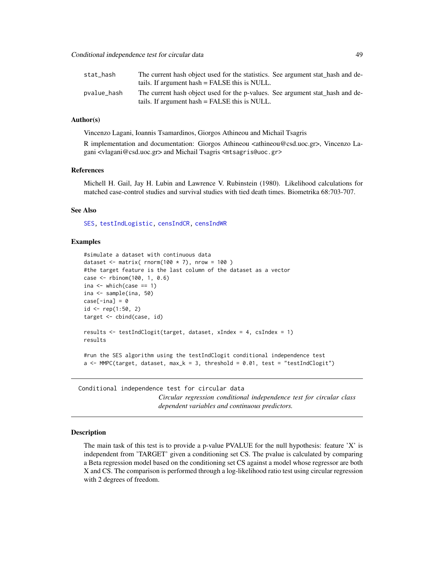| stat_hash   | The current hash object used for the statistics. See argument stat hash and de-<br>tails. If argument hash = FALSE this is NULL. |
|-------------|----------------------------------------------------------------------------------------------------------------------------------|
| pvalue_hash | The current hash object used for the p-values. See argument stat hash and de-<br>tails. If argument hash = FALSE this is NULL.   |

### Author(s)

Vincenzo Lagani, Ioannis Tsamardinos, Giorgos Athineou and Michail Tsagris

R implementation and documentation: Giorgos Athineou <athineou@csd.uoc.gr>, Vincenzo Lagani <vlagani@csd.uoc.gr> and Michail Tsagris <mtsagris@uoc.gr>

### References

Michell H. Gail, Jay H. Lubin and Lawrence V. Rubinstein (1980). Likelihood calculations for matched case-control studies and survival studies with tied death times. Biometrika 68:703-707.

### See Also

[SES,](#page-84-0) [testIndLogistic,](#page-42-0) [censIndCR,](#page-78-0) [censIndWR](#page-78-0)

### Examples

```
#simulate a dataset with continuous data
dataset \le matrix( rnorm(100 \star 7), nrow = 100 )
#the target feature is the last column of the dataset as a vector
case <- rbinom(100, 1, 0.6)
ina \leq which(case == 1)
ina <- sample(ina, 50)
case[-ina] = 0id \leq rep(1:50, 2)target <- cbind(case, id)
results <- testIndClogit(target, dataset, xIndex = 4, csIndex = 1)
results
#run the SES algorithm using the testIndClogit conditional independence test
a <- MMPC(target, dataset, max_k = 3, threshold = 0.01, test = "testIndClogit")
```
Conditional independence test for circular data *Circular regression conditional independence test for circular class dependent variables and continuous predictors.*

### Description

The main task of this test is to provide a p-value PVALUE for the null hypothesis: feature 'X' is independent from 'TARGET' given a conditioning set CS. The pvalue is calculated by comparing a Beta regression model based on the conditioning set CS against a model whose regressor are both X and CS. The comparison is performed through a log-likelihood ratio test using circular regression with 2 degrees of freedom.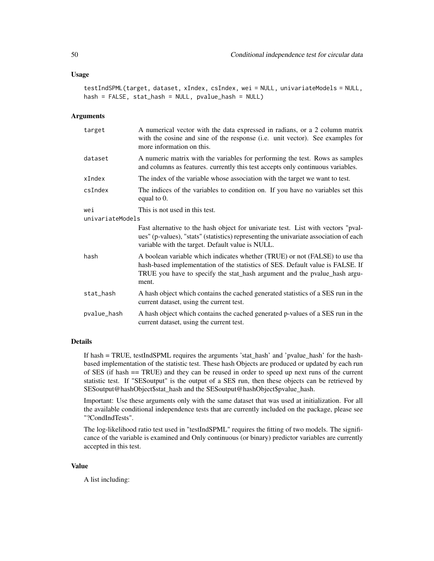#### Usage

```
testIndSPML(target, dataset, xIndex, csIndex, wei = NULL, univariateModels = NULL,
hash = FALSE, stat_hash = NULL, pvalue_hash = NULL)
```
# Arguments

| target           | A numerical vector with the data expressed in radians, or a 2 column matrix<br>with the cosine and sine of the response (i.e. unit vector). See examples for<br>more information on this.                                                           |
|------------------|-----------------------------------------------------------------------------------------------------------------------------------------------------------------------------------------------------------------------------------------------------|
| dataset          | A numeric matrix with the variables for performing the test. Rows as samples<br>and columns as features. currently this test accepts only continuous variables.                                                                                     |
| xIndex           | The index of the variable whose association with the target we want to test.                                                                                                                                                                        |
| csIndex          | The indices of the variables to condition on. If you have no variables set this<br>equal to 0.                                                                                                                                                      |
| wei              | This is not used in this test.                                                                                                                                                                                                                      |
| univariateModels |                                                                                                                                                                                                                                                     |
|                  | Fast alternative to the hash object for univariate test. List with vectors "pval-<br>ues" (p-values), "stats" (statistics) representing the univariate association of each<br>variable with the target. Default value is NULL.                      |
| hash             | A boolean variable which indicates whether (TRUE) or not (FALSE) to use tha<br>hash-based implementation of the statistics of SES. Default value is FALSE. If<br>TRUE you have to specify the stat_hash argument and the pvalue_hash argu-<br>ment. |
| stat_hash        | A hash object which contains the cached generated statistics of a SES run in the<br>current dataset, using the current test.                                                                                                                        |
| pvalue_hash      | A hash object which contains the cached generated p-values of a SES run in the<br>current dataset, using the current test.                                                                                                                          |

### Details

If hash = TRUE, testIndSPML requires the arguments 'stat\_hash' and 'pvalue\_hash' for the hashbased implementation of the statistic test. These hash Objects are produced or updated by each run of SES (if hash == TRUE) and they can be reused in order to speed up next runs of the current statistic test. If "SESoutput" is the output of a SES run, then these objects can be retrieved by SESoutput@hashObject\$stat\_hash and the SESoutput@hashObject\$pvalue\_hash.

Important: Use these arguments only with the same dataset that was used at initialization. For all the available conditional independence tests that are currently included on the package, please see "?CondIndTests".

The log-likelihood ratio test used in "testIndSPML" requires the fitting of two models. The significance of the variable is examined and Only continuous (or binary) predictor variables are currently accepted in this test.

#### Value

A list including: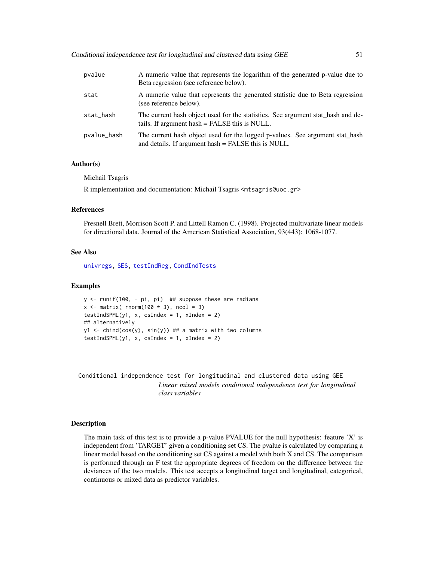| pvalue      | A numeric value that represents the logarithm of the generated p-value due to<br>Beta regression (see reference below).             |
|-------------|-------------------------------------------------------------------------------------------------------------------------------------|
| stat        | A numeric value that represents the generated statistic due to Beta regression<br>(see reference below).                            |
| stat_hash   | The current hash object used for the statistics. See argument stat_hash and de-<br>tails. If argument hash = FALSE this is NULL.    |
| pvalue_hash | The current hash object used for the logged p-values. See argument stat_hash<br>and details. If argument hash = FALSE this is NULL. |

### Author(s)

Michail Tsagris

R implementation and documentation: Michail Tsagris <mtsagris@uoc.gr>

### References

Presnell Brett, Morrison Scott P. and Littell Ramon C. (1998). Projected multivariate linear models for directional data. Journal of the American Statistical Association, 93(443): 1068-1077.

### See Also

[univregs,](#page-240-0) [SES,](#page-84-0) [testIndReg,](#page-64-0) [CondIndTests](#page-31-0)

#### Examples

```
y <- runif(100, - pi, pi) ## suppose these are radians
x \le matrix( rnorm(100 \star 3), ncol = 3)
testIndSPML(y1, x, csIndex = 1, xIndex = 2)
## alternatively
y1 \le cbind(cos(y), sin(y)) ## a matrix with two columns
testIndSPML(y1, x, csIndex = 1, xIndex = 2)
```
Conditional independence test for longitudinal and clustered data using GEE *Linear mixed models conditional independence test for longitudinal class variables*

#### Description

The main task of this test is to provide a p-value PVALUE for the null hypothesis: feature  $X'$  is independent from 'TARGET' given a conditioning set CS. The pvalue is calculated by comparing a linear model based on the conditioning set CS against a model with both X and CS. The comparison is performed through an F test the appropriate degrees of freedom on the difference between the deviances of the two models. This test accepts a longitudinal target and longitudinal, categorical, continuous or mixed data as predictor variables.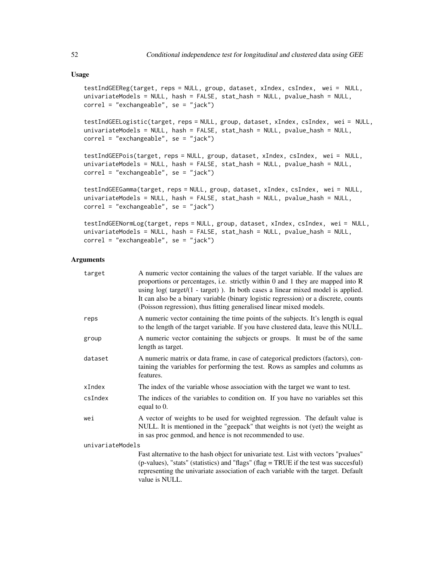#### Usage

```
testIndGEEReg(target, reps = NULL, group, dataset, xIndex, csIndex, wei = NULL,
univariateModels = NULL, hash = FALSE, stat_hash = NULL, pvalue_hash = NULL,
correl = "exchangeable", se = "jack")
testIndGEELogistic(target, reps = NULL, group, dataset, xIndex, csIndex, wei = NULL,
univariateModels = NULL, hash = FALSE, stat_hash = NULL, pvalue_hash = NULL,
correl = "exchangeable", se = "jack")
testIndGEEPois(target, reps = NULL, group, dataset, xIndex, csIndex, wei = NULL,
univariateModels = NULL, hash = FALSE, stat_hash = NULL, pvalue_hash = NULL,
correl = "exchangeable", se = "jack")
testIndGEEGamma(target, reps = NULL, group, dataset, xIndex, csIndex, wei = NULL,
univariateModels = NULL, hash = FALSE, stat_hash = NULL, pvalue_hash = NULL,
correl = "exchangeable", se = "jack")
testIndGEENormLog(target, reps = NULL, group, dataset, xIndex, csIndex, wei = NULL,
univariateModels = NULL, hash = FALSE, stat_hash = NULL, pvalue_hash = NULL,
```
#### Arguments

correl = "exchangeable", se = "jack")

| target           | A numeric vector containing the values of the target variable. If the values are<br>proportions or percentages, i.e. strictly within $0$ and $1$ they are mapped into $R$<br>using $log(t \text{ target}/(1 - \text{target}))$ . In both cases a linear mixed model is applied.<br>It can also be a binary variable (binary logistic regression) or a discrete, counts<br>(Poisson regression), thus fitting generalised linear mixed models. |
|------------------|-----------------------------------------------------------------------------------------------------------------------------------------------------------------------------------------------------------------------------------------------------------------------------------------------------------------------------------------------------------------------------------------------------------------------------------------------|
| reps             | A numeric vector containing the time points of the subjects. It's length is equal<br>to the length of the target variable. If you have clustered data, leave this NULL.                                                                                                                                                                                                                                                                       |
| group            | A numeric vector containing the subjects or groups. It must be of the same<br>length as target.                                                                                                                                                                                                                                                                                                                                               |
| dataset          | A numeric matrix or data frame, in case of categorical predictors (factors), con-<br>taining the variables for performing the test. Rows as samples and columns as<br>features.                                                                                                                                                                                                                                                               |
| xIndex           | The index of the variable whose association with the target we want to test.                                                                                                                                                                                                                                                                                                                                                                  |
| csIndex          | The indices of the variables to condition on. If you have no variables set this<br>equal to 0.                                                                                                                                                                                                                                                                                                                                                |
| wei              | A vector of weights to be used for weighted regression. The default value is<br>NULL. It is mentioned in the "geepack" that weights is not (yet) the weight as<br>in sas proc genmod, and hence is not recommended to use.                                                                                                                                                                                                                    |
| univariateModels |                                                                                                                                                                                                                                                                                                                                                                                                                                               |
|                  | Fast alternative to the hash object for univariate test. List with vectors "pvalues"<br>(p-values), "stats" (statistics) and "flags" (flag = TRUE if the test was succesful)<br>representing the univariate association of each variable with the target. Default                                                                                                                                                                             |

value is NULL.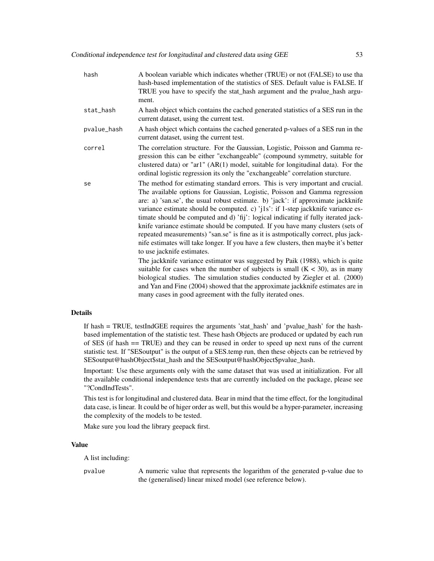hash A boolean variable which indicates whether (TRUE) or not (FALSE) to use tha hash-based implementation of the statistics of SES. Default value is FALSE. If TRUE you have to specify the stat\_hash argument and the pvalue\_hash argument. stat\_hash A hash object which contains the cached generated statistics of a SES run in the current dataset, using the current test. pvalue\_hash A hash object which contains the cached generated p-values of a SES run in the current dataset, using the current test. correl The correlation structure. For the Gaussian, Logistic, Poisson and Gamma regression this can be either "exchangeable" (compound symmetry, suitable for clustered data) or "ar1" (AR(1) model, suitable for longitudinal data). For the ordinal logistic regression its only the "exchangeable" correlation sturcture. se The method for estimating standard errors. This is very important and crucial. The available options for Gaussian, Logistic, Poisson and Gamma regression are: a) 'san.se', the usual robust estimate. b) 'jack': if approximate jackknife variance estimate should be computed. c) 'j1s': if 1-step jackknife variance estimate should be computed and d) 'fij': logical indicating if fully iterated jackknife variance estimate should be computed. If you have many clusters (sets of repeated measurements) "san.se" is fine as it is astmpotically correct, plus jacknife estimates will take longer. If you have a few clusters, then maybe it's better to use jacknife estimates. The jackknife variance estimator was suggested by Paik (1988), which is quite suitable for cases when the number of subjects is small  $(K < 30)$ , as in many biological studies. The simulation studies conducted by Ziegler et al. (2000) and Yan and Fine (2004) showed that the approximate jackknife estimates are in many cases in good agreement with the fully iterated ones.

## Details

If hash = TRUE, testIndGEE requires the arguments 'stat\_hash' and 'pvalue\_hash' for the hashbased implementation of the statistic test. These hash Objects are produced or updated by each run of SES (if hash == TRUE) and they can be reused in order to speed up next runs of the current statistic test. If "SESoutput" is the output of a SES.temp run, then these objects can be retrieved by SESoutput@hashObject\$stat\_hash and the SESoutput@hashObject\$pvalue\_hash.

Important: Use these arguments only with the same dataset that was used at initialization. For all the available conditional independence tests that are currently included on the package, please see "?CondIndTests".

This test is for longitudinal and clustered data. Bear in mind that the time effect, for the longitudinal data case, is linear. It could be of higer order as well, but this would be a hyper-parameter, increasing the complexity of the models to be tested.

Make sure you load the library geepack first.

#### Value

A list including:

pvalue A numeric value that represents the logarithm of the generated p-value due to the (generalised) linear mixed model (see reference below).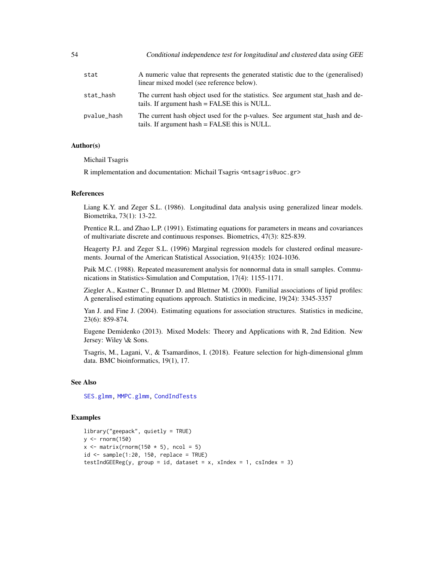| 54 |             | Conditional independence test for longitudinal and clustered data using GEE                                                      |
|----|-------------|----------------------------------------------------------------------------------------------------------------------------------|
|    | stat        | A numeric value that represents the generated statistic due to the (generalised)<br>linear mixed model (see reference below).    |
|    | stat_hash   | The current hash object used for the statistics. See argument stat_hash and de-<br>tails. If argument hash = FALSE this is NULL. |
|    | pvalue_hash | The current hash object used for the p-values. See argument stat_hash and de-<br>tails. If argument hash = FALSE this is NULL.   |

#### Author(s)

Michail Tsagris

R implementation and documentation: Michail Tsagris <mtsagris@uoc.gr>

### References

Liang K.Y. and Zeger S.L. (1986). Longitudinal data analysis using generalized linear models. Biometrika, 73(1): 13-22.

Prentice R.L. and Zhao L.P. (1991). Estimating equations for parameters in means and covariances of multivariate discrete and continuous responses. Biometrics, 47(3): 825-839.

Heagerty P.J. and Zeger S.L. (1996) Marginal regression models for clustered ordinal measurements. Journal of the American Statistical Association, 91(435): 1024-1036.

Paik M.C. (1988). Repeated measurement analysis for nonnormal data in small samples. Communications in Statistics-Simulation and Computation, 17(4): 1155-1171.

Ziegler A., Kastner C., Brunner D. and Blettner M. (2000). Familial associations of lipid profiles: A generalised estimating equations approach. Statistics in medicine, 19(24): 3345-3357

Yan J. and Fine J. (2004). Estimating equations for association structures. Statistics in medicine, 23(6): 859-874.

Eugene Demidenko (2013). Mixed Models: Theory and Applications with R, 2nd Edition. New Jersey: Wiley \& Sons.

Tsagris, M., Lagani, V., & Tsamardinos, I. (2018). Feature selection for high-dimensional glmm data. BMC bioinformatics, 19(1), 17.

### See Also

[SES.glmm,](#page-90-0) [MMPC.glmm,](#page-90-0) [CondIndTests](#page-31-0)

### Examples

```
library("geepack", quietly = TRUE)
y \leftarrow \text{norm}(150)x \leftarrow \text{matrix}(rnorm(150 * 5), ncol = 5)id \leq samemath>sample(1:20, 150, replace = TRUE)testIndGEEReg(y, group = id, dataset = x, xIndex = 1, csIndex = 3)
```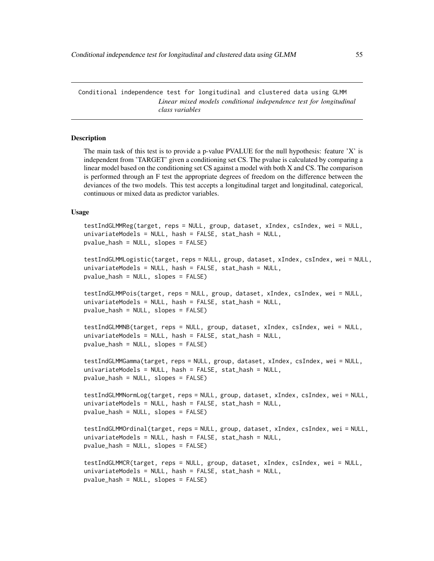Conditional independence test for longitudinal and clustered data using GLMM *Linear mixed models conditional independence test for longitudinal class variables*

#### **Description**

The main task of this test is to provide a p-value PVALUE for the null hypothesis: feature 'X' is independent from 'TARGET' given a conditioning set CS. The pvalue is calculated by comparing a linear model based on the conditioning set CS against a model with both X and CS. The comparison is performed through an F test the appropriate degrees of freedom on the difference between the deviances of the two models. This test accepts a longitudinal target and longitudinal, categorical, continuous or mixed data as predictor variables.

#### Usage

```
testIndGLMMReg(target, reps = NULL, group, dataset, xIndex, csIndex, wei = NULL,
univariateModels = NULL, hash = FALSE, stat_hash = NULL,
pvalue_hash = NULL, slopes = FALSE)
testIndGLMMLogistic(target, reps = NULL, group, dataset, xIndex, csIndex, wei = NULL,
univariateModels = NULL, hash = FALSE, stat_hash = NULL,
pvalue_hash = NULL, slopes = FALSE)
testIndGLMMPois(target, reps = NULL, group, dataset, xIndex, csIndex, wei = NULL,
univariateModels = NULL, hash = FALSE, stat_hash = NULL,
pvalue_hash = NULL, slopes = FALSE)
testIndGLMMNB(target, reps = NULL, group, dataset, xIndex, csIndex, wei = NULL,
univariateModels = NULL, hash = FALSE, stat_hash = NULL,
pvalue_hash = NULL, slopes = FALSE)
testIndGLMMGamma(target, reps = NULL, group, dataset, xIndex, csIndex, wei = NULL,
univariateModels = NULL, hash = FALSE, stat_hash = NULL,
pvalue_hash = NULL, slopes = FALSE)
testIndGLMMNormLog(target, reps = NULL, group, dataset, xIndex, csIndex, wei = NULL,
univariateModels = NULL, hash = FALSE, stat_hash = NULL,
pvalue_hash = NULL, slopes = FALSE)
testIndGLMMOrdinal(target, reps = NULL, group, dataset, xIndex, csIndex, wei = NULL,
univariateModels = NULL, hash = FALSE, stat_hash = NULL,
pvalue_hash = NULL, slopes = FALSE)
testIndGLMMCR(target, reps = NULL, group, dataset, xIndex, csIndex, wei = NULL,
univariateModels = NULL, hash = FALSE, stat_hash = NULL,
pvalue_hash = NULL, slopes = FALSE)
```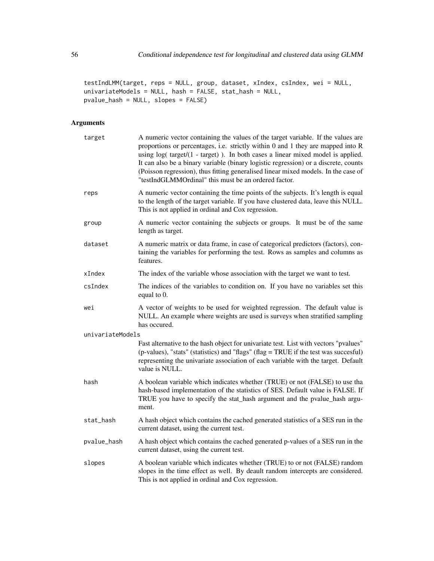testIndLMM(target, reps = NULL, group, dataset, xIndex, csIndex, wei = NULL, univariateModels = NULL, hash = FALSE, stat\_hash = NULL, pvalue\_hash = NULL, slopes = FALSE)

# Arguments

| target           | A numeric vector containing the values of the target variable. If the values are<br>proportions or percentages, i.e. strictly within 0 and 1 they are mapped into R<br>using log( target/(1 - target) ). In both cases a linear mixed model is applied.<br>It can also be a binary variable (binary logistic regression) or a discrete, counts<br>(Poisson regression), thus fitting generalised linear mixed models. In the case of<br>"testIndGLMMOrdinal" this must be an ordered factor. |
|------------------|----------------------------------------------------------------------------------------------------------------------------------------------------------------------------------------------------------------------------------------------------------------------------------------------------------------------------------------------------------------------------------------------------------------------------------------------------------------------------------------------|
| reps             | A numeric vector containing the time points of the subjects. It's length is equal<br>to the length of the target variable. If you have clustered data, leave this NULL.<br>This is not applied in ordinal and Cox regression.                                                                                                                                                                                                                                                                |
| group            | A numeric vector containing the subjects or groups. It must be of the same<br>length as target.                                                                                                                                                                                                                                                                                                                                                                                              |
| dataset          | A numeric matrix or data frame, in case of categorical predictors (factors), con-<br>taining the variables for performing the test. Rows as samples and columns as<br>features.                                                                                                                                                                                                                                                                                                              |
| xIndex           | The index of the variable whose association with the target we want to test.                                                                                                                                                                                                                                                                                                                                                                                                                 |
| csIndex          | The indices of the variables to condition on. If you have no variables set this<br>equal to 0.                                                                                                                                                                                                                                                                                                                                                                                               |
| wei              | A vector of weights to be used for weighted regression. The default value is<br>NULL. An example where weights are used is surveys when stratified sampling<br>has occured.                                                                                                                                                                                                                                                                                                                  |
| univariateModels |                                                                                                                                                                                                                                                                                                                                                                                                                                                                                              |
|                  | Fast alternative to the hash object for univariate test. List with vectors "pvalues"<br>(p-values), "stats" (statistics) and "flags" (flag = TRUE if the test was succesful)<br>representing the univariate association of each variable with the target. Default<br>value is NULL.                                                                                                                                                                                                          |
| hash             | A boolean variable which indicates whether (TRUE) or not (FALSE) to use tha<br>hash-based implementation of the statistics of SES. Default value is FALSE. If<br>TRUE you have to specify the stat_hash argument and the pvalue_hash argu-<br>ment.                                                                                                                                                                                                                                          |
| stat_hash        | A hash object which contains the cached generated statistics of a SES run in the<br>current dataset, using the current test.                                                                                                                                                                                                                                                                                                                                                                 |
| pvalue_hash      | A hash object which contains the cached generated p-values of a SES run in the<br>current dataset, using the current test.                                                                                                                                                                                                                                                                                                                                                                   |
| slopes           | A boolean variable which indicates whether (TRUE) to or not (FALSE) random<br>slopes in the time effect as well. By deault random intercepts are considered.<br>This is not applied in ordinal and Cox regression.                                                                                                                                                                                                                                                                           |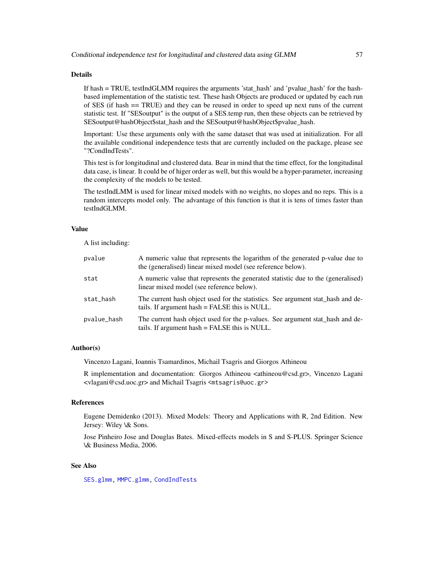### Details

If hash = TRUE, testIndGLMM requires the arguments 'stat\_hash' and 'pvalue\_hash' for the hashbased implementation of the statistic test. These hash Objects are produced or updated by each run of SES (if hash == TRUE) and they can be reused in order to speed up next runs of the current statistic test. If "SESoutput" is the output of a SES.temp run, then these objects can be retrieved by SESoutput@hashObject\$stat\_hash and the SESoutput@hashObject\$pvalue\_hash.

Important: Use these arguments only with the same dataset that was used at initialization. For all the available conditional independence tests that are currently included on the package, please see "?CondIndTests".

This test is for longitudinal and clustered data. Bear in mind that the time effect, for the longitudinal data case, is linear. It could be of higer order as well, but this would be a hyper-parameter, increasing the complexity of the models to be tested.

The testIndLMM is used for linear mixed models with no weights, no slopes and no reps. This is a random intercepts model only. The advantage of this function is that it is tens of times faster than testIndGLMM.

#### Value

A list including:

| pvalue      | A numeric value that represents the logarithm of the generated p-value due to<br>the (generalised) linear mixed model (see reference below). |
|-------------|----------------------------------------------------------------------------------------------------------------------------------------------|
| stat        | A numeric value that represents the generated statistic due to the (generalised)<br>linear mixed model (see reference below).                |
| stat_hash   | The current hash object used for the statistics. See argument stat_hash and de-<br>tails. If argument hash = FALSE this is NULL.             |
| pvalue_hash | The current hash object used for the p-values. See argument stat_hash and de-<br>tails. If argument hash = FALSE this is NULL.               |

#### Author(s)

Vincenzo Lagani, Ioannis Tsamardinos, Michail Tsagris and Giorgos Athineou

R implementation and documentation: Giorgos Athineou <athineou@csd.gr>, Vincenzo Lagani <vlagani@csd.uoc.gr> and Michail Tsagris <mtsagris@uoc.gr>

#### References

Eugene Demidenko (2013). Mixed Models: Theory and Applications with R, 2nd Edition. New Jersey: Wiley \& Sons.

Jose Pinheiro Jose and Douglas Bates. Mixed-effects models in S and S-PLUS. Springer Science \& Business Media, 2006.

### See Also

[SES.glmm,](#page-90-0) [MMPC.glmm,](#page-90-0) [CondIndTests](#page-31-0)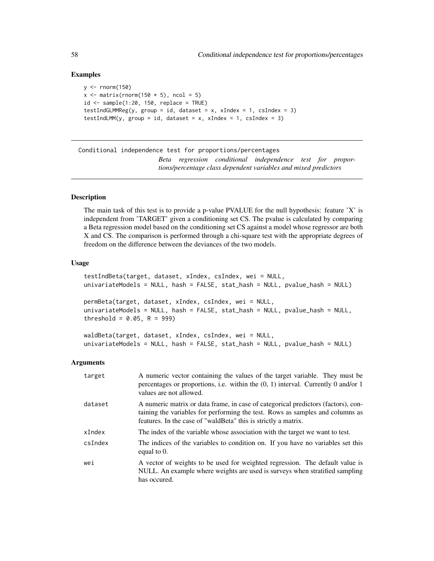### Examples

```
y \le - rnorm(150)x \le matrix(rnorm(150 \star 5), ncol = 5)
id \leq - sample(1:20, 150, replace = TRUE)testIndGLMMReg(y, group = id, dataset = x, xIndex = 1, csIndex = 3)
testIndLMM(y, group = id, dataset = x, xIndex = 1, csIndex = 3)
```
Conditional independence test for proportions/percentages *Beta regression conditional independence test for proportions/percentage class dependent variables and mixed predictors*

### <span id="page-57-0"></span>Description

The main task of this test is to provide a p-value PVALUE for the null hypothesis: feature 'X' is independent from 'TARGET' given a conditioning set CS. The pvalue is calculated by comparing a Beta regression model based on the conditioning set CS against a model whose regressor are both X and CS. The comparison is performed through a chi-square test with the appropriate degrees of freedom on the difference between the deviances of the two models.

#### Usage

```
testIndBeta(target, dataset, xIndex, csIndex, wei = NULL,
univariateModels = NULL, hash = FALSE, stat_hash = NULL, pvalue_hash = NULL)
permBeta(target, dataset, xIndex, csIndex, wei = NULL,
```

```
univariateModels = NULL, hash = FALSE, stat_hash = NULL, pvalue_hash = NULL,
threshold = 0.05, R = 999)
```

```
waldBeta(target, dataset, xIndex, csIndex, wei = NULL,
univariateModels = NULL, hash = FALSE, stat_hash = NULL, pvalue_hash = NULL)
```
### Arguments

| target  | A numeric vector containing the values of the target variable. They must be<br>percentages or proportions, i.e. within the $(0, 1)$ interval. Currently 0 and/or 1<br>values are not allowed.                                        |
|---------|--------------------------------------------------------------------------------------------------------------------------------------------------------------------------------------------------------------------------------------|
| dataset | A numeric matrix or data frame, in case of categorical predictors (factors), con-<br>taining the variables for performing the test. Rows as samples and columns as<br>features. In the case of "waldBeta" this is strictly a matrix. |
| xIndex  | The index of the variable whose association with the target we want to test.                                                                                                                                                         |
| csIndex | The indices of the variables to condition on. If you have no variables set this<br>equal to $0$ .                                                                                                                                    |
| wei     | A vector of weights to be used for weighted regression. The default value is<br>NULL. An example where weights are used is surveys when stratified sampling<br>has occured.                                                          |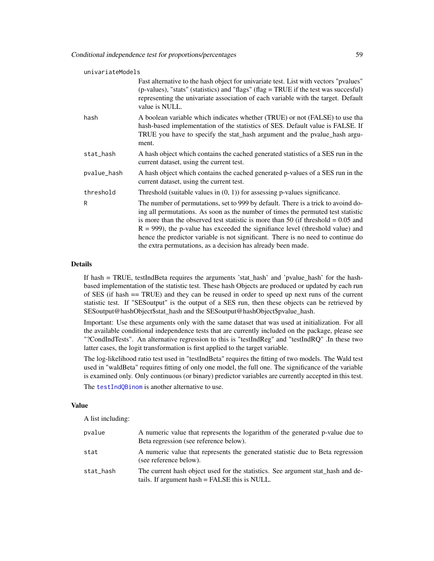| univariateModels |                                                                                                                                                                                                                                                                                                                                                                                                                                                                                                       |  |
|------------------|-------------------------------------------------------------------------------------------------------------------------------------------------------------------------------------------------------------------------------------------------------------------------------------------------------------------------------------------------------------------------------------------------------------------------------------------------------------------------------------------------------|--|
|                  | Fast alternative to the hash object for univariate test. List with vectors "pvalues"<br>(p-values), "stats" (statistics) and "flags" (flag = TRUE if the test was succesful)<br>representing the univariate association of each variable with the target. Default<br>value is NULL.                                                                                                                                                                                                                   |  |
| hash             | A boolean variable which indicates whether (TRUE) or not (FALSE) to use tha<br>hash-based implementation of the statistics of SES. Default value is FALSE. If<br>TRUE you have to specify the stat_hash argument and the pvalue_hash argu-<br>ment.                                                                                                                                                                                                                                                   |  |
| stat_hash        | A hash object which contains the cached generated statistics of a SES run in the<br>current dataset, using the current test.                                                                                                                                                                                                                                                                                                                                                                          |  |
| pvalue_hash      | A hash object which contains the cached generated p-values of a SES run in the<br>current dataset, using the current test.                                                                                                                                                                                                                                                                                                                                                                            |  |
| threshold        | Threshold (suitable values in $(0, 1)$ ) for assessing p-values significance.                                                                                                                                                                                                                                                                                                                                                                                                                         |  |
| R                | The number of permutations, set to 999 by default. There is a trick to avoind do-<br>ing all permutations. As soon as the number of times the permuted test statistic<br>is more than the observed test statistic is more than 50 (if threshold $= 0.05$ and<br>$R = 999$ ), the p-value has exceeded the signifiance level (threshold value) and<br>hence the predictor variable is not significant. There is no need to continue do<br>the extra permutations, as a decision has already been made. |  |

### Details

If hash = TRUE, testIndBeta requires the arguments 'stat\_hash' and 'pvalue\_hash' for the hashbased implementation of the statistic test. These hash Objects are produced or updated by each run of SES (if hash == TRUE) and they can be reused in order to speed up next runs of the current statistic test. If "SESoutput" is the output of a SES run, then these objects can be retrieved by SESoutput@hashObject\$stat\_hash and the SESoutput@hashObject\$pvalue\_hash.

Important: Use these arguments only with the same dataset that was used at initialization. For all the available conditional independence tests that are currently included on the package, please see "?CondIndTests". An alternative regression to this is "testIndReg" and "testIndRQ" .In these two latter cases, the logit transformation is first applied to the target variable.

The log-likelihood ratio test used in "testIndBeta" requires the fitting of two models. The Wald test used in "waldBeta" requires fitting of only one model, the full one. The significance of the variable is examined only. Only continuous (or binary) predictor variables are currently accepted in this test.

The [testIndQBinom](#page-42-0) is another alternative to use.

#### Value

A list including:

| pvalue    | A numeric value that represents the logarithm of the generated p-value due to<br>Beta regression (see reference below).          |
|-----------|----------------------------------------------------------------------------------------------------------------------------------|
| stat      | A numeric value that represents the generated statistic due to Beta regression<br>(see reference below).                         |
| stat_hash | The current hash object used for the statistics. See argument stat hash and de-<br>tails. If argument hash = FALSE this is NULL. |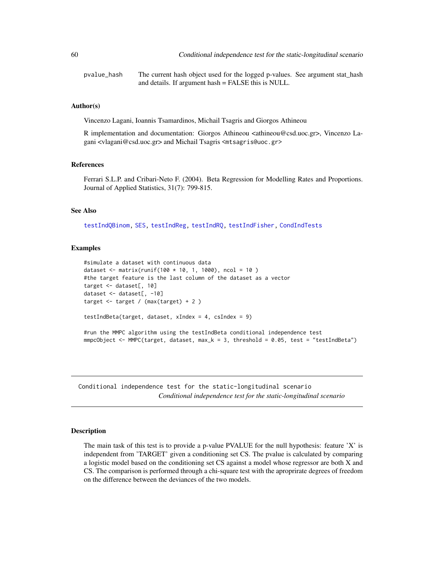60 Conditional independence test for the static-longitudinal scenario

pvalue\_hash The current hash object used for the logged p-values. See argument stat\_hash and details. If argument hash = FALSE this is NULL.

#### Author(s)

Vincenzo Lagani, Ioannis Tsamardinos, Michail Tsagris and Giorgos Athineou

R implementation and documentation: Giorgos Athineou <athineou@csd.uoc.gr>, Vincenzo Lagani <vlagani@csd.uoc.gr> and Michail Tsagris <mtsagris@uoc.gr>

#### References

Ferrari S.L.P. and Cribari-Neto F. (2004). Beta Regression for Modelling Rates and Proportions. Journal of Applied Statistics, 31(7): 799-815.

#### See Also

[testIndQBinom,](#page-42-0) [SES,](#page-84-0) [testIndReg,](#page-64-0) [testIndRQ,](#page-64-0) [testIndFisher,](#page-100-0) [CondIndTests](#page-31-0)

### Examples

```
#simulate a dataset with continuous data
dataset <- matrix(runif(100 * 10, 1, 1000), ncol = 10)
#the target feature is the last column of the dataset as a vector
target <- dataset[, 10]
dataset <- dataset[, -10]
target <- target / (max(target) + 2 )
testIndBeta(target, dataset, xIndex = 4, csIndex = 9)
#run the MMPC algorithm using the testIndBeta conditional independence test
mmpcObject <- MMPC(target, dataset, max_k = 3, threshold = 0.05, test = "testIndBeta")
```
Conditional independence test for the static-longitudinal scenario *Conditional independence test for the static-longitudinal scenario*

### Description

The main task of this test is to provide a p-value PVALUE for the null hypothesis: feature 'X' is independent from 'TARGET' given a conditioning set CS. The pvalue is calculated by comparing a logistic model based on the conditioning set CS against a model whose regressor are both X and CS. The comparison is performed through a chi-square test with the aproprirate degrees of freedom on the difference between the deviances of the two models.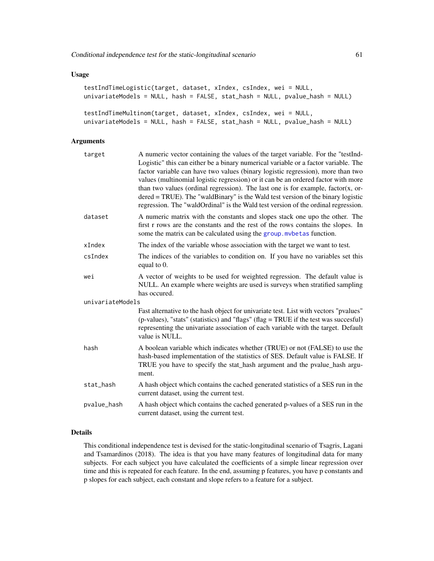#### Usage

```
testIndTimeLogistic(target, dataset, xIndex, csIndex, wei = NULL,
univariateModels = NULL, hash = FALSE, stat_hash = NULL, pvalue_hash = NULL)
testIndTimeMultinom(target, dataset, xIndex, csIndex, wei = NULL,
univariateModels = NULL, hash = FALSE, stat_hash = NULL, pvalue_hash = NULL)
```
# Arguments

| target           | A numeric vector containing the values of the target variable. For the "testInd-<br>Logistic" this can either be a binary numerical variable or a factor variable. The<br>factor variable can have two values (binary logistic regression), more than two<br>values (multinomial logistic regression) or it can be an ordered factor with more<br>than two values (ordinal regression). The last one is for example, $factor(x, or$<br>$dered = TRUE$ ). The "waldBinary" is the Wald test version of the binary logistic<br>regression. The "waldOrdinal" is the Wald test version of the ordinal regression. |
|------------------|----------------------------------------------------------------------------------------------------------------------------------------------------------------------------------------------------------------------------------------------------------------------------------------------------------------------------------------------------------------------------------------------------------------------------------------------------------------------------------------------------------------------------------------------------------------------------------------------------------------|
| dataset          | A numeric matrix with the constants and slopes stack one upo the other. The<br>first r rows are the constants and the rest of the rows contains the slopes. In<br>some the matrix can be calculated using the group. mybetas function.                                                                                                                                                                                                                                                                                                                                                                         |
| xIndex           | The index of the variable whose association with the target we want to test.                                                                                                                                                                                                                                                                                                                                                                                                                                                                                                                                   |
| csIndex          | The indices of the variables to condition on. If you have no variables set this<br>equal to 0.                                                                                                                                                                                                                                                                                                                                                                                                                                                                                                                 |
| wei              | A vector of weights to be used for weighted regression. The default value is<br>NULL. An example where weights are used is surveys when stratified sampling<br>has occured.                                                                                                                                                                                                                                                                                                                                                                                                                                    |
| univariateModels |                                                                                                                                                                                                                                                                                                                                                                                                                                                                                                                                                                                                                |
|                  | Fast alternative to the hash object for univariate test. List with vectors "pvalues"<br>(p-values), "stats" (statistics) and "flags" (flag = TRUE if the test was succesful)<br>representing the univariate association of each variable with the target. Default<br>value is NULL.                                                                                                                                                                                                                                                                                                                            |
| hash             | A boolean variable which indicates whether (TRUE) or not (FALSE) to use the<br>hash-based implementation of the statistics of SES. Default value is FALSE. If<br>TRUE you have to specify the stat_hash argument and the pvalue_hash argu-<br>ment.                                                                                                                                                                                                                                                                                                                                                            |
| stat_hash        | A hash object which contains the cached generated statistics of a SES run in the<br>current dataset, using the current test.                                                                                                                                                                                                                                                                                                                                                                                                                                                                                   |
| pvalue_hash      | A hash object which contains the cached generated p-values of a SES run in the<br>current dataset, using the current test.                                                                                                                                                                                                                                                                                                                                                                                                                                                                                     |

# Details

This conditional independence test is devised for the static-longitudinal scenario of Tsagris, Lagani and Tsamardinos (2018). The idea is that you have many features of longitudinal data for many subjects. For each subject you have calculated the coefficients of a simple linear regression over time and this is repeated for each feature. In the end, assuming p features, you have p constants and p slopes for each subject, each constant and slope refers to a feature for a subject.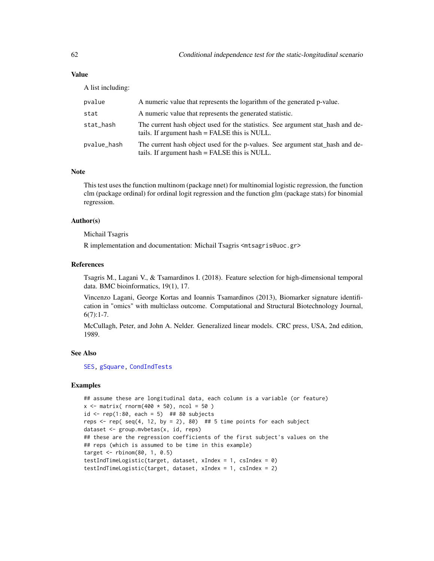### Value

A list including:

| pvalue      | A numeric value that represents the logarithm of the generated p-value.                                                          |
|-------------|----------------------------------------------------------------------------------------------------------------------------------|
| stat        | A numeric value that represents the generated statistic.                                                                         |
| stat_hash   | The current hash object used for the statistics. See argument stat_hash and de-<br>tails. If argument hash = FALSE this is NULL. |
| pvalue_hash | The current hash object used for the p-values. See argument stat_hash and de-<br>tails. If argument hash = FALSE this is NULL.   |

### Note

This test uses the function multinom (package nnet) for multinomial logistic regression, the function clm (package ordinal) for ordinal logit regression and the function glm (package stats) for binomial regression.

### Author(s)

Michail Tsagris

R implementation and documentation: Michail Tsagris <mtsagris@uoc.gr>

#### References

Tsagris M., Lagani V., & Tsamardinos I. (2018). Feature selection for high-dimensional temporal data. BMC bioinformatics, 19(1), 17.

Vincenzo Lagani, George Kortas and Ioannis Tsamardinos (2013), Biomarker signature identification in "omics" with multiclass outcome. Computational and Structural Biotechnology Journal,  $6(7):1-7.$ 

McCullagh, Peter, and John A. Nelder. Generalized linear models. CRC press, USA, 2nd edition, 1989.

#### See Also

[SES,](#page-84-0) [gSquare,](#page-150-0) [CondIndTests](#page-31-0)

### Examples

```
## assume these are longitudinal data, each column is a variable (or feature)
x \le matrix( rnorm(400 \star 50), ncol = 50)
id \le rep(1:80, each = 5) ## 80 subjects
reps \le- rep( seq(4, 12, by = 2), 80) ## 5 time points for each subject
dataset <- group.mvbetas(x, id, reps)
## these are the regression coefficients of the first subject's values on the
## reps (which is assumed to be time in this example)
target \le rbinom(80, 1, 0.5)testIndTimeLogistic(target, dataset, xIndex = 1, csIndex = 0)
testIndTimeLogistic(target, dataset, xIndex = 1, csIndex = 2)
```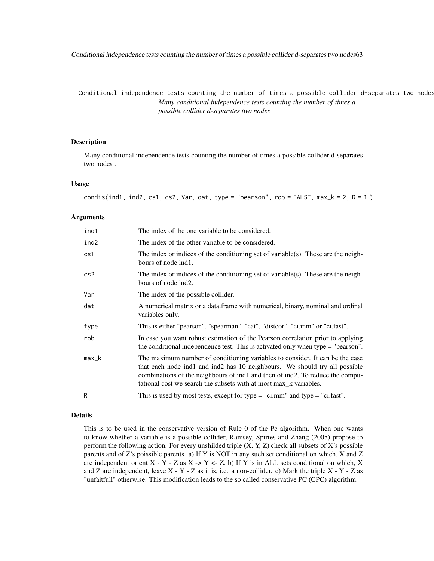Conditional independence tests counting the number of times a possible collider d-separates two nodes63

Conditional independence tests counting the number of times a possible collider d-separates two nodes *Many conditional independence tests counting the number of times a possible collider d-separates two nodes*

### Description

Many conditional independence tests counting the number of times a possible collider d-separates two nodes .

### Usage

```
condis(ind1, ind2, cs1, cs2, Var, dat, type = "pearson", rob = FALSE, max_k = 2, R = 1)
```
#### Arguments

| ind1  | The index of the one variable to be considered.                                                                                                                                                                                                                                                                  |
|-------|------------------------------------------------------------------------------------------------------------------------------------------------------------------------------------------------------------------------------------------------------------------------------------------------------------------|
| ind2  | The index of the other variable to be considered.                                                                                                                                                                                                                                                                |
| cs1   | The index or indices of the conditioning set of variable(s). These are the neigh-<br>bours of node ind1.                                                                                                                                                                                                         |
| cs2   | The index or indices of the conditioning set of variable(s). These are the neigh-<br>bours of node ind2.                                                                                                                                                                                                         |
| Var   | The index of the possible collider.                                                                                                                                                                                                                                                                              |
| dat   | A numerical matrix or a data. frame with numerical, binary, nominal and ordinal<br>variables only.                                                                                                                                                                                                               |
| type  | This is either "pearson", "spearman", "cat", "distcor", "ci.mm" or "ci.fast".                                                                                                                                                                                                                                    |
| rob   | In case you want robust estimation of the Pearson correlation prior to applying<br>the conditional independence test. This is activated only when type $=$ "pearson".                                                                                                                                            |
| max_k | The maximum number of conditioning variables to consider. It can be the case<br>that each node ind1 and ind2 has 10 neighbours. We should try all possible<br>combinations of the neighbours of ind1 and then of ind2. To reduce the compu-<br>tational cost we search the subsets with at most max_k variables. |
| R     | This is used by most tests, except for type = "ci.mm" and type = "ci.fast".                                                                                                                                                                                                                                      |
|       |                                                                                                                                                                                                                                                                                                                  |

## Details

This is to be used in the conservative version of Rule 0 of the Pc algorithm. When one wants to know whether a variable is a possible collider, Ramsey, Spirtes and Zhang (2005) propose to perform the following action. For every unshilded triple  $(X, Y, Z)$  check all subsets of X's possible parents and of Z's poissible parents. a) If Y is NOT in any such set conditional on which, X and Z are independent orient X - Y - Z as X -> Y <- Z. b) If Y is in ALL sets conditional on which, X and Z are independent, leave  $X - Y - Z$  as it is, i.e. a non-collider. c) Mark the triple  $X - Y - Z$  as "unfaitfull" otherwise. This modification leads to the so called conservative PC (CPC) algorithm.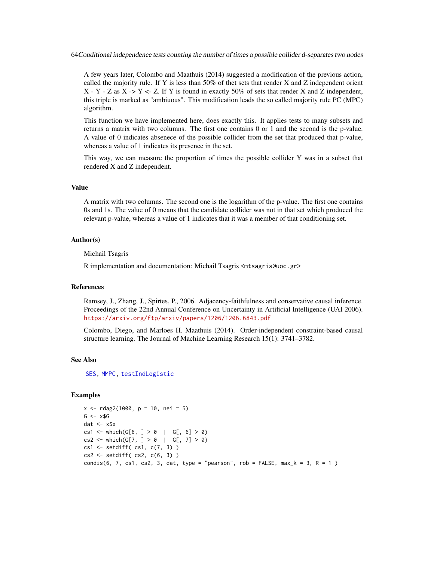64Conditional independence tests counting the number of times a possible collider d-separates two nodes

A few years later, Colombo and Maathuis (2014) suggested a modification of the previous action, called the majority rule. If Y is less than  $50\%$  of thet sets that render X and Z independent orient  $X - Y - Z$  as  $X \rightarrow Y \leftarrow Z$ . If Y is found in exactly 50% of sets that render X and Z independent, this triple is marked as "ambiuous". This modification leads the so called majority rule PC (MPC) algorithm.

This function we have implemented here, does exactly this. It applies tests to many subsets and returns a matrix with two columns. The first one contains 0 or 1 and the second is the p-value. A value of 0 indicates absenece of the possible collider from the set that produced that p-value, whereas a value of 1 indicates its presence in the set.

This way, we can measure the proportion of times the possible collider Y was in a subset that rendered X and Z independent.

# Value

A matrix with two columns. The second one is the logarithm of the p-value. The first one contains 0s and 1s. The value of 0 means that the candidate collider was not in that set which produced the relevant p-value, whereas a value of 1 indicates that it was a member of that conditioning set.

### Author(s)

Michail Tsagris

R implementation and documentation: Michail Tsagris <mtsagris@uoc.gr>

#### References

Ramsey, J., Zhang, J., Spirtes, P., 2006. Adjacency-faithfulness and conservative causal inference. Proceedings of the 22nd Annual Conference on Uncertainty in Artificial Intelligence (UAI 2006). <https://arxiv.org/ftp/arxiv/papers/1206/1206.6843.pdf>

Colombo, Diego, and Marloes H. Maathuis (2014). Order-independent constraint-based causal structure learning. The Journal of Machine Learning Research 15(1): 3741–3782.

### See Also

[SES,](#page-84-0) [MMPC,](#page-84-0) [testIndLogistic](#page-42-0)

#### Examples

```
x \le - rdag2(1000, p = 10, nei = 5)
G \leftarrow x $Gdat <-x$x
cs1 <- which(G[6, ] > 0 | G[, 6] > 0)
cs2 \leq - which(G[7, ] > 0 | G[, 7] > 0)
cs1 <- setdiff( cs1, c(7, 3) )
cs2 <- setdiff( cs2, c(6, 3) )
condis(6, 7, cs1, cs2, 3, dat, type = "pearson", rob = FALSE, max_k = 3, R = 1)
```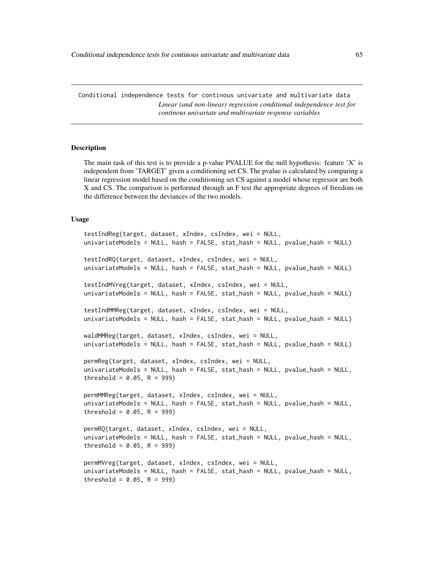Conditional independence tests for continous univariate and multivariate data *Linear (and non-linear) regression conditional independence test for continous univariate and multivariate response variables*

### <span id="page-64-0"></span>Description

The main task of this test is to provide a p-value PVALUE for the null hypothesis: feature  $X'$  is independent from 'TARGET' given a conditioning set CS. The pvalue is calculated by comparing a linear regression model based on the conditioning set CS against a model whose regressor are both X and CS. The comparison is performed through an F test the appropriate degrees of freedom on the difference between the deviances of the two models.

### Usage

```
testIndReg(target, dataset, xIndex, csIndex, wei = NULL,
univariateModels = NULL, hash = FALSE, stat_hash = NULL, pvalue_hash = NULL)
testIndRQ(target, dataset, xIndex, csIndex, wei = NULL,
univariateModels = NULL, hash = FALSE, stat_hash = NULL, pvalue_hash = NULL)
testIndMVreg(target, dataset, xIndex, csIndex, wei = NULL,
univariateModels = NULL, hash = FALSE, stat_hash = NULL, pvalue_hash = NULL)
testIndMMReg(target, dataset, xIndex, csIndex, wei = NULL,
univariateModels = NULL, hash = FALSE, stat_hash = NULL, pvalue_hash = NULL)
waldMMReg(target, dataset, xIndex, csIndex, wei = NULL,
univariateModels = NULL, hash = FALSE, stat_hash = NULL, pvalue_hash = NULL)
permReg(target, dataset, xIndex, csIndex, wei = NULL,
univariateModels = NULL, hash = FALSE, stat_hash = NULL, pvalue_hash = NULL,
threshold = 0.05, R = 999)
permMMReg(target, dataset, xIndex, csIndex, wei = NULL,
univariateModels = NULL, hash = FALSE, stat_hash = NULL, pvalue_hash = NULL,
threshold = 0.05, R = 999)
permRQ(target, dataset, xIndex, csIndex, wei = NULL,
univariateModels = NULL, hash = FALSE, stat_hash = NULL, pvalue_hash = NULL,
threshold = 0.05, R = 999)
permMVreg(target, dataset, xIndex, csIndex, wei = NULL,
univariateModels = NULL, hash = FALSE, stat_hash = NULL, pvalue_hash = NULL,
threshold = 0.05, R = 999)
```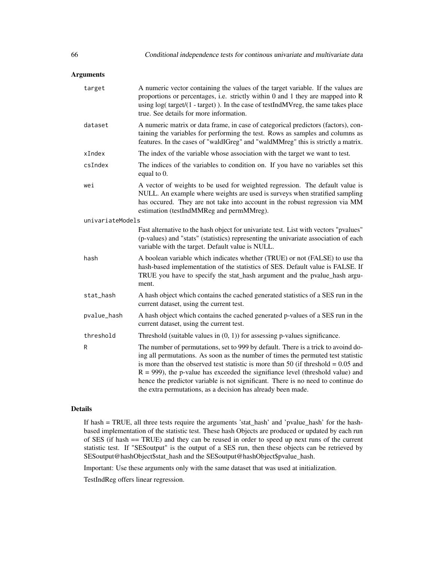### Arguments

| target           | A numeric vector containing the values of the target variable. If the values are<br>proportions or percentages, i.e. strictly within 0 and 1 they are mapped into R<br>using log(target/(1 - target)). In the case of testIndMVreg, the same takes place<br>true. See details for more information.                                                                                                                                                                                                   |
|------------------|-------------------------------------------------------------------------------------------------------------------------------------------------------------------------------------------------------------------------------------------------------------------------------------------------------------------------------------------------------------------------------------------------------------------------------------------------------------------------------------------------------|
| dataset          | A numeric matrix or data frame, in case of categorical predictors (factors), con-<br>taining the variables for performing the test. Rows as samples and columns as<br>features. In the cases of "waldIGreg" and "waldMMreg" this is strictly a matrix.                                                                                                                                                                                                                                                |
| xIndex           | The index of the variable whose association with the target we want to test.                                                                                                                                                                                                                                                                                                                                                                                                                          |
| csIndex          | The indices of the variables to condition on. If you have no variables set this<br>equal to 0.                                                                                                                                                                                                                                                                                                                                                                                                        |
| wei              | A vector of weights to be used for weighted regression. The default value is<br>NULL. An example where weights are used is surveys when stratified sampling<br>has occured. They are not take into account in the robust regression via MM<br>estimation (testIndMMReg and permMMreg).                                                                                                                                                                                                                |
| univariateModels |                                                                                                                                                                                                                                                                                                                                                                                                                                                                                                       |
|                  | Fast alternative to the hash object for univariate test. List with vectors "pvalues"<br>(p-values) and "stats" (statistics) representing the univariate association of each<br>variable with the target. Default value is NULL.                                                                                                                                                                                                                                                                       |
| hash             | A boolean variable which indicates whether (TRUE) or not (FALSE) to use tha<br>hash-based implementation of the statistics of SES. Default value is FALSE. If<br>TRUE you have to specify the stat_hash argument and the pvalue_hash argu-<br>ment.                                                                                                                                                                                                                                                   |
| stat_hash        | A hash object which contains the cached generated statistics of a SES run in the<br>current dataset, using the current test.                                                                                                                                                                                                                                                                                                                                                                          |
| pvalue_hash      | A hash object which contains the cached generated p-values of a SES run in the<br>current dataset, using the current test.                                                                                                                                                                                                                                                                                                                                                                            |
| threshold        | Threshold (suitable values in $(0, 1)$ ) for assessing p-values significance.                                                                                                                                                                                                                                                                                                                                                                                                                         |
| R                | The number of permutations, set to 999 by default. There is a trick to avoind do-<br>ing all permutations. As soon as the number of times the permuted test statistic<br>is more than the observed test statistic is more than 50 (if threshold $= 0.05$ and<br>$R = 999$ ), the p-value has exceeded the signifiance level (threshold value) and<br>hence the predictor variable is not significant. There is no need to continue do<br>the extra permutations, as a decision has already been made. |

# Details

If hash = TRUE, all three tests require the arguments 'stat\_hash' and 'pvalue\_hash' for the hashbased implementation of the statistic test. These hash Objects are produced or updated by each run of SES (if hash == TRUE) and they can be reused in order to speed up next runs of the current statistic test. If "SESoutput" is the output of a SES run, then these objects can be retrieved by SESoutput@hashObject\$stat\_hash and the SESoutput@hashObject\$pvalue\_hash.

Important: Use these arguments only with the same dataset that was used at initialization.

TestIndReg offers linear regression.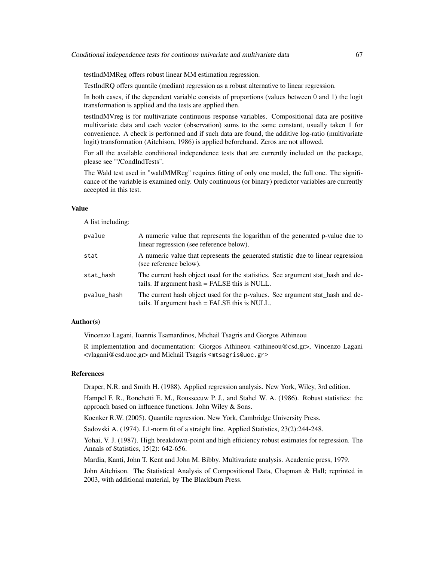testIndMMReg offers robust linear MM estimation regression.

TestIndRQ offers quantile (median) regression as a robust alternative to linear regression.

In both cases, if the dependent variable consists of proportions (values between 0 and 1) the logit transformation is applied and the tests are applied then.

testIndMVreg is for multivariate continuous response variables. Compositional data are positive multivariate data and each vector (observation) sums to the same constant, usually taken 1 for convenience. A check is performed and if such data are found, the additive log-ratio (multivariate logit) transformation (Aitchison, 1986) is applied beforehand. Zeros are not allowed.

For all the available conditional independence tests that are currently included on the package, please see "?CondIndTests".

The Wald test used in "waldMMReg" requires fitting of only one model, the full one. The significance of the variable is examined only. Only continuous (or binary) predictor variables are currently accepted in this test.

### Value

A list including:

| pvalue      | A numeric value that represents the logarithm of the generated p-value due to<br>linear regression (see reference below).        |
|-------------|----------------------------------------------------------------------------------------------------------------------------------|
| stat        | A numeric value that represents the generated statistic due to linear regression<br>(see reference below).                       |
| stat_hash   | The current hash object used for the statistics. See argument stat_hash and de-<br>tails. If argument hash = FALSE this is NULL. |
| pvalue_hash | The current hash object used for the p-values. See argument stat_hash and de-<br>tails. If argument hash = FALSE this is NULL.   |

### Author(s)

Vincenzo Lagani, Ioannis Tsamardinos, Michail Tsagris and Giorgos Athineou

R implementation and documentation: Giorgos Athineou <athineou@csd.gr>, Vincenzo Lagani <vlagani@csd.uoc.gr> and Michail Tsagris <mtsagris@uoc.gr>

### References

Draper, N.R. and Smith H. (1988). Applied regression analysis. New York, Wiley, 3rd edition.

Hampel F. R., Ronchetti E. M., Rousseeuw P. J., and Stahel W. A. (1986). Robust statistics: the approach based on influence functions. John Wiley & Sons.

Koenker R.W. (2005). Quantile regression. New York, Cambridge University Press.

Sadovski A. (1974). L1-norm fit of a straight line. Applied Statistics, 23(2):244-248.

Yohai, V. J. (1987). High breakdown-point and high efficiency robust estimates for regression. The Annals of Statistics, 15(2): 642-656.

Mardia, Kanti, John T. Kent and John M. Bibby. Multivariate analysis. Academic press, 1979.

John Aitchison. The Statistical Analysis of Compositional Data, Chapman & Hall; reprinted in 2003, with additional material, by The Blackburn Press.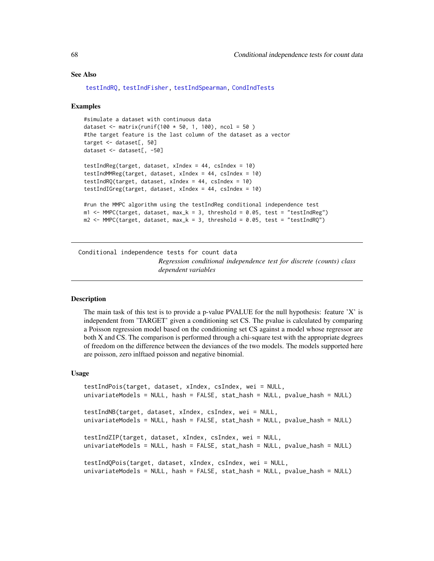### See Also

```
testIndRQ, testIndFisher, testIndSpearman, CondIndTests
```
### Examples

```
#simulate a dataset with continuous data
dataset <- matrix(runif(100 * 50, 1, 100), ncol = 50)
#the target feature is the last column of the dataset as a vector
target <- dataset[, 50]
dataset <- dataset[, -50]
testIndReg(target, dataset, xIndex = 44, csIndex = 10)
testIndMMReg(target, dataset, xIndex = 44, csIndex = 10)
testIndRQ(target, dataset, xIndex = 44, csIndex = 10)
testIndIGreg(target, dataset, xIndex = 44, csIndex = 10)
#run the MMPC algorithm using the testIndReg conditional independence test
m1 <- MMPC(target, dataset, max_k = 3, threshold = 0.05, test = "testIndReg")
m2 < - MMPC(target, dataset, max_k = 3, threshold = 0.05, test = "testIndRQ")
```
Conditional independence tests for count data *Regression conditional independence test for discrete (counts) class dependent variables*

### <span id="page-67-0"></span>Description

The main task of this test is to provide a p-value PVALUE for the null hypothesis: feature 'X' is independent from 'TARGET' given a conditioning set CS. The pvalue is calculated by comparing a Poisson regression model based on the conditioning set CS against a model whose regressor are both X and CS. The comparison is performed through a chi-square test with the appropriate degrees of freedom on the difference between the deviances of the two models. The models supported here are poisson, zero inlftaed poisson and negative binomial.

#### Usage

```
testIndPois(target, dataset, xIndex, csIndex, wei = NULL,
univariateModels = NULL, hash = FALSE, stat_hash = NULL, pvalue_hash = NULL)
testIndNB(target, dataset, xIndex, csIndex, wei = NULL,
univariateModels = NULL, hash = FALSE, stat_hash = NULL, pvalue_hash = NULL)
testIndZIP(target, dataset, xIndex, csIndex, wei = NULL,
univariateModels = NULL, hash = FALSE, stat_hash = NULL, pvalue_hash = NULL)
testIndQPois(target, dataset, xIndex, csIndex, wei = NULL,
univariateModels = NULL, hash = FALSE, stat_hash = NULL, pvalue_hash = NULL)
```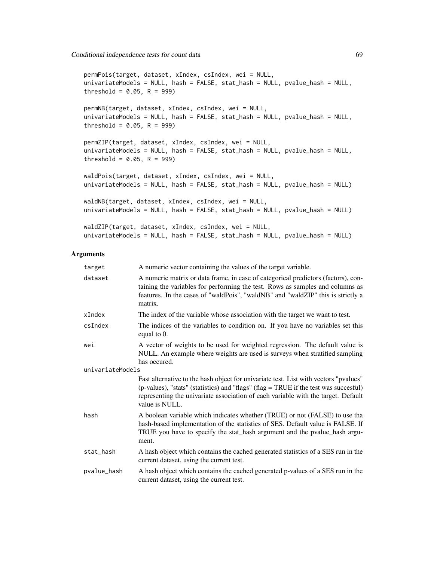```
permPois(target, dataset, xIndex, csIndex, wei = NULL,
univariateModels = NULL, hash = FALSE, stat_hash = NULL, pvalue_hash = NULL,
threshold = 0.05, R = 999)
permNB(target, dataset, xIndex, csIndex, wei = NULL,
univariateModels = NULL, hash = FALSE, stat_hash = NULL, pvalue_hash = NULL,
threshold = 0.05, R = 999)
permZIP(target, dataset, xIndex, csIndex, wei = NULL,
univariateModels = NULL, hash = FALSE, stat_hash = NULL, pvalue_hash = NULL,
threshold = 0.05, R = 999)
waldPois(target, dataset, xIndex, csIndex, wei = NULL,
univariateModels = NULL, hash = FALSE, stat_hash = NULL, pvalue_hash = NULL)
waldNB(target, dataset, xIndex, csIndex, wei = NULL,
univariateModels = NULL, hash = FALSE, stat_hash = NULL, pvalue_hash = NULL)
waldZIP(target, dataset, xIndex, csIndex, wei = NULL,
univariateModels = NULL, hash = FALSE, stat_hash = NULL, pvalue_hash = NULL)
```
#### **Arguments**

| target           | A numeric vector containing the values of the target variable.                                                                                                                                                                                                                      |
|------------------|-------------------------------------------------------------------------------------------------------------------------------------------------------------------------------------------------------------------------------------------------------------------------------------|
| dataset          | A numeric matrix or data frame, in case of categorical predictors (factors), con-<br>taining the variables for performing the test. Rows as samples and columns as<br>features. In the cases of "waldPois", "waldNB" and "waldZIP" this is strictly a<br>matrix.                    |
| xIndex           | The index of the variable whose association with the target we want to test.                                                                                                                                                                                                        |
| csIndex          | The indices of the variables to condition on. If you have no variables set this<br>equal to 0.                                                                                                                                                                                      |
| wei              | A vector of weights to be used for weighted regression. The default value is<br>NULL. An example where weights are used is surveys when stratified sampling<br>has occured.                                                                                                         |
| univariateModels |                                                                                                                                                                                                                                                                                     |
|                  | Fast alternative to the hash object for univariate test. List with vectors "pvalues"<br>(p-values), "stats" (statistics) and "flags" (flag = TRUE if the test was succesful)<br>representing the univariate association of each variable with the target. Default<br>value is NULL. |
| hash             | A boolean variable which indicates whether (TRUE) or not (FALSE) to use tha<br>hash-based implementation of the statistics of SES. Default value is FALSE. If<br>TRUE you have to specify the stat_hash argument and the pvalue_hash argu-<br>ment.                                 |
| stat_hash        | A hash object which contains the cached generated statistics of a SES run in the<br>current dataset, using the current test.                                                                                                                                                        |
| pvalue_hash      | A hash object which contains the cached generated p-values of a SES run in the<br>current dataset, using the current test.                                                                                                                                                          |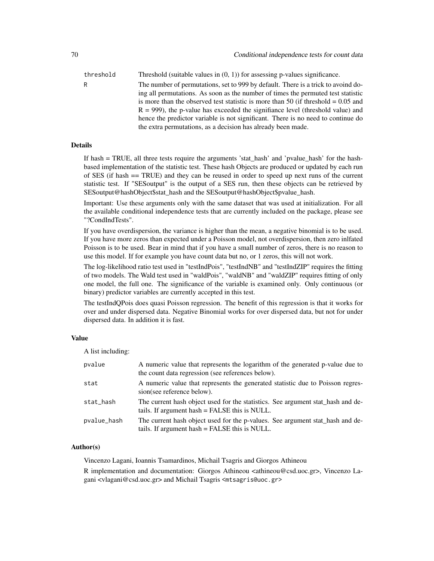threshold Threshold (suitable values in  $(0, 1)$ ) for assessing p-values significance. R The number of permutations, set to 999 by default. There is a trick to avoind doing all permutations. As soon as the number of times the permuted test statistic is more than the observed test statistic is more than 50 (if threshold  $= 0.05$  and  $R = 999$ ), the p-value has exceeded the signifiance level (threshold value) and hence the predictor variable is not significant. There is no need to continue do the extra permutations, as a decision has already been made.

### Details

If hash = TRUE, all three tests require the arguments 'stat\_hash' and 'pvalue\_hash' for the hashbased implementation of the statistic test. These hash Objects are produced or updated by each run of SES (if hash == TRUE) and they can be reused in order to speed up next runs of the current statistic test. If "SESoutput" is the output of a SES run, then these objects can be retrieved by SESoutput@hashObject\$stat\_hash and the SESoutput@hashObject\$pvalue\_hash.

Important: Use these arguments only with the same dataset that was used at initialization. For all the available conditional independence tests that are currently included on the package, please see "?CondIndTests".

If you have overdispersion, the variance is higher than the mean, a negative binomial is to be used. If you have more zeros than expected under a Poisson model, not overdispersion, then zero inlfated Poisson is to be used. Bear in mind that if you have a small number of zeros, there is no reason to use this model. If for example you have count data but no, or 1 zeros, this will not work.

The log-likelihood ratio test used in "testIndPois", "testIndNB" and "testIndZIP" requires the fitting of two models. The Wald test used in "waldPois", "waldNB" and "waldZIP" requires fitting of only one model, the full one. The significance of the variable is examined only. Only continuous (or binary) predictor variables are currently accepted in this test.

The testIndQPois does quasi Poisson regression. The benefit of this regression is that it works for over and under dispersed data. Negative Binomial works for over dispersed data, but not for under dispersed data. In addition it is fast.

### Value

A list including:

| pvalue      | A numeric value that represents the logarithm of the generated p-value due to<br>the count data regression (see references below). |
|-------------|------------------------------------------------------------------------------------------------------------------------------------|
| stat        | A numeric value that represents the generated statistic due to Poisson regres-<br>sion(see reference below).                       |
| stat_hash   | The current hash object used for the statistics. See argument stat_hash and de-<br>tails. If argument hash = FALSE this is NULL.   |
| pvalue_hash | The current hash object used for the p-values. See argument stat_hash and de-<br>tails. If argument hash = FALSE this is NULL.     |

# Author(s)

Vincenzo Lagani, Ioannis Tsamardinos, Michail Tsagris and Giorgos Athineou

R implementation and documentation: Giorgos Athineou <athineou@csd.uoc.gr>, Vincenzo Lagani <vlagani@csd.uoc.gr> and Michail Tsagris <mtsagris@uoc.gr>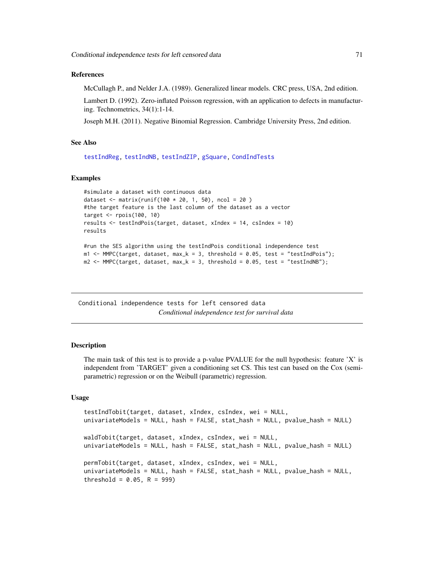#### References

McCullagh P., and Nelder J.A. (1989). Generalized linear models. CRC press, USA, 2nd edition.

Lambert D. (1992). Zero-inflated Poisson regression, with an application to defects in manufacturing. Technometrics, 34(1):1-14.

Joseph M.H. (2011). Negative Binomial Regression. Cambridge University Press, 2nd edition.

#### See Also

[testIndReg,](#page-64-0) [testIndNB,](#page-67-0) [testIndZIP,](#page-67-0) [gSquare,](#page-150-0) [CondIndTests](#page-31-0)

### Examples

```
#simulate a dataset with continuous data
dataset <- matrix(runif(100 * 20, 1, 50), ncol = 20)
#the target feature is the last column of the dataset as a vector
target \leq rpois(100, 10)
results <- testIndPois(target, dataset, xIndex = 14, csIndex = 10)
results
#run the SES algorithm using the testIndPois conditional independence test
m1 <- MMPC(target, dataset, max_k = 3, threshold = 0.05, test = "testIndPois");
m2 \leq MMPC(target, dataset, max_k = 3, threshold = 0.05, test = "testIndNB");
```
Conditional independence tests for left censored data *Conditional independence test for survival data*

#### Description

The main task of this test is to provide a p-value PVALUE for the null hypothesis: feature 'X' is independent from 'TARGET' given a conditioning set CS. This test can based on the Cox (semiparametric) regression or on the Weibull (parametric) regression.

### Usage

```
testIndTobit(target, dataset, xIndex, csIndex, wei = NULL,
univariateModels = NULL, hash = FALSE, stat_hash = NULL, pvalue_hash = NULL)
waldTobit(target, dataset, xIndex, csIndex, wei = NULL,
univariateModels = NULL, hash = FALSE, stat_hash = NULL, pvalue_hash = NULL)
permTobit(target, dataset, xIndex, csIndex, wei = NULL,
univariateModels = NULL, hash = FALSE, stat_hash = NULL, pvalue_hash = NULL,
threshold = 0.05, R = 999)
```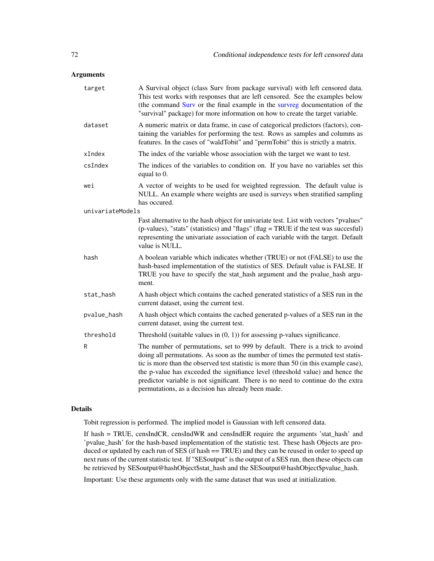## Arguments

| target           | A Survival object (class Surv from package survival) with left censored data.<br>This test works with responses that are left censored. See the examples below<br>(the command Surv or the final example in the survreg documentation of the<br>"survival" package) for more information on how to create the target variable.                                                                                                                                                        |
|------------------|---------------------------------------------------------------------------------------------------------------------------------------------------------------------------------------------------------------------------------------------------------------------------------------------------------------------------------------------------------------------------------------------------------------------------------------------------------------------------------------|
| dataset          | A numeric matrix or data frame, in case of categorical predictors (factors), con-<br>taining the variables for performing the test. Rows as samples and columns as<br>features. In the cases of "waldTobit" and "permTobit" this is strictly a matrix.                                                                                                                                                                                                                                |
| xIndex           | The index of the variable whose association with the target we want to test.                                                                                                                                                                                                                                                                                                                                                                                                          |
| csIndex          | The indices of the variables to condition on. If you have no variables set this<br>equal to 0.                                                                                                                                                                                                                                                                                                                                                                                        |
| wei              | A vector of weights to be used for weighted regression. The default value is<br>NULL. An example where weights are used is surveys when stratified sampling<br>has occured.                                                                                                                                                                                                                                                                                                           |
| univariateModels |                                                                                                                                                                                                                                                                                                                                                                                                                                                                                       |
|                  | Fast alternative to the hash object for univariate test. List with vectors "pvalues"<br>(p-values), "stats" (statistics) and "flags" (flag = TRUE if the test was succesful)<br>representing the univariate association of each variable with the target. Default<br>value is NULL.                                                                                                                                                                                                   |
| hash             | A boolean variable which indicates whether (TRUE) or not (FALSE) to use the<br>hash-based implementation of the statistics of SES. Default value is FALSE. If<br>TRUE you have to specify the stat_hash argument and the pvalue_hash argu-<br>ment.                                                                                                                                                                                                                                   |
| stat_hash        | A hash object which contains the cached generated statistics of a SES run in the<br>current dataset, using the current test.                                                                                                                                                                                                                                                                                                                                                          |
| pvalue_hash      | A hash object which contains the cached generated p-values of a SES run in the<br>current dataset, using the current test.                                                                                                                                                                                                                                                                                                                                                            |
| threshold        | Threshold (suitable values in $(0, 1)$ ) for assessing p-values significance.                                                                                                                                                                                                                                                                                                                                                                                                         |
| R                | The number of permutations, set to 999 by default. There is a trick to avoind<br>doing all permutations. As soon as the number of times the permuted test statis-<br>tic is more than the observed test statistic is more than 50 (in this example case),<br>the p-value has exceeded the signifiance level (threshold value) and hence the<br>predictor variable is not significant. There is no need to continue do the extra<br>permutations, as a decision has already been made. |

# Details

Tobit regression is performed. The implied model is Gaussian with left censored data.

If hash = TRUE, censIndCR, censIndWR and censIndER require the arguments 'stat\_hash' and 'pvalue\_hash' for the hash-based implementation of the statistic test. These hash Objects are produced or updated by each run of SES (if hash == TRUE) and they can be reused in order to speed up next runs of the current statistic test. If "SESoutput" is the output of a SES run, then these objects can be retrieved by SESoutput@hashObject\$stat\_hash and the SESoutput@hashObject\$pvalue\_hash.

Important: Use these arguments only with the same dataset that was used at initialization.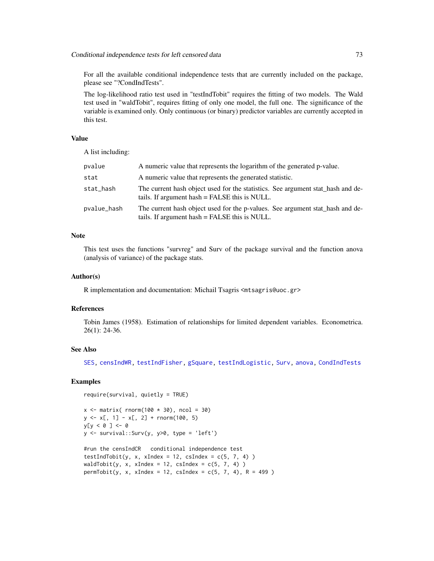For all the available conditional independence tests that are currently included on the package, please see "?CondIndTests".

The log-likelihood ratio test used in "testIndTobit" requires the fitting of two models. The Wald test used in "waldTobit", requires fitting of only one model, the full one. The significance of the variable is examined only. Only continuous (or binary) predictor variables are currently accepted in this test.

### Value

A list including:

| pvalue      | A numeric value that represents the logarithm of the generated p-value.                                                          |
|-------------|----------------------------------------------------------------------------------------------------------------------------------|
| stat        | A numeric value that represents the generated statistic.                                                                         |
| stat_hash   | The current hash object used for the statistics. See argument stat_hash and de-<br>tails. If argument hash = FALSE this is NULL. |
| pvalue_hash | The current hash object used for the p-values. See argument stat_hash and de-<br>tails. If argument hash = FALSE this is NULL.   |

## **Note**

This test uses the functions "survreg" and Surv of the package survival and the function anova (analysis of variance) of the package stats.

#### Author(s)

R implementation and documentation: Michail Tsagris <mtsagris@uoc.gr>

#### References

Tobin James (1958). Estimation of relationships for limited dependent variables. Econometrica. 26(1): 24-36.

#### See Also

[SES,](#page-84-0) [censIndWR,](#page-78-0) [testIndFisher,](#page-100-0) [gSquare,](#page-150-0) [testIndLogistic,](#page-42-0) [Surv,](#page-0-0) [anova,](#page-0-0) [CondIndTests](#page-31-0)

## Examples

```
require(survival, quietly = TRUE)
```

```
x \le matrix( rnorm(100 \star 30), ncol = 30)
y \le x[, 1] - x[, 2] + \text{rnorm}(100, 5)y[y < 0 ] < -0y \le - survival::Surv(y, y > 0, type = 'left')
```

```
#run the censIndCR conditional independence test
testIndTobit(y, x, xIndex = 12, csIndex = c(5, 7, 4))
waldTobit(y, x, xIndex = 12, csIndex = c(5, 7, 4))
permTobit(y, x, xIndex = 12, csIndex = c(5, 7, 4), R = 499)
```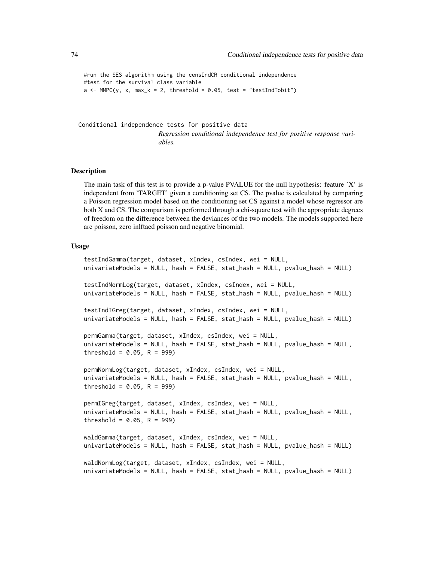```
#run the SES algorithm using the censIndCR conditional independence
#test for the survival class variable
a \leq MMPC(y, x, max_k = 2, threshold = 0.05, test = "testIndTobit")
```
Conditional independence tests for positive data *Regression conditional independence test for positive response variables.*

## Description

The main task of this test is to provide a p-value PVALUE for the null hypothesis: feature 'X' is independent from 'TARGET' given a conditioning set CS. The pvalue is calculated by comparing a Poisson regression model based on the conditioning set CS against a model whose regressor are both X and CS. The comparison is performed through a chi-square test with the appropriate degrees of freedom on the difference between the deviances of the two models. The models supported here are poisson, zero inlftaed poisson and negative binomial.

# Usage

testIndGamma(target, dataset, xIndex, csIndex, wei = NULL, univariateModels = NULL, hash = FALSE, stat\_hash = NULL, pvalue\_hash = NULL) testIndNormLog(target, dataset, xIndex, csIndex, wei = NULL, univariateModels = NULL, hash = FALSE, stat\_hash = NULL, pvalue\_hash = NULL) testIndIGreg(target, dataset, xIndex, csIndex, wei = NULL, univariateModels = NULL, hash = FALSE, stat\_hash = NULL, pvalue\_hash = NULL) permGamma(target, dataset, xIndex, csIndex, wei = NULL, univariateModels = NULL, hash = FALSE, stat\_hash = NULL, pvalue\_hash = NULL, threshold =  $0.05$ , R = 999) permNormLog(target, dataset, xIndex, csIndex, wei = NULL, univariateModels = NULL, hash = FALSE, stat\_hash = NULL, pvalue\_hash = NULL, threshold =  $0.05$ , R = 999) permIGreg(target, dataset, xIndex, csIndex, wei = NULL, univariateModels = NULL, hash = FALSE, stat\_hash = NULL, pvalue\_hash = NULL, threshold =  $0.05$ , R = 999) waldGamma(target, dataset, xIndex, csIndex, wei = NULL, univariateModels = NULL, hash = FALSE, stat\_hash = NULL, pvalue\_hash = NULL) waldNormLog(target, dataset, xIndex, csIndex, wei = NULL, univariateModels = NULL, hash = FALSE, stat\_hash = NULL, pvalue\_hash = NULL)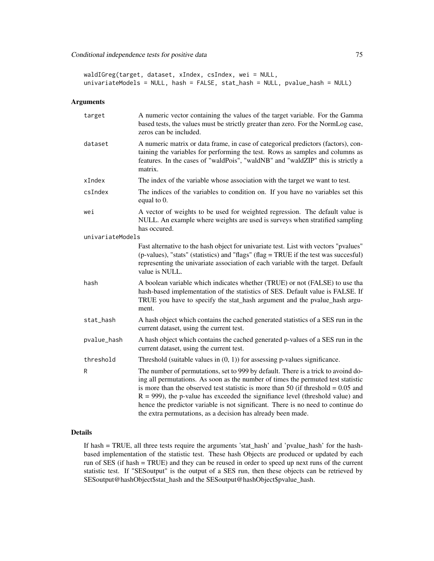waldIGreg(target, dataset, xIndex, csIndex, wei = NULL, univariateModels = NULL, hash = FALSE, stat\_hash = NULL, pvalue\_hash = NULL)

## Arguments

| target           | A numeric vector containing the values of the target variable. For the Gamma<br>based tests, the values must be strictly greater than zero. For the NormLog case,<br>zeros can be included.                                                                                                                                                                                                                                                                                                           |
|------------------|-------------------------------------------------------------------------------------------------------------------------------------------------------------------------------------------------------------------------------------------------------------------------------------------------------------------------------------------------------------------------------------------------------------------------------------------------------------------------------------------------------|
| dataset          | A numeric matrix or data frame, in case of categorical predictors (factors), con-<br>taining the variables for performing the test. Rows as samples and columns as<br>features. In the cases of "waldPois", "waldNB" and "waldZIP" this is strictly a<br>matrix.                                                                                                                                                                                                                                      |
| xIndex           | The index of the variable whose association with the target we want to test.                                                                                                                                                                                                                                                                                                                                                                                                                          |
| csIndex          | The indices of the variables to condition on. If you have no variables set this<br>equal to 0.                                                                                                                                                                                                                                                                                                                                                                                                        |
| wei              | A vector of weights to be used for weighted regression. The default value is<br>NULL. An example where weights are used is surveys when stratified sampling<br>has occured.                                                                                                                                                                                                                                                                                                                           |
| univariateModels |                                                                                                                                                                                                                                                                                                                                                                                                                                                                                                       |
|                  | Fast alternative to the hash object for univariate test. List with vectors "pvalues"<br>(p-values), "stats" (statistics) and "flags" (flag = TRUE if the test was succesful)<br>representing the univariate association of each variable with the target. Default<br>value is NULL.                                                                                                                                                                                                                   |
| hash             | A boolean variable which indicates whether (TRUE) or not (FALSE) to use tha<br>hash-based implementation of the statistics of SES. Default value is FALSE. If<br>TRUE you have to specify the stat_hash argument and the pvalue_hash argu-<br>ment.                                                                                                                                                                                                                                                   |
| stat_hash        | A hash object which contains the cached generated statistics of a SES run in the<br>current dataset, using the current test.                                                                                                                                                                                                                                                                                                                                                                          |
| pvalue_hash      | A hash object which contains the cached generated p-values of a SES run in the<br>current dataset, using the current test.                                                                                                                                                                                                                                                                                                                                                                            |
| threshold        | Threshold (suitable values in $(0, 1)$ ) for assessing p-values significance.                                                                                                                                                                                                                                                                                                                                                                                                                         |
| R                | The number of permutations, set to 999 by default. There is a trick to avoind do-<br>ing all permutations. As soon as the number of times the permuted test statistic<br>is more than the observed test statistic is more than 50 (if threshold $= 0.05$ and<br>$R = 999$ ), the p-value has exceeded the signifiance level (threshold value) and<br>hence the predictor variable is not significant. There is no need to continue do<br>the extra permutations, as a decision has already been made. |

## Details

If hash = TRUE, all three tests require the arguments 'stat\_hash' and 'pvalue\_hash' for the hashbased implementation of the statistic test. These hash Objects are produced or updated by each run of SES (if hash = TRUE) and they can be reused in order to speed up next runs of the current statistic test. If "SESoutput" is the output of a SES run, then these objects can be retrieved by SESoutput@hashObject\$stat\_hash and the SESoutput@hashObject\$pvalue\_hash.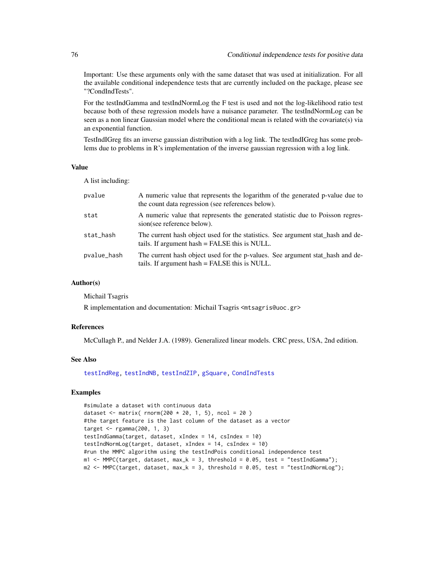Important: Use these arguments only with the same dataset that was used at initialization. For all the available conditional independence tests that are currently included on the package, please see "?CondIndTests".

For the testIndGamma and testIndNormLog the F test is used and not the log-likelihood ratio test because both of these regression models have a nuisance parameter. The testIndNormLog can be seen as a non linear Gaussian model where the conditional mean is related with the covariate(s) via an exponential function.

TestIndIGreg fits an inverse gaussian distribution with a log link. The testIndIGreg has some problems due to problems in R's implementation of the inverse gaussian regression with a log link.

#### Value

A list including:

| pvalue      | A numeric value that represents the logarithm of the generated p-value due to<br>the count data regression (see references below). |
|-------------|------------------------------------------------------------------------------------------------------------------------------------|
| stat        | A numeric value that represents the generated statistic due to Poisson regres-<br>sion(see reference below).                       |
| stat_hash   | The current hash object used for the statistics. See argument stat_hash and de-<br>tails. If argument hash = FALSE this is NULL.   |
| pvalue_hash | The current hash object used for the p-values. See argument stat_hash and de-<br>tails. If argument hash = FALSE this is NULL.     |

## Author(s)

Michail Tsagris

R implementation and documentation: Michail Tsagris <mtsagris@uoc.gr>

## References

McCullagh P., and Nelder J.A. (1989). Generalized linear models. CRC press, USA, 2nd edition.

#### See Also

[testIndReg,](#page-64-0) [testIndNB,](#page-67-0) [testIndZIP,](#page-67-0) [gSquare,](#page-150-0) [CondIndTests](#page-31-0)

## Examples

```
#simulate a dataset with continuous data
dataset <- matrix( rnorm(200 * 20, 1, 5), ncol = 20)
#the target feature is the last column of the dataset as a vector
target <- rgamma(200, 1, 3)
testIndGamma(target, dataset, xIndex = 14, csIndex = 10)
testIndNormLog(target, dataset, xIndex = 14, csIndex = 10)
#run the MMPC algorithm using the testIndPois conditional independence test
m1 <- MMPC(target, dataset, max_k = 3, threshold = 0.05, test = "testIndGamma");
m2 <- MMPC(target, dataset, max_k = 3, threshold = 0.05, test = "testIndNormLog");
```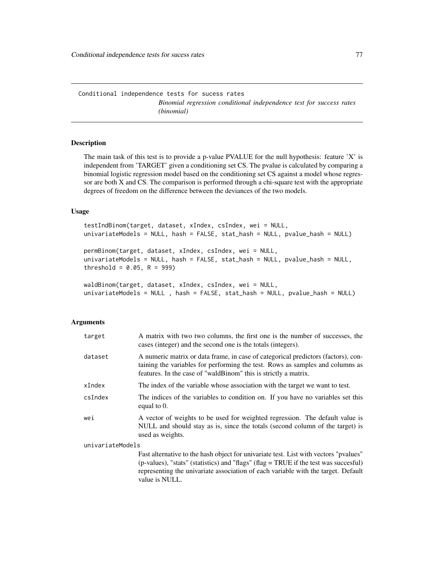#### Description

The main task of this test is to provide a p-value PVALUE for the null hypothesis: feature 'X' is independent from 'TARGET' given a conditioning set CS. The pvalue is calculated by comparing a binomial logistic regression model based on the conditioning set CS against a model whose regressor are both X and CS. The comparison is performed through a chi-square test with the appropriate degrees of freedom on the difference between the deviances of the two models.

#### Usage

```
testIndBinom(target, dataset, xIndex, csIndex, wei = NULL,
univariateModels = NULL, hash = FALSE, stat_hash = NULL, pvalue_hash = NULL)
permBinom(target, dataset, xIndex, csIndex, wei = NULL,
univariateModels = NULL, hash = FALSE, stat_hash = NULL, pvalue_hash = NULL,
threshold = 0.05, R = 999)
waldBinom(target, dataset, xIndex, csIndex, wei = NULL,
```

```
univariateModels = NULL , hash = FALSE, stat_hash = NULL, pvalue_hash = NULL)
```
#### Arguments

| target           | A matrix with two two columns, the first one is the number of successes, the<br>cases (integer) and the second one is the totals (integers).                                                                                          |
|------------------|---------------------------------------------------------------------------------------------------------------------------------------------------------------------------------------------------------------------------------------|
| dataset          | A numeric matrix or data frame, in case of categorical predictors (factors), con-<br>taining the variables for performing the test. Rows as samples and columns as<br>features. In the case of "waldBinom" this is strictly a matrix. |
| xIndex           | The index of the variable whose association with the target we want to test.                                                                                                                                                          |
| csIndex          | The indices of the variables to condition on. If you have no variables set this<br>equal to 0.                                                                                                                                        |
| wei              | A vector of weights to be used for weighted regression. The default value is<br>NULL and should stay as is, since the totals (second column of the target) is<br>used as weights.                                                     |
| univariateModels |                                                                                                                                                                                                                                       |
|                  | Fast alternative to the hash object for univariate test. List with vectors "pvalues"                                                                                                                                                  |

(p-values), "stats" (statistics) and "flags" (flag = TRUE if the test was succesful) representing the univariate association of each variable with the target. Default value is NULL.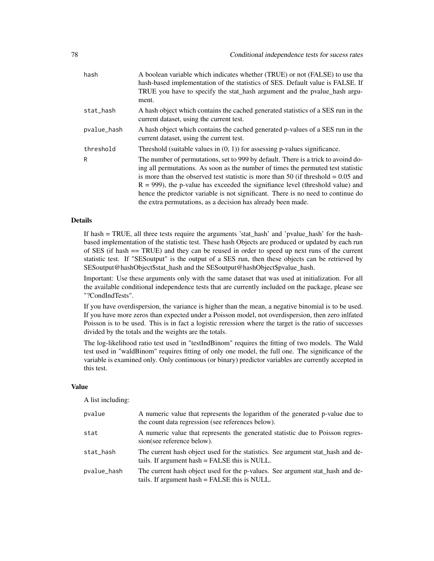| hash        | A boolean variable which indicates whether (TRUE) or not (FALSE) to use tha<br>hash-based implementation of the statistics of SES. Default value is FALSE. If<br>TRUE you have to specify the stat_hash argument and the pvalue_hash argu-<br>ment.                                                                                                                                                                                                                                                   |
|-------------|-------------------------------------------------------------------------------------------------------------------------------------------------------------------------------------------------------------------------------------------------------------------------------------------------------------------------------------------------------------------------------------------------------------------------------------------------------------------------------------------------------|
| stat_hash   | A hash object which contains the cached generated statistics of a SES run in the<br>current dataset, using the current test.                                                                                                                                                                                                                                                                                                                                                                          |
| pvalue_hash | A hash object which contains the cached generated p-values of a SES run in the<br>current dataset, using the current test.                                                                                                                                                                                                                                                                                                                                                                            |
| threshold   | Threshold (suitable values in $(0, 1)$ ) for assessing p-values significance.                                                                                                                                                                                                                                                                                                                                                                                                                         |
| R           | The number of permutations, set to 999 by default. There is a trick to avoind do-<br>ing all permutations. As soon as the number of times the permuted test statistic<br>is more than the observed test statistic is more than 50 (if threshold $= 0.05$ and<br>$R = 999$ ), the p-value has exceeded the signifiance level (threshold value) and<br>hence the predictor variable is not significant. There is no need to continue do<br>the extra permutations, as a decision has already been made. |

If hash = TRUE, all three tests require the arguments 'stat\_hash' and 'pvalue\_hash' for the hashbased implementation of the statistic test. These hash Objects are produced or updated by each run of SES (if hash == TRUE) and they can be reused in order to speed up next runs of the current statistic test. If "SESoutput" is the output of a SES run, then these objects can be retrieved by SESoutput@hashObject\$stat\_hash and the SESoutput@hashObject\$pvalue\_hash.

Important: Use these arguments only with the same dataset that was used at initialization. For all the available conditional independence tests that are currently included on the package, please see "?CondIndTests".

If you have overdispersion, the variance is higher than the mean, a negative binomial is to be used. If you have more zeros than expected under a Poisson model, not overdispersion, then zero inlfated Poisson is to be used. This is in fact a logistic reression where the target is the ratio of successes divided by the totals and the weights are the totals.

The log-likelihood ratio test used in "testIndBinom" requires the fitting of two models. The Wald test used in "waldBinom" requires fitting of only one model, the full one. The significance of the variable is examined only. Only continuous (or binary) predictor variables are currently accepted in this test.

#### Value

A list including:

| pvalue      | A numeric value that represents the logarithm of the generated p-value due to<br>the count data regression (see references below). |
|-------------|------------------------------------------------------------------------------------------------------------------------------------|
| stat        | A numeric value that represents the generated statistic due to Poisson regres-<br>sion(see reference below).                       |
| stat_hash   | The current hash object used for the statistics. See argument stat_hash and de-<br>tails. If argument hash = FALSE this is NULL.   |
| pvalue_hash | The current hash object used for the p-values. See argument stat_hash and de-<br>tails. If argument hash = FALSE this is NULL.     |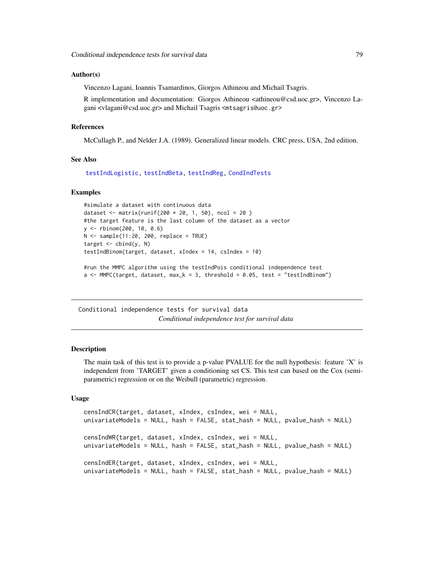## Author(s)

Vincenzo Lagani, Ioannis Tsamardinos, Giorgos Athineou and Michail Tsagris.

R implementation and documentation: Giorgos Athineou <athineou@csd.uoc.gr>, Vincenzo Lagani <vlagani@csd.uoc.gr> and Michail Tsagris <mtsagris@uoc.gr>

#### References

McCullagh P., and Nelder J.A. (1989). Generalized linear models. CRC press, USA, 2nd edition.

# See Also

[testIndLogistic,](#page-42-0) [testIndBeta,](#page-57-0) [testIndReg,](#page-64-0) [CondIndTests](#page-31-0)

#### Examples

```
#simulate a dataset with continuous data
dataset <- matrix(runif(200 * 20, 1, 50), ncol = 20 )
#the target feature is the last column of the dataset as a vector
y <- rbinom(200, 10, 0.6)
N < - sample(11:20, 200, replace = TRUE)
target \leq cbind(y, N)
testIndBinom(target, dataset, xIndex = 14, csIndex = 10)
#run the MMPC algorithm using the testIndPois conditional independence test
a \leq MMPC(target, dataset, max_k = 3, threshold = 0.05, test = "testIndBinom")
```
Conditional independence tests for survival data *Conditional independence test for survival data*

#### <span id="page-78-0"></span>**Description**

The main task of this test is to provide a p-value PVALUE for the null hypothesis: feature  $X'$  is independent from 'TARGET' given a conditioning set CS. This test can based on the Cox (semiparametric) regression or on the Weibull (parametric) regression.

## Usage

```
censIndCR(target, dataset, xIndex, csIndex, wei = NULL,
univariateModels = NULL, hash = FALSE, stat_hash = NULL, pvalue_hash = NULL)
censIndWR(target, dataset, xIndex, csIndex, wei = NULL,
univariateModels = NULL, hash = FALSE, stat_hash = NULL, pvalue_hash = NULL)
censIndER(target, dataset, xIndex, csIndex, wei = NULL,
univariateModels = NULL, hash = FALSE, stat_hash = NULL, pvalue_hash = NULL)
```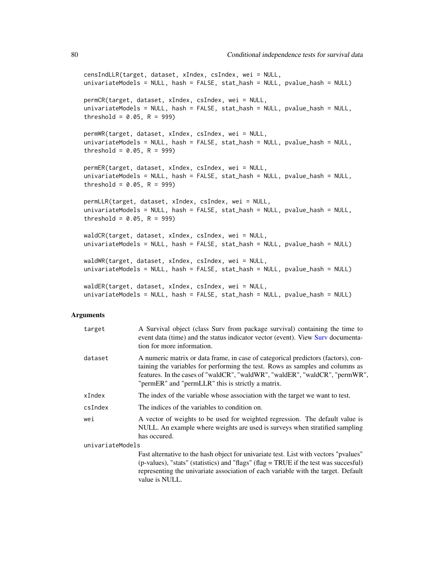censIndLLR(target, dataset, xIndex, csIndex, wei = NULL, univariateModels = NULL, hash = FALSE, stat\_hash = NULL, pvalue\_hash = NULL) permCR(target, dataset, xIndex, csIndex, wei = NULL, univariateModels = NULL, hash = FALSE, stat\_hash = NULL, pvalue\_hash = NULL, threshold =  $0.05$ , R = 999) permWR(target, dataset, xIndex, csIndex, wei = NULL, univariateModels = NULL, hash = FALSE, stat\_hash = NULL, pvalue\_hash = NULL, threshold =  $0.05$ , R = 999) permER(target, dataset, xIndex, csIndex, wei = NULL, univariateModels = NULL, hash = FALSE, stat\_hash = NULL, pvalue\_hash = NULL, threshold =  $0.05$ , R = 999) permLLR(target, dataset, xIndex, csIndex, wei = NULL, univariateModels = NULL, hash = FALSE, stat\_hash = NULL, pvalue\_hash = NULL, threshold =  $0.05$ , R = 999) waldCR(target, dataset, xIndex, csIndex, wei = NULL, univariateModels = NULL, hash = FALSE, stat\_hash = NULL, pvalue\_hash = NULL) waldWR(target, dataset, xIndex, csIndex, wei = NULL, univariateModels = NULL, hash = FALSE, stat\_hash = NULL, pvalue\_hash = NULL) waldER(target, dataset, xIndex, csIndex, wei = NULL,

univariateModels = NULL, hash = FALSE, stat\_hash = NULL, pvalue\_hash = NULL)

#### Arguments

| target           | A Survival object (class Surv from package survival) containing the time to<br>event data (time) and the status indicator vector (event). View Surv documenta-<br>tion for more information.                                                                                                           |
|------------------|--------------------------------------------------------------------------------------------------------------------------------------------------------------------------------------------------------------------------------------------------------------------------------------------------------|
| dataset          | A numeric matrix or data frame, in case of categorical predictors (factors), con-<br>taining the variables for performing the test. Rows as samples and columns as<br>features. In the cases of "waldCR", "waldWR", "waldER", "waldCR", "permWR",<br>"permER" and "permLLR" this is strictly a matrix. |
| xIndex           | The index of the variable whose association with the target we want to test.                                                                                                                                                                                                                           |
| csIndex          | The indices of the variables to condition on.                                                                                                                                                                                                                                                          |
| wei              | A vector of weights to be used for weighted regression. The default value is<br>NULL. An example where weights are used is surveys when stratified sampling<br>has occured.                                                                                                                            |
| univariateModels |                                                                                                                                                                                                                                                                                                        |
|                  | Fast alternative to the hash object for univariate test. List with vectors "pvalues"<br>(p-values), "stats" (statistics) and "flags" (flag = TRUE if the test was succesful)                                                                                                                           |
|                  |                                                                                                                                                                                                                                                                                                        |

representing the univariate association of each variable with the target. Default value is NULL.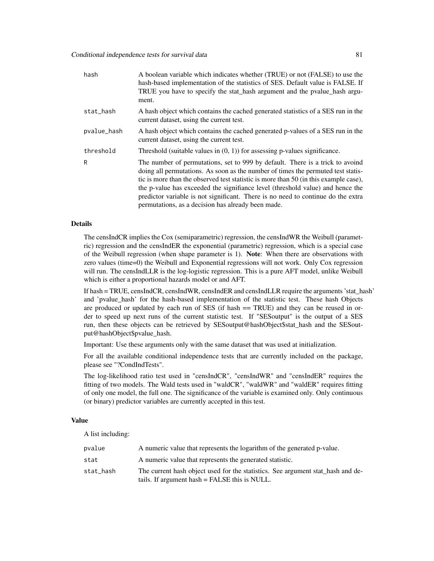| hash        | A boolean variable which indicates whether (TRUE) or not (FALSE) to use the<br>hash-based implementation of the statistics of SES. Default value is FALSE. If<br>TRUE you have to specify the stat_hash argument and the pvalue_hash argu-<br>ment.                                                                                                                                                                                                                                   |
|-------------|---------------------------------------------------------------------------------------------------------------------------------------------------------------------------------------------------------------------------------------------------------------------------------------------------------------------------------------------------------------------------------------------------------------------------------------------------------------------------------------|
| stat_hash   | A hash object which contains the cached generated statistics of a SES run in the<br>current dataset, using the current test.                                                                                                                                                                                                                                                                                                                                                          |
| pvalue_hash | A hash object which contains the cached generated p-values of a SES run in the<br>current dataset, using the current test.                                                                                                                                                                                                                                                                                                                                                            |
| threshold   | Threshold (suitable values in $(0, 1)$ ) for assessing p-values significance.                                                                                                                                                                                                                                                                                                                                                                                                         |
| R           | The number of permutations, set to 999 by default. There is a trick to avoind<br>doing all permutations. As soon as the number of times the permuted test statis-<br>tic is more than the observed test statistic is more than 50 (in this example case),<br>the p-value has exceeded the signifiance level (threshold value) and hence the<br>predictor variable is not significant. There is no need to continue do the extra<br>permutations, as a decision has already been made. |

The censIndCR implies the Cox (semiparametric) regression, the censIndWR the Weibull (parametric) regression and the censIndER the exponential (parametric) regression, which is a special case of the Weibull regression (when shape parameter is 1). Note: When there are observations with zero values (time=0) the Weibull and Exponential regressions will not work. Only Cox regression will run. The censIndLLR is the log-logistic regression. This is a pure AFT model, unlike Weibull which is either a proportional hazards model or and AFT.

If hash = TRUE, censIndCR, censIndWR, censIndER and censIndLLR require the arguments 'stat\_hash' and 'pvalue\_hash' for the hash-based implementation of the statistic test. These hash Objects are produced or updated by each run of SES (if hash == TRUE) and they can be reused in order to speed up next runs of the current statistic test. If "SESoutput" is the output of a SES run, then these objects can be retrieved by SESoutput@hashObject\$stat\_hash and the SESoutput@hashObject\$pvalue\_hash.

Important: Use these arguments only with the same dataset that was used at initialization.

For all the available conditional independence tests that are currently included on the package, please see "?CondIndTests".

The log-likelihood ratio test used in "censIndCR", "censIndWR" and "censIndER" requires the fitting of two models. The Wald tests used in "waldCR", "waldWR" and "waldER" requires fitting of only one model, the full one. The significance of the variable is examined only. Only continuous (or binary) predictor variables are currently accepted in this test.

## Value

A list including:

| pvalue    | A numeric value that represents the logarithm of the generated p-value.                                                          |
|-----------|----------------------------------------------------------------------------------------------------------------------------------|
| stat      | A numeric value that represents the generated statistic.                                                                         |
| stat_hash | The current hash object used for the statistics. See argument stat hash and de-<br>tails. If argument hash = FALSE this is NULL. |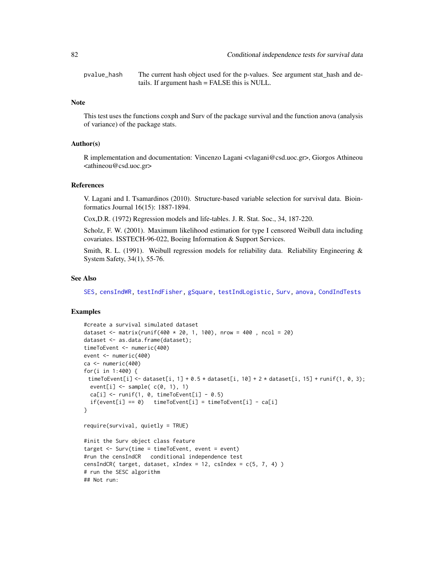pvalue\_hash The current hash object used for the p-values. See argument stat\_hash and details. If argument hash = FALSE this is NULL.

#### Note

This test uses the functions coxph and Surv of the package survival and the function anova (analysis of variance) of the package stats.

## Author(s)

R implementation and documentation: Vincenzo Lagani <vlagani@csd.uoc.gr>, Giorgos Athineou <athineou@csd.uoc.gr>

## References

V. Lagani and I. Tsamardinos (2010). Structure-based variable selection for survival data. Bioinformatics Journal 16(15): 1887-1894.

Cox,D.R. (1972) Regression models and life-tables. J. R. Stat. Soc., 34, 187-220.

Scholz, F. W. (2001). Maximum likelihood estimation for type I censored Weibull data including covariates. ISSTECH-96-022, Boeing Information & Support Services.

Smith, R. L. (1991). Weibull regression models for reliability data. Reliability Engineering & System Safety, 34(1), 55-76.

#### See Also

[SES,](#page-84-0) [censIndWR,](#page-78-0) [testIndFisher,](#page-100-0) [gSquare,](#page-150-0) [testIndLogistic,](#page-42-0) [Surv,](#page-0-0) [anova,](#page-0-0) [CondIndTests](#page-31-0)

## Examples

```
#create a survival simulated dataset
dataset <- matrix(runif(400 * 20, 1, 100), nrow = 400 , ncol = 20)
dataset <- as.data.frame(dataset);
timeToEvent <- numeric(400)
event <- numeric(400)
ca <- numeric(400)
for(i in 1:400) {
 timeToEvent[i] <- dataset[i, 1] + 0.5 \times dataset[i, 10] + 2 \times dataset[i, 15] + runif(1, 0, 3);
 event[i] \leq sample( c(0, 1), 1)
  ca[i] \leq runif(1, 0, timeToEvent[i] - 0.5)if(event[i] == 0) timeToEvent[i] = timeToEvent[i] - ca[i]
}
require(survival, quietly = TRUE)
#init the Surv object class feature
target <- Surv(time = timeToEvent, event = event)
#run the censIndCR conditional independence test
censIndCR( target, dataset, xIndex = 12, csIndex = c(5, 7, 4))
# run the SESC algorithm
## Not run:
```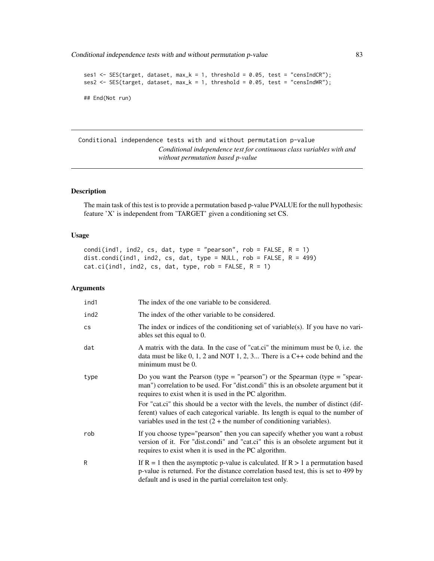Conditional independence tests with and without permutation p-value 83

```
ses1 <- SES(target, dataset, max_k = 1, threshold = 0.05, test = "censIndCR");
ses2 <- SES(target, dataset, max_k = 1, threshold = 0.05, test = "censIndWR");
## End(Not run)
```
Conditional independence tests with and without permutation p-value *Conditional independence test for continuous class variables with and without permutation based p-value*

# Description

The main task of this test is to provide a permutation based p-value PVALUE for the null hypothesis: feature 'X' is independent from 'TARGET' given a conditioning set CS.

### Usage

```
condi(ind1, ind2, cs, dat, type = "pearson", rob = FALSE, R = 1)
dist.condi(ind1, ind2, cs, dat, type = NULL, rob = FALSE, R = 499)
cat.ci(ind1, ind2, cs, dat, type, rob = FALSE, R = 1)
```
## Arguments

| ind1 | The index of the one variable to be considered.                                                                                                                                                                                                     |
|------|-----------------------------------------------------------------------------------------------------------------------------------------------------------------------------------------------------------------------------------------------------|
| ind2 | The index of the other variable to be considered.                                                                                                                                                                                                   |
| cs   | The index or indices of the conditioning set of variable(s). If you have no vari-<br>ables set this equal to 0.                                                                                                                                     |
| dat  | A matrix with the data. In the case of "cat.ci" the minimum must be 0, i.e. the<br>data must be like $0, 1, 2$ and NOT 1, 2, 3 There is a C++ code behind and the<br>minimum must be 0.                                                             |
| type | Do you want the Pearson (type = "pearson") or the Spearman (type = "spear-<br>man") correlation to be used. For "dist.condi" this is an obsolete argument but it<br>requires to exist when it is used in the PC algorithm.                          |
|      | For "cat.ci" this should be a vector with the levels, the number of distinct (dif-<br>ferent) values of each categorical variable. Its length is equal to the number of<br>variables used in the test $(2 +$ the number of conditioning variables). |
| rob  | If you choose type="pearson" then you can sapecify whether you want a robust<br>version of it. For "dist.condi" and "cat.ci" this is an obsolete argument but it<br>requires to exist when it is used in the PC algorithm.                          |
| R    | If $R = 1$ then the asymptotic p-value is calculated. If $R > 1$ a permutation based<br>p-value is returned. For the distance correlation based test, this is set to 499 by<br>default and is used in the partial correlaiton test only.            |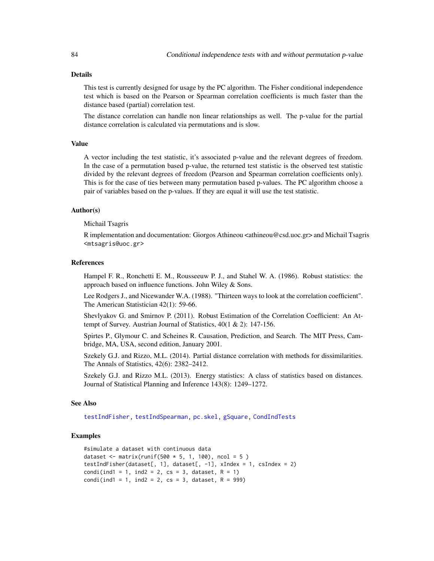This test is currently designed for usage by the PC algorithm. The Fisher conditional independence test which is based on the Pearson or Spearman correlation coefficients is much faster than the distance based (partial) correlation test.

The distance correlation can handle non linear relationships as well. The p-value for the partial distance correlation is calculated via permutations and is slow.

## Value

A vector including the test statistic, it's associated p-value and the relevant degrees of freedom. In the case of a permutation based p-value, the returned test statistic is the observed test statistic divided by the relevant degrees of freedom (Pearson and Spearman correlation coefficients only). This is for the case of ties between many permutation based p-values. The PC algorithm choose a pair of variables based on the p-values. If they are equal it will use the test statistic.

#### Author(s)

Michail Tsagris

R implementation and documentation: Giorgos Athineou <athineou@csd.uoc.gr> and Michail Tsagris <mtsagris@uoc.gr>

#### References

Hampel F. R., Ronchetti E. M., Rousseeuw P. J., and Stahel W. A. (1986). Robust statistics: the approach based on influence functions. John Wiley & Sons.

Lee Rodgers J., and Nicewander W.A. (1988). "Thirteen ways to look at the correlation coefficient". The American Statistician 42(1): 59-66.

Shevlyakov G. and Smirnov P. (2011). Robust Estimation of the Correlation Coefficient: An Attempt of Survey. Austrian Journal of Statistics, 40(1 & 2): 147-156.

Spirtes P., Glymour C. and Scheines R. Causation, Prediction, and Search. The MIT Press, Cambridge, MA, USA, second edition, January 2001.

Szekely G.J. and Rizzo, M.L. (2014). Partial distance correlation with methods for dissimilarities. The Annals of Statistics, 42(6): 2382–2412.

Szekely G.J. and Rizzo M.L. (2013). Energy statistics: A class of statistics based on distances. Journal of Statistical Planning and Inference 143(8): 1249–1272.

#### See Also

[testIndFisher,](#page-100-0) [testIndSpearman,](#page-100-0) [pc.skel,](#page-222-0) [gSquare,](#page-150-0) [CondIndTests](#page-31-0)

# Examples

```
#simulate a dataset with continuous data
dataset <- matrix(runif(500 * 5, 1, 100), ncol = 5)
testIndFisher(dataset[, 1], dataset[, -1], xIndex = 1, csIndex = 2)
condi(ind1 = 1, ind2 = 2, cs = 3, dataset, R = 1)
condi(ind1 = 1, ind2 = 2, cs = 3, dataset, R = 999)
```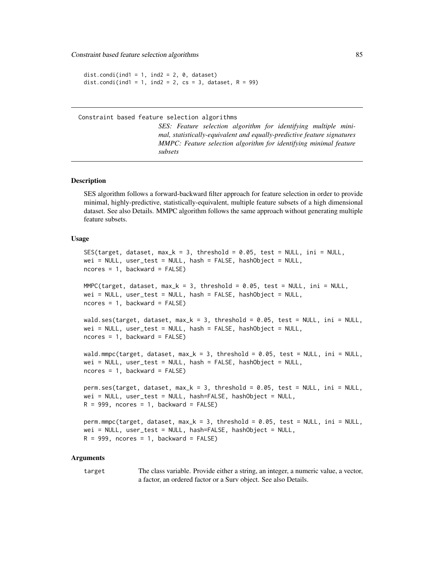Constraint based feature selection algorithms 85

```
dist.condi(ind1 = 1, ind2 = 2, 0, dataset)
dist.condi(ind1 = 1, ind2 = 2, cs = 3, dataset, R = 99)
```
Constraint based feature selection algorithms

*SES: Feature selection algorithm for identifying multiple minimal, statistically-equivalent and equally-predictive feature signatures MMPC: Feature selection algorithm for identifying minimal feature subsets*

#### <span id="page-84-0"></span>Description

SES algorithm follows a forward-backward filter approach for feature selection in order to provide minimal, highly-predictive, statistically-equivalent, multiple feature subsets of a high dimensional dataset. See also Details. MMPC algorithm follows the same approach without generating multiple feature subsets.

#### Usage

```
SES(target, dataset, max_k = 3, threshold = 0.05, test = NULL, ini = NULL,
wei = NULL, user_test = NULL, hash = FALSE, hashObject = NULL,
ncores = 1, backward = FALSE)
MMPC(target, dataset, max_k = 3, threshold = 0.05, test = NULL, ini = NULL,
wei = NULL, user_test = NULL, hash = FALSE, hashObject = NULL,
ncores = 1, backward = FALSE)
wald.ses(target, dataset, max_k = 3, threshold = 0.05, test = NULL, ini = NULL,
wei = NULL, user_test = NULL, hash = FALSE, hashObject = NULL,
ncores = 1, backward = FALSE)
wald.mmpc(target, dataset, max_k = 3, threshold = 0.05, test = NULL, ini = NULL,
wei = NULL, user_test = NULL, hash = FALSE, hashObject = NULL,
ncores = 1, backward = FALSE)
perm.ses(target, dataset, max_k = 3, threshold = 0.05, test = NULL, ini = NULL,
wei = NULL, user_test = NULL, hash=FALSE, hashObject = NULL,
R = 999, ncores = 1, backward = FALSE)
perm.mmpc(target, dataset, max_k = 3, threshold = 0.05, test = NULL, ini = NULL,
wei = NULL, user_test = NULL, hash=FALSE, hashObject = NULL,
R = 999, ncores = 1, backward = FALSE)
```
#### Arguments

target The class variable. Provide either a string, an integer, a numeric value, a vector, a factor, an ordered factor or a Surv object. See also Details.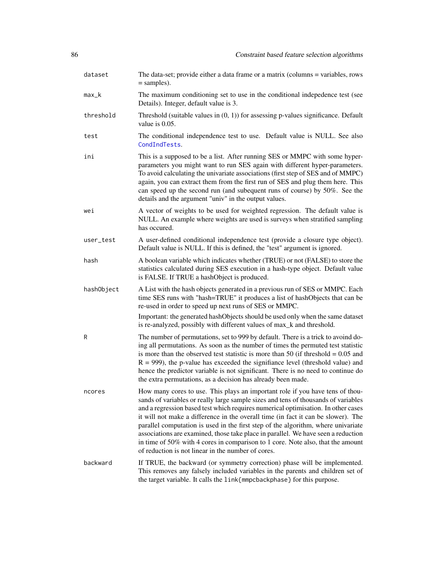| dataset    | The data-set; provide either a data frame or a matrix (columns = variables, rows<br>$=$ samples).                                                                                                                                                                                                                                                                                                                                                                                                                                                                                                                                                                |
|------------|------------------------------------------------------------------------------------------------------------------------------------------------------------------------------------------------------------------------------------------------------------------------------------------------------------------------------------------------------------------------------------------------------------------------------------------------------------------------------------------------------------------------------------------------------------------------------------------------------------------------------------------------------------------|
| max_k      | The maximum conditioning set to use in the conditional indepedence test (see<br>Details). Integer, default value is 3.                                                                                                                                                                                                                                                                                                                                                                                                                                                                                                                                           |
| threshold  | Threshold (suitable values in $(0, 1)$ ) for assessing p-values significance. Default<br>value is $0.05$ .                                                                                                                                                                                                                                                                                                                                                                                                                                                                                                                                                       |
| test       | The conditional independence test to use. Default value is NULL. See also<br>CondIndTests.                                                                                                                                                                                                                                                                                                                                                                                                                                                                                                                                                                       |
| ini        | This is a supposed to be a list. After running SES or MMPC with some hyper-<br>parameters you might want to run SES again with different hyper-parameters.<br>To avoid calculating the univariate associations (first step of SES and of MMPC)<br>again, you can extract them from the first run of SES and plug them here. This<br>can speed up the second run (and subequent runs of course) by 50%. See the<br>details and the argument "univ" in the output values.                                                                                                                                                                                          |
| wei        | A vector of weights to be used for weighted regression. The default value is<br>NULL. An example where weights are used is surveys when stratified sampling<br>has occured.                                                                                                                                                                                                                                                                                                                                                                                                                                                                                      |
| user_test  | A user-defined conditional independence test (provide a closure type object).<br>Default value is NULL. If this is defined, the "test" argument is ignored.                                                                                                                                                                                                                                                                                                                                                                                                                                                                                                      |
| hash       | A boolean variable which indicates whether (TRUE) or not (FALSE) to store the<br>statistics calculated during SES execution in a hash-type object. Default value<br>is FALSE. If TRUE a hashObject is produced.                                                                                                                                                                                                                                                                                                                                                                                                                                                  |
| hashObject | A List with the hash objects generated in a previous run of SES or MMPC. Each<br>time SES runs with "hash=TRUE" it produces a list of hashObjects that can be<br>re-used in order to speed up next runs of SES or MMPC.                                                                                                                                                                                                                                                                                                                                                                                                                                          |
|            | Important: the generated hashObjects should be used only when the same dataset<br>is re-analyzed, possibly with different values of max_k and threshold.                                                                                                                                                                                                                                                                                                                                                                                                                                                                                                         |
| R          | The number of permutations, set to 999 by default. There is a trick to avoind do-<br>ing all permutations. As soon as the number of times the permuted test statistic<br>is more than the observed test statistic is more than 50 (if threshold $= 0.05$ and<br>$R = 999$ ), the p-value has exceeded the signifiance level (threshold value) and<br>hence the predictor variable is not significant. There is no need to continue do<br>the extra permutations, as a decision has already been made.                                                                                                                                                            |
| ncores     | How many cores to use. This plays an important role if you have tens of thou-<br>sands of variables or really large sample sizes and tens of thousands of variables<br>and a regression based test which requires numerical optimisation. In other cases<br>it will not make a difference in the overall time (in fact it can be slower). The<br>parallel computation is used in the first step of the algorithm, where univariate<br>associations are examined, those take place in parallel. We have seen a reduction<br>in time of 50% with 4 cores in comparison to 1 core. Note also, that the amount<br>of reduction is not linear in the number of cores. |
| backward   | If TRUE, the backward (or symmetry correction) phase will be implemented.<br>This removes any falsely included variables in the parents and children set of<br>the target variable. It calls the link{mmpcbackphase} for this purpose.                                                                                                                                                                                                                                                                                                                                                                                                                           |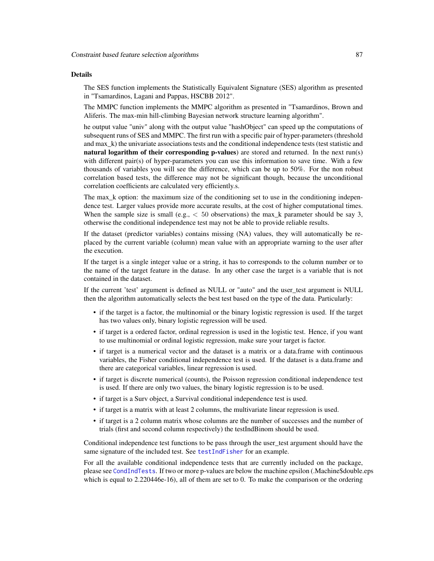The SES function implements the Statistically Equivalent Signature (SES) algorithm as presented in "Tsamardinos, Lagani and Pappas, HSCBB 2012".

The MMPC function implements the MMPC algorithm as presented in "Tsamardinos, Brown and Aliferis. The max-min hill-climbing Bayesian network structure learning algorithm".

he output value "univ" along with the output value "hashObject" can speed up the computations of subsequent runs of SES and MMPC. The first run with a specific pair of hyper-parameters (threshold and max\_k) the univariate associations tests and the conditional independence tests (test statistic and natural logarithm of their corresponding p-values) are stored and returned. In the next run(s) with different pair(s) of hyper-parameters you can use this information to save time. With a few thousands of variables you will see the difference, which can be up to 50%. For the non robust correlation based tests, the difference may not be significant though, because the unconditional correlation coefficients are calculated very efficiently.s.

The max\_k option: the maximum size of the conditioning set to use in the conditioning independence test. Larger values provide more accurate results, at the cost of higher computational times. When the sample size is small (e.g.,  $< 50$  observations) the max\_k parameter should be say 3, otherwise the conditional independence test may not be able to provide reliable results.

If the dataset (predictor variables) contains missing (NA) values, they will automatically be replaced by the current variable (column) mean value with an appropriate warning to the user after the execution.

If the target is a single integer value or a string, it has to corresponds to the column number or to the name of the target feature in the datase. In any other case the target is a variable that is not contained in the dataset.

If the current 'test' argument is defined as NULL or "auto" and the user\_test argument is NULL then the algorithm automatically selects the best test based on the type of the data. Particularly:

- if the target is a factor, the multinomial or the binary logistic regression is used. If the target has two values only, binary logistic regression will be used.
- if target is a ordered factor, ordinal regression is used in the logistic test. Hence, if you want to use multinomial or ordinal logistic regression, make sure your target is factor.
- if target is a numerical vector and the dataset is a matrix or a data.frame with continuous variables, the Fisher conditional independence test is used. If the dataset is a data.frame and there are categorical variables, linear regression is used.
- if target is discrete numerical (counts), the Poisson regression conditional independence test is used. If there are only two values, the binary logistic regression is to be used.
- if target is a Surv object, a Survival conditional independence test is used.
- if target is a matrix with at least 2 columns, the multivariate linear regression is used.
- if target is a 2 column matrix whose columns are the number of successes and the number of trials (first and second column respectively) the testIndBinom should be used.

Conditional independence test functions to be pass through the user\_test argument should have the same signature of the included test. See [testIndFisher](#page-100-0) for an example.

For all the available conditional independence tests that are currently included on the package, please see [CondIndTests](#page-31-0). If two or more p-values are below the machine epsilon (.Machine\$double.eps which is equal to 2.220446e-16), all of them are set to 0. To make the comparison or the ordering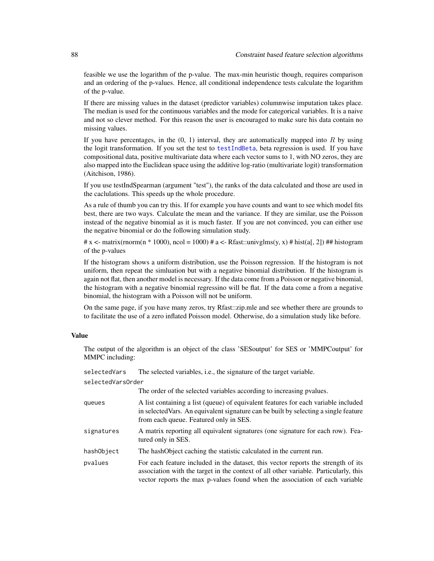feasible we use the logarithm of the p-value. The max-min heuristic though, requires comparison and an ordering of the p-values. Hence, all conditional independence tests calculate the logarithm of the p-value.

If there are missing values in the dataset (predictor variables) columnwise imputation takes place. The median is used for the continuous variables and the mode for categorical variables. It is a naive and not so clever method. For this reason the user is encouraged to make sure his data contain no missing values.

If you have percentages, in the  $(0, 1)$  interval, they are automatically mapped into R by using the logit transformation. If you set the test to [testIndBeta](#page-57-0), beta regression is used. If you have compositional data, positive multivariate data where each vector sums to 1, with NO zeros, they are also mapped into the Euclidean space using the additive log-ratio (multivariate logit) transformation (Aitchison, 1986).

If you use testIndSpearman (argument "test"), the ranks of the data calculated and those are used in the caclulations. This speeds up the whole procedure.

As a rule of thumb you can try this. If for example you have counts and want to see which model fits best, there are two ways. Calculate the mean and the variance. If they are similar, use the Poisson instead of the negative binomial as it is much faster. If you are not convinced, you can either use the negative binomial or do the following simulation study.

# x <- matrix(rnorm(n  $*$  1000), ncol = 1000) # a <- Rfast::univglms(y, x) # hist(a[, 2]) # # histogram of the p-values

If the histogram shows a uniform distribution, use the Poisson regression. If the histogram is not uniform, then repeat the simluation but with a negative binomial distribution. If the histogram is again not flat, then another model is necessary. If the data come from a Poisson or negative binomial, the histogram with a negative binomial regressino will be flat. If the data come a from a negative binomial, the histogram with a Poisson will not be uniform.

On the same page, if you have many zeros, try Rfast::zip.mle and see whether there are grounds to to facilitate the use of a zero inflated Poisson model. Otherwise, do a simulation study like before.

# Value

The output of the algorithm is an object of the class 'SESoutput' for SES or 'MMPCoutput' for MMPC including:

selectedVars The selected variables, i.e., the signature of the target variable. selectedVarsOrder

|            | The order of the selected variables according to increasing pvalues.                                                                                                                                                                                     |
|------------|----------------------------------------------------------------------------------------------------------------------------------------------------------------------------------------------------------------------------------------------------------|
| queues     | A list containing a list (queue) of equivalent features for each variable included<br>in selected Vars. An equivalent signature can be built by selecting a single feature<br>from each queue. Featured only in SES.                                     |
| signatures | A matrix reporting all equivalent signatures (one signature for each row). Fea-<br>tured only in SES.                                                                                                                                                    |
| hashObject | The hashObject caching the statistic calculated in the current run.                                                                                                                                                                                      |
| pvalues    | For each feature included in the dataset, this vector reports the strength of its<br>association with the target in the context of all other variable. Particularly, this<br>vector reports the max p-values found when the association of each variable |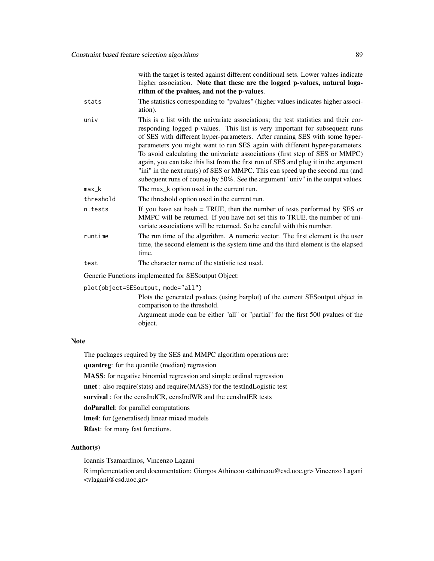with the target is tested against different conditional sets. Lower values indicate higher association. Note that these are the logged p-values, natural logarithm of the pvalues, and not the p-values.

- stats The statistics corresponding to "pvalues" (higher values indicates higher association).
- univ This is a list with the univariate associations; the test statistics and their corresponding logged p-values. This list is very important for subsequent runs of SES with different hyper-parameters. After running SES with some hyperparameters you might want to run SES again with different hyper-parameters. To avoid calculating the univariate associations (first step of SES or MMPC) again, you can take this list from the first run of SES and plug it in the argument "ini" in the next run(s) of SES or MMPC. This can speed up the second run (and subequent runs of course) by 50%. See the argument "univ" in the output values.
- max<sub>k</sub> The max k option used in the current run.

threshold The threshold option used in the current run.

- n.tests If you have set hash = TRUE, then the number of tests performed by SES or MMPC will be returned. If you have not set this to TRUE, the number of univariate associations will be returned. So be careful with this number.
- runtime The run time of the algorithm. A numeric vector. The first element is the user time, the second element is the system time and the third element is the elapsed time.
- test The character name of the statistic test used.

Generic Functions implemented for SESoutput Object:

plot(object=SESoutput, mode="all")

Plots the generated pvalues (using barplot) of the current SESoutput object in comparison to the threshold.

Argument mode can be either "all" or "partial" for the first 500 pvalues of the object.

#### Note

The packages required by the SES and MMPC algorithm operations are: quantreg: for the quantile (median) regression MASS: for negative binomial regression and simple ordinal regression

nnet : also require(stats) and require(MASS) for the testIndLogistic test

survival : for the censIndCR, censIndWR and the censIndER tests

doParallel: for parallel computations

lme4: for (generalised) linear mixed models

Rfast: for many fast functions.

## Author(s)

Ioannis Tsamardinos, Vincenzo Lagani

R implementation and documentation: Giorgos Athineou <athineou@csd.uoc.gr> Vincenzo Lagani <vlagani@csd.uoc.gr>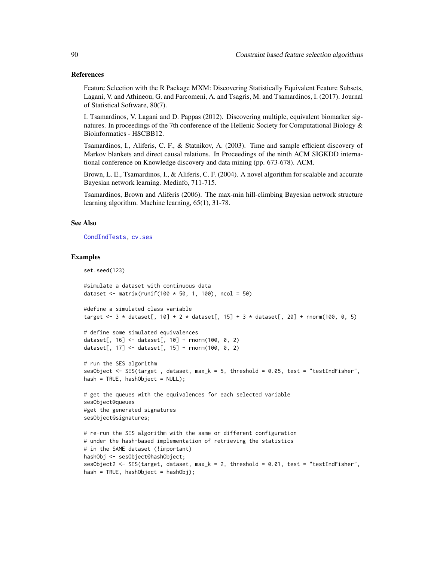## References

Feature Selection with the R Package MXM: Discovering Statistically Equivalent Feature Subsets, Lagani, V. and Athineou, G. and Farcomeni, A. and Tsagris, M. and Tsamardinos, I. (2017). Journal of Statistical Software, 80(7).

I. Tsamardinos, V. Lagani and D. Pappas (2012). Discovering multiple, equivalent biomarker signatures. In proceedings of the 7th conference of the Hellenic Society for Computational Biology  $\&$ Bioinformatics - HSCBB12.

Tsamardinos, I., Aliferis, C. F., & Statnikov, A. (2003). Time and sample efficient discovery of Markov blankets and direct causal relations. In Proceedings of the ninth ACM SIGKDD international conference on Knowledge discovery and data mining (pp. 673-678). ACM.

Brown, L. E., Tsamardinos, I., & Aliferis, C. F. (2004). A novel algorithm for scalable and accurate Bayesian network learning. Medinfo, 711-715.

Tsamardinos, Brown and Aliferis (2006). The max-min hill-climbing Bayesian network structure learning algorithm. Machine learning, 65(1), 31-78.

#### See Also

[CondIndTests,](#page-31-0) [cv.ses](#page-108-0)

set.seed(123)

### Examples

```
#simulate a dataset with continuous data
dataset <- matrix(runif(100 * 50, 1, 100), ncol = 50)
#define a simulated class variable
target <- 3 * dataset[, 10] + 2 * dataset[, 15] + 3 * dataset[, 20] + rnorm(100, 0, 5)
# define some simulated equivalences
dataset[, 16] <- dataset[, 10] + rnorm(100, 0, 2)
dataset[, 17] <- dataset[, 15] + rnorm(100, 0, 2)
# run the SES algorithm
sesObject <- SES(target, dataset, max_k = 5, threshold = 0.05, test = "testIndFisher",
hash = TRUE, hashObject = NULL);# get the queues with the equivalences for each selected variable
sesObject@queues
#get the generated signatures
sesObject@signatures;
# re-run the SES algorithm with the same or different configuration
# under the hash-based implementation of retrieving the statistics
# in the SAME dataset (!important)
hashObj <- sesObject@hashObject;
sesObject2 <- SES(target, dataset, max_k = 2, threshold = 0.01, test = "testIndFisher",
hash = TRUE, hashObject = hashObj);
```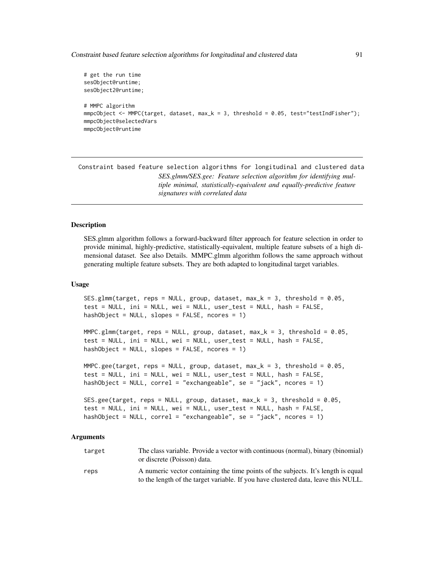Constraint based feature selection algorithms for longitudinal and clustered data 91

```
# get the run time
sesObject@runtime;
sesObject2@runtime;
# MMPC algorithm
mmpcObject <- MMPC(target, dataset, max_k = 3, threshold = 0.05, test="testIndFisher");
mmpcObject@selectedVars
mmpcObject@runtime
```
Constraint based feature selection algorithms for longitudinal and clustered data *SES.glmm/SES.gee: Feature selection algorithm for identifying multiple minimal, statistically-equivalent and equally-predictive feature signatures with correlated data*

#### Description

SES.glmm algorithm follows a forward-backward filter approach for feature selection in order to provide minimal, highly-predictive, statistically-equivalent, multiple feature subsets of a high dimensional dataset. See also Details. MMPC.glmm algorithm follows the same approach without generating multiple feature subsets. They are both adapted to longitudinal target variables.

## Usage

```
SES.glmm(target, reps = NULL, group, dataset, max_k = 3, threshold = 0.05,
test = NULL, ini = NULL, wei = NULL, user_test = NULL, hash = FALSE,
hashObject = NULL, slopes = FALSE, ncores = 1)
```
 $MMPC.g1mm(target, reps = NULL, group, dataset, max_k = 3, threshold = 0.05,$ test = NULL, ini = NULL, wei = NULL, user\_test = NULL, hash = FALSE, hashObject = NULL, slopes = FALSE, ncores = 1)

```
MMPC.gee(target, reps = NULL, group, dataset, max_k = 3, threshold = 0.05,
test = NULL, ini = NULL, wei = NULL, user_test = NULL, hash = FALSE,
hashObject = NULL, correl = "exchangeable", se = "jack", ncores = 1)
```

```
SES.gee(target, reps = NULL, group, dataset, max_k = 3, threshold = 0.05,
test = NULL, ini = NULL, wei = NULL, user_test = NULL, hash = FALSE,
hashObject = NULL, correl = "exchangeable", se = "jack", ncores = 1)
```
#### Arguments

| target | The class variable. Provide a vector with continuous (normal), binary (binomial)<br>or discrete (Poisson) data.                                                         |
|--------|-------------------------------------------------------------------------------------------------------------------------------------------------------------------------|
| reps   | A numeric vector containing the time points of the subjects. It's length is equal<br>to the length of the target variable. If you have clustered data, leave this NULL. |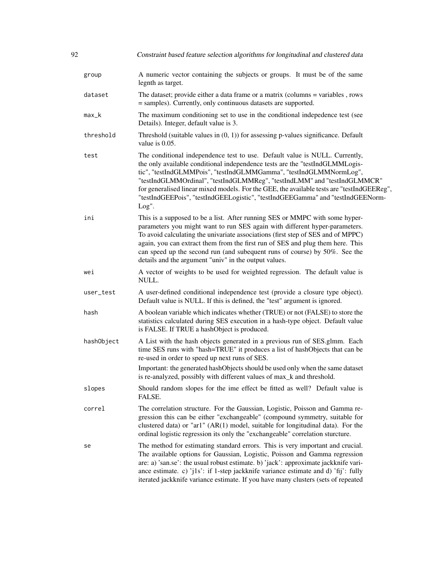| 92 |            | Constraint based feature selection algorithms for longitudinal and clustered data                                                                                                                                                                                                                                                                                                                                                                                                                      |
|----|------------|--------------------------------------------------------------------------------------------------------------------------------------------------------------------------------------------------------------------------------------------------------------------------------------------------------------------------------------------------------------------------------------------------------------------------------------------------------------------------------------------------------|
|    | group      | A numeric vector containing the subjects or groups. It must be of the same<br>legnth as target.                                                                                                                                                                                                                                                                                                                                                                                                        |
|    | dataset    | The dataset; provide either a data frame or a matrix (columns = variables, rows<br>= samples). Currently, only continuous datasets are supported.                                                                                                                                                                                                                                                                                                                                                      |
|    | max_k      | The maximum conditioning set to use in the conditional indepedence test (see<br>Details). Integer, default value is 3.                                                                                                                                                                                                                                                                                                                                                                                 |
|    | threshold  | Threshold (suitable values in $(0, 1)$ ) for assessing p-values significance. Default<br>value is $0.05$ .                                                                                                                                                                                                                                                                                                                                                                                             |
|    | test       | The conditional independence test to use. Default value is NULL. Currently,<br>the only available conditional independence tests are the "testIndGLMMLogis-<br>tic", "testIndGLMMPois", "testIndGLMMGamma", "testIndGLMMNormLog",<br>"testIndGLMMOrdinal", "testIndGLMMReg", "testIndLMM" and "testIndGLMMCR"<br>for generalised linear mixed models. For the GEE, the available tests are "testIndGEEReg",<br>"testIndGEEPois", "testIndGEELogistic", "testIndGEEGamma" and "testIndGEENorm-<br>Log". |
|    | ini        | This is a supposed to be a list. After running SES or MMPC with some hyper-<br>parameters you might want to run SES again with different hyper-parameters.<br>To avoid calculating the univariate associations (first step of SES and of MPPC)<br>again, you can extract them from the first run of SES and plug them here. This<br>can speed up the second run (and subequent runs of course) by 50%. See the<br>details and the argument "univ" in the output values.                                |
|    | wei        | A vector of weights to be used for weighted regression. The default value is<br>NULL.                                                                                                                                                                                                                                                                                                                                                                                                                  |
|    | user_test  | A user-defined conditional independence test (provide a closure type object).<br>Default value is NULL. If this is defined, the "test" argument is ignored.                                                                                                                                                                                                                                                                                                                                            |
|    | hash       | A boolean variable which indicates whether (TRUE) or not (FALSE) to store the<br>statistics calculated during SES execution in a hash-type object. Default value<br>is FALSE. If TRUE a hashObject is produced.                                                                                                                                                                                                                                                                                        |
|    | hashObject | A List with the hash objects generated in a previous run of SES.glmm. Each<br>time SES runs with "hash=TRUE" it produces a list of hashObjects that can be<br>re-used in order to speed up next runs of SES.                                                                                                                                                                                                                                                                                           |
|    |            | Important: the generated hashObjects should be used only when the same dataset<br>is re-analyzed, possibly with different values of max_k and threshold.                                                                                                                                                                                                                                                                                                                                               |
|    | slopes     | Should random slopes for the ime effect be fitted as well? Default value is<br>FALSE.                                                                                                                                                                                                                                                                                                                                                                                                                  |
|    | correl     | The correlation structure. For the Gaussian, Logistic, Poisson and Gamma re-<br>gression this can be either "exchangeable" (compound symmetry, suitable for<br>clustered data) or "ar1" (AR(1) model, suitable for longitudinal data). For the<br>ordinal logistic regression its only the "exchangeable" correlation sturcture.                                                                                                                                                                       |
|    | se         | The method for estimating standard errors. This is very important and crucial.<br>The available options for Gaussian, Logistic, Poisson and Gamma regression<br>are: a) 'san.se': the usual robust estimate. b) 'jack': approximate jackknife vari-<br>ance estimate. c) 'j1s': if 1-step jackknife variance estimate and d) 'fij': fully<br>iterated jackknife variance estimate. If you have many clusters (sets of repeated                                                                         |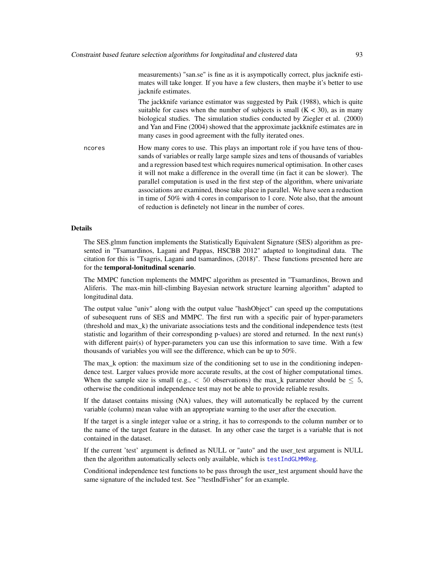measurements) "san.se" is fine as it is asympotically correct, plus jacknife estimates will take longer. If you have a few clusters, then maybe it's better to use jacknife estimates.

The jackknife variance estimator was suggested by Paik (1988), which is quite suitable for cases when the number of subjects is small  $(K < 30)$ , as in many biological studies. The simulation studies conducted by Ziegler et al. (2000) and Yan and Fine (2004) showed that the approximate jackknife estimates are in many cases in good agreement with the fully iterated ones.

ncores How many cores to use. This plays an important role if you have tens of thousands of variables or really large sample sizes and tens of thousands of variables and a regression based test which requires numerical optimisation. In other cases it will not make a difference in the overall time (in fact it can be slower). The parallel computation is used in the first step of the algorithm, where univariate associations are examined, those take place in parallel. We have seen a reduction in time of 50% with 4 cores in comparison to 1 core. Note also, that the amount of reduction is definetely not linear in the number of cores.

#### Details

The SES.glmm function implements the Statistically Equivalent Signature (SES) algorithm as presented in "Tsamardinos, Lagani and Pappas, HSCBB 2012" adapted to longitudinal data. The citation for this is "Tsagris, Lagani and tsamardinos, (2018)". These functions presented here are for the temporal-lonitudinal scenario.

The MMPC function mplements the MMPC algorithm as presented in "Tsamardinos, Brown and Aliferis. The max-min hill-climbing Bayesian network structure learning algorithm" adapted to longitudinal data.

The output value "univ" along with the output value "hashObject" can speed up the computations of subesequent runs of SES and MMPC. The first run with a specific pair of hyper-parameters (threshold and max\_k) the univariate associations tests and the conditional independence tests (test statistic and logarithm of their corresponding p-values) are stored and returned. In the next run(s) with different pair(s) of hyper-parameters you can use this information to save time. With a few thousands of variables you will see the difference, which can be up to 50%.

The max\_k option: the maximum size of the conditioning set to use in the conditioning independence test. Larger values provide more accurate results, at the cost of higher computational times. When the sample size is small (e.g.,  $\lt$  50 observations) the max\_k parameter should be  $\leq$  5, otherwise the conditional independence test may not be able to provide reliable results.

If the dataset contains missing (NA) values, they will automatically be replaced by the current variable (column) mean value with an appropriate warning to the user after the execution.

If the target is a single integer value or a string, it has to corresponds to the column number or to the name of the target feature in the dataset. In any other case the target is a variable that is not contained in the dataset.

If the current 'test' argument is defined as NULL or "auto" and the user\_test argument is NULL then the algorithm automatically selects only available, which is [testIndGLMMReg](#page-54-0).

Conditional independence test functions to be pass through the user\_test argument should have the same signature of the included test. See "?testIndFisher" for an example.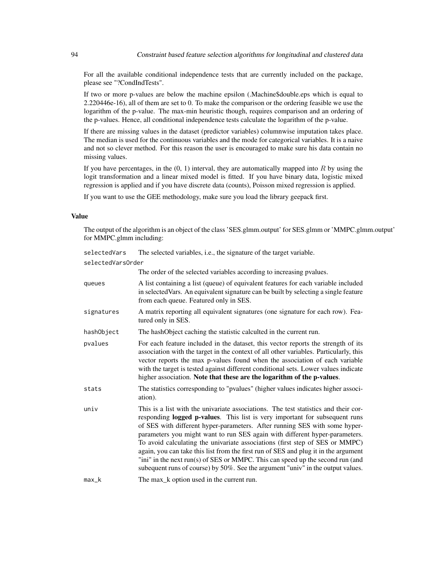For all the available conditional independence tests that are currently included on the package, please see "?CondIndTests".

If two or more p-values are below the machine epsilon (.Machine\$double.eps which is equal to 2.220446e-16), all of them are set to 0. To make the comparison or the ordering feasible we use the logarithm of the p-value. The max-min heuristic though, requires comparison and an ordering of the p-values. Hence, all conditional independence tests calculate the logarithm of the p-value.

If there are missing values in the dataset (predictor variables) columnwise imputation takes place. The median is used for the continuous variables and the mode for categorical variables. It is a naive and not so clever method. For this reason the user is encouraged to make sure his data contain no missing values.

If you have percentages, in the  $(0, 1)$  interval, they are automatically mapped into R by using the logit transformation and a linear mixed model is fitted. If you have binary data, logistic mixed regression is applied and if you have discrete data (counts), Poisson mixed regression is applied.

If you want to use the GEE methodology, make sure you load the library geepack first.

## Value

The output of the algorithm is an object of the class 'SES.glmm.output' for SES.glmm or 'MMPC.glmm.output' for MMPC.glmm including:

| selectedVars      | The selected variables, i.e., the signature of the target variable.                                                                                                                                                                                                                                                                                                                                                                                                                                                                                                                                                                                                         |
|-------------------|-----------------------------------------------------------------------------------------------------------------------------------------------------------------------------------------------------------------------------------------------------------------------------------------------------------------------------------------------------------------------------------------------------------------------------------------------------------------------------------------------------------------------------------------------------------------------------------------------------------------------------------------------------------------------------|
| selectedVarsOrder |                                                                                                                                                                                                                                                                                                                                                                                                                                                                                                                                                                                                                                                                             |
|                   | The order of the selected variables according to increasing pvalues.                                                                                                                                                                                                                                                                                                                                                                                                                                                                                                                                                                                                        |
| queues            | A list containing a list (queue) of equivalent features for each variable included<br>in selected Vars. An equivalent signature can be built by selecting a single feature<br>from each queue. Featured only in SES.                                                                                                                                                                                                                                                                                                                                                                                                                                                        |
| signatures        | A matrix reporting all equivalent signatures (one signature for each row). Fea-<br>tured only in SES.                                                                                                                                                                                                                                                                                                                                                                                                                                                                                                                                                                       |
| hashObject        | The hashObject caching the statistic calculted in the current run.                                                                                                                                                                                                                                                                                                                                                                                                                                                                                                                                                                                                          |
| pvalues           | For each feature included in the dataset, this vector reports the strength of its<br>association with the target in the context of all other variables. Particularly, this<br>vector reports the max p-values found when the association of each variable<br>with the target is tested against different conditional sets. Lower values indicate<br>higher association. Note that these are the logarithm of the p-values.                                                                                                                                                                                                                                                  |
| stats             | The statistics corresponding to "pvalues" (higher values indicates higher associ-<br>ation).                                                                                                                                                                                                                                                                                                                                                                                                                                                                                                                                                                                |
| univ              | This is a list with the univariate associations. The test statistics and their cor-<br>responding logged p-values. This list is very important for subsequent runs<br>of SES with different hyper-parameters. After running SES with some hyper-<br>parameters you might want to run SES again with different hyper-parameters.<br>To avoid calculating the univariate associations (first step of SES or MMPC)<br>again, you can take this list from the first run of SES and plug it in the argument<br>"ini" in the next run(s) of SES or MMPC. This can speed up the second run (and<br>subequent runs of course) by 50%. See the argument "univ" in the output values. |
| $max_k$           | The max_k option used in the current run.                                                                                                                                                                                                                                                                                                                                                                                                                                                                                                                                                                                                                                   |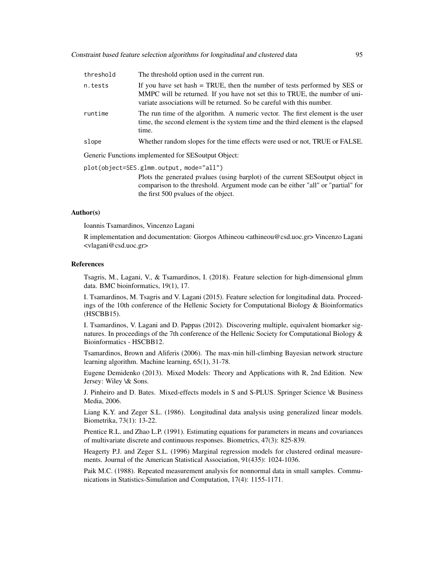| threshold | The threshold option used in the current run.                                                                                                                                                                                                          |
|-----------|--------------------------------------------------------------------------------------------------------------------------------------------------------------------------------------------------------------------------------------------------------|
| n.tests   | If you have set hash $=$ TRUE, then the number of tests performed by SES or<br>MMPC will be returned. If you have not set this to TRUE, the number of uni-<br>variate associations will be returned. So be careful with this number.                   |
| runtime   | The run time of the algorithm. A numeric vector. The first element is the user<br>time, the second element is the system time and the third element is the elapsed<br>time.                                                                            |
| slope     | Whether random slopes for the time effects were used or not, TRUE or FALSE.                                                                                                                                                                            |
|           | Generic Functions implemented for SESoutput Object:                                                                                                                                                                                                    |
|           | plot(object=SES.glmm.output, mode="all")<br>Plots the generated pvalues (using barplot) of the current SES output object in<br>comparison to the threshold. Argument mode can be either "all" or "partial" for<br>the first 500 pyalues of the object. |

#### Author(s)

Ioannis Tsamardinos, Vincenzo Lagani

R implementation and documentation: Giorgos Athineou <athineou@csd.uoc.gr> Vincenzo Lagani <vlagani@csd.uoc.gr>

#### References

Tsagris, M., Lagani, V., & Tsamardinos, I. (2018). Feature selection for high-dimensional glmm data. BMC bioinformatics, 19(1), 17.

I. Tsamardinos, M. Tsagris and V. Lagani (2015). Feature selection for longitudinal data. Proceedings of the 10th conference of the Hellenic Society for Computational Biology & Bioinformatics (HSCBB15).

I. Tsamardinos, V. Lagani and D. Pappas (2012). Discovering multiple, equivalent biomarker signatures. In proceedings of the 7th conference of the Hellenic Society for Computational Biology & Bioinformatics - HSCBB12.

Tsamardinos, Brown and Aliferis (2006). The max-min hill-climbing Bayesian network structure learning algorithm. Machine learning, 65(1), 31-78.

Eugene Demidenko (2013). Mixed Models: Theory and Applications with R, 2nd Edition. New Jersey: Wiley \& Sons.

J. Pinheiro and D. Bates. Mixed-effects models in S and S-PLUS. Springer Science \& Business Media, 2006.

Liang K.Y. and Zeger S.L. (1986). Longitudinal data analysis using generalized linear models. Biometrika, 73(1): 13-22.

Prentice R.L. and Zhao L.P. (1991). Estimating equations for parameters in means and covariances of multivariate discrete and continuous responses. Biometrics, 47(3): 825-839.

Heagerty P.J. and Zeger S.L. (1996) Marginal regression models for clustered ordinal measurements. Journal of the American Statistical Association, 91(435): 1024-1036.

Paik M.C. (1988). Repeated measurement analysis for nonnormal data in small samples. Communications in Statistics-Simulation and Computation, 17(4): 1155-1171.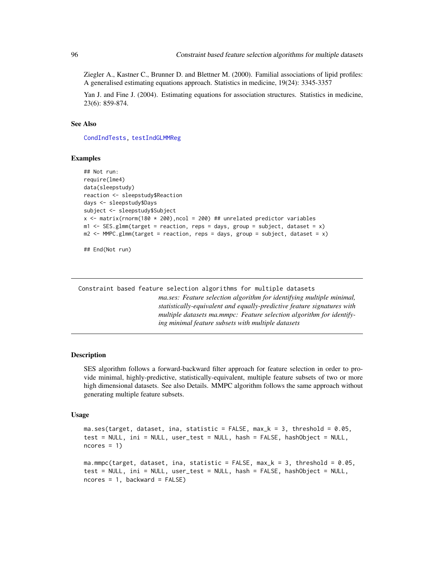Ziegler A., Kastner C., Brunner D. and Blettner M. (2000). Familial associations of lipid profiles: A generalised estimating equations approach. Statistics in medicine, 19(24): 3345-3357

Yan J. and Fine J. (2004). Estimating equations for association structures. Statistics in medicine, 23(6): 859-874.

# See Also

[CondIndTests,](#page-31-0) [testIndGLMMReg](#page-54-0)

#### Examples

```
## Not run:
require(lme4)
data(sleepstudy)
reaction <- sleepstudy$Reaction
days <- sleepstudy$Days
subject <- sleepstudy$Subject
x \le matrix(rnorm(180 * 200), ncol = 200) ## unrelated predictor variables
m1 \leq SES.glmm(target = reaction, reps = days, group = subject, dataset = x)
m2 < - MMPC.glmm(target = reaction, reps = days, group = subject, dataset = x)
```
## End(Not run)

Constraint based feature selection algorithms for multiple datasets *ma.ses: Feature selection algorithm for identifying multiple minimal, statistically-equivalent and equally-predictive feature signatures with multiple datasets ma.mmpc: Feature selection algorithm for identifying minimal feature subsets with multiple datasets*

#### Description

SES algorithm follows a forward-backward filter approach for feature selection in order to provide minimal, highly-predictive, statistically-equivalent, multiple feature subsets of two or more high dimensional datasets. See also Details. MMPC algorithm follows the same approach without generating multiple feature subsets.

#### Usage

```
ma.ses(target, dataset, ina, statistic = FALSE, max_k = 3, threshold = 0.05,
test = NULL, ini = NULL, user_test = NULL, hash = FALSE, hashObject = NULL,
ncores = 1ma.mmpc(target, dataset, ina, statistic = FALSE, max_k = 3, threshold = 0.05,
test = NULL, ini = NULL, user_test = NULL, hash = FALSE, hashObject = NULL,
ncores = 1, backward = FALSE)
```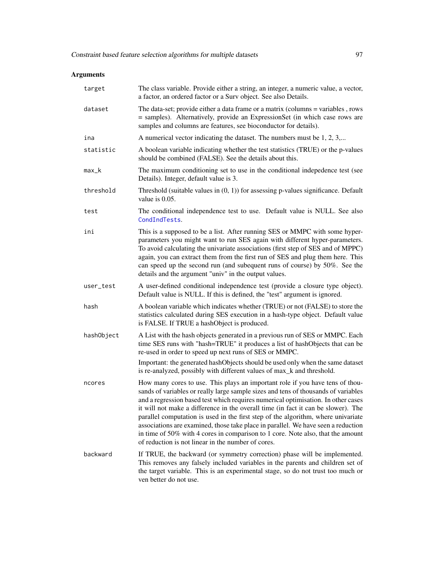# Arguments

| target     | The class variable. Provide either a string, an integer, a numeric value, a vector,<br>a factor, an ordered factor or a Surv object. See also Details.                                                                                                                                                                                                                                                                                                                                                                                                                                                                                                           |
|------------|------------------------------------------------------------------------------------------------------------------------------------------------------------------------------------------------------------------------------------------------------------------------------------------------------------------------------------------------------------------------------------------------------------------------------------------------------------------------------------------------------------------------------------------------------------------------------------------------------------------------------------------------------------------|
| dataset    | The data-set; provide either a data frame or a matrix (columns = variables, rows<br>= samples). Alternatively, provide an ExpressionSet (in which case rows are<br>samples and columns are features, see bioconductor for details).                                                                                                                                                                                                                                                                                                                                                                                                                              |
| ina        | A numerical vector indicating the dataset. The numbers must be $1, 2, 3, \ldots$                                                                                                                                                                                                                                                                                                                                                                                                                                                                                                                                                                                 |
| statistic  | A boolean variable indicating whether the test statistics (TRUE) or the p-values<br>should be combined (FALSE). See the details about this.                                                                                                                                                                                                                                                                                                                                                                                                                                                                                                                      |
| max_k      | The maximum conditioning set to use in the conditional indepedence test (see<br>Details). Integer, default value is 3.                                                                                                                                                                                                                                                                                                                                                                                                                                                                                                                                           |
| threshold  | Threshold (suitable values in $(0, 1)$ ) for assessing p-values significance. Default<br>value is 0.05.                                                                                                                                                                                                                                                                                                                                                                                                                                                                                                                                                          |
| test       | The conditional independence test to use. Default value is NULL. See also<br>CondIndTests.                                                                                                                                                                                                                                                                                                                                                                                                                                                                                                                                                                       |
| ini        | This is a supposed to be a list. After running SES or MMPC with some hyper-<br>parameters you might want to run SES again with different hyper-parameters.<br>To avoid calculating the univariate associations (first step of SES and of MPPC)<br>again, you can extract them from the first run of SES and plug them here. This<br>can speed up the second run (and subequent runs of course) by 50%. See the<br>details and the argument "univ" in the output values.                                                                                                                                                                                          |
| user_test  | A user-defined conditional independence test (provide a closure type object).<br>Default value is NULL. If this is defined, the "test" argument is ignored.                                                                                                                                                                                                                                                                                                                                                                                                                                                                                                      |
| hash       | A boolean variable which indicates whether (TRUE) or not (FALSE) to store the<br>statistics calculated during SES execution in a hash-type object. Default value<br>is FALSE. If TRUE a hashObject is produced.                                                                                                                                                                                                                                                                                                                                                                                                                                                  |
| hashObject | A List with the hash objects generated in a previous run of SES or MMPC. Each<br>time SES runs with "hash=TRUE" it produces a list of hashObjects that can be<br>re-used in order to speed up next runs of SES or MMPC.<br>Important: the generated hashObjects should be used only when the same dataset<br>is re-analyzed, possibly with different values of max_k and threshold.                                                                                                                                                                                                                                                                              |
| ncores     | How many cores to use. This plays an important role if you have tens of thou-<br>sands of variables or really large sample sizes and tens of thousands of variables<br>and a regression based test which requires numerical optimisation. In other cases<br>it will not make a difference in the overall time (in fact it can be slower). The<br>parallel computation is used in the first step of the algorithm, where univariate<br>associations are examined, those take place in parallel. We have seen a reduction<br>in time of 50% with 4 cores in comparison to 1 core. Note also, that the amount<br>of reduction is not linear in the number of cores. |
| backward   | If TRUE, the backward (or symmetry correction) phase will be implemented.<br>This removes any falsely included variables in the parents and children set of<br>the target variable. This is an experimental stage, so do not trust too much or<br>ven better do not use.                                                                                                                                                                                                                                                                                                                                                                                         |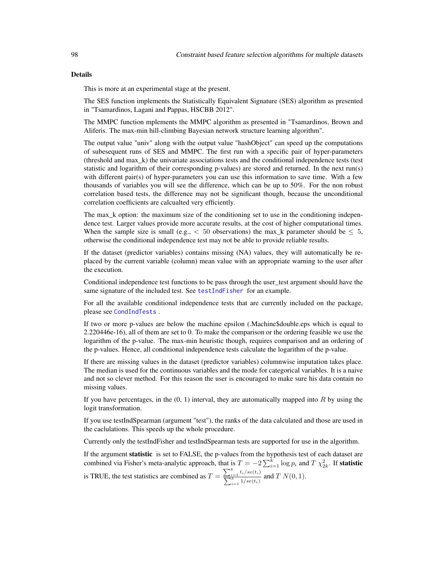This is more at an experimental stage at the present.

The SES function implements the Statistically Equivalent Signature (SES) algorithm as presented in "Tsamardinos, Lagani and Pappas, HSCBB 2012".

The MMPC function mplements the MMPC algorithm as presented in "Tsamardinos, Brown and Aliferis. The max-min hill-climbing Bayesian network structure learning algorithm".

The output value "univ" along with the output value "hashObject" can speed up the computations of subesequent runs of SES and MMPC. The first run with a specific pair of hyper-parameters (threshold and max\_k) the univariate associations tests and the conditional independence tests (test statistic and logarithm of their corresponding p-values) are stored and returned. In the next run(s) with different pair(s) of hyper-parameters you can use this information to save time. With a few thousands of variables you will see the difference, which can be up to 50%. For the non robust correlation based tests, the difference may not be significant though, because the unconditional correlation coefficients are calcualted very efficiently.

The max<sub>k</sub> option: the maximum size of the conditioning set to use in the conditioning independence test. Larger values provide more accurate results, at the cost of higher computational times. When the sample size is small (e.g.,  $\lt$  50 observations) the max\_k parameter should be  $\leq$  5, otherwise the conditional independence test may not be able to provide reliable results.

If the dataset (predictor variables) contains missing (NA) values, they will automatically be replaced by the current variable (column) mean value with an appropriate warning to the user after the execution.

Conditional independence test functions to be pass through the user\_test argument should have the same signature of the included test. See [testIndFisher](#page-100-0) for an example.

For all the available conditional independence tests that are currently included on the package, please see [CondIndTests](#page-31-0) .

If two or more p-values are below the machine epsilon (.Machine\$double.eps which is equal to 2.220446e-16), all of them are set to 0. To make the comparison or the ordering feasible we use the logarithm of the p-value. The max-min heuristic though, requires comparison and an ordering of the p-values. Hence, all conditional independence tests calculate the logarithm of the p-value.

If there are missing values in the dataset (predictor variables) columnwise imputation takes place. The median is used for the continuous variables and the mode for categorical variables. It is a naive and not so clever method. For this reason the user is encouraged to make sure his data contain no missing values.

If you have percentages, in the  $(0, 1)$  interval, they are automatically mapped into R by using the logit transformation.

If you use testIndSpearman (argument "test"), the ranks of the data calculated and those are used in the caclulations. This speeds up the whole procedure.

Currently only the testIndFisher and testIndSpearman tests are supported for use in the algorithm.

If the argument statistic is set to FALSE, the p-values from the hypothesis test of each dataset are combined via Fisher's meta-analytic approach, that is  $T = -2\sum_{i=1}^{k} \log p_i$  and  $T \chi^2_{2k}$ . If statistic is TRUE, the test statistics are combined as  $T = \frac{\sum_{i=1}^{k} t_i / se(t_i)}{\sum_{i=1}^{k} t_i / se(t_i)}$  $\frac{\sum_{i=1}^{k} v_i / s c(v_i)}{\sum_{i=1}^{k} 1 / s e(t_i)}$  and  $T N(0, 1)$ .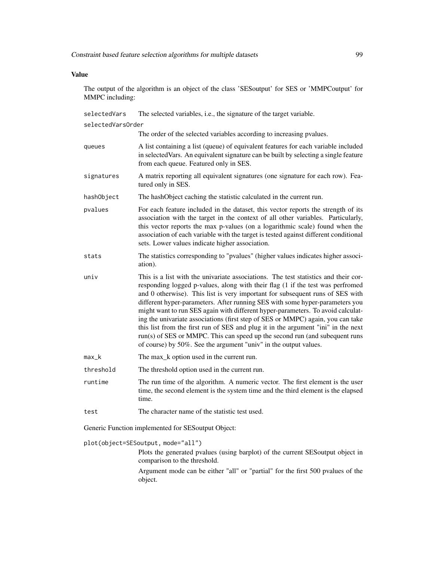# Value

The output of the algorithm is an object of the class 'SESoutput' for SES or 'MMPCoutput' for MMPC including:

| selectedVars                                       | The selected variables, i.e., the signature of the target variable.                                                                                                                                                                                                                                                                                                                                                                                                                                                                                                                                                                                                                                                                                  |  |
|----------------------------------------------------|------------------------------------------------------------------------------------------------------------------------------------------------------------------------------------------------------------------------------------------------------------------------------------------------------------------------------------------------------------------------------------------------------------------------------------------------------------------------------------------------------------------------------------------------------------------------------------------------------------------------------------------------------------------------------------------------------------------------------------------------------|--|
| selectedVarsOrder                                  |                                                                                                                                                                                                                                                                                                                                                                                                                                                                                                                                                                                                                                                                                                                                                      |  |
|                                                    | The order of the selected variables according to increasing pvalues.                                                                                                                                                                                                                                                                                                                                                                                                                                                                                                                                                                                                                                                                                 |  |
| queues                                             | A list containing a list (queue) of equivalent features for each variable included<br>in selected Vars. An equivalent signature can be built by selecting a single feature<br>from each queue. Featured only in SES.                                                                                                                                                                                                                                                                                                                                                                                                                                                                                                                                 |  |
| signatures                                         | A matrix reporting all equivalent signatures (one signature for each row). Fea-<br>tured only in SES.                                                                                                                                                                                                                                                                                                                                                                                                                                                                                                                                                                                                                                                |  |
| hashObject                                         | The hashObject caching the statistic calculated in the current run.                                                                                                                                                                                                                                                                                                                                                                                                                                                                                                                                                                                                                                                                                  |  |
| pvalues                                            | For each feature included in the dataset, this vector reports the strength of its<br>association with the target in the context of all other variables. Particularly,<br>this vector reports the max p-values (on a logarithmic scale) found when the<br>association of each variable with the target is tested against different conditional<br>sets. Lower values indicate higher association.                                                                                                                                                                                                                                                                                                                                                     |  |
| stats                                              | The statistics corresponding to "pvalues" (higher values indicates higher associ-<br>ation).                                                                                                                                                                                                                                                                                                                                                                                                                                                                                                                                                                                                                                                         |  |
| univ                                               | This is a list with the univariate associations. The test statistics and their cor-<br>responding logged p-values, along with their flag (1 if the test was perfromed<br>and 0 otherwise). This list is very important for subsequent runs of SES with<br>different hyper-parameters. After running SES with some hyper-parameters you<br>might want to run SES again with different hyper-parameters. To avoid calculat-<br>ing the univariate associations (first step of SES or MMPC) again, you can take<br>this list from the first run of SES and plug it in the argument "ini" in the next<br>run(s) of SES or MMPC. This can speed up the second run (and subequent runs<br>of course) by 50%. See the argument "univ" in the output values. |  |
| $max_k$                                            | The max_k option used in the current run.                                                                                                                                                                                                                                                                                                                                                                                                                                                                                                                                                                                                                                                                                                            |  |
| threshold                                          | The threshold option used in the current run.                                                                                                                                                                                                                                                                                                                                                                                                                                                                                                                                                                                                                                                                                                        |  |
| runtime                                            | The run time of the algorithm. A numeric vector. The first element is the user<br>time, the second element is the system time and the third element is the elapsed<br>time.                                                                                                                                                                                                                                                                                                                                                                                                                                                                                                                                                                          |  |
| test                                               | The character name of the statistic test used.                                                                                                                                                                                                                                                                                                                                                                                                                                                                                                                                                                                                                                                                                                       |  |
| Generic Function implemented for SESoutput Object: |                                                                                                                                                                                                                                                                                                                                                                                                                                                                                                                                                                                                                                                                                                                                                      |  |
| plot(object=SESoutput, mode="all")                 |                                                                                                                                                                                                                                                                                                                                                                                                                                                                                                                                                                                                                                                                                                                                                      |  |

Plots the generated pvalues (using barplot) of the current SESoutput object in comparison to the threshold.

Argument mode can be either "all" or "partial" for the first 500 pvalues of the object.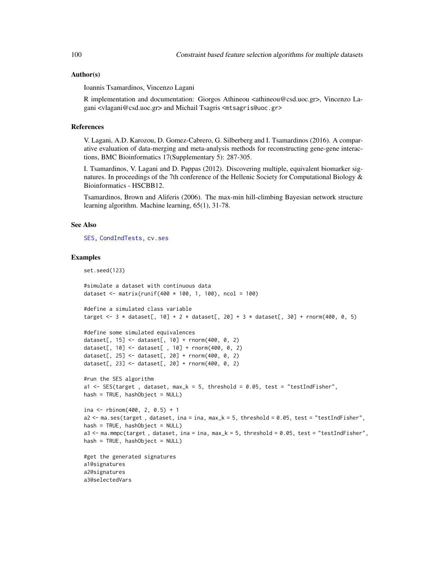#### Author(s)

Ioannis Tsamardinos, Vincenzo Lagani

R implementation and documentation: Giorgos Athineou <athineou@csd.uoc.gr>, Vincenzo Lagani <vlagani@csd.uoc.gr> and Michail Tsagris <mtsagris@uoc.gr>

#### References

V. Lagani, A.D. Karozou, D. Gomez-Cabrero, G. Silberberg and I. Tsamardinos (2016). A comparative evaluation of data-merging and meta-analysis methods for reconstructing gene-gene interactions, BMC Bioinformatics 17(Supplementary 5): 287-305.

I. Tsamardinos, V. Lagani and D. Pappas (2012). Discovering multiple, equivalent biomarker signatures. In proceedings of the 7th conference of the Hellenic Society for Computational Biology  $\&$ Bioinformatics - HSCBB12.

Tsamardinos, Brown and Aliferis (2006). The max-min hill-climbing Bayesian network structure learning algorithm. Machine learning, 65(1), 31-78.

#### See Also

[SES,](#page-84-0) [CondIndTests,](#page-31-0) [cv.ses](#page-108-0)

#### Examples

set.seed(123)

```
#simulate a dataset with continuous data
dataset <- matrix(runif(400 * 100, 1, 100), ncol = 100)
#define a simulated class variable
target \leq - 3 * dataset[, 10] + 2 * dataset[, 20] + 3 * dataset[, 30] + rnorm(400, 0, 5)
#define some simulated equivalences
dataset[, 15] <- dataset[, 10] + rnorm(400, 0, 2)
dataset[, 10] <- dataset[ , 10] + rnorm(400, 0, 2)
dataset[, 25] <- dataset[, 20] + rnorm(400, 0, 2)
dataset[, 23] <- dataset[, 20] + rnorm(400, 0, 2)#run the SES algorithm
a1 <- SES(target, dataset, max_k = 5, threshold = 0.05, test = "testIndFisher",
hash = TRUE, hashObject = NULL)ina <- rbinom(400, 2, 0.5) + 1
a2 <- ma.ses(target , dataset, ina = ina, max_k = 5, threshold = 0.05, test = "testIndFisher",
hash = TRUE, hashObject = NULL)a3 <- ma.mmpc(target , dataset, ina = ina, max_k = 5, threshold = 0.05, test = "testIndFisher",
hash = TRUE, hashObject = NULL)#get the generated signatures
a1@signatures
a2@signatures
a3@selectedVars
```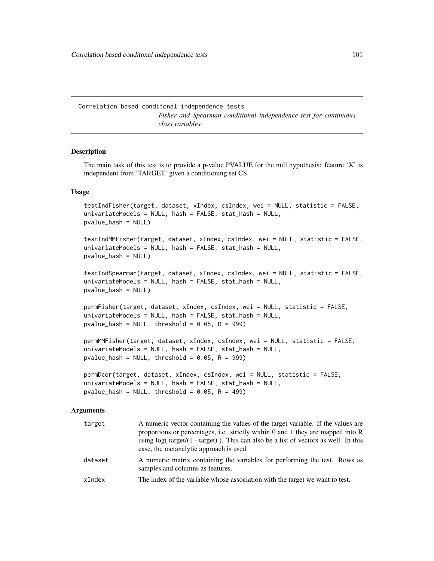Correlation based conditonal independence tests *Fisher and Spearman conditional independence test for continuous class variables*

# <span id="page-100-0"></span>Description

The main task of this test is to provide a p-value PVALUE for the null hypothesis: feature 'X' is independent from 'TARGET' given a conditioning set CS.

#### Usage

testIndFisher(target, dataset, xIndex, csIndex, wei = NULL, statistic = FALSE, univariateModels = NULL, hash = FALSE, stat\_hash = NULL, pvalue\_hash = NULL)

testIndMMFisher(target, dataset, xIndex, csIndex, wei = NULL, statistic = FALSE, univariateModels = NULL, hash = FALSE, stat\_hash = NULL, pvalue\_hash = NULL)

testIndSpearman(target, dataset, xIndex, csIndex, wei = NULL, statistic = FALSE, univariateModels = NULL, hash = FALSE, stat\_hash = NULL, pvalue\_hash = NULL)

permFisher(target, dataset, xIndex, csIndex, wei = NULL, statistic = FALSE, univariateModels = NULL, hash = FALSE, stat\_hash = NULL, pvalue\_hash = NULL, threshold =  $0.05$ , R = 999)

```
permMMFisher(target, dataset, xIndex, csIndex, wei = NULL, statistic = FALSE,
univariateModels = NULL, hash = FALSE, stat_hash = NULL,
pvalue_hash = NULL, threshold = 0.05, R = 999)
```

```
permDcor(target, dataset, xIndex, csIndex, wei = NULL, statistic = FALSE,
univariateModels = NULL, hash = FALSE, stat_hash = NULL,
pvalue_hash = NULL, threshold = 0.05, R = 499)
```
#### Arguments

| target  | A numeric vector containing the values of the target variable. If the values are<br>proportions or percentages, i.e. strictly within 0 and 1 they are mapped into R<br>using $log(t \text{ target}/(1 - \text{target}))$ . This can also be a list of vectors as well. In this<br>case, the metanalytic approach is used. |
|---------|---------------------------------------------------------------------------------------------------------------------------------------------------------------------------------------------------------------------------------------------------------------------------------------------------------------------------|
| dataset | A numeric matrix containing the variables for performing the test. Rows as<br>samples and columns as features.                                                                                                                                                                                                            |
| xIndex  | The index of the variable whose association with the target we want to test.                                                                                                                                                                                                                                              |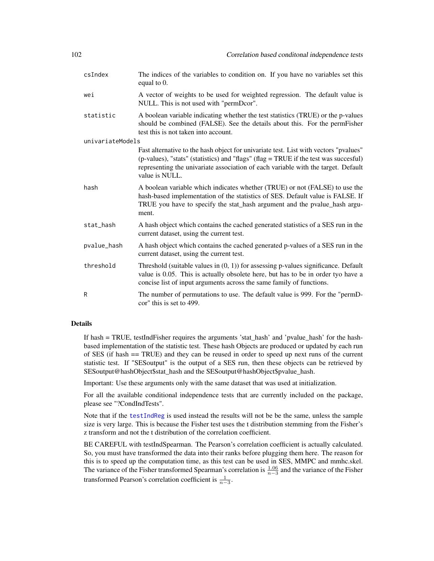| csIndex          | The indices of the variables to condition on. If you have no variables set this<br>equal to 0.                                                                                                                                                                                      |
|------------------|-------------------------------------------------------------------------------------------------------------------------------------------------------------------------------------------------------------------------------------------------------------------------------------|
| wei              | A vector of weights to be used for weighted regression. The default value is<br>NULL. This is not used with "permDcor".                                                                                                                                                             |
| statistic        | A boolean variable indicating whether the test statistics (TRUE) or the p-values<br>should be combined (FALSE). See the details about this. For the permFisher<br>test this is not taken into account.                                                                              |
| univariateModels |                                                                                                                                                                                                                                                                                     |
|                  | Fast alternative to the hash object for univariate test. List with vectors "pvalues"<br>(p-values), "stats" (statistics) and "flags" (flag = TRUE if the test was succesful)<br>representing the univariate association of each variable with the target. Default<br>value is NULL. |
| hash             | A boolean variable which indicates whether (TRUE) or not (FALSE) to use the<br>hash-based implementation of the statistics of SES. Default value is FALSE. If<br>TRUE you have to specify the stat_hash argument and the pvalue_hash argu-<br>ment.                                 |
| stat_hash        | A hash object which contains the cached generated statistics of a SES run in the<br>current dataset, using the current test.                                                                                                                                                        |
| pvalue_hash      | A hash object which contains the cached generated p-values of a SES run in the<br>current dataset, using the current test.                                                                                                                                                          |
| threshold        | Threshold (suitable values in $(0, 1)$ ) for assessing p-values significance. Default<br>value is 0.05. This is actually obsolete here, but has to be in order tyo have a<br>concise list of input arguments across the same family of functions.                                   |
| R                | The number of permutations to use. The default value is 999. For the "permD-<br>cor" this is set to 499.                                                                                                                                                                            |

If hash = TRUE, testIndFisher requires the arguments 'stat\_hash' and 'pvalue\_hash' for the hashbased implementation of the statistic test. These hash Objects are produced or updated by each run of SES (if hash == TRUE) and they can be reused in order to speed up next runs of the current statistic test. If "SESoutput" is the output of a SES run, then these objects can be retrieved by SESoutput@hashObject\$stat\_hash and the SESoutput@hashObject\$pvalue\_hash.

Important: Use these arguments only with the same dataset that was used at initialization.

For all the available conditional independence tests that are currently included on the package, please see "?CondIndTests".

Note that if the [testIndReg](#page-64-0) is used instead the results will not be be the same, unless the sample size is very large. This is because the Fisher test uses the t distribution stemming from the Fisher's z transform and not the t distribution of the correlation coefficient.

BE CAREFUL with testIndSpearman. The Pearson's correlation coefficient is actually calculated. So, you must have transformed the data into their ranks before plugging them here. The reason for this is to speed up the computation time, as this test can be used in SES, MMPC and mmhc.skel. The variance of the Fisher transformed Spearman's correlation is  $\frac{1.06}{n-3}$  and the variance of the Fisher transformed Pearson's correlation coefficient is  $\frac{1}{n-3}$ .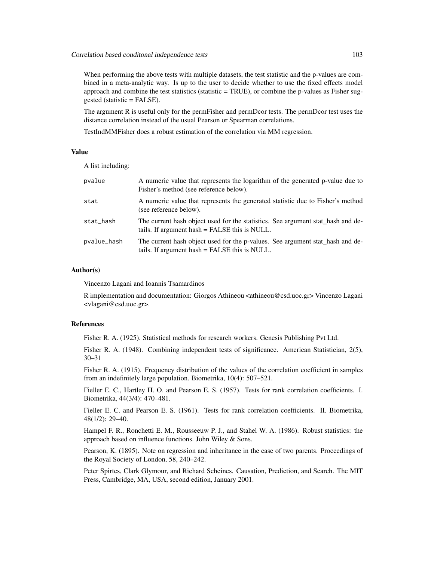When performing the above tests with multiple datasets, the test statistic and the p-values are combined in a meta-analytic way. Is up to the user to decide whether to use the fixed effects model approach and combine the test statistics (statistic  $= TRUE$ ), or combine the p-values as Fisher suggested (statistic = FALSE).

The argument R is useful only for the permFisher and permDcor tests. The permDcor test uses the distance correlation instead of the usual Pearson or Spearman correlations.

TestIndMMFisher does a robust estimation of the correlation via MM regression.

## Value

A list including:

| pvalue      | A numeric value that represents the logarithm of the generated p-value due to<br>Fisher's method (see reference below).          |
|-------------|----------------------------------------------------------------------------------------------------------------------------------|
| stat        | A numeric value that represents the generated statistic due to Fisher's method<br>(see reference below).                         |
| stat_hash   | The current hash object used for the statistics. See argument stat_hash and de-<br>tails. If argument hash = FALSE this is NULL. |
| pvalue_hash | The current hash object used for the p-values. See argument stat_hash and de-<br>tails. If argument hash = FALSE this is NULL.   |

### Author(s)

Vincenzo Lagani and Ioannis Tsamardinos

R implementation and documentation: Giorgos Athineou <athineou@csd.uoc.gr> Vincenzo Lagani <vlagani@csd.uoc.gr>.

#### References

Fisher R. A. (1925). Statistical methods for research workers. Genesis Publishing Pvt Ltd.

Fisher R. A. (1948). Combining independent tests of significance. American Statistician, 2(5), 30–31

Fisher R. A. (1915). Frequency distribution of the values of the correlation coefficient in samples from an indefinitely large population. Biometrika, 10(4): 507–521.

Fieller E. C., Hartley H. O. and Pearson E. S. (1957). Tests for rank correlation coefficients. I. Biometrika, 44(3/4): 470–481.

Fieller E. C. and Pearson E. S. (1961). Tests for rank correlation coefficients. II. Biometrika, 48(1/2): 29–40.

Hampel F. R., Ronchetti E. M., Rousseeuw P. J., and Stahel W. A. (1986). Robust statistics: the approach based on influence functions. John Wiley & Sons.

Pearson, K. (1895). Note on regression and inheritance in the case of two parents. Proceedings of the Royal Society of London, 58, 240–242.

Peter Spirtes, Clark Glymour, and Richard Scheines. Causation, Prediction, and Search. The MIT Press, Cambridge, MA, USA, second edition, January 2001.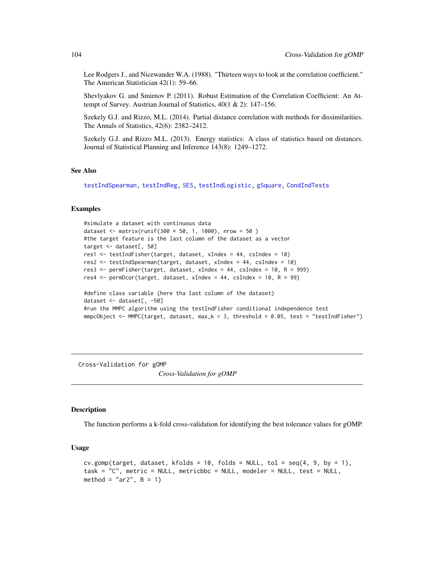Lee Rodgers J., and Nicewander W.A. (1988). "Thirteen ways to look at the correlation coefficient." The American Statistician 42(1): 59–66.

Shevlyakov G. and Smirnov P. (2011). Robust Estimation of the Correlation Coefficient: An Attempt of Survey. Austrian Journal of Statistics, 40(1 & 2): 147–156.

Szekely G.J. and Rizzo, M.L. (2014). Partial distance correlation with methods for dissimilarities. The Annals of Statistics, 42(6): 2382–2412.

Szekely G.J. and Rizzo M.L. (2013). Energy statistics: A class of statistics based on distances. Journal of Statistical Planning and Inference 143(8): 1249–1272.

#### See Also

[testIndSpearman,](#page-100-0) [testIndReg,](#page-64-0) [SES,](#page-84-0) [testIndLogistic,](#page-42-0) [gSquare,](#page-150-0) [CondIndTests](#page-31-0)

#### Examples

```
#simulate a dataset with continuous data
dataset <- matrix(runif(300 * 50, 1, 1000), nrow = 50)
#the target feature is the last column of the dataset as a vector
target <- dataset[, 50]
res1 <- testIndFisher(target, dataset, xIndex = 44, csIndex = 10)
res2 <- testIndSpearman(target, dataset, xIndex = 44, csIndex = 10)
res3 <- permFisher(target, dataset, xIndex = 44, csIndex = 10, R = 999)
res4 <- permDcor(target, dataset, xIndex = 44, csIndex = 10, R = 99)
#define class variable (here tha last column of the dataset)
dataset <- dataset[, -50]
#run the MMPC algorithm using the testIndFisher conditional independence test
mmpcObject <- MMPC(target, dataset, max_k = 3, threshold = 0.05, test = "testIndFisher")
```
Cross-Validation for gOMP *Cross-Validation for gOMP*

## Description

The function performs a k-fold cross-validation for identifying the best tolerance values for gOMP.

#### Usage

```
cv.gomp(target, dataset, kfolds = 10, folds = NULL, tol = seq(4, 9, by = 1),
task = "C", metric = NULL, metricbbc = NULL, modeler = NULL, test = NULL,
method = "ar2", B = 1)
```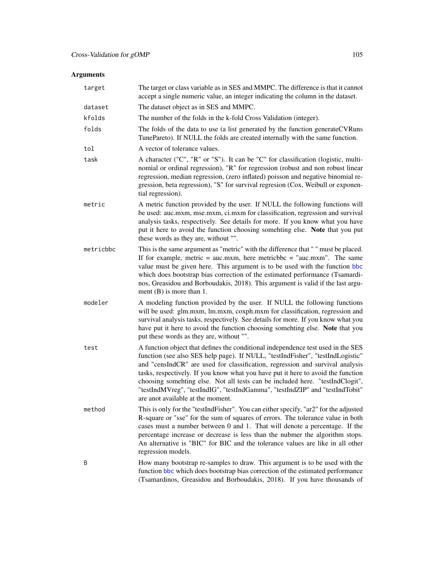# Arguments

| target    | The target or class variable as in SES and MMPC. The difference is that it cannot<br>accept a single numeric value, an integer indicating the column in the dataset.                                                                                                                                                                                                                                                                                                                                                                          |
|-----------|-----------------------------------------------------------------------------------------------------------------------------------------------------------------------------------------------------------------------------------------------------------------------------------------------------------------------------------------------------------------------------------------------------------------------------------------------------------------------------------------------------------------------------------------------|
| dataset   | The dataset object as in SES and MMPC.                                                                                                                                                                                                                                                                                                                                                                                                                                                                                                        |
| kfolds    | The number of the folds in the k-fold Cross Validation (integer).                                                                                                                                                                                                                                                                                                                                                                                                                                                                             |
| folds     | The folds of the data to use (a list generated by the function generateCVRuns<br>TunePareto). If NULL the folds are created internally with the same function.                                                                                                                                                                                                                                                                                                                                                                                |
| tol       | A vector of tolerance values.                                                                                                                                                                                                                                                                                                                                                                                                                                                                                                                 |
| task      | A character ("C", "R" or "S"). It can be "C" for classification (logistic, multi-<br>nomial or ordinal regression), "R" for regression (robust and non robust linear<br>regression, median regression, (zero inflated) poisson and negative binomial re-<br>gression, beta regression), "S" for survival regresion (Cox, Weibull or exponen-<br>tial regression).                                                                                                                                                                             |
| metric    | A metric function provided by the user. If NULL the following functions will<br>be used: auc.mxm, mse.mxm, ci.mxm for classification, regression and survival<br>analysis tasks, respectively. See details for more. If you know what you have<br>put it here to avoid the function choosing somehting else. Note that you put<br>these words as they are, without "".                                                                                                                                                                        |
| metricbbc | This is the same argument as "metric" with the difference that " " must be placed.<br>If for example, metric = $auc.mxm$ , here metricbbc = " $auc.mxm$ ". The same<br>value must be given here. This argument is to be used with the function bbc<br>which does bootstrap bias correction of the estimated performance (Tsamardi-<br>nos, Greasidou and Borboudakis, 2018). This argument is valid if the last argu-<br>ment $(B)$ is more than 1.                                                                                           |
| modeler   | A modeling function provided by the user. If NULL the following functions<br>will be used: glm.mxm, lm.mxm, coxph.mxm for classification, regression and<br>survival analysis tasks, respectively. See details for more. If you know what you<br>have put it here to avoid the function choosing somehting else. Note that you<br>put these words as they are, without "".                                                                                                                                                                    |
| test      | A function object that defines the conditional independence test used in the SES<br>function (see also SES help page). If NULL, "testIndFisher", "testIndLogistic"<br>and "censIndCR" are used for classification, regression and survival analysis<br>tasks, respectively. If you know what you have put it here to avoid the function<br>choosing somehting else. Not all tests can be included here. "testIndClogit",<br>"testIndMVreg", "testIndIG", "testIndGamma", "testIndZIP" and "testIndTobit"<br>are anot available at the moment. |
| method    | This is only for the "testIndFisher". You can either specify, "ar2" for the adjusted<br>R-square or "sse" for the sum of squares of errors. The tolerance value in both<br>cases must a number between 0 and 1. That will denote a percentage. If the<br>percentage increase or decrease is less than the nubmer the algorithm stops.<br>An alternative is "BIC" for BIC and the tolerance values are like in all other<br>regression models.                                                                                                 |
| B         | How many bootstrap re-samples to draw. This argument is to be used with the<br>function bbc which does bootstrap bias correction of the estimated performance<br>(Tsamardinos, Greasidou and Borboudakis, 2018). If you have thousands of                                                                                                                                                                                                                                                                                                     |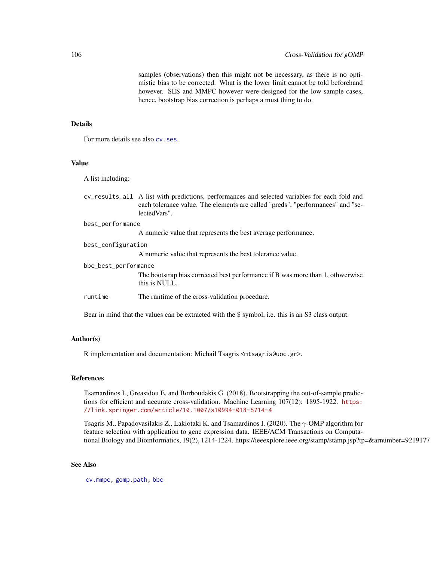samples (observations) then this might not be necessary, as there is no optimistic bias to be corrected. What is the lower limit cannot be told beforehand however. SES and MMPC however were designed for the low sample cases, hence, bootstrap bias correction is perhaps a must thing to do.

## Details

For more details see also  $cy$ . ses.

# Value

A list including:

|                  | cy results all A list with predictions, performances and selected variables for each fold and |
|------------------|-----------------------------------------------------------------------------------------------|
|                  | each tolerance value. The elements are called "preds", "performances" and "se-                |
|                  | lectedVars".                                                                                  |
| best_performance |                                                                                               |
|                  |                                                                                               |

A numeric value that represents the best average performance.

| best_configuration   |                                                                                                 |
|----------------------|-------------------------------------------------------------------------------------------------|
|                      | A numeric value that represents the best tolerance value.                                       |
| bbc_best_performance |                                                                                                 |
|                      | The bootstrap bias corrected best performance if B was more than 1, othwerwise<br>this is NULL. |
| runtime              | The runtime of the cross-validation procedure.                                                  |
|                      |                                                                                                 |

Bear in mind that the values can be extracted with the \$ symbol, i.e. this is an S3 class output.

## Author(s)

R implementation and documentation: Michail Tsagris <mtsagris@uoc.gr>.

# References

Tsamardinos I., Greasidou E. and Borboudakis G. (2018). Bootstrapping the out-of-sample predictions for efficient and accurate cross-validation. Machine Learning 107(12): 1895-1922. [https:](https://link.springer.com/article/10.1007/s10994-018-5714-4) [//link.springer.com/article/10.1007/s10994-018-5714-4](https://link.springer.com/article/10.1007/s10994-018-5714-4)

Tsagris M., Papadovasilakis Z., Lakiotaki K. and Tsamardinos I. (2020). The  $\gamma$ -OMP algorithm for feature selection with application to gene expression data. IEEE/ACM Transactions on Computational Biology and Bioinformatics, 19(2), 1214-1224. https://ieeexplore.ieee.org/stamp/stamp.jsp?tp=&arnumber=9219177

# See Also

[cv.mmpc,](#page-108-0) [gomp.path,](#page-157-0) [bbc](#page-25-0)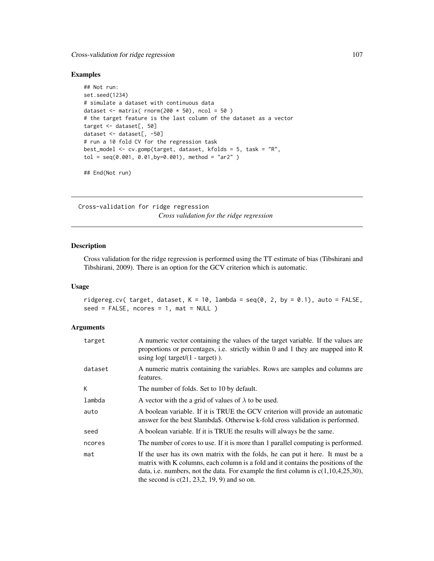# Cross-validation for ridge regression 107

# Examples

```
## Not run:
set.seed(1234)
# simulate a dataset with continuous data
dataset \le matrix( rnorm(200 \star 50), ncol = 50)
# the target feature is the last column of the dataset as a vector
target <- dataset[, 50]
dataset <- dataset[, -50]
# run a 10 fold CV for the regression task
best_model <- cv.gomp(target, dataset, kfolds = 5, task = "R",
tol = seq(0.001, 0.01,by=0.001), method = "ar2" )
```
## End(Not run)

Cross-validation for ridge regression *Cross validation for the ridge regression*

# Description

Cross validation for the ridge regression is performed using the TT estimate of bias (Tibshirani and Tibshirani, 2009). There is an option for the GCV criterion which is automatic.

#### Usage

```
ridgereg.cv( target, dataset, K = 10, lambda = seq(0, 2, by = 0.1), auto = FALSE,
seed = FALSE, roores = 1, mat = NULL)
```
# Arguments

| target  | A numeric vector containing the values of the target variable. If the values are<br>proportions or percentages, i.e. strictly within 0 and 1 they are mapped into $R$<br>using $log(t \text{arget}/(1 - \text{target}))$ .                                                                                      |
|---------|-----------------------------------------------------------------------------------------------------------------------------------------------------------------------------------------------------------------------------------------------------------------------------------------------------------------|
| dataset | A numeric matrix containing the variables. Rows are samples and columns are<br>features.                                                                                                                                                                                                                        |
| K       | The number of folds. Set to 10 by default.                                                                                                                                                                                                                                                                      |
| lambda  | A vector with the a grid of values of $\lambda$ to be used.                                                                                                                                                                                                                                                     |
| auto    | A boolean variable. If it is TRUE the GCV criterion will provide an automatic<br>answer for the best \$lambda\$. Otherwise k-fold cross validation is performed.                                                                                                                                                |
| seed    | A boolean variable. If it is TRUE the results will always be the same.                                                                                                                                                                                                                                          |
| ncores  | The number of cores to use. If it is more than 1 parallel computing is performed.                                                                                                                                                                                                                               |
| mat     | If the user has its own matrix with the folds, he can put it here. It must be a<br>matrix with K columns, each column is a fold and it contains the positions of the<br>data, i.e. numbers, not the data. For example the first column is $c(1,10,4,25,30)$ ,<br>the second is $c(21, 23, 2, 19, 9)$ and so on. |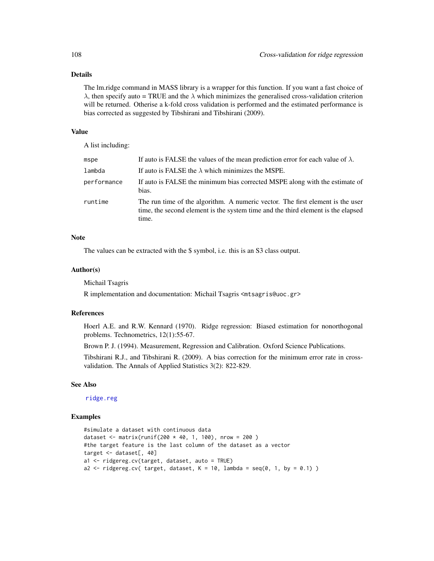The lm.ridge command in MASS library is a wrapper for this function. If you want a fast choice of  $\lambda$ , then specify auto = TRUE and the  $\lambda$  which minimizes the generalised cross-validation criterion will be returned. Otherise a k-fold cross validation is performed and the estimated performance is bias corrected as suggested by Tibshirani and Tibshirani (2009).

#### Value

A list including:

| mspe        | If auto is FALSE the values of the mean prediction error for each value of $\lambda$ .                                                                                      |
|-------------|-----------------------------------------------------------------------------------------------------------------------------------------------------------------------------|
| lambda      | If auto is FALSE the $\lambda$ which minimizes the MSPE.                                                                                                                    |
| performance | If auto is FALSE the minimum bias corrected MSPE along with the estimate of<br>bias.                                                                                        |
| runtime     | The run time of the algorithm. A numeric vector. The first element is the user<br>time, the second element is the system time and the third element is the elapsed<br>time. |

#### **Note**

The values can be extracted with the \$ symbol, i.e. this is an S3 class output.

#### Author(s)

Michail Tsagris

R implementation and documentation: Michail Tsagris <mtsagris@uoc.gr>

#### References

Hoerl A.E. and R.W. Kennard (1970). Ridge regression: Biased estimation for nonorthogonal problems. Technometrics, 12(1):55-67.

Brown P. J. (1994). Measurement, Regression and Calibration. Oxford Science Publications.

Tibshirani R.J., and Tibshirani R. (2009). A bias correction for the minimum error rate in crossvalidation. The Annals of Applied Statistics 3(2): 822-829.

## See Also

[ridge.reg](#page-209-0)

## Examples

```
#simulate a dataset with continuous data
dataset <- matrix(runif(200 * 40, 1, 100), nrow = 200)
#the target feature is the last column of the dataset as a vector
target <- dataset[, 40]
a1 <- ridgereg.cv(target, dataset, auto = TRUE)
a2 <- ridgereg.cv( target, dataset, K = 10, lambda = seq(0, 1, by = 0.1))
```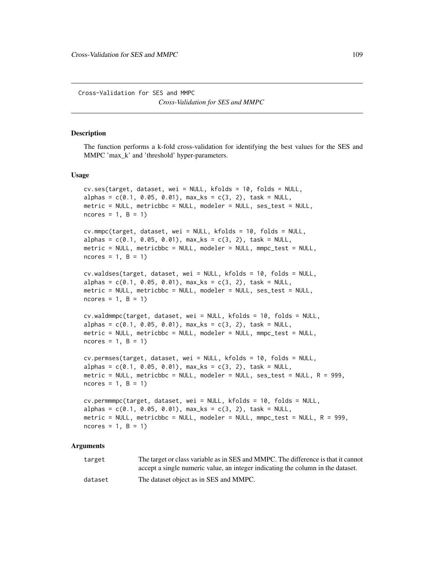Cross-Validation for SES and MMPC *Cross-Validation for SES and MMPC*

### **Description**

The function performs a k-fold cross-validation for identifying the best values for the SES and MMPC 'max\_k' and 'threshold' hyper-parameters.

#### Usage

```
cv.ses(target, dataset, wei = NULL, kfolds = 10, folds = NULL,
alpha = c(0.1, 0.05, 0.01), max_{s} = c(3, 2), task = NULL,metric = NULL, metricbbc = NULL, modeler = NULL, ses_test = NULL,
ncores = 1, B = 1)cv.mmpc(target, dataset, wei = NULL, kfolds = 10, folds = NULL,
alpha = c(0.1, 0.05, 0.01), max_{ks} = c(3, 2), task = NULL,metric = NULL, metricbbc = NULL, modeler = NULL, mmpc_test = NULL,
ncores = 1, B = 1)
cv.waldses(target, dataset, wei = NULL, kfolds = 10, folds = NULL,
alpha = c(0.1, 0.05, 0.01), max_{s} = c(3, 2), task = NULL,metric = NULL, metricbbc = NULL, modeler = NULL, ses_test = NULL,
ncores = 1, B = 1)cv.waldmmpc(target, dataset, wei = NULL, kfolds = 10, folds = NULL,
alpha = c(0.1, 0.05, 0.01), max_{ks} = c(3, 2), task = NULL,metric = NULL, metricbbc = NULL, modeler = NULL, mmpc_test = NULL,
ncores = 1, B = 1)cv.permses(target, dataset, wei = NULL, kfolds = 10, folds = NULL,
alpha = c(0.1, 0.05, 0.01), max_{ks} = c(3, 2), task = NULL,metric = NULL, metricbbc = NULL, modeler = NULL, ses_test = NULL, R = 999,
ncores = 1, B = 1)
cv.permmmpc(target, dataset, wei = NULL, kfolds = 10, folds = NULL,
alpha = c(0.1, 0.05, 0.01), max_{ks} = c(3, 2), task = NULL,metric = NULL, metricbbc = NULL, modeler = NULL, mmpc_test = NULL, R = 999,
```

```
Arguments
```
 $ncores = 1$ ,  $B = 1$ )

target The target or class variable as in SES and MMPC. The difference is that it cannot accept a single numeric value, an integer indicating the column in the dataset. dataset The dataset object as in SES and MMPC.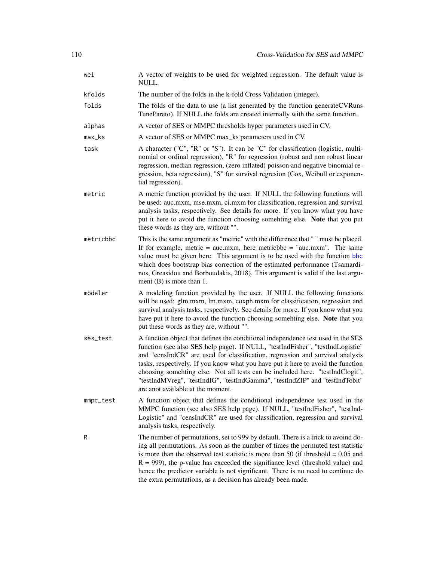| wei                 | A vector of weights to be used for weighted regression. The default value is<br>NULL.                                                                                                                                                                                                                                                                                                                                                                                                                                                         |
|---------------------|-----------------------------------------------------------------------------------------------------------------------------------------------------------------------------------------------------------------------------------------------------------------------------------------------------------------------------------------------------------------------------------------------------------------------------------------------------------------------------------------------------------------------------------------------|
| kfolds              | The number of the folds in the k-fold Cross Validation (integer).                                                                                                                                                                                                                                                                                                                                                                                                                                                                             |
| folds               | The folds of the data to use (a list generated by the function generateCVRuns<br>TunePareto). If NULL the folds are created internally with the same function.                                                                                                                                                                                                                                                                                                                                                                                |
| alphas              | A vector of SES or MMPC thresholds hyper parameters used in CV.                                                                                                                                                                                                                                                                                                                                                                                                                                                                               |
| $max$ <sub>ks</sub> | A vector of SES or MMPC max_ks parameters used in CV.                                                                                                                                                                                                                                                                                                                                                                                                                                                                                         |
| task                | A character ("C", "R" or "S"). It can be "C" for classification (logistic, multi-<br>nomial or ordinal regression), "R" for regression (robust and non robust linear<br>regression, median regression, (zero inflated) poisson and negative binomial re-<br>gression, beta regression), "S" for survival regresion (Cox, Weibull or exponen-<br>tial regression).                                                                                                                                                                             |
| metric              | A metric function provided by the user. If NULL the following functions will<br>be used: auc.mxm, mse.mxm, ci.mxm for classification, regression and survival<br>analysis tasks, respectively. See details for more. If you know what you have<br>put it here to avoid the function choosing somehting else. Note that you put<br>these words as they are, without "".                                                                                                                                                                        |
| metricbbc           | This is the same argument as "metric" with the difference that " " must be placed.<br>If for example, metric = $auc.mxm$ , here metricbbc = " $auc.mxm$ ". The same<br>value must be given here. This argument is to be used with the function bbc<br>which does bootstrap bias correction of the estimated performance (Tsamardi-<br>nos, Greasidou and Borboudakis, 2018). This argument is valid if the last argu-<br>ment $(B)$ is more than 1.                                                                                           |
| modeler             | A modeling function provided by the user. If NULL the following functions<br>will be used: glm.mxm, lm.mxm, coxph.mxm for classification, regression and<br>survival analysis tasks, respectively. See details for more. If you know what you<br>have put it here to avoid the function choosing somehting else. Note that you<br>put these words as they are, without "".                                                                                                                                                                    |
| ses_test            | A function object that defines the conditional independence test used in the SES<br>function (see also SES help page). If NULL, "testIndFisher", "testIndLogistic"<br>and "censIndCR" are used for classification, regression and survival analysis<br>tasks, respectively. If you know what you have put it here to avoid the function<br>choosing somehting else. Not all tests can be included here. "testIndClogit",<br>"testIndMVreg", "testIndIG", "testIndGamma", "testIndZIP" and "testIndTobit"<br>are anot available at the moment. |
| mmpc_test           | A function object that defines the conditional independence test used in the<br>MMPC function (see also SES help page). If NULL, "testIndFisher", "testInd-<br>Logistic" and "censIndCR" are used for classification, regression and survival<br>analysis tasks, respectively.                                                                                                                                                                                                                                                                |
| R                   | The number of permutations, set to 999 by default. There is a trick to avoind do-<br>ing all permutations. As soon as the number of times the permuted test statistic<br>is more than the observed test statistic is more than 50 (if threshold $= 0.05$ and<br>$R = 999$ ), the p-value has exceeded the signifiance level (threshold value) and<br>hence the predictor variable is not significant. There is no need to continue do<br>the extra permutations, as a decision has already been made.                                         |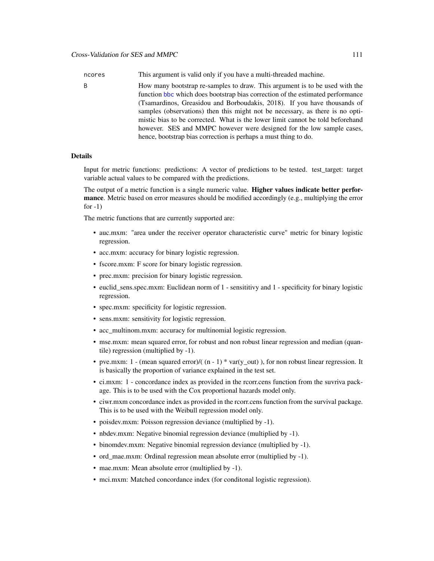ncores This argument is valid only if you have a multi-threaded machine.

B How many bootstrap re-samples to draw. This argument is to be used with the function [bbc](#page-25-0) which does bootstrap bias correction of the estimated performance (Tsamardinos, Greasidou and Borboudakis, 2018). If you have thousands of samples (observations) then this might not be necessary, as there is no optimistic bias to be corrected. What is the lower limit cannot be told beforehand however. SES and MMPC however were designed for the low sample cases, hence, bootstrap bias correction is perhaps a must thing to do.

## **Details**

Input for metric functions: predictions: A vector of predictions to be tested. test\_target: target variable actual values to be compared with the predictions.

The output of a metric function is a single numeric value. Higher values indicate better performance. Metric based on error measures should be modified accordingly (e.g., multiplying the error for  $-1$ )

The metric functions that are currently supported are:

- auc.mxm: "area under the receiver operator characteristic curve" metric for binary logistic regression.
- acc.mxm: accuracy for binary logistic regression.
- fscore.mxm: F score for binary logistic regression.
- prec.mxm: precision for binary logistic regression.
- euclid\_sens.spec.mxm: Euclidean norm of 1 sensititivy and 1 specificity for binary logistic regression.
- spec.mxm: specificity for logistic regression.
- sens.mxm: sensitivity for logistic regression.
- acc\_multinom.mxm: accuracy for multinomial logistic regression.
- mse.mxm: mean squared error, for robust and non robust linear regression and median (quantile) regression (multiplied by -1).
- pve.mxm: 1 (mean squared error)/( $(n 1)$  \* var(y\_out)), for non robust linear regression. It is basically the proportion of variance explained in the test set.
- ci.mxm: 1 concordance index as provided in the rcorr.cens function from the suvriva package. This is to be used with the Cox proportional hazards model only.
- ciwr.mxm concordance index as provided in the rcorr.cens function from the survival package. This is to be used with the Weibull regression model only.
- poisdev.mxm: Poisson regression deviance (multiplied by -1).
- nbdev.mxm: Negative binomial regression deviance (multiplied by -1).
- binomdev.mxm: Negative binomial regression deviance (multiplied by -1).
- ord\_mae.mxm: Ordinal regression mean absolute error (multiplied by -1).
- mae.mxm: Mean absolute error (multiplied by -1).
- mci.mxm: Matched concordance index (for conditonal logistic regression).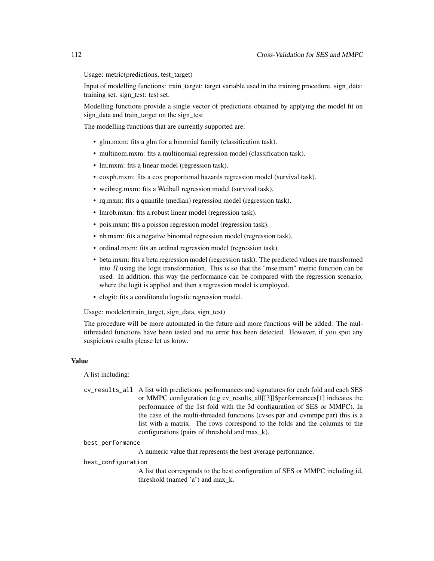Usage: metric(predictions, test\_target)

Input of modelling functions: train\_target: target variable used in the training procedure. sign\_data: training set. sign\_test: test set.

Modelling functions provide a single vector of predictions obtained by applying the model fit on sign\_data and train\_target on the sign\_test

The modelling functions that are currently supported are:

- glm.mxm: fits a glm for a binomial family (classification task).
- multinom.mxm: fits a multinomial regression model (classification task).
- lm.mxm: fits a linear model (regression task).
- coxph.mxm: fits a cox proportional hazards regression model (survival task).
- weibreg.mxm: fits a Weibull regression model (survival task).
- rq.mxm: fits a quantile (median) regression model (regression task).
- lmrob.mxm: fits a robust linear model (regression task).
- pois.mxm: fits a poisson regression model (regression task).
- nb.mxm: fits a negative binomial regression model (regression task).
- ordinal.mxm: fits an ordinal regression model (regression task).
- beta.mxm: fits a beta regression model (regression task). The predicted values are transformed into  $R$  using the logit transformation. This is so that the "mse.mxm" metric function can be used. In addition, this way the performance can be compared with the regression scenario, where the logit is applied and then a regression model is employed.
- clogit: fits a conditonalo logistic regression model.

Usage: modeler(train\_target, sign\_data, sign\_test)

The procedure will be more automated in the future and more functions will be added. The multithreaded functions have been tested and no error has been detected. However, if you spot any suspicious results please let us know.

### Value

A list including:

cv\_results\_all A list with predictions, performances and signatures for each fold and each SES or MMPC configuration (e.g cv\_results\_all[[3]]\$performances[1] indicates the performance of the 1st fold with the 3d configuration of SES or MMPC). In the case of the multi-threaded functions (cvses.par and cvmmpc.par) this is a list with a matrix. The rows correspond to the folds and the columns to the configurations (pairs of threshold and max\_k).

#### best\_performance

A numeric value that represents the best average performance.

#### best\_configuration

A list that corresponds to the best configuration of SES or MMPC including id, threshold (named 'a') and max\_k.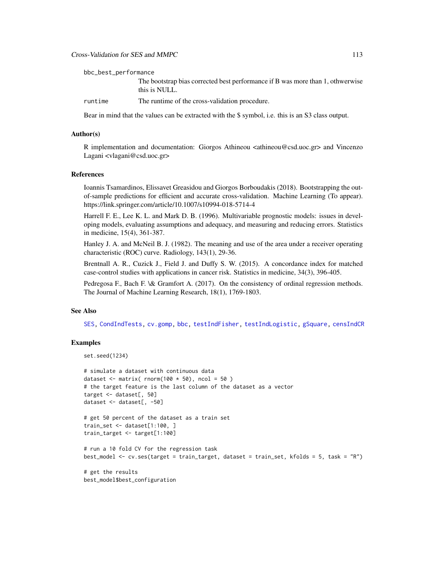## Cross-Validation for SES and MMPC 113

The bootstrap bias corrected best performance if B was more than 1, othwerwise this is NULL.

runtime The runtime of the cross-validation procedure.

Bear in mind that the values can be extracted with the \$ symbol, i.e. this is an S3 class output.

#### Author(s)

R implementation and documentation: Giorgos Athineou <athineou@csd.uoc.gr> and Vincenzo Lagani <vlagani@csd.uoc.gr>

## References

Ioannis Tsamardinos, Elissavet Greasidou and Giorgos Borboudakis (2018). Bootstrapping the outof-sample predictions for efficient and accurate cross-validation. Machine Learning (To appear). https://link.springer.com/article/10.1007/s10994-018-5714-4

Harrell F. E., Lee K. L. and Mark D. B. (1996). Multivariable prognostic models: issues in developing models, evaluating assumptions and adequacy, and measuring and reducing errors. Statistics in medicine, 15(4), 361-387.

Hanley J. A. and McNeil B. J. (1982). The meaning and use of the area under a receiver operating characteristic (ROC) curve. Radiology, 143(1), 29-36.

Brentnall A. R., Cuzick J., Field J. and Duffy S. W. (2015). A concordance index for matched case-control studies with applications in cancer risk. Statistics in medicine, 34(3), 396-405.

Pedregosa F., Bach F. \& Gramfort A. (2017). On the consistency of ordinal regression methods. The Journal of Machine Learning Research, 18(1), 1769-1803.

#### See Also

[SES,](#page-84-0) [CondIndTests,](#page-31-0) [cv.gomp,](#page-103-0) [bbc,](#page-25-0) [testIndFisher,](#page-100-0) [testIndLogistic,](#page-42-0) [gSquare,](#page-150-0) [censIndCR](#page-78-0)

## Examples

```
set.seed(1234)
```

```
# simulate a dataset with continuous data
dataset \le- matrix( rnorm(100 \star 50), ncol = 50)
# the target feature is the last column of the dataset as a vector
target <- dataset[, 50]
dataset <- dataset[, -50]
```

```
# get 50 percent of the dataset as a train set
train_set <- dataset[1:100, ]
train_target <- target[1:100]
```

```
# run a 10 fold CV for the regression task
best_model <- cv.ses(target = train_target, dataset = train_set, kfolds = 5, task = "R")
```
# get the results best\_model\$best\_configuration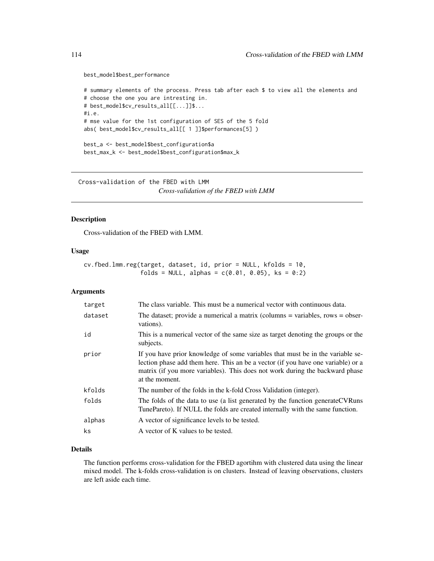#### best\_model\$best\_performance

```
# summary elements of the process. Press tab after each $ to view all the elements and
# choose the one you are intresting in.
# best_model$cv_results_all[[...]]$...
#i.e.
# mse value for the 1st configuration of SES of the 5 fold
abs( best_model$cv_results_all[[ 1 ]]$performances[5] )
best_a <- best_model$best_configuration$a
best_max_k <- best_model$best_configuration$max_k
```
Cross-validation of the FBED with LMM *Cross-validation of the FBED with LMM*

## Description

Cross-validation of the FBED with LMM.

#### Usage

```
cv.fbed.lmm.reg(target, dataset, id, prior = NULL, kfolds = 10,
                folds = NULL, alphas = c(0.01, 0.05), ks = 0:2)
```
## Arguments

| target  | The class variable. This must be a numerical vector with continuous data.                                                                                                                                                                                            |
|---------|----------------------------------------------------------------------------------------------------------------------------------------------------------------------------------------------------------------------------------------------------------------------|
| dataset | The dataset; provide a numerical a matrix (columns $=$ variables, rows $=$ obser-<br>vations).                                                                                                                                                                       |
| id      | This is a numerical vector of the same size as target denoting the groups or the<br>subjects.                                                                                                                                                                        |
| prior   | If you have prior knowledge of some variables that must be in the variable se-<br>lection phase add them here. This an be a vector (if you have one variable) or a<br>matrix (if you more variables). This does not work during the backward phase<br>at the moment. |
| kfolds  | The number of the folds in the k-fold Cross Validation (integer).                                                                                                                                                                                                    |
| folds   | The folds of the data to use (a list generated by the function generate CVRuns<br>TunePareto). If NULL the folds are created internally with the same function.                                                                                                      |
| alphas  | A vector of significance levels to be tested.                                                                                                                                                                                                                        |
| ks      | A vector of K values to be tested.                                                                                                                                                                                                                                   |

## Details

The function performs cross-validation for the FBED agortihm with clustered data using the linear mixed model. The k-folds cross-validation is on clusters. Instead of leaving observations, clusters are left aside each time.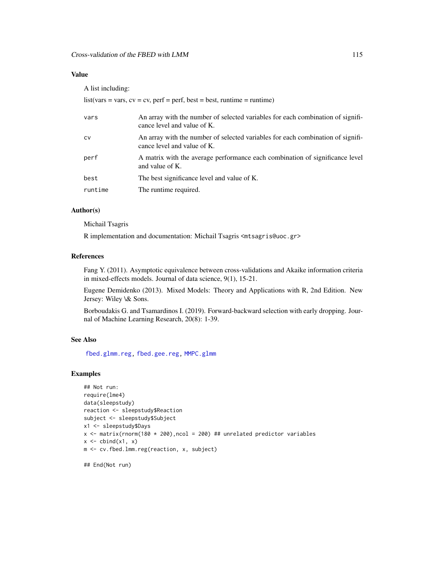## Value

A list including:

|           | $list(vars = vars, cv = cv, perf = perf, best = best, runtime = runtime)$                                      |
|-----------|----------------------------------------------------------------------------------------------------------------|
| vars      | An array with the number of selected variables for each combination of signifi-<br>cance level and value of K. |
| <b>CV</b> | An array with the number of selected variables for each combination of signifi-<br>cance level and value of K. |
| perf      | A matrix with the average performance each combination of significance level<br>and value of K.                |
| best      | The best significance level and value of K.                                                                    |
| runtime   | The runtime required.                                                                                          |

# Author(s)

Michail Tsagris

R implementation and documentation: Michail Tsagris <mtsagris@uoc.gr>

## References

Fang Y. (2011). Asymptotic equivalence between cross-validations and Akaike information criteria in mixed-effects models. Journal of data science, 9(1), 15-21.

Eugene Demidenko (2013). Mixed Models: Theory and Applications with R, 2nd Edition. New Jersey: Wiley \& Sons.

Borboudakis G. and Tsamardinos I. (2019). Forward-backward selection with early dropping. Journal of Machine Learning Research, 20(8): 1-39.

## See Also

[fbed.glmm.reg,](#page-141-0) [fbed.gee.reg,](#page-138-0) [MMPC.glmm](#page-90-0)

# Examples

```
## Not run:
require(lme4)
data(sleepstudy)
reaction <- sleepstudy$Reaction
subject <- sleepstudy$Subject
x1 <- sleepstudy$Days
x \le matrix(rnorm(180 \star 200), ncol = 200) ## unrelated predictor variables
x \leftarrow \text{cbind}(x1, x)m <- cv.fbed.lmm.reg(reaction, x, subject)
```
## End(Not run)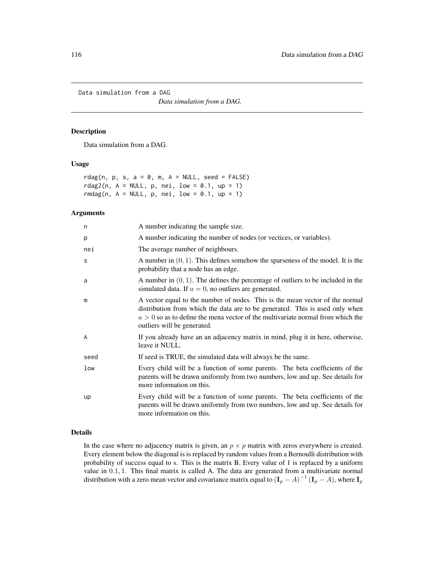Data simulation from a DAG

*Data simulation from a DAG.*

#### Description

Data simulation from a DAG.

#### Usage

rdag(n, p, s,  $a = 0$ , m,  $A = NULL$ , seed = FALSE) rdag2(n,  $A = NULL$ ,  $p$ ,  $nei$ ,  $low = 0.1$ ,  $up = 1$ ) rmdag(n,  $A = NULL$ , p, nei,  $low = 0.1$ , up = 1)

#### Arguments

| n    | A number indicating the sample size.                                                                                                                                                                                                                                             |
|------|----------------------------------------------------------------------------------------------------------------------------------------------------------------------------------------------------------------------------------------------------------------------------------|
| p    | A number indicating the number of nodes (or vectices, or variables).                                                                                                                                                                                                             |
| nei  | The average number of neighbours.                                                                                                                                                                                                                                                |
| S    | A number in $(0, 1)$ . This defines somehow the sparseness of the model. It is the<br>probability that a node has an edge.                                                                                                                                                       |
| a    | A number in $(0, 1)$ . The defines the percentage of outliers to be included in the<br>simulated data. If $a = 0$ , no outliers are generated.                                                                                                                                   |
| m    | A vector equal to the number of nodes. This is the mean vector of the normal<br>distribution from which the data are to be generated. This is used only when<br>$a > 0$ so as to define the mena vector of the multivariate normal from which the<br>outliers will be generated. |
| A    | If you already have an an adjacency matrix in mind, plug it in here, otherwise,<br>leave it NULL.                                                                                                                                                                                |
| seed | If seed is TRUE, the simulated data will always be the same.                                                                                                                                                                                                                     |
| low  | Every child will be a function of some parents. The beta coefficients of the<br>parents will be drawn uniformly from two numbers, low and up. See details for<br>more information on this.                                                                                       |
| up   | Every child will be a function of some parents. The beta coefficients of the<br>parents will be drawn uniformly from two numbers, low and up. See details for<br>more information on this.                                                                                       |

## Details

In the case where no adjacency matrix is given, an  $p \times p$  matrix with zeros everywhere is created. Every element below the diagonal is is replaced by random values from a Bernoulli distribution with probability of success equal to s. This is the matrix B. Every value of 1 is replaced by a uniform value in 0.1, 1. This final matrix is called A. The data are generated from a multivariate normal distribution with a zero mean vector and covariance matrix equal to  $(I_p - A)^{-1} (I_p - A)$ , where  $I_p$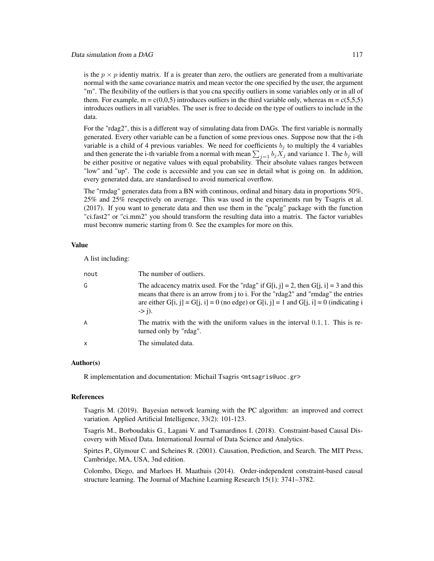is the  $p \times p$  identiy matrix. If a is greater than zero, the outliers are generated from a multivariate normal with the same covariance matrix and mean vector the one specified by the user, the argument "m". The flexibility of the outliers is that you cna specifiy outliers in some variables only or in all of them. For example,  $m = c(0,0,5)$  introduces outliers in the third variable only, whereas  $m = c(5,5,5)$ introduces outliers in all variables. The user is free to decide on the type of outliers to include in the data.

For the "rdag2", this is a different way of simulating data from DAGs. The first variable is normally generated. Every other variable can be a function of some previous ones. Suppose now that the i-th variable is a child of 4 previous variables. We need for coefficients  $b_i$  to multiply the 4 variables and then generate the i-th variable from a normal with mean  $\sum_{j=1} b_j X_j$  and variance 1. The  $b_j$  will be either positive or negative values with equal probability. Their absolute values ranges between "low" and "up". The code is accessible and you can see in detail what is going on. In addition, every generated data, are standardised to avoid numerical overflow.

The "rmdag" generates data from a BN with continous, ordinal and binary data in proportions 50%, 25% and 25% resepctively on average. This was used in the experiments run by Tsagris et al. (2017). If you want to generate data and then use them in the "pcalg" package with the function "ci.fast2" or "ci.mm2" you should transform the resulting data into a matrix. The factor variables must becomw numeric starting from 0. See the examples for more on this.

## Value

A list including:

| nout                      | The number of outliers.                                                                                                                                                                                                                                                                                 |
|---------------------------|---------------------------------------------------------------------------------------------------------------------------------------------------------------------------------------------------------------------------------------------------------------------------------------------------------|
| G                         | The adcacency matrix used. For the "rdag" if G[i, j] = 2, then G[j, i] = 3 and this<br>means that there is an arrow from <i>j</i> to <i>i</i> . For the "rdag2" and "rmdag" the entries<br>are either G[i, j] = G[j, i] = 0 (no edge) or G[i, j] = 1 and G[j, i] = 0 (indicating i<br>$\Rightarrow$ i). |
| $\overline{A}$            | The matrix with the with the uniform values in the interval $0.1, 1$ . This is re-<br>turned only by "rdag".                                                                                                                                                                                            |
| $\boldsymbol{\mathsf{x}}$ | The simulated data.                                                                                                                                                                                                                                                                                     |

## Author(s)

R implementation and documentation: Michail Tsagris <mtsagris@uoc.gr>

## References

Tsagris M. (2019). Bayesian network learning with the PC algorithm: an improved and correct variation. Applied Artificial Intelligence, 33(2): 101-123.

Tsagris M., Borboudakis G., Lagani V. and Tsamardinos I. (2018). Constraint-based Causal Discovery with Mixed Data. International Journal of Data Science and Analytics.

Spirtes P., Glymour C. and Scheines R. (2001). Causation, Prediction, and Search. The MIT Press, Cambridge, MA, USA, 3nd edition.

Colombo, Diego, and Marloes H. Maathuis (2014). Order-independent constraint-based causal structure learning. The Journal of Machine Learning Research 15(1): 3741–3782.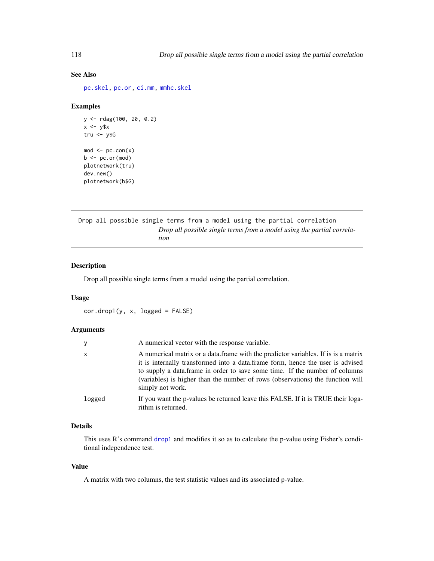# See Also

[pc.skel,](#page-222-0) [pc.or,](#page-195-0) [ci.mm,](#page-231-0) [mmhc.skel](#page-219-0)

## Examples

```
y <- rdag(100, 20, 0.2)
x \le -y$x
tru < -y$G
mod \leftarrow pc.com(x)b \leftarrow pc.or(mod)
plotnetwork(tru)
dev.new()
plotnetwork(b$G)
```
Drop all possible single terms from a model using the partial correlation *Drop all possible single terms from a model using the partial correlation*

## Description

Drop all possible single terms from a model using the partial correlation.

#### Usage

cor.drop1(y, x, logged = FALSE)

#### Arguments

| y            | A numerical vector with the response variable.                                                                                                                                                                                                                                                                                                         |
|--------------|--------------------------------------------------------------------------------------------------------------------------------------------------------------------------------------------------------------------------------------------------------------------------------------------------------------------------------------------------------|
| $\mathsf{x}$ | A numerical matrix or a data frame with the predictor variables. If is a matrix<br>it is internally transformed into a data.frame form, hence the user is advised<br>to supply a data.frame in order to save some time. If the number of columns<br>(variables) is higher than the number of rows (observations) the function will<br>simply not work. |
| logged       | If you want the p-values be returned leave this FALSE. If it is TRUE their loga-<br>rithm is returned.                                                                                                                                                                                                                                                 |

# Details

This uses R's command [drop1](#page-0-0) and modifies it so as to calculate the p-value using Fisher's conditional independence test.

## Value

A matrix with two columns, the test statistic values and its associated p-value.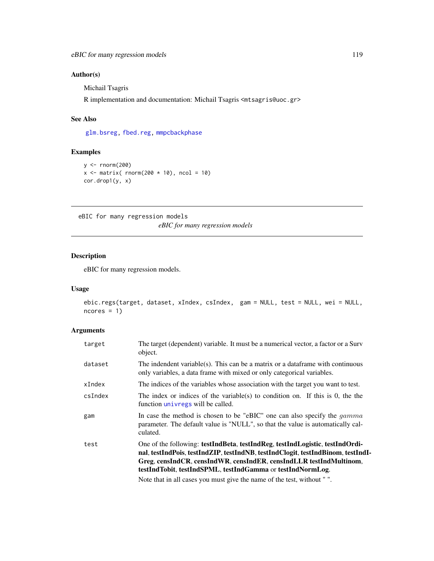# Author(s)

Michail Tsagris

R implementation and documentation: Michail Tsagris <mtsagris@uoc.gr>

## See Also

[glm.bsreg,](#page-16-0) [fbed.reg,](#page-133-0) [mmpcbackphase](#page-8-0)

# Examples

```
y <- rnorm(200)
x \le matrix( rnorm(200 \star 10), ncol = 10)
cor.drop1(y, x)
```
eBIC for many regression models *eBIC for many regression models*

## Description

eBIC for many regression models.

# Usage

```
ebic.regs(target, dataset, xIndex, csIndex, gam = NULL, test = NULL, wei = NULL,
ncores = 1)
```
# Arguments

| target  | The target (dependent) variable. It must be a numerical vector, a factor or a Surv<br>object.                                                                                                                                                                                                       |
|---------|-----------------------------------------------------------------------------------------------------------------------------------------------------------------------------------------------------------------------------------------------------------------------------------------------------|
| dataset | The indendent variable(s). This can be a matrix or a dataframe with continuous<br>only variables, a data frame with mixed or only categorical variables.                                                                                                                                            |
| xIndex  | The indices of the variables whose association with the target you want to test.                                                                                                                                                                                                                    |
| csIndex | The index or indices of the variable(s) to condition on. If this is $\theta$ , the the<br>function <i>univregs</i> will be called.                                                                                                                                                                  |
| gam     | In case the method is chosen to be "eBIC" one can also specify the <i>gamma</i><br>parameter. The default value is "NULL", so that the value is automatically cal-<br>culated.                                                                                                                      |
| test    | One of the following: testIndBeta, testIndReg, testIndLogistic, testIndOrdi-<br>nal, testIndPois, testIndZIP, testIndNB, testIndClogit, testIndBinom, testIndI-<br>Greg, censIndCR, censIndWR, censIndER, censIndLLR testIndMultinom,<br>testIndTobit, testIndSPML, testIndGamma or testIndNormLog. |
|         | Note that in all cases you must give the name of the test without $\mathbb{R}^n$ .                                                                                                                                                                                                                  |

Note that in all cases you must give the name of the test, without " ".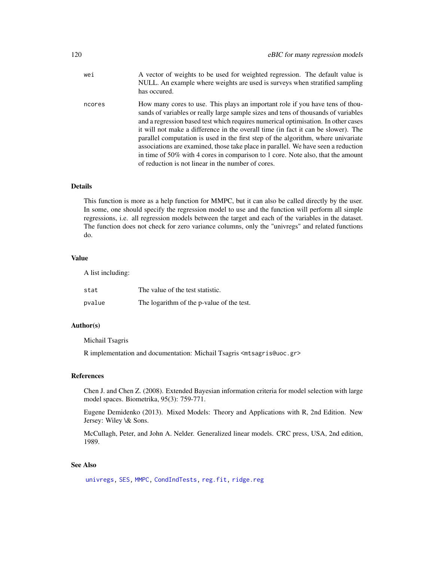| wei    | A vector of weights to be used for weighted regression. The default value is<br>NULL. An example where weights are used is surveys when stratified sampling<br>has occured.                                                                                                                                                                                                                                                                                                                                                                                                                                                                                      |
|--------|------------------------------------------------------------------------------------------------------------------------------------------------------------------------------------------------------------------------------------------------------------------------------------------------------------------------------------------------------------------------------------------------------------------------------------------------------------------------------------------------------------------------------------------------------------------------------------------------------------------------------------------------------------------|
| ncores | How many cores to use. This plays an important role if you have tens of thou-<br>sands of variables or really large sample sizes and tens of thousands of variables<br>and a regression based test which requires numerical optimisation. In other cases<br>it will not make a difference in the overall time (in fact it can be slower). The<br>parallel computation is used in the first step of the algorithm, where univariate<br>associations are examined, those take place in parallel. We have seen a reduction<br>in time of 50% with 4 cores in comparison to 1 core. Note also, that the amount<br>of reduction is not linear in the number of cores. |

### Details

This function is more as a help function for MMPC, but it can also be called directly by the user. In some, one should specify the regression model to use and the function will perform all simple regressions, i.e. all regression models between the target and each of the variables in the dataset. The function does not check for zero variance columns, only the "univregs" and related functions do.

## Value

A list including:

| stat   | The value of the test statistic.          |
|--------|-------------------------------------------|
| pvalue | The logarithm of the p-value of the test. |

### Author(s)

Michail Tsagris

R implementation and documentation: Michail Tsagris <mtsagris@uoc.gr>

#### References

Chen J. and Chen Z. (2008). Extended Bayesian information criteria for model selection with large model spaces. Biometrika, 95(3): 759-771.

Eugene Demidenko (2013). Mixed Models: Theory and Applications with R, 2nd Edition. New Jersey: Wiley \& Sons.

McCullagh, Peter, and John A. Nelder. Generalized linear models. CRC press, USA, 2nd edition, 1989.

# See Also

[univregs,](#page-240-0) [SES,](#page-84-0) [MMPC,](#page-84-0) [CondIndTests,](#page-31-0) [reg.fit,](#page-207-0) [ridge.reg](#page-209-0)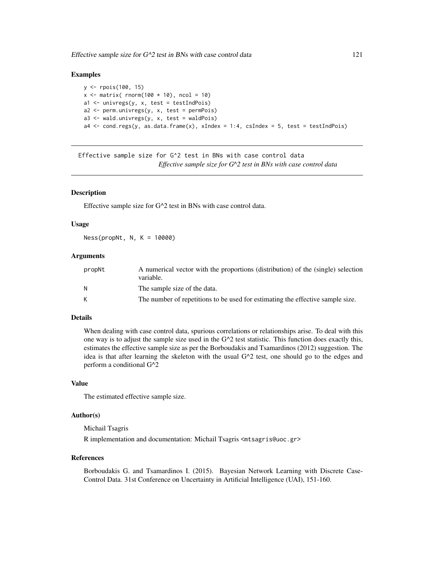## Examples

```
y <- rpois(100, 15)
x \le matrix( rnorm(100 \star 10), ncol = 10)
a1 \le univregs(y, x, test = testIndPois)
a2 <- perm.univregs(y, x, test = permPois)
a3 <- wald.univregs(y, x, test = waldPois)
a4 \le cond.regs(y, as.data.frame(x), xIndex = 1:4, csIndex = 5, test = testIndPois)
```

```
Effective sample size for G^2 test in BNs with case control data
                         Effective sample size for G^2 test in BNs with case control data
```
#### **Description**

Effective sample size for G^2 test in BNs with case control data.

#### Usage

Ness(propNt, N, K = 10000)

## Arguments

| propNt | A numerical vector with the proportions (distribution) of the (single) selection<br>variable. |
|--------|-----------------------------------------------------------------------------------------------|
| N      | The sample size of the data.                                                                  |
| К      | The number of repetitions to be used for estimating the effective sample size.                |

## Details

When dealing with case control data, spurious correlations or relationships arise. To deal with this one way is to adjust the sample size used in the  $G^{\wedge}2$  test statistic. This function does exactly this, estimates the effective sample size as per the Borboudakis and Tsamardinos (2012) suggestion. The idea is that after learning the skeleton with the usual  $G^2$  test, one should go to the edges and perform a conditional G^2

#### Value

The estimated effective sample size.

## Author(s)

Michail Tsagris

R implementation and documentation: Michail Tsagris <mtsagris@uoc.gr>

#### References

Borboudakis G. and Tsamardinos I. (2015). Bayesian Network Learning with Discrete Case-Control Data. 31st Conference on Uncertainty in Artificial Intelligence (UAI), 151-160.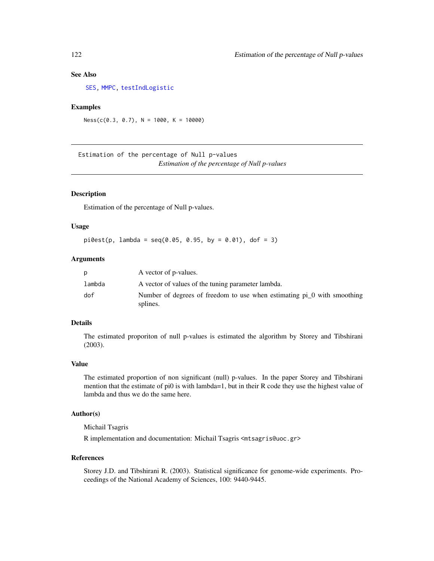## See Also

[SES,](#page-84-0) [MMPC,](#page-84-0) [testIndLogistic](#page-42-0)

## Examples

 $Ness(c(0.3, 0.7), N = 1000, K = 10000)$ 

Estimation of the percentage of Null p-values *Estimation of the percentage of Null p-values*

#### Description

Estimation of the percentage of Null p-values.

## Usage

 $pi0est(p, lambda = seq(0.05, 0.95, by = 0.01), dof = 3)$ 

#### Arguments

| p      | A vector of p-values.                                                               |
|--------|-------------------------------------------------------------------------------------|
| lambda | A vector of values of the tuning parameter lambda.                                  |
| dof    | Number of degrees of freedom to use when estimating pi_0 with smoothing<br>splines. |

## Details

The estimated proporiton of null p-values is estimated the algorithm by Storey and Tibshirani (2003).

## Value

The estimated proportion of non significant (null) p-values. In the paper Storey and Tibshirani mention that the estimate of pi0 is with lambda=1, but in their R code they use the highest value of lambda and thus we do the same here.

## Author(s)

Michail Tsagris

R implementation and documentation: Michail Tsagris <mtsagris@uoc.gr>

#### References

Storey J.D. and Tibshirani R. (2003). Statistical significance for genome-wide experiments. Proceedings of the National Academy of Sciences, 100: 9440-9445.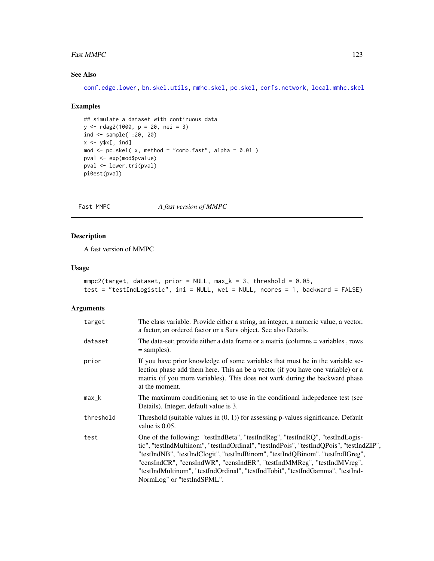#### Fast MMPC 123

# See Also

[conf.edge.lower,](#page-169-0) [bn.skel.utils,](#page-244-0) [mmhc.skel,](#page-219-0) [pc.skel,](#page-222-0) [corfs.network,](#page-193-0) [local.mmhc.skel](#page-217-0)

#### Examples

```
## simulate a dataset with continuous data
y <- rdag2(1000, p = 20, nei = 3)
ind \le sample(1:20, 20)x \leq -y$x[, ind]
mod <- pc.skel( x, method = "comb.fast", alpha = 0.01 )
pval <- exp(mod$pvalue)
pval <- lower.tri(pval)
pi0est(pval)
```
Fast MMPC *A fast version of MMPC*

## <span id="page-122-0"></span>Description

A fast version of MMPC

## Usage

```
mmpc2(target, dataset, prior = NULL, max_k = 3, threshold = 0.05,test = "testIndLogistic", ini = NULL, wei = NULL, ncores = 1, backward = FALSE)
```

| target    | The class variable. Provide either a string, an integer, a numeric value, a vector,<br>a factor, an ordered factor or a Surv object. See also Details.                                                                                                                                                                                                                                                                                                |
|-----------|-------------------------------------------------------------------------------------------------------------------------------------------------------------------------------------------------------------------------------------------------------------------------------------------------------------------------------------------------------------------------------------------------------------------------------------------------------|
| dataset   | The data-set; provide either a data frame or a matrix (columns = variables, rows<br>$=$ samples).                                                                                                                                                                                                                                                                                                                                                     |
| prior     | If you have prior knowledge of some variables that must be in the variable se-<br>lection phase add them here. This an be a vector (if you have one variable) or a<br>matrix (if you more variables). This does not work during the backward phase<br>at the moment.                                                                                                                                                                                  |
| $max_k$   | The maximum conditioning set to use in the conditional indepedence test (see<br>Details). Integer, default value is 3.                                                                                                                                                                                                                                                                                                                                |
| threshold | Threshold (suitable values in $(0, 1)$ ) for assessing p-values significance. Default<br>value is $0.05$ .                                                                                                                                                                                                                                                                                                                                            |
| test      | One of the following: "testIndBeta", "testIndReg", "testIndRQ", "testIndLogis-<br>tic", "testIndMultinom", "testIndOrdinal", "testIndPois", "testIndQPois", "testIndZIP",<br>"testIndNB", "testIndClogit", "testIndBinom", "testIndQBinom", "testIndIGreg",<br>"censIndCR", "censIndWR", "censIndER", "testIndMMReg", "testIndMVreg",<br>"testIndMultinom", "testIndOrdinal", "testIndTobit", "testIndGamma", "testInd-<br>NormLog" or "testIndSPML". |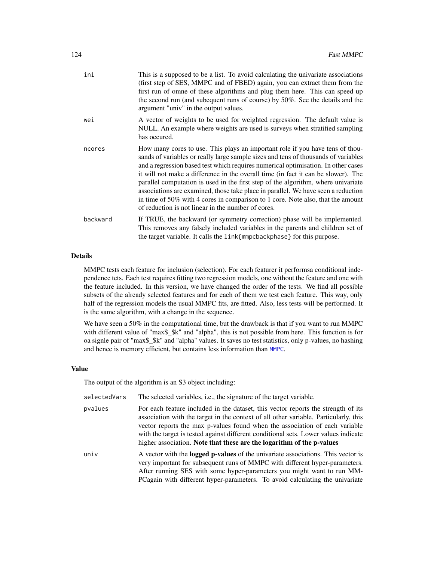| ini      | This is a supposed to be a list. To avoid calculating the univariate associations<br>(first step of SES, MMPC and of FBED) again, you can extract them from the<br>first run of omne of these algorithms and plug them here. This can speed up<br>the second run (and subequent runs of course) by 50%. See the details and the<br>argument "univ" in the output values.                                                                                                                                                                                                                                                                                         |
|----------|------------------------------------------------------------------------------------------------------------------------------------------------------------------------------------------------------------------------------------------------------------------------------------------------------------------------------------------------------------------------------------------------------------------------------------------------------------------------------------------------------------------------------------------------------------------------------------------------------------------------------------------------------------------|
| wei      | A vector of weights to be used for weighted regression. The default value is<br>NULL. An example where weights are used is surveys when stratified sampling<br>has occured.                                                                                                                                                                                                                                                                                                                                                                                                                                                                                      |
| ncores   | How many cores to use. This plays an important role if you have tens of thou-<br>sands of variables or really large sample sizes and tens of thousands of variables<br>and a regression based test which requires numerical optimisation. In other cases<br>it will not make a difference in the overall time (in fact it can be slower). The<br>parallel computation is used in the first step of the algorithm, where univariate<br>associations are examined, those take place in parallel. We have seen a reduction<br>in time of 50% with 4 cores in comparison to 1 core. Note also, that the amount<br>of reduction is not linear in the number of cores. |
| backward | If TRUE, the backward (or symmetry correction) phase will be implemented.<br>This removes any falsely included variables in the parents and children set of<br>the target variable. It calls the link{mmpcbackphase} for this purpose.                                                                                                                                                                                                                                                                                                                                                                                                                           |

## Details

MMPC tests each feature for inclusion (selection). For each featurer it performsa conditional independence tets. Each test requires fitting two regression models, one without the feature and one with the feature included. In this version, we have changed the order of the tests. We find all possible subsets of the already selected features and for each of them we test each feature. This way, only half of the regression models the usual MMPC fits, are fitted. Also, less tests will be performed. It is the same algorithm, with a change in the sequence.

We have seen a 50% in the computational time, but the drawback is that if you want to run MMPC with different value of "max\$\_\$k" and "alpha", this is not possible from here. This function is for oa signle pair of "max\$\_\$k" and "alpha" values. It saves no test statistics, only p-values, no hashing and hence is memory efficient, but contains less information than [MMPC](#page-84-0).

#### Value

The output of the algorithm is an S3 object including:

| selectedVars | The selected variables, i.e., the signature of the target variable.                                                                                                                                                                                                                                                                                                                                                      |
|--------------|--------------------------------------------------------------------------------------------------------------------------------------------------------------------------------------------------------------------------------------------------------------------------------------------------------------------------------------------------------------------------------------------------------------------------|
| pvalues      | For each feature included in the dataset, this vector reports the strength of its<br>association with the target in the context of all other variable. Particularly, this<br>vector reports the max p-values found when the association of each variable<br>with the target is tested against different conditional sets. Lower values indicate<br>higher association. Note that these are the logarithm of the p-values |
| univ         | A vector with the <b>logged p-values</b> of the univariate associations. This vector is<br>very important for subsequent runs of MMPC with different hyper-parameters.<br>After running SES with some hyper-parameters you might want to run MM-<br>PCagain with different hyper-parameters. To avoid calculating the univariate                                                                                         |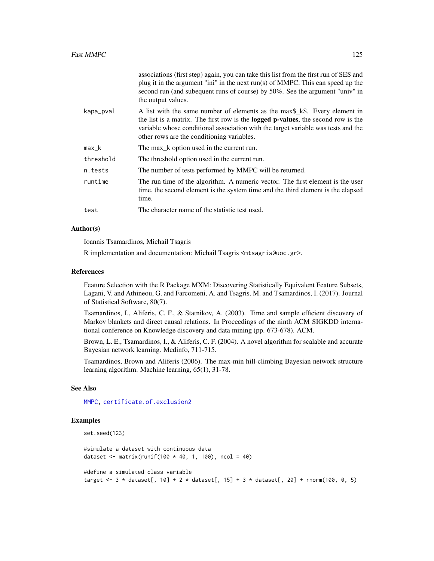|           | associations (first step) again, you can take this list from the first run of SES and<br>plug it in the argument "ini" in the next run(s) of MMPC. This can speed up the<br>second run (and subequent runs of course) by 50%. See the argument "univ" in<br>the output values.                             |
|-----------|------------------------------------------------------------------------------------------------------------------------------------------------------------------------------------------------------------------------------------------------------------------------------------------------------------|
| kapa_pval | A list with the same number of elements as the max\$_k\$. Every element in<br>the list is a matrix. The first row is the <b>logged p-values</b> , the second row is the<br>variable whose conditional association with the target variable was tests and the<br>other rows are the conditioning variables. |
| $max_k$   | The max_k option used in the current run.                                                                                                                                                                                                                                                                  |
| threshold | The threshold option used in the current run.                                                                                                                                                                                                                                                              |
| n.tests   | The number of tests performed by MMPC will be returned.                                                                                                                                                                                                                                                    |
| runtime   | The run time of the algorithm. A numeric vector. The first element is the user<br>time, the second element is the system time and the third element is the elapsed<br>time.                                                                                                                                |
| test      | The character name of the statistic test used.                                                                                                                                                                                                                                                             |

#### Author(s)

Ioannis Tsamardinos, Michail Tsagris

R implementation and documentation: Michail Tsagris <mtsagris@uoc.gr>.

#### References

Feature Selection with the R Package MXM: Discovering Statistically Equivalent Feature Subsets, Lagani, V. and Athineou, G. and Farcomeni, A. and Tsagris, M. and Tsamardinos, I. (2017). Journal of Statistical Software, 80(7).

Tsamardinos, I., Aliferis, C. F., & Statnikov, A. (2003). Time and sample efficient discovery of Markov blankets and direct causal relations. In Proceedings of the ninth ACM SIGKDD international conference on Knowledge discovery and data mining (pp. 673-678). ACM.

Brown, L. E., Tsamardinos, I., & Aliferis, C. F. (2004). A novel algorithm for scalable and accurate Bayesian network learning. Medinfo, 711-715.

Tsamardinos, Brown and Aliferis (2006). The max-min hill-climbing Bayesian network structure learning algorithm. Machine learning, 65(1), 31-78.

#### See Also

[MMPC,](#page-84-0) [certificate.of.exclusion2](#page-28-0)

## Examples

```
set.seed(123)
```
#simulate a dataset with continuous data dataset <- matrix(runif(100  $*$  40, 1, 100), ncol = 40)

#define a simulated class variable target <- 3 \* dataset[, 10] + 2 \* dataset[, 15] + 3 \* dataset[, 20] + rnorm(100, 0, 5)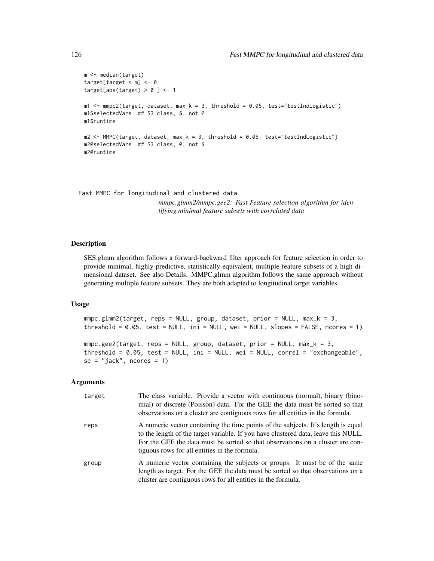```
m <- median(target)
target[target < m] <- 0
target[abs(target) > 0 ] < -1m1 < - mmpc2(target, dataset, max_k = 3, threshold = 0.05, test="testIndLogistic")
m1$selectedVars ## S3 class, $, not @
m1$runtime
m2 < - MMPC(target, dataset, max_k = 3, threshold = 0.05, test="testIndLogistic")
m2@selectedVars ## S3 class, @, not $
m2@runtime
```
Fast MMPC for longitudinal and clustered data *mmpc.glmm2/mmpc.gee2: Fast Feature selection algorithm for identifying minimal feature subsets with correlated data*

## Description

SES.glmm algorithm follows a forward-backward filter approach for feature selection in order to provide minimal, highly-predictive, statistically-equivalent, multiple feature subsets of a high dimensional dataset. See also Details. MMPC.glmm algorithm follows the same approach without generating multiple feature subsets. They are both adapted to longitudinal target variables.

# Usage

```
mmpc.glmm2(target, reps = NULL, group, dataset, prior = NULL, max_k = 3,
threshold = 0.05, test = NULL, ini = NULL, wei = NULL, slopes = FALSE, ncores = 1)
```

```
mmc.get(target, reps = NULL, group, dataset, prior = NULL, max_k = 3,threshold = 0.05, test = NULL, ini = NULL, wei = NULL, correl = "exchangeable",
se = "iack", ncores = 1)
```

| target | The class variable. Provide a vector with continuous (normal), binary (bino-<br>mial) or discrete (Poisson) data. For the GEE the data must be sorted so that<br>observations on a cluster are contiguous rows for all entities in the formula.                                                            |
|--------|------------------------------------------------------------------------------------------------------------------------------------------------------------------------------------------------------------------------------------------------------------------------------------------------------------|
| reps   | A numeric vector containing the time points of the subjects. It's length is equal<br>to the length of the target variable. If you have clustered data, leave this NULL.<br>For the GEE the data must be sorted so that observations on a cluster are con-<br>tiguous rows for all entities in the formula. |
| group  | A numeric vector containing the subjects or groups. It must be of the same<br>length as target. For the GEE the data must be sorted so that observations on a<br>cluster are contiguous rows for all entities in the formula.                                                                              |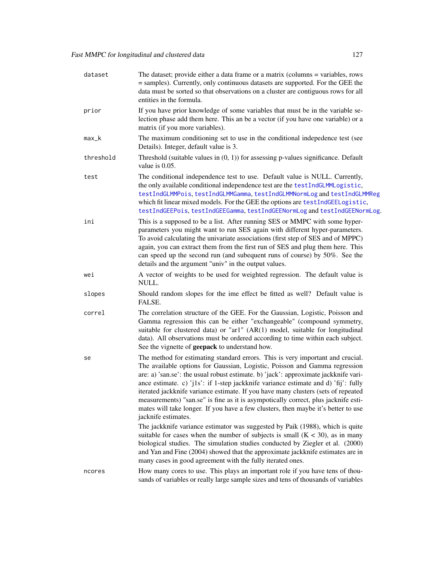| dataset   | The dataset; provide either a data frame or a matrix (columns = variables, rows<br>= samples). Currently, only continuous datasets are supported. For the GEE the<br>data must be sorted so that observations on a cluster are contiguous rows for all<br>entities in the formula.                                                                                                                                                                                                                                                                                                                                                                                                                                |
|-----------|-------------------------------------------------------------------------------------------------------------------------------------------------------------------------------------------------------------------------------------------------------------------------------------------------------------------------------------------------------------------------------------------------------------------------------------------------------------------------------------------------------------------------------------------------------------------------------------------------------------------------------------------------------------------------------------------------------------------|
| prior     | If you have prior knowledge of some variables that must be in the variable se-<br>lection phase add them here. This an be a vector (if you have one variable) or a<br>matrix (if you more variables).                                                                                                                                                                                                                                                                                                                                                                                                                                                                                                             |
| $max_k$   | The maximum conditioning set to use in the conditional indepedence test (see<br>Details). Integer, default value is 3.                                                                                                                                                                                                                                                                                                                                                                                                                                                                                                                                                                                            |
| threshold | Threshold (suitable values in $(0, 1)$ ) for assessing p-values significance. Default<br>value is 0.05.                                                                                                                                                                                                                                                                                                                                                                                                                                                                                                                                                                                                           |
| test      | The conditional independence test to use. Default value is NULL. Currently,<br>the only available conditional independence test are the testIndGLMMLogistic,<br>testIndGLMMPois, testIndGLMMGamma, testIndGLMMNormLog and testIndGLMMReg<br>which fit linear mixed models. For the GEE the options are testIndGEELogistic,<br>testIndGEEPois, testIndGEEGamma, testIndGEENormLog and testIndGEENormLog.                                                                                                                                                                                                                                                                                                           |
| ini       | This is a supposed to be a list. After running SES or MMPC with some hyper-<br>parameters you might want to run SES again with different hyper-parameters.<br>To avoid calculating the univariate associations (first step of SES and of MPPC)<br>again, you can extract them from the first run of SES and plug them here. This<br>can speed up the second run (and subequent runs of course) by 50%. See the<br>details and the argument "univ" in the output values.                                                                                                                                                                                                                                           |
| wei       | A vector of weights to be used for weighted regression. The default value is<br>NULL.                                                                                                                                                                                                                                                                                                                                                                                                                                                                                                                                                                                                                             |
| slopes    | Should random slopes for the ime effect be fitted as well? Default value is<br>FALSE.                                                                                                                                                                                                                                                                                                                                                                                                                                                                                                                                                                                                                             |
| correl    | The correlation structure of the GEE. For the Gaussian, Logistic, Poisson and<br>Gamma regression this can be either "exchangeable" (compound symmetry,<br>suitable for clustered data) or "ar1" (AR(1) model, suitable for longitudinal<br>data). All observations must be ordered according to time within each subject.<br>See the vignette of <b>geepack</b> to understand how.                                                                                                                                                                                                                                                                                                                               |
| se        | The method for estimating standard errors. This is very important and crucial.<br>The available options for Gaussian, Logistic, Poisson and Gamma regression<br>are: a) 'san.se': the usual robust estimate. b) 'jack': approximate jackknife vari-<br>ance estimate. c) 'j1s': if 1-step jackknife variance estimate and d) 'fij': fully<br>iterated jackknife variance estimate. If you have many clusters (sets of repeated<br>measurements) "san.se" is fine as it is asympotically correct, plus jacknife esti-<br>mates will take longer. If you have a few clusters, then maybe it's better to use<br>jacknife estimates.<br>The jackknife variance estimator was suggested by Paik (1988), which is quite |
|           | suitable for cases when the number of subjects is small $(K < 30)$ , as in many<br>biological studies. The simulation studies conducted by Ziegler et al. (2000)<br>and Yan and Fine (2004) showed that the approximate jackknife estimates are in<br>many cases in good agreement with the fully iterated ones.                                                                                                                                                                                                                                                                                                                                                                                                  |
| ncores    | How many cores to use. This plays an important role if you have tens of thou-<br>sands of variables or really large sample sizes and tens of thousands of variables                                                                                                                                                                                                                                                                                                                                                                                                                                                                                                                                               |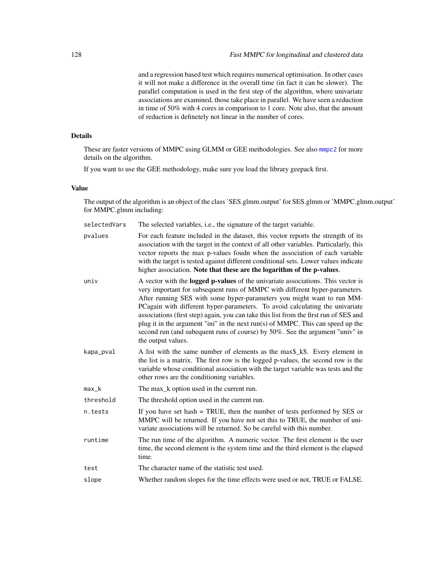and a regression based test which requires numerical optimisation. In other cases it will not make a difference in the overall time (in fact it can be slower). The parallel computation is used in the first step of the algorithm, where univariate associations are examined, those take place in parallel. We have seen a reduction in time of 50% with 4 cores in comparison to 1 core. Note also, that the amount of reduction is definetely not linear in the number of cores.

# Details

These are faster versions of MMPC using GLMM or GEE methodologies. See also [mmpc2](#page-122-0) for more details on the algorithm.

If you want to use the GEE methodology, make sure you load the library geepack first.

## Value

The output of the algorithm is an object of the class 'SES.glmm.output' for SES.glmm or 'MMPC.glmm.output' for MMPC.glmm including:

| selectedVars | The selected variables, i.e., the signature of the target variable.                                                                                                                                                                                                                                                                                                                                                                                                                                                                                                                                           |
|--------------|---------------------------------------------------------------------------------------------------------------------------------------------------------------------------------------------------------------------------------------------------------------------------------------------------------------------------------------------------------------------------------------------------------------------------------------------------------------------------------------------------------------------------------------------------------------------------------------------------------------|
| pvalues      | For each feature included in the dataset, this vector reports the strength of its<br>association with the target in the context of all other variables. Particularly, this<br>vector reports the max p-values foudn when the association of each variable<br>with the target is tested against different conditional sets. Lower values indicate<br>higher association. Note that these are the logarithm of the p-values.                                                                                                                                                                                    |
| univ         | A vector with the logged p-values of the univariate associations. This vector is<br>very important for subsequent runs of MMPC with different hyper-parameters.<br>After running SES with some hyper-parameters you might want to run MM-<br>PCagain with different hyper-parameters. To avoid calculating the univariate<br>associations (first step) again, you can take this list from the first run of SES and<br>plug it in the argument "ini" in the next $run(s)$ of MMPC. This can speed up the<br>second run (and subequent runs of course) by 50%. See the argument "univ" in<br>the output values. |
| kapa_pval    | A list with the same number of elements as the max\$_k\$. Every element in<br>the list is a matrix. The first row is the logged p-values, the second row is the<br>variable whose conditional association with the target variable was tests and the<br>other rows are the conditioning variables.                                                                                                                                                                                                                                                                                                            |
| max k        | The max_k option used in the current run.                                                                                                                                                                                                                                                                                                                                                                                                                                                                                                                                                                     |
| threshold    | The threshold option used in the current run.                                                                                                                                                                                                                                                                                                                                                                                                                                                                                                                                                                 |
| n.tests      | If you have set hash $=$ TRUE, then the number of tests performed by SES or<br>MMPC will be returned. If you have not set this to TRUE, the number of uni-<br>variate associations will be returned. So be careful with this number.                                                                                                                                                                                                                                                                                                                                                                          |
| runtime      | The run time of the algorithm. A numeric vector. The first element is the user<br>time, the second element is the system time and the third element is the elapsed<br>time.                                                                                                                                                                                                                                                                                                                                                                                                                                   |
| test         | The character name of the statistic test used.                                                                                                                                                                                                                                                                                                                                                                                                                                                                                                                                                                |
| slope        | Whether random slopes for the time effects were used or not, TRUE or FALSE.                                                                                                                                                                                                                                                                                                                                                                                                                                                                                                                                   |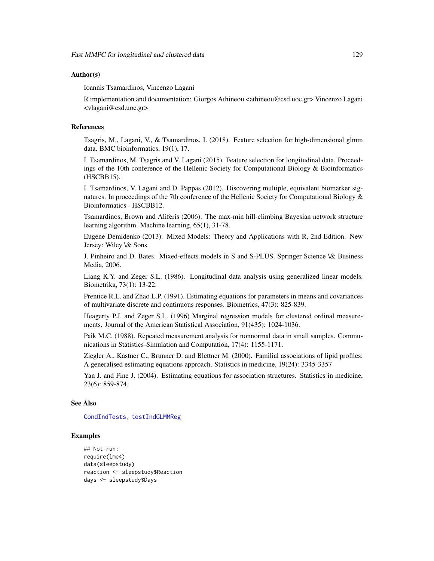## Author(s)

Ioannis Tsamardinos, Vincenzo Lagani

R implementation and documentation: Giorgos Athineou <athineou@csd.uoc.gr> Vincenzo Lagani <vlagani@csd.uoc.gr>

#### References

Tsagris, M., Lagani, V., & Tsamardinos, I. (2018). Feature selection for high-dimensional glmm data. BMC bioinformatics, 19(1), 17.

I. Tsamardinos, M. Tsagris and V. Lagani (2015). Feature selection for longitudinal data. Proceedings of the 10th conference of the Hellenic Society for Computational Biology & Bioinformatics (HSCBB15).

I. Tsamardinos, V. Lagani and D. Pappas (2012). Discovering multiple, equivalent biomarker signatures. In proceedings of the 7th conference of the Hellenic Society for Computational Biology  $\&$ Bioinformatics - HSCBB12.

Tsamardinos, Brown and Aliferis (2006). The max-min hill-climbing Bayesian network structure learning algorithm. Machine learning, 65(1), 31-78.

Eugene Demidenko (2013). Mixed Models: Theory and Applications with R, 2nd Edition. New Jersey: Wiley \& Sons.

J. Pinheiro and D. Bates. Mixed-effects models in S and S-PLUS. Springer Science \& Business Media, 2006.

Liang K.Y. and Zeger S.L. (1986). Longitudinal data analysis using generalized linear models. Biometrika, 73(1): 13-22.

Prentice R.L. and Zhao L.P. (1991). Estimating equations for parameters in means and covariances of multivariate discrete and continuous responses. Biometrics, 47(3): 825-839.

Heagerty P.J. and Zeger S.L. (1996) Marginal regression models for clustered ordinal measurements. Journal of the American Statistical Association, 91(435): 1024-1036.

Paik M.C. (1988). Repeated measurement analysis for nonnormal data in small samples. Communications in Statistics-Simulation and Computation, 17(4): 1155-1171.

Ziegler A., Kastner C., Brunner D. and Blettner M. (2000). Familial associations of lipid profiles: A generalised estimating equations approach. Statistics in medicine, 19(24): 3345-3357

Yan J. and Fine J. (2004). Estimating equations for association structures. Statistics in medicine, 23(6): 859-874.

#### See Also

[CondIndTests,](#page-31-0) [testIndGLMMReg](#page-54-0)

## Examples

```
## Not run:
require(lme4)
data(sleepstudy)
reaction <- sleepstudy$Reaction
days <- sleepstudy$Days
```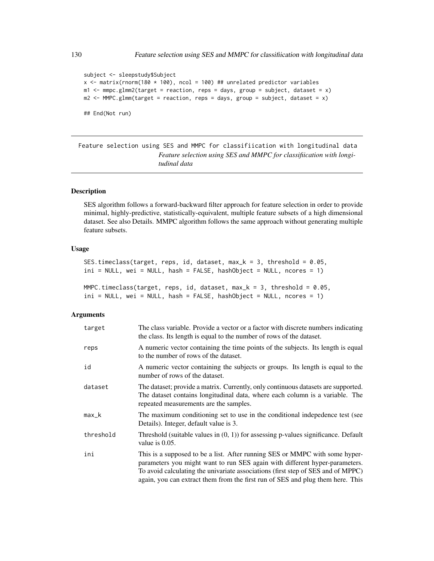```
subject <- sleepstudy$Subject
x <- matrix(rnorm(180 * 100), ncol = 100) ## unrelated predictor variables
m1 <- mmc.g1mm2(target = reaction, reps = days, group = subject, dataset = x)m2 \leq MMPC.glmm(target = reaction, reps = days, group = subject, dataset = x)
## End(Not run)
```
Feature selection using SES and MMPC for classifiication with longitudinal data *Feature selection using SES and MMPC for classifiication with longitudinal data*

## Description

SES algorithm follows a forward-backward filter approach for feature selection in order to provide minimal, highly-predictive, statistically-equivalent, multiple feature subsets of a high dimensional dataset. See also Details. MMPC algorithm follows the same approach without generating multiple feature subsets.

# Usage

```
SES.timeclass(target, reps, id, dataset, max_k = 3, threshold = 0.05,
ini = NULL, wei = NULL, hash = FALSE, hashObject = NULL, ncores = 1)
```

```
MMPC.timeclass(target, reps, id, dataset, max_k = 3, threshold = 0.05,
ini = NULL, wei = NULL, hash = FALSE, hashObject = NULL, ncores = 1)
```

| target    | The class variable. Provide a vector or a factor with discrete numbers indicating<br>the class. Its length is equal to the number of rows of the dataset.                                                                                                                                                                        |
|-----------|----------------------------------------------------------------------------------------------------------------------------------------------------------------------------------------------------------------------------------------------------------------------------------------------------------------------------------|
| reps      | A numeric vector containing the time points of the subjects. Its length is equal<br>to the number of rows of the dataset.                                                                                                                                                                                                        |
| id        | A numeric vector containing the subjects or groups. Its length is equal to the<br>number of rows of the dataset.                                                                                                                                                                                                                 |
| dataset   | The dataset; provide a matrix. Currently, only continuous datasets are supported.<br>The dataset contains longitudinal data, where each column is a variable. The<br>repeated measurements are the samples.                                                                                                                      |
| max_k     | The maximum conditioning set to use in the conditional indepedence test (see<br>Details). Integer, default value is 3.                                                                                                                                                                                                           |
| threshold | Threshold (suitable values in $(0, 1)$ ) for assessing p-values significance. Default<br>value is $0.05$ .                                                                                                                                                                                                                       |
| ini       | This is a supposed to be a list. After running SES or MMPC with some hyper-<br>parameters you might want to run SES again with different hyper-parameters.<br>To avoid calculating the univariate associations (first step of SES and of MPPC)<br>again, you can extract them from the first run of SES and plug them here. This |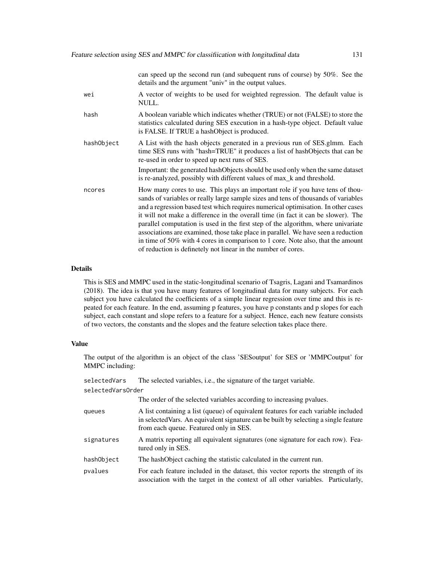can speed up the second run (and subequent runs of course) by 50%. See the details and the argument "univ" in the output values. wei A vector of weights to be used for weighted regression. The default value is NULL. hash A boolean variable which indicates whether (TRUE) or not (FALSE) to store the statistics calculated during SES execution in a hash-type object. Default value is FALSE. If TRUE a hashObject is produced. hashObject A List with the hash objects generated in a previous run of SES.glmm. Each time SES runs with "hash=TRUE" it produces a list of hashObjects that can be re-used in order to speed up next runs of SES. Important: the generated hashObjects should be used only when the same dataset is re-analyzed, possibly with different values of max\_k and threshold. ncores How many cores to use. This plays an important role if you have tens of thousands of variables or really large sample sizes and tens of thousands of variables and a regression based test which requires numerical optimisation. In other cases it will not make a difference in the overall time (in fact it can be slower). The parallel computation is used in the first step of the algorithm, where univariate associations are examined, those take place in parallel. We have seen a reduction in time of 50% with 4 cores in comparison to 1 core. Note also, that the amount of reduction is definetely not linear in the number of cores.

### Details

This is SES and MMPC used in the static-longitudinal scenario of Tsagris, Lagani and Tsamardinos (2018). The idea is that you have many features of longitudinal data for many subjects. For each subject you have calculated the coefficients of a simple linear regression over time and this is repeated for each feature. In the end, assuming p features, you have p constants and p slopes for each subject, each constant and slope refers to a feature for a subject. Hence, each new feature consists of two vectors, the constants and the slopes and the feature selection takes place there.

#### Value

The output of the algorithm is an object of the class 'SESoutput' for SES or 'MMPCoutput' for MMPC including:

| selectedVars      | The selected variables, <i>i.e.</i> , the signature of the target variable.                                                                                                                                          |  |
|-------------------|----------------------------------------------------------------------------------------------------------------------------------------------------------------------------------------------------------------------|--|
| selectedVarsOrder |                                                                                                                                                                                                                      |  |
|                   | The order of the selected variables according to increasing pvalues.                                                                                                                                                 |  |
| queues            | A list containing a list (queue) of equivalent features for each variable included<br>in selected Vars. An equivalent signature can be built by selecting a single feature<br>from each queue. Featured only in SES. |  |
| signatures        | A matrix reporting all equivalent signatures (one signature for each row). Fea-<br>tured only in SES.                                                                                                                |  |
| hashObject        | The hashObject caching the statistic calculated in the current run.                                                                                                                                                  |  |
| pvalues           | For each feature included in the dataset, this vector reports the strength of its<br>association with the target in the context of all other variables. Particularly,                                                |  |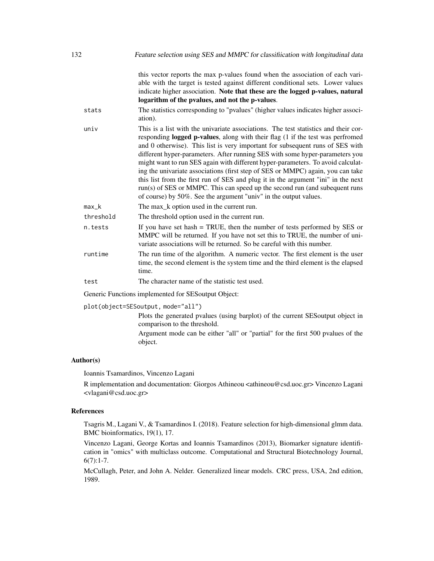| 132 |           | Feature selection using SES and MMPC for classification with longitudinal data                                                                                                                                                                                                                                                                                                                                                                                                                                                                                                                                                                                                                                                                       |
|-----|-----------|------------------------------------------------------------------------------------------------------------------------------------------------------------------------------------------------------------------------------------------------------------------------------------------------------------------------------------------------------------------------------------------------------------------------------------------------------------------------------------------------------------------------------------------------------------------------------------------------------------------------------------------------------------------------------------------------------------------------------------------------------|
|     | stats     | this vector reports the max p-values found when the association of each vari-<br>able with the target is tested against different conditional sets. Lower values<br>indicate higher association. Note that these are the logged p-values, natural<br>logarithm of the pvalues, and not the p-values.<br>The statistics corresponding to "pvalues" (higher values indicates higher associ-                                                                                                                                                                                                                                                                                                                                                            |
|     |           | ation).                                                                                                                                                                                                                                                                                                                                                                                                                                                                                                                                                                                                                                                                                                                                              |
|     | univ      | This is a list with the univariate associations. The test statistics and their cor-<br>responding logged p-values, along with their flag (1 if the test was perfromed<br>and 0 otherwise). This list is very important for subsequent runs of SES with<br>different hyper-parameters. After running SES with some hyper-parameters you<br>might want to run SES again with different hyper-parameters. To avoid calculat-<br>ing the univariate associations (first step of SES or MMPC) again, you can take<br>this list from the first run of SES and plug it in the argument "ini" in the next<br>run(s) of SES or MMPC. This can speed up the second run (and subequent runs<br>of course) by 50%. See the argument "univ" in the output values. |
|     | $max_k$   | The max_k option used in the current run.                                                                                                                                                                                                                                                                                                                                                                                                                                                                                                                                                                                                                                                                                                            |
|     | threshold | The threshold option used in the current run.                                                                                                                                                                                                                                                                                                                                                                                                                                                                                                                                                                                                                                                                                                        |
|     | n.tests   | If you have set hash $=$ TRUE, then the number of tests performed by SES or<br>MMPC will be returned. If you have not set this to TRUE, the number of uni-<br>variate associations will be returned. So be careful with this number.                                                                                                                                                                                                                                                                                                                                                                                                                                                                                                                 |
|     | runtime   | The run time of the algorithm. A numeric vector. The first element is the user<br>time, the second element is the system time and the third element is the elapsed<br>time.                                                                                                                                                                                                                                                                                                                                                                                                                                                                                                                                                                          |
|     | test      | The character name of the statistic test used.                                                                                                                                                                                                                                                                                                                                                                                                                                                                                                                                                                                                                                                                                                       |
|     |           | Generic Functions implemented for SES output Object:                                                                                                                                                                                                                                                                                                                                                                                                                                                                                                                                                                                                                                                                                                 |
|     |           | plot(object=SESoutput, mode="all")                                                                                                                                                                                                                                                                                                                                                                                                                                                                                                                                                                                                                                                                                                                   |
|     |           | Dota the concepted avalues (vaing hemilat) of the sympatr $CFC$ sympatrician in                                                                                                                                                                                                                                                                                                                                                                                                                                                                                                                                                                                                                                                                      |

Plots the generated pvalues (using barplot) of the current SESoutput object in comparison to the threshold.

Argument mode can be either "all" or "partial" for the first 500 pvalues of the object.

# Author(s)

Ioannis Tsamardinos, Vincenzo Lagani

R implementation and documentation: Giorgos Athineou <athineou@csd.uoc.gr> Vincenzo Lagani <vlagani@csd.uoc.gr>

## References

Tsagris M., Lagani V., & Tsamardinos I. (2018). Feature selection for high-dimensional glmm data. BMC bioinformatics, 19(1), 17.

Vincenzo Lagani, George Kortas and Ioannis Tsamardinos (2013), Biomarker signature identification in "omics" with multiclass outcome. Computational and Structural Biotechnology Journal,  $6(7):1-7.$ 

McCullagh, Peter, and John A. Nelder. Generalized linear models. CRC press, USA, 2nd edition, 1989.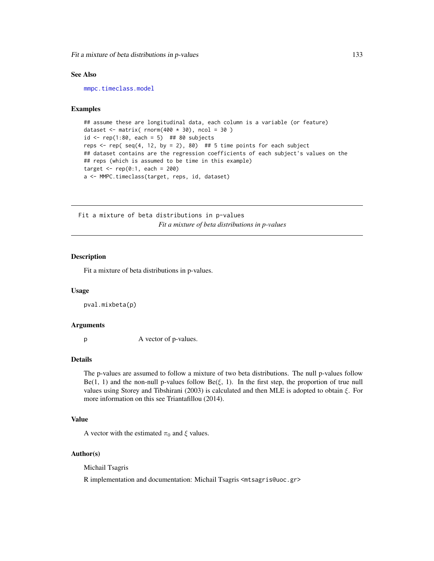Fit a mixture of beta distributions in p-values 133

#### See Also

[mmpc.timeclass.model](#page-206-0)

# Examples

```
## assume these are longitudinal data, each column is a variable (or feature)
dataset \leq matrix( rnorm(400 \star 30), ncol = 30)
id \le rep(1:80, each = 5) ## 80 subjects
reps \le- rep( seq(4, 12, by = 2), 80) ## 5 time points for each subject
## dataset contains are the regression coefficients of each subject's values on the
## reps (which is assumed to be time in this example)
target \leq rep(0:1, each = 200)
a <- MMPC.timeclass(target, reps, id, dataset)
```
Fit a mixture of beta distributions in p-values *Fit a mixture of beta distributions in p-values*

## Description

Fit a mixture of beta distributions in p-values.

#### Usage

pval.mixbeta(p)

### Arguments

p A vector of p-values.

#### Details

The p-values are assumed to follow a mixture of two beta distributions. The null p-values follow  $Be(1, 1)$  and the non-null p-values follow  $Be(\xi, 1)$ . In the first step, the proportion of true null values using Storey and Tibshirani (2003) is calculated and then MLE is adopted to obtain  $\xi$ . For more information on this see Triantafillou (2014).

## Value

A vector with the estimated  $\pi_0$  and  $\xi$  values.

#### Author(s)

Michail Tsagris

R implementation and documentation: Michail Tsagris <mtsagris@uoc.gr>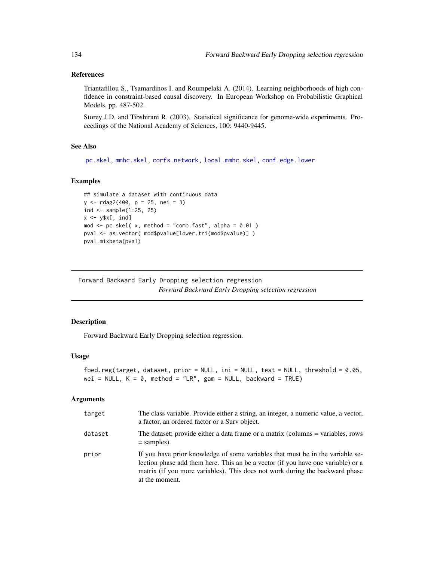## References

Triantafillou S., Tsamardinos I. and Roumpelaki A. (2014). Learning neighborhoods of high confidence in constraint-based causal discovery. In European Workshop on Probabilistic Graphical Models, pp. 487-502.

Storey J.D. and Tibshirani R. (2003). Statistical significance for genome-wide experiments. Proceedings of the National Academy of Sciences, 100: 9440-9445.

## See Also

```
pc.skel, mmhc.skel, corfs.network, local.mmhc.skel, conf.edge.lower
```
#### Examples

```
## simulate a dataset with continuous data
y <- rdag2(400, p = 25, nei = 3)
ind <- sample(1:25, 25)
x \leftarrow y \x[, ind]
mod \le pc.skel( x, method = "comb.fast", alpha = 0.01)
pval <- as.vector( mod$pvalue[lower.tri(mod$pvalue)] )
pval.mixbeta(pval)
```
Forward Backward Early Dropping selection regression *Forward Backward Early Dropping selection regression*

## <span id="page-133-0"></span>Description

Forward Backward Early Dropping selection regression.

#### Usage

```
fbed.reg(target, dataset, prior = NULL, ini = NULL, test = NULL, threshold = 0.05,
wei = NULL, K = 0, method = "LR", gam = NULL, backward = TRUE)
```

| target  | The class variable. Provide either a string, an integer, a numeric value, a vector,<br>a factor, an ordered factor or a Surv object.                                                                                                                                 |
|---------|----------------------------------------------------------------------------------------------------------------------------------------------------------------------------------------------------------------------------------------------------------------------|
| dataset | The dataset; provide either a data frame or a matrix (columns = variables, rows<br>$=$ samples).                                                                                                                                                                     |
| prior   | If you have prior knowledge of some variables that must be in the variable se-<br>lection phase add them here. This an be a vector (if you have one variable) or a<br>matrix (if you more variables). This does not work during the backward phase<br>at the moment. |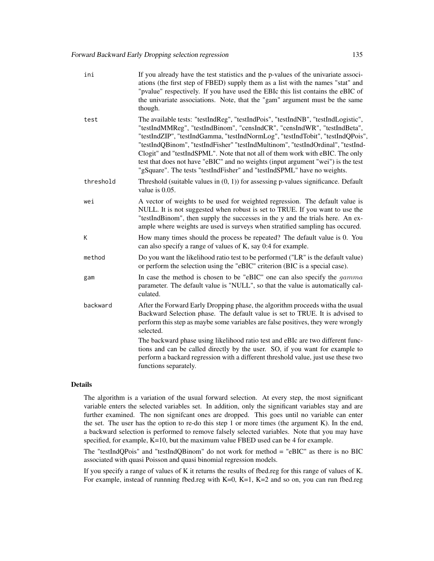| ini       | If you already have the test statistics and the p-values of the univariate associ-<br>ations (the first step of FBED) supply them as a list with the names "stat" and<br>"pvalue" respectively. If you have used the EBIc this list contains the eBIC of<br>the univariate associations. Note, that the "gam" argument must be the same<br>though.                                                                                                                                                                                                                                 |
|-----------|------------------------------------------------------------------------------------------------------------------------------------------------------------------------------------------------------------------------------------------------------------------------------------------------------------------------------------------------------------------------------------------------------------------------------------------------------------------------------------------------------------------------------------------------------------------------------------|
| test      | The available tests: "testIndReg", "testIndPois", "testIndNB", "testIndLogistic",<br>"testIndMMReg", "testIndBinom", "censIndCR", "censIndWR", "testIndBeta",<br>"testIndZIP", "testIndGamma, "testIndNormLog", "testIndTobit", "testIndQPois",<br>"testIndQBinom", "testIndFisher" "testIndMultinom", "testIndOrdinal", "testInd-<br>Clogit" and "testIndSPML". Note that not all of them work with eBIC. The only<br>test that does not have "eBIC" and no weights (input argument "wei") is the test<br>"gSquare". The tests "testIndFisher" and "testIndSPML" have no weights. |
| threshold | Threshold (suitable values in $(0, 1)$ ) for assessing p-values significance. Default<br>value is $0.05$ .                                                                                                                                                                                                                                                                                                                                                                                                                                                                         |
| wei       | A vector of weights to be used for weighted regression. The default value is<br>NULL. It is not suggested when robust is set to TRUE. If you want to use the<br>"testIndBinom", then supply the successes in the y and the trials here. An ex-<br>ample where weights are used is surveys when stratified sampling has occured.                                                                                                                                                                                                                                                    |
| K         | How many times should the process be repeated? The default value is 0. You<br>can also specify a range of values of K, say 0:4 for example.                                                                                                                                                                                                                                                                                                                                                                                                                                        |
| method    | Do you want the likelihood ratio test to be performed ("LR" is the default value)<br>or perform the selection using the "eBIC" criterion (BIC is a special case).                                                                                                                                                                                                                                                                                                                                                                                                                  |
| gam       | In case the method is chosen to be "eBIC" one can also specify the <i>gamma</i><br>parameter. The default value is "NULL", so that the value is automatically cal-<br>culated.                                                                                                                                                                                                                                                                                                                                                                                                     |
| backward  | After the Forward Early Dropping phase, the algorithm proceeds witha the usual<br>Backward Selection phase. The default value is set to TRUE. It is advised to<br>perform this step as maybe some variables are false positives, they were wrongly<br>selected.                                                                                                                                                                                                                                                                                                                    |
|           | The backward phase using likelihood ratio test and eBIc are two different func-<br>tions and can be called directly by the user. SO, if you want for example to<br>perform a backard regression with a different threshold value, just use these two<br>functions separately.                                                                                                                                                                                                                                                                                                      |
|           |                                                                                                                                                                                                                                                                                                                                                                                                                                                                                                                                                                                    |

## Details

The algorithm is a variation of the usual forward selection. At every step, the most significant variable enters the selected variables set. In addition, only the significant variables stay and are further examined. The non signifcant ones are dropped. This goes until no variable can enter the set. The user has the option to re-do this step 1 or more times (the argument K). In the end, a backward selection is performed to remove falsely selected variables. Note that you may have specified, for example, K=10, but the maximum value FBED used can be 4 for example.

The "testIndQPois" and "testIndQBinom" do not work for method = "eBIC" as there is no BIC associated with quasi Poisson and quasi binomial regression models.

If you specify a range of values of K it returns the results of fbed.reg for this range of values of K. For example, instead of runnning fbed.reg with K=0, K=1, K=2 and so on, you can run fbed.reg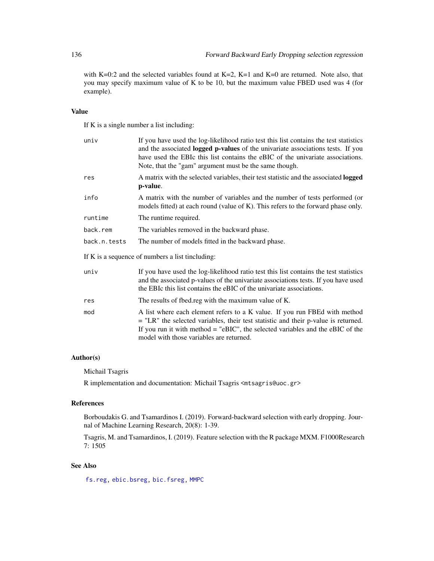with K=0:2 and the selected variables found at K=2, K=1 and K=0 are returned. Note also, that you may specify maximum value of K to be 10, but the maximum value FBED used was 4 (for example).

## Value

If K is a single number a list including:

| univ         | If you have used the log-likelihood ratio test this list contains the test statistics<br>and the associated logged p-values of the univariate associations tests. If you<br>have used the EBIc this list contains the eBIC of the univariate associations.<br>Note, that the "gam" argument must be the same though. |
|--------------|----------------------------------------------------------------------------------------------------------------------------------------------------------------------------------------------------------------------------------------------------------------------------------------------------------------------|
| res          | A matrix with the selected variables, their test statistic and the associated logged<br>p-value.                                                                                                                                                                                                                     |
| info         | A matrix with the number of variables and the number of tests performed (or<br>models fitted) at each round (value of K). This refers to the forward phase only.                                                                                                                                                     |
| runtime      | The runtime required.                                                                                                                                                                                                                                                                                                |
| back.rem     | The variables removed in the backward phase.                                                                                                                                                                                                                                                                         |
| back.n.tests | The number of models fitted in the backward phase.                                                                                                                                                                                                                                                                   |
|              | If K is a sequence of numbers a list tincluding:                                                                                                                                                                                                                                                                     |
| univ         | If you have used the log-likelihood ratio test this list contains the test statistics<br>and the associated p-values of the univariate associations tests. If you have used<br>the EBIc this list contains the eBIC of the univariate associations.                                                                  |
| res          | The results of fbed.reg with the maximum value of K.                                                                                                                                                                                                                                                                 |
| mod          | A list where each element refers to a K value. If you run FBEd with method<br>$=$ "LR" the selected variables, their test statistic and their p-value is returned.<br>If you run it with method $=$ "eBIC", the selected variables and the eBIC of the<br>model with those variables are returned.                   |

## Author(s)

Michail Tsagris

R implementation and documentation: Michail Tsagris <mtsagris@uoc.gr>

### References

Borboudakis G. and Tsamardinos I. (2019). Forward-backward selection with early dropping. Journal of Machine Learning Research, 20(8): 1-39.

Tsagris, M. and Tsamardinos, I. (2019). Feature selection with the R package MXM. F1000Research 7: 1505

## See Also

[fs.reg,](#page-144-0) [ebic.bsreg,](#page-14-0) [bic.fsreg,](#page-21-0) [MMPC](#page-84-0)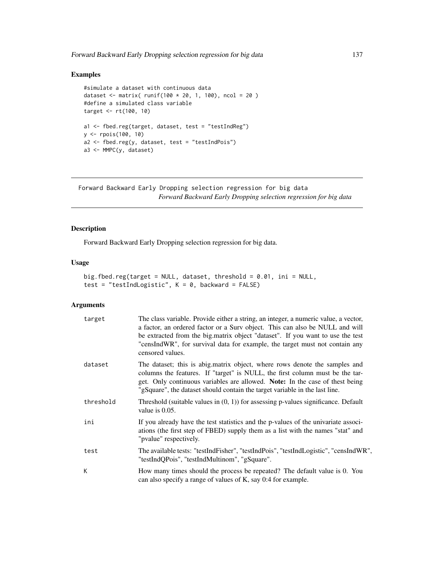# Examples

```
#simulate a dataset with continuous data
dataset <- matrix( runif(100 * 20, 1, 100), ncol = 20 )
#define a simulated class variable
target <- rt(100, 10)
a1 <- fbed.reg(target, dataset, test = "testIndReg")
y <- rpois(100, 10)
a2 \leq fbed.reg(y, dataset, test = "testIndPois")
a3 <- MMPC(y, dataset)
```
Forward Backward Early Dropping selection regression for big data *Forward Backward Early Dropping selection regression for big data*

## Description

Forward Backward Early Dropping selection regression for big data.

## Usage

```
big.fbed.reg(target = NULL, dataset, threshold = 0.01, ini = NULL,
test = "testIndLogistic", K = 0, backward = FALSE)
```

| target    | The class variable. Provide either a string, an integer, a numeric value, a vector,<br>a factor, an ordered factor or a Surv object. This can also be NULL and will<br>be extracted from the big.matrix object "dataset". If you want to use the test<br>"censIndWR", for survival data for example, the target must not contain any<br>censored values. |
|-----------|----------------------------------------------------------------------------------------------------------------------------------------------------------------------------------------------------------------------------------------------------------------------------------------------------------------------------------------------------------|
| dataset   | The dataset; this is abig.matrix object, where rows denote the samples and<br>columns the features. If "target" is NULL, the first column must be the tar-<br>get. Only continuous variables are allowed. <b>Note:</b> In the case of thest being<br>"gSquare", the dataset should contain the target variable in the last line.                         |
| threshold | Threshold (suitable values in $(0, 1)$ ) for assessing p-values significance. Default<br>value is $0.05$ .                                                                                                                                                                                                                                               |
| ini       | If you already have the test statistics and the p-values of the univariate associ-<br>ations (the first step of FBED) supply them as a list with the names "stat" and<br>"pvalue" respectively.                                                                                                                                                          |
| test      | The available tests: "testIndFisher", "testIndPois", "testIndLogistic", "censIndWR",<br>"testIndQPois", "testIndMultinom", "gSquare".                                                                                                                                                                                                                    |
| К         | How many times should the process be repeated? The default value is 0. You<br>can also specify a range of values of K, say 0:4 for example.                                                                                                                                                                                                              |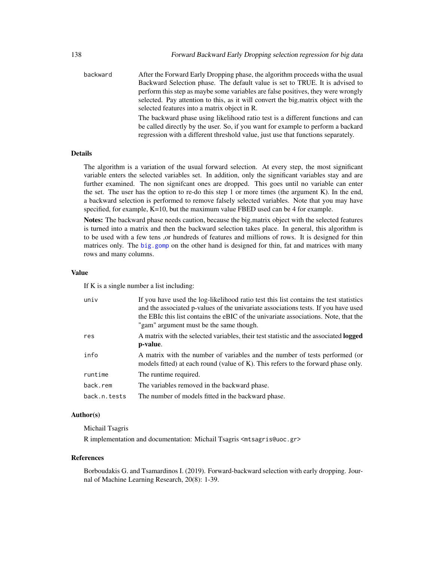backward After the Forward Early Dropping phase, the algorithm proceeds witha the usual Backward Selection phase. The default value is set to TRUE. It is advised to perform this step as maybe some variables are false positives, they were wrongly selected. Pay attention to this, as it will convert the big.matrix object with the selected features into a matrix object in R. The backward phase using likelihood ratio test is a different functions and can be called directly by the user. So, if you want for example to perform a backard regression with a different threshold value, just use that functions separately.

#### Details

The algorithm is a variation of the usual forward selection. At every step, the most significant variable enters the selected variables set. In addition, only the significant variables stay and are further examined. The non signifcant ones are dropped. This goes until no variable can enter the set. The user has the option to re-do this step 1 or more times (the argument K). In the end, a backward selection is performed to remove falsely selected variables. Note that you may have specified, for example, K=10, but the maximum value FBED used can be 4 for example.

Notes: The backward phase needs caution, because the big.matrix object with the selected features is turned into a matrix and then the backward selection takes place. In general, this algorithm is to be used with a few tens ,or hundreds of features and millions of rows. It is designed for thin matrices only. The [big.gomp](#page-160-0) on the other hand is designed for thin, fat and matrices with many rows and many columns.

#### Value

If K is a single number a list including:

| univ         | If you have used the log-likelihood ratio test this list contains the test statistics<br>and the associated p-values of the univariate associations tests. If you have used<br>the EBIc this list contains the eBIC of the univariate associations. Note, that the<br>"gam" argument must be the same though. |
|--------------|---------------------------------------------------------------------------------------------------------------------------------------------------------------------------------------------------------------------------------------------------------------------------------------------------------------|
| res          | A matrix with the selected variables, their test statistic and the associated <b>logged</b><br>p-value.                                                                                                                                                                                                       |
| info         | A matrix with the number of variables and the number of tests performed (or<br>models fitted) at each round (value of K). This refers to the forward phase only.                                                                                                                                              |
| runtime      | The runtime required.                                                                                                                                                                                                                                                                                         |
| back.rem     | The variables removed in the backward phase.                                                                                                                                                                                                                                                                  |
| back.n.tests | The number of models fitted in the backward phase.                                                                                                                                                                                                                                                            |

#### Author(s)

Michail Tsagris

R implementation and documentation: Michail Tsagris <mtsagris@uoc.gr>

#### References

Borboudakis G. and Tsamardinos I. (2019). Forward-backward selection with early dropping. Journal of Machine Learning Research, 20(8): 1-39.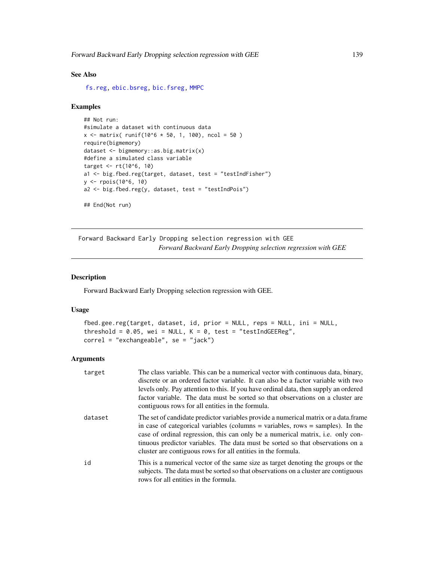## See Also

[fs.reg,](#page-144-0) [ebic.bsreg,](#page-14-0) [bic.fsreg,](#page-21-0) [MMPC](#page-84-0)

#### Examples

```
## Not run:
#simulate a dataset with continuous data
x \le matrix( runif(10^6 * 50, 1, 100), ncol = 50 )
require(bigmemory)
dataset <- bigmemory::as.big.matrix(x)
#define a simulated class variable
target \le rt(10^6, 10)
a1 <- big.fbed.reg(target, dataset, test = "testIndFisher")
y <- rpois(10^6, 10)
a2 \leq big.fbed_reg(y, dataset, test = "testIndPois")## End(Not run)
```
Forward Backward Early Dropping selection regression with GEE *Forward Backward Early Dropping selection regression with GEE*

## <span id="page-138-0"></span>Description

Forward Backward Early Dropping selection regression with GEE.

#### Usage

```
fbed.gee.reg(target, dataset, id, prior = NULL, reps = NULL, ini = NULL,
threshold = 0.05, wei = NULL, K = 0, test = "testIndGEEReg",
correl = "exchangeable", se = "jack")
```

| target  | The class variable. This can be a numerical vector with continuous data, binary,<br>discrete or an ordered factor variable. It can also be a factor variable with two<br>levels only. Pay attention to this. If you have ordinal data, then supply an ordered<br>factor variable. The data must be sorted so that observations on a cluster are<br>contiguous rows for all entities in the formula.            |
|---------|----------------------------------------------------------------------------------------------------------------------------------------------------------------------------------------------------------------------------------------------------------------------------------------------------------------------------------------------------------------------------------------------------------------|
| dataset | The set of candidate predictor variables provide a numerical matrix or a data.frame<br>in case of categorical variables (columns $=$ variables, rows $=$ samples). In the<br>case of ordinal regression, this can only be a numerical matrix, i.e. only con-<br>tinuous predictor variables. The data must be sorted so that observations on a<br>cluster are contiguous rows for all entities in the formula. |
| id      | This is a numerical vector of the same size as target denoting the groups or the<br>subjects. The data must be sorted so that observations on a cluster are contiguous<br>rows for all entities in the formula.                                                                                                                                                                                                |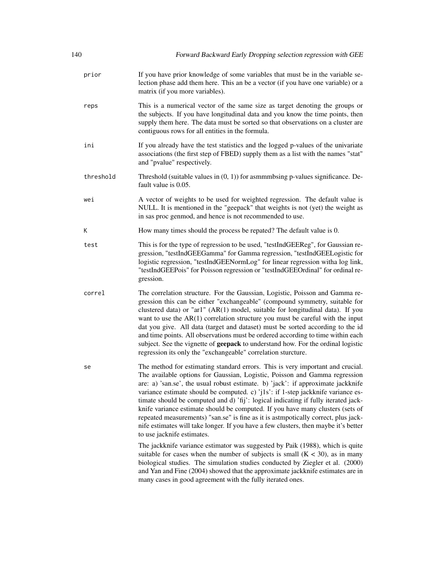| 140       | Forward Backward Early Dropping selection regression with GEE                                                                                                                                                                                                                                                                                                                                                                                                                                                                                                                                                                                                                                                           |
|-----------|-------------------------------------------------------------------------------------------------------------------------------------------------------------------------------------------------------------------------------------------------------------------------------------------------------------------------------------------------------------------------------------------------------------------------------------------------------------------------------------------------------------------------------------------------------------------------------------------------------------------------------------------------------------------------------------------------------------------------|
| prior     | If you have prior knowledge of some variables that must be in the variable se-<br>lection phase add them here. This an be a vector (if you have one variable) or a<br>matrix (if you more variables).                                                                                                                                                                                                                                                                                                                                                                                                                                                                                                                   |
| reps      | This is a numerical vector of the same size as target denoting the groups or<br>the subjects. If you have longitudinal data and you know the time points, then<br>supply them here. The data must be sorted so that observations on a cluster are<br>contiguous rows for all entities in the formula.                                                                                                                                                                                                                                                                                                                                                                                                                   |
| ini       | If you already have the test statistics and the logged p-values of the univariate<br>associations (the first step of FBED) supply them as a list with the names "stat"<br>and "pvalue" respectively.                                                                                                                                                                                                                                                                                                                                                                                                                                                                                                                    |
| threshold | Threshold (suitable values in $(0, 1)$ ) for asmmmbsing p-values significance. De-<br>fault value is 0.05.                                                                                                                                                                                                                                                                                                                                                                                                                                                                                                                                                                                                              |
| wei       | A vector of weights to be used for weighted regression. The default value is<br>NULL. It is mentioned in the "geepack" that weights is not (yet) the weight as<br>in sas proc genmod, and hence is not recommended to use.                                                                                                                                                                                                                                                                                                                                                                                                                                                                                              |
| К         | How many times should the process be repated? The default value is 0.                                                                                                                                                                                                                                                                                                                                                                                                                                                                                                                                                                                                                                                   |
| test      | This is for the type of regression to be used, "testIndGEEReg", for Gaussian re-<br>gression, "testIndGEEGamma" for Gamma regression, "testIndGEELogistic for<br>logistic regression, "testIndGEENormLog" for linear regression witha log link,<br>"testIndGEEPois" for Poisson regression or "testIndGEEOrdinal" for ordinal re-<br>gression.                                                                                                                                                                                                                                                                                                                                                                          |
| correl    | The correlation structure. For the Gaussian, Logistic, Poisson and Gamma re-<br>gression this can be either "exchangeable" (compound symmetry, suitable for<br>clustered data) or "ar1" (AR(1) model, suitable for longitudinal data). If you<br>want to use the $AR(1)$ correlation structure you must be careful with the input<br>dat you give. All data (target and dataset) must be sorted according to the id<br>and time points. All observations must be ordered according to time within each<br>subject. See the vignette of geepack to understand how. For the ordinal logistic<br>regression its only the "exchangeable" correlation sturcture.                                                             |
| se        | The method for estimating standard errors. This is very important and crucial.<br>The available options for Gaussian, Logistic, Poisson and Gamma regression<br>are: a) 'san.se', the usual robust estimate. b) 'jack': if approximate jackknife<br>variance estimate should be computed. c) 'j1s': if 1-step jackknife variance es-<br>timate should be computed and d) 'fij': logical indicating if fully iterated jack-<br>knife variance estimate should be computed. If you have many clusters (sets of<br>repeated measurements) "san.se" is fine as it is astmpotically correct, plus jack-<br>nife estimates will take longer. If you have a few clusters, then maybe it's better<br>to use jacknife estimates. |
|           | The jackknife variance estimator was suggested by Paik (1988), which is quite<br>suitable for cases when the number of subjects is small $(K < 30)$ , as in many<br>biological studies. The simulation studies conducted by Ziegler et al. (2000)<br>and Yan and Fine (2004) showed that the approximate jackknife estimates are in<br>many cases in good agreement with the fully iterated ones.                                                                                                                                                                                                                                                                                                                       |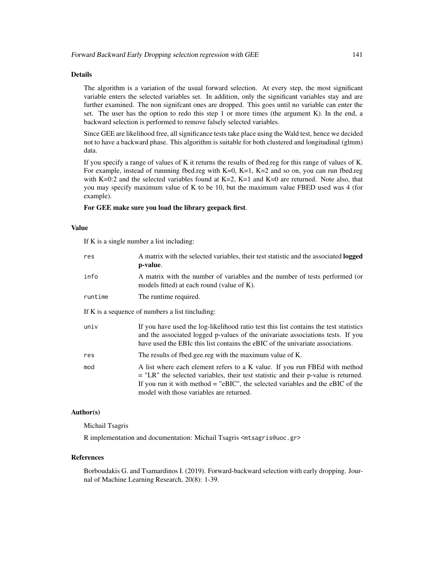## Details

The algorithm is a variation of the usual forward selection. At every step, the most significant variable enters the selected variables set. In addition, only the significant variables stay and are further examined. The non signifcant ones are dropped. This goes until no variable can enter the set. The user has the option to redo this step 1 or more times (the argument K). In the end, a backward selection is performed to remove falsely selected variables.

Since GEE are likelihood free, all significance tests take place using the Wald test, hence we decided not to have a backward phase. This algorithm is suitable for both clustered and longitudinal (glmm) data.

If you specify a range of values of K it returns the results of fbed.reg for this range of values of K. For example, instead of runnning fbed.reg with K=0, K=1, K=2 and so on, you can run fbed.reg with K=0:2 and the selected variables found at K=2, K=1 and K=0 are returned. Note also, that you may specify maximum value of K to be 10, but the maximum value FBED used was 4 (for example).

## For GEE make sure you load the library geepack first.

#### Value

If K is a single number a list including:

| res                                              | A matrix with the selected variables, their test statistic and the associated <b>logged</b><br>p-value.                                                                                                                                                                                            |
|--------------------------------------------------|----------------------------------------------------------------------------------------------------------------------------------------------------------------------------------------------------------------------------------------------------------------------------------------------------|
| info                                             | A matrix with the number of variables and the number of tests performed (or<br>models fitted) at each round (value of K).                                                                                                                                                                          |
| runtime                                          | The runtime required.                                                                                                                                                                                                                                                                              |
| If K is a sequence of numbers a list tincluding: |                                                                                                                                                                                                                                                                                                    |
| univ                                             | If you have used the log-likelihood ratio test this list contains the test statistics<br>and the associated logged p-values of the univariate associations tests. If you<br>have used the EBIc this list contains the eBIC of the univariate associations.                                         |
| res                                              | The results of fbed.gee.reg with the maximum value of K.                                                                                                                                                                                                                                           |
| mod                                              | A list where each element refers to a K value. If you run FBEd with method<br>$=$ "LR" the selected variables, their test statistic and their p-value is returned.<br>If you run it with method $=$ "eBIC", the selected variables and the eBIC of the<br>model with those variables are returned. |

## Author(s)

Michail Tsagris

R implementation and documentation: Michail Tsagris <mtsagris@uoc.gr>

#### References

Borboudakis G. and Tsamardinos I. (2019). Forward-backward selection with early dropping. Journal of Machine Learning Research, 20(8): 1-39.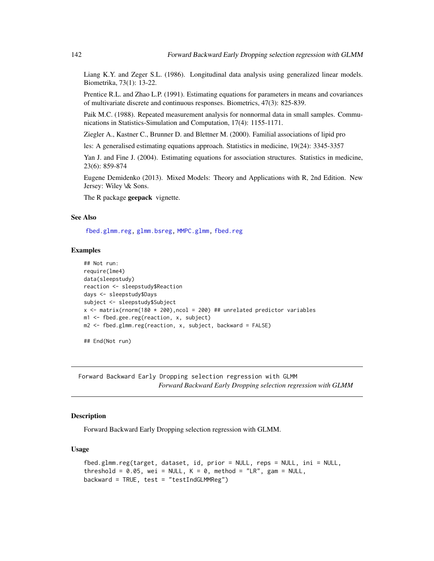Liang K.Y. and Zeger S.L. (1986). Longitudinal data analysis using generalized linear models. Biometrika, 73(1): 13-22.

Prentice R.L. and Zhao L.P. (1991). Estimating equations for parameters in means and covariances of multivariate discrete and continuous responses. Biometrics, 47(3): 825-839.

Paik M.C. (1988). Repeated measurement analysis for nonnormal data in small samples. Communications in Statistics-Simulation and Computation, 17(4): 1155-1171.

Ziegler A., Kastner C., Brunner D. and Blettner M. (2000). Familial associations of lipid pro

les: A generalised estimating equations approach. Statistics in medicine, 19(24): 3345-3357

Yan J. and Fine J. (2004). Estimating equations for association structures. Statistics in medicine, 23(6): 859-874

Eugene Demidenko (2013). Mixed Models: Theory and Applications with R, 2nd Edition. New Jersey: Wiley \& Sons.

The R package geepack vignette.

## See Also

[fbed.glmm.reg,](#page-141-0) [glmm.bsreg,](#page-11-0) [MMPC.glmm,](#page-90-0) [fbed.reg](#page-133-0)

## Examples

```
## Not run:
require(lme4)
data(sleepstudy)
reaction <- sleepstudy$Reaction
days <- sleepstudy$Days
subject <- sleepstudy$Subject
x <- matrix(rnorm(180 * 200), ncol = 200) ## unrelated predictor variables
m1 <- fbed.gee.reg(reaction, x, subject)
m2 \le fbed.glmm.reg(reaction, x, subject, backward = FALSE)
## End(Not run)
```
Forward Backward Early Dropping selection regression with GLMM

*Forward Backward Early Dropping selection regression with GLMM*

## <span id="page-141-0"></span>Description

Forward Backward Early Dropping selection regression with GLMM.

#### Usage

```
fbed.glmm.reg(target, dataset, id, prior = NULL, reps = NULL, ini = NULL,
threshold = 0.05, wei = NULL, K = 0, method = "LR", gam = NULL,
backward = TRUE, test = "testIndGLMMReg")
```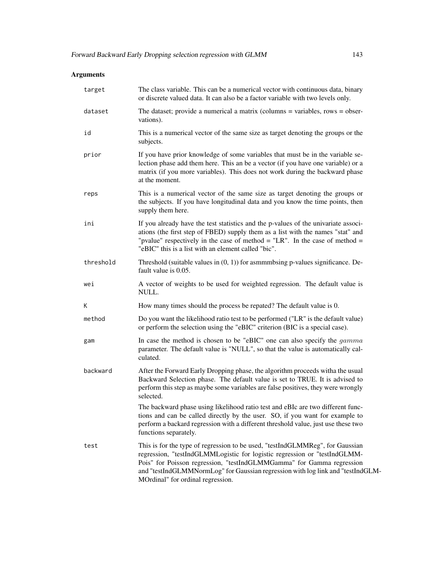| target    | The class variable. This can be a numerical vector with continuous data, binary<br>or discrete valued data. It can also be a factor variable with two levels only.                                                                                                                                                                                          |
|-----------|-------------------------------------------------------------------------------------------------------------------------------------------------------------------------------------------------------------------------------------------------------------------------------------------------------------------------------------------------------------|
| dataset   | The dataset; provide a numerical a matrix (columns $=$ variables, rows $=$ obser-<br>vations).                                                                                                                                                                                                                                                              |
| id        | This is a numerical vector of the same size as target denoting the groups or the<br>subjects.                                                                                                                                                                                                                                                               |
| prior     | If you have prior knowledge of some variables that must be in the variable se-<br>lection phase add them here. This an be a vector (if you have one variable) or a<br>matrix (if you more variables). This does not work during the backward phase<br>at the moment.                                                                                        |
| reps      | This is a numerical vector of the same size as target denoting the groups or<br>the subjects. If you have longitudinal data and you know the time points, then<br>supply them here.                                                                                                                                                                         |
| ini       | If you already have the test statistics and the p-values of the univariate associ-<br>ations (the first step of FBED) supply them as a list with the names "stat" and<br>"pvalue" respectively in the case of method = "LR". In the case of method =<br>"eBIC" this is a list with an element called "bic".                                                 |
| threshold | Threshold (suitable values in $(0, 1)$ ) for asmmmbsing p-values significance. De-<br>fault value is 0.05.                                                                                                                                                                                                                                                  |
| wei       | A vector of weights to be used for weighted regression. The default value is<br>NULL.                                                                                                                                                                                                                                                                       |
| Κ         | How many times should the process be repated? The default value is 0.                                                                                                                                                                                                                                                                                       |
| method    | Do you want the likelihood ratio test to be performed ("LR" is the default value)<br>or perform the selection using the "eBIC" criterion (BIC is a special case).                                                                                                                                                                                           |
| gam       | In case the method is chosen to be "eBIC" one can also specify the <i>gamma</i><br>parameter. The default value is "NULL", so that the value is automatically cal-<br>culated.                                                                                                                                                                              |
| backward  | After the Forward Early Dropping phase, the algorithm proceeds witha the usual<br>Backward Selection phase. The default value is set to TRUE. It is advised to<br>perform this step as maybe some variables are false positives, they were wrongly<br>selected.                                                                                             |
|           | The backward phase using likelihood ratio test and eBIc are two different func-<br>tions and can be called directly by the user. SO, if you want for example to<br>perform a backard regression with a different threshold value, just use these two<br>functions separately.                                                                               |
| test      | This is for the type of regression to be used, "testIndGLMMReg", for Gaussian<br>regression, "testIndGLMMLogistic for logistic regression or "testIndGLMM-<br>Pois" for Poisson regression, "testIndGLMMGamma" for Gamma regression<br>and "testIndGLMMNormLog" for Gaussian regression with log link and "testIndGLM-<br>MOrdinal" for ordinal regression. |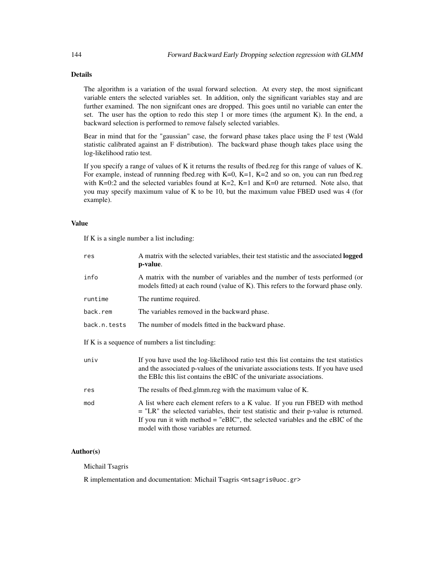# Details

The algorithm is a variation of the usual forward selection. At every step, the most significant variable enters the selected variables set. In addition, only the significant variables stay and are further examined. The non signifcant ones are dropped. This goes until no variable can enter the set. The user has the option to redo this step 1 or more times (the argument K). In the end, a backward selection is performed to remove falsely selected variables.

Bear in mind that for the "gaussian" case, the forward phase takes place using the F test (Wald statistic calibrated against an F distribution). The backward phase though takes place using the log-likelihood ratio test.

If you specify a range of values of K it returns the results of fbed.reg for this range of values of K. For example, instead of runnning fbed.reg with  $K=0$ ,  $K=1$ ,  $K=2$  and so on, you can run fbed.reg with K=0:2 and the selected variables found at K=2, K=1 and K=0 are returned. Note also, that you may specify maximum value of K to be 10, but the maximum value FBED used was 4 (for example).

## Value

If K is a single number a list including:

| res          | A matrix with the selected variables, their test statistic and the associated <b>logged</b><br>p-value.                                                                                                                                                                                          |
|--------------|--------------------------------------------------------------------------------------------------------------------------------------------------------------------------------------------------------------------------------------------------------------------------------------------------|
| info         | A matrix with the number of variables and the number of tests performed (or<br>models fitted) at each round (value of K). This refers to the forward phase only.                                                                                                                                 |
| runtime      | The runtime required.                                                                                                                                                                                                                                                                            |
| back.rem     | The variables removed in the backward phase.                                                                                                                                                                                                                                                     |
| back.n.tests | The number of models fitted in the backward phase.                                                                                                                                                                                                                                               |
|              | If K is a sequence of numbers a list tincluding:                                                                                                                                                                                                                                                 |
| univ         | If you have used the log-likelihood ratio test this list contains the test statistics<br>and the associated p-values of the univariate associations tests. If you have used<br>the EBIc this list contains the eBIC of the univariate associations.                                              |
| res          | The results of fbed.glmm.reg with the maximum value of K.                                                                                                                                                                                                                                        |
| mod          | A list where each element refers to a K value. If you run FBED with method<br>$=$ "LR" the selected variables, their test statistic and their p-value is returned.<br>If you run it with method = "eBIC", the selected variables and the eBIC of the<br>model with those variables are returned. |

## Author(s)

Michail Tsagris

R implementation and documentation: Michail Tsagris <mtsagris@uoc.gr>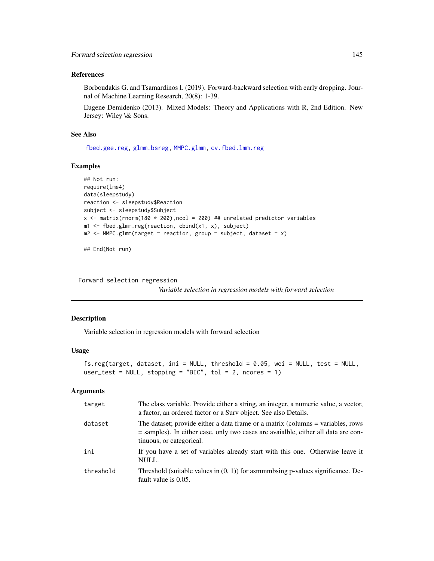#### References

Borboudakis G. and Tsamardinos I. (2019). Forward-backward selection with early dropping. Journal of Machine Learning Research, 20(8): 1-39.

Eugene Demidenko (2013). Mixed Models: Theory and Applications with R, 2nd Edition. New Jersey: Wiley \& Sons.

## See Also

[fbed.gee.reg,](#page-138-0) [glmm.bsreg,](#page-11-0) [MMPC.glmm,](#page-90-0) [cv.fbed.lmm.reg](#page-113-0)

## Examples

```
## Not run:
require(lme4)
data(sleepstudy)
reaction <- sleepstudy$Reaction
subject <- sleepstudy$Subject
x <- matrix(rnorm(180 * 200), ncol = 200) ## unrelated predictor variables
m1 <- fbed.glmm.reg(reaction, cbind(x1, x), subject)
m2 \leq MMPC.glmm(target = reaction, group = subject, dataset = x)
```
## End(Not run)

Forward selection regression

*Variable selection in regression models with forward selection*

#### <span id="page-144-0"></span>Description

Variable selection in regression models with forward selection

## Usage

```
fs.reg(target, dataset, ini = NULL, threshold = 0.05, wei = NULL, test = NULL,
user_test = NULL, stopping = "BIC", tol = 2, ncores = 1)
```

| target    | The class variable. Provide either a string, an integer, a numeric value, a vector,<br>a factor, an ordered factor or a Surv object. See also Details.                                            |
|-----------|---------------------------------------------------------------------------------------------------------------------------------------------------------------------------------------------------|
| dataset   | The dataset; provide either a data frame or a matrix (columns = variables, rows<br>= samples). In either case, only two cases are avaialble, either all data are con-<br>tinuous, or categorical. |
| ini       | If you have a set of variables already start with this one. Otherwise leave it<br>NULL.                                                                                                           |
| threshold | Threshold (suitable values in $(0, 1)$ ) for asmmmbsing p-values significance. De-<br>fault value is 0.05.                                                                                        |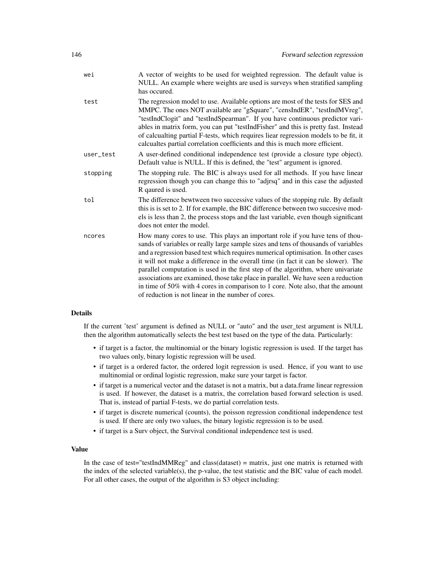| A vector of weights to be used for weighted regression. The default value is<br>NULL. An example where weights are used is surveys when stratified sampling<br>has occured.                                                                                                                                                                                                                                                                                                                                                                                                                                                                                      |
|------------------------------------------------------------------------------------------------------------------------------------------------------------------------------------------------------------------------------------------------------------------------------------------------------------------------------------------------------------------------------------------------------------------------------------------------------------------------------------------------------------------------------------------------------------------------------------------------------------------------------------------------------------------|
| The regression model to use. Available options are most of the tests for SES and<br>MMPC. The ones NOT available are "gSquare", "censIndER", "testIndMVreg",<br>"testIndClogit" and "testIndSpearman". If you have continuous predictor vari-<br>ables in matrix form, you can put "testIndFisher" and this is pretty fast. Instead<br>of calcualting partial F-tests, which requires liear regression models to be fit, it<br>calcualtes partial correlation coefficients and this is much more efficient.                                                                                                                                                      |
| A user-defined conditional independence test (provide a closure type object).<br>Default value is NULL. If this is defined, the "test" argument is ignored.                                                                                                                                                                                                                                                                                                                                                                                                                                                                                                      |
| The stopping rule. The BIC is always used for all methods. If you have linear<br>regression though you can change this to "adjrsq" and in this case the adjusted<br>R qaured is used.                                                                                                                                                                                                                                                                                                                                                                                                                                                                            |
| The difference bewtween two successive values of the stopping rule. By default<br>this is is set to 2. If for example, the BIC difference between two succesive mod-<br>els is less than 2, the process stops and the last variable, even though significant<br>does not enter the model.                                                                                                                                                                                                                                                                                                                                                                        |
| How many cores to use. This plays an important role if you have tens of thou-<br>sands of variables or really large sample sizes and tens of thousands of variables<br>and a regression based test which requires numerical optimisation. In other cases<br>it will not make a difference in the overall time (in fact it can be slower). The<br>parallel computation is used in the first step of the algorithm, where univariate<br>associations are examined, those take place in parallel. We have seen a reduction<br>in time of 50% with 4 cores in comparison to 1 core. Note also, that the amount<br>of reduction is not linear in the number of cores. |
|                                                                                                                                                                                                                                                                                                                                                                                                                                                                                                                                                                                                                                                                  |

# Details

If the current 'test' argument is defined as NULL or "auto" and the user\_test argument is NULL then the algorithm automatically selects the best test based on the type of the data. Particularly:

- if target is a factor, the multinomial or the binary logistic regression is used. If the target has two values only, binary logistic regression will be used.
- if target is a ordered factor, the ordered logit regression is used. Hence, if you want to use multinomial or ordinal logistic regression, make sure your target is factor.
- if target is a numerical vector and the dataset is not a matrix, but a data.frame linear regression is used. If however, the dataset is a matrix, the correlation based forward selection is used. That is, instead of partial F-tests, we do partial correlation tests.
- if target is discrete numerical (counts), the poisson regression conditional independence test is used. If there are only two values, the binary logistic regression is to be used.
- if target is a Surv object, the Survival conditional independence test is used.

# Value

In the case of test="testIndMMReg" and class(dataset) = matrix, just one matrix is returned with the index of the selected variable(s), the p-value, the test statistic and the BIC value of each model. For all other cases, the output of the algorithm is S3 object including: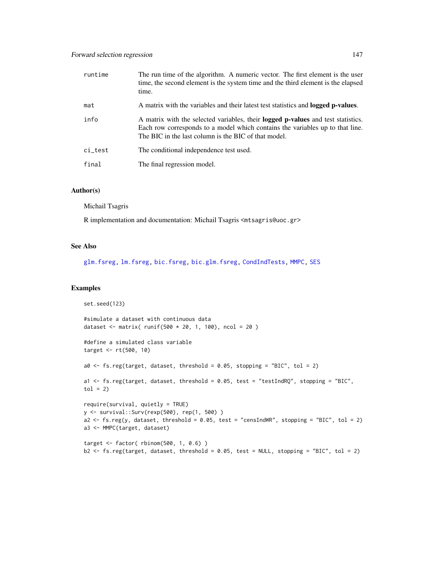| runtime | The run time of the algorithm. A numeric vector. The first element is the user<br>time, the second element is the system time and the third element is the elapsed<br>time.                                                      |
|---------|----------------------------------------------------------------------------------------------------------------------------------------------------------------------------------------------------------------------------------|
| mat     | A matrix with the variables and their latest test statistics and <b>logged p-values</b> .                                                                                                                                        |
| info    | A matrix with the selected variables, their <b>logged p-values</b> and test statistics.<br>Each row corresponds to a model which contains the variables up to that line.<br>The BIC in the last column is the BIC of that model. |
| ci_test | The conditional independence test used.                                                                                                                                                                                          |
| final   | The final regression model.                                                                                                                                                                                                      |

# Author(s)

Michail Tsagris

R implementation and documentation: Michail Tsagris <mtsagris@uoc.gr>

# See Also

[glm.fsreg,](#page-147-0) [lm.fsreg,](#page-148-0) [bic.fsreg,](#page-21-0) [bic.glm.fsreg,](#page-23-0) [CondIndTests,](#page-31-0) [MMPC,](#page-84-0) [SES](#page-84-0)

## Examples

```
set.seed(123)
#simulate a dataset with continuous data
dataset <- matrix( runif(500 * 20, 1, 100), ncol = 20 )
#define a simulated class variable
target <- rt(500, 10)
a0 \leq fs.reg(target, dataset, threshold = 0.05, stopping = "BIC", tol = 2)
a1 <- fs.reg(target, dataset, threshold = 0.05, test = "testIndRQ", stopping = "BIC",
tol = 2)require(survival, quietly = TRUE)
y <- survival::Surv(rexp(500), rep(1, 500) )
a2 \le - fs.reg(y, dataset, threshold = 0.05, test = "censIndWR", stopping = "BIC", tol = 2)
a3 <- MMPC(target, dataset)
target <- factor( rbinom(500, 1, 0.6) )
b2 <- fs.reg(target, dataset, threshold = 0.05, test = NULL, stopping = "BIC", tol = 2)
```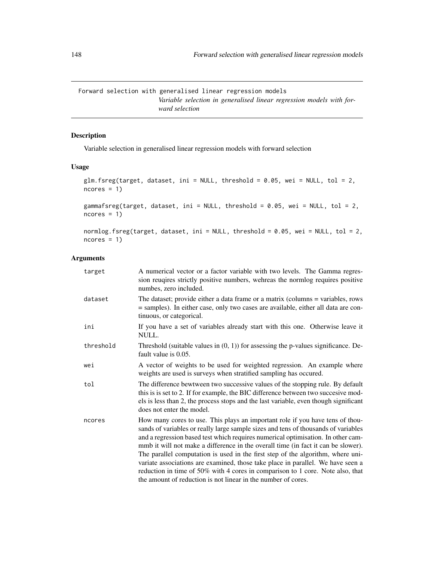Forward selection with generalised linear regression models *Variable selection in generalised linear regression models with forward selection*

# <span id="page-147-0"></span>Description

Variable selection in generalised linear regression models with forward selection

# Usage

```
glm.fsreg(target, dataset, ini = NULL, threshold = 0.05, wei = NULL, tol = 2,
ncores = 1)
```
gammafsreg(target, dataset, ini = NULL, threshold = 0.05, wei = NULL, tol = 2,  $ncores = 1)$ 

```
normlog.fsreg(target, dataset, ini = NULL, threshold = 0.05, wei = NULL, tol = 2,
ncores = 1
```

| target    | A numerical vector or a factor variable with two levels. The Gamma regres-<br>sion reugires strictly positive numbers, wehreas the normlog requires positive<br>numbes, zero included.                                                                                                                                                                                                                                                                                                                                                                                                                                                                                |
|-----------|-----------------------------------------------------------------------------------------------------------------------------------------------------------------------------------------------------------------------------------------------------------------------------------------------------------------------------------------------------------------------------------------------------------------------------------------------------------------------------------------------------------------------------------------------------------------------------------------------------------------------------------------------------------------------|
| dataset   | The dataset; provide either a data frame or a matrix (columns = variables, rows<br>= samples). In either case, only two cases are available, either all data are con-<br>tinuous, or categorical.                                                                                                                                                                                                                                                                                                                                                                                                                                                                     |
| ini       | If you have a set of variables already start with this one. Otherwise leave it<br>NULL.                                                                                                                                                                                                                                                                                                                                                                                                                                                                                                                                                                               |
| threshold | Threshold (suitable values in $(0, 1)$ ) for assessing the p-values significance. De-<br>fault value is 0.05.                                                                                                                                                                                                                                                                                                                                                                                                                                                                                                                                                         |
| wei       | A vector of weights to be used for weighted regression. An example where<br>weights are used is surveys when stratified sampling has occured.                                                                                                                                                                                                                                                                                                                                                                                                                                                                                                                         |
| tol       | The difference bewtween two successive values of the stopping rule. By default<br>this is is set to 2. If for example, the BIC difference between two succesive mod-<br>els is less than 2, the process stops and the last variable, even though significant<br>does not enter the model.                                                                                                                                                                                                                                                                                                                                                                             |
| ncores    | How many cores to use. This plays an important role if you have tens of thou-<br>sands of variables or really large sample sizes and tens of thousands of variables<br>and a regression based test which requires numerical optimisation. In other cam-<br>mmb it will not make a difference in the overall time (in fact it can be slower).<br>The parallel computation is used in the first step of the algorithm, where uni-<br>variate associations are examined, those take place in parallel. We have seen a<br>reduction in time of 50% with 4 cores in comparison to 1 core. Note also, that<br>the amount of reduction is not linear in the number of cores. |
|           |                                                                                                                                                                                                                                                                                                                                                                                                                                                                                                                                                                                                                                                                       |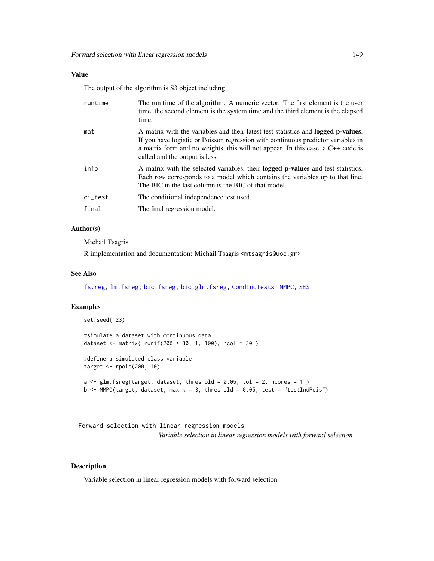# Value

The output of the algorithm is S3 object including:

| runtime | The run time of the algorithm. A numeric vector. The first element is the user<br>time, the second element is the system time and the third element is the elapsed<br>time.                                                                                                                         |
|---------|-----------------------------------------------------------------------------------------------------------------------------------------------------------------------------------------------------------------------------------------------------------------------------------------------------|
| mat     | A matrix with the variables and their latest test statistics and <b>logged p-values</b> .<br>If you have logistic or Poisson regression with continuous predictor variables in<br>a matrix form and no weights, this will not appear. In this case, a C++ code is<br>called and the output is less. |
| info    | A matrix with the selected variables, their <b>logged p-values</b> and test statistics.<br>Each row corresponds to a model which contains the variables up to that line.<br>The BIC in the last column is the BIC of that model.                                                                    |
| ci_test | The conditional independence test used.                                                                                                                                                                                                                                                             |
| final   | The final regression model.                                                                                                                                                                                                                                                                         |

## Author(s)

Michail Tsagris

R implementation and documentation: Michail Tsagris <mtsagris@uoc.gr>

## See Also

[fs.reg,](#page-144-0) [lm.fsreg,](#page-148-0) [bic.fsreg,](#page-21-0) [bic.glm.fsreg,](#page-23-0) [CondIndTests,](#page-31-0) [MMPC,](#page-84-0) [SES](#page-84-0)

## Examples

```
set.seed(123)
#simulate a dataset with continuous data
dataset <- matrix( runif(200 * 30, 1, 100), ncol = 30)
#define a simulated class variable
target <- rpois(200, 10)
a \leq glm.fsreg(target, dataset, threshold = 0.05, tol = 2, nocres = 1)b \leq MMPC(target, dataset, max_k = 3, threshold = 0.05, test = "testIndPois")
```
Forward selection with linear regression models *Variable selection in linear regression models with forward selection*

# <span id="page-148-0"></span>Description

Variable selection in linear regression models with forward selection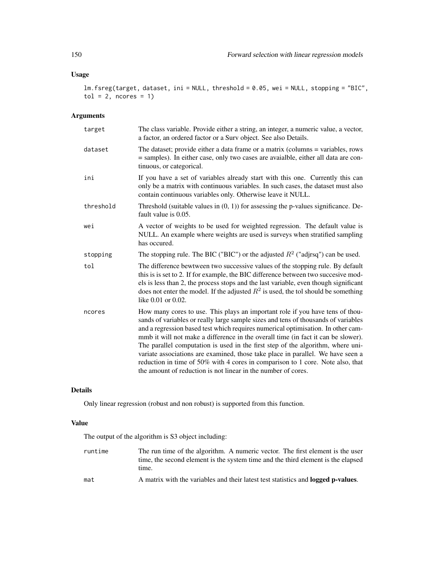# Usage

lm.fsreg(target, dataset, ini = NULL, threshold = 0.05, wei = NULL, stopping = "BIC",  $tol = 2$ , ncores = 1)

#### Arguments

| target    | The class variable. Provide either a string, an integer, a numeric value, a vector,<br>a factor, an ordered factor or a Surv object. See also Details.                                                                                                                                                                                                                                                                                                                                                                                                                                                                                                                |
|-----------|-----------------------------------------------------------------------------------------------------------------------------------------------------------------------------------------------------------------------------------------------------------------------------------------------------------------------------------------------------------------------------------------------------------------------------------------------------------------------------------------------------------------------------------------------------------------------------------------------------------------------------------------------------------------------|
| dataset   | The dataset; provide either a data frame or a matrix (columns = variables, rows<br>= samples). In either case, only two cases are avaialble, either all data are con-<br>tinuous, or categorical.                                                                                                                                                                                                                                                                                                                                                                                                                                                                     |
| ini       | If you have a set of variables already start with this one. Currently this can<br>only be a matrix with continuous variables. In such cases, the dataset must also<br>contain continuous variables only. Otherwise leave it NULL.                                                                                                                                                                                                                                                                                                                                                                                                                                     |
| threshold | Threshold (suitable values in $(0, 1)$ ) for assessing the p-values significance. De-<br>fault value is 0.05.                                                                                                                                                                                                                                                                                                                                                                                                                                                                                                                                                         |
| wei       | A vector of weights to be used for weighted regression. The default value is<br>NULL. An example where weights are used is surveys when stratified sampling<br>has occured.                                                                                                                                                                                                                                                                                                                                                                                                                                                                                           |
| stopping  | The stopping rule. The BIC ("BIC") or the adjusted $R^2$ ("adjrsq") can be used.                                                                                                                                                                                                                                                                                                                                                                                                                                                                                                                                                                                      |
| tol       | The difference bewtween two successive values of the stopping rule. By default<br>this is is set to 2. If for example, the BIC difference between two succesive mod-<br>els is less than 2, the process stops and the last variable, even though significant<br>does not enter the model. If the adjusted $R^2$ is used, the tol should be something<br>like $0.01$ or $0.02$ .                                                                                                                                                                                                                                                                                       |
| ncores    | How many cores to use. This plays an important role if you have tens of thou-<br>sands of variables or really large sample sizes and tens of thousands of variables<br>and a regression based test which requires numerical optimisation. In other cam-<br>mmb it will not make a difference in the overall time (in fact it can be slower).<br>The parallel computation is used in the first step of the algorithm, where uni-<br>variate associations are examined, those take place in parallel. We have seen a<br>reduction in time of 50% with 4 cores in comparison to 1 core. Note also, that<br>the amount of reduction is not linear in the number of cores. |

# Details

Only linear regression (robust and non robust) is supported from this function.

# Value

The output of the algorithm is S3 object including:

- runtime The run time of the algorithm. A numeric vector. The first element is the user time, the second element is the system time and the third element is the elapsed time.
- mat A matrix with the variables and their latest test statistics and **logged p-values**.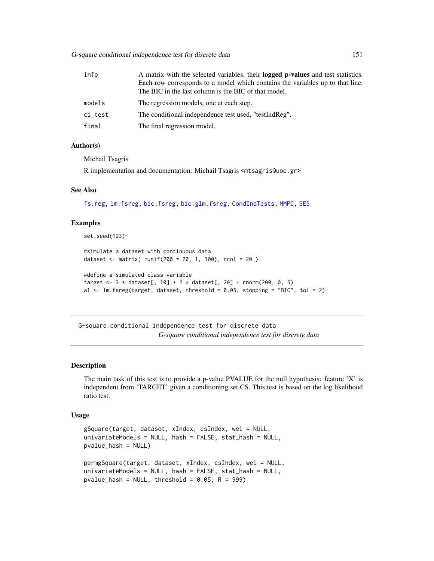G-square conditional independence test for discrete data 151

| info    | A matrix with the selected variables, their <b>logged p-values</b> and test statistics.<br>Each row corresponds to a model which contains the variables up to that line. |
|---------|--------------------------------------------------------------------------------------------------------------------------------------------------------------------------|
|         | The BIC in the last column is the BIC of that model.                                                                                                                     |
| models  | The regression models, one at each step.                                                                                                                                 |
| ci_test | The conditional independence test used, "testIndReg".                                                                                                                    |
| final   | The final regression model.                                                                                                                                              |

#### Author(s)

Michail Tsagris

R implementation and documentation: Michail Tsagris <mtsagris@uoc.gr>

#### See Also

[fs.reg,](#page-144-0) [lm.fsreg,](#page-148-0) [bic.fsreg,](#page-21-0) [bic.glm.fsreg.](#page-23-0) [CondIndTests,](#page-31-0) [MMPC,](#page-84-0) [SES](#page-84-0)

#### Examples

set.seed(123)

```
#simulate a dataset with continuous data
dataset <- matrix( runif(200 * 20, 1, 100), ncol = 20)
```

```
#define a simulated class variable
target <- 3 * dataset[, 10] + 2 * dataset[, 20] + rnorm(200, 0, 5)a1 <- lm.fsreg(target, dataset, threshold = 0.05, stopping = "BIC", tol = 2)
```
G-square conditional independence test for discrete data *G-square conditional independence test for discrete data*

#### Description

The main task of this test is to provide a p-value PVALUE for the null hypothesis: feature 'X' is independent from 'TARGET' given a conditioning set CS. This test is based on the log likelihood ratio test.

#### Usage

```
gSquare(target, dataset, xIndex, csIndex, wei = NULL,
univariateModels = NULL, hash = FALSE, stat_hash = NULL,
pvalue_hash = NULL)
permgSquare(target, dataset, xIndex, csIndex, wei = NULL,
univariateModels = NULL, hash = FALSE, stat_hash = NULL,
pvalue_hash = NULL, threshold = 0.05, R = 999)
```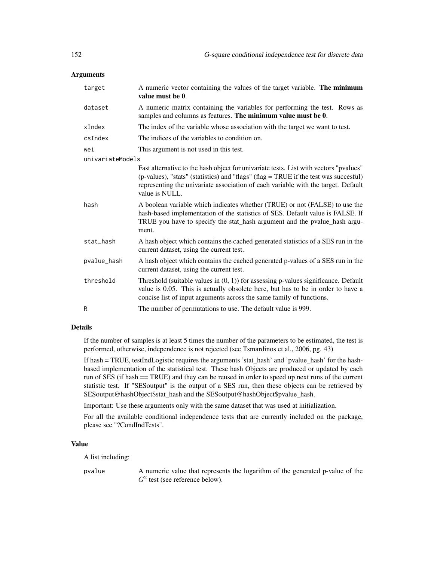## **Arguments**

| target           | A numeric vector containing the values of the target variable. The minimum<br>value must be 0.                                                                                                                                                                                       |
|------------------|--------------------------------------------------------------------------------------------------------------------------------------------------------------------------------------------------------------------------------------------------------------------------------------|
| dataset          | A numeric matrix containing the variables for performing the test. Rows as<br>samples and columns as features. The minimum value must be 0.                                                                                                                                          |
| xIndex           | The index of the variable whose association with the target we want to test.                                                                                                                                                                                                         |
| csIndex          | The indices of the variables to condition on.                                                                                                                                                                                                                                        |
| wei              | This argument is not used in this test.                                                                                                                                                                                                                                              |
| univariateModels |                                                                                                                                                                                                                                                                                      |
|                  | Fast alternative to the hash object for univariate tests. List with vectors "pvalues"<br>(p-values), "stats" (statistics) and "flags" (flag = TRUE if the test was succesful)<br>representing the univariate association of each variable with the target. Default<br>value is NULL. |
| hash             | A boolean variable which indicates whether (TRUE) or not (FALSE) to use the<br>hash-based implementation of the statistics of SES. Default value is FALSE. If<br>TRUE you have to specify the stat_hash argument and the pvalue_hash argu-<br>ment.                                  |
| stat_hash        | A hash object which contains the cached generated statistics of a SES run in the<br>current dataset, using the current test.                                                                                                                                                         |
| pvalue_hash      | A hash object which contains the cached generated p-values of a SES run in the<br>current dataset, using the current test.                                                                                                                                                           |
| threshold        | Threshold (suitable values in $(0, 1)$ ) for assessing p-values significance. Default<br>value is 0.05. This is actually obsolete here, but has to be in order to have a<br>concise list of input arguments across the same family of functions.                                     |
| R                | The number of permutations to use. The default value is 999.                                                                                                                                                                                                                         |

# Details

If the number of samples is at least 5 times the number of the parameters to be estimated, the test is performed, otherwise, independence is not rejected (see Tsmardinos et al., 2006, pg. 43)

If hash = TRUE, testIndLogistic requires the arguments 'stat\_hash' and 'pvalue\_hash' for the hashbased implementation of the statistical test. These hash Objects are produced or updated by each run of SES (if hash == TRUE) and they can be reused in order to speed up next runs of the current statistic test. If "SESoutput" is the output of a SES run, then these objects can be retrieved by SESoutput@hashObject\$stat\_hash and the SESoutput@hashObject\$pvalue\_hash.

Important: Use these arguments only with the same dataset that was used at initialization.

For all the available conditional independence tests that are currently included on the package, please see "?CondIndTests".

## Value

A list including:

pvalue A numeric value that represents the logarithm of the generated p-value of the  $G<sup>2</sup>$  test (see reference below).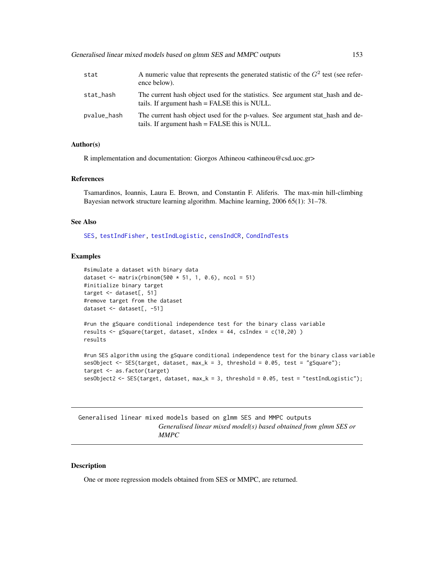| stat        | A numeric value that represents the generated statistic of the $G2$ test (see refer-<br>ence below).                             |
|-------------|----------------------------------------------------------------------------------------------------------------------------------|
| stat_hash   | The current hash object used for the statistics. See argument stat hash and de-<br>tails. If argument hash = FALSE this is NULL. |
| pvalue_hash | The current hash object used for the p-values. See argument stat_hash and de-<br>tails. If argument hash = FALSE this is NULL.   |

# Author(s)

R implementation and documentation: Giorgos Athineou <athineou@csd.uoc.gr>

#### References

Tsamardinos, Ioannis, Laura E. Brown, and Constantin F. Aliferis. The max-min hill-climbing Bayesian network structure learning algorithm. Machine learning, 2006 65(1): 31–78.

#### See Also

[SES,](#page-84-0) [testIndFisher,](#page-100-0) [testIndLogistic,](#page-42-0) [censIndCR,](#page-78-0) [CondIndTests](#page-31-0)

## Examples

```
#simulate a dataset with binary data
dataset <- matrix(rbinom(500 * 51, 1, 0.6), ncol = 51)
#initialize binary target
target <- dataset[, 51]
#remove target from the dataset
dataset <- dataset[, -51]
```

```
#run the gSquare conditional independence test for the binary class variable
results <- gSquare(target, dataset, xIndex = 44, csIndex = c(10,20) )
results
```

```
#run SES algorithm using the gSquare conditional independence test for the binary class variable
sesObject <- SES(target, dataset, max_k = 3, threshold = 0.05, test = "gSquare");
target <- as.factor(target)
sesObject2 <- SES(target, dataset, max_k = 3, threshold = 0.05, test = "testIndLogistic");
```
Generalised linear mixed models based on glmm SES and MMPC outputs *Generalised linear mixed model(s) based obtained from glmm SES or MMPC*

#### Description

One or more regression models obtained from SES or MMPC, are returned.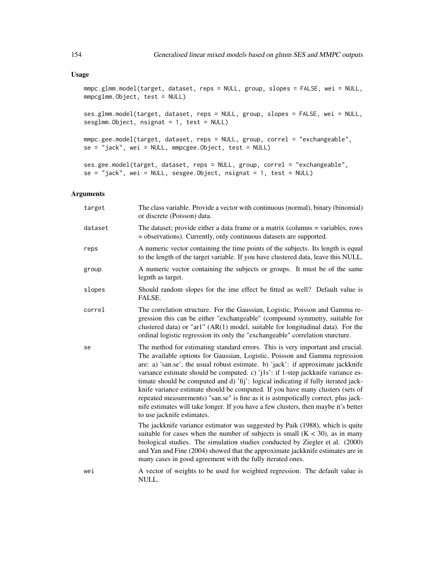## Usage

mmpc.glmm.model(target, dataset, reps = NULL, group, slopes = FALSE, wei = NULL, mmpcglmm.Object, test = NULL)

ses.glmm.model(target, dataset, reps = NULL, group, slopes = FALSE, wei = NULL, sesglmm.Object, nsignat = 1, test = NULL)

```
mmpc.gee.model(target, dataset, reps = NULL, group, correl = "exchangeable",
se = "jack", wei = NULL, mmpcgee.Object, test = NULL)
```
ses.gee.model(target, dataset, reps = NULL, group, correl = "exchangeable",  $se = "jack", wei = NULL, sesgee.Object, nsignat = 1, test = NULL)$ 

| target  | The class variable. Provide a vector with continuous (normal), binary (binomial)<br>or discrete (Poisson) data.                                                                                                                                                                                                                                                                                                                                                                                                                                                                                                                                                                                                         |
|---------|-------------------------------------------------------------------------------------------------------------------------------------------------------------------------------------------------------------------------------------------------------------------------------------------------------------------------------------------------------------------------------------------------------------------------------------------------------------------------------------------------------------------------------------------------------------------------------------------------------------------------------------------------------------------------------------------------------------------------|
| dataset | The dataset; provide either a data frame or a matrix (columns = variables, rows<br>= observations). Currently, only continuous datasets are supported.                                                                                                                                                                                                                                                                                                                                                                                                                                                                                                                                                                  |
| reps    | A numeric vector containing the time points of the subjects. Its length is equal<br>to the length of the target variable. If you have clustered data, leave this NULL.                                                                                                                                                                                                                                                                                                                                                                                                                                                                                                                                                  |
| group   | A numeric vector containing the subjects or groups. It must be of the same<br>legnth as target.                                                                                                                                                                                                                                                                                                                                                                                                                                                                                                                                                                                                                         |
| slopes  | Should random slopes for the ime effect be fitted as well? Default value is<br>FALSE.                                                                                                                                                                                                                                                                                                                                                                                                                                                                                                                                                                                                                                   |
| correl  | The correlation structure. For the Gaussian, Logistic, Poisson and Gamma re-<br>gression this can be either "exchangeable" (compound symmetry, suitable for<br>clustered data) or "ar1" (AR(1) model, suitable for longitudinal data). For the<br>ordinal logistic regression its only the "exchangeable" correlation sturcture.                                                                                                                                                                                                                                                                                                                                                                                        |
| se      | The method for estimating standard errors. This is very important and crucial.<br>The available options for Gaussian, Logistic, Poisson and Gamma regression<br>are: a) 'san.se', the usual robust estimate. b) 'jack': if approximate jackknife<br>variance estimate should be computed. c) 'j1s': if 1-step jackknife variance es-<br>timate should be computed and d) 'fij': logical indicating if fully iterated jack-<br>knife variance estimate should be computed. If you have many clusters (sets of<br>repeated measurements) "san.se" is fine as it is astmpotically correct, plus jack-<br>nife estimates will take longer. If you have a few clusters, then maybe it's better<br>to use jacknife estimates. |
|         | The jackknife variance estimator was suggested by Paik (1988), which is quite<br>suitable for cases when the number of subjects is small $(K < 30)$ , as in many<br>biological studies. The simulation studies conducted by Ziegler et al. (2000)<br>and Yan and Fine (2004) showed that the approximate jackknife estimates are in<br>many cases in good agreement with the fully iterated ones.                                                                                                                                                                                                                                                                                                                       |
| wei     | A vector of weights to be used for weighted regression. The default value is<br>NULL.                                                                                                                                                                                                                                                                                                                                                                                                                                                                                                                                                                                                                                   |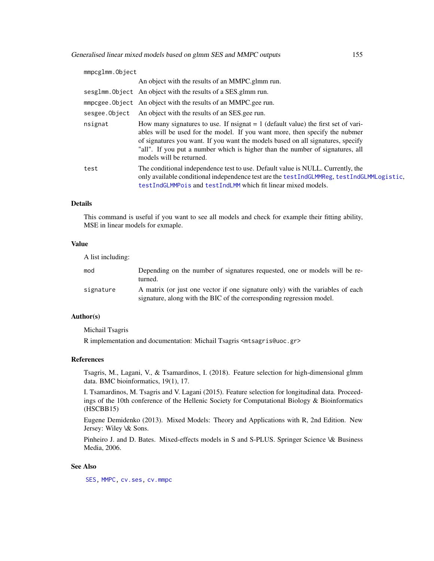| mmpcglmm.Object |                                                                                                                                                                                                                                                                                                                                                                    |  |
|-----------------|--------------------------------------------------------------------------------------------------------------------------------------------------------------------------------------------------------------------------------------------------------------------------------------------------------------------------------------------------------------------|--|
|                 | An object with the results of an MMPC.glmm run.                                                                                                                                                                                                                                                                                                                    |  |
|                 | sesglmm. Object An object with the results of a SES.glmm run.                                                                                                                                                                                                                                                                                                      |  |
|                 | mmpcgee. Object An object with the results of an MMPC.gee run.                                                                                                                                                                                                                                                                                                     |  |
| sesgee.Object   | An object with the results of an SES gee run.                                                                                                                                                                                                                                                                                                                      |  |
| nsignat         | How many signatures to use. If nsignat $= 1$ (default value) the first set of vari-<br>ables will be used for the model. If you want more, then specify the nubmer<br>of signatures you want. If you want the models based on all signatures, specify<br>"all". If you put a number which is higher than the number of signatures, all<br>models will be returned. |  |
| test            | The conditional independence test to use. Default value is NULL. Currently, the<br>only available conditional independence test are the testIndGLMMReg, testIndGLMMLogistic,<br>testIndGLMMPois and testIndLMM which fit linear mixed models.                                                                                                                      |  |

## Details

This command is useful if you want to see all models and check for example their fitting ability, MSE in linear models for exmaple.

# Value

A list including:

| mod       | Depending on the number of signatures requested, one or models will be re-<br>turned.                                                                  |
|-----------|--------------------------------------------------------------------------------------------------------------------------------------------------------|
| signature | A matrix (or just one vector if one signature only) with the variables of each<br>signature, along with the BIC of the corresponding regression model. |

# Author(s)

Michail Tsagris

R implementation and documentation: Michail Tsagris <mtsagris@uoc.gr>

## References

Tsagris, M., Lagani, V., & Tsamardinos, I. (2018). Feature selection for high-dimensional glmm data. BMC bioinformatics, 19(1), 17.

I. Tsamardinos, M. Tsagris and V. Lagani (2015). Feature selection for longitudinal data. Proceedings of the 10th conference of the Hellenic Society for Computational Biology & Bioinformatics (HSCBB15)

Eugene Demidenko (2013). Mixed Models: Theory and Applications with R, 2nd Edition. New Jersey: Wiley \& Sons.

Pinheiro J. and D. Bates. Mixed-effects models in S and S-PLUS. Springer Science \& Business Media, 2006.

## See Also

[SES,](#page-84-0) [MMPC,](#page-84-0) [cv.ses,](#page-108-0) [cv.mmpc](#page-108-0)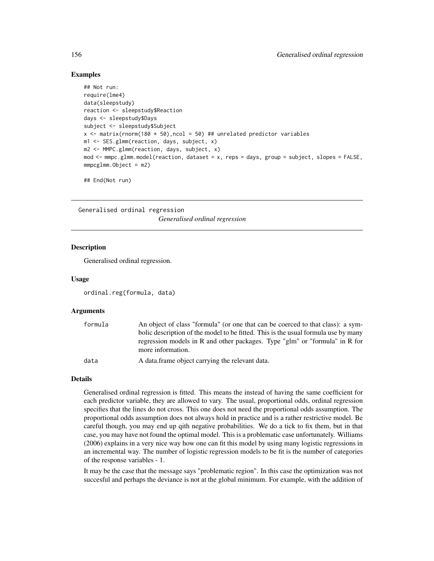## Examples

```
## Not run:
require(lme4)
data(sleepstudy)
reaction <- sleepstudy$Reaction
days <- sleepstudy$Days
subject <- sleepstudy$Subject
x \le - matrix(rnorm(180 * 50), ncol = 50) ## unrelated predictor variables
m1 <- SES.glmm(reaction, days, subject, x)
m2 <- MMPC.glmm(reaction, days, subject, x)
mod <- mmpc.glmm.model(reaction, dataset = x, reps = days, group = subject, slopes = FALSE,
mmpcglmm.Object = m2)
```
## End(Not run)

Generalised ordinal regression *Generalised ordinal regression*

## Description

Generalised ordinal regression.

#### Usage

```
ordinal.reg(formula, data)
```
#### Arguments

| formula | An object of class "formula" (or one that can be coerced to that class): a sym-<br>bolic description of the model to be fitted. This is the usual formula use by many<br>regression models in R and other packages. Type "glm" or "formula" in R for |
|---------|------------------------------------------------------------------------------------------------------------------------------------------------------------------------------------------------------------------------------------------------------|
|         | more information.                                                                                                                                                                                                                                    |
| data    | A data.frame object carrying the relevant data.                                                                                                                                                                                                      |

#### Details

Generalised ordinal regression is fitted. This means the instead of having the same coefficient for each predictor variable, they are allowed to vary. The usual, proportional odds, ordinal regression specifies that the lines do not cross. This one does not need the proportional odds assumption. The proportional odds assumption does not always hold in practice and is a rather restrictive model. Be careful though, you may end up qith negative probabilities. We do a tick to fix them, but in that case, you may have not found the optimal model. This is a problematic case unfortunately. Williams (2006) explains in a very nice way how one can fit this model by using many logistic regressions in an incremental way. The number of logistic regression models to be fit is the number of categories of the response variables - 1.

It may be the case that the message says "problematic region". In this case the optimization was not succesful and perhaps the deviance is not at the global minimum. For example, with the addition of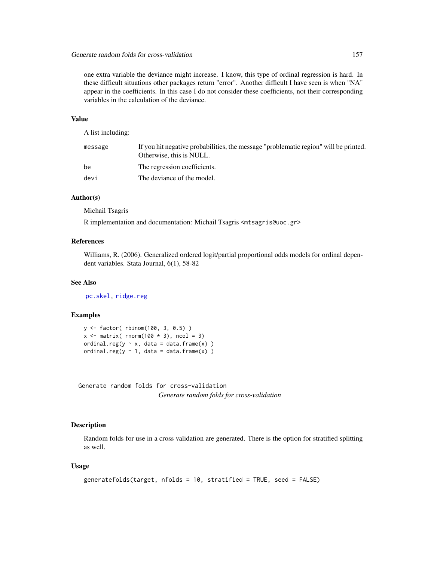one extra variable the deviance might increase. I know, this type of ordinal regression is hard. In these difficult situations other packages return "error". Another difficult I have seen is when "NA" appear in the coefficients. In this case I do not consider these coefficients, not their corresponding variables in the calculation of the deviance.

# Value

A list including:

| message | If you hit negative probabilities, the message "problematic region" will be printed.<br>Otherwise, this is NULL. |
|---------|------------------------------------------------------------------------------------------------------------------|
| be      | The regression coefficients.                                                                                     |
| devi    | The deviance of the model.                                                                                       |

## Author(s)

Michail Tsagris

R implementation and documentation: Michail Tsagris <mtsagris@uoc.gr>

# References

Williams, R. (2006). Generalized ordered logit/partial proportional odds models for ordinal dependent variables. Stata Journal, 6(1), 58-82

#### See Also

[pc.skel,](#page-222-0) [ridge.reg](#page-209-0)

# Examples

```
y <- factor( rbinom(100, 3, 0.5) )
x \le - matrix( rnorm(100 * 3), ncol = 3)
ordinal.reg(y \sim x, data = data.frame(x))
ordinal.reg(y \sim 1, data = data.frame(x))
```
Generate random folds for cross-validation *Generate random folds for cross-validation*

# Description

Random folds for use in a cross validation are generated. There is the option for stratified splitting as well.

## Usage

```
generatefolds(target, nfolds = 10, stratified = TRUE, seed = FALSE)
```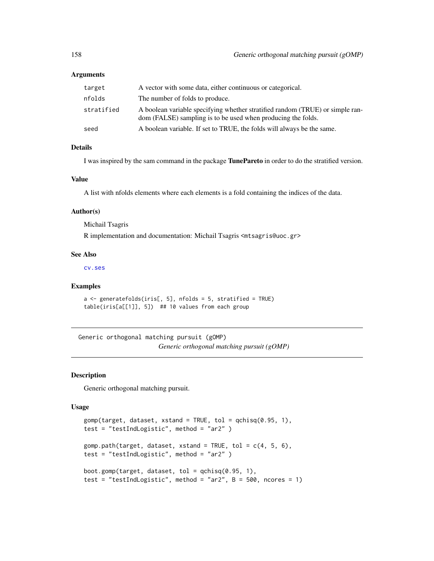## Arguments

| target     | A vector with some data, either continuous or categorical.                                                                                    |
|------------|-----------------------------------------------------------------------------------------------------------------------------------------------|
| nfolds     | The number of folds to produce.                                                                                                               |
| stratified | A boolean variable specifying whether stratified random (TRUE) or simple ran-<br>dom (FALSE) sampling is to be used when producing the folds. |
| seed       | A boolean variable. If set to TRUE, the folds will always be the same.                                                                        |
|            |                                                                                                                                               |

## Details

I was inspired by the sam command in the package TunePareto in order to do the stratified version.

#### Value

A list with nfolds elements where each elements is a fold containing the indices of the data.

#### Author(s)

Michail Tsagris

R implementation and documentation: Michail Tsagris <mtsagris@uoc.gr>

#### See Also

[cv.ses](#page-108-0)

## Examples

```
a <- generatefolds(iris[, 5], nfolds = 5, stratified = TRUE)
table(iris[a[[1]], 5]) ## 10 values from each group
```
Generic orthogonal matching pursuit (gOMP) *Generic orthogonal matching pursuit (gOMP)*

#### <span id="page-157-0"></span>Description

Generic orthogonal matching pursuit.

## Usage

```
gomp(target, dataset, xstand = TRUE, tol = qchisq(0.95, 1),
test = "testIndLogistic", method = "ar2" )
gomp.path(target, dataset, xstand = TRUE, tol = c(4, 5, 6),
test = "testIndLogistic", method = "ar2" )
boot.gomp(target, dataset, tol = qchi(0.95, 1),
test = "testIndLogistic", method = "ar2", B = 500, ncores = 1)
```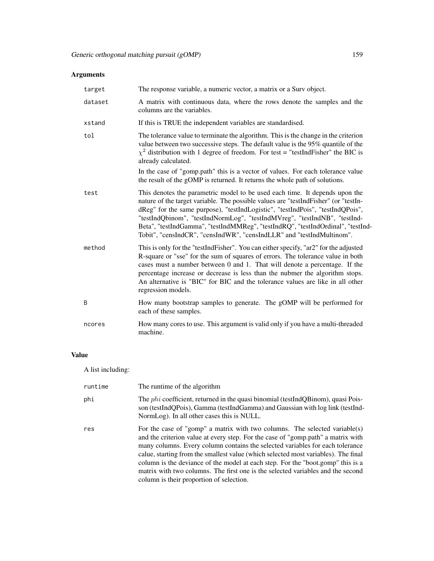# Arguments

| target  | The response variable, a numeric vector, a matrix or a Surv object.                                                                                                                                                                                                                                                                                                                                                                                                                           |  |  |  |  |
|---------|-----------------------------------------------------------------------------------------------------------------------------------------------------------------------------------------------------------------------------------------------------------------------------------------------------------------------------------------------------------------------------------------------------------------------------------------------------------------------------------------------|--|--|--|--|
| dataset | A matrix with continuous data, where the rows denote the samples and the<br>columns are the variables.                                                                                                                                                                                                                                                                                                                                                                                        |  |  |  |  |
| xstand  | If this is TRUE the independent variables are standardised.                                                                                                                                                                                                                                                                                                                                                                                                                                   |  |  |  |  |
| tol     | The tolerance value to terminate the algorithm. This is the change in the criterion<br>value between two successive steps. The default value is the 95% quantile of the<br>$\chi^2$ distribution with 1 degree of freedom. For test = "testIndFisher" the BIC is<br>already calculated.                                                                                                                                                                                                       |  |  |  |  |
|         | In the case of "gomp.path" this is a vector of values. For each tolerance value<br>the result of the gOMP is returned. It returns the whole path of solutions.                                                                                                                                                                                                                                                                                                                                |  |  |  |  |
| test    | This denotes the parametric model to be used each time. It depends upon the<br>nature of the target variable. The possible values are "testIndFisher" (or "testIn-<br>dReg" for the same purpose), "testIndLogistic", "testIndPois", "testIndQPois",<br>"testIndQbinom", "testIndNormLog", "testIndMVreg", "testIndNB", "testInd-<br>Beta", "testIndGamma", "testIndMMReg", "testIndRQ", "testIndOrdinal", "testInd-<br>Tobit", "censIndCR", "censIndWR", "censIndLLR" and "testIndMultinom". |  |  |  |  |
| method  | This is only for the "testIndFisher". You can either specify, "ar2" for the adjusted<br>R-square or "sse" for the sum of squares of errors. The tolerance value in both<br>cases must a number between 0 and 1. That will denote a percentage. If the<br>percentage increase or decrease is less than the nubmer the algorithm stops.<br>An alternative is "BIC" for BIC and the tolerance values are like in all other<br>regression models.                                                 |  |  |  |  |
| B       | How many bootstrap samples to generate. The gOMP will be performed for<br>each of these samples.                                                                                                                                                                                                                                                                                                                                                                                              |  |  |  |  |
| ncores  | How many cores to use. This argument is valid only if you have a multi-threaded<br>machine.                                                                                                                                                                                                                                                                                                                                                                                                   |  |  |  |  |

# Value

A list including:

| runtime | The runtime of the algorithm                                                                                                                                                                                                                                                                                                                                                                                                                                                                                                                            |
|---------|---------------------------------------------------------------------------------------------------------------------------------------------------------------------------------------------------------------------------------------------------------------------------------------------------------------------------------------------------------------------------------------------------------------------------------------------------------------------------------------------------------------------------------------------------------|
| phi     | The <i>phi</i> coefficient, returned in the quasi binomial (testIndQBinom), quasi Pois-<br>son (testIndQPois), Gamma (testIndGamma) and Gaussian with log link (testInd-<br>NormLog). In all other cases this is NULL.                                                                                                                                                                                                                                                                                                                                  |
| res     | For the case of "gomp" a matrix with two columns. The selected variable(s)<br>and the criterion value at every step. For the case of "gomp.path" a matrix with<br>many columns. Every column contains the selected variables for each tolerance<br>calue, starting from the smallest value (which selected most variables). The final<br>column is the deviance of the model at each step. For the "boot.gomp" this is a<br>matrix with two columns. The first one is the selected variables and the second<br>column is their proportion of selection. |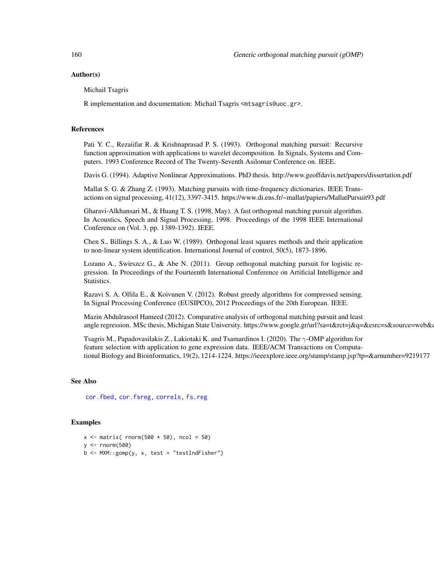## Author(s)

Michail Tsagris

R implementation and documentation: Michail Tsagris <mtsagris@uoc.gr>.

#### References

Pati Y. C., Rezaiifar R. & Krishnaprasad P. S. (1993). Orthogonal matching pursuit: Recursive function approximation with applications to wavelet decomposition. In Signals, Systems and Computers. 1993 Conference Record of The Twenty-Seventh Asilomar Conference on. IEEE.

Davis G. (1994). Adaptive Nonlinear Approximations. PhD thesis. http://www.geoffdavis.net/papers/dissertation.pdf

Mallat S. G. & Zhang Z. (1993). Matching pursuits with time-frequency dictionaries. IEEE Transactions on signal processing, 41(12), 3397-3415. https://www.di.ens.fr/~mallat/papiers/MallatPursuit93.pdf

Gharavi-Alkhansari M., & Huang T. S. (1998, May). A fast orthogonal matching pursuit algorithm. In Acoustics, Speech and Signal Processing, 1998. Proceedings of the 1998 IEEE International Conference on (Vol. 3, pp. 1389-1392). IEEE.

Chen S., Billings S. A., & Luo W. (1989). Orthogonal least squares methods and their application to non-linear system identification. International Journal of control, 50(5), 1873-1896.

Lozano A., Swirszcz G., & Abe N. (2011). Group orthogonal matching pursuit for logistic regression. In Proceedings of the Fourteenth International Conference on Artificial Intelligence and Statistics.

Razavi S. A. Ollila E., & Koivunen V. (2012). Robust greedy algorithms for compressed sensing. In Signal Processing Conference (EUSIPCO), 2012 Proceedings of the 20th European. IEEE.

Mazin Abdulrasool Hameed (2012). Comparative analysis of orthogonal matching pursuit and least angle regression. MSc thesis, Michigan State University. https://www.google.gr/url?sa=t&rct=j&q=&esrc=s&source=web&

Tsagris M., Papadovasilakis Z., Lakiotaki K. and Tsamardinos I. (2020). The γ-OMP algorithm for feature selection with application to gene expression data. IEEE/ACM Transactions on Computational Biology and Bioinformatics, 19(2), 1214-1224. https://ieeexplore.ieee.org/stamp/stamp.jsp?tp=&arnumber=9219177

#### See Also

[cor.fbed,](#page-0-0) [cor.fsreg,](#page-0-0) [correls,](#page-0-0) [fs.reg](#page-144-0)

## Examples

```
x \le matrix( rnorm(500 \star 50), ncol = 50)
y <- rnorm(500)
b \leq MXM::gomp(y, x, test = "testIndFisher")
```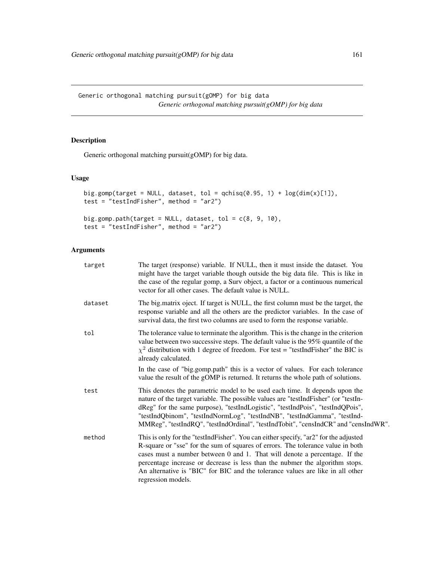Generic orthogonal matching pursuit(gOMP) for big data *Generic orthogonal matching pursuit(gOMP) for big data*

# Description

Generic orthogonal matching pursuit(gOMP) for big data.

# Usage

```
big.gomp(target = NULL, dataset, tol = qchisq(0.95, 1) + \log(\dim(x)[1]),
test = "testIndFisher", method = "ar2")
big.gomp.path(target = NULL, dataset, tol = c(8, 9, 10),
test = "testIndFisher", method = "ar2")
```

| target  | The target (response) variable. If NULL, then it must inside the dataset. You<br>might have the target variable though outside the big data file. This is like in<br>the case of the regular gomp, a Surv object, a factor or a continuous numerical<br>vector for all other cases. The default value is NULL.                                                                                                                                |
|---------|-----------------------------------------------------------------------------------------------------------------------------------------------------------------------------------------------------------------------------------------------------------------------------------------------------------------------------------------------------------------------------------------------------------------------------------------------|
| dataset | The big.matrix oject. If target is NULL, the first column must be the target, the<br>response variable and all the others are the predictor variables. In the case of<br>survival data, the first two columns are used to form the response variable.                                                                                                                                                                                         |
| tol     | The tolerance value to terminate the algorithm. This is the change in the criterion<br>value between two successive steps. The default value is the 95% quantile of the<br>$\chi^2$ distribution with 1 degree of freedom. For test = "testIndFisher" the BIC is<br>already calculated.                                                                                                                                                       |
|         | In the case of "big.gomp.path" this is a vector of values. For each tolerance<br>value the result of the gOMP is returned. It returns the whole path of solutions.                                                                                                                                                                                                                                                                            |
| test    | This denotes the parametric model to be used each time. It depends upon the<br>nature of the target variable. The possible values are "testIndFisher" (or "testIn-<br>dReg" for the same purpose), "testIndLogistic", "testIndPois", "testIndQPois",<br>"testIndQbinom", "testIndNormLog", "testIndNB", "testIndGamma", "testInd-<br>MMReg", "testIndRQ", "testIndOrdinal", "testIndTobit", "censIndCR" and "censIndWR".                      |
| method  | This is only for the "testIndFisher". You can either specify, "ar2" for the adjusted<br>R-square or "sse" for the sum of squares of errors. The tolerance value in both<br>cases must a number between 0 and 1. That will denote a percentage. If the<br>percentage increase or decrease is less than the nubmer the algorithm stops.<br>An alternative is "BIC" for BIC and the tolerance values are like in all other<br>regression models. |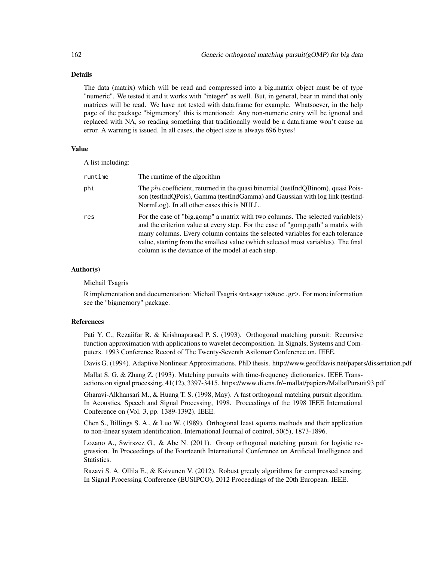#### Details

The data (matrix) which will be read and compressed into a big.matrix object must be of type "numeric". We tested it and it works with "integer" as well. But, in general, bear in mind that only matrices will be read. We have not tested with data.frame for example. Whatsoever, in the help page of the package "bigmemory" this is mentioned: Any non-numeric entry will be ignored and replaced with NA, so reading something that traditionally would be a data.frame won't cause an error. A warning is issued. In all cases, the object size is always 696 bytes!

#### Value

A list including:

| runtime | The runtime of the algorithm                                                                                                                                                                                                                                                                                                                                                                   |  |  |  |
|---------|------------------------------------------------------------------------------------------------------------------------------------------------------------------------------------------------------------------------------------------------------------------------------------------------------------------------------------------------------------------------------------------------|--|--|--|
| phi     | The <i>phi</i> coefficient, returned in the quasi binomial (testIndQBinom), quasi Pois-<br>son (testIndQPois), Gamma (testIndGamma) and Gaussian with log link (testInd-<br>NormLog). In all other cases this is NULL.                                                                                                                                                                         |  |  |  |
| res     | For the case of "big.gomp" a matrix with two columns. The selected variable(s)<br>and the criterion value at every step. For the case of "gomp.path" a matrix with<br>many columns. Every column contains the selected variables for each tolerance<br>value, starting from the smallest value (which selected most variables). The final<br>column is the deviance of the model at each step. |  |  |  |

#### Author(s)

Michail Tsagris

R implementation and documentation: Michail Tsagris <mtsagris@uoc.gr>. For more information see the "bigmemory" package.

#### References

Pati Y. C., Rezaiifar R. & Krishnaprasad P. S. (1993). Orthogonal matching pursuit: Recursive function approximation with applications to wavelet decomposition. In Signals, Systems and Computers. 1993 Conference Record of The Twenty-Seventh Asilomar Conference on. IEEE.

Davis G. (1994). Adaptive Nonlinear Approximations. PhD thesis. http://www.geoffdavis.net/papers/dissertation.pdf

Mallat S. G. & Zhang Z. (1993). Matching pursuits with time-frequency dictionaries. IEEE Transactions on signal processing, 41(12), 3397-3415. https://www.di.ens.fr/~mallat/papiers/MallatPursuit93.pdf

Gharavi-Alkhansari M., & Huang T. S. (1998, May). A fast orthogonal matching pursuit algorithm. In Acoustics, Speech and Signal Processing, 1998. Proceedings of the 1998 IEEE International Conference on (Vol. 3, pp. 1389-1392). IEEE.

Chen S., Billings S. A., & Luo W. (1989). Orthogonal least squares methods and their application to non-linear system identification. International Journal of control, 50(5), 1873-1896.

Lozano A., Swirszcz G., & Abe N. (2011). Group orthogonal matching pursuit for logistic regression. In Proceedings of the Fourteenth International Conference on Artificial Intelligence and Statistics.

Razavi S. A. Ollila E., & Koivunen V. (2012). Robust greedy algorithms for compressed sensing. In Signal Processing Conference (EUSIPCO), 2012 Proceedings of the 20th European. IEEE.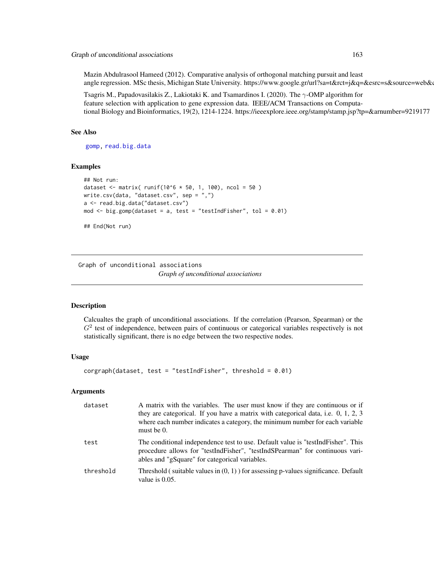Mazin Abdulrasool Hameed (2012). Comparative analysis of orthogonal matching pursuit and least angle regression. MSc thesis, Michigan State University. https://www.google.gr/url?sa=t&rct=j&q=&esrc=s&source=web&

Tsagris M., Papadovasilakis Z., Lakiotaki K. and Tsamardinos I. (2020). The  $\gamma$ -OMP algorithm for feature selection with application to gene expression data. IEEE/ACM Transactions on Computational Biology and Bioinformatics, 19(2), 1214-1224. https://ieeexplore.ieee.org/stamp/stamp.jsp?tp=&arnumber=9219177

#### See Also

[gomp,](#page-157-0) [read.big.data](#page-201-0)

## Examples

```
## Not run:
dataset <- matrix( runif(10^6 * 50, 1, 100), ncol = 50 )
write.csv(data, "dataset.csv", sep = ",")
a <- read.big.data("dataset.csv")
mod \le big.gomp(dataset = a, test = "testIndFisher", tol = 0.01)
## End(Not run)
```
Graph of unconditional associations

*Graph of unconditional associations*

#### **Description**

Calcualtes the graph of unconditional associations. If the correlation (Pearson, Spearman) or the  $G<sup>2</sup>$  test of independence, between pairs of continuous or categorical variables respectively is not statistically significant, there is no edge between the two respective nodes.

#### Usage

```
corgraph(dataset, test = "testIndFisher", threshold = 0.01)
```

| dataset   | A matrix with the variables. The user must know if they are continuous or if<br>they are categorical. If you have a matrix with categorical data, i.e. 0, 1, 2, 3<br>where each number indicates a category, the minimum number for each variable<br>must be $0$ . |
|-----------|--------------------------------------------------------------------------------------------------------------------------------------------------------------------------------------------------------------------------------------------------------------------|
| test      | The conditional independence test to use. Default value is "testIndFisher". This<br>procedure allows for "testIndFisher", "testIndSPearman" for continuous vari-<br>ables and "gSquare" for categorical variables.                                                 |
| threshold | Threshold (suitable values in $(0, 1)$ ) for assessing p-values significance. Default<br>value is $0.05$ .                                                                                                                                                         |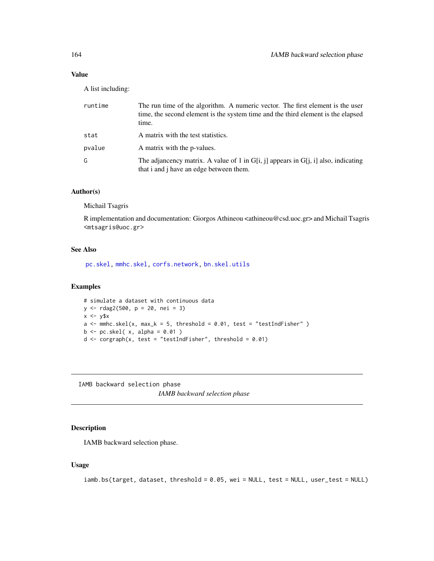# Value

A list including:

| runtime | The run time of the algorithm. A numeric vector. The first element is the user<br>time, the second element is the system time and the third element is the elapsed<br>time. |
|---------|-----------------------------------------------------------------------------------------------------------------------------------------------------------------------------|
| stat    | A matrix with the test statistics.                                                                                                                                          |
| pvalue  | A matrix with the p-values.                                                                                                                                                 |
| G       | The adjancency matrix. A value of 1 in G[i, j] appears in G[j, i] also, indicating<br>that i and i have an edge between them.                                               |

# Author(s)

Michail Tsagris

R implementation and documentation: Giorgos Athineou <athineou@csd.uoc.gr> and Michail Tsagris <mtsagris@uoc.gr>

# See Also

[pc.skel,](#page-222-0) [mmhc.skel,](#page-219-0) [corfs.network,](#page-193-0) [bn.skel.utils](#page-244-0)

## Examples

# simulate a dataset with continuous data y <- rdag2(500, p = 20, nei = 3)  $x \leftarrow y$ \$x  $a \leftarrow$  mmhc.skel(x, max\_k = 5, threshold = 0.01, test = "testIndFisher")  $b \leftarrow pc.\,skel(\ x, alpha = 0.01)$ d  $\leq$  corgraph(x, test = "testIndFisher", threshold = 0.01)

IAMB backward selection phase *IAMB backward selection phase*

# Description

IAMB backward selection phase.

#### Usage

```
iamb.bs(target, dataset, threshold = 0.05, wei = NULL, test = NULL, user_test = NULL)
```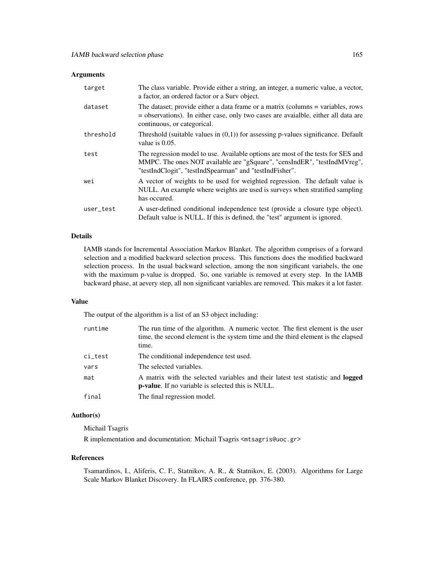#### Arguments

| target    | The class variable. Provide either a string, an integer, a numeric value, a vector,<br>a factor, an ordered factor or a Surv object.                                                                                    |
|-----------|-------------------------------------------------------------------------------------------------------------------------------------------------------------------------------------------------------------------------|
| dataset   | The dataset; provide either a data frame or a matrix (columns = variables, rows<br>$=$ observations). In either case, only two cases are avaialble, either all data are<br>continuous, or categorical.                  |
| threshold | Threshold (suitable values in $(0,1)$ ) for assessing p-values significance. Default<br>value is 0.05.                                                                                                                  |
| test      | The regression model to use. Available options are most of the tests for SES and<br>MMPC. The ones NOT available are "gSquare", "censIndER", "testIndMVreg",<br>"testIndClogit", "testIndSpearman" and "testIndFisher". |
| wei       | A vector of weights to be used for weighted regression. The default value is<br>NULL. An example where weights are used is surveys when stratified sampling<br>has occured.                                             |
| user_test | A user-defined conditional independence test (provide a closure type object).<br>Default value is NULL. If this is defined, the "test" argument is ignored.                                                             |

### Details

IAMB stands for Incremental Association Markov Blanket. The algorithm comprises of a forward selection and a modified backward selection process. This functions does the modified backward selection process. In the usual backward selection, among the non singificant variabels, the one with the maximum p-value is dropped. So, one variable is removed at every step. In the IAMB backward phase, at aevery step, all non significant variables are removed. This makes it a lot faster.

### Value

The output of the algorithm is a list of an S3 object including:

| runtime | The run time of the algorithm. A numeric vector. The first element is the user<br>time, the second element is the system time and the third element is the elapsed<br>time. |
|---------|-----------------------------------------------------------------------------------------------------------------------------------------------------------------------------|
| ci_test | The conditional independence test used.                                                                                                                                     |
| vars    | The selected variables.                                                                                                                                                     |
| mat     | A matrix with the selected variables and their latest test statistic and logged<br><b>p-value.</b> If no variable is selected this is NULL.                                 |
| final   | The final regression model.                                                                                                                                                 |

## Author(s)

Michail Tsagris

R implementation and documentation: Michail Tsagris <mtsagris@uoc.gr>

#### References

Tsamardinos, I., Aliferis, C. F., Statnikov, A. R., & Statnikov, E. (2003). Algorithms for Large Scale Markov Blanket Discovery. In FLAIRS conference, pp. 376-380.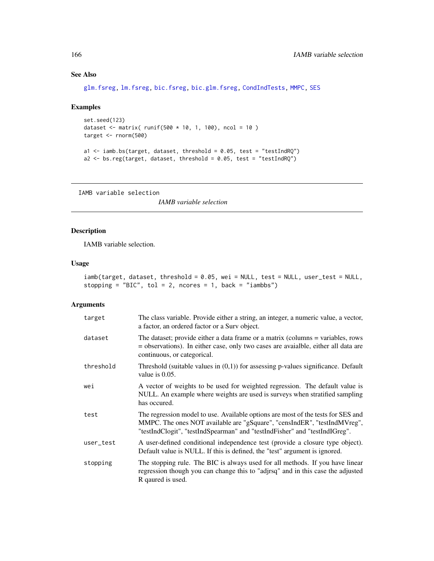# See Also

[glm.fsreg,](#page-147-0) [lm.fsreg,](#page-148-0) [bic.fsreg,](#page-21-0) [bic.glm.fsreg,](#page-23-0) [CondIndTests,](#page-31-0) [MMPC,](#page-84-0) [SES](#page-84-0)

# Examples

```
set.seed(123)
dataset <- matrix( runif(500 * 10, 1, 100), ncol = 10 )
target <- rnorm(500)
a1 <- iamb.bs(target, dataset, threshold = 0.05, test = "testIndRQ")
a2 <- bs.reg(target, dataset, threshold = 0.05, test = "testIndRQ")
```
IAMB variable selection

*IAMB variable selection*

# Description

IAMB variable selection.

#### Usage

|  | iamb(target, dataset, threshold = 0.05, wei = NULL, test = NULL, user_test = NULL, |  |
|--|------------------------------------------------------------------------------------|--|
|  | stopping = "BIC", tol = 2, ncores = 1, back = "iambbs")                            |  |

| target    | The class variable. Provide either a string, an integer, a numeric value, a vector,<br>a factor, an ordered factor or a Surv object.                                                                                                       |
|-----------|--------------------------------------------------------------------------------------------------------------------------------------------------------------------------------------------------------------------------------------------|
| dataset   | The dataset; provide either a data frame or a matrix (columns = variables, rows<br>= observations). In either case, only two cases are avaialble, either all data are<br>continuous, or categorical.                                       |
| threshold | Threshold (suitable values in $(0,1)$ ) for assessing p-values significance. Default<br>value is $0.05$ .                                                                                                                                  |
| wei       | A vector of weights to be used for weighted regression. The default value is<br>NULL. An example where weights are used is surveys when stratified sampling<br>has occured.                                                                |
| test      | The regression model to use. Available options are most of the tests for SES and<br>MMPC. The ones NOT available are "gSquare", "censIndER", "testIndMVreg",<br>"testIndClogit", "testIndSpearman" and "testIndFisher" and "testIndIGreg". |
| user_test | A user-defined conditional independence test (provide a closure type object).<br>Default value is NULL. If this is defined, the "test" argument is ignored.                                                                                |
| stopping  | The stopping rule. The BIC is always used for all methods. If you have linear<br>regression though you can change this to "adjrsq" and in this case the adjusted<br>R qaured is used.                                                      |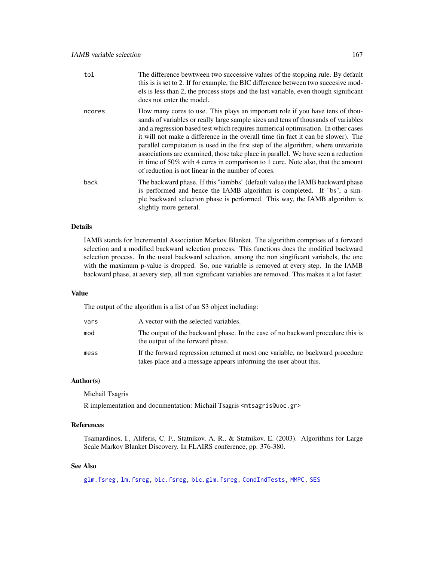| tol    | The difference bewtween two successive values of the stopping rule. By default<br>this is is set to 2. If for example, the BIC difference between two succesive mod-<br>els is less than 2, the process stops and the last variable, even though significant<br>does not enter the model.                                                                                                                                                                                                                                                                                                                                                                        |
|--------|------------------------------------------------------------------------------------------------------------------------------------------------------------------------------------------------------------------------------------------------------------------------------------------------------------------------------------------------------------------------------------------------------------------------------------------------------------------------------------------------------------------------------------------------------------------------------------------------------------------------------------------------------------------|
| ncores | How many cores to use. This plays an important role if you have tens of thou-<br>sands of variables or really large sample sizes and tens of thousands of variables<br>and a regression based test which requires numerical optimisation. In other cases<br>it will not make a difference in the overall time (in fact it can be slower). The<br>parallel computation is used in the first step of the algorithm, where univariate<br>associations are examined, those take place in parallel. We have seen a reduction<br>in time of 50% with 4 cores in comparison to 1 core. Note also, that the amount<br>of reduction is not linear in the number of cores. |
| back   | The backward phase. If this "iambbs" (default value) the IAMB backward phase<br>is performed and hence the IAMB algorithm is completed. If "bs", a sim-<br>ple backward selection phase is performed. This way, the IAMB algorithm is<br>slightly more general.                                                                                                                                                                                                                                                                                                                                                                                                  |

## Details

IAMB stands for Incremental Association Markov Blanket. The algorithm comprises of a forward selection and a modified backward selection process. This functions does the modified backward selection process. In the usual backward selection, among the non singificant variabels, the one with the maximum p-value is dropped. So, one variable is removed at every step. In the IAMB backward phase, at aevery step, all non significant variables are removed. This makes it a lot faster.

#### Value

The output of the algorithm is a list of an S3 object including:

| vars | A vector with the selected variables.                                                                                                              |
|------|----------------------------------------------------------------------------------------------------------------------------------------------------|
| mod  | The output of the backward phase. In the case of no backward procedure this is<br>the output of the forward phase.                                 |
| mess | If the forward regression returned at most one variable, no backward procedure<br>takes place and a message appears informing the user about this. |

## Author(s)

Michail Tsagris

R implementation and documentation: Michail Tsagris <mtsagris@uoc.gr>

# References

Tsamardinos, I., Aliferis, C. F., Statnikov, A. R., & Statnikov, E. (2003). Algorithms for Large Scale Markov Blanket Discovery. In FLAIRS conference, pp. 376-380.

# See Also

[glm.fsreg,](#page-147-0) [lm.fsreg,](#page-148-0) [bic.fsreg,](#page-21-0) [bic.glm.fsreg,](#page-23-0) [CondIndTests,](#page-31-0) [MMPC,](#page-84-0) [SES](#page-84-0)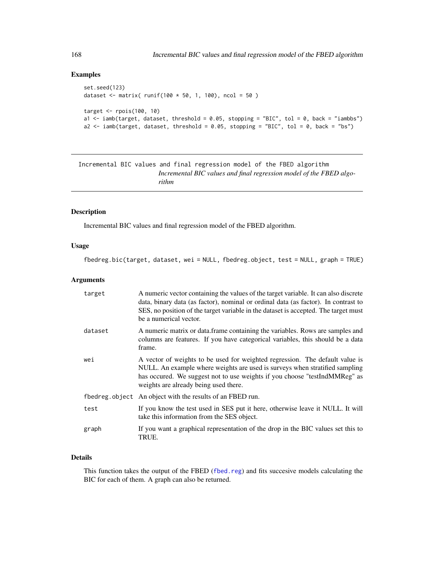# Examples

```
set.seed(123)
dataset <- matrix( runif(100 * 50, 1, 100), ncol = 50 )
target <- rpois(100, 10)
a1 \le - iamb(target, dataset, threshold = 0.05, stopping = "BIC", tol = 0, back = "iambbs")
a2 \le - iamb(target, dataset, threshold = 0.05, stopping = "BIC", tol = 0, back = "bs")
```
Incremental BIC values and final regression model of the FBED algorithm *Incremental BIC values and final regression model of the FBED algorithm*

## Description

Incremental BIC values and final regression model of the FBED algorithm.

## Usage

fbedreg.bic(target, dataset, wei = NULL, fbedreg.object, test = NULL, graph = TRUE)

## Arguments

| target  | A numeric vector containing the values of the target variable. It can also discrete<br>data, binary data (as factor), nominal or ordinal data (as factor). In contrast to<br>SES, no position of the target variable in the dataset is accepted. The target must<br>be a numerical vector. |
|---------|--------------------------------------------------------------------------------------------------------------------------------------------------------------------------------------------------------------------------------------------------------------------------------------------|
| dataset | A numeric matrix or data frame containing the variables. Rows are samples and<br>columns are features. If you have categorical variables, this should be a data<br>frame.                                                                                                                  |
| wei     | A vector of weights to be used for weighted regression. The default value is<br>NULL. An example where weights are used is surveys when stratified sampling<br>has occured. We suggest not to use weights if you choose "testIndMMReg" as<br>weights are already being used there.         |
|         | fbedreg.object An object with the results of an FBED run.                                                                                                                                                                                                                                  |
| test    | If you know the test used in SES put it here, otherwise leave it NULL. It will<br>take this information from the SES object.                                                                                                                                                               |
| graph   | If you want a graphical representation of the drop in the BIC values set this to<br>TRUE.                                                                                                                                                                                                  |

# Details

This function takes the output of the FBED ([fbed.reg](#page-133-0)) and fits succesive models calculating the BIC for each of them. A graph can also be returned.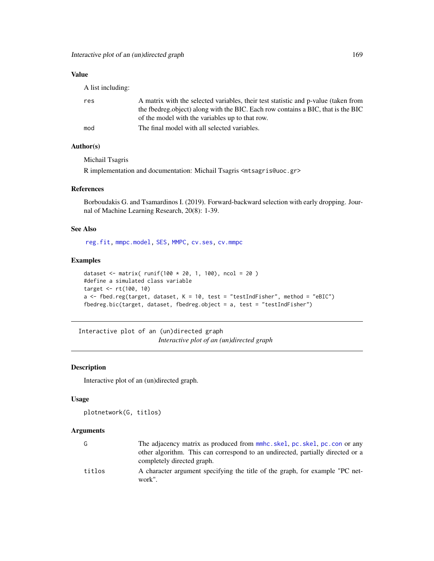# Value

A list including:

| res | A matrix with the selected variables, their test statistic and p-value (taken from<br>the fbedreg object) along with the BIC. Each row contains a BIC, that is the BIC<br>of the model with the variables up to that row. |
|-----|---------------------------------------------------------------------------------------------------------------------------------------------------------------------------------------------------------------------------|
| mod | The final model with all selected variables.                                                                                                                                                                              |

# Author(s)

Michail Tsagris

R implementation and documentation: Michail Tsagris <mtsagris@uoc.gr>

#### References

Borboudakis G. and Tsamardinos I. (2019). Forward-backward selection with early dropping. Journal of Machine Learning Research, 20(8): 1-39.

# See Also

[reg.fit,](#page-207-0) [mmpc.model,](#page-204-0) [SES,](#page-84-0) [MMPC,](#page-84-0) [cv.ses,](#page-108-0) [cv.mmpc](#page-108-0)

## Examples

```
dataset <- matrix( runit(100 * 20, 1, 100), ncol = 20)
#define a simulated class variable
target <- rt(100, 10)
a \le fbed.reg(target, dataset, K = 10, test = "testIndFisher", method = "eBIC")
fbedreg.bic(target, dataset, fbedreg.object = a, test = "testIndFisher")
```
Interactive plot of an (un)directed graph *Interactive plot of an (un)directed graph*

# <span id="page-168-0"></span>Description

Interactive plot of an (un)directed graph.

## Usage

plotnetwork(G, titlos)

| G      | The adjacency matrix as produced from mmhc.skel, pc.skel, pc.con or any<br>other algorithm. This can correspond to an undirected, partially directed or a<br>completely directed graph. |
|--------|-----------------------------------------------------------------------------------------------------------------------------------------------------------------------------------------|
| titlos | A character argument specifying the title of the graph, for example "PC net-<br>work".                                                                                                  |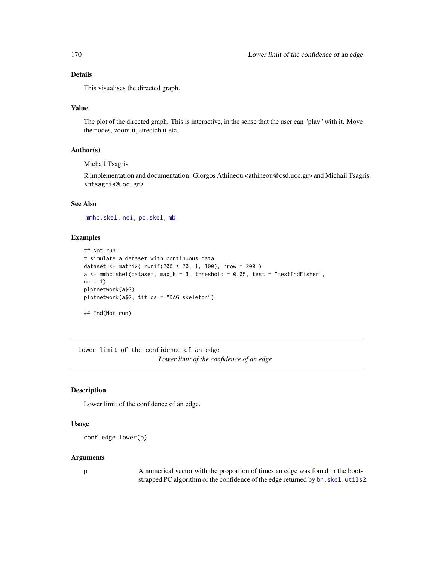# Details

This visualises the directed graph.

## Value

The plot of the directed graph. This is interactive, in the sense that the user can "play" with it. Move the nodes, zoom it, strectch it etc.

#### Author(s)

Michail Tsagris

R implementation and documentation: Giorgos Athineou <athineou@csd.uoc.gr> and Michail Tsagris <mtsagris@uoc.gr>

## See Also

[mmhc.skel,](#page-219-0) [nei,](#page-192-0) [pc.skel,](#page-222-0) [mb](#page-178-0)

# Examples

```
## Not run:
# simulate a dataset with continuous data
dataset <- matrix( runif(200 * 20, 1, 100), nrow = 200 )
a \leq mmhc.skel(dataset, max_k = 3, threshold = 0.05, test = "testIndFisher",
nc = 1plotnetwork(a$G)
plotnetwork(a$G, titlos = "DAG skeleton")
## End(Not run)
```
Lower limit of the confidence of an edge *Lower limit of the confidence of an edge*

## Description

Lower limit of the confidence of an edge.

### Usage

```
conf.edge.lower(p)
```
#### Arguments

p A numerical vector with the proportion of times an edge was found in the bootstrapped PC algorithm or the confidence of the edge returned by bn. skel.utils2.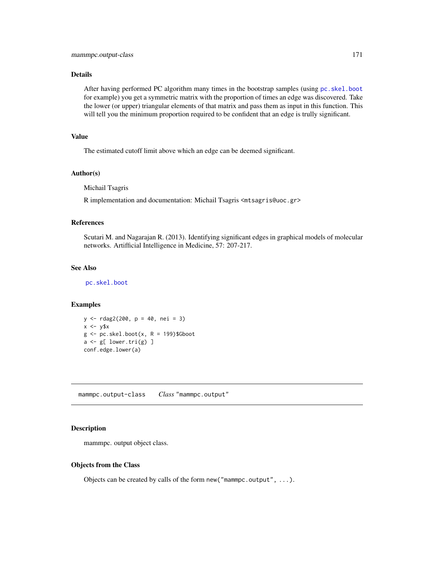## Details

After having performed PC algorithm many times in the bootstrap samples (using [pc.skel.boot](#page-222-0) for example) you get a symmetric matrix with the proportion of times an edge was discovered. Take the lower (or upper) triangular elements of that matrix and pass them as input in this function. This will tell you the minimum proportion required to be confident that an edge is trully significant.

#### Value

The estimated cutoff limit above which an edge can be deemed significant.

#### Author(s)

Michail Tsagris

R implementation and documentation: Michail Tsagris <mtsagris@uoc.gr>

#### References

Scutari M. and Nagarajan R. (2013). Identifying significant edges in graphical models of molecular networks. Artifficial Intelligence in Medicine, 57: 207-217.

## See Also

[pc.skel.boot](#page-222-0)

## Examples

```
y <- rdag2(200, p = 40, nei = 3)
x \le -y$x
g \leftarrow pc.skel.boot(x, R = 199)$Gboot
a \leftarrow g[ lower.tri(g) ]
conf.edge.lower(a)
```
mammpc.output-class *Class* "mammpc.output"

## Description

mammpc. output object class.

#### Objects from the Class

Objects can be created by calls of the form new("mammpc.output", ...).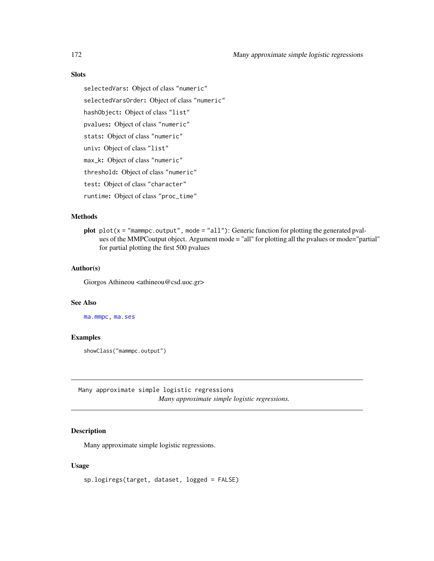# Slots

selectedVars: Object of class "numeric" selectedVarsOrder: Object of class "numeric" hashObject: Object of class "list" pvalues: Object of class "numeric" stats: Object of class "numeric" univ: Object of class "list" max\_k: Object of class "numeric" threshold: Object of class "numeric" test: Object of class "character" runtime: Object of class "proc\_time"

#### **Methods**

plot  $plot(x = "mammpc.output", mode = "all");$  Generic function for plotting the generated pvalues of the MMPCoutput object. Argument mode = "all" for plotting all the pvalues or mode="partial" for partial plotting the first 500 pvalues

# Author(s)

Giorgos Athineou <athineou@csd.uoc.gr>

## See Also

[ma.mmpc,](#page-95-0) [ma.ses](#page-95-0)

## Examples

showClass("mammpc.output")

Many approximate simple logistic regressions *Many approximate simple logistic regressions.*

# <span id="page-171-0"></span>Description

Many approximate simple logistic regressions.

## Usage

sp.logiregs(target, dataset, logged = FALSE)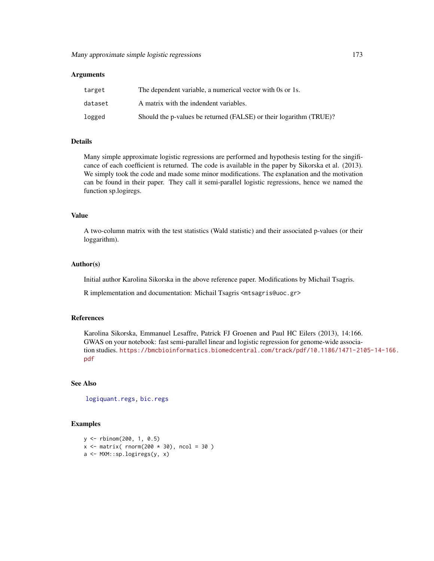#### Arguments

| target  | The dependent variable, a numerical vector with 0s or 1s.          |
|---------|--------------------------------------------------------------------|
| dataset | A matrix with the indendent variables.                             |
| logged  | Should the p-values be returned (FALSE) or their logarithm (TRUE)? |

# Details

Many simple approximate logistic regressions are performed and hypothesis testing for the singificance of each coefficient is returned. The code is available in the paper by Sikorska et al. (2013). We simply took the code and made some minor modifications. The explanation and the motivation can be found in their paper. They call it semi-parallel logistic regressions, hence we named the function sp.logiregs.

## Value

A two-column matrix with the test statistics (Wald statistic) and their associated p-values (or their loggarithm).

## Author(s)

Initial author Karolina Sikorska in the above reference paper. Modifications by Michail Tsagris.

R implementation and documentation: Michail Tsagris <mtsagris@uoc.gr>

#### References

Karolina Sikorska, Emmanuel Lesaffre, Patrick FJ Groenen and Paul HC Eilers (2013), 14:166. GWAS on your notebook: fast semi-parallel linear and logistic regression for genome-wide association studies. [https://bmcbioinformatics.biomedcentral.com/track/pdf/10.1186/1471-21](https://bmcbioinformatics.biomedcentral.com/track/pdf/10.1186/1471-2105-14-166.pdf)05-14-166. [pdf](https://bmcbioinformatics.biomedcentral.com/track/pdf/10.1186/1471-2105-14-166.pdf)

#### See Also

[logiquant.regs,](#page-174-0) [bic.regs](#page-0-0)

### Examples

```
y <- rbinom(200, 1, 0.5)
x \le matrix( rnorm(200 \star 30), ncol = 30)
a <- MXM::sp.logiregs(y, x)
```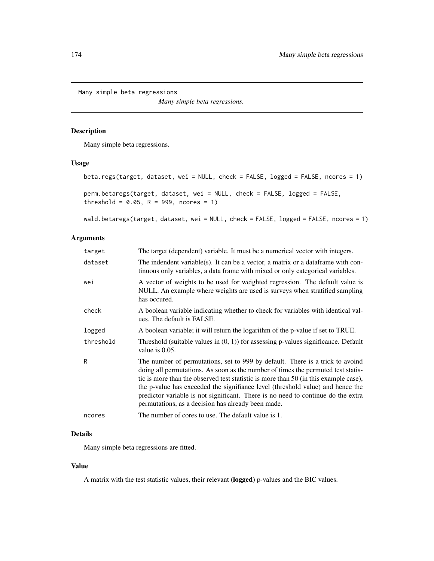Many simple beta regressions

*Many simple beta regressions.*

# Description

Many simple beta regressions.

# Usage

```
beta.regs(target, dataset, wei = NULL, check = FALSE, logged = FALSE, ncores = 1)
perm.betaregs(target, dataset, wei = NULL, check = FALSE, logged = FALSE,
threshold = 0.05, R = 999, ncores = 1)
```
wald.betaregs(target, dataset, wei = NULL, check = FALSE, logged = FALSE, ncores = 1)

# Arguments

| target    | The target (dependent) variable. It must be a numerical vector with integers.                                                                                                                                                                                                                                                                                                                                                                                                         |
|-----------|---------------------------------------------------------------------------------------------------------------------------------------------------------------------------------------------------------------------------------------------------------------------------------------------------------------------------------------------------------------------------------------------------------------------------------------------------------------------------------------|
| dataset   | The indendent variable(s). It can be a vector, a matrix or a data frame with con-<br>tinuous only variables, a data frame with mixed or only categorical variables.                                                                                                                                                                                                                                                                                                                   |
| wei       | A vector of weights to be used for weighted regression. The default value is<br>NULL. An example where weights are used is surveys when stratified sampling<br>has occured.                                                                                                                                                                                                                                                                                                           |
| check     | A boolean variable indicating whether to check for variables with identical val-<br>ues. The default is FALSE.                                                                                                                                                                                                                                                                                                                                                                        |
| logged    | A boolean variable; it will return the logarithm of the p-value if set to TRUE.                                                                                                                                                                                                                                                                                                                                                                                                       |
| threshold | Threshold (suitable values in $(0, 1)$ ) for assessing p-values significance. Default<br>value is $0.05$ .                                                                                                                                                                                                                                                                                                                                                                            |
| R         | The number of permutations, set to 999 by default. There is a trick to avoind<br>doing all permutations. As soon as the number of times the permuted test statis-<br>tic is more than the observed test statistic is more than 50 (in this example case),<br>the p-value has exceeded the signifiance level (threshold value) and hence the<br>predictor variable is not significant. There is no need to continue do the extra<br>permutations, as a decision has already been made. |
| ncores    | The number of cores to use. The default value is 1.                                                                                                                                                                                                                                                                                                                                                                                                                                   |

# Details

Many simple beta regressions are fitted.

## Value

A matrix with the test statistic values, their relevant (logged) p-values and the BIC values.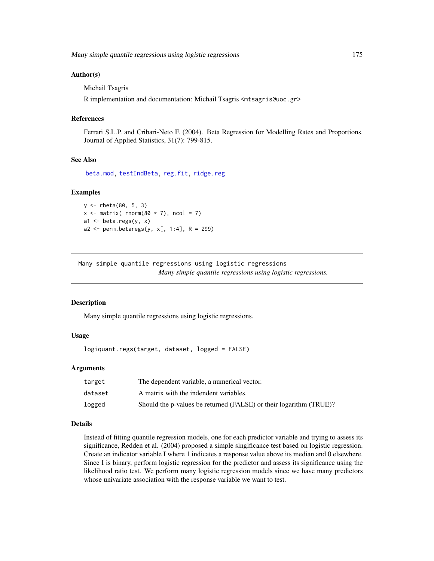Many simple quantile regressions using logistic regressions 175

#### Author(s)

Michail Tsagris

R implementation and documentation: Michail Tsagris <mtsagris@uoc.gr>

#### References

Ferrari S.L.P. and Cribari-Neto F. (2004). Beta Regression for Modelling Rates and Proportions. Journal of Applied Statistics, 31(7): 799-815.

## See Also

[beta.mod,](#page-20-0) [testIndBeta,](#page-57-0) [reg.fit,](#page-207-0) [ridge.reg](#page-209-0)

#### Examples

```
y <- rbeta(80, 5, 3)
x \le matrix( rnorm(80 \star 7), ncol = 7)
a1 \leftarrow beta.regs(y, x)
a2 \leq perm.betaregs(y, x[, 1:4], R = 299)
```
Many simple quantile regressions using logistic regressions *Many simple quantile regressions using logistic regressions.*

#### <span id="page-174-0"></span>Description

Many simple quantile regressions using logistic regressions.

# Usage

logiquant.regs(target, dataset, logged = FALSE)

## Arguments

| target  | The dependent variable, a numerical vector.                        |
|---------|--------------------------------------------------------------------|
| dataset | A matrix with the indendent variables.                             |
| logged  | Should the p-values be returned (FALSE) or their logarithm (TRUE)? |

### Details

Instead of fitting quantile regression models, one for each predictor variable and trying to assess its significance, Redden et al. (2004) proposed a simple singificance test based on logistic regression. Create an indicator variable I where 1 indicates a response value above its median and 0 elsewhere. Since I is binary, perform logistic regression for the predictor and assess its significance using the likelihood ratio test. We perform many logistic regression models since we have many predictors whose univariate association with the response variable we want to test.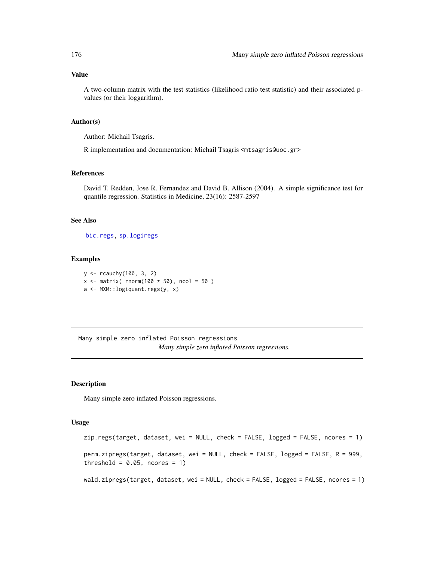## Value

A two-column matrix with the test statistics (likelihood ratio test statistic) and their associated pvalues (or their loggarithm).

## Author(s)

Author: Michail Tsagris.

R implementation and documentation: Michail Tsagris <mtsagris@uoc.gr>

## References

David T. Redden, Jose R. Fernandez and David B. Allison (2004). A simple significance test for quantile regression. Statistics in Medicine, 23(16): 2587-2597

#### See Also

[bic.regs,](#page-0-0) [sp.logiregs](#page-171-0)

## Examples

y <- rcauchy(100, 3, 2)  $x \le$  matrix( rnorm(100  $\star$  50), ncol = 50) a <- MXM::logiquant.regs(y, x)

Many simple zero inflated Poisson regressions *Many simple zero inflated Poisson regressions.*

## Description

Many simple zero inflated Poisson regressions.

## Usage

```
zip.regs(target, dataset, wei = NULL, check = FALSE, logged = FALSE, ncores = 1)
perm.zipregs(target, dataset, wei = NULL, check = FALSE, logged = FALSE, R = 999,
threshold = 0.05, ncores = 1)
wald.zipregs(target, dataset, wei = NULL, check = FALSE, logged = FALSE, ncores = 1)
```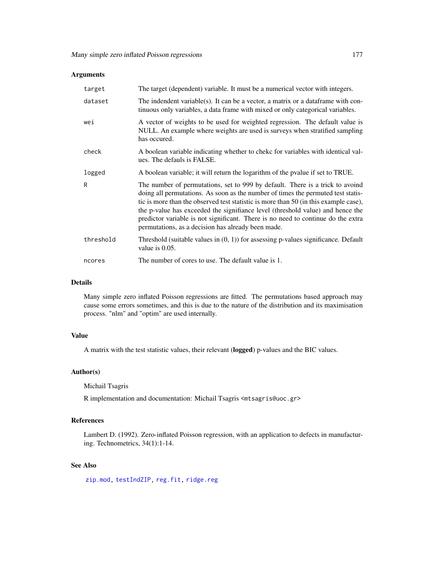## Arguments

| target    | The target (dependent) variable. It must be a numerical vector with integers.                                                                                                                                                                                                                                                                                                                                                                                                         |
|-----------|---------------------------------------------------------------------------------------------------------------------------------------------------------------------------------------------------------------------------------------------------------------------------------------------------------------------------------------------------------------------------------------------------------------------------------------------------------------------------------------|
| dataset   | The indendent variable(s). It can be a vector, a matrix or a data frame with con-<br>tinuous only variables, a data frame with mixed or only categorical variables.                                                                                                                                                                                                                                                                                                                   |
| wei       | A vector of weights to be used for weighted regression. The default value is<br>NULL. An example where weights are used is surveys when stratified sampling<br>has occured.                                                                                                                                                                                                                                                                                                           |
| check     | A boolean variable indicating whether to cheke for variables with identical val-<br>ues. The defauls is FALSE.                                                                                                                                                                                                                                                                                                                                                                        |
| logged    | A boolean variable; it will return the logarithm of the pvalue if set to TRUE.                                                                                                                                                                                                                                                                                                                                                                                                        |
| R         | The number of permutations, set to 999 by default. There is a trick to avoind<br>doing all permutations. As soon as the number of times the permuted test statis-<br>tic is more than the observed test statistic is more than 50 (in this example case),<br>the p-value has exceeded the signifiance level (threshold value) and hence the<br>predictor variable is not significant. There is no need to continue do the extra<br>permutations, as a decision has already been made. |
| threshold | Threshold (suitable values in $(0, 1)$ ) for assessing p-values significance. Default<br>value is 0.05.                                                                                                                                                                                                                                                                                                                                                                               |
| ncores    | The number of cores to use. The default value is 1.                                                                                                                                                                                                                                                                                                                                                                                                                                   |

## Details

Many simple zero inflated Poisson regressions are fitted. The permutations based approach may cause some errors sometimes, and this is due to the nature of the distribution and its maximisation process. "nlm" and "optim" are used internally.

# Value

A matrix with the test statistic values, their relevant (logged) p-values and the BIC values.

#### Author(s)

Michail Tsagris

R implementation and documentation: Michail Tsagris <mtsagris@uoc.gr>

# References

Lambert D. (1992). Zero-inflated Poisson regression, with an application to defects in manufacturing. Technometrics, 34(1):1-14.

# See Also

[zip.mod,](#page-247-0) [testIndZIP,](#page-67-0) [reg.fit,](#page-207-0) [ridge.reg](#page-209-0)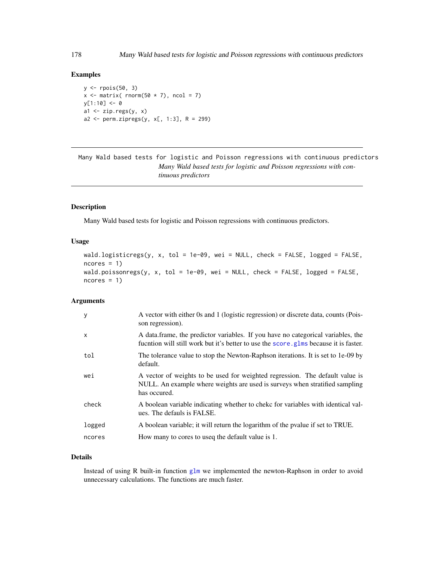#### Examples

```
y \leftarrow \text{rpois}(50, 3)x \le matrix( rnorm(50 * 7), ncol = 7)
v[1:10] <- 0
a1 \leftarrow zip.regs(y, x)
a2 \leftarrow \text{perm.zipregs}(y, x[, 1:3], R = 299)
```
Many Wald based tests for logistic and Poisson regressions with continuous predictors *Many Wald based tests for logistic and Poisson regressions with continuous predictors*

# Description

Many Wald based tests for logistic and Poisson regressions with continuous predictors.

#### Usage

```
wald.logisticregs(y, x, tol = 1e-09, wei = NULL, check = FALSE, logged = FALSE,
ncores = 1wald.poissonregs(y, x, tol = 1e-09, wei = NULL, check = FALSE, logged = FALSE,
ncores = 1)
```
#### Arguments

| У      | A vector with either 0s and 1 (logistic regression) or discrete data, counts (Pois-<br>son regression).                                                                     |
|--------|-----------------------------------------------------------------------------------------------------------------------------------------------------------------------------|
| X      | A data frame, the predictor variables. If you have no categorical variables, the<br>fucntion will still work but it's better to use the score, glms because it is faster.   |
| tol    | The tolerance value to stop the Newton-Raphson iterations. It is set to 1e-09 by<br>default.                                                                                |
| wei    | A vector of weights to be used for weighted regression. The default value is<br>NULL. An example where weights are used is surveys when stratified sampling<br>has occured. |
| check  | A boolean variable indicating whether to chekc for variables with identical val-<br>ues. The defauls is FALSE.                                                              |
| logged | A boolean variable; it will return the logarithm of the pvalue if set to TRUE.                                                                                              |
| ncores | How many to cores to used the default value is 1.                                                                                                                           |
|        |                                                                                                                                                                             |

# Details

Instead of using R built-in function [glm](#page-0-0) we implemented the newton-Raphson in order to avoid unnecessary calculations. The functions are much faster.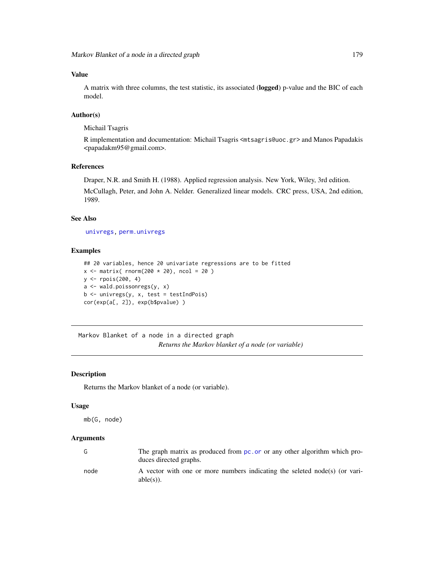## Value

A matrix with three columns, the test statistic, its associated (logged) p-value and the BIC of each model.

## Author(s)

Michail Tsagris

R implementation and documentation: Michail Tsagris <mtsagris@uoc.gr> and Manos Papadakis <papadakm95@gmail.com>.

## References

Draper, N.R. and Smith H. (1988). Applied regression analysis. New York, Wiley, 3rd edition. McCullagh, Peter, and John A. Nelder. Generalized linear models. CRC press, USA, 2nd edition, 1989.

## See Also

[univregs,](#page-240-0) [perm.univregs](#page-240-0)

#### Examples

```
## 20 variables, hence 20 univariate regressions are to be fitted
x \le matrix( rnorm(200 \star 20), ncol = 20)
y <- rpois(200, 4)
a <- wald.poissonregs(y, x)
b <- univregs(y, x, test = testIndPois)
cor(exp(a[, 2]), exp(b$pvalue) )
```
Markov Blanket of a node in a directed graph *Returns the Markov blanket of a node (or variable)*

# <span id="page-178-0"></span>Description

Returns the Markov blanket of a node (or variable).

#### Usage

```
mb(G, node)
```

| G    | The graph matrix as produced from pc. or or any other algorithm which pro-<br>duces directed graphs. |
|------|------------------------------------------------------------------------------------------------------|
| node | A vector with one or more numbers indicating the seleted node(s) (or vari-<br>$able(s)$ ).           |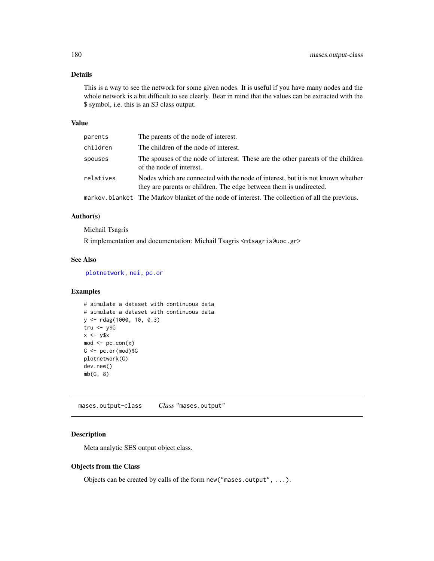# Details

This is a way to see the network for some given nodes. It is useful if you have many nodes and the whole network is a bit difficult to see clearly. Bear in mind that the values can be extracted with the \$ symbol, i.e. this is an S3 class output.

#### Value

| parents   | The parents of the node of interest.                                                                                                                   |
|-----------|--------------------------------------------------------------------------------------------------------------------------------------------------------|
| children  | The children of the node of interest.                                                                                                                  |
| spouses   | The spouses of the node of interest. These are the other parents of the children<br>of the node of interest.                                           |
| relatives | Nodes which are connected with the node of interest, but it is not known whether<br>they are parents or children. The edge between them is undirected. |
|           | markov.blanket The Markov blanket of the node of interest. The collection of all the previous.                                                         |

## Author(s)

Michail Tsagris

R implementation and documentation: Michail Tsagris <mtsagris@uoc.gr>

# See Also

[plotnetwork,](#page-168-0) [nei,](#page-192-0) [pc.or](#page-195-0)

# Examples

```
# simulate a dataset with continuous data
# simulate a dataset with continuous data
y <- rdag(1000, 10, 0.3)
tru < -y$G
x \le -y$x
mod < pc.con(x)G \leftarrow pc.or(mod)$G
plotnetwork(G)
dev.new()
mb(G, 8)
```
mases.output-class *Class* "mases.output"

# Description

Meta analytic SES output object class.

# Objects from the Class

Objects can be created by calls of the form new("mases.output", ...).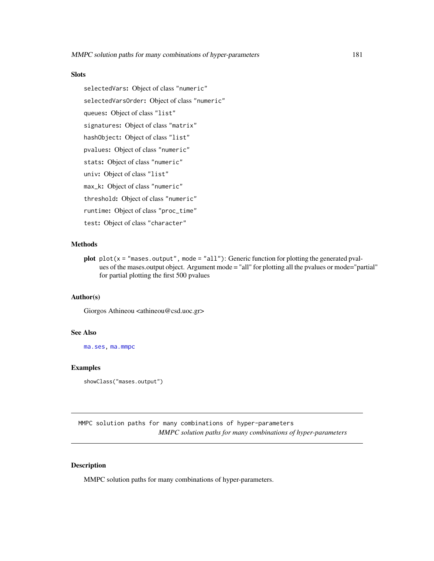## Slots

selectedVars: Object of class "numeric" selectedVarsOrder: Object of class "numeric" queues: Object of class "list" signatures: Object of class "matrix" hashObject: Object of class "list" pvalues: Object of class "numeric" stats: Object of class "numeric" univ: Object of class "list" max\_k: Object of class "numeric" threshold: Object of class "numeric" runtime: Object of class "proc\_time" test: Object of class "character"

# Methods

plot  $plot(x = "mass.output", mode = "all")$ : Generic function for plotting the generated pvalues of the mases.output object. Argument mode = "all" for plotting all the pvalues or mode="partial" for partial plotting the first 500 pvalues

# Author(s)

Giorgos Athineou <athineou@csd.uoc.gr>

## See Also

[ma.ses,](#page-95-0) [ma.mmpc](#page-95-0)

#### Examples

showClass("mases.output")

MMPC solution paths for many combinations of hyper-parameters *MMPC solution paths for many combinations of hyper-parameters*

## Description

MMPC solution paths for many combinations of hyper-parameters.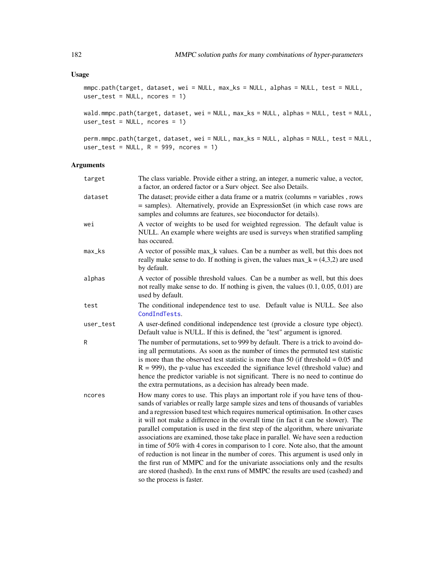# Usage

```
mmpc.path(target, dataset, wei = NULL, max_ks = NULL, alphas = NULL, test = NULL,
user_test = NULL, ncores = 1)
```
wald.mmpc.path(target, dataset, wei = NULL, max\_ks = NULL, alphas = NULL, test = NULL, user\_test = NULL, ncores = 1)

perm.mmpc.path(target, dataset, wei = NULL, max\_ks = NULL, alphas = NULL, test = NULL, user\_test = NULL,  $R = 999$ , ncores = 1)

# Arguments

| target              | The class variable. Provide either a string, an integer, a numeric value, a vector,<br>a factor, an ordered factor or a Surv object. See also Details.                                                                                                                                                                                                                                                                                                                                                                                                                                                                                                                                                                                                                                                                                                                                           |
|---------------------|--------------------------------------------------------------------------------------------------------------------------------------------------------------------------------------------------------------------------------------------------------------------------------------------------------------------------------------------------------------------------------------------------------------------------------------------------------------------------------------------------------------------------------------------------------------------------------------------------------------------------------------------------------------------------------------------------------------------------------------------------------------------------------------------------------------------------------------------------------------------------------------------------|
| dataset             | The dataset; provide either a data frame or a matrix (columns = variables, rows<br>= samples). Alternatively, provide an ExpressionSet (in which case rows are<br>samples and columns are features, see bioconductor for details).                                                                                                                                                                                                                                                                                                                                                                                                                                                                                                                                                                                                                                                               |
| wei                 | A vector of weights to be used for weighted regression. The default value is<br>NULL. An example where weights are used is surveys when stratified sampling<br>has occured.                                                                                                                                                                                                                                                                                                                                                                                                                                                                                                                                                                                                                                                                                                                      |
| $max$ <sub>ks</sub> | A vector of possible max_k values. Can be a number as well, but this does not<br>really make sense to do. If nothing is given, the values max $\mathbf{k} = (4,3,2)$ are used<br>by default.                                                                                                                                                                                                                                                                                                                                                                                                                                                                                                                                                                                                                                                                                                     |
| alphas              | A vector of possible threshold values. Can be a number as well, but this does<br>not really make sense to do. If nothing is given, the values $(0.1, 0.05, 0.01)$ are<br>used by default.                                                                                                                                                                                                                                                                                                                                                                                                                                                                                                                                                                                                                                                                                                        |
| test                | The conditional independence test to use. Default value is NULL. See also<br>CondIndTests.                                                                                                                                                                                                                                                                                                                                                                                                                                                                                                                                                                                                                                                                                                                                                                                                       |
| user_test           | A user-defined conditional independence test (provide a closure type object).<br>Default value is NULL. If this is defined, the "test" argument is ignored.                                                                                                                                                                                                                                                                                                                                                                                                                                                                                                                                                                                                                                                                                                                                      |
| R                   | The number of permutations, set to 999 by default. There is a trick to avoind do-<br>ing all permutations. As soon as the number of times the permuted test statistic<br>is more than the observed test statistic is more than 50 (if threshold $= 0.05$ and<br>$R = 999$ ), the p-value has exceeded the signifiance level (threshold value) and<br>hence the predictor variable is not significant. There is no need to continue do<br>the extra permutations, as a decision has already been made.                                                                                                                                                                                                                                                                                                                                                                                            |
| ncores              | How many cores to use. This plays an important role if you have tens of thou-<br>sands of variables or really large sample sizes and tens of thousands of variables<br>and a regression based test which requires numerical optimisation. In other cases<br>it will not make a difference in the overall time (in fact it can be slower). The<br>parallel computation is used in the first step of the algorithm, where univariate<br>associations are examined, those take place in parallel. We have seen a reduction<br>in time of 50% with 4 cores in comparison to 1 core. Note also, that the amount<br>of reduction is not linear in the number of cores. This argument is used only in<br>the first run of MMPC and for the univariate associations only and the results<br>are stored (hashed). In the enxt runs of MMPC the results are used (cashed) and<br>so the process is faster. |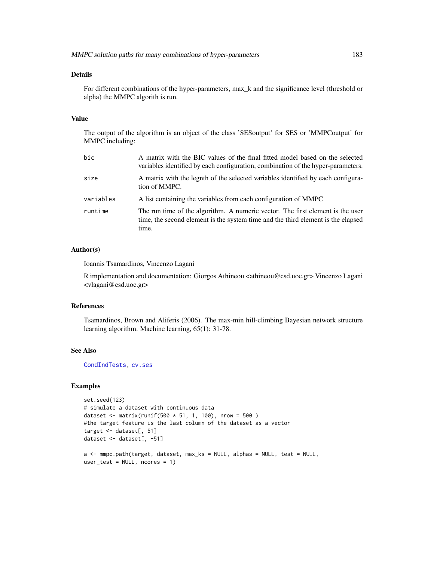## Details

For different combinations of the hyper-parameters, max\_k and the significance level (threshold or alpha) the MMPC algorith is run.

## Value

The output of the algorithm is an object of the class 'SESoutput' for SES or 'MMPCoutput' for MMPC including:

| bic       | A matrix with the BIC values of the final fitted model based on the selected<br>variables identified by each configuration, combination of the hyper-parameters.            |
|-----------|-----------------------------------------------------------------------------------------------------------------------------------------------------------------------------|
| size      | A matrix with the legnth of the selected variables identified by each configura-<br>tion of MMPC.                                                                           |
| variables | A list containing the variables from each configuration of MMPC                                                                                                             |
| runtime   | The run time of the algorithm. A numeric vector. The first element is the user<br>time, the second element is the system time and the third element is the elapsed<br>time. |

# Author(s)

Ioannis Tsamardinos, Vincenzo Lagani

R implementation and documentation: Giorgos Athineou <athineou@csd.uoc.gr> Vincenzo Lagani <vlagani@csd.uoc.gr>

#### References

Tsamardinos, Brown and Aliferis (2006). The max-min hill-climbing Bayesian network structure learning algorithm. Machine learning, 65(1): 31-78.

# See Also

[CondIndTests,](#page-31-0) [cv.ses](#page-108-0)

```
set.seed(123)
# simulate a dataset with continuous data
dataset <- matrix(runif(500 * 51, 1, 100), nrow = 500 )
#the target feature is the last column of the dataset as a vector
target <- dataset[, 51]
dataset <- dataset[, -51]
a <- mmpc.path(target, dataset, max_ks = NULL, alphas = NULL, test = NULL,
user_test = NULL, ncores = 1)
```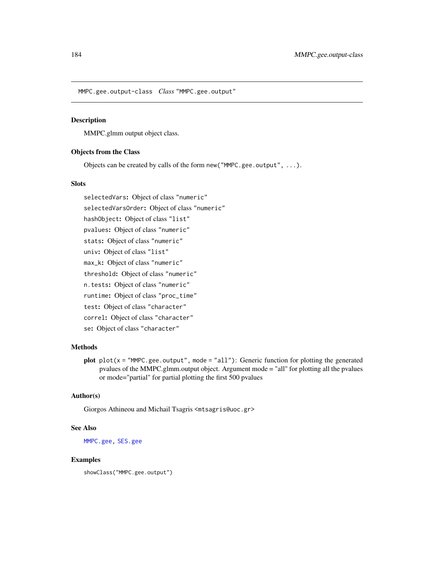MMPC.gee.output-class *Class* "MMPC.gee.output"

## Description

MMPC.glmm output object class.

# Objects from the Class

Objects can be created by calls of the form new("MMPC.gee.output", ...).

## Slots

selectedVars: Object of class "numeric" selectedVarsOrder: Object of class "numeric" hashObject: Object of class "list" pvalues: Object of class "numeric" stats: Object of class "numeric" univ: Object of class "list" max\_k: Object of class "numeric" threshold: Object of class "numeric" n.tests: Object of class "numeric" runtime: Object of class "proc\_time" test: Object of class "character" correl: Object of class "character" se: Object of class "character"

# Methods

plot  $plot(x = "MMPC.gete.output", mode = "all");$  Generic function for plotting the generated pvalues of the MMPC.glmm.output object. Argument mode = "all" for plotting all the pvalues or mode="partial" for partial plotting the first 500 pvalues

#### Author(s)

Giorgos Athineou and Michail Tsagris <mtsagris@uoc.gr>

#### See Also

[MMPC.gee,](#page-90-0) [SES.gee](#page-90-0)

## Examples

showClass("MMPC.gee.output")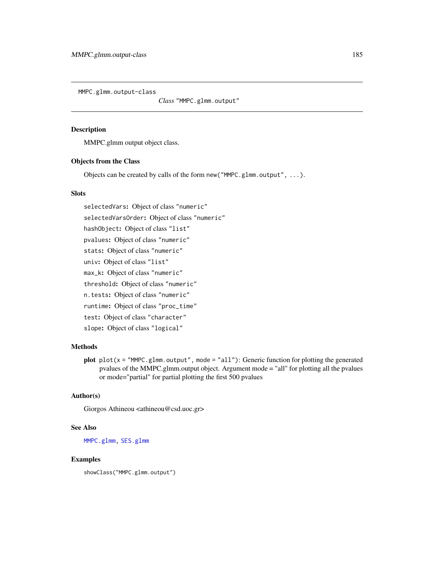MMPC.glmm.output-class

*Class* "MMPC.glmm.output"

# Description

MMPC.glmm output object class.

## Objects from the Class

Objects can be created by calls of the form new("MMPC.glmm.output", ...).

## **Slots**

selectedVars: Object of class "numeric" selectedVarsOrder: Object of class "numeric" hashObject: Object of class "list" pvalues: Object of class "numeric" stats: Object of class "numeric" univ: Object of class "list" max\_k: Object of class "numeric" threshold: Object of class "numeric" n.tests: Object of class "numeric" runtime: Object of class "proc\_time" test: Object of class "character" slope: Object of class "logical"

# Methods

plot  $plot(x = "MMPC.g.1mm.output", mode = "all");$  Generic function for plotting the generated pvalues of the MMPC.glmm.output object. Argument mode = "all" for plotting all the pvalues or mode="partial" for partial plotting the first 500 pvalues

## Author(s)

Giorgos Athineou <athineou@csd.uoc.gr>

## See Also

[MMPC.glmm,](#page-90-0) [SES.glmm](#page-90-0)

## Examples

showClass("MMPC.glmm.output")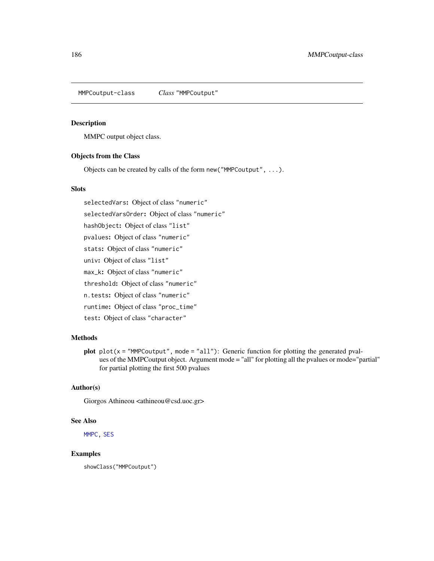MMPCoutput-class *Class* "MMPCoutput"

## Description

MMPC output object class.

# Objects from the Class

Objects can be created by calls of the form new("MMPCoutput", ...).

#### **Slots**

selectedVars: Object of class "numeric" selectedVarsOrder: Object of class "numeric" hashObject: Object of class "list" pvalues: Object of class "numeric" stats: Object of class "numeric" univ: Object of class "list" max\_k: Object of class "numeric" threshold: Object of class "numeric" n.tests: Object of class "numeric" runtime: Object of class "proc\_time" test: Object of class "character"

## Methods

plot  $plot(x = "MMPCoutput", mode = "all")$ : Generic function for plotting the generated pvalues of the MMPCoutput object. Argument mode = "all" for plotting all the pvalues or mode="partial" for partial plotting the first 500 pvalues

## Author(s)

Giorgos Athineou <athineou@csd.uoc.gr>

## See Also

[MMPC,](#page-84-0) [SES](#page-84-0)

## Examples

showClass("MMPCoutput")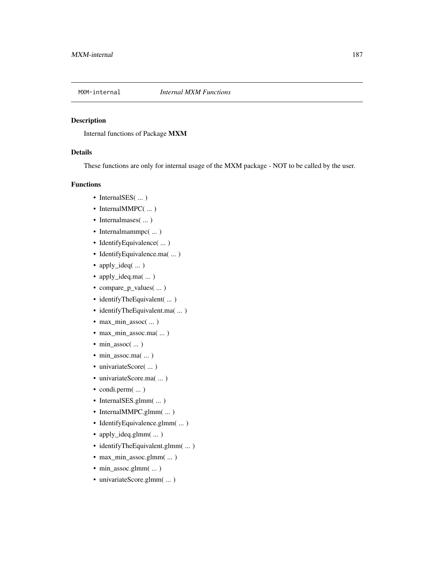# Description

Internal functions of Package MXM

## Details

These functions are only for internal usage of the MXM package - NOT to be called by the user.

# Functions

- InternalSES( ... )
- InternalMMPC(...)
- Internalmases( ... )
- Internalmammpc( ... )
- IdentifyEquivalence( ... )
- IdentifyEquivalence.ma( ... )
- apply\_ideq( ... )
- apply\_ideq.ma( ... )
- compare\_p\_values( ... )
- identifyTheEquivalent( ... )
- identifyTheEquivalent.ma( ... )
- max\_min\_assoc( ... )
- max\_min\_assoc.ma( ... )
- min\_assoc( ... )
- min\_assoc.ma( ... )
- univariateScore(...)
- univariateScore.ma( ... )
- condi.perm $( ...)$
- InternalSES.glmm(...)
- InternalMMPC.glmm(...)
- IdentifyEquivalence.glmm( ... )
- apply\_ideq.glmm( ... )
- identifyTheEquivalent.glmm(...)
- max\_min\_assoc.glmm( ... )
- min\_assoc.glmm( $\dots$ )
- univariateScore.glmm(...)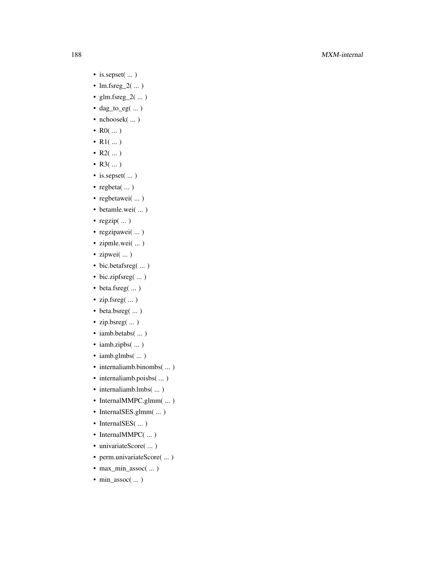# 188 MXM-internal

- is.sepset( ... )
- $lm.fsreg_2(\dots)$
- glm.fsreg\_2 $(\dots)$
- dag\_to\_eg( ... )
- nchoosek( $\ldots$ )
- $R0( ... )$
- $R1$ (...)
- $R2$ (...)
- $R3$ (...)
- is.sepset( ... )
- regbeta( ... )
- regbetawei(...)
- betamle.wei( ... )
- regzip( ... )
- regzipawei( ... )
- zipmle.wei(...)
- zipwei( ... )
- $\bullet\,$  bic.betafsreg(  $\ldots\,)$
- bic.zipfsreg( ... )
- beta.fsreg( ... )
- zip.fsreg( ... )
- beta.bsreg( ... )
- zip.bsreg( ... )
- iamb.betabs(...)
- iamb.zipbs(...)
- iamb.glmbs(...)
- internaliamb.binombs(...)
- internaliamb.poisbs(...)
- internaliamb.lmbs(...)
- InternalMMPC.glmm( ... )
- InternalSES.glmm(...)
- InternalSES( ... )
- InternalMMPC( ... )
- univariateScore( ... )
- perm.univariateScore( ... )
- max\_min\_assoc( ... )
- min\_assoc( ... )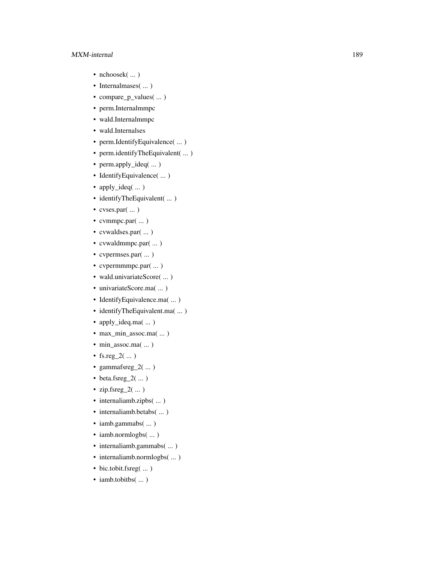## MXM-internal 189

- nchoosek( ... )
- Internalmases( ... )
- compare\_p\_values( ... )
- perm.Internalmmpc
- wald.Internalmmpc
- wald.Internalses
- perm.IdentifyEquivalence( ... )
- perm.identifyTheEquivalent( ... )
- perm.apply\_ideq( ... )
- IdentifyEquivalence( ... )
- apply\_ideq( ... )
- identifyTheEquivalent( ... )
- cvses.par(...)
- cvmmpc.par( ... )
- cvwaldses.par( ... )
- cvwaldmmpc.par( ... )
- cvpermses.par(...)
- cvpermmmpc.par( ... )
- wald.univariateScore( ... )
- univariateScore.ma( ... )
- IdentifyEquivalence.ma( ... )
- identifyTheEquivalent.ma( ... )
- apply\_ideq.ma( ... )
- max\_min\_assoc.ma( ... )
- min\_assoc.ma( ... )
- fs.reg\_2( $\dots$ )
- gammafsreg $_2$ (...)
- beta.fsreg\_2 $(m)$
- $zip.Fsreg_2(\dots)$
- internaliamb.zipbs( $\dots$ )
- internaliamb.betabs(...)
- iamb.gammabs(...)
- iamb.normlogbs(...)
- internaliamb.gammabs( ... )
- internaliamb.normlogbs(...)
- bic.tobit.fsreg(...)
- iamb.tobitbs(...)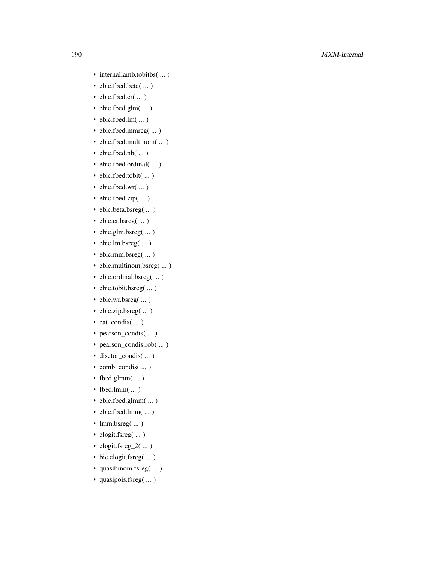- internaliamb.tobitbs( ... )
- ebic.fbed.beta( ... )
- ebic.fbed.cr( ... )
- ebic.fbed.glm( ... )
- ebic.fbed.lm(...)
- ebic.fbed.mmreg( ... )
- ebic.fbed.multinom( ... )
- ebic.fbed.nb( ... )
- ebic.fbed.ordinal( ... )
- ebic.fbed.tobit( ... )
- ebic.fbed.wr( ... )
- ebic.fbed.zip( ... )
- ebic.beta.bsreg( ... )
- ebic.cr.bsreg( ... )
- ebic.glm.bsreg( ... )
- ebic.lm.bsreg( ... )
- ebic.mm.bsreg( ... )
- ebic.multinom.bsreg( ... )
- ebic.ordinal.bsreg(...)
- ebic.tobit.bsreg(...)
- ebic.wr.bsreg( ... )
- ebic.zip.bsreg(...)
- cat\_condis( ... )
- pearson\_condis( ... )
- pearson\_condis.rob( ... )
- disctor\_condis( ... )
- comb\_condis( ... )
- fbed.glmm( $\dots$ )
- fbed.lmm $( ...)$
- ebic.fbed.glmm( ... )
- ebic.fbed.lmm( ... )
- lmm.bsreg( $\dots$ )
- clogit.fsreg( ... )
- clogit.fsreg\_2 $(\dots)$
- bic.clogit.fsreg(...)
- quasibinom.fsreg(...)
- quasipois.fsreg(...)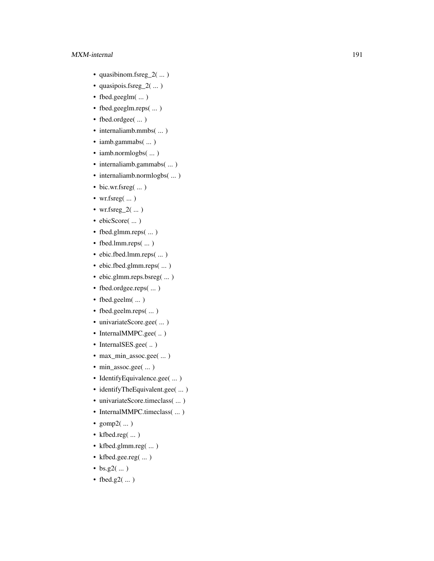- quasibinom.fsreg\_2 $(m)$
- quasipois.fsreg\_2( ... )
- fbed.geeglm( ... )
- fbed.geeglm.reps( ... )
- fbed.ordgee( ... )
- internaliamb.mmbs(...)
- iamb.gammabs(...)
- iamb.normlogbs(...)
- internaliamb.gammabs(...)
- internaliamb.normlogbs(...)
- bic.wr.fsreg(...)
- wr.fsreg( ... )
- wr.fsreg\_2 $(\dots)$
- ebicScore( ... )
- fbed.glmm.reps(...)
- fbed.lmm.reps( $\dots$ )
- ebic.fbed.lmm.reps( ... )
- ebic.fbed.glmm.reps( ... )
- ebic.glmm.reps.bsreg( ... )
- fbed.ordgee.reps( ... )
- fbed.geelm( ... )
- fbed.geelm.reps(...)
- univariateScore.gee( ... )
- InternalMMPC.gee( .. )
- InternalSES.gee(..)
- max\_min\_assoc.gee( ... )
- min\_assoc.gee( ... )
- IdentifyEquivalence.gee( ... )
- identifyTheEquivalent.gee( ... )
- univariateScore.timeclass( ... )
- InternalMMPC.timeclass( ... )
- $gomp2(\dots)$
- kfbed.reg( ... )
- kfbed.glmm.reg( ... )
- kfbed.gee.reg( ... )
- $bs. g2(...)$
- fbed.g2 $(\dots)$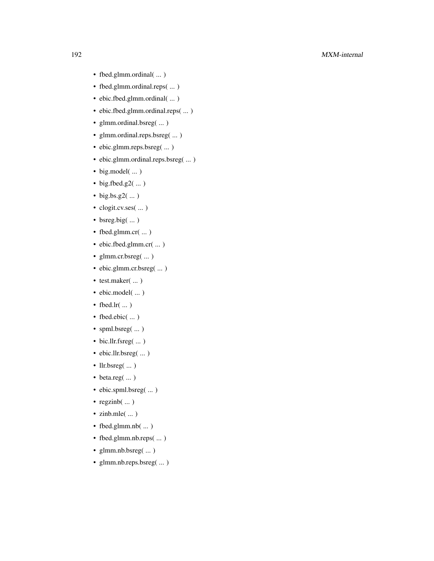- fbed.glmm.ordinal( ... )
- fbed.glmm.ordinal.reps(...)
- ebic.fbed.glmm.ordinal( ... )
- ebic.fbed.glmm.ordinal.reps( ... )
- glmm.ordinal.bsreg( ... )
- glmm.ordinal.reps.bsreg( ... )
- ebic.glmm.reps.bsreg( ... )
- ebic.glmm.ordinal.reps.bsreg( ... )
- big.model(...)
- big.fbed.g2(...)
- big.bs.g2 $(\dots)$
- clogit.cv.ses( ... )
- bsreg.big $(\dots)$
- fbed.glmm.cr( ... )
- ebic.fbed.glmm.cr( ... )
- glmm.cr.bsreg( ... )
- ebic.glmm.cr.bsreg( ... )
- test.maker( ... )
- ebic.model(...)
- fbed.lr $(\dots)$
- fbed.ebic( ... )
- spml.bsreg(...)
- bic.llr.fsreg( ... )
- ebic.llr.bsreg( ... )
- llr.bsreg( ... )
- beta.reg( ... )
- ebic.spml.bsreg(...)
- regzinb $(\dots)$
- zinb.mle $(\dots)$
- fbed.glmm.nb(...)
- fbed.glmm.nb.reps( ... )
- glmm.nb.bsreg(...)
- glmm.nb.reps.bsreg( ... )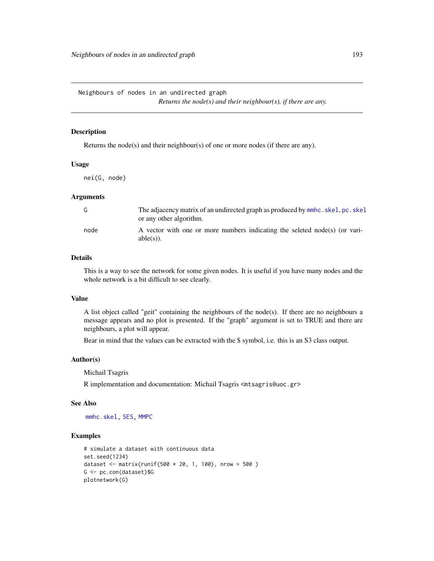Neighbours of nodes in an undirected graph

*Returns the node(s) and their neighbour(s), if there are any.*

# Description

Returns the node(s) and their neighbour(s) of one or more nodes (if there are any).

#### Usage

nei(G, node)

## Arguments

| G    | The adjacency matrix of an undirected graph as produced by mmhc.skel, pc.skel<br>or any other algorithm. |
|------|----------------------------------------------------------------------------------------------------------|
| node | A vector with one or more numbers indicating the seleted node(s) (or vari-<br>$able(s)$ ).               |

# Details

This is a way to see the network for some given nodes. It is useful if you have many nodes and the whole network is a bit difficult to see clearly.

#### Value

A list object called "geit" containing the neighbours of the node(s). If there are no neighbours a message appears and no plot is presented. If the "graph" argument is set to TRUE and there are neighbours, a plot will appear.

Bear in mind that the values can be extracted with the \$ symbol, i.e. this is an S3 class output.

#### Author(s)

Michail Tsagris

R implementation and documentation: Michail Tsagris <mtsagris@uoc.gr>

#### See Also

[mmhc.skel,](#page-219-0) [SES,](#page-84-0) [MMPC](#page-84-0)

```
# simulate a dataset with continuous data
set.seed(1234)
dataset <- matrix(runif(500 * 20, 1, 100), nrow = 500)
G <- pc.con(dataset)$G
plotnetwork(G)
```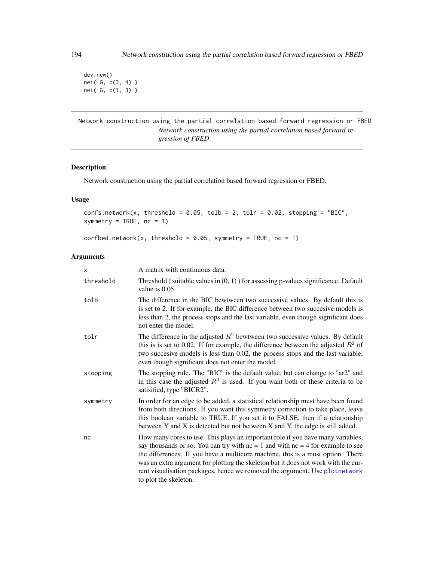dev.new() nei( G, c(3, 4) ) nei( G, c(1, 3) )

Network construction using the partial correlation based forward regression or FBED *Network construction using the partial correlation based forward regression of FBED*

# Description

Network construction using the partial correlation based forward regression or FBED.

## Usage

```
corfs.network(x, threshold = 0.05, tolb = 2, tolr = 0.02, stopping = "BIC",symmetry = TRUE, nc = 1)
```

```
corfbed.network(x, threshold = 0.05, symmetry = TRUE, nc = 1)
```
# Arguments

| $\mathsf{x}$ | A matrix with continuous data.                                                                                                                                                                                                                                                                                                                                                                                                                         |
|--------------|--------------------------------------------------------------------------------------------------------------------------------------------------------------------------------------------------------------------------------------------------------------------------------------------------------------------------------------------------------------------------------------------------------------------------------------------------------|
| threshold    | Threshold (suitable values in $(0, 1)$ ) for assessing p-values significance. Default<br>value is $0.05$ .                                                                                                                                                                                                                                                                                                                                             |
| tolb         | The difference in the BIC bewtween two successive values. By default this is<br>is set to 2. If for example, the BIC difference between two succesive models is<br>less than 2, the process stops and the last variable, even though significant does<br>not enter the model.                                                                                                                                                                          |
| tolr         | The difference in the adjusted $R^2$ bewtween two successive values. By default<br>this is is set to 0.02. If for example, the difference between the adjusted $R^2$ of<br>two succesive models is less than 0.02, the process stops and the last variable,<br>even though significant does not enter the model.                                                                                                                                       |
| stopping     | The stopping rule. The "BIC" is the default value, but can change to "ar2" and<br>in this case the adjusted $R^2$ is used. If you want both of these criteria to be<br>satisified, type "BICR2".                                                                                                                                                                                                                                                       |
| symmetry     | In order for an edge to be added, a statistical relationship must have been found<br>from both directions. If you want this symmetry correction to take place, leave<br>this boolean variable to TRUE. If you set it to FALSE, then if a relationship<br>between Y and X is detected but not between X and Y, the edge is still added.                                                                                                                 |
| nc           | How many cores to use. This plays an important role if you have many variables,<br>say thousands or so. You can try with $nc = 1$ and with $nc = 4$ for example to see<br>the differences. If you have a multicore machine, this is a must option. There<br>was an extra argument for plotting the skeleton but it does not work with the cur-<br>rent visualisation packages, hence we removed the argument. Use plotnetwork<br>to plot the skeleton. |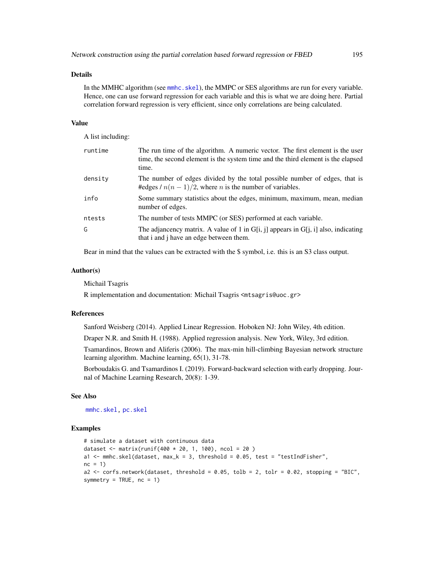#### Details

In the MMHC algorithm (see [mmhc.skel](#page-219-0)), the MMPC or SES algorithms are run for every variable. Hence, one can use forward regression for each variable and this is what we are doing here. Partial correlation forward regression is very efficient, since only correlations are being calculated.

#### Value

A list including:

| runtime | The run time of the algorithm. A numeric vector. The first element is the user<br>time, the second element is the system time and the third element is the elapsed<br>time. |
|---------|-----------------------------------------------------------------------------------------------------------------------------------------------------------------------------|
| density | The number of edges divided by the total possible number of edges, that is<br>#edges / $n(n-1)/2$ , where <i>n</i> is the number of variables.                              |
| info    | Some summary statistics about the edges, minimum, maximum, mean, median<br>number of edges.                                                                                 |
| ntests  | The number of tests MMPC (or SES) performed at each variable.                                                                                                               |
| G       | The adjancency matrix. A value of 1 in G[i, j] appears in G[j, i] also, indicating<br>that i and j have an edge between them.                                               |

Bear in mind that the values can be extracted with the \$ symbol, i.e. this is an S3 class output.

#### Author(s)

Michail Tsagris

R implementation and documentation: Michail Tsagris <mtsagris@uoc.gr>

#### References

Sanford Weisberg (2014). Applied Linear Regression. Hoboken NJ: John Wiley, 4th edition.

Draper N.R. and Smith H. (1988). Applied regression analysis. New York, Wiley, 3rd edition.

Tsamardinos, Brown and Aliferis (2006). The max-min hill-climbing Bayesian network structure learning algorithm. Machine learning, 65(1), 31-78.

Borboudakis G. and Tsamardinos I. (2019). Forward-backward selection with early dropping. Journal of Machine Learning Research, 20(8): 1-39.

## See Also

[mmhc.skel,](#page-219-0) [pc.skel](#page-222-0)

```
# simulate a dataset with continuous data
dataset <- matrix(runif(400 * 20, 1, 100), ncol = 20)
a1 <- mmhc.skel(dataset, max_k = 3, threshold = 0.05, test = "testIndFisher",
nc = 1a2 <- corfs.network(dataset, threshold = 0.05, tolb = 2, tolr = 0.02, stopping = "BIC",
symmetry = TRUE, nc = 1)
```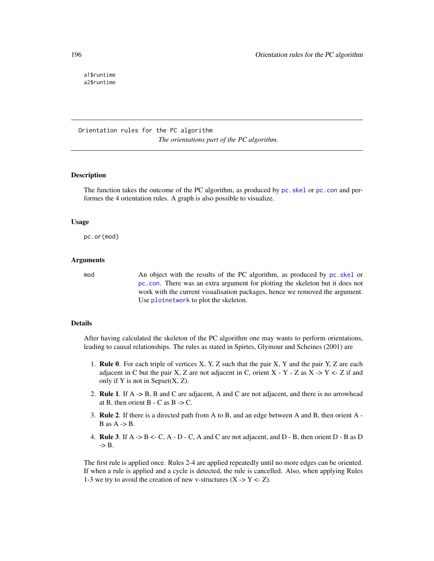a1\$runtime a2\$runtime

Orientation rules for the PC algorithm *The orientations part of the PC algorithm.*

# **Description**

The function takes the outcome of the PC algorithm, as produced by pc. skel or pc. con and performes the 4 orientation rules. A graph is also possible to visualize.

#### Usage

pc.or(mod)

#### Arguments

mod An object with the results of the PC algorithm, as produced by [pc.skel](#page-222-0) or [pc.con](#page-222-0). There was an extra argument for plotting the skeleton but it does not work with the current visualisation packages, hence we removed the argument. Use [plotnetwork](#page-168-0) to plot the skeleton.

#### Details

After having calculated the skeleton of the PC algorithm one may wants to perform orientations, leading to causal relationships. The rules as stated in Spirtes, Glymour and Scheines (2001) are

- 1. Rule 0. For each triple of vertices X, Y, Z such that the pair X, Y and the pair Y, Z are each adjacent in C but the pair X, Z are not adjacent in C, orient X  $-$  Y  $-$  Z as X  $-$  Y  $\lt$   $-$  Z if and only if  $Y$  is not in Sepset $(X, Z)$ .
- 2. Rule 1. If A -> B, B and C are adjacent, A and C are not adjacent, and there is no arrowhead at B, then orient  $B - C$  as  $B \rightarrow C$ .
- 3. Rule 2. If there is a directed path from A to B, and an edge between A and B, then orient A  $B$  as  $A \rightarrow B$ .
- 4. **Rule 3**. If  $A \rightarrow B \leftarrow C$ ,  $A \cdot D \cdot C$ , A and C are not adjacent, and  $D \cdot B$ , then orient  $D \cdot B$  as D  $\Rightarrow$  B.

The first rule is applied once. Rules 2-4 are applied repeatedly until no more edges can be oriented. If when a rule is applied and a cycle is detected, the rule is cancelled. Also, when applying Rules 1-3 we try to avoid the creation of new v-structures  $(X \rightarrow Y \le Z)$ .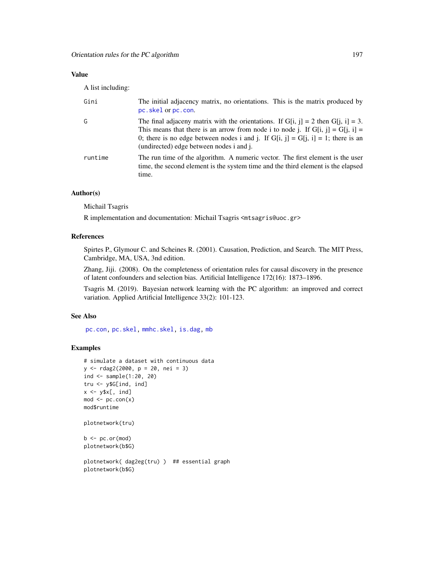# Value

A list including:

| Gini    | The initial adjacency matrix, no orientations. This is the matrix produced by<br>pc.skel or pc.con.                                                                                                                                                                                                       |
|---------|-----------------------------------------------------------------------------------------------------------------------------------------------------------------------------------------------------------------------------------------------------------------------------------------------------------|
| G       | The final adjaceny matrix with the orientations. If G[i, j] = 2 then G[j, i] = 3.<br>This means that there is an arrow from node i to node j. If $G[i, j] = G[j, i] =$<br>0; there is no edge between nodes i and j. If $G[i, j] = G[j, i] = 1$ ; there is an<br>(undirected) edge between nodes i and j. |
| runtime | The run time of the algorithm. A numeric vector. The first element is the user<br>time, the second element is the system time and the third element is the elapsed<br>time.                                                                                                                               |

# Author(s)

Michail Tsagris

R implementation and documentation: Michail Tsagris <mtsagris@uoc.gr>

## References

Spirtes P., Glymour C. and Scheines R. (2001). Causation, Prediction, and Search. The MIT Press, Cambridge, MA, USA, 3nd edition.

Zhang, Jiji. (2008). On the completeness of orientation rules for causal discovery in the presence of latent confounders and selection bias. Artificial Intelligence 172(16): 1873–1896.

Tsagris M. (2019). Bayesian network learning with the PC algorithm: an improved and correct variation. Applied Artificial Intelligence 33(2): 101-123.

#### See Also

[pc.con,](#page-222-0) [pc.skel,](#page-222-0) [mmhc.skel,](#page-219-0) [is.dag,](#page-30-0) [mb](#page-178-0)

```
# simulate a dataset with continuous data
y <- rdag2(2000, p = 20, nei = 3)
ind <- sample(1:20, 20)
tru <- y$G[ind, ind]
x \leftarrow y$x[, ind]
mod < pc.con(x)mod$runtime
plotnetwork(tru)
b \leftarrow pc.or(mod)
plotnetwork(b$G)
```

```
plotnetwork( dag2eg(tru) ) ## essential graph
plotnetwork(b$G)
```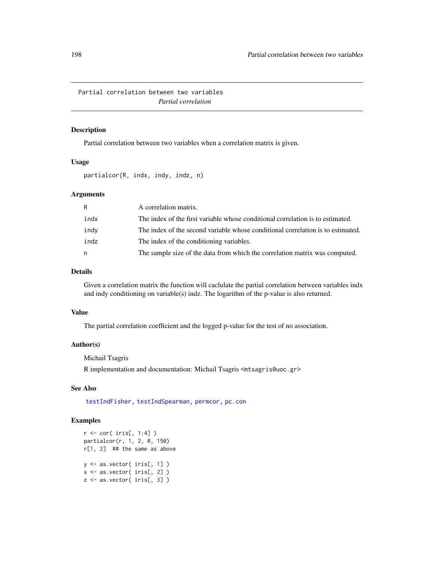Partial correlation between two variables *Partial correlation*

## Description

Partial correlation between two variables when a correlation matrix is given.

## Usage

partialcor(R, indx, indy, indz, n)

# Arguments

| R    | A correlation matrix.                                                           |
|------|---------------------------------------------------------------------------------|
| indx | The index of the first variable whose conditional correlation is to estimated.  |
| indy | The index of the second variable whose conditional correlation is to estimated. |
| indz | The index of the conditioning variables.                                        |
| n    | The sample size of the data from which the correlation matrix was computed.     |

# Details

Given a correlation matrix the function will caclulate the partial correlation between variables indx and indy conditioning on variable(s) indz. The logarithm of the p-value is also returned.

## Value

The partial correlation coefficient and the logged p-value for the test of no association.

## Author(s)

Michail Tsagris

R implementation and documentation: Michail Tsagris <mtsagris@uoc.gr>

# See Also

[testIndFisher,](#page-100-0) [testIndSpearman,](#page-100-0) [permcor,](#page-198-0) [pc.con](#page-222-0)

```
r <- cor( iris[, 1:4] )
partialcor(r, 1, 2, 0, 150)
r[1, 2] ## the same as above
y <- as.vector( iris[, 1] )
x <- as.vector( iris[, 2] )
z \leftarrow as.vector(iris[, 3])
```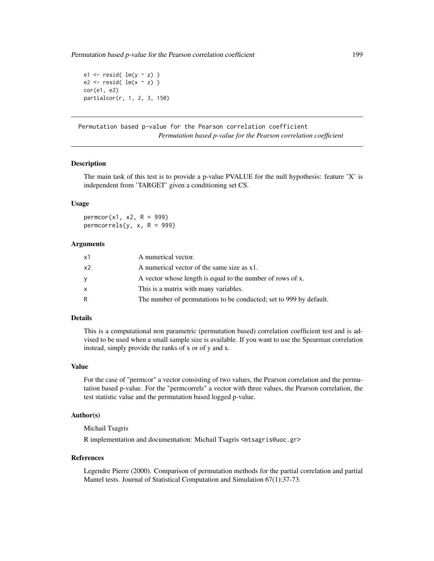Permutation based p-value for the Pearson correlation coefficient 199

e1  $\le$  resid(  $lm(y \sim z)$  ) e2  $\leftarrow$  resid(  $lm(x \sim z)$  ) cor(e1, e2) partialcor(r, 1, 2, 3, 150)

Permutation based p-value for the Pearson correlation coefficient *Permutation based p-value for the Pearson correlation coefficient*

## <span id="page-198-0"></span>Description

The main task of this test is to provide a p-value PVALUE for the null hypothesis: feature 'X' is independent from 'TARGET' given a conditioning set CS.

### Usage

 $permcor(x1, x2, R = 999)$ permcorrels(y,  $x$ ,  $R = 999$ )

## **Arguments**

| x1             | A numerical vector.                                                |
|----------------|--------------------------------------------------------------------|
| x <sub>2</sub> | A numerical vector of the same size as x1.                         |
| y              | A vector whose length is equal to the number of rows of x.         |
| X              | This is a matrix with many variables.                              |
| R              | The number of permutations to be conducted; set to 999 by default. |

## Details

This is a computational non parametric (permutation based) correlation coefficient test and is advised to be used when a small sample size is available. If you want to use the Spearman correlation instead, simply provide the ranks of x or of y and x.

#### Value

For the case of "permcor" a vector consisting of two values, the Pearson correlation and the permutation based p-value. For the "permcorrels" a vector with three values, the Pearson correlation, the test statistic value and the permutation based logged p-value.

## Author(s)

Michail Tsagris

R implementation and documentation: Michail Tsagris <mtsagris@uoc.gr>

#### References

Legendre Pierre (2000). Comparison of permutation methods for the partial correlation and partial Mantel tests. Journal of Statistical Computation and Simulation 67(1):37-73.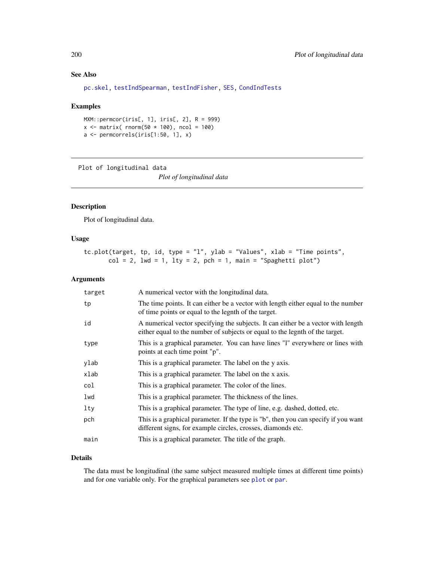# See Also

[pc.skel,](#page-222-0) [testIndSpearman,](#page-100-0) [testIndFisher,](#page-100-0) [SES,](#page-84-0) [CondIndTests](#page-31-0)

#### Examples

```
MXM::permcor(iris[, 1], iris[, 2], R = 999)x \le - matrix( rnorm(50 * 100), ncol = 100)
a <- permcorrels(iris[1:50, 1], x)
```
Plot of longitudinal data

*Plot of longitudinal data*

# Description

Plot of longitudinal data.

# Usage

tc.plot(target, tp, id, type =  $"1"$ , ylab =  $"Values"$ , xlab =  $"Time points"$ ,  $col = 2$ ,  $lwd = 1$ ,  $lty = 2$ ,  $pch = 1$ ,  $main = "Spaghetti plot")$ 

#### Arguments

| target | A numerical vector with the longitudinal data.                                                                                                                    |
|--------|-------------------------------------------------------------------------------------------------------------------------------------------------------------------|
| tp     | The time points. It can either be a vector with length either equal to the number<br>of time points or equal to the legnth of the target.                         |
| id     | A numerical vector specifying the subjects. It can either be a vector with length<br>either equal to the number of subjects or equal to the legnth of the target. |
| type   | This is a graphical parameter. You can have lines "I" everywhere or lines with<br>points at each time point "p".                                                  |
| ylab   | This is a graphical parameter. The label on the y axis.                                                                                                           |
| xlab   | This is a graphical parameter. The label on the x axis.                                                                                                           |
| col    | This is a graphical parameter. The color of the lines.                                                                                                            |
| lwd    | This is a graphical parameter. The thickness of the lines.                                                                                                        |
| lty    | This is a graphical parameter. The type of line, e.g. dashed, dotted, etc.                                                                                        |
| pch    | This is a graphical parameter. If the type is "b", then you can specify if you want<br>different signs, for example circles, crosses, diamonds etc.               |
| main   | This is a graphical parameter. The title of the graph.                                                                                                            |

#### Details

The data must be longitudinal (the same subject measured multiple times at different time points) and for one variable only. For the graphical parameters see [plot](#page-0-0) or [par](#page-0-0).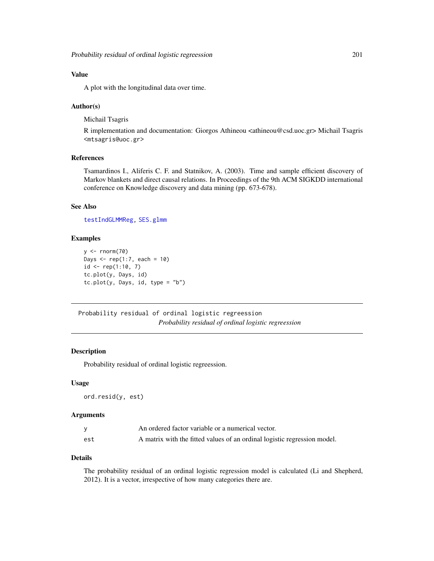# Value

A plot with the longitudinal data over time.

## Author(s)

Michail Tsagris

R implementation and documentation: Giorgos Athineou <athineou@csd.uoc.gr> Michail Tsagris <mtsagris@uoc.gr>

# References

Tsamardinos I., Aliferis C. F. and Statnikov, A. (2003). Time and sample efficient discovery of Markov blankets and direct causal relations. In Proceedings of the 9th ACM SIGKDD international conference on Knowledge discovery and data mining (pp. 673-678).

# See Also

[testIndGLMMReg,](#page-54-0) [SES.glmm](#page-90-0)

#### Examples

```
y \leftarrow \text{norm}(70)Days <- rep(1:7, each = 10)id \leq rep(1:10, 7)tc.plot(y, Days, id)
tc.plot(y, Days, id, type = "b")
```
Probability residual of ordinal logistic regreession *Probability residual of ordinal logistic regreession*

#### Description

Probability residual of ordinal logistic regreession.

## Usage

ord.resid(y, est)

## Arguments

|     | An ordered factor variable or a numerical vector.                        |
|-----|--------------------------------------------------------------------------|
| est | A matrix with the fitted values of an ordinal logistic regression model. |

## Details

The probability residual of an ordinal logistic regression model is calculated (Li and Shepherd, 2012). It is a vector, irrespective of how many categories there are.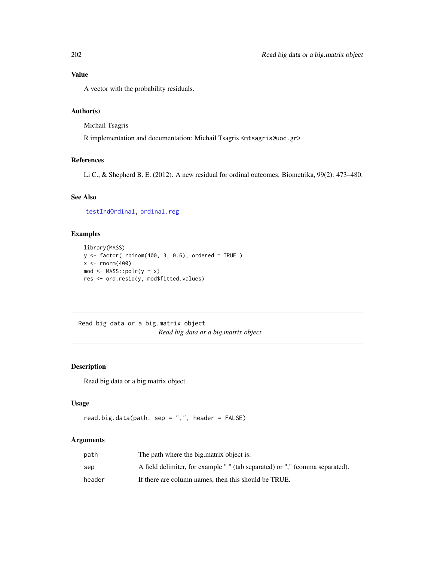# Value

A vector with the probability residuals.

# Author(s)

Michail Tsagris

R implementation and documentation: Michail Tsagris <mtsagris@uoc.gr>

# References

Li C., & Shepherd B. E. (2012). A new residual for ordinal outcomes. Biometrika, 99(2): 473–480.

# See Also

[testIndOrdinal,](#page-42-0) [ordinal.reg](#page-155-0)

# Examples

```
library(MASS)
y \le factor( rbinom(400, 3, 0.6), ordered = TRUE )
x < - rnorm(400)mod \leftarrow \text{MASS::polr}(y \sim x)res <- ord.resid(y, mod$fitted.values)
```
Read big data or a big.matrix object *Read big data or a big.matrix object*

## Description

Read big data or a big.matrix object.

#### Usage

```
read.big.data(path, sep = ",", header = FALSE)
```
## Arguments

| path   | The path where the big matrix object is.                                     |
|--------|------------------------------------------------------------------------------|
| sep    | A field delimiter, for example " " (tab separated) or "," (comma separated). |
| header | If there are column names, then this should be TRUE.                         |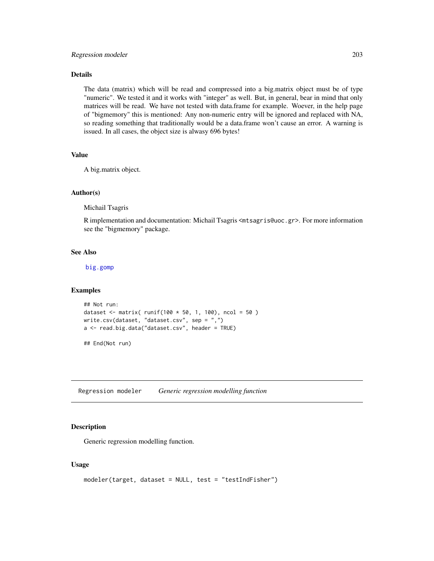## Details

The data (matrix) which will be read and compressed into a big.matrix object must be of type "numeric". We tested it and it works with "integer" as well. But, in general, bear in mind that only matrices will be read. We have not tested with data.frame for example. Woever, in the help page of "bigmemory" this is mentioned: Any non-numeric entry will be ignored and replaced with NA, so reading something that traditionally would be a data.frame won't cause an error. A warning is issued. In all cases, the object size is alwasy 696 bytes!

## Value

A big.matrix object.

## Author(s)

Michail Tsagris

R implementation and documentation: Michail Tsagris <mtsagris@uoc.gr>. For more information see the "bigmemory" package.

## See Also

[big.gomp](#page-160-0)

## Examples

```
## Not run:
dataset <- matrix( runif(100 * 50, 1, 100), ncol = 50)
write.csv(dataset, "dataset.csv", sep = ",")
a <- read.big.data("dataset.csv", header = TRUE)
## End(Not run)
```
Regression modeler *Generic regression modelling function*

## <span id="page-202-0"></span>Description

Generic regression modelling function.

#### Usage

```
modeler(target, dataset = NULL, test = "testIndFisher")
```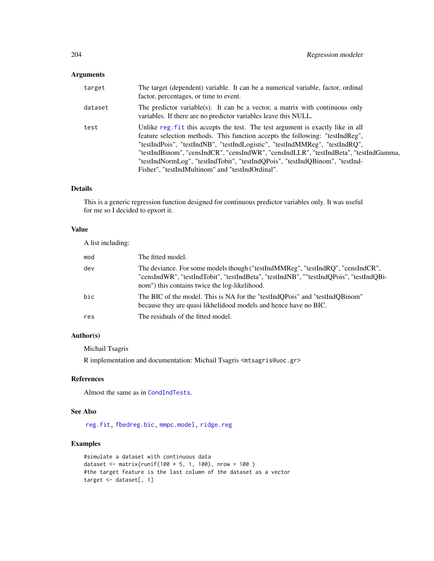# Arguments

| target  | The target (dependent) variable. It can be a numerical variable, factor, ordinal<br>factor, percentages, or time to event.                                                                                                                                                                                                                                                                                                                                                   |
|---------|------------------------------------------------------------------------------------------------------------------------------------------------------------------------------------------------------------------------------------------------------------------------------------------------------------------------------------------------------------------------------------------------------------------------------------------------------------------------------|
| dataset | The predictor variable(s). It can be a vector, a matrix with continuous only<br>variables. If there are no predictor variables leave this NULL.                                                                                                                                                                                                                                                                                                                              |
| test    | Unlike reg. fit this accepts the test. The test argument is exactly like in all<br>feature selection methods. This function accepts the following: "testIndReg",<br>"testIndPois", "testIndNB", "testIndLogistic", "testIndMMReg", "testIndRQ",<br>"testIndBinom", "censIndCR", "censIndWR", "censIndLLR", "testIndBeta", "testIndGamma,<br>"testIndNormLog", "testIndTobit", "testIndQPois", "testIndQBinom", "testInd-<br>Fisher", "testIndMultinom" and "testIndOrdinal". |

# Details

This is a generic regression function designed for continuous predictor variables only. It was useful for me so I decided to epxort it.

## Value

A list including:

| mod | The fitted model.                                                                                                                                                                                                          |
|-----|----------------------------------------------------------------------------------------------------------------------------------------------------------------------------------------------------------------------------|
| dev | The deviance. For some models though ("testIndMMReg", "testIndRQ", "censIndCR",<br>"censIndWR", "testIndTobit", "testIndBeta", "testIndNB", ""testIndOPois", "testIndOBi-<br>nom") this contains twice the log-likelihood. |
| bic | The BIC of the model. This is NA for the "testIndOPois" and "testIndOBinom"<br>because they are quasi likhelidood models and hence have no BIC.                                                                            |
| res | The residuals of the fitted model.                                                                                                                                                                                         |

# Author(s)

Michail Tsagris

R implementation and documentation: Michail Tsagris <mtsagris@uoc.gr>

# References

Almost the same as in [CondIndTests](#page-31-0).

#### See Also

[reg.fit,](#page-207-0) [fbedreg.bic,](#page-167-0) [mmpc.model,](#page-204-0) [ridge.reg](#page-209-0)

```
#simulate a dataset with continuous data
dataset <- matrix(runif(100 * 5, 1, 100), nrow = 100 )
#the target feature is the last column of the dataset as a vector
target <- dataset[, 1]
```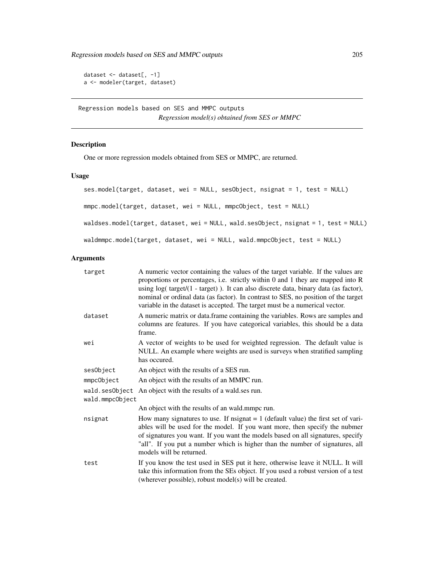Regression models based on SES and MMPC outputs 205

```
dataset <- dataset[, -1]
a <- modeler(target, dataset)
```
Regression models based on SES and MMPC outputs *Regression model(s) obtained from SES or MMPC*

# <span id="page-204-0"></span>Description

One or more regression models obtained from SES or MMPC, are returned.

# Usage

```
ses.model(target, dataset, wei = NULL, sesObject, nsignat = 1, test = NULL)
mmpc.model(target, dataset, wei = NULL, mmpcObject, test = NULL)
waldses.model(target, dataset, wei = NULL, wald.sesObject, nsignat = 1, test = NULL)
waldmmpc.model(target, dataset, wei = NULL, wald.mmpcObject, test = NULL)
```
# Arguments

| target                            | A numeric vector containing the values of the target variable. If the values are<br>proportions or percentages, i.e. strictly within 0 and 1 they are mapped into R<br>using log( target/(1 - target)). It can also discrete data, binary data (as factor),<br>nominal or ordinal data (as factor). In contrast to SES, no position of the target<br>variable in the dataset is accepted. The target must be a numerical vector. |
|-----------------------------------|----------------------------------------------------------------------------------------------------------------------------------------------------------------------------------------------------------------------------------------------------------------------------------------------------------------------------------------------------------------------------------------------------------------------------------|
| dataset                           | A numeric matrix or data frame containing the variables. Rows are samples and<br>columns are features. If you have categorical variables, this should be a data<br>frame.                                                                                                                                                                                                                                                        |
| wei                               | A vector of weights to be used for weighted regression. The default value is<br>NULL. An example where weights are used is surveys when stratified sampling<br>has occured.                                                                                                                                                                                                                                                      |
| sesObject                         | An object with the results of a SES run.                                                                                                                                                                                                                                                                                                                                                                                         |
| mmpcObject                        | An object with the results of an MMPC run.                                                                                                                                                                                                                                                                                                                                                                                       |
| wald.sesObject<br>wald.mmpcObject | An object with the results of a wald.ses run.                                                                                                                                                                                                                                                                                                                                                                                    |
|                                   | An object with the results of an wald.mmpc run.                                                                                                                                                                                                                                                                                                                                                                                  |
| nsignat                           | How many signatures to use. If nsignat $= 1$ (default value) the first set of vari-<br>ables will be used for the model. If you want more, then specify the nubmer<br>of signatures you want. If you want the models based on all signatures, specify<br>"all". If you put a number which is higher than the number of signatures, all<br>models will be returned.                                                               |
| test                              | If you know the test used in SES put it here, otherwise leave it NULL. It will<br>take this information from the SEs object. If you used a robust version of a test<br>(wherever possible), robust model(s) will be created.                                                                                                                                                                                                     |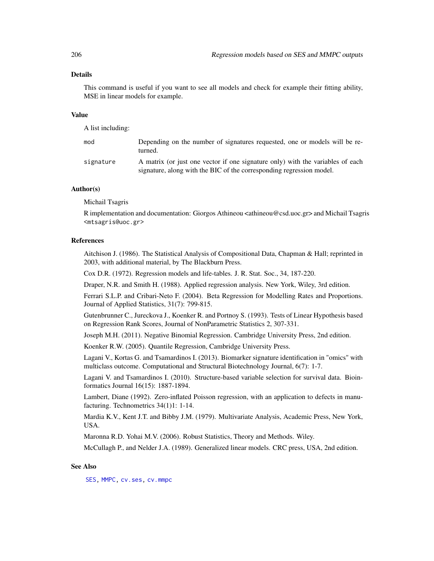## Details

This command is useful if you want to see all models and check for example their fitting ability, MSE in linear models for example.

## Value

A list including:

| mod       | Depending on the number of signatures requested, one or models will be re-<br>turned.                                                                  |
|-----------|--------------------------------------------------------------------------------------------------------------------------------------------------------|
| signature | A matrix (or just one vector if one signature only) with the variables of each<br>signature, along with the BIC of the corresponding regression model. |

## Author(s)

Michail Tsagris

R implementation and documentation: Giorgos Athineou <athineou@csd.uoc.gr> and Michail Tsagris <mtsagris@uoc.gr>

## References

Aitchison J. (1986). The Statistical Analysis of Compositional Data, Chapman & Hall; reprinted in 2003, with additional material, by The Blackburn Press.

Cox D.R. (1972). Regression models and life-tables. J. R. Stat. Soc., 34, 187-220.

Draper, N.R. and Smith H. (1988). Applied regression analysis. New York, Wiley, 3rd edition.

Ferrari S.L.P. and Cribari-Neto F. (2004). Beta Regression for Modelling Rates and Proportions. Journal of Applied Statistics, 31(7): 799-815.

Gutenbrunner C., Jureckova J., Koenker R. and Portnoy S. (1993). Tests of Linear Hypothesis based on Regression Rank Scores, Journal of NonParametric Statistics 2, 307-331.

Joseph M.H. (2011). Negative Binomial Regression. Cambridge University Press, 2nd edition.

Koenker R.W. (2005). Quantile Regression, Cambridge University Press.

Lagani V., Kortas G. and Tsamardinos I. (2013). Biomarker signature identification in "omics" with multiclass outcome. Computational and Structural Biotechnology Journal, 6(7): 1-7.

Lagani V. and Tsamardinos I. (2010). Structure-based variable selection for survival data. Bioinformatics Journal 16(15): 1887-1894.

Lambert, Diane (1992). Zero-inflated Poisson regression, with an application to defects in manufacturing. Technometrics 34(1)1: 1-14.

Mardia K.V., Kent J.T. and Bibby J.M. (1979). Multivariate Analysis, Academic Press, New York, USA.

Maronna R.D. Yohai M.V. (2006). Robust Statistics, Theory and Methods. Wiley.

McCullagh P., and Nelder J.A. (1989). Generalized linear models. CRC press, USA, 2nd edition.

## See Also

[SES,](#page-84-0) [MMPC,](#page-84-0) [cv.ses,](#page-108-0) [cv.mmpc](#page-108-0)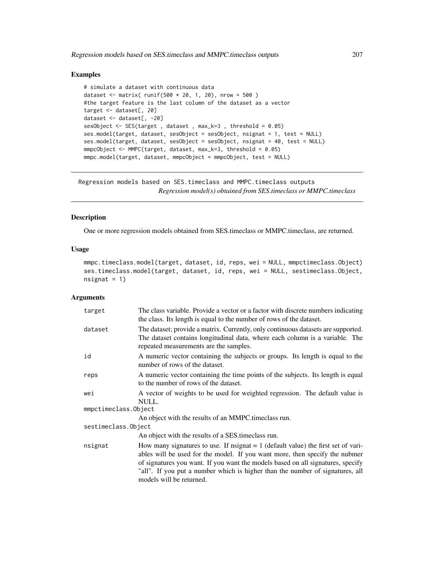## Examples

```
# simulate a dataset with continuous data
dataset <- matrix( runif(500 * 20, 1, 20), nrow = 500)
#the target feature is the last column of the dataset as a vector
target <- dataset[, 20]
dataset <- dataset[, -20]
sesObject <- SES(target , dataset , max_k=3 , threshold = 0.05)
ses.model(target, dataset, sesObject = sesObject, nsignat = 1, test = NULL)
ses.model(target, dataset, sesObject = sesObject, nsignat = 40, test = NULL)
mmpcObject <- MMPC(target, dataset, max_k=3, threshold = 0.05)
mmpc.model(target, dataset, mmpcObject = mmpcObject, test = NULL)
```
Regression models based on SES.timeclass and MMPC.timeclass outputs *Regression model(s) obtained from SES.timeclass or MMPC.timeclass*

# Description

One or more regression models obtained from SES.timeclass or MMPC.timeclass, are returned.

# Usage

```
mmpc.timeclass.model(target, dataset, id, reps, wei = NULL, mmpctimeclass.Object)
ses.timeclass.model(target, dataset, id, reps, wei = NULL, sestimeclass.Object,
nsignat = 1)
```
## Arguments

| target               | The class variable. Provide a vector or a factor with discrete numbers indicating<br>the class. Its length is equal to the number of rows of the dataset.                                                                                                                                                                                                          |
|----------------------|--------------------------------------------------------------------------------------------------------------------------------------------------------------------------------------------------------------------------------------------------------------------------------------------------------------------------------------------------------------------|
| dataset              | The dataset; provide a matrix. Currently, only continuous datasets are supported.<br>The dataset contains longitudinal data, where each column is a variable. The<br>repeated measurements are the samples.                                                                                                                                                        |
| id                   | A numeric vector containing the subjects or groups. Its length is equal to the<br>number of rows of the dataset.                                                                                                                                                                                                                                                   |
| reps                 | A numeric vector containing the time points of the subjects. Its length is equal<br>to the number of rows of the dataset.                                                                                                                                                                                                                                          |
| wei                  | A vector of weights to be used for weighted regression. The default value is<br>NULL.                                                                                                                                                                                                                                                                              |
| mmpctimeclass.Object |                                                                                                                                                                                                                                                                                                                                                                    |
|                      | An object with the results of an MMPC time class run.                                                                                                                                                                                                                                                                                                              |
| sestimeclass.Object  |                                                                                                                                                                                                                                                                                                                                                                    |
|                      | An object with the results of a SES time class run.                                                                                                                                                                                                                                                                                                                |
| nsignat              | How many signatures to use. If nsignat $= 1$ (default value) the first set of vari-<br>ables will be used for the model. If you want more, then specify the nubmer<br>of signatures you want. If you want the models based on all signatures, specify<br>"all". If you put a number which is higher than the number of signatures, all<br>models will be returned. |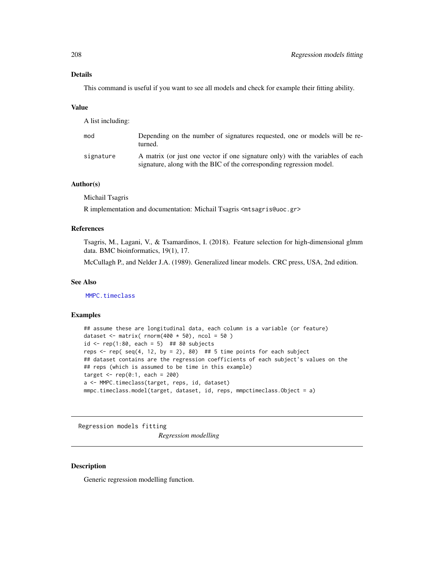# Details

This command is useful if you want to see all models and check for example their fitting ability.

#### Value

A list including:

| mod       | Depending on the number of signatures requested, one or models will be re-<br>turned.                                                                  |
|-----------|--------------------------------------------------------------------------------------------------------------------------------------------------------|
| signature | A matrix (or just one vector if one signature only) with the variables of each<br>signature, along with the BIC of the corresponding regression model. |

# Author(s)

Michail Tsagris

R implementation and documentation: Michail Tsagris <mtsagris@uoc.gr>

#### References

Tsagris, M., Lagani, V., & Tsamardinos, I. (2018). Feature selection for high-dimensional glmm data. BMC bioinformatics, 19(1), 17.

McCullagh P., and Nelder J.A. (1989). Generalized linear models. CRC press, USA, 2nd edition.

#### See Also

[MMPC.timeclass](#page-129-0)

## Examples

```
## assume these are longitudinal data, each column is a variable (or feature)
dataset \le matrix( rnorm(400 \star 50), ncol = 50)
id \le rep(1:80, each = 5) ## 80 subjects
reps \le rep( seq(4, 12, by = 2), 80) ## 5 time points for each subject
## dataset contains are the regression coefficients of each subject's values on the
## reps (which is assumed to be time in this example)
target \leq rep(0:1, each = 200)
a <- MMPC.timeclass(target, reps, id, dataset)
mmpc.timeclass.model(target, dataset, id, reps, mmpctimeclass.Object = a)
```
Regression models fitting

*Regression modelling*

## <span id="page-207-0"></span>Description

Generic regression modelling function.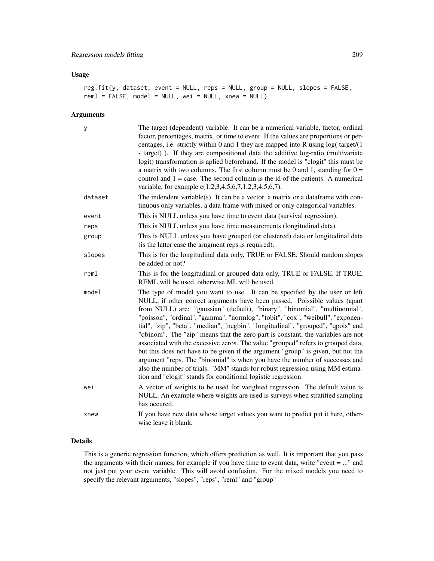## Usage

```
reg.fit(y, dataset, event = NULL, reps = NULL, group = NULL, slopes = FALSE,
reml = FALSE, model = NULL, wei = NULL, xnew = NULL)
```
# Arguments

| У       | The target (dependent) variable. It can be a numerical variable, factor, ordinal<br>factor, percentages, matrix, or time to event. If the values are proportions or per-<br>centages, i.e. strictly within 0 and 1 they are mapped into R using $log(t \text{~arget}/(1$<br>- target)). If they are compositional data the additive log-ratio (multivariate<br>logit) transformation is aplied beforehand. If the model is "clogit" this must be<br>a matrix with two columns. The first column must be 0 and 1, standing for $0 =$<br>control and $1 = \text{case}$ . The second column is the id of the patients. A numerical<br>variable, for example c(1,2,3,4,5,6,7,1,2,3,4,5,6,7).                                                                                                                                                                                                                 |
|---------|----------------------------------------------------------------------------------------------------------------------------------------------------------------------------------------------------------------------------------------------------------------------------------------------------------------------------------------------------------------------------------------------------------------------------------------------------------------------------------------------------------------------------------------------------------------------------------------------------------------------------------------------------------------------------------------------------------------------------------------------------------------------------------------------------------------------------------------------------------------------------------------------------------|
| dataset | The indendent variable(s). It can be a vector, a matrix or a dataframe with con-<br>tinuous only variables, a data frame with mixed or only categorical variables.                                                                                                                                                                                                                                                                                                                                                                                                                                                                                                                                                                                                                                                                                                                                       |
| event   | This is NULL unless you have time to event data (survival regression).                                                                                                                                                                                                                                                                                                                                                                                                                                                                                                                                                                                                                                                                                                                                                                                                                                   |
| reps    | This is NULL unless you have time measurements (longitudinal data).                                                                                                                                                                                                                                                                                                                                                                                                                                                                                                                                                                                                                                                                                                                                                                                                                                      |
| group   | This is NULL unless you have grouped (or clustered) data or longitudinal data<br>(is the latter case the arugment reps is required).                                                                                                                                                                                                                                                                                                                                                                                                                                                                                                                                                                                                                                                                                                                                                                     |
| slopes  | This is for the longitudinal data only, TRUE or FALSE. Should random slopes<br>be added or not?                                                                                                                                                                                                                                                                                                                                                                                                                                                                                                                                                                                                                                                                                                                                                                                                          |
| reml    | This is for the longitudinal or grouped data only, TRUE or FALSE. If TRUE,<br>REML will be used, otherwise ML will be used.                                                                                                                                                                                                                                                                                                                                                                                                                                                                                                                                                                                                                                                                                                                                                                              |
| model   | The type of model you want to use. It can be specified by the user or left<br>NULL, if other correct arguments have been passed. Poissible values (apart<br>from NULL) are: "gaussian" (default), "binary", "binomial", "multinomial",<br>"poisson", "ordinal", "gamma", "normlog", "tobit", "cox", "weibull", "exponen-<br>tial", "zip", "beta", "median", "negbin", "longitudinal", "grouped", "qpois" and<br>"qbinom". The "zip" means that the zero part is constant, the variables are not<br>associated with the excessive zeros. The value "grouped" refers to grouped data,<br>but this does not have to be given if the argument "group" is given, but not the<br>argument "reps. The "binomial" is when you have the number of successes and<br>also the number of trials. "MM" stands for robust regression using MM estima-<br>tion and "clogit" stands for conditional logistic regression. |
| wei     | A vector of weights to be used for weighted regression. The default value is<br>NULL. An example where weights are used is surveys when stratified sampling<br>has occured.                                                                                                                                                                                                                                                                                                                                                                                                                                                                                                                                                                                                                                                                                                                              |
| xnew    | If you have new data whose target values you want to predict put it here, other-<br>wise leave it blank.                                                                                                                                                                                                                                                                                                                                                                                                                                                                                                                                                                                                                                                                                                                                                                                                 |

# Details

This is a generic regression function, which offers prediction as well. It is important that you pass the arguments with their names, for example if you have time to event data, write "event = ..." and not just put your event variable. This will avoid confusion. For the mixed models you need to specify the relevant arguments, "slopes", "reps", "reml" and "group"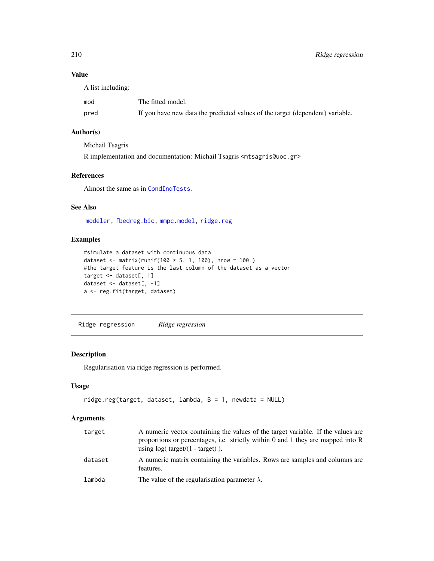# Value

A list including:

| mod  | The fitted model.                                                             |
|------|-------------------------------------------------------------------------------|
| pred | If you have new data the predicted values of the target (dependent) variable. |

# Author(s)

Michail Tsagris R implementation and documentation: Michail Tsagris <mtsagris@uoc.gr>

# References

Almost the same as in [CondIndTests](#page-31-0).

# See Also

[modeler,](#page-202-0) [fbedreg.bic,](#page-167-0) [mmpc.model,](#page-204-0) [ridge.reg](#page-209-0)

# Examples

```
#simulate a dataset with continuous data
dataset <- matrix(runif(100 * 5, 1, 100), nrow = 100 )
#the target feature is the last column of the dataset as a vector
target <- dataset[, 1]
dataset <- dataset[, -1]
a <- reg.fit(target, dataset)
```
Ridge regression *Ridge regression*

# <span id="page-209-0"></span>Description

Regularisation via ridge regression is performed.

# Usage

```
ridge.reg(target, dataset, lambda, B = 1, newdata = NULL)
```
## Arguments

| target  | A numeric vector containing the values of the target variable. If the values are<br>proportions or percentages, i.e. strictly within 0 and 1 they are mapped into R<br>using $log(t \text{arget}/(1 - \text{target}))$ . |
|---------|--------------------------------------------------------------------------------------------------------------------------------------------------------------------------------------------------------------------------|
| dataset | A numeric matrix containing the variables. Rows are samples and columns are<br>features.                                                                                                                                 |
| lambda  | The value of the regularisation parameter $\lambda$ .                                                                                                                                                                    |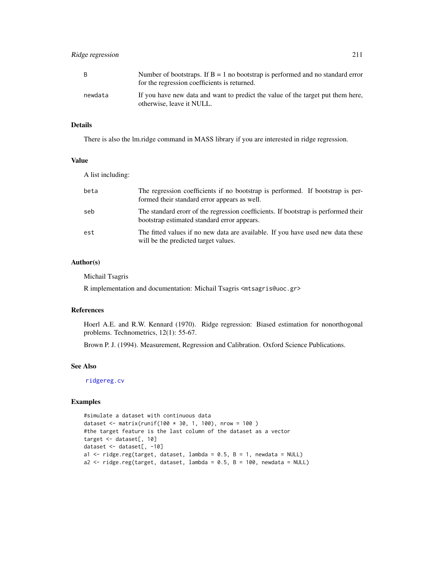| B.      | Number of bootstraps. If $B = 1$ no bootstrap is performed and no standard error<br>for the regression coefficients is returned. |
|---------|----------------------------------------------------------------------------------------------------------------------------------|
| newdata | If you have new data and want to predict the value of the target put them here,<br>otherwise, leave it NULL.                     |

## Details

There is also the lm.ridge command in MASS library if you are interested in ridge regression.

## Value

A list including:

| beta | The regression coefficients if no bootstrap is performed. If bootstrap is per-<br>formed their standard error appears as well.    |
|------|-----------------------------------------------------------------------------------------------------------------------------------|
| seb  | The standard erorr of the regression coefficients. If bootstrap is performed their<br>bootstrap estimated standard error appears. |
| est  | The fitted values if no new data are available. If you have used new data these<br>will be the predicted target values.           |

# Author(s)

Michail Tsagris

R implementation and documentation: Michail Tsagris <mtsagris@uoc.gr>

#### References

Hoerl A.E. and R.W. Kennard (1970). Ridge regression: Biased estimation for nonorthogonal problems. Technometrics, 12(1): 55-67.

Brown P. J. (1994). Measurement, Regression and Calibration. Oxford Science Publications.

# See Also

[ridgereg.cv](#page-106-0)

```
#simulate a dataset with continuous data
dataset <- matrix(runif(100 * 30, 1, 100), nrow = 100 )
#the target feature is the last column of the dataset as a vector
target <- dataset[, 10]
dataset <- dataset[, -10]
a1 \le ridge.reg(target, dataset, lambda = 0.5, B = 1, newdata = NULL)
a2 \leq- ridge.reg(target, dataset, lambda = 0.5, B = 100, newdata = NULL)
```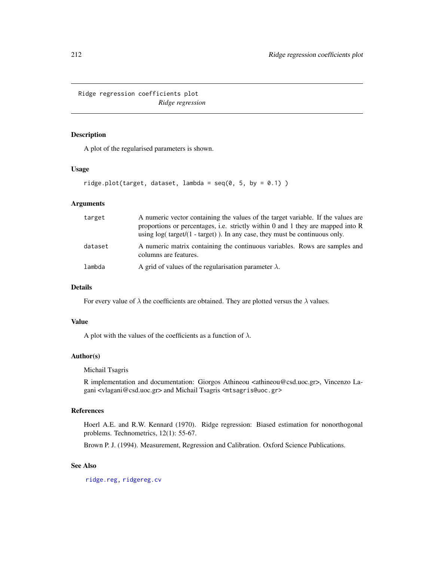Ridge regression coefficients plot *Ridge regression*

## Description

A plot of the regularised parameters is shown.

#### Usage

```
ridge.plot(target, dataset, lambda = seq(0, 5, by = 0.1))
```
# Arguments

| target  | A numeric vector containing the values of the target variable. If the values are<br>proportions or percentages, i.e. strictly within $0$ and $1$ they are mapped into $R$<br>using $log(t \text{arget}/(1 - \text{target}))$ . In any case, they must be continuous only. |
|---------|---------------------------------------------------------------------------------------------------------------------------------------------------------------------------------------------------------------------------------------------------------------------------|
| dataset | A numeric matrix containing the continuous variables. Rows are samples and<br>columns are features.                                                                                                                                                                       |
| lambda  | A grid of values of the regularisation parameter $\lambda$ .                                                                                                                                                                                                              |

# Details

For every value of  $\lambda$  the coefficients are obtained. They are plotted versus the  $\lambda$  values.

#### Value

A plot with the values of the coefficients as a function of  $\lambda$ .

# Author(s)

Michail Tsagris

R implementation and documentation: Giorgos Athineou <athineou@csd.uoc.gr>, Vincenzo Lagani <vlagani@csd.uoc.gr> and Michail Tsagris <mtsagris@uoc.gr>

#### References

Hoerl A.E. and R.W. Kennard (1970). Ridge regression: Biased estimation for nonorthogonal problems. Technometrics, 12(1): 55-67.

Brown P. J. (1994). Measurement, Regression and Calibration. Oxford Science Publications.

## See Also

[ridge.reg,](#page-209-0) [ridgereg.cv](#page-106-0)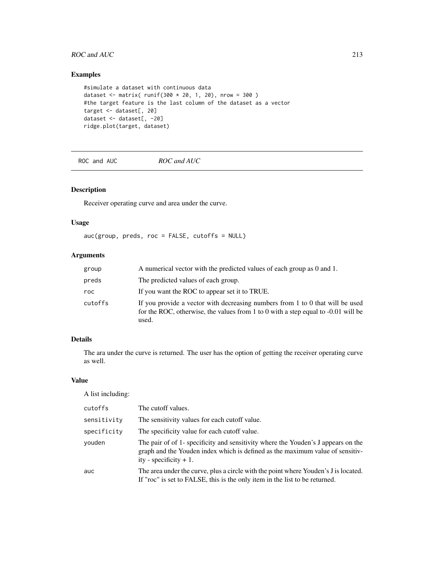# ROC and AUC 213

# Examples

```
#simulate a dataset with continuous data
dataset <- matrix( runif(300 \times 20, 1, 20), nrow = 300)
#the target feature is the last column of the dataset as a vector
target <- dataset[, 20]
dataset <- dataset[, -20]
ridge.plot(target, dataset)
```
ROC and AUC *ROC and AUC*

# Description

Receiver operating curve and area under the curve.

# Usage

auc(group, preds, roc = FALSE, cutoffs = NULL)

# Arguments

| group   | A numerical vector with the predicted values of each group as 0 and 1.                                                                                                        |
|---------|-------------------------------------------------------------------------------------------------------------------------------------------------------------------------------|
| preds   | The predicted values of each group.                                                                                                                                           |
| roc.    | If you want the ROC to appear set it to TRUE.                                                                                                                                 |
| cutoffs | If you provide a vector with decreasing numbers from 1 to 0 that will be used<br>for the ROC, otherwise, the values from 1 to 0 with a step equal to $-0.01$ will be<br>used. |

# Details

The ara under the curve is returned. The user has the option of getting the receiver operating curve as well.

## Value

A list including:

| cutoffs     | The cutoff values.                                                                                                                                                                             |
|-------------|------------------------------------------------------------------------------------------------------------------------------------------------------------------------------------------------|
| sensitivity | The sensitivity values for each cutoff value.                                                                                                                                                  |
| specificity | The specificity value for each cutoff value.                                                                                                                                                   |
| vouden      | The pair of of 1- specificity and sensitivity where the Youden's J appears on the<br>graph and the Youden index which is defined as the maximum value of sensitiv-<br>ity - specificity $+1$ . |
| auc         | The area under the curve, plus a circle with the point where Youden's J is located.<br>If "roc" is set to FALSE, this is the only item in the list to be returned.                             |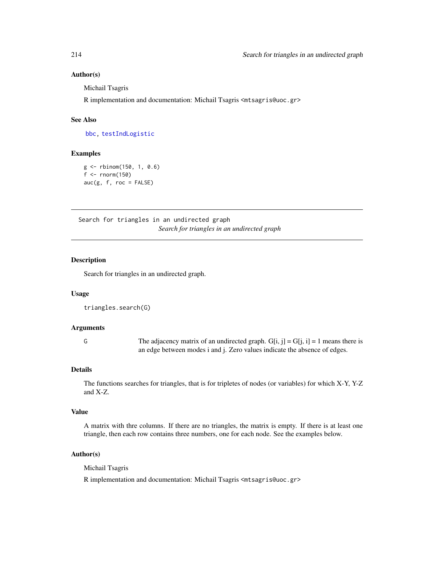## Author(s)

Michail Tsagris

R implementation and documentation: Michail Tsagris <mtsagris@uoc.gr>

#### See Also

[bbc,](#page-25-0) [testIndLogistic](#page-42-0)

# Examples

```
g <- rbinom(150, 1, 0.6)
f \leftarrow \text{rnorm}(150)auc(g, f, roc = FALSE)
```
Search for triangles in an undirected graph *Search for triangles in an undirected graph*

#### Description

Search for triangles in an undirected graph.

#### Usage

```
triangles.search(G)
```
# Arguments

G The adjacency matrix of an undirected graph.  $G[i, j] = G[j, i] = 1$  means there is an edge between modes i and j. Zero values indicate the absence of edges.

#### Details

The functions searches for triangles, that is for tripletes of nodes (or variables) for which X-Y, Y-Z and X-Z.

#### Value

A matrix with thre columns. If there are no triangles, the matrix is empty. If there is at least one triangle, then each row contains three numbers, one for each node. See the examples below.

#### Author(s)

Michail Tsagris

R implementation and documentation: Michail Tsagris <mtsagris@uoc.gr>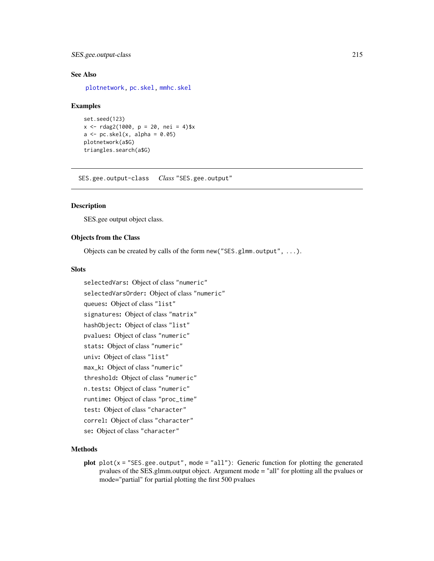# SES.gee.output-class 215

# See Also

[plotnetwork,](#page-168-0) [pc.skel,](#page-222-0) [mmhc.skel](#page-219-0)

#### Examples

```
set.seed(123)
x \le - rdag2(1000, p = 20, nei = 4)$x
a \leftarrow pc.\,skel(x, alpha = 0.05)plotnetwork(a$G)
triangles.search(a$G)
```
SES.gee.output-class *Class* "SES.gee.output"

# **Description**

SES.gee output object class.

# Objects from the Class

Objects can be created by calls of the form new("SES.glmm.output", ...).

### **Slots**

```
selectedVars: Object of class "numeric"
selectedVarsOrder: Object of class "numeric"
queues: Object of class "list"
signatures: Object of class "matrix"
hashObject: Object of class "list"
pvalues: Object of class "numeric"
stats: Object of class "numeric"
univ: Object of class "list"
max_k: Object of class "numeric"
threshold: Object of class "numeric"
n.tests: Object of class "numeric"
runtime: Object of class "proc_time"
test: Object of class "character"
correl: Object of class "character"
se: Object of class "character"
```
## Methods

plot  $plot(x = "SES.gee.output", mode = "all")$ : Generic function for plotting the generated pvalues of the SES.glmm.output object. Argument mode = "all" for plotting all the pvalues or mode="partial" for partial plotting the first 500 pvalues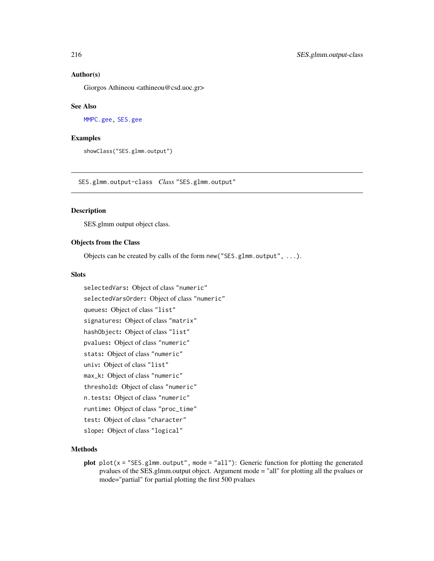## Author(s)

Giorgos Athineou <athineou@csd.uoc.gr>

#### See Also

[MMPC.gee,](#page-90-0) [SES.gee](#page-90-0)

## Examples

showClass("SES.glmm.output")

SES.glmm.output-class *Class* "SES.glmm.output"

## Description

SES.glmm output object class.

#### Objects from the Class

Objects can be created by calls of the form new("SES.glmm.output", ...).

### **Slots**

selectedVars: Object of class "numeric" selectedVarsOrder: Object of class "numeric" queues: Object of class "list" signatures: Object of class "matrix" hashObject: Object of class "list" pvalues: Object of class "numeric" stats: Object of class "numeric" univ: Object of class "list" max\_k: Object of class "numeric" threshold: Object of class "numeric" n.tests: Object of class "numeric" runtime: Object of class "proc\_time" test: Object of class "character" slope: Object of class "logical"

## Methods

plot  $plot(x = "SES.glmm.output", mode = "all");$  Generic function for plotting the generated pvalues of the SES.glmm.output object. Argument mode = "all" for plotting all the pvalues or mode="partial" for partial plotting the first 500 pvalues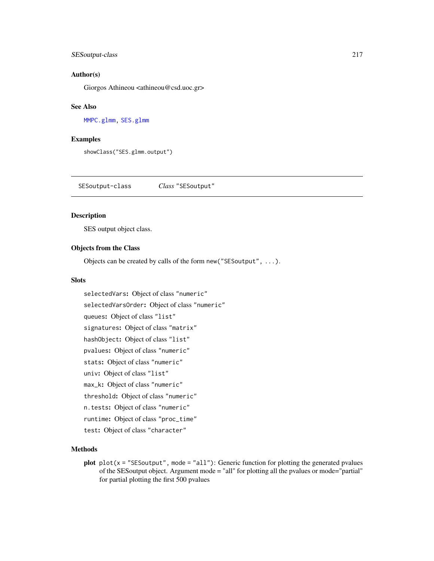# SESoutput-class 217

#### Author(s)

Giorgos Athineou <athineou@csd.uoc.gr>

#### See Also

[MMPC.glmm,](#page-90-0) [SES.glmm](#page-90-0)

#### Examples

showClass("SES.glmm.output")

SESoutput-class *Class* "SESoutput"

# Description

SES output object class.

#### Objects from the Class

Objects can be created by calls of the form new("SESoutput", ...).

### Slots

selectedVars: Object of class "numeric" selectedVarsOrder: Object of class "numeric" queues: Object of class "list" signatures: Object of class "matrix" hashObject: Object of class "list" pvalues: Object of class "numeric" stats: Object of class "numeric" univ: Object of class "list" max\_k: Object of class "numeric" threshold: Object of class "numeric" n.tests: Object of class "numeric" runtime: Object of class "proc\_time" test: Object of class "character"

# Methods

plot  $plot(x = "SESoutput", mode = "all")$ : Generic function for plotting the generated pvalues of the SESoutput object. Argument mode = "all" for plotting all the pvalues or mode="partial" for partial plotting the first 500 pvalues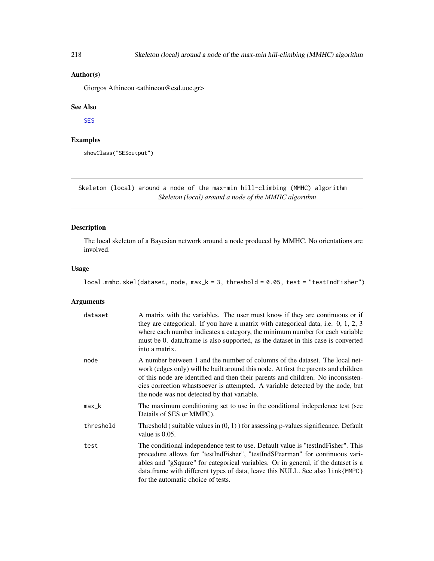# <span id="page-217-1"></span>Author(s)

Giorgos Athineou <athineou@csd.uoc.gr>

# See Also

[SES](#page-84-0)

# Examples

showClass("SESoutput")

Skeleton (local) around a node of the max-min hill-climbing (MMHC) algorithm *Skeleton (local) around a node of the MMHC algorithm*

# <span id="page-217-0"></span>Description

The local skeleton of a Bayesian network around a node produced by MMHC. No orientations are involved.

# Usage

local.mmhc.skel(dataset, node, max\_k = 3, threshold = 0.05, test = "testIndFisher")

| dataset   | A matrix with the variables. The user must know if they are continuous or if<br>they are categorical. If you have a matrix with categorical data, i.e. 0, 1, 2, 3<br>where each number indicates a category, the minimum number for each variable<br>must be 0. data.frame is also supported, as the dataset in this case is converted<br>into a matrix.                                |
|-----------|-----------------------------------------------------------------------------------------------------------------------------------------------------------------------------------------------------------------------------------------------------------------------------------------------------------------------------------------------------------------------------------------|
| node      | A number between 1 and the number of columns of the dataset. The local net-<br>work (edges only) will be built around this node. At first the parents and children<br>of this node are identified and then their parents and children. No inconsisten-<br>cies correction whastsoever is attempted. A variable detected by the node, but<br>the node was not detected by that variable. |
| $max_k$   | The maximum conditioning set to use in the conditional indepedence test (see<br>Details of SES or MMPC).                                                                                                                                                                                                                                                                                |
| threshold | Threshold (suitable values in $(0, 1)$ ) for assessing p-values significance. Default<br>value is 0.05.                                                                                                                                                                                                                                                                                 |
| test      | The conditional independence test to use. Default value is "testIndFisher". This<br>procedure allows for "testIndFisher", "testIndSPearman" for continuous vari-<br>ables and "gSquare" for categorical variables. Or in general, if the dataset is a<br>data.frame with different types of data, leave this NULL. See also link{MMPC}<br>for the automatic choice of tests.            |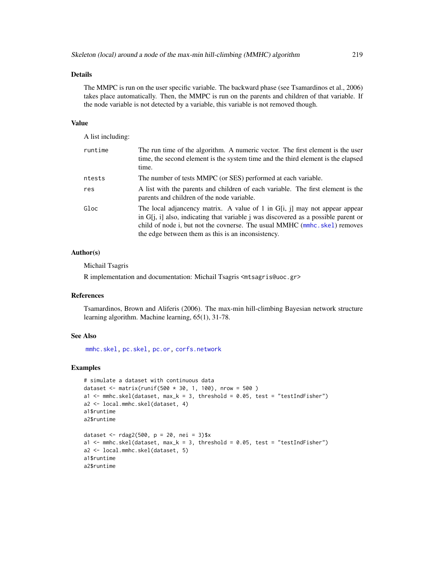# Details

The MMPC is run on the user specific variable. The backward phase (see Tsamardinos et al., 2006) takes place automatically. Then, the MMPC is run on the parents and children of that variable. If the node variable is not detected by a variable, this variable is not removed though.

#### Value

A list including:

| runtime | The run time of the algorithm. A numeric vector. The first element is the user<br>time, the second element is the system time and the third element is the elapsed<br>time.                                                                                                                           |
|---------|-------------------------------------------------------------------------------------------------------------------------------------------------------------------------------------------------------------------------------------------------------------------------------------------------------|
| ntests  | The number of tests MMPC (or SES) performed at each variable.                                                                                                                                                                                                                                         |
| res     | A list with the parents and children of each variable. The first element is the<br>parents and children of the node variable.                                                                                                                                                                         |
| Gloc    | The local adjancency matrix. A value of 1 in G[i, j] may not appear appear<br>in $G[i, i]$ also, indicating that variable j was discovered as a possible parent or<br>child of node i, but not the covnerse. The usual MMHC (mmhc.skel) removes<br>the edge between them as this is an inconsistency. |

# Author(s)

Michail Tsagris

R implementation and documentation: Michail Tsagris <mtsagris@uoc.gr>

# References

Tsamardinos, Brown and Aliferis (2006). The max-min hill-climbing Bayesian network structure learning algorithm. Machine learning, 65(1), 31-78.

# See Also

[mmhc.skel,](#page-219-0) [pc.skel,](#page-222-0) [pc.or,](#page-195-0) [corfs.network](#page-193-0)

#### Examples

```
# simulate a dataset with continuous data
dataset <- matrix(runif(500 * 30, 1, 100), nrow = 500 )
a1 \le mmhc.skel(dataset, max_k = 3, threshold = 0.05, test = "testIndFisher")
a2 <- local.mmhc.skel(dataset, 4)
a1$runtime
a2$runtime
dataset <- rdag2(500, p = 20, nei = 3)$x
a1 \le mmhc.skel(dataset, max_k = 3, threshold = 0.05, test = "testIndFisher")
a2 <- local.mmhc.skel(dataset, 5)
a1$runtime
a2$runtime
```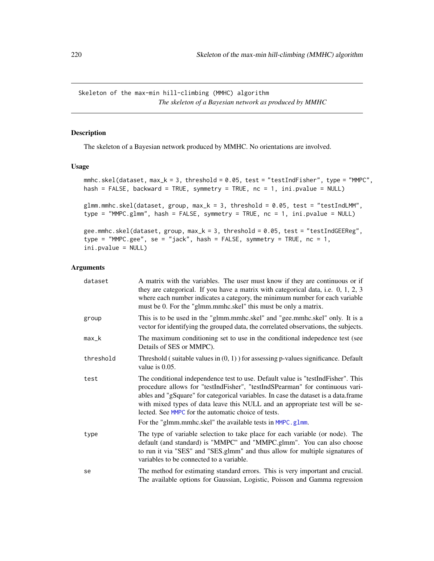<span id="page-219-1"></span>Skeleton of the max-min hill-climbing (MMHC) algorithm *The skeleton of a Bayesian network as produced by MMHC*

# <span id="page-219-0"></span>Description

The skeleton of a Bayesian network produced by MMHC. No orientations are involved.

### Usage

```
mmhc.skel(dataset, max_k = 3, threshold = 0.05, test = "testIndFisher", type = "MMPC",
hash = FALSE, backward = TRUE, symmetry = TRUE, nc = 1, ini.pvalue = NULL)
glmm.mmhc.skel(dataset, group, max_k = 3, threshold = 0.05, test = "testIndLMM",
type = "MMPC.glmm", hash = FALSE, symmetry = TRUE, nc = 1, ini.pvalue = NULL)
gee.mmhc.skel(dataset, group, max_k = 3, threshold = 0.05, test = "testIndGEEReg",
type = "MMPC.gee", se = "jack", hash = FALSE, symmetry = TRUE, nc = 1,
```

```
ini.pvalue = NULL)
```

| dataset   | A matrix with the variables. The user must know if they are continuous or if<br>they are categorical. If you have a matrix with categorical data, i.e. $0, 1, 2, 3$<br>where each number indicates a category, the minimum number for each variable<br>must be 0. For the "glmm.mmhc.skel" this must be only a matrix.                                                                          |
|-----------|-------------------------------------------------------------------------------------------------------------------------------------------------------------------------------------------------------------------------------------------------------------------------------------------------------------------------------------------------------------------------------------------------|
| group     | This is to be used in the "glmm.mmhc.skel" and "gee.mmhc.skel" only. It is a<br>vector for identifying the grouped data, the correlated observations, the subjects.                                                                                                                                                                                                                             |
| max_k     | The maximum conditioning set to use in the conditional indepedence test (see<br>Details of SES or MMPC).                                                                                                                                                                                                                                                                                        |
| threshold | Threshold (suitable values in $(0, 1)$ ) for assessing p-values significance. Default<br>value is 0.05.                                                                                                                                                                                                                                                                                         |
| test      | The conditional independence test to use. Default value is "test Ind Fisher". This<br>procedure allows for "testIndFisher", "testIndSPearman" for continuous vari-<br>ables and "gSquare" for categorical variables. In case the dataset is a data.frame<br>with mixed types of data leave this NULL and an appropriate test will be se-<br>lected. See MMPC for the automatic choice of tests. |
|           | For the "glmm.mmhc.skel" the available tests in MMPC.glmm.                                                                                                                                                                                                                                                                                                                                      |
| type      | The type of variable selection to take place for each variable (or node). The<br>default (and standard) is "MMPC" and "MMPC.glmm". You can also choose<br>to run it via "SES" and "SES.glmm" and thus allow for multiple signatures of<br>variables to be connected to a variable.                                                                                                              |
| se        | The method for estimating standard errors. This is very important and crucial.<br>The available options for Gaussian, Logistic, Poisson and Gamma regression                                                                                                                                                                                                                                    |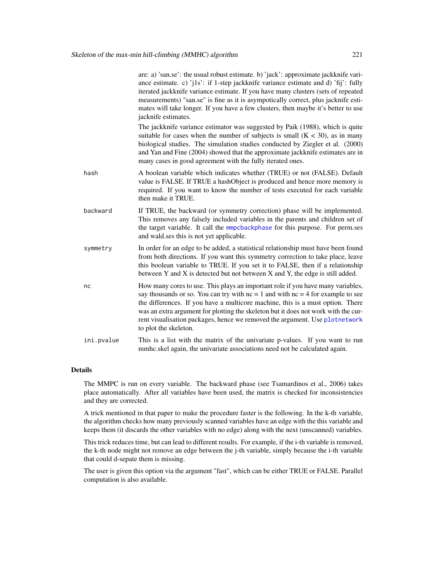|            | are: a) 'san.se': the usual robust estimate. b) 'jack': approximate jackknife vari-<br>ance estimate. c) 'j1s': if 1-step jackknife variance estimate and d) 'fij': fully<br>iterated jackknife variance estimate. If you have many clusters (sets of repeated<br>measurements) "san.se" is fine as it is asympotically correct, plus jacknife esti-<br>mates will take longer. If you have a few clusters, then maybe it's better to use<br>jacknife estimates. |
|------------|------------------------------------------------------------------------------------------------------------------------------------------------------------------------------------------------------------------------------------------------------------------------------------------------------------------------------------------------------------------------------------------------------------------------------------------------------------------|
|            | The jackknife variance estimator was suggested by Paik (1988), which is quite<br>suitable for cases when the number of subjects is small $(K < 30)$ , as in many<br>biological studies. The simulation studies conducted by Ziegler et al. (2000)<br>and Yan and Fine (2004) showed that the approximate jackknife estimates are in<br>many cases in good agreement with the fully iterated ones.                                                                |
| hash       | A boolean variable which indicates whether (TRUE) or not (FALSE). Default<br>value is FALSE. If TRUE a hashObject is produced and hence more memory is<br>required. If you want to know the number of tests executed for each variable<br>then make it TRUE.                                                                                                                                                                                                     |
| backward   | If TRUE, the backward (or symmetry correction) phase will be implemented.<br>This removes any falsely included variables in the parents and children set of<br>the target variable. It call the mmpcbackphase for this purpose. For perm.ses<br>and wald, ses this is not yet applicable.                                                                                                                                                                        |
| symmetry   | In order for an edge to be added, a statistical relationship must have been found<br>from both directions. If you want this symmetry correction to take place, leave<br>this boolean variable to TRUE. If you set it to FALSE, then if a relationship<br>between Y and X is detected but not between X and Y, the edge is still added.                                                                                                                           |
| nc         | How many cores to use. This plays an important role if you have many variables,<br>say thousands or so. You can try with $nc = 1$ and with $nc = 4$ for example to see<br>the differences. If you have a multicore machine, this is a must option. There<br>was an extra argument for plotting the skeleton but it does not work with the cur-<br>rent visualisation packages, hence we removed the argument. Use plotnetwork<br>to plot the skeleton.           |
| ini.pvalue | This is a list with the matrix of the univariate p-values. If you want to run<br>mmhc.skel again, the univariate associations need not be calculated again.                                                                                                                                                                                                                                                                                                      |
|            |                                                                                                                                                                                                                                                                                                                                                                                                                                                                  |

## Details

The MMPC is run on every variable. The backward phase (see Tsamardinos et al., 2006) takes place automatically. After all variables have been used, the matrix is checked for inconsistencies and they are corrected.

A trick mentioned in that paper to make the procedure faster is the following. In the k-th variable, the algorithm checks how many previously scanned variables have an edge with the this variable and keeps them (it discards the other variables with no edge) along with the next (unscanned) variables.

This trick reduces time, but can lead to different results. For example, if the i-th variable is removed, the k-th node might not remove an edge between the j-th variable, simply because the i-th variable that could d-sepate them is missing.

The user is given this option via the argument "fast", which can be either TRUE or FALSE. Parallel computation is also available.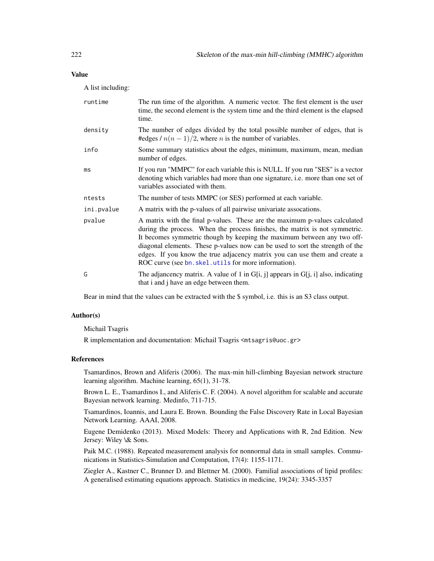# Value

A list including:

| runtime    | The run time of the algorithm. A numeric vector. The first element is the user<br>time, the second element is the system time and the third element is the elapsed<br>time.                                                                                                                                                                                                                                                                                  |
|------------|--------------------------------------------------------------------------------------------------------------------------------------------------------------------------------------------------------------------------------------------------------------------------------------------------------------------------------------------------------------------------------------------------------------------------------------------------------------|
| density    | The number of edges divided by the total possible number of edges, that is<br>#edges / $n(n-1)/2$ , where <i>n</i> is the number of variables.                                                                                                                                                                                                                                                                                                               |
| info       | Some summary statistics about the edges, minimum, maximum, mean, median<br>number of edges.                                                                                                                                                                                                                                                                                                                                                                  |
| ms         | If you run "MMPC" for each variable this is NULL. If you run "SES" is a vector<br>denoting which variables had more than one signature, i.e. more than one set of<br>variables associated with them.                                                                                                                                                                                                                                                         |
| ntests     | The number of tests MMPC (or SES) performed at each variable.                                                                                                                                                                                                                                                                                                                                                                                                |
| ini.pvalue | A matrix with the p-values of all pairwise univariate assocations.                                                                                                                                                                                                                                                                                                                                                                                           |
| pvalue     | A matrix with the final p-values. These are the maximum p-values calculated<br>during the process. When the process finishes, the matrix is not symmetric.<br>It becomes symmetric though by keeping the maximum between any two off-<br>diagonal elements. These p-values now can be used to sort the strength of the<br>edges. If you know the true adjacency matrix you can use them and create a<br>ROC curve (see bn. skel.utils for more information). |
| G          | The adjancency matrix. A value of 1 in G[i, j] appears in G[j, i] also, indicating<br>that i and j have an edge between them.                                                                                                                                                                                                                                                                                                                                |

Bear in mind that the values can be extracted with the \$ symbol, i.e. this is an S3 class output.

#### Author(s)

Michail Tsagris

R implementation and documentation: Michail Tsagris <mtsagris@uoc.gr>

#### References

Tsamardinos, Brown and Aliferis (2006). The max-min hill-climbing Bayesian network structure learning algorithm. Machine learning, 65(1), 31-78.

Brown L. E., Tsamardinos I., and Aliferis C. F. (2004). A novel algorithm for scalable and accurate Bayesian network learning. Medinfo, 711-715.

Tsamardinos, Ioannis, and Laura E. Brown. Bounding the False Discovery Rate in Local Bayesian Network Learning. AAAI, 2008.

Eugene Demidenko (2013). Mixed Models: Theory and Applications with R, 2nd Edition. New Jersey: Wiley \& Sons.

Paik M.C. (1988). Repeated measurement analysis for nonnormal data in small samples. Communications in Statistics-Simulation and Computation, 17(4): 1155-1171.

Ziegler A., Kastner C., Brunner D. and Blettner M. (2000). Familial associations of lipid profiles: A generalised estimating equations approach. Statistics in medicine, 19(24): 3345-3357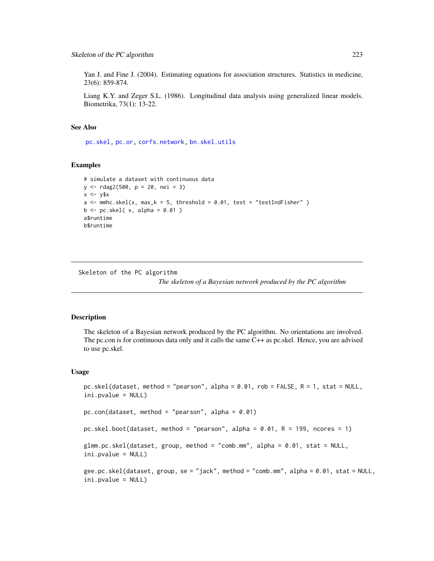Yan J. and Fine J. (2004). Estimating equations for association structures. Statistics in medicine, 23(6): 859-874.

Liang K.Y. and Zeger S.L. (1986). Longitudinal data analysis using generalized linear models. Biometrika, 73(1): 13-22.

#### See Also

[pc.skel,](#page-222-0) [pc.or,](#page-195-0) [corfs.network,](#page-193-0) [bn.skel.utils](#page-244-0)

#### Examples

```
# simulate a dataset with continuous data
y <- rdag2(500, p = 20, nei = 3)
x \le -y$x
a \leq mmhc.skel(x, max_k = 5, threshold = 0.01, test = "testIndFisher")
b \leftarrow pc.\,skel(\ x, alpha = 0.01)a$runtime
b$runtime
```
Skeleton of the PC algorithm

*The skeleton of a Bayesian network produced by the PC algorithm*

#### <span id="page-222-0"></span>Description

The skeleton of a Bayesian network produced by the PC algorithm. No orientations are involved. The pc.con is for continuous data only and it calls the same C++ as pc.skel. Hence, you are advised to use pc.skel.

#### Usage

```
pc.skel(dataset, method = "pearson", alpha = 0.01, rob = FALSE, R = 1, stat = NULL,
ini.pvalue = NULL)
pc.com(dataset, method = "pearson", alpha = 0.01)pc.skel.boot(dataset, method = "pearson", alpha = 0.01, R = 199, ncores = 1)
glmm.pc.skel(dataset, group, method = "comb.mm", alpha = 0.01, stat = NULL,
ini.pvalue = NULL)
gee.pc.skel(dataset, group, se = "jack", method = "comb.mm", alpha = 0.01, stat = NULL,
ini.pvalue = NULL)
```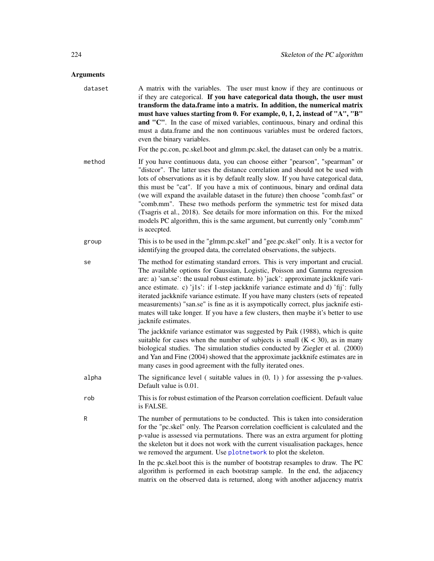| dataset | A matrix with the variables. The user must know if they are continuous or<br>if they are categorical. If you have categorical data though, the user must<br>transform the data.frame into a matrix. In addition, the numerical matrix<br>must have values starting from 0. For example, 0, 1, 2, instead of "A", "B"<br>and "C". In the case of mixed variables, continuous, binary and ordinal this<br>must a data.frame and the non continuous variables must be ordered factors,<br>even the binary variables.<br>For the pc.con, pc.skel.boot and glmm.pc.skel, the dataset can only be a matrix.                                                                                 |
|---------|---------------------------------------------------------------------------------------------------------------------------------------------------------------------------------------------------------------------------------------------------------------------------------------------------------------------------------------------------------------------------------------------------------------------------------------------------------------------------------------------------------------------------------------------------------------------------------------------------------------------------------------------------------------------------------------|
| method  | If you have continuous data, you can choose either "pearson", "spearman" or<br>"distcor". The latter uses the distance correlation and should not be used with<br>lots of observations as it is by default really slow. If you have categorical data,<br>this must be "cat". If you have a mix of continuous, binary and ordinal data<br>(we will expand the available dataset in the future) then choose "comb.fast" or<br>"comb.mm". These two methods perform the symmetric test for mixed data<br>(Tsagris et al., 2018). See details for more information on this. For the mixed<br>models PC algorithm, this is the same argument, but currently only "comb.mm"<br>is acecpted. |
| group   | This is to be used in the "glmm.pc.skel" and "gee.pc.skel" only. It is a vector for<br>identifying the grouped data, the correlated observations, the subjects.                                                                                                                                                                                                                                                                                                                                                                                                                                                                                                                       |
| se      | The method for estimating standard errors. This is very important and crucial.<br>The available options for Gaussian, Logistic, Poisson and Gamma regression<br>are: a) 'san.se': the usual robust estimate. b) 'jack': approximate jackknife vari-<br>ance estimate. c) 'j1s': if 1-step jackknife variance estimate and d) 'fij': fully<br>iterated jackknife variance estimate. If you have many clusters (sets of repeated<br>measurements) "san.se" is fine as it is asympotically correct, plus jacknife esti-<br>mates will take longer. If you have a few clusters, then maybe it's better to use<br>jacknife estimates.                                                      |
|         | The jackknife variance estimator was suggested by Paik (1988), which is quite<br>suitable for cases when the number of subjects is small $(K < 30)$ , as in many<br>biological studies. The simulation studies conducted by Ziegler et al. (2000)<br>and Yan and Fine (2004) showed that the approximate jackknife estimates are in<br>many cases in good agreement with the fully iterated ones.                                                                                                                                                                                                                                                                                     |
| alpha   | The significance level (suitable values in $(0, 1)$ ) for assessing the p-values.<br>Default value is 0.01.                                                                                                                                                                                                                                                                                                                                                                                                                                                                                                                                                                           |
| rob     | This is for robust estimation of the Pearson correlation coefficient. Default value<br>is FALSE.                                                                                                                                                                                                                                                                                                                                                                                                                                                                                                                                                                                      |
| R       | The number of permutations to be conducted. This is taken into consideration<br>for the "pc.skel" only. The Pearson correlation coefficient is calculated and the<br>p-value is assessed via permutations. There was an extra argument for plotting<br>the skeleton but it does not work with the current visualisation packages, hence<br>we removed the argument. Use plotnetwork to plot the skeleton.<br>In the pc.skel.boot this is the number of bootstrap resamples to draw. The PC                                                                                                                                                                                            |
|         | algorithm is performed in each bootstrap sample. In the end, the adjacency<br>matrix on the observed data is returned, along with another adjacency matrix                                                                                                                                                                                                                                                                                                                                                                                                                                                                                                                            |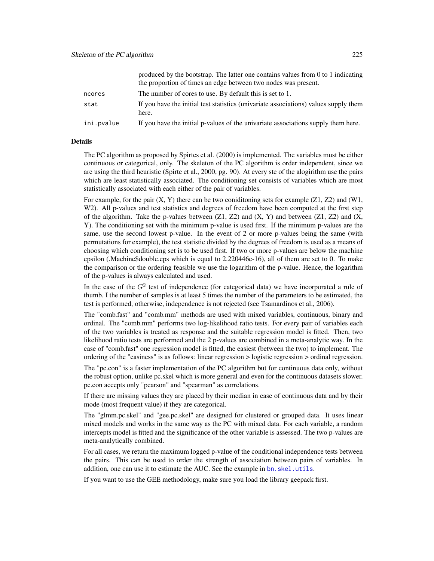|            | produced by the bootstrap. The latter one contains values from $0$ to 1 indicating<br>the proportion of times an edge between two nodes was present. |
|------------|------------------------------------------------------------------------------------------------------------------------------------------------------|
| ncores     | The number of cores to use. By default this is set to 1.                                                                                             |
| stat       | If you have the initial test statistics (univariate associations) values supply them<br>here.                                                        |
| ini.pvalue | If you have the initial p-values of the univariate associations supply them here.                                                                    |

#### Details

The PC algorithm as proposed by Spirtes et al. (2000) is implemented. The variables must be either continuous or categorical, only. The skeleton of the PC algorithm is order independent, since we are using the third heuristic (Spirte et al., 2000, pg. 90). At every ste of the alogirithm use the pairs which are least statistically associated. The conditioning set consists of variables which are most statistically associated with each either of the pair of variables.

For example, for the pair  $(X, Y)$  there can be two coniditioning sets for example  $(Z1, Z2)$  and  $(W1, Y2)$ W2). All p-values and test statistics and degrees of freedom have been computed at the first step of the algorithm. Take the p-values between  $(Z1, Z2)$  and  $(X, Y)$  and between  $(Z1, Z2)$  and  $(X, Y)$ Y). The conditioning set with the minimum p-value is used first. If the minimum p-values are the same, use the second lowest p-value. In the event of 2 or more p-values being the same (with permutations for example), the test statistic divided by the degrees of freedom is used as a means of choosing which conditioning set is to be used first. If two or more p-values are below the machine epsilon (.Machine\$double.eps which is equal to 2.220446e-16), all of them are set to 0. To make the comparison or the ordering feasible we use the logarithm of the p-value. Hence, the logarithm of the p-values is always calculated and used.

In the case of the  $G<sup>2</sup>$  test of independence (for categorical data) we have incorporated a rule of thumb. I the number of samples is at least 5 times the number of the parameters to be estimated, the test is performed, otherwise, independence is not rejected (see Tsamardinos et al., 2006).

The "comb.fast" and "comb.mm" methods are used with mixed variables, continuous, binary and ordinal. The "comb.mm" performs two log-likelihood ratio tests. For every pair of variables each of the two variables is treated as response and the suitable regression model is fitted. Then, two likelihood ratio tests are performed and the 2 p-values are combined in a meta-analytic way. In the case of "comb.fast" one regression model is fitted, the easiest (between the two) to implement. The ordering of the "easiness" is as follows: linear regression > logistic regression > ordinal regression.

The "pc.con" is a faster implementation of the PC algorithm but for continuous data only, without the robust option, unlike pc.skel which is more general and even for the continuous datasets slower. pc.con accepts only "pearson" and "spearman" as correlations.

If there are missing values they are placed by their median in case of continuous data and by their mode (most frequent value) if they are categorical.

The "glmm.pc.skel" and "gee.pc.skel" are designed for clustered or grouped data. It uses linear mixed models and works in the same way as the PC with mixed data. For each variable, a random intercepts model is fitted and the significance of the other variable is assessed. The two p-values are meta-analytically combined.

For all cases, we return the maximum logged p-value of the conditional independence tests between the pairs. This can be used to order the strength of association between pairs of variables. In addition, one can use it to estimate the AUC. See the example in bn. skel.utils.

If you want to use the GEE methodology, make sure you load the library geepack first.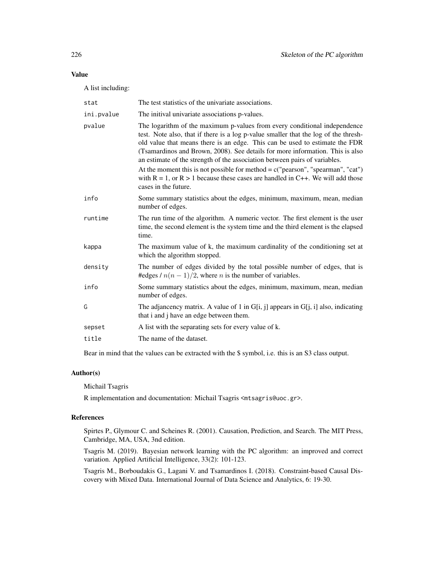# Value

A list including:

| stat       | The test statistics of the univariate associations.                                                                                                                                                                                                                                                                                                                                                            |
|------------|----------------------------------------------------------------------------------------------------------------------------------------------------------------------------------------------------------------------------------------------------------------------------------------------------------------------------------------------------------------------------------------------------------------|
| ini.pvalue | The initival univariate associations p-values.                                                                                                                                                                                                                                                                                                                                                                 |
| pvalue     | The logarithm of the maximum p-values from every conditional independence<br>test. Note also, that if there is a log p-value smaller that the log of the thresh-<br>old value that means there is an edge. This can be used to estimate the FDR<br>(Tsamardinos and Brown, 2008). See details for more information. This is also<br>an estimate of the strength of the association between pairs of variables. |
|            | At the moment this is not possible for method $= c("pearson", "searman", "cat")$<br>with $R = 1$ , or $R > 1$ because these cases are handled in C++. We will add those<br>cases in the future.                                                                                                                                                                                                                |
| info       | Some summary statistics about the edges, minimum, maximum, mean, median<br>number of edges.                                                                                                                                                                                                                                                                                                                    |
| runtime    | The run time of the algorithm. A numeric vector. The first element is the user<br>time, the second element is the system time and the third element is the elapsed<br>time.                                                                                                                                                                                                                                    |
| kappa      | The maximum value of k, the maximum cardinality of the conditioning set at<br>which the algorithm stopped.                                                                                                                                                                                                                                                                                                     |
| density    | The number of edges divided by the total possible number of edges, that is<br>#edges / $n(n-1)/2$ , where <i>n</i> is the number of variables.                                                                                                                                                                                                                                                                 |
| info       | Some summary statistics about the edges, minimum, maximum, mean, median<br>number of edges.                                                                                                                                                                                                                                                                                                                    |
| G          | The adjancency matrix. A value of 1 in $G[i, j]$ appears in $G[j, i]$ also, indicating<br>that i and j have an edge between them.                                                                                                                                                                                                                                                                              |
| sepset     | A list with the separating sets for every value of k.                                                                                                                                                                                                                                                                                                                                                          |
| title      | The name of the dataset.                                                                                                                                                                                                                                                                                                                                                                                       |
|            |                                                                                                                                                                                                                                                                                                                                                                                                                |

Bear in mind that the values can be extracted with the \$ symbol, i.e. this is an S3 class output.

# Author(s)

Michail Tsagris

R implementation and documentation: Michail Tsagris <mtsagris@uoc.gr>.

# References

Spirtes P., Glymour C. and Scheines R. (2001). Causation, Prediction, and Search. The MIT Press, Cambridge, MA, USA, 3nd edition.

Tsagris M. (2019). Bayesian network learning with the PC algorithm: an improved and correct variation. Applied Artificial Intelligence, 33(2): 101-123.

Tsagris M., Borboudakis G., Lagani V. and Tsamardinos I. (2018). Constraint-based Causal Discovery with Mixed Data. International Journal of Data Science and Analytics, 6: 19-30.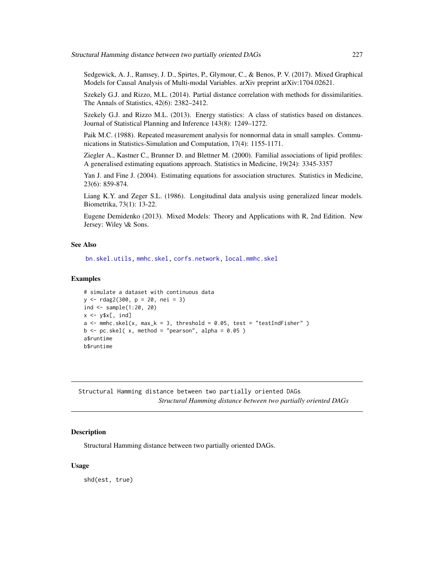Sedgewick, A. J., Ramsey, J. D., Spirtes, P., Glymour, C., & Benos, P. V. (2017). Mixed Graphical Models for Causal Analysis of Multi-modal Variables. arXiv preprint arXiv:1704.02621.

Szekely G.J. and Rizzo, M.L. (2014). Partial distance correlation with methods for dissimilarities. The Annals of Statistics, 42(6): 2382–2412.

Szekely G.J. and Rizzo M.L. (2013). Energy statistics: A class of statistics based on distances. Journal of Statistical Planning and Inference 143(8): 1249–1272.

Paik M.C. (1988). Repeated measurement analysis for nonnormal data in small samples. Communications in Statistics-Simulation and Computation, 17(4): 1155-1171.

Ziegler A., Kastner C., Brunner D. and Blettner M. (2000). Familial associations of lipid profiles: A generalised estimating equations approach. Statistics in Medicine, 19(24): 3345-3357

Yan J. and Fine J. (2004). Estimating equations for association structures. Statistics in Medicine, 23(6): 859-874.

Liang K.Y. and Zeger S.L. (1986). Longitudinal data analysis using generalized linear models. Biometrika, 73(1): 13-22.

Eugene Demidenko (2013). Mixed Models: Theory and Applications with R, 2nd Edition. New Jersey: Wiley \& Sons.

#### See Also

[bn.skel.utils,](#page-244-0) [mmhc.skel,](#page-219-0) [corfs.network,](#page-193-0) [local.mmhc.skel](#page-217-0)

#### Examples

```
# simulate a dataset with continuous data
y <- rdag2(300, p = 20, nei = 3)
ind <- sample(1:20, 20)
x \leftarrow y \x[, ind]
a \leq mmhc.skel(x, max_k = 3, threshold = 0.05, test = "testIndFisher")
b \le p \text{c.} skel( x, method = "pearson", alpha = 0.05 )
a$runtime
b$runtime
```
Structural Hamming distance between two partially oriented DAGs *Structural Hamming distance between two partially oriented DAGs*

#### Description

Structural Hamming distance between two partially oriented DAGs.

#### Usage

shd(est, true)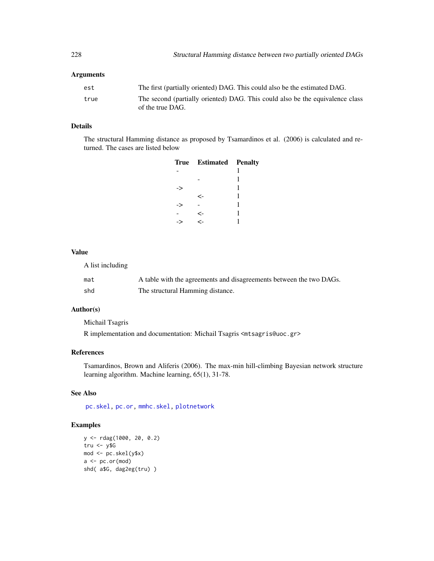# Arguments

| est  | The first (partially oriented) DAG. This could also be the estimated DAG.                         |
|------|---------------------------------------------------------------------------------------------------|
| true | The second (partially oriented) DAG. This could also be the equivalence class<br>of the true DAG. |

# Details

The structural Hamming distance as proposed by Tsamardinos et al. (2006) is calculated and returned. The cases are listed below

|    | <b>True Estimated Penalty</b> |   |
|----|-------------------------------|---|
|    |                               | 1 |
|    |                               | 1 |
| -> |                               | 1 |
|    | ←                             | 1 |
| -> |                               | 1 |
|    | <-                            | 1 |
|    | ←                             |   |
|    |                               |   |

#### Value

A list including

| mat | A table with the agreements and disagreements between the two DAGs. |
|-----|---------------------------------------------------------------------|
| shd | The structural Hamming distance.                                    |

# Author(s)

Michail Tsagris

R implementation and documentation: Michail Tsagris <mtsagris@uoc.gr>

# References

Tsamardinos, Brown and Aliferis (2006). The max-min hill-climbing Bayesian network structure learning algorithm. Machine learning, 65(1), 31-78.

# See Also

[pc.skel,](#page-222-0) [pc.or,](#page-195-0) [mmhc.skel,](#page-219-0) [plotnetwork](#page-168-0)

# Examples

```
y <- rdag(1000, 20, 0.2)
tru <- y$G
mod <- pc.skel(y$x)
a \leftarrow pc.or(mod)shd( a$G, dag2eg(tru) )
```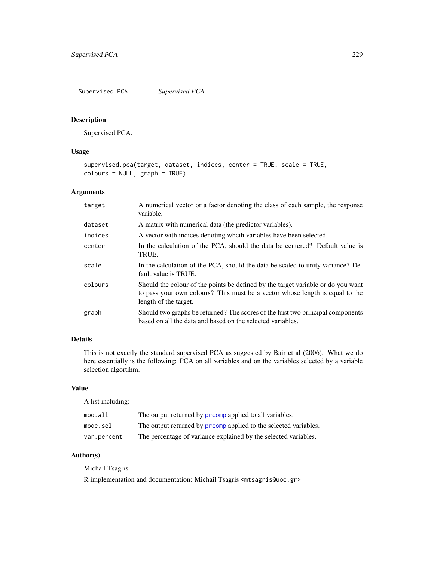<span id="page-228-0"></span>Supervised PCA *Supervised PCA*

#### Description

Supervised PCA.

# Usage

```
supervised.pca(target, dataset, indices, center = TRUE, scale = TRUE,
colours = NULL, graph = TRUE)
```
# Arguments

| target  | A numerical vector or a factor denoting the class of each sample, the response<br>variable.                                                                                               |
|---------|-------------------------------------------------------------------------------------------------------------------------------------------------------------------------------------------|
| dataset | A matrix with numerical data (the predictor variables).                                                                                                                                   |
| indices | A vector with indices denoting wheih variables have been selected.                                                                                                                        |
| center  | In the calculation of the PCA, should the data be centered? Default value is<br>TRUE.                                                                                                     |
| scale   | In the calculation of the PCA, should the data be scaled to unity variance? De-<br>fault value is TRUE.                                                                                   |
| colours | Should the colour of the points be defined by the target variable or do you want<br>to pass your own colours? This must be a vector whose length is equal to the<br>length of the target. |
| graph   | Should two graphs be returned? The scores of the frist two principal components<br>based on all the data and based on the selected variables.                                             |

# Details

This is not exactly the standard supervised PCA as suggested by Bair et al (2006). What we do here essentially is the following: PCA on all variables and on the variables selected by a variable selection algortihm.

# Value

A list including:

| mod.all     | The output returned by <b>promp</b> applied to all variables.   |
|-------------|-----------------------------------------------------------------|
| mode.sel    | The output returned by promp applied to the selected variables. |
| var.percent | The percentage of variance explained by the selected variables. |

# Author(s)

Michail Tsagris

R implementation and documentation: Michail Tsagris <mtsagris@uoc.gr>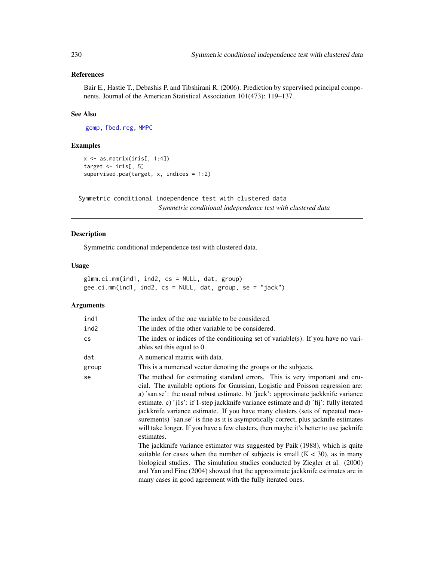# References

Bair E., Hastie T., Debashis P. and Tibshirani R. (2006). Prediction by supervised principal components. Journal of the American Statistical Association 101(473): 119–137.

# See Also

[gomp,](#page-157-0) [fbed.reg,](#page-133-0) [MMPC](#page-84-0)

#### Examples

```
x \leftarrow as.matrix(iris[, 1:4]target <- iris[, 5]
supervised.pca(target, x, indices = 1:2)
```
Symmetric conditional independence test with clustered data *Symmetric conditional independence test with clustered data*

# Description

Symmetric conditional independence test with clustered data.

#### Usage

glmm.ci.mm(ind1, ind2, cs = NULL, dat, group) gee.ci.mm(ind1, ind2, cs = NULL, dat, group, se = "jack")

| ind1                   | The index of the one variable to be considered.                                                                                                                                                                                                                                                                                                                                                                                                                                                                                                                                                                                                                                                                  |
|------------------------|------------------------------------------------------------------------------------------------------------------------------------------------------------------------------------------------------------------------------------------------------------------------------------------------------------------------------------------------------------------------------------------------------------------------------------------------------------------------------------------------------------------------------------------------------------------------------------------------------------------------------------------------------------------------------------------------------------------|
| ind2                   | The index of the other variable to be considered.                                                                                                                                                                                                                                                                                                                                                                                                                                                                                                                                                                                                                                                                |
| $\mathsf{c}\mathsf{s}$ | The index or indices of the conditioning set of variable(s). If you have no vari-<br>ables set this equal to 0.                                                                                                                                                                                                                                                                                                                                                                                                                                                                                                                                                                                                  |
| dat                    | A numerical matrix with data.                                                                                                                                                                                                                                                                                                                                                                                                                                                                                                                                                                                                                                                                                    |
| group                  | This is a numerical vector denoting the groups or the subjects.                                                                                                                                                                                                                                                                                                                                                                                                                                                                                                                                                                                                                                                  |
| se                     | The method for estimating standard errors. This is very important and cru-<br>cial. The available options for Gaussian, Logistic and Poisson regression are:<br>a) 'san.se': the usual robust estimate. b) 'jack': approximate jackknife variance<br>estimate. c) $i$ [1s': if 1-step jackknife variance estimate and d) $i$ fij': fully iterated<br>jackknife variance estimate. If you have many clusters (sets of repeated mea-<br>surements) "san.se" is fine as it is asympotically correct, plus jacknife estimates<br>will take longer. If you have a few clusters, then maybe it's better to use jacknife<br>estimates.<br>The jackknife variance estimator was suggested by Paik (1988), which is quite |
|                        | suitable for cases when the number of subjects is small $(K < 30)$ , as in many<br>biological studies. The simulation studies conducted by Ziegler et al. (2000)                                                                                                                                                                                                                                                                                                                                                                                                                                                                                                                                                 |
|                        | and Yan and Fine (2004) showed that the approximate jackknife estimates are in<br>many cases in good agreement with the fully iterated ones.                                                                                                                                                                                                                                                                                                                                                                                                                                                                                                                                                                     |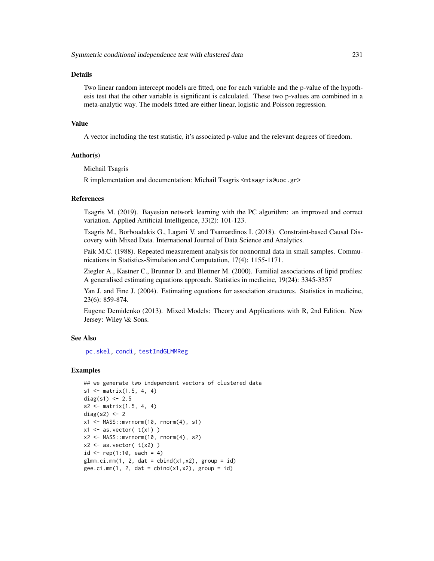#### Details

Two linear random intercept models are fitted, one for each variable and the p-value of the hypothesis test that the other variable is significant is calculated. These two p-values are combined in a meta-analytic way. The models fitted are either linear, logistic and Poisson regression.

#### Value

A vector including the test statistic, it's associated p-value and the relevant degrees of freedom.

#### Author(s)

Michail Tsagris

R implementation and documentation: Michail Tsagris <mtsagris@uoc.gr>

# References

Tsagris M. (2019). Bayesian network learning with the PC algorithm: an improved and correct variation. Applied Artificial Intelligence, 33(2): 101-123.

Tsagris M., Borboudakis G., Lagani V. and Tsamardinos I. (2018). Constraint-based Causal Discovery with Mixed Data. International Journal of Data Science and Analytics.

Paik M.C. (1988). Repeated measurement analysis for nonnormal data in small samples. Communications in Statistics-Simulation and Computation, 17(4): 1155-1171.

Ziegler A., Kastner C., Brunner D. and Blettner M. (2000). Familial associations of lipid profiles: A generalised estimating equations approach. Statistics in medicine, 19(24): 3345-3357

Yan J. and Fine J. (2004). Estimating equations for association structures. Statistics in medicine, 23(6): 859-874.

Eugene Demidenko (2013). Mixed Models: Theory and Applications with R, 2nd Edition. New Jersey: Wiley \& Sons.

#### See Also

[pc.skel,](#page-222-0) [condi,](#page-82-0) [testIndGLMMReg](#page-54-0)

#### Examples

```
## we generate two independent vectors of clustered data
s1 \leq matrix(1.5, 4, 4)
diag(s1) <- 2.5s2 \leq - matrix(1.5, 4, 4)
diag(s2) <-2x1 \leq MASS:: mvrnorm(10, rnorm(4), s1)
x1 \leftarrow as.vector(t(x1))x2 \le - MASS::mvrnorm(10, rnorm(4), s2)
x2 \leq -as. vector(t(x2))
id \leq rep(1:10, each = 4)glmm.ci.mm(1, 2, dat = cbind(x1, x2), group = id)gee.ci.mm(1, 2, dat = child(x1, x2), group = id)
```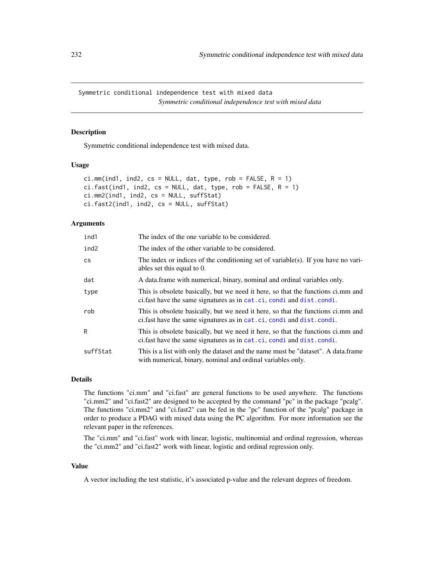Symmetric conditional independence test with mixed data *Symmetric conditional independence test with mixed data*

# **Description**

Symmetric conditional independence test with mixed data.

#### Usage

```
ci.mm(ind1, ind2, cs = NULL, dat, type, rob = FALSE, R = 1)ci.fast(ind1, ind2, cs = NULL, dat, type, rob = FALSE, R = 1)ci.mm2(ind1, ind2, cs = NULL, suffStat)
ci.fast2(ind1, ind2, cs = NULL, suffStat)
```
#### Arguments

| ind1     | The index of the one variable to be considered.                                                                                                             |
|----------|-------------------------------------------------------------------------------------------------------------------------------------------------------------|
| ind2     | The index of the other variable to be considered.                                                                                                           |
| cs       | The index or indices of the conditioning set of variable(s). If you have no vari-<br>ables set this equal to $0$ .                                          |
| dat      | A data frame with numerical, binary, nominal and ordinal variables only.                                                                                    |
| type     | This is obsolete basically, but we need it here, so that the functions ci.mm and<br>ci. fast have the same signatures as in cat. ci, condi and dist. condi. |
| rob      | This is obsolete basically, but we need it here, so that the functions ci.mm and<br>ci.fast have the same signatures as in cat.ci, condi and dist.condi.    |
| R        | This is obsolete basically, but we need it here, so that the functions ci.mm and<br>ci.fast have the same signatures as in cat.ci, condi and dist.condi.    |
| suffStat | This is a list with only the dataset and the name must be "dataset". A data.frame<br>with numerical, binary, nominal and ordinal variables only.            |

# Details

The functions "ci.mm" and "ci.fast" are general functions to be used anywhere. The functions "ci.mm2" and "ci.fast2" are designed to be accepted by the command "pc" in the package "pcalg". The functions "ci.mm2" and "ci.fast2" can be fed in the "pc" function of the "pcalg" package in order to produce a PDAG with mixed data using the PC algorithm. For more information see the relevant paper in the references.

The "ci.mm" and "ci.fast" work with linear, logistic, multinomial and ordinal regression, whereas the "ci.mm2" and "ci.fast2" work with linear, logistic and ordinal regression only.

#### Value

A vector including the test statistic, it's associated p-value and the relevant degrees of freedom.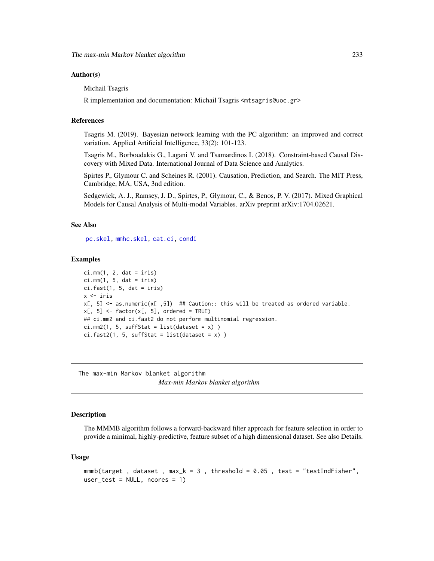#### Author(s)

Michail Tsagris

R implementation and documentation: Michail Tsagris <mtsagris@uoc.gr>

#### References

Tsagris M. (2019). Bayesian network learning with the PC algorithm: an improved and correct variation. Applied Artificial Intelligence, 33(2): 101-123.

Tsagris M., Borboudakis G., Lagani V. and Tsamardinos I. (2018). Constraint-based Causal Discovery with Mixed Data. International Journal of Data Science and Analytics.

Spirtes P., Glymour C. and Scheines R. (2001). Causation, Prediction, and Search. The MIT Press, Cambridge, MA, USA, 3nd edition.

Sedgewick, A. J., Ramsey, J. D., Spirtes, P., Glymour, C., & Benos, P. V. (2017). Mixed Graphical Models for Causal Analysis of Multi-modal Variables. arXiv preprint arXiv:1704.02621.

#### See Also

[pc.skel,](#page-222-0) [mmhc.skel,](#page-219-0) [cat.ci,](#page-82-0) [condi](#page-82-0)

#### Examples

```
ci.mm(1, 2, dat = iris)ci.mm(1, 5, dat = iris)ci.fast(1, 5, dat = iris)x <- iris
x[, 5] <- as.numeric(x[, 5]) ## Caution:: this will be treated as ordered variable.
x[, 5] <- factor(x[, 5], ordered = TRUE)
## ci.mm2 and ci.fast2 do not perform multinomial regression.
ci.mm2(1, 5, suffix = list(dataset = x) )ci.fast2(1, 5, suffix = list(dataset = x) )
```
The max-min Markov blanket algorithm *Max-min Markov blanket algorithm*

#### **Description**

The MMMB algorithm follows a forward-backward filter approach for feature selection in order to provide a minimal, highly-predictive, feature subset of a high dimensional dataset. See also Details.

#### Usage

```
mmmb(target, dataset, max_k = 3, threshold = 0.05, test = "testIndFisher",
user_test = NULL, ncores = 1)
```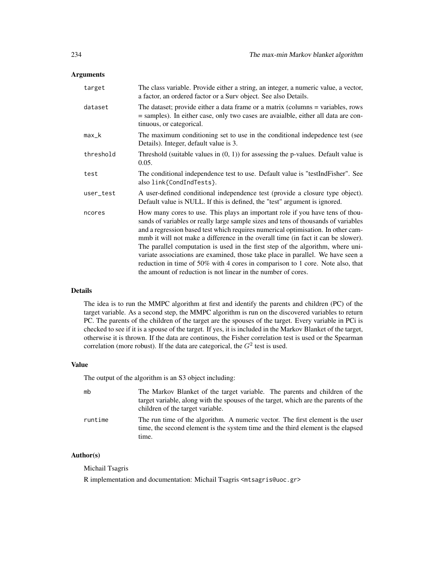# Arguments

| target    | The class variable. Provide either a string, an integer, a numeric value, a vector,<br>a factor, an ordered factor or a Surv object. See also Details.                                                                                                                                                                                                                                                                                                                                                                                                                                                                                                                |
|-----------|-----------------------------------------------------------------------------------------------------------------------------------------------------------------------------------------------------------------------------------------------------------------------------------------------------------------------------------------------------------------------------------------------------------------------------------------------------------------------------------------------------------------------------------------------------------------------------------------------------------------------------------------------------------------------|
| dataset   | The dataset; provide either a data frame or a matrix (columns = variables, rows<br>= samples). In either case, only two cases are avaialble, either all data are con-<br>tinuous, or categorical.                                                                                                                                                                                                                                                                                                                                                                                                                                                                     |
| max_k     | The maximum conditioning set to use in the conditional indepedence test (see<br>Details). Integer, default value is 3.                                                                                                                                                                                                                                                                                                                                                                                                                                                                                                                                                |
| threshold | Threshold (suitable values in $(0, 1)$ ) for assessing the p-values. Default value is<br>0.05.                                                                                                                                                                                                                                                                                                                                                                                                                                                                                                                                                                        |
| test      | The conditional independence test to use. Default value is "testIndFisher". See<br>also link{CondIndTests}.                                                                                                                                                                                                                                                                                                                                                                                                                                                                                                                                                           |
| user_test | A user-defined conditional independence test (provide a closure type object).<br>Default value is NULL. If this is defined, the "test" argument is ignored.                                                                                                                                                                                                                                                                                                                                                                                                                                                                                                           |
| ncores    | How many cores to use. This plays an important role if you have tens of thou-<br>sands of variables or really large sample sizes and tens of thousands of variables<br>and a regression based test which requires numerical optimisation. In other cam-<br>mmb it will not make a difference in the overall time (in fact it can be slower).<br>The parallel computation is used in the first step of the algorithm, where uni-<br>variate associations are examined, those take place in parallel. We have seen a<br>reduction in time of 50% with 4 cores in comparison to 1 core. Note also, that<br>the amount of reduction is not linear in the number of cores. |

# Details

The idea is to run the MMPC algorithm at first and identify the parents and children (PC) of the target variable. As a second step, the MMPC algorithm is run on the discovered variables to return PC. The parents of the children of the target are the spouses of the target. Every variable in PCi is checked to see if it is a spouse of the target. If yes, it is included in the Markov Blanket of the target, otherwise it is thrown. If the data are continous, the Fisher correlation test is used or the Spearman correlation (more robust). If the data are categorical, the  $G<sup>2</sup>$  test is used.

#### Value

The output of the algorithm is an S3 object including:

| mb      | The Markov Blanket of the target variable. The parents and children of the<br>target variable, along with the spouses of the target, which are the parents of the<br>children of the target variable. |
|---------|-------------------------------------------------------------------------------------------------------------------------------------------------------------------------------------------------------|
| runtime | The run time of the algorithm. A numeric vector. The first element is the user<br>time, the second element is the system time and the third element is the elapsed<br>time.                           |

# Author(s)

Michail Tsagris

R implementation and documentation: Michail Tsagris <mtsagris@uoc.gr>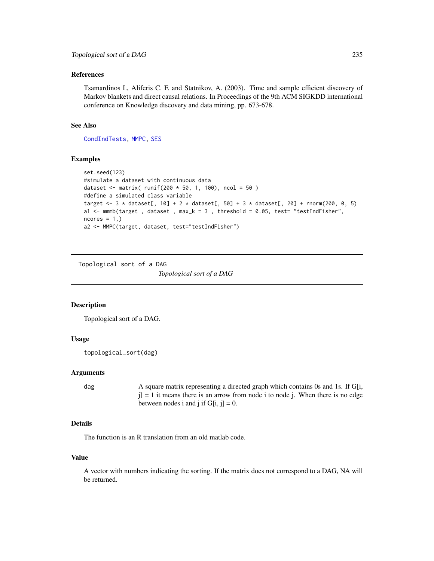#### <span id="page-234-1"></span>References

Tsamardinos I., Aliferis C. F. and Statnikov, A. (2003). Time and sample efficient discovery of Markov blankets and direct causal relations. In Proceedings of the 9th ACM SIGKDD international conference on Knowledge discovery and data mining, pp. 673-678.

#### See Also

[CondIndTests,](#page-31-0) [MMPC,](#page-84-0) [SES](#page-84-0)

# Examples

```
set.seed(123)
#simulate a dataset with continuous data
dataset <- matrix( runif(200 * 50, 1, 100), ncol = 50 )
#define a simulated class variable
target <- 3 \times dataset[, 10] + 2 \times dataset[, 50] + 3 \times dataset[, 20] + rnorm(200, 0, 5)
a1 \leq mmmb(target, dataset, max_k = 3, threshold = 0.05, test= "testIndFisher",
ncores = 1,a2 <- MMPC(target, dataset, test="testIndFisher")
```
Topological sort of a DAG

*Topological sort of a DAG*

#### <span id="page-234-0"></span>Description

Topological sort of a DAG.

#### Usage

topological\_sort(dag)

#### Arguments

dag A square matrix representing a directed graph which contains 0s and 1s. If G[i,  $j$ ] = 1 it means there is an arrow from node i to node j. When there is no edge between nodes i and j if  $G[i, j] = 0$ .

# Details

The function is an R translation from an old matlab code.

# Value

A vector with numbers indicating the sorting. If the matrix does not correspond to a DAG, NA will be returned.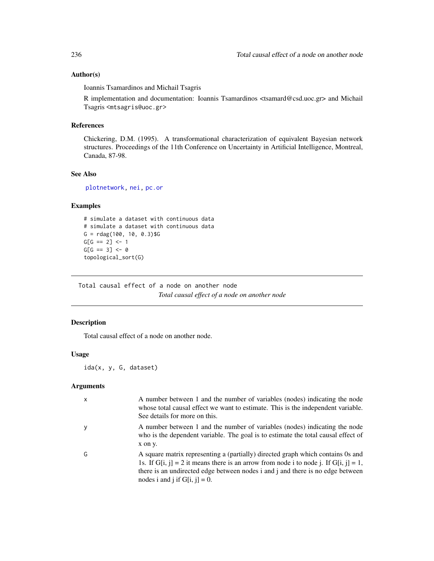### Author(s)

Ioannis Tsamardinos and Michail Tsagris

R implementation and documentation: Ioannis Tsamardinos <tsamard@csd.uoc.gr> and Michail Tsagris <mtsagris@uoc.gr>

# References

Chickering, D.M. (1995). A transformational characterization of equivalent Bayesian network structures. Proceedings of the 11th Conference on Uncertainty in Artificial Intelligence, Montreal, Canada, 87-98.

#### See Also

[plotnetwork,](#page-168-0) [nei,](#page-192-0) [pc.or](#page-195-0)

# Examples

```
# simulate a dataset with continuous data
# simulate a dataset with continuous data
G = r \text{dag}(100, 10, 0.3)$G
G[G == 2] \leftarrow 1G[G == 3] < - 0topological_sort(G)
```
Total causal effect of a node on another node *Total causal effect of a node on another node*

# Description

Total causal effect of a node on another node.

# Usage

ida(x, y, G, dataset)

| $\mathsf{x}$ | A number between 1 and the number of variables (nodes) indicating the node<br>whose total causal effect we want to estimate. This is the independent variable.<br>See details for more on this.                                                                                               |
|--------------|-----------------------------------------------------------------------------------------------------------------------------------------------------------------------------------------------------------------------------------------------------------------------------------------------|
| y            | A number between 1 and the number of variables (nodes) indicating the node<br>who is the dependent variable. The goal is to estimate the total causal effect of<br>x on y.                                                                                                                    |
| G            | A square matrix representing a (partially) directed graph which contains 0s and<br>1s. If G[i, j] = 2 it means there is an arrow from node i to node j. If G[i, j] = 1,<br>there is an undirected edge between nodes i and j and there is no edge between<br>nodes i and j if $G[i, j] = 0$ . |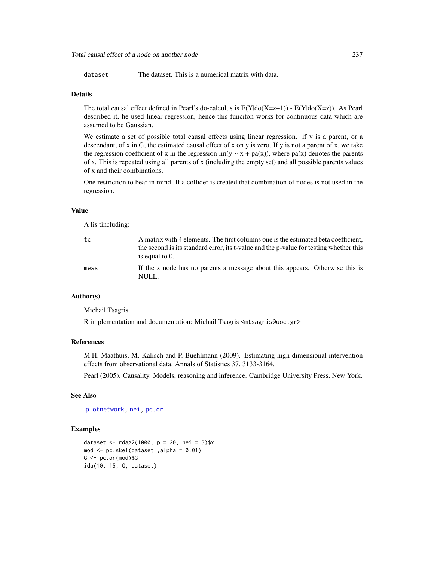Total causal effect of a node on another node 237

dataset The dataset. This is a numerical matrix with data.

#### Details

The total causal effect defined in Pearl's do-calculus is  $E(Y|do(X=z+1)) - E(Y|do(X=z))$ . As Pearl described it, he used linear regression, hence this funciton works for continuous data which are assumed to be Gaussian.

We estimate a set of possible total causal effects using linear regression. if y is a parent, or a descendant, of x in G, the estimated causal effect of x on y is zero. If y is not a parent of x, we take the regression coefficient of x in the regression  $lm(y \sim x + pa(x))$ , where pa(x) denotes the parents of x. This is repeated using all parents of x (including the empty set) and all possible parents values of x and their combinations.

One restriction to bear in mind. If a collider is created that combination of nodes is not used in the regression.

# Value

A lis tincluding:

| tc   | A matrix with 4 elements. The first columns one is the estimated beta coefficient,<br>the second is its standard error, its t-value and the p-value for testing whether this<br>is equal to 0. |
|------|------------------------------------------------------------------------------------------------------------------------------------------------------------------------------------------------|
| mess | If the x node has no parents a message about this appears. Otherwise this is<br>NULL.                                                                                                          |

# Author(s)

Michail Tsagris

R implementation and documentation: Michail Tsagris <mtsagris@uoc.gr>

#### References

M.H. Maathuis, M. Kalisch and P. Buehlmann (2009). Estimating high-dimensional intervention effects from observational data. Annals of Statistics 37, 3133-3164.

Pearl (2005). Causality. Models, reasoning and inference. Cambridge University Press, New York.

# See Also

[plotnetwork,](#page-168-0) [nei,](#page-192-0) [pc.or](#page-195-0)

#### Examples

```
dataset <- rdag2(1000, p = 20, nei = 3)$x
mod \leq pc.skel(dataset ,alpha = 0.01)
G \leq p \cdot c \cdot (mod)$G
ida(10, 15, G, dataset)
```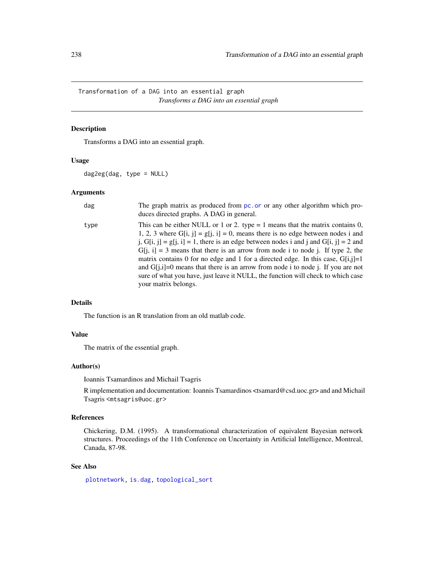<span id="page-237-0"></span>Transformation of a DAG into an essential graph *Transforms a DAG into an essential graph*

# Description

Transforms a DAG into an essential graph.

#### Usage

dag2eg(dag, type = NULL)

# Arguments

| dag  | The graph matrix as produced from pc. or or any other algorithm which pro-<br>duces directed graphs. A DAG in general.                                                                                                                                                                                                                                                                                                                                                                                                                                                                                                                    |
|------|-------------------------------------------------------------------------------------------------------------------------------------------------------------------------------------------------------------------------------------------------------------------------------------------------------------------------------------------------------------------------------------------------------------------------------------------------------------------------------------------------------------------------------------------------------------------------------------------------------------------------------------------|
| type | This can be either NULL or 1 or 2. type $= 1$ means that the matrix contains 0,<br>1, 2, 3 where G[i, j] = g[j, i] = 0, means there is no edge between nodes i and<br>j, $G[i, j] = g[j, i] = 1$ , there is an edge between nodes i and j and $G[i, j] = 2$ and<br>$G[i, i] = 3$ means that there is an arrow from node i to node j. If type 2, the<br>matrix contains 0 for no edge and 1 for a directed edge. In this case, $G[i,j]=1$<br>and $G[i,i]=0$ means that there is an arrow from node i to node j. If you are not<br>sure of what you have, just leave it NULL, the function will check to which case<br>your matrix belongs. |

#### Details

The function is an R translation from an old matlab code.

# Value

The matrix of the essential graph.

#### Author(s)

Ioannis Tsamardinos and Michail Tsagris

R implementation and documentation: Ioannis Tsamardinos <tsamard@csd.uoc.gr> and and Michail Tsagris <mtsagris@uoc.gr>

# References

Chickering, D.M. (1995). A transformational characterization of equivalent Bayesian network structures. Proceedings of the 11th Conference on Uncertainty in Artificial Intelligence, Montreal, Canada, 87-98.

# See Also

[plotnetwork,](#page-168-0) [is.dag,](#page-30-0) [topological\\_sort](#page-234-0)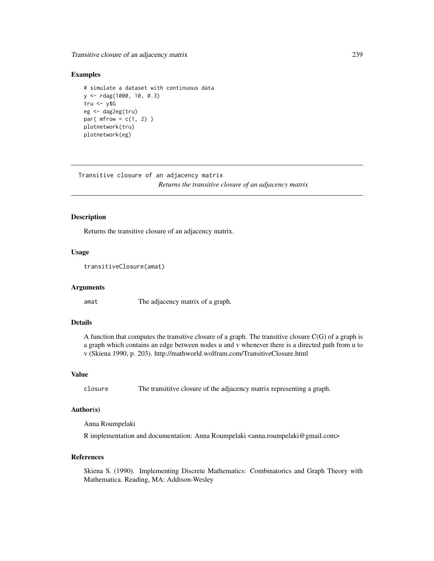#### Examples

```
# simulate a dataset with continuous data
y <- rdag(1000, 10, 0.3)
tru < -y$G
eg <- dag2eg(tru)
par(mfrow = c(1, 2))
plotnetwork(tru)
plotnetwork(eg)
```
Transitive closure of an adjacency matrix *Returns the transitive closure of an adjacency matrix*

#### Description

Returns the transitive closure of an adjacency matrix.

#### Usage

```
transitiveClosure(amat)
```
#### Arguments

amat The adjacency matrix of a graph.

#### Details

A function that computes the transitive closure of a graph. The transitive closure  $C(G)$  of a graph is a graph which contains an edge between nodes u and v whenever there is a directed path from u to v (Skiena 1990, p. 203). http://mathworld.wolfram.com/TransitiveClosure.html

#### Value

closure The transititve closure of the adjacency matrix representing a graph.

# Author(s)

Anna Roumpelaki

R implementation and documentation: Anna Roumpelaki <anna.roumpelaki@gmail.com>

## References

Skiena S. (1990). Implementing Discrete Mathematics: Combinatorics and Graph Theory with Mathematica. Reading, MA: Addison-Wesley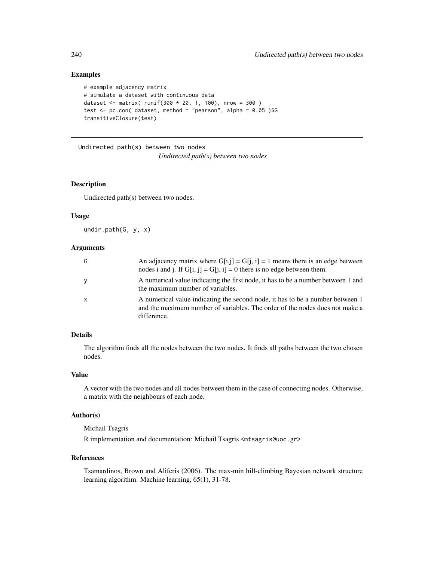# Examples

```
# example adjacency matrix
# simulate a dataset with continuous data
dataset <- matrix( runif(300 * 20, 1, 100), nrow = 300)
test \leq pc.con( dataset, method = "pearson", alpha = 0.05 )$G
transitiveClosure(test)
```
Undirected path(s) between two nodes *Undirected path(s) between two nodes*

# Description

Undirected path(s) between two nodes.

### Usage

undir.path(G, y, x)

#### Arguments

| G | An adjacency matrix where $G[i,j] = G[i, i] = 1$ means there is an edge between<br>nodes i and j. If $G[i, j] = G[i, i] = 0$ there is no edge between them.                 |
|---|-----------------------------------------------------------------------------------------------------------------------------------------------------------------------------|
| y | A numerical value indicating the first node, it has to be a number between 1 and<br>the maximum number of variables.                                                        |
| X | A numerical value indicating the second node, it has to be a number between 1<br>and the maximum number of variables. The order of the nodes does not make a<br>difference. |

# Details

The algorithm finds all the nodes between the two nodes. It finds all paths between the two chosen nodes.

#### Value

A vector with the two nodes and all nodes between them in the case of connecting nodes. Otherwise, a matrix with the neighbours of each node.

# Author(s)

Michail Tsagris

R implementation and documentation: Michail Tsagris <mtsagris@uoc.gr>

#### References

Tsamardinos, Brown and Aliferis (2006). The max-min hill-climbing Bayesian network structure learning algorithm. Machine learning, 65(1), 31-78.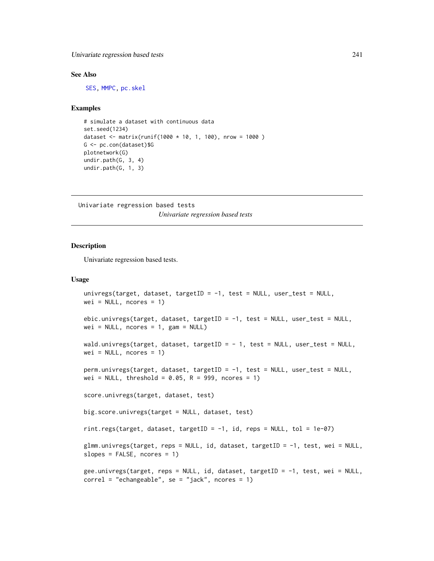#### See Also

[SES,](#page-84-0) [MMPC,](#page-84-0) [pc.skel](#page-222-0)

#### Examples

```
# simulate a dataset with continuous data
set.seed(1234)
dataset <- matrix(runif(1000 * 10, 1, 100), nrow = 1000 )
G <- pc.con(dataset)$G
plotnetwork(G)
undir.path(G, 3, 4)
undir.path(G, 1, 3)
```
Univariate regression based tests *Univariate regression based tests*

# Description

Univariate regression based tests.

#### Usage

```
univregs(target, dataset, targetID = -1, test = NULL, user_test = NULL,
wei = NULL, nocres = 1)ebic.univregs(target, dataset, targetID = -1, test = NULL, user_test = NULL,
wei = NULL, nocres = 1, gam = NULL)wald.univregs(target, dataset, targetID = - 1, test = NULL, user_test = NULL,
wei = NULL, roores = 1)perm.univregs(target, dataset, targetID = -1, test = NULL, user_test = NULL,
wei = NULL, threshold = 0.05, R = 999, ncores = 1)
score.univregs(target, dataset, test)
big.score.univregs(target = NULL, dataset, test)
rint.regs(target, dataset, targetID = -1, id, reps = NULL, tol = 1e-07)
glmm.univregs(target, reps = NULL, id, dataset, targetID = -1, test, wei = NULL,
slopes = FALSE, ncores = 1)
gee.univregs(target, reps = NULL, id, dataset, targetID = -1, test, wei = NULL,
correl = "echangeable", se = "jack", nocres = 1)
```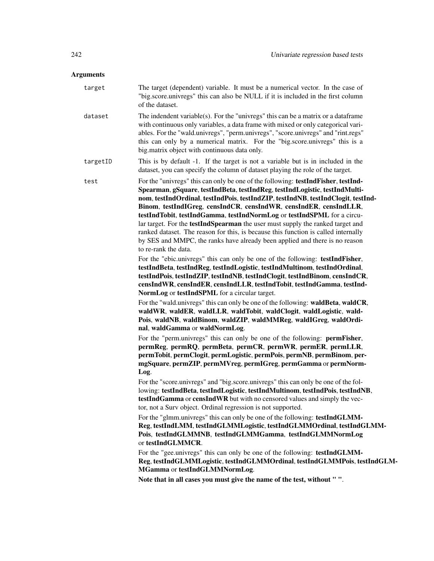# Arguments

|  | target   | The target (dependent) variable. It must be a numerical vector. In the case of<br>"big.score.univregs" this can also be NULL if it is included in the first column<br>of the dataset.                                                                                                                                                                                                                                                                                                                                                                                                                                                                                                                                                                                                                                                                                                                                                                                                                                                                                                                                                                                                                                                                                                             |
|--|----------|---------------------------------------------------------------------------------------------------------------------------------------------------------------------------------------------------------------------------------------------------------------------------------------------------------------------------------------------------------------------------------------------------------------------------------------------------------------------------------------------------------------------------------------------------------------------------------------------------------------------------------------------------------------------------------------------------------------------------------------------------------------------------------------------------------------------------------------------------------------------------------------------------------------------------------------------------------------------------------------------------------------------------------------------------------------------------------------------------------------------------------------------------------------------------------------------------------------------------------------------------------------------------------------------------|
|  | dataset  | The indendent variable(s). For the "univregs" this can be a matrix or a dataframe<br>with continuous only variables, a data frame with mixed or only categorical vari-<br>ables. For the "wald.univregs", "perm.univregs", "score.univregs" and "rint.regs"<br>this can only by a numerical matrix. For the "big.score.univregs" this is a<br>big.matrix object with continuous data only.                                                                                                                                                                                                                                                                                                                                                                                                                                                                                                                                                                                                                                                                                                                                                                                                                                                                                                        |
|  | targetID | This is by default -1. If the target is not a variable but is in included in the<br>dataset, you can specify the column of dataset playing the role of the target.                                                                                                                                                                                                                                                                                                                                                                                                                                                                                                                                                                                                                                                                                                                                                                                                                                                                                                                                                                                                                                                                                                                                |
|  | test     | For the "univregs" this can only be one of the following: testIndFisher, testInd-<br>Spearman, gSquare, testIndBeta, testIndReg, testIndLogistic, testIndMulti-<br>nom, testIndOrdinal, testIndPois, testIndZIP, testIndNB, testIndClogit, testInd-<br>Binom, testIndIGreg, censIndCR, censIndWR, censIndER, censIndLLR,<br>testIndTobit, testIndGamma, testIndNormLog or testIndSPML for a circu-<br>lar target. For the <b>testIndSpearman</b> the user must supply the ranked target and<br>ranked dataset. The reason for this, is because this function is called internally<br>by SES and MMPC, the ranks have already been applied and there is no reason<br>to re-rank the data.<br>For the "ebic.univregs" this can only be one of the following: testIndFisher,<br>testIndBeta, testIndReg, testIndLogistic, testIndMultinom, testIndOrdinal,<br>testIndPois, testIndZIP, testIndNB, testIndClogit, testIndBinom, censIndCR,<br>censIndWR, censIndER, censIndLLR, testIndTobit, testIndGamma, testInd-<br>NormLog or testIndSPML for a circular target.<br>For the "wald.univregs" this can only be one of the following: waldBeta, waldCR,<br>waldWR, waldER, waldLLR, waldTobit, waldClogit, waldLogistic, wald-<br>Pois, waldNB, waldBinom, waldZIP, waldMMReg, waldIGreg, waldOrdi- |
|  |          | nal, waldGamma or waldNormLog.<br>For the "perm.univregs" this can only be one of the following: permFisher,                                                                                                                                                                                                                                                                                                                                                                                                                                                                                                                                                                                                                                                                                                                                                                                                                                                                                                                                                                                                                                                                                                                                                                                      |
|  |          | permReg, permRQ, permBeta, permCR, permWR, permER, permLLR,<br>permTobit, permClogit, permLogistic, permPois, permNB, permBinom, per-<br>mgSquare, permZIP, permMVreg, permIGreg, permGamma or permNorm-<br>Log.                                                                                                                                                                                                                                                                                                                                                                                                                                                                                                                                                                                                                                                                                                                                                                                                                                                                                                                                                                                                                                                                                  |
|  |          | For the "score.univregs" and "big.score.univregs" this can only be one of the fol-<br>lowing: testIndBeta, testIndLogistic, testIndMultinom, testIndPois, testIndNB,<br>testIndGamma or censIndWR but with no censored values and simply the vec-<br>tor, not a Surv object. Ordinal regression is not supported.                                                                                                                                                                                                                                                                                                                                                                                                                                                                                                                                                                                                                                                                                                                                                                                                                                                                                                                                                                                 |
|  |          | For the "glmm.univregs" this can only be one of the following: testIndGLMM-                                                                                                                                                                                                                                                                                                                                                                                                                                                                                                                                                                                                                                                                                                                                                                                                                                                                                                                                                                                                                                                                                                                                                                                                                       |

Reg, testIndLMM, testIndGLMMLogistic, testIndGLMMOrdinal, testIndGLMM-Pois, testIndGLMMNB, testIndGLMMGamma, testIndGLMMNormLog or testIndGLMMCR.

For the "gee.univregs" this can only be one of the following: testIndGLMM-Reg, testIndGLMMLogistic, testIndGLMMOrdinal, testIndGLMMPois, testIndGLM-MGamma or testIndGLMMNormLog.

Note that in all cases you must give the name of the test, without " ".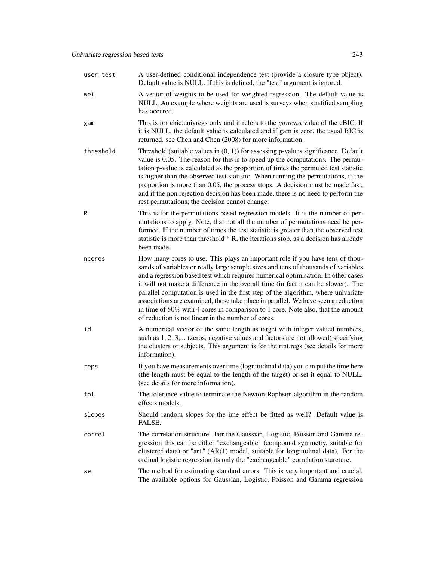| user_test | A user-defined conditional independence test (provide a closure type object).<br>Default value is NULL. If this is defined, the "test" argument is ignored.                                                                                                                                                                                                                                                                                                                                                                                                                                                                                                      |
|-----------|------------------------------------------------------------------------------------------------------------------------------------------------------------------------------------------------------------------------------------------------------------------------------------------------------------------------------------------------------------------------------------------------------------------------------------------------------------------------------------------------------------------------------------------------------------------------------------------------------------------------------------------------------------------|
| wei       | A vector of weights to be used for weighted regression. The default value is<br>NULL. An example where weights are used is surveys when stratified sampling<br>has occured.                                                                                                                                                                                                                                                                                                                                                                                                                                                                                      |
| gam       | This is for ebic.univregs only and it refers to the <i>gamma</i> value of the eBIC. If<br>it is NULL, the default value is calculated and if gam is zero, the usual BIC is<br>returned. see Chen and Chen (2008) for more information.                                                                                                                                                                                                                                                                                                                                                                                                                           |
| threshold | Threshold (suitable values in $(0, 1)$ ) for assessing p-values significance. Default<br>value is 0.05. The reason for this is to speed up the computations. The permu-<br>tation p-value is calculated as the proportion of times the permuted test statistic<br>is higher than the observed test statistic. When running the permutations, if the<br>proportion is more than 0.05, the process stops. A decision must be made fast,<br>and if the non rejection decision has been made, there is no need to perform the<br>rest permutations; the decision cannot change.                                                                                      |
| R         | This is for the permutations based regression models. It is the number of per-<br>mutations to apply. Note, that not all the number of permutations need be per-<br>formed. If the number of times the test statistic is greater than the observed test<br>statistic is more than threshold $*$ R, the iterations stop, as a decision has already<br>been made.                                                                                                                                                                                                                                                                                                  |
| ncores    | How many cores to use. This plays an important role if you have tens of thou-<br>sands of variables or really large sample sizes and tens of thousands of variables<br>and a regression based test which requires numerical optimisation. In other cases<br>it will not make a difference in the overall time (in fact it can be slower). The<br>parallel computation is used in the first step of the algorithm, where univariate<br>associations are examined, those take place in parallel. We have seen a reduction<br>in time of 50% with 4 cores in comparison to 1 core. Note also, that the amount<br>of reduction is not linear in the number of cores. |
| id        | A numerical vector of the same length as target with integer valued numbers,<br>such as 1, 2, 3, (zeros, negative values and factors are not allowed) specifying<br>the clusters or subjects. This argument is for the rint.regs (see details for more<br>information).                                                                                                                                                                                                                                                                                                                                                                                          |
| reps      | If you have measurements over time (lognitudinal data) you can put the time here<br>(the length must be equal to the length of the target) or set it equal to NULL.<br>(see details for more information).                                                                                                                                                                                                                                                                                                                                                                                                                                                       |
| tol       | The tolerance value to terminate the Newton-Raphson algorithm in the random<br>effects models.                                                                                                                                                                                                                                                                                                                                                                                                                                                                                                                                                                   |
| slopes    | Should random slopes for the ime effect be fitted as well? Default value is<br>FALSE.                                                                                                                                                                                                                                                                                                                                                                                                                                                                                                                                                                            |
| correl    | The correlation structure. For the Gaussian, Logistic, Poisson and Gamma re-<br>gression this can be either "exchangeable" (compound symmetry, suitable for<br>clustered data) or "ar1" $(AR(1)$ model, suitable for longitudinal data). For the<br>ordinal logistic regression its only the "exchangeable" correlation sturcture.                                                                                                                                                                                                                                                                                                                               |
| se        | The method for estimating standard errors. This is very important and crucial.<br>The available options for Gaussian, Logistic, Poisson and Gamma regression                                                                                                                                                                                                                                                                                                                                                                                                                                                                                                     |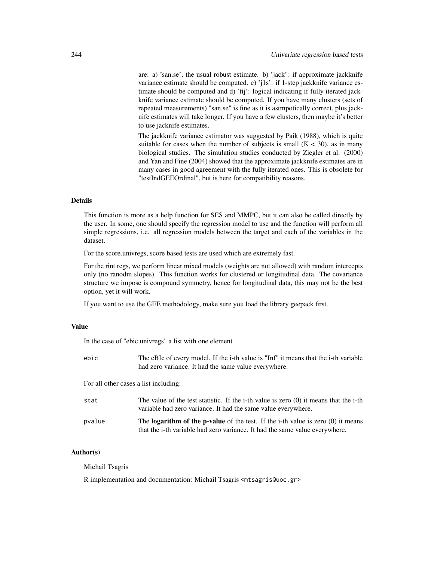are: a) 'san.se', the usual robust estimate. b) 'jack': if approximate jackknife variance estimate should be computed. c) 'j1s': if 1-step jackknife variance estimate should be computed and d) 'fij': logical indicating if fully iterated jackknife variance estimate should be computed. If you have many clusters (sets of repeated measurements) "san.se" is fine as it is astmpotically correct, plus jacknife estimates will take longer. If you have a few clusters, then maybe it's better to use jacknife estimates.

The jackknife variance estimator was suggested by Paik (1988), which is quite suitable for cases when the number of subjects is small  $(K < 30)$ , as in many biological studies. The simulation studies conducted by Ziegler et al. (2000) and Yan and Fine (2004) showed that the approximate jackknife estimates are in many cases in good agreement with the fully iterated ones. This is obsolete for "testIndGEEOrdinal", but is here for compatibility reasons.

# **Details**

This function is more as a help function for SES and MMPC, but it can also be called directly by the user. In some, one should specify the regression model to use and the function will perform all simple regressions, i.e. all regression models between the target and each of the variables in the dataset.

For the score.univregs, score based tests are used which are extremely fast.

For the rint.regs, we perform linear mixed models (weights are not allowed) with random intercepts only (no ranodm slopes). This function works for clustered or longitudinal data. The covariance structure we impose is compound symmetry, hence for longitudinal data, this may not be the best option, yet it will work.

If you want to use the GEE methodology, make sure you load the library geepack first.

# Value

In the case of "ebic.univregs" a list with one element

| ebic | The eBIc of every model. If the <i>i</i> -th value is "Inf" it means that the <i>i</i> -th variable |
|------|-----------------------------------------------------------------------------------------------------|
|      | had zero variance. It had the same value everywhere.                                                |
|      |                                                                                                     |

For all other cases a list including:

| stat   | The value of the test statistic. If the i-th value is zero $(0)$ it means that the i-th<br>variable had zero variance. It had the same value everywhere.                 |
|--------|--------------------------------------------------------------------------------------------------------------------------------------------------------------------------|
| pvalue | The <b>logarithm of the p-value</b> of the test. If the i-th value is zero $(0)$ it means<br>that the i-th variable had zero variance. It had the same value everywhere. |

#### Author(s)

Michail Tsagris

R implementation and documentation: Michail Tsagris <mtsagris@uoc.gr>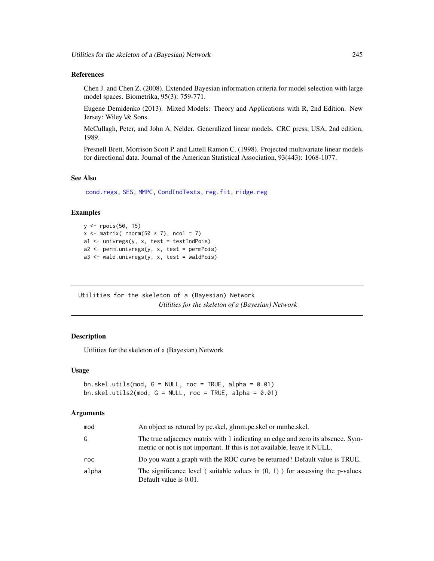#### References

Chen J. and Chen Z. (2008). Extended Bayesian information criteria for model selection with large model spaces. Biometrika, 95(3): 759-771.

Eugene Demidenko (2013). Mixed Models: Theory and Applications with R, 2nd Edition. New Jersey: Wiley \& Sons.

McCullagh, Peter, and John A. Nelder. Generalized linear models. CRC press, USA, 2nd edition, 1989.

Presnell Brett, Morrison Scott P. and Littell Ramon C. (1998). Projected multivariate linear models for directional data. Journal of the American Statistical Association, 93(443): 1068-1077.

# See Also

[cond.regs,](#page-39-0) [SES,](#page-84-0) [MMPC,](#page-84-0) [CondIndTests,](#page-31-0) [reg.fit,](#page-207-0) [ridge.reg](#page-209-0)

#### Examples

```
y <- rpois(50, 15)
x \le matrix( rnorm(50 \star 7), ncol = 7)
a1 \le univregs(y, x, test = testIndPois)
a2 <- perm.univregs(y, x, test = permPois)
a3 <- wald.univregs(y, x, test = waldPois)
```
Utilities for the skeleton of a (Bayesian) Network *Utilities for the skeleton of a (Bayesian) Network*

# <span id="page-244-0"></span>**Description**

Utilities for the skeleton of a (Bayesian) Network

#### Usage

```
bn.skel.utils(mod, G = NULL, roc = TRUE, alpha = 0.01)
bn.skel.utils2(mod, G = NULL, roc = TRUE, alpha = 0.01)
```

| mod   | An object as retured by pc.skel, glmm.pc.skel or mmhc.skel.                                                                                                |
|-------|------------------------------------------------------------------------------------------------------------------------------------------------------------|
| G     | The true adjacency matrix with 1 indicating an edge and zero its absence. Sym-<br>metric or not is not important. If this is not available, leave it NULL. |
| roc.  | Do you want a graph with the ROC curve be returned? Default value is TRUE.                                                                                 |
| alpha | The significance level (suitable values in $(0, 1)$ ) for assessing the p-values.<br>Default value is 0.01.                                                |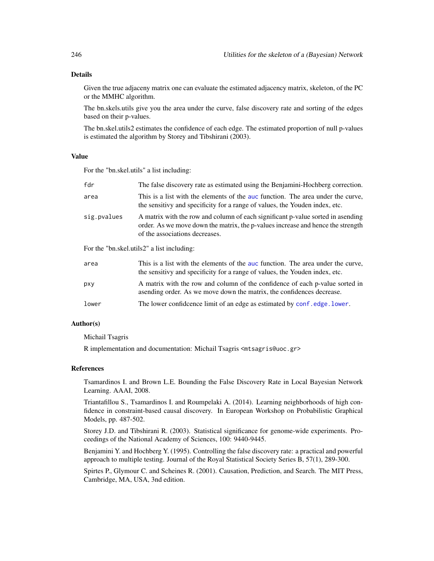#### Details

Given the true adjaceny matrix one can evaluate the estimated adjacency matrix, skeleton, of the PC or the MMHC algorithm.

The bn.skels.utils give you the area under the curve, false discovery rate and sorting of the edges based on their p-values.

The bn.skel.utils2 estimates the confidence of each edge. The estimated proportion of null p-values is estimated the algorithm by Storey and Tibshirani (2003).

#### Value

For the "bn.skel.utils" a list including:

| fdr         | The false discovery rate as estimated using the Benjamini-Hochberg correction.                                                                                                                       |
|-------------|------------------------------------------------------------------------------------------------------------------------------------------------------------------------------------------------------|
| area        | This is a list with the elements of the auc function. The area under the curve,<br>the sensitivy and specificity for a range of values, the Youden index, etc.                                       |
| sig.pvalues | A matrix with the row and column of each significant p-value sorted in asending<br>order. As we move down the matrix, the p-values increase and hence the strength<br>of the associations decreases. |
|             | For the "bn.skel.utils2" a list including:                                                                                                                                                           |
| area        | This is a list with the elements of the auc function. The area under the curve,<br>the sensitivy and specificity for a range of values, the Youden index, etc.                                       |
| pxy         | A matrix with the row and column of the confidence of each p-value sorted in                                                                                                                         |

- asending order. As we move down the matrix, the confidences decrease.
- lower The lower confideence limit of an edge as estimated by [conf.edge.lower](#page-169-0).

#### Author(s)

Michail Tsagris

R implementation and documentation: Michail Tsagris <mtsagris@uoc.gr>

#### References

Tsamardinos I. and Brown L.E. Bounding the False Discovery Rate in Local Bayesian Network Learning. AAAI, 2008.

Triantafillou S., Tsamardinos I. and Roumpelaki A. (2014). Learning neighborhoods of high confidence in constraint-based causal discovery. In European Workshop on Probabilistic Graphical Models, pp. 487-502.

Storey J.D. and Tibshirani R. (2003). Statistical significance for genome-wide experiments. Proceedings of the National Academy of Sciences, 100: 9440-9445.

Benjamini Y. and Hochberg Y. (1995). Controlling the false discovery rate: a practical and powerful approach to multiple testing. Journal of the Royal Statistical Society Series B, 57(1), 289-300.

Spirtes P., Glymour C. and Scheines R. (2001). Causation, Prediction, and Search. The MIT Press, Cambridge, MA, USA, 3nd edition.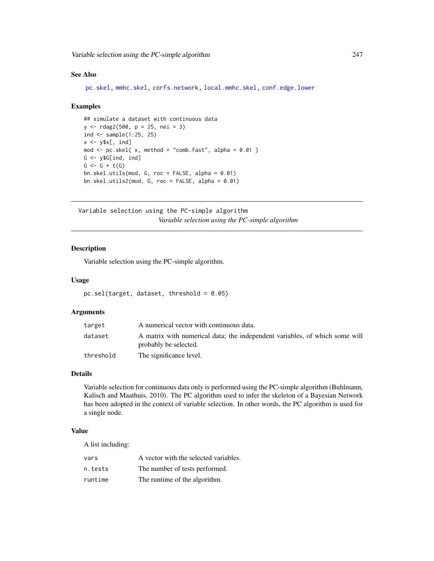#### See Also

[pc.skel,](#page-222-0) [mmhc.skel,](#page-219-0) [corfs.network,](#page-193-0) [local.mmhc.skel,](#page-217-0) [conf.edge.lower](#page-169-0)

#### Examples

```
## simulate a dataset with continuous data
y <- rdag2(500, p = 25, nei = 3)
ind \le sample(1:25, 25)x \leftarrow y \x[, ind]
mod \leq pc.skel( x, method = "comb.fast", alpha = 0.01)
G <- y$G[ind, ind]
G \leftarrow G + t(G)bn.skel.utils(mod, G, roc = FALSE, alpha = 0.01)
bn.skel.utils2(mod, G, roc = FALSE, alpha = 0.01)
```
Variable selection using the PC-simple algorithm *Variable selection using the PC-simple algorithm*

#### Description

Variable selection using the PC-simple algorithm.

#### Usage

```
pc.sel(target, dataset, threshold = 0.05)
```
#### Arguments

| target    | A numerical vector with continuous data.                                                             |
|-----------|------------------------------------------------------------------------------------------------------|
| dataset   | A matrix with numerical data; the independent variables, of which some will<br>probably be selected. |
| threshold | The significance level.                                                                              |

# Details

Variable selection for continuous data only is performed using the PC-simple algorithm (Buhlmann, Kalisch and Maathuis, 2010). The PC algorithm used to infer the skeleton of a Bayesian Network has been adopted in the context of variable selection. In other words, the PC algorithm is used for a single node.

#### Value

A list including:

| vars    | A vector with the selected variables. |
|---------|---------------------------------------|
| n.tests | The number of tests performed.        |
| runtime | The runtime of the algorithm.         |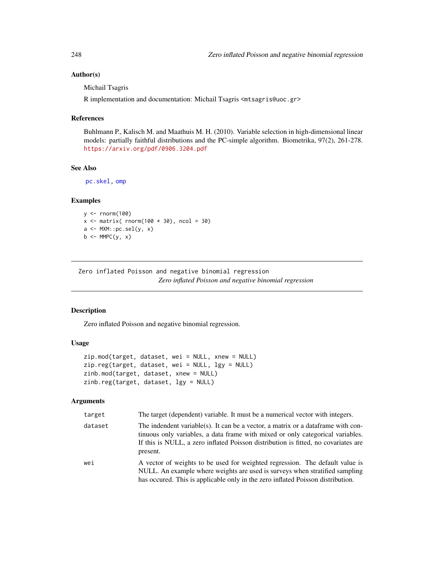# Author(s)

Michail Tsagris

R implementation and documentation: Michail Tsagris <mtsagris@uoc.gr>

# References

Buhlmann P., Kalisch M. and Maathuis M. H. (2010). Variable selection in high-dimensional linear models: partially faithful distributions and the PC-simple algorithm. Biometrika, 97(2), 261-278. <https://arxiv.org/pdf/0906.3204.pdf>

# See Also

[pc.skel,](#page-222-0) [omp](#page-0-0)

#### Examples

```
y <- rnorm(100)
x \le matrix( rnorm(100 * 30), ncol = 30)
a <- MXM::pc.sel(y, x)
b \leftarrow MMPC(y, x)
```
Zero inflated Poisson and negative binomial regression *Zero inflated Poisson and negative binomial regression*

#### Description

Zero inflated Poisson and negative binomial regression.

# Usage

```
zip.mod(target, dataset, wei = NULL, xnew = NULL)
zip.reg(target, dataset, wei = NULL, lgy = NULL)
zinb.mod(target, dataset, xnew = NULL)
zinb.reg(target, dataset, lgy = NULL)
```

| target  | The target (dependent) variable. It must be a numerical vector with integers.                                                                                                                                                                                        |
|---------|----------------------------------------------------------------------------------------------------------------------------------------------------------------------------------------------------------------------------------------------------------------------|
| dataset | The indendent variable(s). It can be a vector, a matrix or a dataframe with con-<br>tinuous only variables, a data frame with mixed or only categorical variables.<br>If this is NULL, a zero inflated Poisson distribution is fitted, no covariates are<br>present. |
| wei     | A vector of weights to be used for weighted regression. The default value is<br>NULL. An example where weights are used is surveys when stratified sampling<br>has occured. This is applicable only in the zero inflated Poisson distribution.                       |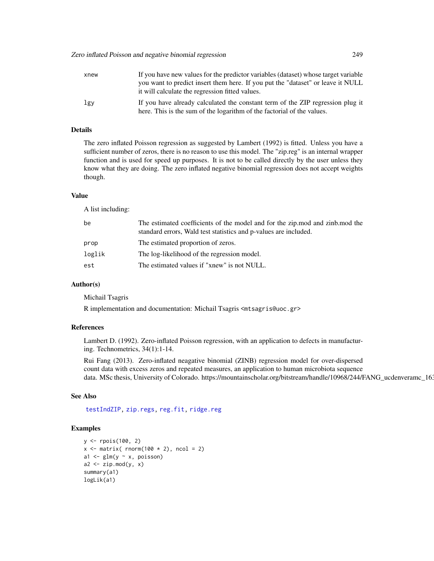| xnew | If you have new values for the predictor variables (dataset) whose target variable                                                                       |
|------|----------------------------------------------------------------------------------------------------------------------------------------------------------|
|      | you want to predict insert them here. If you put the "dataset" or leave it NULL<br>it will calculate the regression fitted values.                       |
| lgy  | If you have already calculated the constant term of the ZIP regression plug it<br>here. This is the sum of the logarithm of the factorial of the values. |

# Details

The zero inflated Poisson regression as suggested by Lambert (1992) is fitted. Unless you have a sufficient number of zeros, there is no reason to use this model. The "zip.reg" is an internal wrapper function and is used for speed up purposes. It is not to be called directly by the user unless they know what they are doing. The zero inflated negative binomial regression does not accept weights though.

#### Value

A list including:

| be     | The estimated coefficients of the model and for the zip, mod and zinb, mod the<br>standard errors, Wald test statistics and p-values are included. |
|--------|----------------------------------------------------------------------------------------------------------------------------------------------------|
| prop   | The estimated proportion of zeros.                                                                                                                 |
| loglik | The log-likelihood of the regression model.                                                                                                        |
| est    | The estimated values if "xnew" is not NULL.                                                                                                        |

#### Author(s)

Michail Tsagris

R implementation and documentation: Michail Tsagris <mtsagris@uoc.gr>

# References

Lambert D. (1992). Zero-inflated Poisson regression, with an application to defects in manufacturing. Technometrics, 34(1):1-14.

Rui Fang (2013). Zero-inflated neagative binomial (ZINB) regression model for over-dispersed count data with excess zeros and repeated measures, an application to human microbiota sequence data. MSc thesis, University of Colorado. https://mountainscholar.org/bitstream/handle/10968/244/FANG\_ucdenveramc\_16

#### See Also

[testIndZIP,](#page-67-0) [zip.regs,](#page-175-0) [reg.fit,](#page-207-0) [ridge.reg](#page-209-0)

#### Examples

```
y <- rpois(100, 2)
x \le matrix( rnorm(100 \star 2), ncol = 2)
a1 \leq glm(y \sim x, poisson)
a2 \leq zip.mod(y, x)summary(a1)
logLik(a1)
```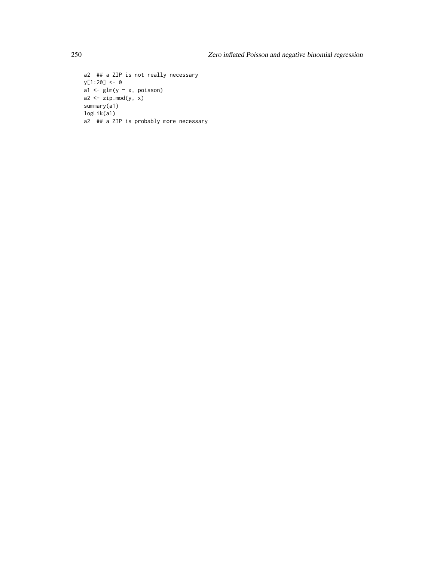```
a2 ## a ZIP is not really necessary
y[1:20] <- 0
a1 <- glm(y \sim x, \text{poisson})a2 \leq zip.mod(y, x)summary(a1)
logLik(a1)
a2 ## a ZIP is probably more necessary
```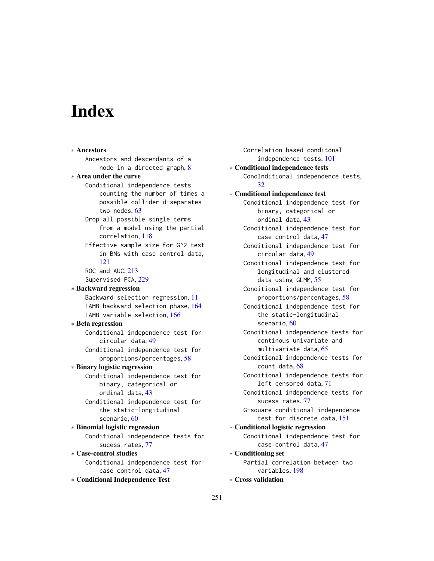# Index

∗ Ancestors Ancestors and descendants of a node in a directed graph, [8](#page-7-0) ∗ Area under the curve Conditional independence tests counting the number of times a possible collider d-separates two nodes, [63](#page-62-0) Drop all possible single terms from a model using the partial correlation, [118](#page-117-0) Effective sample size for G^2 test in BNs with case control data, [121](#page-120-0) ROC and AUC, [213](#page-212-1) Supervised PCA, [229](#page-228-0) ∗ Backward regression Backward selection regression, [11](#page-10-0) IAMB backward selection phase, [164](#page-163-0) IAMB variable selection, [166](#page-165-0) ∗ Beta regression Conditional independence test for circular data, [49](#page-48-0) Conditional independence test for proportions/percentages, [58](#page-57-0) ∗ Binary logistic regression Conditional independence test for binary, categorical or ordinal data, [43](#page-42-0) Conditional independence test for the static-longitudinal scenario, [60](#page-59-0) ∗ Binomial logistic regression Conditional independence tests for sucess rates, [77](#page-76-0) ∗ Case-control studies Conditional independence test for case control data, [47](#page-46-0) ∗ Conditional Independence Test

Correlation based conditonal independence tests, [101](#page-100-0) ∗ Conditional independence tests CondInditional independence tests, [32](#page-31-1) ∗ Conditional independence test Conditional independence test for binary, categorical or ordinal data, [43](#page-42-0) Conditional independence test for case control data, [47](#page-46-0) Conditional independence test for circular data, [49](#page-48-0) Conditional independence test for longitudinal and clustered data using GLMM, [55](#page-54-1) Conditional independence test for proportions/percentages, [58](#page-57-0) Conditional independence test for the static-longitudinal scenario, [60](#page-59-0) Conditional independence tests for continous univariate and multivariate data, [65](#page-64-0) Conditional independence tests for count data, [68](#page-67-1) Conditional independence tests for left censored data, [71](#page-70-0) Conditional independence tests for sucess rates, [77](#page-76-0) G-square conditional independence test for discrete data, [151](#page-150-0) ∗ Conditional logistic regression Conditional independence test for case control data, [47](#page-46-0) ∗ Conditioning set Partial correlation between two variables, [198](#page-197-0) ∗ Cross validation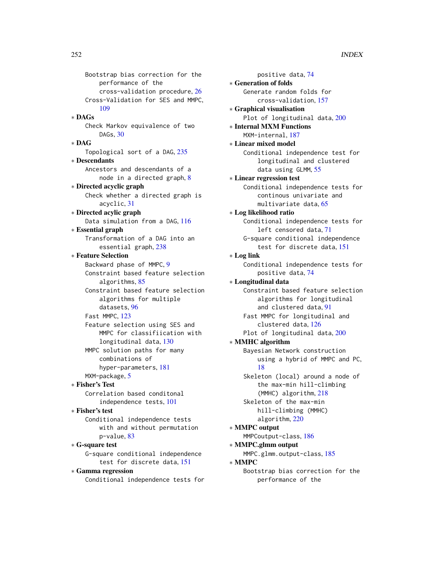Bootstrap bias correction for the performance of the cross-validation procedure, [26](#page-25-0) Cross-Validation for SES and MMPC, [109](#page-108-0) ∗ DAGs Check Markov equivalence of two DAGs, [30](#page-29-0) ∗ DAG Topological sort of a DAG, [235](#page-234-1) ∗ Descendants Ancestors and descendants of a node in a directed graph, [8](#page-7-0) ∗ Directed acyclic graph Check whether a directed graph is acyclic, [31](#page-30-1) ∗ Directed acylic graph Data simulation from a DAG, [116](#page-115-0) ∗ Essential graph Transformation of a DAG into an essential graph, [238](#page-237-0) ∗ Feature Selection Backward phase of MMPC, [9](#page-8-1) Constraint based feature selection algorithms, [85](#page-84-1) Constraint based feature selection algorithms for multiple datasets, [96](#page-95-0) Fast MMPC, [123](#page-122-0) Feature selection using SES and MMPC for classifiication with longitudinal data, [130](#page-129-0) MMPC solution paths for many combinations of hyper-parameters, [181](#page-180-0) MXM-package, [5](#page-4-0) ∗ Fisher's Test Correlation based conditonal independence tests, [101](#page-100-0) ∗ Fisher's test Conditional independence tests with and without permutation p-value, [83](#page-82-1) ∗ G-square test G-square conditional independence test for discrete data, [151](#page-150-0) ∗ Gamma regression

Conditional independence tests for

positive data, [74](#page-73-0) ∗ Generation of folds Generate random folds for cross-validation, [157](#page-156-0) ∗ Graphical visualisation Plot of longitudinal data, [200](#page-199-0) ∗ Internal MXM Functions MXM-internal, [187](#page-186-0) ∗ Linear mixed model Conditional independence test for longitudinal and clustered data using GLMM, [55](#page-54-1) ∗ Linear regression test Conditional independence tests for continous univariate and multivariate data, [65](#page-64-0) ∗ Log likelihood ratio Conditional independence tests for left censored data, [71](#page-70-0) G-square conditional independence test for discrete data, [151](#page-150-0) ∗ Log link Conditional independence tests for positive data, [74](#page-73-0) ∗ Longitudinal data Constraint based feature selection algorithms for longitudinal and clustered data, [91](#page-90-1) Fast MMPC for longitudinal and clustered data, [126](#page-125-0) Plot of longitudinal data, [200](#page-199-0) ∗ MMHC algorithm Bayesian Network construction using a hybrid of MMPC and PC, [18](#page-17-0) Skeleton (local) around a node of the max-min hill-climbing (MMHC) algorithm, [218](#page-217-1) Skeleton of the max-min hill-climbing (MMHC) algorithm, [220](#page-219-1) ∗ MMPC output MMPCoutput-class, [186](#page-185-0) ∗ MMPC.glmm output MMPC.glmm.output-class, [185](#page-184-0) ∗ MMPC Bootstrap bias correction for the performance of the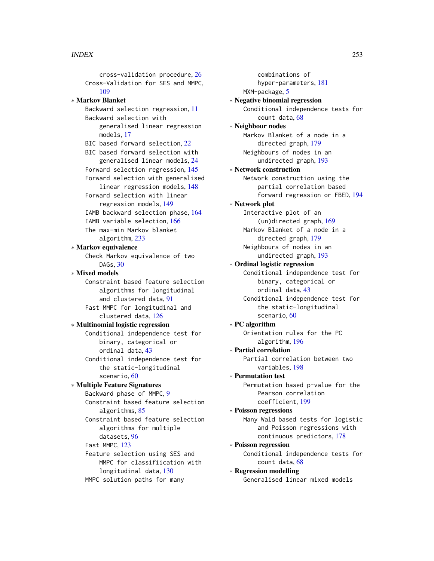cross-validation procedure, [26](#page-25-0) Cross-Validation for SES and MMPC, [109](#page-108-0) ∗ Markov Blanket Backward selection regression, [11](#page-10-0) Backward selection with generalised linear regression models, [17](#page-16-0) BIC based forward selection, [22](#page-21-0) BIC based forward selection with generalised linear models, [24](#page-23-0) Forward selection regression, [145](#page-144-0) Forward selection with generalised linear regression models, [148](#page-147-0) Forward selection with linear regression models, [149](#page-148-0) IAMB backward selection phase, [164](#page-163-0) IAMB variable selection, [166](#page-165-0) The max-min Markov blanket algorithm, [233](#page-232-0) ∗ Markov equivalence Check Markov equivalence of two DAGs, [30](#page-29-0) ∗ Mixed models Constraint based feature selection algorithms for longitudinal and clustered data, [91](#page-90-0) Fast MMPC for longitudinal and clustered data, [126](#page-125-0) ∗ Multinomial logistic regression Conditional independence test for binary, categorical or ordinal data, [43](#page-42-0) Conditional independence test for the static-longitudinal scenario, [60](#page-59-0) ∗ Multiple Feature Signatures Backward phase of MMPC, [9](#page-8-0) Constraint based feature selection algorithms, [85](#page-84-0) Constraint based feature selection algorithms for multiple datasets, [96](#page-95-0) Fast MMPC, [123](#page-122-0) Feature selection using SES and MMPC for classifiication with longitudinal data, [130](#page-129-0) MMPC solution paths for many

combinations of hyper-parameters, [181](#page-180-0) MXM-package, [5](#page-4-0) ∗ Negative binomial regression Conditional independence tests for count data, [68](#page-67-0) ∗ Neighbour nodes Markov Blanket of a node in a directed graph, [179](#page-178-0) Neighbours of nodes in an undirected graph, [193](#page-192-0) ∗ Network construction Network construction using the partial correlation based forward regression or FBED, [194](#page-193-0) ∗ Network plot Interactive plot of an (un)directed graph, [169](#page-168-0) Markov Blanket of a node in a directed graph, [179](#page-178-0) Neighbours of nodes in an undirected graph, [193](#page-192-0) ∗ Ordinal logistic regression Conditional independence test for binary, categorical or ordinal data, [43](#page-42-0) Conditional independence test for the static-longitudinal scenario, [60](#page-59-0) ∗ PC algorithm Orientation rules for the PC algorithm, [196](#page-195-0) ∗ Partial correlation Partial correlation between two variables, [198](#page-197-0) ∗ Permutation test Permutation based p-value for the Pearson correlation coefficient, [199](#page-198-0) ∗ Poisson regressions Many Wald based tests for logistic and Poisson regressions with continuous predictors, [178](#page-177-0) ∗ Poisson regression Conditional independence tests for count data, [68](#page-67-0) ∗ Regression modelling Generalised linear mixed models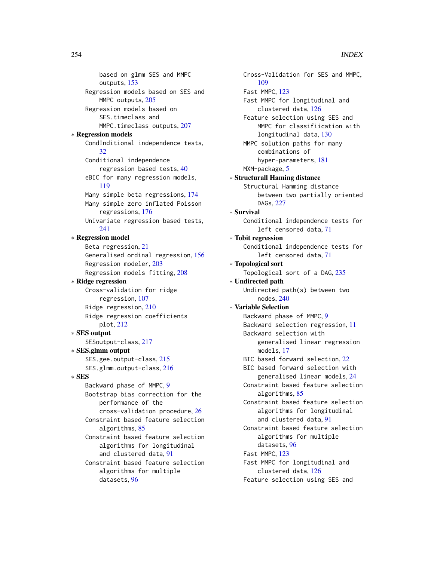based on glmm SES and MMPC outputs, [153](#page-152-0) Regression models based on SES and MMPC outputs, [205](#page-204-0) Regression models based on SES.timeclass and MMPC.timeclass outputs, [207](#page-206-0) ∗ Regression models CondInditional independence tests, [32](#page-31-0) Conditional independence regression based tests, [40](#page-39-0) eBIC for many regression models, [119](#page-118-0) Many simple beta regressions, [174](#page-173-0) Many simple zero inflated Poisson regressions, [176](#page-175-0) Univariate regression based tests, [241](#page-240-0) ∗ Regression model Beta regression, [21](#page-20-0) Generalised ordinal regression, [156](#page-155-0) Regression modeler, [203](#page-202-0) Regression models fitting, [208](#page-207-0) ∗ Ridge regression Cross-validation for ridge regression, [107](#page-106-0) Ridge regression, [210](#page-209-0) Ridge regression coefficients plot, [212](#page-211-0) ∗ SES output SESoutput-class, [217](#page-216-0) ∗ SES.glmm output SES.gee.output-class, [215](#page-214-0) SES.glmm.output-class, [216](#page-215-0) ∗ SES Backward phase of MMPC, [9](#page-8-0) Bootstrap bias correction for the performance of the cross-validation procedure, [26](#page-25-0) Constraint based feature selection algorithms, [85](#page-84-0) Constraint based feature selection algorithms for longitudinal and clustered data, [91](#page-90-0) Constraint based feature selection algorithms for multiple datasets, [96](#page-95-0)

Cross-Validation for SES and MMPC, [109](#page-108-0) Fast MMPC, [123](#page-122-0) Fast MMPC for longitudinal and clustered data, [126](#page-125-0) Feature selection using SES and MMPC for classifiication with longitudinal data, [130](#page-129-0) MMPC solution paths for many combinations of hyper-parameters, [181](#page-180-0) MXM-package, [5](#page-4-0) ∗ Structurall Haming distance Structural Hamming distance between two partially oriented DAGs, [227](#page-226-0) ∗ Survival Conditional independence tests for left censored data, [71](#page-70-0) ∗ Tobit regression Conditional independence tests for left censored data, [71](#page-70-0) ∗ Topological sort Topological sort of a DAG, [235](#page-234-0) ∗ Undirected path Undirected path(s) between two nodes, [240](#page-239-0) ∗ Variable Selection Backward phase of MMPC, [9](#page-8-0) Backward selection regression, [11](#page-10-0) Backward selection with generalised linear regression models, [17](#page-16-0) BIC based forward selection, [22](#page-21-0) BIC based forward selection with generalised linear models, [24](#page-23-0) Constraint based feature selection algorithms, [85](#page-84-0) Constraint based feature selection algorithms for longitudinal and clustered data, [91](#page-90-0) Constraint based feature selection algorithms for multiple datasets, [96](#page-95-0) Fast MMPC, [123](#page-122-0) Fast MMPC for longitudinal and clustered data, [126](#page-125-0) Feature selection using SES and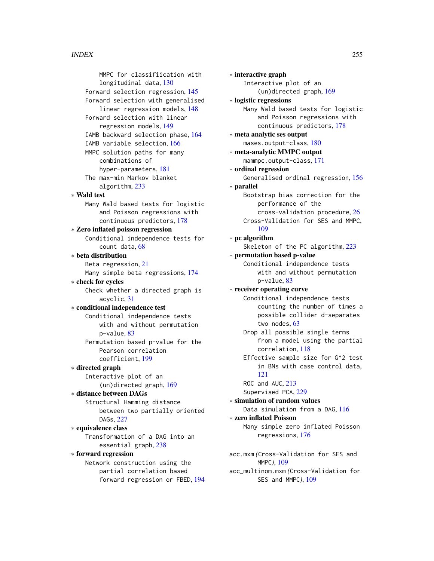MMPC for classifiication with longitudinal data, [130](#page-129-0) Forward selection regression, [145](#page-144-0) Forward selection with generalised linear regression models, [148](#page-147-0) Forward selection with linear regression models, [149](#page-148-0) IAMB backward selection phase, [164](#page-163-0) IAMB variable selection, [166](#page-165-0) MMPC solution paths for many combinations of hyper-parameters, [181](#page-180-0) The max-min Markov blanket algorithm, [233](#page-232-0) ∗ Wald test Many Wald based tests for logistic and Poisson regressions with continuous predictors, [178](#page-177-0) ∗ Zero inflated poisson regression Conditional independence tests for count data, [68](#page-67-0) ∗ beta distribution Beta regression, [21](#page-20-0) Many simple beta regressions, [174](#page-173-0) ∗ check for cycles Check whether a directed graph is acyclic, [31](#page-30-0) ∗ conditional independence test Conditional independence tests with and without permutation p-value, [83](#page-82-0) Permutation based p-value for the Pearson correlation coefficient, [199](#page-198-0) ∗ directed graph Interactive plot of an (un)directed graph, [169](#page-168-0) ∗ distance between DAGs Structural Hamming distance between two partially oriented DAGs, [227](#page-226-0) ∗ equivalence class Transformation of a DAG into an essential graph, [238](#page-237-0) ∗ forward regression Network construction using the partial correlation based forward regression or FBED, [194](#page-193-0)

∗ interactive graph Interactive plot of an (un)directed graph, [169](#page-168-0) ∗ logistic regressions Many Wald based tests for logistic and Poisson regressions with continuous predictors, [178](#page-177-0) ∗ meta analytic ses output mases.output-class, [180](#page-179-0) ∗ meta-analytic MMPC output mammpc.output-class, [171](#page-170-0) ∗ ordinal regression Generalised ordinal regression, [156](#page-155-0) ∗ parallel Bootstrap bias correction for the performance of the cross-validation procedure, [26](#page-25-0) Cross-Validation for SES and MMPC, [109](#page-108-0) ∗ pc algorithm Skeleton of the PC algorithm, [223](#page-222-0) ∗ permutation based p-value Conditional independence tests with and without permutation p-value, [83](#page-82-0) ∗ receiver operating curve Conditional independence tests counting the number of times a possible collider d-separates two nodes, [63](#page-62-0) Drop all possible single terms from a model using the partial correlation, [118](#page-117-0) Effective sample size for G^2 test in BNs with case control data, [121](#page-120-0) ROC and AUC, [213](#page-212-0) Supervised PCA, [229](#page-228-0) ∗ simulation of random values Data simulation from a DAG, [116](#page-115-0) ∗ zero inflated Poisson Many simple zero inflated Poisson regressions, [176](#page-175-0) acc.mxm *(*Cross-Validation for SES and MMPC*)*, [109](#page-108-0)

acc\_multinom.mxm *(*Cross-Validation for SES and MMPC*)*, [109](#page-108-0)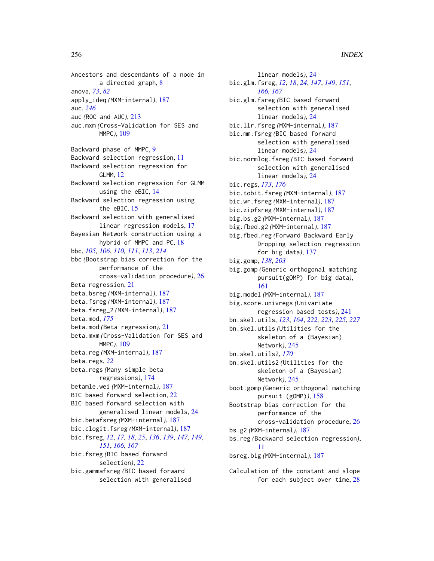Ancestors and descendants of a node in a directed graph, [8](#page-7-0) anova, *[73](#page-72-0)*, *[82](#page-81-0)* apply\_ideq *(*MXM-internal*)*, [187](#page-186-0) auc, *[246](#page-245-0)* auc *(*ROC and AUC*)*, [213](#page-212-0) auc.mxm *(*Cross-Validation for SES and MMPC*)*, [109](#page-108-0) Backward phase of MMPC, [9](#page-8-0) Backward selection regression, [11](#page-10-0) Backward selection regression for GLMM, [12](#page-11-0) Backward selection regression for GLMM using the eBIC, [14](#page-13-0) Backward selection regression using the eBIC, [15](#page-14-0) Backward selection with generalised linear regression models, [17](#page-16-0) Bayesian Network construction using a hybrid of MMPC and PC, [18](#page-17-0) bbc, *[105,](#page-104-0) [106](#page-105-0)*, *[110,](#page-109-0) [111](#page-110-0)*, *[113](#page-112-0)*, *[214](#page-213-0)* bbc *(*Bootstrap bias correction for the performance of the cross-validation procedure*)*, [26](#page-25-0) Beta regression, [21](#page-20-0) beta.bsreg *(*MXM-internal*)*, [187](#page-186-0) beta.fsreg *(*MXM-internal*)*, [187](#page-186-0) beta.fsreg\_2 *(*MXM-internal*)*, [187](#page-186-0) beta.mod, *[175](#page-174-0)* beta.mod *(*Beta regression*)*, [21](#page-20-0) beta.mxm *(*Cross-Validation for SES and MMPC*)*, [109](#page-108-0) beta.reg *(*MXM-internal*)*, [187](#page-186-0) beta.regs, *[22](#page-21-0)* beta.regs *(*Many simple beta regressions*)*, [174](#page-173-0) betamle.wei *(*MXM-internal*)*, [187](#page-186-0) BIC based forward selection, [22](#page-21-0) BIC based forward selection with generalised linear models, [24](#page-23-0) bic.betafsreg *(*MXM-internal*)*, [187](#page-186-0) bic.clogit.fsreg *(*MXM-internal*)*, [187](#page-186-0) bic.fsreg, *[12](#page-11-0)*, *[17,](#page-16-0) [18](#page-17-0)*, *[25](#page-24-0)*, *[136](#page-135-0)*, *[139](#page-138-0)*, *[147](#page-146-0)*, *[149](#page-148-0)*, *[151](#page-150-0)*, *[166,](#page-165-0) [167](#page-166-0)* bic.fsreg *(*BIC based forward selection*)*, [22](#page-21-0) bic.gammafsreg *(*BIC based forward selection with generalised

linear models*)*, [24](#page-23-0) bic.glm.fsreg, *[12](#page-11-0)*, *[18](#page-17-0)*, *[24](#page-23-0)*, *[147](#page-146-0)*, *[149](#page-148-0)*, *[151](#page-150-0)*, *[166,](#page-165-0) [167](#page-166-0)* bic.glm.fsreg *(*BIC based forward selection with generalised linear models*)*, [24](#page-23-0) bic.llr.fsreg *(*MXM-internal*)*, [187](#page-186-0) bic.mm.fsreg *(*BIC based forward selection with generalised linear models*)*, [24](#page-23-0) bic.normlog.fsreg *(*BIC based forward selection with generalised linear models*)*, [24](#page-23-0) bic.regs, *[173](#page-172-0)*, *[176](#page-175-0)* bic.tobit.fsreg *(*MXM-internal*)*, [187](#page-186-0) bic.wr.fsreg *(*MXM-internal*)*, [187](#page-186-0) bic.zipfsreg *(*MXM-internal*)*, [187](#page-186-0) big.bs.g2 *(*MXM-internal*)*, [187](#page-186-0) big.fbed.g2 *(*MXM-internal*)*, [187](#page-186-0) big.fbed.reg *(*Forward Backward Early Dropping selection regression for big data*)*, [137](#page-136-0) big.gomp, *[138](#page-137-0)*, *[203](#page-202-0)* big.gomp *(*Generic orthogonal matching pursuit(gOMP) for big data*)*, [161](#page-160-0) big.model *(*MXM-internal*)*, [187](#page-186-0) big.score.univregs *(*Univariate regression based tests*)*, [241](#page-240-0) bn.skel.utils, *[123](#page-122-0)*, *[164](#page-163-0)*, *[222,](#page-221-0) [223](#page-222-0)*, *[225](#page-224-0)*, *[227](#page-226-0)* bn.skel.utils *(*Utilities for the skeleton of a (Bayesian) Network*)*, [245](#page-244-0) bn.skel.utils2, *[170](#page-169-0)* bn.skel.utils2 *(*Utilities for the skeleton of a (Bayesian) Network*)*, [245](#page-244-0) boot.gomp *(*Generic orthogonal matching pursuit (gOMP)*)*, [158](#page-157-0) Bootstrap bias correction for the performance of the cross-validation procedure, [26](#page-25-0) bs.g2 *(*MXM-internal*)*, [187](#page-186-0) bs.reg *(*Backward selection regression*)*, [11](#page-10-0) bsreg.big *(*MXM-internal*)*, [187](#page-186-0)

Calculation of the constant and slope for each subject over time, [28](#page-27-0)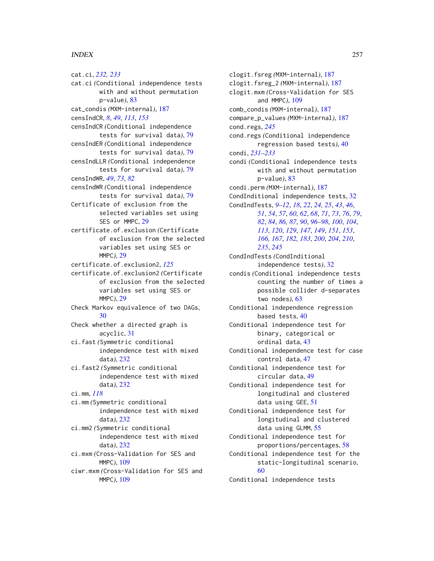cat.ci, *[232,](#page-231-0) [233](#page-232-0)* cat.ci *(*Conditional independence tests with and without permutation p-value*)*, [83](#page-82-0) cat\_condis *(*MXM-internal*)*, [187](#page-186-0) censIndCR, *[8](#page-7-0)*, *[49](#page-48-0)*, *[113](#page-112-0)*, *[153](#page-152-0)* censIndCR *(*Conditional independence tests for survival data*)*, [79](#page-78-0) censIndER *(*Conditional independence tests for survival data*)*, [79](#page-78-0) censIndLLR *(*Conditional independence tests for survival data*)*, [79](#page-78-0) censIndWR, *[49](#page-48-0)*, *[73](#page-72-0)*, *[82](#page-81-0)* censIndWR *(*Conditional independence tests for survival data*)*, [79](#page-78-0) Certificate of exclusion from the selected variables set using SES or MMPC, [29](#page-28-0) certificate.of.exclusion *(*Certificate of exclusion from the selected variables set using SES or MMPC*)*, [29](#page-28-0) certificate.of.exclusion2, *[125](#page-124-0)* certificate.of.exclusion2 *(*Certificate of exclusion from the selected variables set using SES or MMPC*)*, [29](#page-28-0) Check Markov equivalence of two DAGs, [30](#page-29-0) Check whether a directed graph is acyclic, [31](#page-30-0) ci.fast *(*Symmetric conditional independence test with mixed data*)*, [232](#page-231-0) ci.fast2 *(*Symmetric conditional independence test with mixed data*)*, [232](#page-231-0) ci.mm, *[118](#page-117-0)* ci.mm *(*Symmetric conditional independence test with mixed data*)*, [232](#page-231-0) ci.mm2 *(*Symmetric conditional independence test with mixed data*)*, [232](#page-231-0) ci.mxm *(*Cross-Validation for SES and MMPC*)*, [109](#page-108-0) ciwr.mxm *(*Cross-Validation for SES and

MMPC*)*, [109](#page-108-0)

condi, *[231](#page-230-0)[–233](#page-232-0)* [60](#page-59-0) Conditional independence tests

clogit.fsreg *(*MXM-internal*)*, [187](#page-186-0) clogit.fsreg\_2 *(*MXM-internal*)*, [187](#page-186-0) clogit.mxm *(*Cross-Validation for SES and MMPC*)*, [109](#page-108-0) comb\_condis *(*MXM-internal*)*, [187](#page-186-0) compare\_p\_values *(*MXM-internal*)*, [187](#page-186-0) cond.regs, *[245](#page-244-0)* cond.regs *(*Conditional independence regression based tests*)*, [40](#page-39-0) condi *(*Conditional independence tests with and without permutation p-value*)*, [83](#page-82-0) condi.perm *(*MXM-internal*)*, [187](#page-186-0) CondInditional independence tests, [32](#page-31-0) CondIndTests, *[9](#page-8-0)[–12](#page-11-0)*, *[18](#page-17-0)*, *[22](#page-21-0)*, *[24,](#page-23-0) [25](#page-24-0)*, *[43](#page-42-0)*, *[46](#page-45-0)*, *[51](#page-50-0)*, *[54](#page-53-0)*, *[57](#page-56-0)*, *[60](#page-59-0)*, *[62](#page-61-0)*, *[68](#page-67-0)*, *[71](#page-70-0)*, *[73](#page-72-0)*, *[76](#page-75-0)*, *[79](#page-78-0)*, *[82](#page-81-0)*, *[84](#page-83-0)*, *[86,](#page-85-0) [87](#page-86-0)*, *[90](#page-89-0)*, *[96](#page-95-0)[–98](#page-97-0)*, *[100](#page-99-0)*, *[104](#page-103-0)*, *[113](#page-112-0)*, *[120](#page-119-0)*, *[129](#page-128-0)*, *[147](#page-146-0)*, *[149](#page-148-0)*, *[151](#page-150-0)*, *[153](#page-152-0)*, *[166,](#page-165-0) [167](#page-166-0)*, *[182,](#page-181-0) [183](#page-182-0)*, *[200](#page-199-0)*, *[204](#page-203-0)*, *[210](#page-209-0)*, *[235](#page-234-0)*, *[245](#page-244-0)* CondIndTests *(*CondInditional independence tests*)*, [32](#page-31-0) condis *(*Conditional independence tests counting the number of times a possible collider d-separates two nodes*)*, [63](#page-62-0) Conditional independence regression based tests, [40](#page-39-0) Conditional independence test for binary, categorical or ordinal data, [43](#page-42-0) Conditional independence test for case control data, [47](#page-46-0) Conditional independence test for circular data, [49](#page-48-0) Conditional independence test for longitudinal and clustered data using GEE, [51](#page-50-0) Conditional independence test for longitudinal and clustered data using GLMM, [55](#page-54-0) Conditional independence test for proportions/percentages, [58](#page-57-0) Conditional independence test for the static-longitudinal scenario,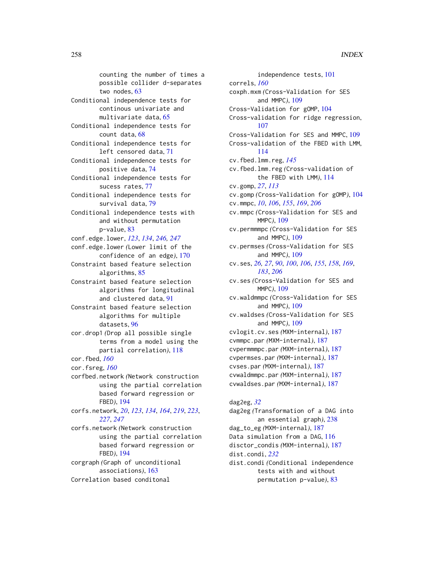counting the number of times a possible collider d-separates two nodes, [63](#page-62-0) Conditional independence tests for continous univariate and multivariate data, [65](#page-64-0) Conditional independence tests for count data, [68](#page-67-0) Conditional independence tests for left censored data, [71](#page-70-0) Conditional independence tests for positive data, [74](#page-73-0) Conditional independence tests for sucess rates, [77](#page-76-0) Conditional independence tests for survival data, [79](#page-78-0) Conditional independence tests with and without permutation p-value, [83](#page-82-0) conf.edge.lower, *[123](#page-122-0)*, *[134](#page-133-0)*, *[246,](#page-245-0) [247](#page-246-0)* conf.edge.lower *(*Lower limit of the confidence of an edge*)*, [170](#page-169-0) Constraint based feature selection algorithms, [85](#page-84-0) Constraint based feature selection algorithms for longitudinal and clustered data, [91](#page-90-0) Constraint based feature selection algorithms for multiple datasets, [96](#page-95-0) cor.drop1 *(*Drop all possible single terms from a model using the partial correlation*)*, [118](#page-117-0) cor.fbed, *[160](#page-159-0)* cor.fsreg, *[160](#page-159-0)* corfbed.network *(*Network construction using the partial correlation based forward regression or FBED*)*, [194](#page-193-0) corfs.network, *[20](#page-19-0)*, *[123](#page-122-0)*, *[134](#page-133-0)*, *[164](#page-163-0)*, *[219](#page-218-0)*, *[223](#page-222-0)*, *[227](#page-226-0)*, *[247](#page-246-0)* corfs.network *(*Network construction using the partial correlation based forward regression or FBED*)*, [194](#page-193-0) corgraph *(*Graph of unconditional associations*)*, [163](#page-162-0)

Correlation based conditonal

independence tests, [101](#page-100-0) correls, *[160](#page-159-0)* coxph.mxm *(*Cross-Validation for SES and MMPC*)*, [109](#page-108-0) Cross-Validation for gOMP, [104](#page-103-0) Cross-validation for ridge regression, [107](#page-106-0) Cross-Validation for SES and MMPC, [109](#page-108-0) Cross-validation of the FBED with LMM, [114](#page-113-0) cv.fbed.lmm.reg, *[145](#page-144-0)* cv.fbed.lmm.reg *(*Cross-validation of the FBED with LMM*)*, [114](#page-113-0) cv.gomp, *[27](#page-26-0)*, *[113](#page-112-0)* cv.gomp *(*Cross-Validation for gOMP*)*, [104](#page-103-0) cv.mmpc, *[10](#page-9-0)*, *[106](#page-105-0)*, *[155](#page-154-0)*, *[169](#page-168-0)*, *[206](#page-205-0)* cv.mmpc *(*Cross-Validation for SES and MMPC*)*, [109](#page-108-0) cv.permmmpc *(*Cross-Validation for SES and MMPC*)*, [109](#page-108-0) cv.permses *(*Cross-Validation for SES and MMPC*)*, [109](#page-108-0) cv.ses, *[26,](#page-25-0) [27](#page-26-0)*, *[90](#page-89-0)*, *[100](#page-99-0)*, *[106](#page-105-0)*, *[155](#page-154-0)*, *[158](#page-157-0)*, *[169](#page-168-0)*, *[183](#page-182-0)*, *[206](#page-205-0)* cv.ses *(*Cross-Validation for SES and MMPC*)*, [109](#page-108-0) cv.waldmmpc *(*Cross-Validation for SES and MMPC*)*, [109](#page-108-0) cv.waldses *(*Cross-Validation for SES and MMPC*)*, [109](#page-108-0) cvlogit.cv.ses *(*MXM-internal*)*, [187](#page-186-0) cvmmpc.par *(*MXM-internal*)*, [187](#page-186-0) cvpermmmpc.par *(*MXM-internal*)*, [187](#page-186-0) cvpermses.par *(*MXM-internal*)*, [187](#page-186-0) cvses.par *(*MXM-internal*)*, [187](#page-186-0) cvwaldmmpc.par *(*MXM-internal*)*, [187](#page-186-0) cvwaldses.par *(*MXM-internal*)*, [187](#page-186-0)

dag2eg, *[32](#page-31-0)* dag2eg *(*Transformation of a DAG into an essential graph*)*, [238](#page-237-0) dag\_to\_eg *(*MXM-internal*)*, [187](#page-186-0) Data simulation from a DAG, [116](#page-115-0) disctor\_condis *(*MXM-internal*)*, [187](#page-186-0) dist.condi, *[232](#page-231-0)* dist.condi *(*Conditional independence tests with and without permutation p-value*)*, [83](#page-82-0)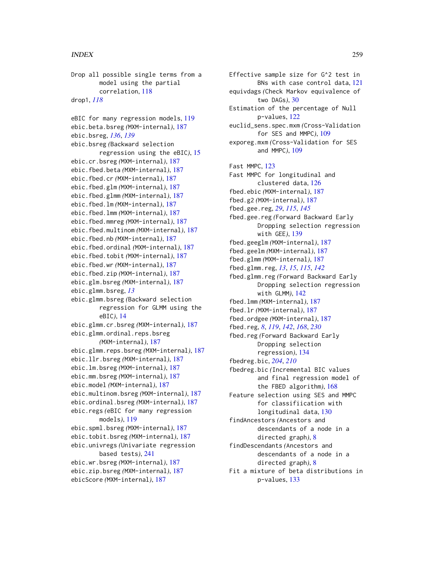Drop all possible single terms from a model using the partial correlation, [118](#page-117-0) drop1, *[118](#page-117-0)* eBIC for many regression models, [119](#page-118-0) ebic.beta.bsreg *(*MXM-internal*)*, [187](#page-186-0) ebic.bsreg, *[136](#page-135-0)*, *[139](#page-138-0)* ebic.bsreg *(*Backward selection regression using the eBIC*)*, [15](#page-14-0) ebic.cr.bsreg *(*MXM-internal*)*, [187](#page-186-0) ebic.fbed.beta *(*MXM-internal*)*, [187](#page-186-0) ebic.fbed.cr *(*MXM-internal*)*, [187](#page-186-0) ebic.fbed.glm *(*MXM-internal*)*, [187](#page-186-0) ebic.fbed.glmm *(*MXM-internal*)*, [187](#page-186-0) ebic.fbed.lm *(*MXM-internal*)*, [187](#page-186-0) ebic.fbed.lmm *(*MXM-internal*)*, [187](#page-186-0) ebic.fbed.mmreg *(*MXM-internal*)*, [187](#page-186-0) ebic.fbed.multinom *(*MXM-internal*)*, [187](#page-186-0) ebic.fbed.nb *(*MXM-internal*)*, [187](#page-186-0) ebic.fbed.ordinal *(*MXM-internal*)*, [187](#page-186-0) ebic.fbed.tobit *(*MXM-internal*)*, [187](#page-186-0) ebic.fbed.wr *(*MXM-internal*)*, [187](#page-186-0) ebic.fbed.zip *(*MXM-internal*)*, [187](#page-186-0) ebic.glm.bsreg *(*MXM-internal*)*, [187](#page-186-0) ebic.glmm.bsreg, *[13](#page-12-0)* ebic.glmm.bsreg *(*Backward selection regression for GLMM using the eBIC*)*, [14](#page-13-0) ebic.glmm.cr.bsreg *(*MXM-internal*)*, [187](#page-186-0) ebic.glmm.ordinal.reps.bsreg *(*MXM-internal*)*, [187](#page-186-0) ebic.glmm.reps.bsreg *(*MXM-internal*)*, [187](#page-186-0) ebic.llr.bsreg *(*MXM-internal*)*, [187](#page-186-0) ebic.lm.bsreg *(*MXM-internal*)*, [187](#page-186-0) ebic.mm.bsreg *(*MXM-internal*)*, [187](#page-186-0) ebic.model *(*MXM-internal*)*, [187](#page-186-0) ebic.multinom.bsreg *(*MXM-internal*)*, [187](#page-186-0) ebic.ordinal.bsreg *(*MXM-internal*)*, [187](#page-186-0) ebic.regs *(*eBIC for many regression models*)*, [119](#page-118-0) ebic.spml.bsreg *(*MXM-internal*)*, [187](#page-186-0) ebic.tobit.bsreg *(*MXM-internal*)*, [187](#page-186-0) ebic.univregs *(*Univariate regression based tests*)*, [241](#page-240-0) ebic.wr.bsreg *(*MXM-internal*)*, [187](#page-186-0) ebic.zip.bsreg *(*MXM-internal*)*, [187](#page-186-0) ebicScore *(*MXM-internal*)*, [187](#page-186-0)

Effective sample size for G^2 test in BNs with case control data, [121](#page-120-0) equivdags *(*Check Markov equivalence of two DAGs*)*, [30](#page-29-0) Estimation of the percentage of Null p-values, [122](#page-121-0) euclid\_sens.spec.mxm *(*Cross-Validation for SES and MMPC*)*, [109](#page-108-0) exporeg.mxm *(*Cross-Validation for SES and MMPC*)*, [109](#page-108-0) Fast MMPC, [123](#page-122-0) Fast MMPC for longitudinal and clustered data, [126](#page-125-0) fbed.ebic *(*MXM-internal*)*, [187](#page-186-0) fbed.g2 *(*MXM-internal*)*, [187](#page-186-0) fbed.gee.reg, *[29](#page-28-0)*, *[115](#page-114-0)*, *[145](#page-144-0)* fbed.gee.reg *(*Forward Backward Early Dropping selection regression with GEE*)*, [139](#page-138-0) fbed.geeglm *(*MXM-internal*)*, [187](#page-186-0) fbed.geelm *(*MXM-internal*)*, [187](#page-186-0) fbed.glmm *(*MXM-internal*)*, [187](#page-186-0) fbed.glmm.reg, *[13](#page-12-0)*, *[15](#page-14-0)*, *[115](#page-114-0)*, *[142](#page-141-0)* fbed.glmm.reg *(*Forward Backward Early Dropping selection regression with GLMM*)*, [142](#page-141-0) fbed.lmm *(*MXM-internal*)*, [187](#page-186-0) fbed.lr *(*MXM-internal*)*, [187](#page-186-0) fbed.ordgee *(*MXM-internal*)*, [187](#page-186-0) fbed.reg, *[8](#page-7-0)*, *[119](#page-118-0)*, *[142](#page-141-0)*, *[168](#page-167-0)*, *[230](#page-229-0)* fbed.reg *(*Forward Backward Early Dropping selection regression*)*, [134](#page-133-0) fbedreg.bic, *[204](#page-203-0)*, *[210](#page-209-0)* fbedreg.bic *(*Incremental BIC values and final regression model of the FBED algorithm*)*, [168](#page-167-0) Feature selection using SES and MMPC for classifiication with longitudinal data, [130](#page-129-0) findAncestors *(*Ancestors and descendants of a node in a directed graph*)*, [8](#page-7-0) findDescendants *(*Ancestors and descendants of a node in a directed graph*)*, [8](#page-7-0) Fit a mixture of beta distributions in p-values, [133](#page-132-0)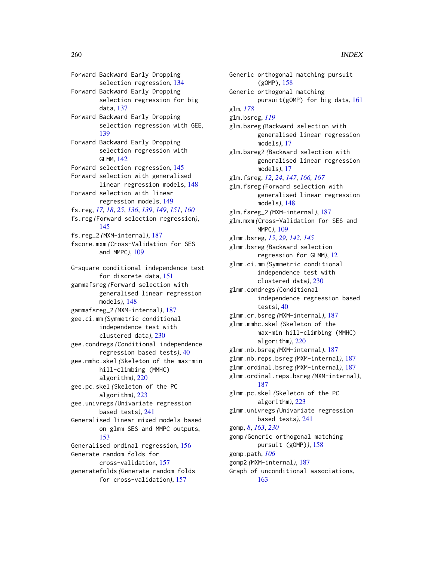Forward Backward Early Dropping selection regression, [134](#page-133-0) Forward Backward Early Dropping selection regression for big data, [137](#page-136-0) Forward Backward Early Dropping selection regression with GEE, [139](#page-138-0) Forward Backward Early Dropping selection regression with GLMM, [142](#page-141-0) Forward selection regression, [145](#page-144-0) Forward selection with generalised linear regression models, [148](#page-147-0) Forward selection with linear regression models, [149](#page-148-0) fs.reg, *[17,](#page-16-0) [18](#page-17-0)*, *[25](#page-24-0)*, *[136](#page-135-0)*, *[139](#page-138-0)*, *[149](#page-148-0)*, *[151](#page-150-0)*, *[160](#page-159-0)* fs.reg *(*Forward selection regression*)*, [145](#page-144-0) fs.reg\_2 *(*MXM-internal*)*, [187](#page-186-0) fscore.mxm *(*Cross-Validation for SES and MMPC*)*, [109](#page-108-0) G-square conditional independence test for discrete data, [151](#page-150-0) gammafsreg *(*Forward selection with generalised linear regression models*)*, [148](#page-147-0) gammafsreg\_2 *(*MXM-internal*)*, [187](#page-186-0) gee.ci.mm *(*Symmetric conditional independence test with clustered data*)*, [230](#page-229-0) gee.condregs *(*Conditional independence regression based tests*)*, [40](#page-39-0) gee.mmhc.skel *(*Skeleton of the max-min hill-climbing (MMHC) algorithm*)*, [220](#page-219-0) gee.pc.skel *(*Skeleton of the PC algorithm*)*, [223](#page-222-0) gee.univregs *(*Univariate regression based tests*)*, [241](#page-240-0) Generalised linear mixed models based on glmm SES and MMPC outputs, [153](#page-152-0) Generalised ordinal regression, [156](#page-155-0) Generate random folds for cross-validation, [157](#page-156-0) generatefolds *(*Generate random folds for cross-validation*)*, [157](#page-156-0)

Generic orthogonal matching pursuit (gOMP), [158](#page-157-0) Generic orthogonal matching pursuit(gOMP) for big data, [161](#page-160-0) glm, *[178](#page-177-0)* glm.bsreg, *[119](#page-118-0)* glm.bsreg *(*Backward selection with generalised linear regression models*)*, [17](#page-16-0) glm.bsreg2 *(*Backward selection with generalised linear regression models*)*, [17](#page-16-0) glm.fsreg, *[12](#page-11-0)*, *[24](#page-23-0)*, *[147](#page-146-0)*, *[166,](#page-165-0) [167](#page-166-0)* glm.fsreg *(*Forward selection with generalised linear regression models*)*, [148](#page-147-0) glm.fsreg\_2 *(*MXM-internal*)*, [187](#page-186-0) glm.mxm *(*Cross-Validation for SES and MMPC*)*, [109](#page-108-0) glmm.bsreg, *[15](#page-14-0)*, *[29](#page-28-0)*, *[142](#page-141-0)*, *[145](#page-144-0)* glmm.bsreg *(*Backward selection regression for GLMM*)*, [12](#page-11-0) glmm.ci.mm *(*Symmetric conditional independence test with clustered data*)*, [230](#page-229-0) glmm.condregs *(*Conditional independence regression based tests*)*, [40](#page-39-0) glmm.cr.bsreg *(*MXM-internal*)*, [187](#page-186-0) glmm.mmhc.skel *(*Skeleton of the max-min hill-climbing (MMHC) algorithm*)*, [220](#page-219-0) glmm.nb.bsreg *(*MXM-internal*)*, [187](#page-186-0) glmm.nb.reps.bsreg *(*MXM-internal*)*, [187](#page-186-0) glmm.ordinal.bsreg *(*MXM-internal*)*, [187](#page-186-0) glmm.ordinal.reps.bsreg *(*MXM-internal*)*, [187](#page-186-0) glmm.pc.skel *(*Skeleton of the PC algorithm*)*, [223](#page-222-0) glmm.univregs *(*Univariate regression based tests*)*, [241](#page-240-0) gomp, *[8](#page-7-0)*, *[163](#page-162-0)*, *[230](#page-229-0)* gomp *(*Generic orthogonal matching pursuit (gOMP)*)*, [158](#page-157-0) gomp.path, *[106](#page-105-0)* gomp2 *(*MXM-internal*)*, [187](#page-186-0) Graph of unconditional associations, [163](#page-162-0)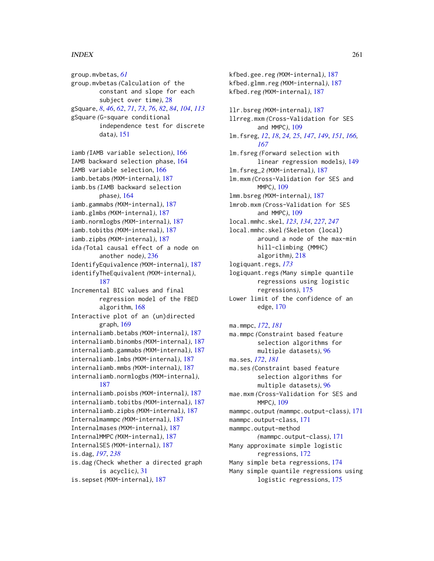group.mvbetas, *[61](#page-60-0)* group.mvbetas *(*Calculation of the constant and slope for each subject over time*)*, [28](#page-27-0) gSquare, *[8](#page-7-0)*, *[46](#page-45-0)*, *[62](#page-61-0)*, *[71](#page-70-0)*, *[73](#page-72-0)*, *[76](#page-75-0)*, *[82](#page-81-0)*, *[84](#page-83-0)*, *[104](#page-103-0)*, *[113](#page-112-0)* gSquare *(*G-square conditional independence test for discrete data*)*, [151](#page-150-0) iamb *(*IAMB variable selection*)*, [166](#page-165-0) IAMB backward selection phase, [164](#page-163-0) IAMB variable selection, [166](#page-165-0) iamb.betabs *(*MXM-internal*)*, [187](#page-186-0) iamb.bs *(*IAMB backward selection phase*)*, [164](#page-163-0) iamb.gammabs *(*MXM-internal*)*, [187](#page-186-0) iamb.glmbs *(*MXM-internal*)*, [187](#page-186-0) iamb.normlogbs *(*MXM-internal*)*, [187](#page-186-0) iamb.tobitbs *(*MXM-internal*)*, [187](#page-186-0) iamb.zipbs *(*MXM-internal*)*, [187](#page-186-0) ida *(*Total causal effect of a node on another node*)*, [236](#page-235-0) IdentifyEquivalence *(*MXM-internal*)*, [187](#page-186-0) identifyTheEquivalent *(*MXM-internal*)*, [187](#page-186-0) Incremental BIC values and final regression model of the FBED algorithm, [168](#page-167-0) Interactive plot of an (un)directed graph, [169](#page-168-0) internaliamb.betabs *(*MXM-internal*)*, [187](#page-186-0) internaliamb.binombs *(*MXM-internal*)*, [187](#page-186-0) internaliamb.gammabs *(*MXM-internal*)*, [187](#page-186-0) internaliamb.lmbs *(*MXM-internal*)*, [187](#page-186-0) internaliamb.mmbs *(*MXM-internal*)*, [187](#page-186-0) internaliamb.normlogbs *(*MXM-internal*)*, [187](#page-186-0) internaliamb.poisbs *(*MXM-internal*)*, [187](#page-186-0) internaliamb.tobitbs *(*MXM-internal*)*, [187](#page-186-0) internaliamb.zipbs *(*MXM-internal*)*, [187](#page-186-0) Internalmammpc *(*MXM-internal*)*, [187](#page-186-0) Internalmases *(*MXM-internal*)*, [187](#page-186-0) InternalMMPC *(*MXM-internal*)*, [187](#page-186-0) InternalSES *(*MXM-internal*)*, [187](#page-186-0) is.dag, *[197](#page-196-0)*, *[238](#page-237-0)* is.dag *(*Check whether a directed graph is acyclic*)*, [31](#page-30-0) is.sepset *(*MXM-internal*)*, [187](#page-186-0)

kfbed.gee.reg *(*MXM-internal*)*, [187](#page-186-0) kfbed.glmm.reg *(*MXM-internal*)*, [187](#page-186-0) kfbed.reg *(*MXM-internal*)*, [187](#page-186-0)

llr.bsreg *(*MXM-internal*)*, [187](#page-186-0) llrreg.mxm *(*Cross-Validation for SES and MMPC*)*, [109](#page-108-0) lm.fsreg, *[12](#page-11-0)*, *[18](#page-17-0)*, *[24,](#page-23-0) [25](#page-24-0)*, *[147](#page-146-0)*, *[149](#page-148-0)*, *[151](#page-150-0)*, *[166,](#page-165-0) [167](#page-166-0)* lm.fsreg *(*Forward selection with linear regression models*)*, [149](#page-148-0) lm.fsreg\_2 *(*MXM-internal*)*, [187](#page-186-0) lm.mxm *(*Cross-Validation for SES and MMPC*)*, [109](#page-108-0) lmm.bsreg *(*MXM-internal*)*, [187](#page-186-0) lmrob.mxm *(*Cross-Validation for SES and MMPC*)*, [109](#page-108-0) local.mmhc.skel, *[123](#page-122-0)*, *[134](#page-133-0)*, *[227](#page-226-0)*, *[247](#page-246-0)* local.mmhc.skel *(*Skeleton (local) around a node of the max-min hill-climbing (MMHC) algorithm*)*, [218](#page-217-0) logiquant.regs, *[173](#page-172-0)* logiquant.regs *(*Many simple quantile regressions using logistic regressions*)*, [175](#page-174-0) Lower limit of the confidence of an edge, [170](#page-169-0) ma.mmpc, *[172](#page-171-0)*, *[181](#page-180-0)* ma.mmpc *(*Constraint based feature selection algorithms for multiple datasets*)*, [96](#page-95-0)

ma.ses, *[172](#page-171-0)*, *[181](#page-180-0)* ma.ses *(*Constraint based feature selection algorithms for multiple datasets*)*, [96](#page-95-0) mae.mxm *(*Cross-Validation for SES and MMPC*)*, [109](#page-108-0) mammpc.output *(*mammpc.output-class*)*, [171](#page-170-0) mammpc.output-class, [171](#page-170-0) mammpc.output-method *(*mammpc.output-class*)*, [171](#page-170-0) Many approximate simple logistic regressions, [172](#page-171-0) Many simple beta regressions, [174](#page-173-0) Many simple quantile regressions using logistic regressions, [175](#page-174-0)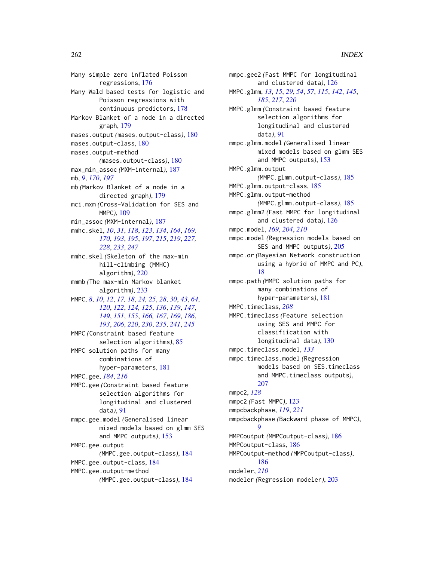Many simple zero inflated Poisson regressions, [176](#page-175-0) Many Wald based tests for logistic and Poisson regressions with continuous predictors, [178](#page-177-0) Markov Blanket of a node in a directed graph, [179](#page-178-0) mases.output *(*mases.output-class*)*, [180](#page-179-0) mases.output-class, [180](#page-179-0) mases.output-method *(*mases.output-class*)*, [180](#page-179-0) max\_min\_assoc *(*MXM-internal*)*, [187](#page-186-0) mb, *[9](#page-8-0)*, *[170](#page-169-0)*, *[197](#page-196-0)* mb *(*Markov Blanket of a node in a directed graph*)*, [179](#page-178-0) mci.mxm *(*Cross-Validation for SES and MMPC*)*, [109](#page-108-0) min\_assoc *(*MXM-internal*)*, [187](#page-186-0) mmhc.skel, *[10](#page-9-0)*, *[31](#page-30-0)*, *[118](#page-117-0)*, *[123](#page-122-0)*, *[134](#page-133-0)*, *[164](#page-163-0)*, *[169,](#page-168-0) [170](#page-169-0)*, *[193](#page-192-0)*, *[195](#page-194-0)*, *[197](#page-196-0)*, *[215](#page-214-0)*, *[219](#page-218-0)*, *[227,](#page-226-0) [228](#page-227-0)*, *[233](#page-232-0)*, *[247](#page-246-0)* mmhc.skel *(*Skeleton of the max-min hill-climbing (MMHC) algorithm*)*, [220](#page-219-0) mmmb *(*The max-min Markov blanket algorithm*)*, [233](#page-232-0) MMPC, *[8](#page-7-0)*, *[10](#page-9-0)*, *[12](#page-11-0)*, *[17,](#page-16-0) [18](#page-17-0)*, *[24,](#page-23-0) [25](#page-24-0)*, *[28](#page-27-0)*, *[30](#page-29-0)*, *[43](#page-42-0)*, *[64](#page-63-0)*, *[120](#page-119-0)*, *[122](#page-121-0)*, *[124,](#page-123-0) [125](#page-124-0)*, *[136](#page-135-0)*, *[139](#page-138-0)*, *[147](#page-146-0)*, *[149](#page-148-0)*, *[151](#page-150-0)*, *[155](#page-154-0)*, *[166,](#page-165-0) [167](#page-166-0)*, *[169](#page-168-0)*, *[186](#page-185-0)*, *[193](#page-192-0)*, *[206](#page-205-0)*, *[220](#page-219-0)*, *[230](#page-229-0)*, *[235](#page-234-0)*, *[241](#page-240-0)*, *[245](#page-244-0)* MMPC *(*Constraint based feature selection algorithms*)*, [85](#page-84-0) MMPC solution paths for many combinations of hyper-parameters, [181](#page-180-0) MMPC.gee, *[184](#page-183-0)*, *[216](#page-215-0)* MMPC.gee *(*Constraint based feature selection algorithms for longitudinal and clustered data*)*, [91](#page-90-0) mmpc.gee.model *(*Generalised linear mixed models based on glmm SES and MMPC outputs*)*, [153](#page-152-0) MMPC.gee.output *(*MMPC.gee.output-class*)*, [184](#page-183-0) MMPC.gee.output-class, [184](#page-183-0) MMPC.gee.output-method *(*MMPC.gee.output-class*)*, [184](#page-183-0)

mmpc.gee2 *(*Fast MMPC for longitudinal and clustered data*)*, [126](#page-125-0) MMPC.glmm, *[13](#page-12-0)*, *[15](#page-14-0)*, *[29](#page-28-0)*, *[54](#page-53-0)*, *[57](#page-56-0)*, *[115](#page-114-0)*, *[142](#page-141-0)*, *[145](#page-144-0)*, *[185](#page-184-0)*, *[217](#page-216-0)*, *[220](#page-219-0)* MMPC.glmm *(*Constraint based feature selection algorithms for longitudinal and clustered data*)*, [91](#page-90-0) mmpc.glmm.model *(*Generalised linear mixed models based on glmm SES and MMPC outputs*)*, [153](#page-152-0) MMPC.glmm.output *(*MMPC.glmm.output-class*)*, [185](#page-184-0) MMPC.glmm.output-class, [185](#page-184-0) MMPC.glmm.output-method *(*MMPC.glmm.output-class*)*, [185](#page-184-0) mmpc.glmm2 *(*Fast MMPC for longitudinal and clustered data*)*, [126](#page-125-0) mmpc.model, *[169](#page-168-0)*, *[204](#page-203-0)*, *[210](#page-209-0)* mmpc.model *(*Regression models based on SES and MMPC outputs*)*, [205](#page-204-0) mmpc.or *(*Bayesian Network construction using a hybrid of MMPC and PC*)*, [18](#page-17-0) mmpc.path *(*MMPC solution paths for many combinations of hyper-parameters*)*, [181](#page-180-0) MMPC.timeclass, *[208](#page-207-0)* MMPC.timeclass *(*Feature selection using SES and MMPC for classifiication with longitudinal data*)*, [130](#page-129-0) mmpc.timeclass.model, *[133](#page-132-0)* mmpc.timeclass.model *(*Regression models based on SES.timeclass and MMPC.timeclass outputs*)*, [207](#page-206-0) mmpc2, *[128](#page-127-0)* mmpc2 *(*Fast MMPC*)*, [123](#page-122-0) mmpcbackphase, *[119](#page-118-0)*, *[221](#page-220-0)* mmpcbackphase *(*Backward phase of MMPC*)*,  $\mathbf Q$ MMPCoutput *(*MMPCoutput-class*)*, [186](#page-185-0) MMPCoutput-class, [186](#page-185-0) MMPCoutput-method *(*MMPCoutput-class*)*, [186](#page-185-0) modeler, *[210](#page-209-0)* modeler *(*Regression modeler*)*, [203](#page-202-0)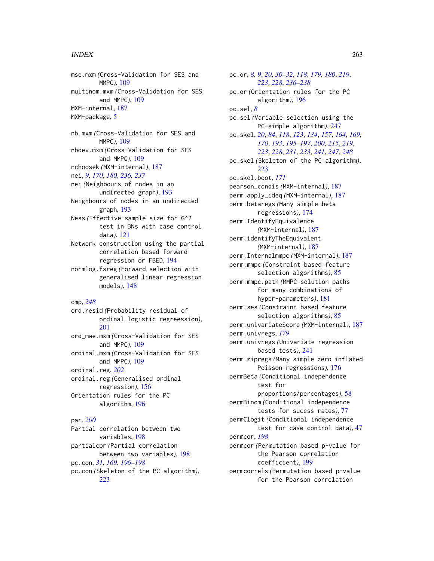mse.mxm *(*Cross-Validation for SES and MMPC*)*, [109](#page-108-0) multinom.mxm *(*Cross-Validation for SES and MMPC*)*, [109](#page-108-0) MXM-internal, [187](#page-186-0) MXM-package, [5](#page-4-0)

nb.mxm *(*Cross-Validation for SES and MMPC*)*, [109](#page-108-0) nbdev.mxm *(*Cross-Validation for SES and MMPC*)*, [109](#page-108-0) nchoosek *(*MXM-internal*)*, [187](#page-186-0) nei, *[9](#page-8-0)*, *[170](#page-169-0)*, *[180](#page-179-0)*, *[236,](#page-235-0) [237](#page-236-0)* nei *(*Neighbours of nodes in an undirected graph*)*, [193](#page-192-0) Neighbours of nodes in an undirected graph, [193](#page-192-0)

Ness *(*Effective sample size for G^2 test in BNs with case control data*)*, [121](#page-120-0)

Network construction using the partial correlation based forward regression or FBED, [194](#page-193-0)

normlog.fsreg *(*Forward selection with generalised linear regression models*)*, [148](#page-147-0)

```
omp, 248
```
ord.resid *(*Probability residual of ordinal logistic regreession*)*, [201](#page-200-0)

ord\_mae.mxm *(*Cross-Validation for SES and MMPC*)*, [109](#page-108-0) ordinal.mxm *(*Cross-Validation for SES and MMPC*)*, [109](#page-108-0) ordinal.reg, *[202](#page-201-0)*

ordinal.reg *(*Generalised ordinal regression*)*, [156](#page-155-0) Orientation rules for the PC algorithm, [196](#page-195-0)

## par, *[200](#page-199-0)*

Partial correlation between two variables, [198](#page-197-0) partialcor *(*Partial correlation between two variables*)*, [198](#page-197-0) pc.con, *[31](#page-30-0)*, *[169](#page-168-0)*, *[196](#page-195-0)[–198](#page-197-0)* pc.con *(*Skeleton of the PC algorithm*)*, [223](#page-222-0)

pc.or, *[8,](#page-7-0) [9](#page-8-0)*, *[20](#page-19-0)*, *[30](#page-29-0)[–32](#page-31-0)*, *[118](#page-117-0)*, *[179,](#page-178-0) [180](#page-179-0)*, *[219](#page-218-0)*, *[223](#page-222-0)*, *[228](#page-227-0)*, *[236](#page-235-0)[–238](#page-237-0)* pc.or *(*Orientation rules for the PC algorithm*)*, [196](#page-195-0) pc.sel, *[8](#page-7-0)* pc.sel *(*Variable selection using the PC-simple algorithm*)*, [247](#page-246-0) pc.skel, *[20](#page-19-0)*, *[84](#page-83-0)*, *[118](#page-117-0)*, *[123](#page-122-0)*, *[134](#page-133-0)*, *[157](#page-156-0)*, *[164](#page-163-0)*, *[169,](#page-168-0) [170](#page-169-0)*, *[193](#page-192-0)*, *[195](#page-194-0)[–197](#page-196-0)*, *[200](#page-199-0)*, *[215](#page-214-0)*, *[219](#page-218-0)*, *[223](#page-222-0)*, *[228](#page-227-0)*, *[231](#page-230-0)*, *[233](#page-232-0)*, *[241](#page-240-0)*, *[247,](#page-246-0) [248](#page-247-0)* pc.skel *(*Skeleton of the PC algorithm*)*, [223](#page-222-0) pc.skel.boot, *[171](#page-170-0)* pearson\_condis *(*MXM-internal*)*, [187](#page-186-0) perm.apply\_ideq *(*MXM-internal*)*, [187](#page-186-0) perm.betaregs *(*Many simple beta regressions*)*, [174](#page-173-0) perm.IdentifyEquivalence *(*MXM-internal*)*, [187](#page-186-0) perm.identifyTheEquivalent *(*MXM-internal*)*, [187](#page-186-0) perm.Internalmmpc *(*MXM-internal*)*, [187](#page-186-0) perm.mmpc *(*Constraint based feature selection algorithms*)*, [85](#page-84-0) perm.mmpc.path *(*MMPC solution paths for many combinations of hyper-parameters*)*, [181](#page-180-0) perm.ses *(*Constraint based feature selection algorithms*)*, [85](#page-84-0) perm.univariateScore *(*MXM-internal*)*, [187](#page-186-0) perm.univregs, *[179](#page-178-0)* perm.univregs *(*Univariate regression based tests*)*, [241](#page-240-0) perm.zipregs *(*Many simple zero inflated Poisson regressions*)*, [176](#page-175-0) permBeta *(*Conditional independence test for proportions/percentages*)*, [58](#page-57-0) permBinom *(*Conditional independence tests for sucess rates*)*, [77](#page-76-0) permClogit *(*Conditional independence test for case control data*)*, [47](#page-46-0) permcor, *[198](#page-197-0)* permcor *(*Permutation based p-value for the Pearson correlation coefficient*)*, [199](#page-198-0) permcorrels *(*Permutation based p-value for the Pearson correlation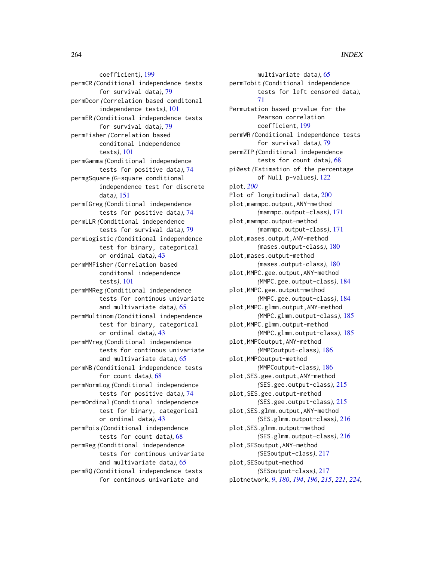coefficient*)*, [199](#page-198-0) permCR *(*Conditional independence tests for survival data*)*, [79](#page-78-0) permDcor *(*Correlation based conditonal independence tests*)*, [101](#page-100-0) permER *(*Conditional independence tests for survival data*)*, [79](#page-78-0) permFisher *(*Correlation based conditonal independence tests*)*, [101](#page-100-0) permGamma *(*Conditional independence tests for positive data*)*, [74](#page-73-0) permgSquare *(*G-square conditional independence test for discrete data*)*, [151](#page-150-0) permIGreg *(*Conditional independence tests for positive data*)*, [74](#page-73-0) permLLR *(*Conditional independence tests for survival data*)*, [79](#page-78-0) permLogistic *(*Conditional independence test for binary, categorical or ordinal data*)*, [43](#page-42-0) permMMFisher *(*Correlation based conditonal independence tests*)*, [101](#page-100-0) permMMReg *(*Conditional independence tests for continous univariate and multivariate data*)*, [65](#page-64-0) permMultinom *(*Conditional independence test for binary, categorical or ordinal data*)*, [43](#page-42-0) permMVreg *(*Conditional independence tests for continous univariate and multivariate data*)*, [65](#page-64-0) permNB *(*Conditional independence tests for count data*)*, [68](#page-67-0) permNormLog *(*Conditional independence tests for positive data*)*, [74](#page-73-0) permOrdinal *(*Conditional independence test for binary, categorical or ordinal data*)*, [43](#page-42-0) permPois *(*Conditional independence tests for count data*)*, [68](#page-67-0) permReg *(*Conditional independence tests for continous univariate and multivariate data*)*, [65](#page-64-0) permRQ *(*Conditional independence tests for continous univariate and

multivariate data*)*, [65](#page-64-0) permTobit *(*Conditional independence tests for left censored data*)*, [71](#page-70-0) Permutation based p-value for the Pearson correlation coefficient, [199](#page-198-0) permWR *(*Conditional independence tests for survival data*)*, [79](#page-78-0) permZIP *(*Conditional independence tests for count data*)*, [68](#page-67-0) pi0est *(*Estimation of the percentage of Null p-values*)*, [122](#page-121-0) plot, *[200](#page-199-0)* Plot of longitudinal data, [200](#page-199-0) plot,mammpc.output,ANY-method *(*mammpc.output-class*)*, [171](#page-170-0) plot,mammpc.output-method *(*mammpc.output-class*)*, [171](#page-170-0) plot,mases.output,ANY-method *(*mases.output-class*)*, [180](#page-179-0) plot,mases.output-method *(*mases.output-class*)*, [180](#page-179-0) plot,MMPC.gee.output,ANY-method *(*MMPC.gee.output-class*)*, [184](#page-183-0) plot,MMPC.gee.output-method *(*MMPC.gee.output-class*)*, [184](#page-183-0) plot,MMPC.glmm.output,ANY-method *(*MMPC.glmm.output-class*)*, [185](#page-184-0) plot,MMPC.glmm.output-method *(*MMPC.glmm.output-class*)*, [185](#page-184-0) plot,MMPCoutput,ANY-method *(*MMPCoutput-class*)*, [186](#page-185-0) plot,MMPCoutput-method *(*MMPCoutput-class*)*, [186](#page-185-0) plot,SES.gee.output,ANY-method *(*SES.gee.output-class*)*, [215](#page-214-0) plot,SES.gee.output-method *(*SES.gee.output-class*)*, [215](#page-214-0) plot,SES.glmm.output,ANY-method *(*SES.glmm.output-class*)*, [216](#page-215-0) plot,SES.glmm.output-method *(*SES.glmm.output-class*)*, [216](#page-215-0) plot,SESoutput,ANY-method *(*SESoutput-class*)*, [217](#page-216-0) plot,SESoutput-method *(*SESoutput-class*)*, [217](#page-216-0) plotnetwork, *[9](#page-8-0)*, *[180](#page-179-0)*, *[194](#page-193-0)*, *[196](#page-195-0)*, *[215](#page-214-0)*, *[221](#page-220-0)*, *[224](#page-223-0)*,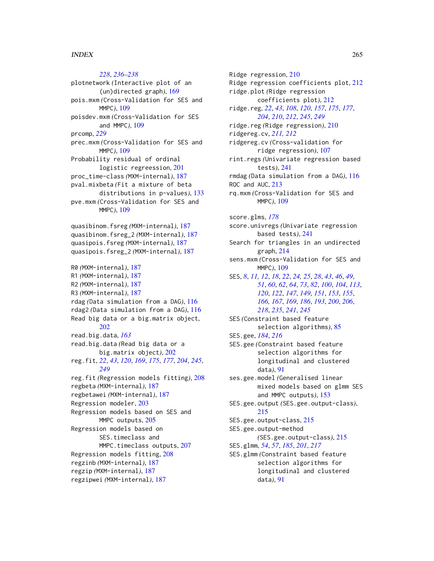*[228](#page-227-0)*, *[236](#page-235-0)[–238](#page-237-0)* plotnetwork *(*Interactive plot of an (un)directed graph*)*, [169](#page-168-0) pois.mxm *(*Cross-Validation for SES and MMPC*)*, [109](#page-108-0) poisdev.mxm *(*Cross-Validation for SES and MMPC*)*, [109](#page-108-0) prcomp, *[229](#page-228-0)* prec.mxm *(*Cross-Validation for SES and MMPC*)*, [109](#page-108-0) Probability residual of ordinal logistic regreession, [201](#page-200-0) proc\_time-class *(*MXM-internal*)*, [187](#page-186-0) pval.mixbeta *(*Fit a mixture of beta distributions in p-values*)*, [133](#page-132-0) pve.mxm *(*Cross-Validation for SES and MMPC*)*, [109](#page-108-0) quasibinom.fsreg *(*MXM-internal*)*, [187](#page-186-0) quasibinom.fsreg\_2 *(*MXM-internal*)*, [187](#page-186-0) quasipois.fsreg *(*MXM-internal*)*, [187](#page-186-0) quasipois.fsreg\_2 *(*MXM-internal*)*, [187](#page-186-0) R0 *(*MXM-internal*)*, [187](#page-186-0) R1 *(*MXM-internal*)*, [187](#page-186-0) R2 *(*MXM-internal*)*, [187](#page-186-0) R3 *(*MXM-internal*)*, [187](#page-186-0) rdag *(*Data simulation from a DAG*)*, [116](#page-115-0) rdag2 *(*Data simulation from a DAG*)*, [116](#page-115-0) Read big data or a big.matrix object, [202](#page-201-0) read.big.data, *[163](#page-162-0)* read.big.data *(*Read big data or a big.matrix object*)*, [202](#page-201-0) reg.fit, *[22](#page-21-0)*, *[43](#page-42-0)*, *[120](#page-119-0)*, *[169](#page-168-0)*, *[175](#page-174-0)*, *[177](#page-176-0)*, *[204](#page-203-0)*, *[245](#page-244-0)*, *[249](#page-248-0)* reg.fit *(*Regression models fitting*)*, [208](#page-207-0) regbeta *(*MXM-internal*)*, [187](#page-186-0) regbetawei *(*MXM-internal*)*, [187](#page-186-0) Regression modeler, [203](#page-202-0) Regression models based on SES and MMPC outputs, [205](#page-204-0) Regression models based on SES.timeclass and MMPC.timeclass outputs, [207](#page-206-0) Regression models fitting, [208](#page-207-0) regzinb *(*MXM-internal*)*, [187](#page-186-0) regzip *(*MXM-internal*)*, [187](#page-186-0) regzipwei *(*MXM-internal*)*, [187](#page-186-0)

Ridge regression, [210](#page-209-0) Ridge regression coefficients plot, [212](#page-211-0) ridge.plot *(*Ridge regression coefficients plot*)*, [212](#page-211-0) ridge.reg, *[22](#page-21-0)*, *[43](#page-42-0)*, *[108](#page-107-0)*, *[120](#page-119-0)*, *[157](#page-156-0)*, *[175](#page-174-0)*, *[177](#page-176-0)*, *[204](#page-203-0)*, *[210](#page-209-0)*, *[212](#page-211-0)*, *[245](#page-244-0)*, *[249](#page-248-0)* ridge.reg *(*Ridge regression*)*, [210](#page-209-0) ridgereg.cv, *[211,](#page-210-0) [212](#page-211-0)* ridgereg.cv *(*Cross-validation for ridge regression*)*, [107](#page-106-0) rint.regs *(*Univariate regression based tests*)*, [241](#page-240-0) rmdag *(*Data simulation from a DAG*)*, [116](#page-115-0) ROC and AUC, [213](#page-212-0) rq.mxm *(*Cross-Validation for SES and MMPC*)*, [109](#page-108-0) score.glms, *[178](#page-177-0)* score.univregs *(*Univariate regression based tests*)*, [241](#page-240-0) Search for triangles in an undirected graph, [214](#page-213-0) sens.mxm *(*Cross-Validation for SES and MMPC*)*, [109](#page-108-0) SES, *[8](#page-7-0)*, *[11,](#page-10-0) [12](#page-11-0)*, *[18](#page-17-0)*, *[22](#page-21-0)*, *[24,](#page-23-0) [25](#page-24-0)*, *[28](#page-27-0)*, *[43](#page-42-0)*, *[46](#page-45-0)*, *[49](#page-48-0)*, *[51](#page-50-0)*, *[60](#page-59-0)*, *[62](#page-61-0)*, *[64](#page-63-0)*, *[73](#page-72-0)*, *[82](#page-81-0)*, *[100](#page-99-0)*, *[104](#page-103-0)*, *[113](#page-112-0)*, *[120](#page-119-0)*, *[122](#page-121-0)*, *[147](#page-146-0)*, *[149](#page-148-0)*, *[151](#page-150-0)*, *[153](#page-152-0)*, *[155](#page-154-0)*, *[166,](#page-165-0) [167](#page-166-0)*, *[169](#page-168-0)*, *[186](#page-185-0)*, *[193](#page-192-0)*, *[200](#page-199-0)*, *[206](#page-205-0)*, *[218](#page-217-0)*, *[235](#page-234-0)*, *[241](#page-240-0)*, *[245](#page-244-0)* SES *(*Constraint based feature selection algorithms*)*, [85](#page-84-0) SES.gee, *[184](#page-183-0)*, *[216](#page-215-0)* SES.gee *(*Constraint based feature selection algorithms for longitudinal and clustered data*)*, [91](#page-90-0) ses.gee.model *(*Generalised linear mixed models based on glmm SES and MMPC outputs*)*, [153](#page-152-0) SES.gee.output *(*SES.gee.output-class*)*, [215](#page-214-0) SES.gee.output-class, [215](#page-214-0) SES.gee.output-method *(*SES.gee.output-class*)*, [215](#page-214-0) SES.glmm, *[54](#page-53-0)*, *[57](#page-56-0)*, *[185](#page-184-0)*, *[201](#page-200-0)*, *[217](#page-216-0)* SES.glmm *(*Constraint based feature selection algorithms for longitudinal and clustered data*)*, [91](#page-90-0)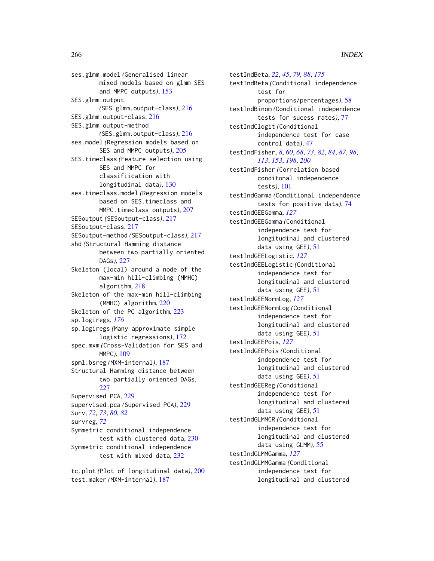ses.glmm.model *(*Generalised linear mixed models based on glmm SES and MMPC outputs*)*, [153](#page-152-0) SES.glmm.output *(*SES.glmm.output-class*)*, [216](#page-215-0) SES.glmm.output-class, [216](#page-215-0) SES.glmm.output-method *(*SES.glmm.output-class*)*, [216](#page-215-0) ses.model *(*Regression models based on SES and MMPC outputs*)*, [205](#page-204-0) SES.timeclass *(*Feature selection using SES and MMPC for classifiication with longitudinal data*)*, [130](#page-129-0) ses.timeclass.model *(*Regression models based on SES.timeclass and MMPC.timeclass outputs*)*, [207](#page-206-0) SESoutput *(*SESoutput-class*)*, [217](#page-216-0) SESoutput-class, [217](#page-216-0) SESoutput-method *(*SESoutput-class*)*, [217](#page-216-0) shd *(*Structural Hamming distance between two partially oriented DAGs*)*, [227](#page-226-0) Skeleton (local) around a node of the max-min hill-climbing (MMHC) algorithm, [218](#page-217-0) Skeleton of the max-min hill-climbing (MMHC) algorithm, [220](#page-219-0) Skeleton of the PC algorithm, [223](#page-222-0) sp.logiregs, *[176](#page-175-0)* sp.logiregs *(*Many approximate simple logistic regressions*)*, [172](#page-171-0) spec.mxm *(*Cross-Validation for SES and MMPC*)*, [109](#page-108-0) spml.bsreg *(*MXM-internal*)*, [187](#page-186-0) Structural Hamming distance between two partially oriented DAGs, [227](#page-226-0) Supervised PCA, [229](#page-228-0) supervised.pca *(*Supervised PCA*)*, [229](#page-228-0) Surv, *[72,](#page-71-0) [73](#page-72-0)*, *[80](#page-79-0)*, *[82](#page-81-0)* survreg, *[72](#page-71-0)* Symmetric conditional independence test with clustered data, [230](#page-229-0) Symmetric conditional independence test with mixed data, [232](#page-231-0)

tc.plot *(*Plot of longitudinal data*)*, [200](#page-199-0) test.maker *(*MXM-internal*)*, [187](#page-186-0)

testIndBeta, *[22](#page-21-0)*, *[45](#page-44-0)*, *[79](#page-78-0)*, *[88](#page-87-0)*, *[175](#page-174-0)* testIndBeta *(*Conditional independence test for proportions/percentages*)*, [58](#page-57-0) testIndBinom *(*Conditional independence tests for sucess rates*)*, [77](#page-76-0) testIndClogit *(*Conditional independence test for case control data*)*, [47](#page-46-0) testIndFisher, *[8](#page-7-0)*, *[60](#page-59-0)*, *[68](#page-67-0)*, *[73](#page-72-0)*, *[82](#page-81-0)*, *[84](#page-83-0)*, *[87](#page-86-0)*, *[98](#page-97-0)*, *[113](#page-112-0)*, *[153](#page-152-0)*, *[198](#page-197-0)*, *[200](#page-199-0)* testIndFisher *(*Correlation based conditonal independence tests*)*, [101](#page-100-0) testIndGamma *(*Conditional independence tests for positive data*)*, [74](#page-73-0) testIndGEEGamma, *[127](#page-126-0)* testIndGEEGamma *(*Conditional independence test for longitudinal and clustered data using GEE*)*, [51](#page-50-0) testIndGEELogistic, *[127](#page-126-0)* testIndGEELogistic *(*Conditional independence test for longitudinal and clustered data using GEE*)*, [51](#page-50-0) testIndGEENormLog, *[127](#page-126-0)* testIndGEENormLog *(*Conditional independence test for longitudinal and clustered data using GEE*)*, [51](#page-50-0) testIndGEEPois, *[127](#page-126-0)* testIndGEEPois *(*Conditional independence test for longitudinal and clustered data using GEE*)*, [51](#page-50-0) testIndGEEReg *(*Conditional independence test for longitudinal and clustered data using GEE*)*, [51](#page-50-0) testIndGLMMCR *(*Conditional independence test for longitudinal and clustered data using GLMM*)*, [55](#page-54-0) testIndGLMMGamma, *[127](#page-126-0)* testIndGLMMGamma *(*Conditional independence test for longitudinal and clustered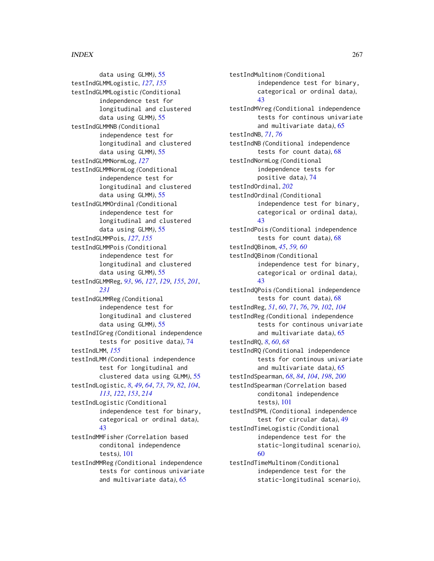data using GLMM*)*, [55](#page-54-0) testIndGLMMLogistic, *[127](#page-126-0)*, *[155](#page-154-0)* testIndGLMMLogistic *(*Conditional independence test for longitudinal and clustered data using GLMM*)*, [55](#page-54-0) testIndGLMMNB *(*Conditional independence test for longitudinal and clustered data using GLMM*)*, [55](#page-54-0) testIndGLMMNormLog, *[127](#page-126-0)* testIndGLMMNormLog *(*Conditional independence test for longitudinal and clustered data using GLMM*)*, [55](#page-54-0) testIndGLMMOrdinal *(*Conditional independence test for longitudinal and clustered data using GLMM*)*, [55](#page-54-0) testIndGLMMPois, *[127](#page-126-0)*, *[155](#page-154-0)* testIndGLMMPois *(*Conditional independence test for longitudinal and clustered data using GLMM*)*, [55](#page-54-0) testIndGLMMReg, *[93](#page-92-0)*, *[96](#page-95-0)*, *[127](#page-126-0)*, *[129](#page-128-0)*, *[155](#page-154-0)*, *[201](#page-200-0)*, *[231](#page-230-0)* testIndGLMMReg *(*Conditional independence test for longitudinal and clustered data using GLMM*)*, [55](#page-54-0) testIndIGreg *(*Conditional independence tests for positive data*)*, [74](#page-73-0) testIndLMM, *[155](#page-154-0)* testIndLMM *(*Conditional independence test for longitudinal and clustered data using GLMM*)*, [55](#page-54-0) testIndLogistic, *[8](#page-7-0)*, *[49](#page-48-0)*, *[64](#page-63-0)*, *[73](#page-72-0)*, *[79](#page-78-0)*, *[82](#page-81-0)*, *[104](#page-103-0)*, *[113](#page-112-0)*, *[122](#page-121-0)*, *[153](#page-152-0)*, *[214](#page-213-0)* testIndLogistic *(*Conditional independence test for binary, categorical or ordinal data*)*, [43](#page-42-0) testIndMMFisher *(*Correlation based conditonal independence tests*)*, [101](#page-100-0) testIndMMReg *(*Conditional independence tests for continous univariate

and multivariate data*)*, [65](#page-64-0)

independence test for binary, categorical or ordinal data*)*, [43](#page-42-0) testIndMVreg *(*Conditional independence tests for continous univariate and multivariate data*)*, [65](#page-64-0) testIndNB, *[71](#page-70-0)*, *[76](#page-75-0)* testIndNB *(*Conditional independence tests for count data*)*, [68](#page-67-0) testIndNormLog *(*Conditional independence tests for positive data*)*, [74](#page-73-0) testIndOrdinal, *[202](#page-201-0)* testIndOrdinal *(*Conditional independence test for binary, categorical or ordinal data*)*, [43](#page-42-0) testIndPois *(*Conditional independence tests for count data*)*, [68](#page-67-0) testIndQBinom, *[45](#page-44-0)*, *[59,](#page-58-0) [60](#page-59-0)* testIndQBinom *(*Conditional independence test for binary, categorical or ordinal data*)*, [43](#page-42-0) testIndQPois *(*Conditional independence tests for count data*)*, [68](#page-67-0) testIndReg, *[51](#page-50-0)*, *[60](#page-59-0)*, *[71](#page-70-0)*, *[76](#page-75-0)*, *[79](#page-78-0)*, *[102](#page-101-0)*, *[104](#page-103-0)* testIndReg *(*Conditional independence tests for continous univariate and multivariate data*)*, [65](#page-64-0) testIndRQ, *[8](#page-7-0)*, *[60](#page-59-0)*, *[68](#page-67-0)* testIndRQ *(*Conditional independence tests for continous univariate and multivariate data*)*, [65](#page-64-0) testIndSpearman, *[68](#page-67-0)*, *[84](#page-83-0)*, *[104](#page-103-0)*, *[198](#page-197-0)*, *[200](#page-199-0)* testIndSpearman *(*Correlation based conditonal independence tests*)*, [101](#page-100-0) testIndSPML *(*Conditional independence test for circular data*)*, [49](#page-48-0) testIndTimeLogistic *(*Conditional independence test for the static-longitudinal scenario*)*, [60](#page-59-0) testIndTimeMultinom *(*Conditional independence test for the static-longitudinal scenario*)*,

testIndMultinom *(*Conditional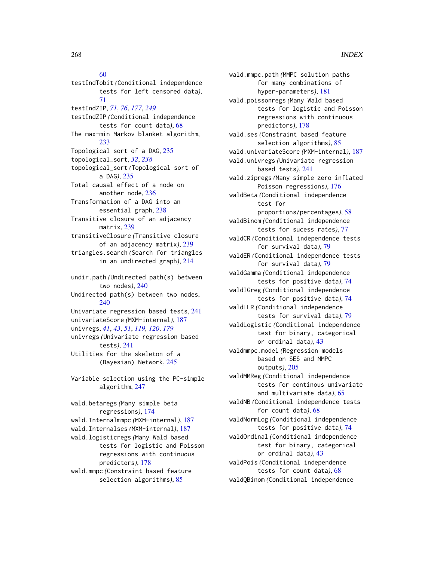# [60](#page-59-0)

testIndTobit *(*Conditional independence tests for left censored data*)*, [71](#page-70-0) testIndZIP, *[71](#page-70-0)*, *[76](#page-75-0)*, *[177](#page-176-0)*, *[249](#page-248-0)* testIndZIP *(*Conditional independence tests for count data*)*, [68](#page-67-0) The max-min Markov blanket algorithm, [233](#page-232-0) Topological sort of a DAG, [235](#page-234-0) topological\_sort, *[32](#page-31-0)*, *[238](#page-237-0)* topological\_sort *(*Topological sort of a DAG*)*, [235](#page-234-0) Total causal effect of a node on another node, [236](#page-235-0) Transformation of a DAG into an essential graph, [238](#page-237-0) Transitive closure of an adjacency matrix, [239](#page-238-0) transitiveClosure *(*Transitive closure of an adjacency matrix*)*, [239](#page-238-0) triangles.search *(*Search for triangles in an undirected graph*)*, [214](#page-213-0) undir.path *(*Undirected path(s) between two nodes*)*, [240](#page-239-0) Undirected path(s) between two nodes, [240](#page-239-0) Univariate regression based tests, [241](#page-240-0) univariateScore *(*MXM-internal*)*, [187](#page-186-0) univregs, *[41](#page-40-0)*, *[43](#page-42-0)*, *[51](#page-50-0)*, *[119,](#page-118-0) [120](#page-119-0)*, *[179](#page-178-0)* univregs *(*Univariate regression based tests*)*, [241](#page-240-0) Utilities for the skeleton of a (Bayesian) Network, [245](#page-244-0) Variable selection using the PC-simple algorithm, [247](#page-246-0) wald.betaregs *(*Many simple beta regressions*)*, [174](#page-173-0) wald.Internalmmpc *(*MXM-internal*)*, [187](#page-186-0) wald.Internalses *(*MXM-internal*)*, [187](#page-186-0) wald.logisticregs *(*Many Wald based tests for logistic and Poisson regressions with continuous predictors*)*, [178](#page-177-0) wald.mmpc *(*Constraint based feature selection algorithms*)*, [85](#page-84-0)

wald.mmpc.path *(*MMPC solution paths for many combinations of hyper-parameters*)*, [181](#page-180-0) wald.poissonregs *(*Many Wald based tests for logistic and Poisson regressions with continuous predictors*)*, [178](#page-177-0) wald.ses *(*Constraint based feature selection algorithms*)*, [85](#page-84-0) wald.univariateScore *(*MXM-internal*)*, [187](#page-186-0) wald.univregs *(*Univariate regression based tests*)*, [241](#page-240-0) wald.zipregs *(*Many simple zero inflated Poisson regressions*)*, [176](#page-175-0) waldBeta *(*Conditional independence test for proportions/percentages*)*, [58](#page-57-0) waldBinom *(*Conditional independence tests for sucess rates*)*, [77](#page-76-0) waldCR *(*Conditional independence tests for survival data*)*, [79](#page-78-0) waldER *(*Conditional independence tests for survival data*)*, [79](#page-78-0) waldGamma *(*Conditional independence tests for positive data*)*, [74](#page-73-0) waldIGreg *(*Conditional independence tests for positive data*)*, [74](#page-73-0) waldLLR *(*Conditional independence tests for survival data*)*, [79](#page-78-0) waldLogistic *(*Conditional independence test for binary, categorical or ordinal data*)*, [43](#page-42-0) waldmmpc.model *(*Regression models based on SES and MMPC outputs*)*, [205](#page-204-0) waldMMReg *(*Conditional independence tests for continous univariate and multivariate data*)*, [65](#page-64-0) waldNB *(*Conditional independence tests for count data*)*, [68](#page-67-0) waldNormLog *(*Conditional independence tests for positive data*)*, [74](#page-73-0) waldOrdinal *(*Conditional independence test for binary, categorical or ordinal data*)*, [43](#page-42-0) waldPois *(*Conditional independence tests for count data*)*, [68](#page-67-0) waldQBinom *(*Conditional independence